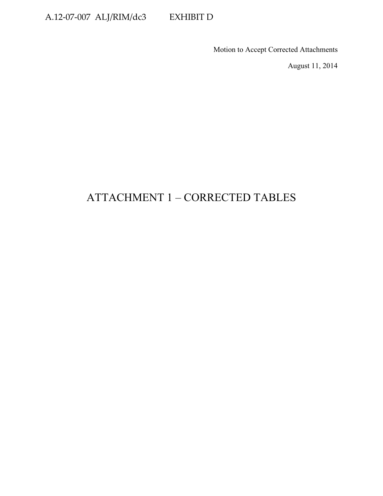# A.12-07-007 ALJ/RIM/dc3 EXHIBIT D

Motion to Accept Corrected Attachments

August 11, 2014

# ATTACHMENT 1 – CORRECTED TABLES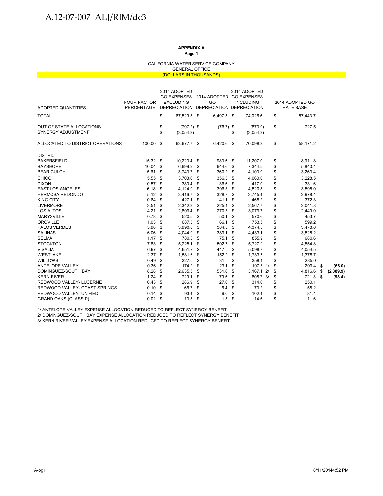#### CALIFORNIA WATER SERVICE COMPANY GENERAL OFFICE (DOLLARS IN THOUSANDS)

| ADOPTED QUANTITIES                             | <b>FOUR-FACTOR</b><br><b>PERCENTAGE</b> |          | 2014 ADOPTED<br><b>EXCLUDING</b> | GO EXPENSES 2014 ADOPTED GO EXPENSES<br>GO<br>DEPRECIATION DEPRECIATION DEPRECIATION |      | 2014 ADOPTED<br><b>INCLUDING</b> |    | 2014 ADOPTED GO<br>RATE BASE |      |           |
|------------------------------------------------|-----------------------------------------|----------|----------------------------------|--------------------------------------------------------------------------------------|------|----------------------------------|----|------------------------------|------|-----------|
| <b>TOTAL</b>                                   |                                         | \$       | 67,529.3                         | \$<br>6,497.3                                                                        | \$   | 74,026.6                         | \$ | 57,443.7                     |      |           |
| OUT OF STATE ALLOCATIONS<br>SYNERGY ADJUSTMENT |                                         | \$<br>\$ | $(797.2)$ \$<br>(3,054.3)        | $(76.7)$ \$                                                                          | \$   | (873.9)<br>(3,054.3)             | \$ | 727.5                        |      |           |
| ALLOCATED TO DISTRICT OPERATIONS               | 100.00 \$                               |          | 63,677.7 \$                      | 6,420.6 \$                                                                           |      | 70,098.3                         | \$ | 58,171.2                     |      |           |
| <b>DISTRICT</b>                                |                                         |          |                                  |                                                                                      |      |                                  |    |                              |      |           |
| <b>BAKERSFIELD</b>                             | 15.32 \$                                |          | 10,223.4 \$                      | 983.6                                                                                | - \$ | 11,207.0                         | \$ | 8,911.8                      |      |           |
| <b>BAYSHORE</b>                                | 10.04                                   | \$       | 6,699.9                          | \$<br>644.6                                                                          | \$   | 7,344.5                          | \$ | 5,840.4                      |      |           |
| <b>BEAR GULCH</b>                              | 5.61                                    | \$       | 3,743.7                          | \$<br>360.2                                                                          | -\$  | 4,103.9                          | \$ | 3,263.4                      |      |           |
| CHICO                                          | 5.55                                    | \$       | 3,703.6                          | \$<br>356.3                                                                          | \$   | 4,060.0                          | \$ | 3,228.5                      |      |           |
| <b>DIXON</b>                                   | 0.57                                    | \$       | 380.4                            | \$<br>36.6                                                                           | \$   | 417.0                            | \$ | 331.6                        |      |           |
| <b>EAST LOS ANGELES</b>                        | 6.18                                    | \$       | 4,124.0                          | \$<br>396.8                                                                          | \$   | 4,520.8                          | \$ | 3,595.0                      |      |           |
| <b>HERMOSA REDONDO</b>                         | 5.12                                    | \$       | 3,416.7                          | \$<br>328.7                                                                          | \$   | 3,745.4                          | \$ | 2,978.4                      |      |           |
| <b>KING CITY</b>                               | 0.64                                    | \$       | 427.1                            | \$<br>41.1                                                                           | \$   | 468.2                            | \$ | 372.3                        |      |           |
| <b>LIVERMORE</b>                               | 3.51                                    | \$       | 2,342.3                          | \$<br>225.4                                                                          | \$   | 2,567.7                          | \$ | 2,041.8                      |      |           |
| <b>LOS ALTOS</b>                               | 4.21                                    | \$       | 2,809.4                          | \$<br>270.3                                                                          | \$   | 3,079.7                          | \$ | 2,449.0                      |      |           |
| <b>MARYSVILLE</b>                              | 0.78                                    | \$       | 520.5                            | \$<br>50.1                                                                           | \$   | 570.6                            | \$ | 453.7                        |      |           |
| <b>OROVILLE</b>                                | 1.03                                    | \$       | 687.3                            | \$<br>66.1                                                                           | \$   | 753.5                            | \$ | 599.2                        |      |           |
| <b>PALOS VERDES</b>                            | 5.98                                    | \$       | 3,990.6                          | \$<br>384.0                                                                          | \$   | 4,374.5                          | \$ | 3,478.6                      |      |           |
| <b>SALINAS</b>                                 | 6.06                                    | \$       | 4,044.0                          | \$<br>389.1                                                                          | -\$  | 4,433.1                          | \$ | 3,525.2                      |      |           |
| <b>SELMA</b>                                   | 1.17                                    | \$       | 780.8                            | \$<br>75.1                                                                           | -\$  | 855.9                            | \$ | 680.6                        |      |           |
| <b>STOCKTON</b>                                | 7.83                                    | \$       | 5,225.1                          | \$<br>502.7                                                                          | \$   | 5,727.9                          | \$ | 4,554.8                      |      |           |
| <b>VISALIA</b>                                 | 6.97                                    | \$       | 4,651.2                          | \$<br>447.5                                                                          | \$   | 5,098.7                          | \$ | 4,054.5                      |      |           |
| <b>WESTLAKE</b>                                | 2.37                                    | \$       | 1,581.6                          | \$<br>152.2                                                                          | \$   | 1,733.7                          | \$ | 1,378.7                      |      |           |
| <b>WILLOWS</b>                                 | 0.49                                    | \$       | 327.0                            | \$<br>31.5                                                                           | \$   | 358.4                            | \$ | 285.0                        |      |           |
| ANTELOPE VALLEY                                | 0.36                                    | \$       | 174.2                            | \$<br>23.1                                                                           | \$   | 197.3 1/                         | \$ | $209.4$ \$                   |      | (66.0)    |
| DOMINGUEZ-SOUTH BAY                            | 8.28                                    | \$       | 2,635.5                          | \$<br>531.6                                                                          | \$   | $3,167.1$ 2/                     | \$ | 4,816.6                      | \$   | (2,889.9) |
| <b>KERN RIVER</b>                              | 1.24                                    | \$       | 729.1                            | \$<br>79.6                                                                           | \$   | 808.7 3/                         | \$ | 721.3                        | - \$ | (98.4)    |
| REDWOOD VALLEY- LUCERNE                        | 0.43                                    | \$       | 286.9                            | \$<br>27.6                                                                           | \$   | 314.6                            | \$ | 250.1                        |      |           |
| REDWOOD VALLEY- COAST SPRINGS                  | 0.10                                    | \$       | 66.7                             | \$<br>6.4                                                                            | \$   | 73.2                             | \$ | 58.2                         |      |           |
| REDWOOD VALLEY- UNIFIED                        | 0.14                                    | \$       | 93.4                             | \$<br>9.0                                                                            | \$   | 102.4                            | \$ | 81.4                         |      |           |
| <b>GRAND OAKS (CLASS D)</b>                    | $0.02$ \$                               |          | 13.3                             | \$<br>1.3                                                                            | \$   | 14.6                             | \$ | 11.6                         |      |           |

1/ ANTELOPE VALLEY EXPENSE ALLOCATION REDUCED TO REFLECT SYNERGY BENEFIT 2/ DOMINGUEZ-SOUTH BAY EXPENSE ALLOCATION REDUCED TO REFLECT SYNERGY BENEFIT

3/ KERN RIVER VALLEY EXPENSE ALLOCATION REDUCED TO REFLECT SYNERGY BENEFIT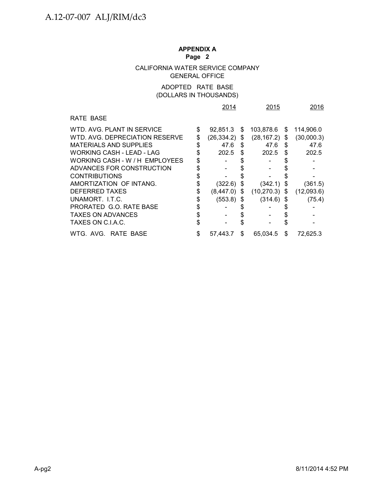# **APPENDIX A**

### **Page 2**

### CALIFORNIA WATER SERVICE COMPANY GENERAL OFFICE

### ADOPTED RATE BASE (DOLLARS IN THOUSANDS)

|                                  | 2014               |     | 2015         |    | 2016       |
|----------------------------------|--------------------|-----|--------------|----|------------|
| RATE BASE                        |                    |     |              |    |            |
| WTD. AVG. PLANT IN SERVICE       | \$<br>92,851.3     | S   | 103,878.6    | S  | 114,906.0  |
| WTD. AVG. DEPRECIATION RESERVE   | \$<br>(26,334.2)   | \$  | (28, 167.2)  | S  | (30,000.3) |
| <b>MATERIALS AND SUPPLIES</b>    | \$<br>47.6         | \$  | 47.6         | S  | 47.6       |
| <b>WORKING CASH - LEAD - LAG</b> | \$<br>202.5        | \$  | 202.5        | S  | 202.5      |
| WORKING CASH - W / H EMPLOYEES   |                    |     |              |    |            |
| ADVANCES FOR CONSTRUCTION        | \$                 |     |              |    |            |
| <b>CONTRIBUTIONS</b>             |                    |     |              |    |            |
| AMORTIZATION OF INTANG.          | $(322.6)$ \$       |     | (342.1)      | \$ | (361.5)    |
| DEFERRED TAXES                   | (8,447.0)          | \$  | (10, 270.3)  | S. | (12,093.6) |
| UNAMORT. I.T.C.                  | \$<br>$(553.8)$ \$ |     | $(314.6)$ \$ |    | (75.4)     |
| PRORATED G.O. RATE BASE          | \$                 |     |              |    |            |
| <b>TAXES ON ADVANCES</b>         | \$                 |     |              |    |            |
| TAXES ON C.I.A.C.                |                    |     |              |    |            |
| WTG. AVG. RATE BASE              | 57.443.7           | \$. | 65.034.5     | S  | 72,625.3   |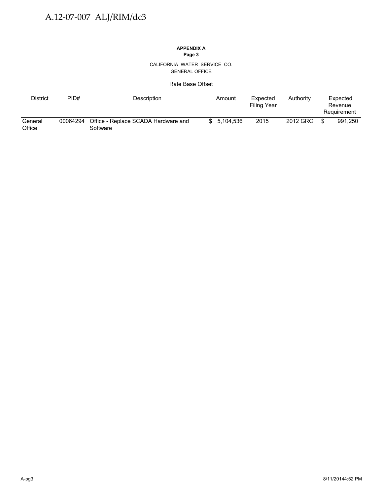#### CALIFORNIA WATER SERVICE CO. GENERAL OFFICE

### Rate Base Offset

| District          | PID#     | Description                                     | Amount      | Expected<br>Filing Year | Authority | Expected<br>Revenue<br>Requirement |
|-------------------|----------|-------------------------------------------------|-------------|-------------------------|-----------|------------------------------------|
| General<br>Office | 00064294 | Office - Replace SCADA Hardware and<br>Software | \$5.104.536 | 2015                    | 2012 GRC  | 991.250                            |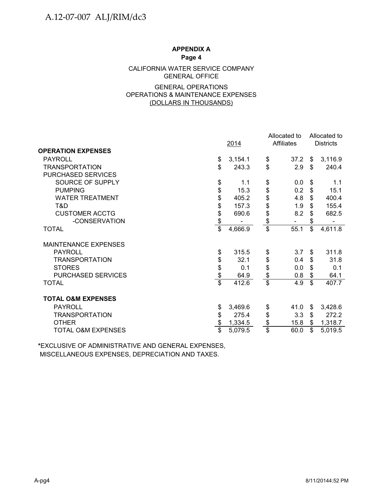### CALIFORNIA WATER SERVICE COMPANY GENERAL OFFICE

### GENERAL OPERATIONS OPERATIONS & MAINTENANCE EXPENSES (DOLLARS IN THOUSANDS)

|                               |                 |         |                         | Allocated to      |    | Allocated to     |
|-------------------------------|-----------------|---------|-------------------------|-------------------|----|------------------|
|                               |                 | 2014    |                         | <b>Affiliates</b> |    | <b>Districts</b> |
| <b>OPERATION EXPENSES</b>     |                 |         |                         |                   |    |                  |
| <b>PAYROLL</b>                | \$              | 3,154.1 | \$                      | 37.2              | \$ | 3,116.9          |
| <b>TRANSPORTATION</b>         | \$              | 243.3   | $\mathfrak{S}$          | 2.9               | \$ | 240.4            |
| <b>PURCHASED SERVICES</b>     |                 |         |                         |                   |    |                  |
| SOURCE OF SUPPLY              | \$              | 1.1     | \$                      | 0.0               | \$ | 1.1              |
| <b>PUMPING</b>                |                 | 15.3    | \$                      | 0.2               | \$ | 15.1             |
| <b>WATER TREATMENT</b>        |                 | 405.2   | \$                      | 4.8               | \$ | 400.4            |
| T&D                           | \$\$            | 157.3   | \$                      | 1.9               | \$ | 155.4            |
| <b>CUSTOMER ACCTG</b>         | \$              | 690.6   | \$                      | 8.2               | \$ | 682.5            |
| -CONSERVATION                 | \$              |         | $\frac{1}{2}$           |                   | \$ |                  |
| <b>TOTAL</b>                  | $\overline{\$}$ | 4,666.9 | $\overline{\$}$         | 55.1              | \$ | 4,611.8          |
| <b>MAINTENANCE EXPENSES</b>   |                 |         |                         |                   |    |                  |
| <b>PAYROLL</b>                | \$              | 315.5   | \$                      | 3.7               | \$ | 311.8            |
| <b>TRANSPORTATION</b>         | \$              | 32.1    | \$                      | 0.4               | \$ | 31.8             |
| <b>STORES</b>                 | \$              | 0.1     | \$                      | 0.0               | \$ | 0.1              |
| PURCHASED SERVICES            | \$              | 64.9    | $\frac{1}{2}$           | 0.8               | \$ | 64.1             |
| <b>TOTAL</b>                  | $\overline{\$}$ | 412.6   | $\overline{\mathbb{S}}$ | 4.9               | \$ | 407.7            |
| <b>TOTAL O&amp;M EXPENSES</b> |                 |         |                         |                   |    |                  |
| <b>PAYROLL</b>                | \$              | 3,469.6 | \$                      | 41.0              | \$ | 3,428.6          |
| <b>TRANSPORTATION</b>         | \$              | 275.4   | \$                      | 3.3               | \$ | 272.2            |
| <b>OTHER</b>                  | \$              | 1,334.5 | \$                      | 15.8              | \$ | 1,318.7          |
| <b>TOTAL O&amp;M EXPENSES</b> | $\overline{\$}$ | 5,079.5 | $\overline{\$}$         | 60.0              | \$ | 5,019.5          |

**\***EXCLUSIVE OF ADMINISTRATIVE AND GENERAL EXPENSES, MISCELLANEOUS EXPENSES, DEPRECIATION AND TAXES.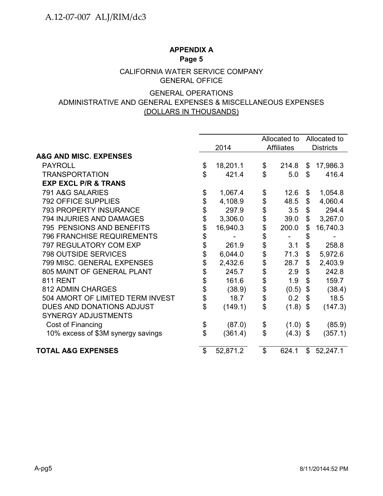### CALIFORNIA WATER SERVICE COMPANY GENERAL OFFICE

### GENERAL OPERATIONS ADMINISTRATIVE AND GENERAL EXPENSES & MISCELLANEOUS EXPENSES (DOLLARS IN THOUSANDS)

|                                    |    |          |                           | Allocated to      |                           | Allocated to     |  |  |
|------------------------------------|----|----------|---------------------------|-------------------|---------------------------|------------------|--|--|
|                                    |    | 2014     |                           | <b>Affiliates</b> |                           | <b>Districts</b> |  |  |
| <b>A&amp;G AND MISC. EXPENSES</b>  |    |          |                           |                   |                           |                  |  |  |
| <b>PAYROLL</b>                     | \$ | 18,201.1 | \$                        | 214.8             | \$                        | 17,986.3         |  |  |
| <b>TRANSPORTATION</b>              | \$ | 421.4    | $\mathfrak{L}$            | 5.0               | \$                        | 416.4            |  |  |
| <b>EXP EXCL P/R &amp; TRANS</b>    |    |          |                           |                   |                           |                  |  |  |
| 791 A&G SALARIES                   | \$ | 1,067.4  | \$                        | 12.6              | \$                        | 1,054.8          |  |  |
| <b>792 OFFICE SUPPLIES</b>         | \$ | 4,108.9  | \$                        | 48.5              | \$                        | 4,060.4          |  |  |
| 793 PROPERTY INSURANCE             | \$ | 297.9    | \$                        | 3.5               | \$                        | 294.4            |  |  |
| 794 INJURIES AND DAMAGES           |    | 3,306.0  | \$                        | 39.0              | \$                        | 3,267.0          |  |  |
| 795 PENSIONS AND BENEFITS          | \$ | 16,940.3 | \$                        | 200.0             | \$                        | 16,740.3         |  |  |
| <b>796 FRANCHISE REQUIREMENTS</b>  | \$ |          | \$                        |                   | \$                        |                  |  |  |
| 797 REGULATORY COM EXP             | \$ | 261.9    | \$                        | 3.1               | \$                        | 258.8            |  |  |
| <b>798 OUTSIDE SERVICES</b>        | \$ | 6,044.0  | \$                        | 71.3              | $\mathcal{L}$             | 5,972.6          |  |  |
| 799 MISC. GENERAL EXPENSES         | \$ | 2,432.6  | \$                        | 28.7              | $\mathfrak{S}$            | 2,403.9          |  |  |
| 805 MAINT OF GENERAL PLANT         | \$ | 245.7    | \$                        | 2.9               | \$                        | 242.8            |  |  |
| <b>811 RENT</b>                    | \$ | 161.6    | \$                        | 1.9               | $\mathbb{S}$              | 159.7            |  |  |
| <b>812 ADMIN CHARGES</b>           | \$ | (38.9)   | \$                        | (0.5)             | \$                        | (38.4)           |  |  |
| 504 AMORT OF LIMITED TERM INVEST   | \$ | 18.7     | \$                        | 0.2               | \$                        | 18.5             |  |  |
| DUES AND DONATIONS ADJUST          | \$ | (149.1)  | \$                        | (1.8)             | $\boldsymbol{\mathsf{S}}$ | (147.3)          |  |  |
| <b>SYNERGY ADJUSTMENTS</b>         |    |          |                           |                   |                           |                  |  |  |
| Cost of Financing                  | \$ | (87.0)   | \$                        | $(1.0)$ \$        |                           | (85.9)           |  |  |
| 10% excess of \$3M synergy savings | \$ | (361.4)  | \$                        | $(4.3)$ \$        |                           | (357.1)          |  |  |
| <b>TOTAL A&amp;G EXPENSES</b>      |    | 52,871.2 | $\boldsymbol{\mathsf{S}}$ | 624.1             | \$                        | 52,247.1         |  |  |
|                                    |    |          |                           |                   |                           |                  |  |  |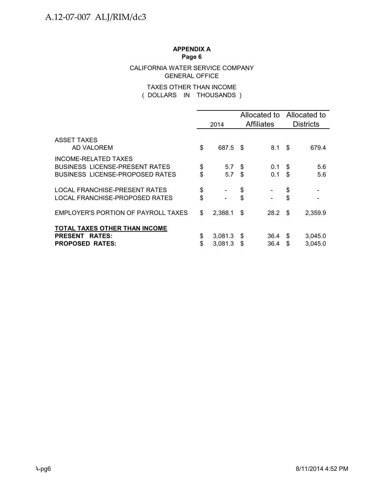### CALIFORNIA WATER SERVICE COMPANY GENERAL OFFICE

### ( DOLLARS IN THOUSANDS ) TAXES OTHER THAN INCOME

|                                                                                                         |          | 2014               |            | <b>Affiliates</b> | Allocated to Allocated to<br><b>Districts</b> |                    |  |
|---------------------------------------------------------------------------------------------------------|----------|--------------------|------------|-------------------|-----------------------------------------------|--------------------|--|
| ASSET TAXES<br>AD VALOREM                                                                               | \$       | 687.5 \$           |            | 8.1 \$            |                                               | 679.4              |  |
| INCOME-RELATED TAXES<br><b>BUSINESS LICENSE-PRESENT RATES</b><br><b>BUSINESS LICENSE-PROPOSED RATES</b> | \$<br>\$ | 5.7<br>5.7         | S.<br>- \$ | 0.1<br>0.1        | -S<br>\$                                      | 5.6<br>5.6         |  |
| LOCAL FRANCHISE-PRESENT RATES<br>LOCAL FRANCHISE-PROPOSED RATES                                         | \$<br>\$ |                    | \$<br>\$   |                   | \$<br>\$                                      |                    |  |
| EMPLOYER'S PORTION OF PAYROLL TAXES                                                                     | \$       | $2,388.1$ \$       |            | 28.2 <sup>5</sup> |                                               | 2,359.9            |  |
| TOTAL TAXES OTHER THAN INCOME<br><b>PRESENT</b><br><b>RATES:</b><br><b>PROPOSED RATES:</b>              | \$<br>\$ | 3,081.3<br>3.081.3 | S.<br>\$   | 36.4<br>36.4      | \$<br>S                                       | 3,045.0<br>3,045.0 |  |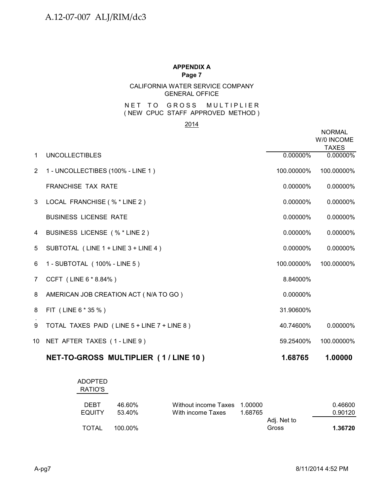### CALIFORNIA WATER SERVICE COMPANY GENERAL OFFICE

### ( NEW CPUC STAFF APPROVED METHOD ) NET TO GROSS MULTIPLIER

### 2014

|                |                                             |             | <b>NORMAL</b><br>W/0 INCOME<br><b>TAXES</b> |
|----------------|---------------------------------------------|-------------|---------------------------------------------|
| $\mathbf{1}$   | <b>UNCOLLECTIBLES</b>                       | 0.00000%    | 0.00000%                                    |
| 2              | 1 - UNCOLLECTIBES (100% - LINE 1)           | 100.00000%  | 100.00000%                                  |
|                | <b>FRANCHISE TAX RATE</b>                   | $0.00000\%$ | 0.00000%                                    |
| 3 <sup>1</sup> | LOCAL FRANCHISE (% * LINE 2)                | 0.00000%    | 0.00000%                                    |
|                | <b>BUSINESS LICENSE RATE</b>                | $0.00000\%$ | 0.00000%                                    |
| 4              | BUSINESS LICENSE (% * LINE 2)               | $0.00000\%$ | 0.00000%                                    |
| 5              | SUBTOTAL (LINE 1 + LINE 3 + LINE 4)         | $0.00000\%$ | 0.00000%                                    |
| 6              | 1 - SUBTOTAL (100% - LINE 5)                | 100.00000%  | 100.00000%                                  |
| 7              | CCFT (LINE 6 * 8.84%)                       | 8.84000%    |                                             |
| 8              | AMERICAN JOB CREATION ACT (N/A TO GO)       | $0.00000\%$ |                                             |
| 8              | FIT (LINE 6 * 35 %)                         | 31.90600%   |                                             |
| 9              | TOTAL TAXES PAID (LINE 5 + LINE 7 + LINE 8) | 40.74600%   | 0.00000%                                    |
| 10             | NET AFTER TAXES (1-LINE 9)                  | 59.25400%   | 100.00000%                                  |
|                |                                             |             |                                             |

| NET-TO-GROSS MULTIPLIER (1/LINE 10) | 1.68765 | 1.00000 |
|-------------------------------------|---------|---------|
|-------------------------------------|---------|---------|

| <b>ADOPTED</b><br>RATIO'S |         |                      |         |             |         |
|---------------------------|---------|----------------------|---------|-------------|---------|
| <b>DEBT</b>               | 46.60%  | Without income Taxes | 1.00000 |             | 0.46600 |
| <b>EQUITY</b>             | 53.40%  | With income Taxes    | 1.68765 |             | 0.90120 |
|                           |         |                      |         | Adj. Net to |         |
| TOTAL                     | 100.00% |                      |         | Gross       | 1.36720 |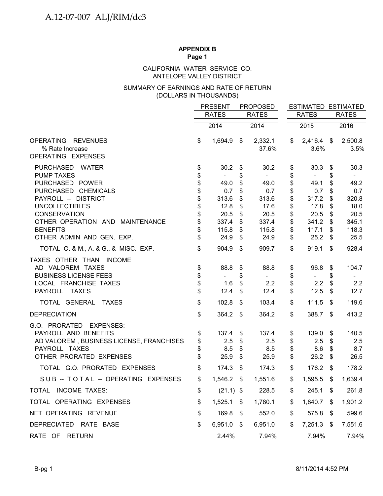### ANTELOPE VALLEY DISTRICT CALIFORNIA WATER SERVICE CO.

### (DOLLARS IN THOUSANDS) SUMMARY OF EARNINGS AND RATE OF RETURN

|                                                                                                                                                                                                                                                                                  |                                                                | <b>PRESENT</b><br><b>RATES</b>                                                                    |                                                                | <b>PROPOSED</b><br><b>RATES</b>                                                 |                                                                | <b>RATES</b>                                                                    |                                                                | <b>ESTIMATED ESTIMATED</b><br><b>RATES</b>                                                        |  |
|----------------------------------------------------------------------------------------------------------------------------------------------------------------------------------------------------------------------------------------------------------------------------------|----------------------------------------------------------------|---------------------------------------------------------------------------------------------------|----------------------------------------------------------------|---------------------------------------------------------------------------------|----------------------------------------------------------------|---------------------------------------------------------------------------------|----------------------------------------------------------------|---------------------------------------------------------------------------------------------------|--|
|                                                                                                                                                                                                                                                                                  |                                                                |                                                                                                   |                                                                |                                                                                 |                                                                |                                                                                 |                                                                |                                                                                                   |  |
|                                                                                                                                                                                                                                                                                  |                                                                | 2014                                                                                              |                                                                | 2014                                                                            |                                                                | 2015                                                                            |                                                                | 2016                                                                                              |  |
| OPERATING REVENUES<br>% Rate Increase<br>OPERATING EXPENSES                                                                                                                                                                                                                      | \$                                                             | 1,694.9                                                                                           | \$                                                             | 2,332.1<br>37.6%                                                                | \$                                                             | $2,416.4$ \$<br>3.6%                                                            |                                                                | 2,500.8<br>3.5%                                                                                   |  |
| PURCHASED WATER<br><b>PUMP TAXES</b><br>PURCHASED POWER<br>PURCHASED CHEMICALS<br>PAYROLL -- DISTRICT<br><b>UNCOLLECTIBLES</b><br><b>CONSERVATION</b><br>OTHER OPERATION AND MAINTENANCE<br><b>BENEFITS</b><br>OTHER ADMIN AND GEN. EXP.<br>TOTAL O. & M., A. & G., & MISC. EXP. | \$<br>\$<br>\$<br>\$<br>\$<br>\$<br>\$<br>\$<br>\$<br>\$<br>\$ | 30.2<br>$\blacksquare$<br>49.0<br>0.7<br>313.6<br>12.8<br>20.5<br>337.4<br>115.8<br>24.9<br>904.9 | \$<br>\$<br>\$<br>\$<br>\$<br>\$<br>\$<br>\$<br>\$<br>\$<br>\$ | 30.2<br>49.0<br>0.7<br>313.6<br>17.6<br>20.5<br>337.4<br>115.8<br>24.9<br>909.7 | \$<br>\$<br>\$<br>\$<br>\$<br>\$<br>\$<br>\$<br>\$<br>\$<br>\$ | 30.3<br>49.1<br>0.7<br>317.2<br>17.8<br>20.5<br>341.2<br>117.1<br>25.2<br>919.1 | \$<br>\$<br>\$<br>\$<br>\$<br>\$<br>\$<br>\$<br>\$<br>\$<br>\$ | 30.3<br>$\blacksquare$<br>49.2<br>0.7<br>320.8<br>18.0<br>20.5<br>345.1<br>118.3<br>25.5<br>928.4 |  |
| TAXES OTHER THAN INCOME<br>AD VALOREM TAXES<br><b>BUSINESS LICENSE FEES</b><br>LOCAL FRANCHISE TAXES<br>PAYROLL TAXES                                                                                                                                                            | \$<br>\$<br>\$<br>\$                                           | 88.8<br>$\blacksquare$<br>1.6<br>12.4                                                             | \$<br>\$<br>$\boldsymbol{\mathsf{S}}$<br>\$                    | 88.8<br>$\sim$<br>2.2<br>12.4                                                   | \$<br>\$<br>\$<br>\$                                           | 96.8<br>$\blacksquare$<br>2.2<br>12.5                                           | \$<br>\$<br>$\boldsymbol{\mathsf{S}}$<br>\$                    | 104.7<br>$\overline{\phantom{a}}$<br>2.2<br>12.7                                                  |  |
| TOTAL GENERAL TAXES                                                                                                                                                                                                                                                              | \$                                                             | 102.8                                                                                             | \$                                                             | 103.4                                                                           | \$                                                             | 111.5                                                                           | \$                                                             | 119.6                                                                                             |  |
| <b>DEPRECIATION</b>                                                                                                                                                                                                                                                              | \$                                                             | 364.2                                                                                             | -\$                                                            | 364.2                                                                           | \$                                                             | 388.7                                                                           | -\$                                                            | 413.2                                                                                             |  |
| G.O. PRORATED<br><b>EXPENSES:</b><br>PAYROLL AND BENEFITS<br>AD VALOREM, BUSINESS LICENSE, FRANCHISES<br>PAYROLL TAXES<br>OTHER PRORATED EXPENSES                                                                                                                                | \$<br>\$<br>\$<br>\$                                           | 137.4<br>2.5<br>8.5<br>25.9                                                                       | \$<br>\$<br>\$<br>\$                                           | 137.4<br>2.5<br>8.5<br>25.9                                                     | \$<br>\$<br>\$<br>\$                                           | 139.0<br>2.5<br>8.6<br>26.2                                                     | \$<br>\$<br>\$<br>\$                                           | 140.5<br>2.5<br>8.7<br>26.5                                                                       |  |
| TOTAL G.O. PRORATED EXPENSES                                                                                                                                                                                                                                                     | \$                                                             | 174.3                                                                                             | $\boldsymbol{\mathsf{s}}$                                      | 174.3                                                                           | \$                                                             | 176.2                                                                           | $\mathfrak{F}$                                                 | 178.2                                                                                             |  |
| SUB -- TOTAL -- OPERATING EXPENSES                                                                                                                                                                                                                                               | \$                                                             | $1,546.2$ \$                                                                                      |                                                                | 1,551.6                                                                         | \$                                                             | 1,595.5                                                                         | - \$                                                           | 1,639.4                                                                                           |  |
| <b>INCOME TAXES:</b><br><b>TOTAL</b>                                                                                                                                                                                                                                             | \$                                                             | $(21.1)$ \$                                                                                       |                                                                | 228.5                                                                           | \$                                                             | 245.1                                                                           | \$                                                             | 261.8                                                                                             |  |
| TOTAL OPERATING EXPENSES                                                                                                                                                                                                                                                         | \$                                                             | 1,525.1                                                                                           | \$                                                             | 1,780.1                                                                         | \$                                                             | 1,840.7                                                                         | S.                                                             | 1,901.2                                                                                           |  |
| NET OPERATING REVENUE                                                                                                                                                                                                                                                            | \$                                                             | 169.8                                                                                             | -\$                                                            | 552.0                                                                           | \$                                                             | 575.8                                                                           | - \$                                                           | 599.6                                                                                             |  |
| DEPRECIATED RATE BASE                                                                                                                                                                                                                                                            | \$                                                             | $6,951.0$ \$                                                                                      |                                                                | 6,951.0                                                                         | \$                                                             | 7,251.3                                                                         | \$                                                             | 7,551.6                                                                                           |  |
| RATE OF RETURN                                                                                                                                                                                                                                                                   |                                                                | 2.44%                                                                                             |                                                                | 7.94%                                                                           |                                                                | 7.94%                                                                           |                                                                | 7.94%                                                                                             |  |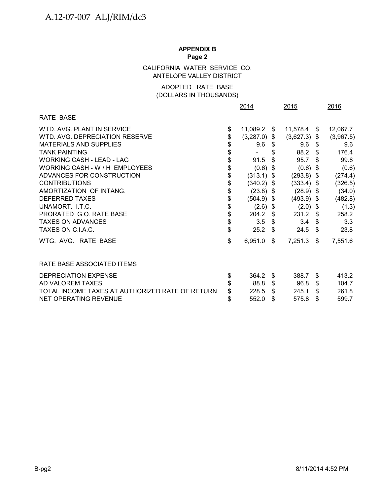### CALIFORNIA WATER SERVICE CO. ANTELOPE VALLEY DISTRICT

### (DOLLARS IN THOUSANDS) ADOPTED RATE BASE

|                                                 |    | 2014           |      | 2015           |      | 2016      |  |
|-------------------------------------------------|----|----------------|------|----------------|------|-----------|--|
| <b>RATE BASE</b>                                |    |                |      |                |      |           |  |
| WTD. AVG. PLANT IN SERVICE                      | \$ | 11,089.2 \$    |      | $11,578.4$ \$  |      | 12,067.7  |  |
| WTD. AVG. DEPRECIATION RESERVE                  | \$ | $(3,287.0)$ \$ |      | $(3,627.3)$ \$ |      | (3,967.5) |  |
| <b>MATERIALS AND SUPPLIES</b>                   | \$ | 9.6            | - \$ | 9.6            | - \$ | 9.6       |  |
| <b>TANK PAINTING</b>                            | \$ | -              | \$   | 88.2           | \$   | 176.4     |  |
| <b>WORKING CASH - LEAD - LAG</b>                | \$ | 91.5           | \$   | 95.7           | \$.  | 99.8      |  |
| WORKING CASH - W / H EMPLOYEES                  | \$ | $(0.6)$ \$     |      | $(0.6)$ \$     |      | (0.6)     |  |
| ADVANCES FOR CONSTRUCTION                       | \$ | $(313.1)$ \$   |      | $(293.8)$ \$   |      | (274.4)   |  |
| <b>CONTRIBUTIONS</b>                            | \$ | $(340.2)$ \$   |      | $(333.4)$ \$   |      | (326.5)   |  |
| AMORTIZATION OF INTANG.                         | \$ | $(23.8)$ \$    |      | $(28.9)$ \$    |      | (34.0)    |  |
| <b>DEFERRED TAXES</b>                           | \$ | $(504.9)$ \$   |      | $(493.9)$ \$   |      | (482.8)   |  |
| UNAMORT. I.T.C.                                 | \$ | $(2.6)$ \$     |      | $(2.0)$ \$     |      | (1.3)     |  |
| PRORATED G.O. RATE BASE                         | \$ | 204.2          | - \$ | $231.2$ \$     |      | 258.2     |  |
| <b>TAXES ON ADVANCES</b>                        | \$ | 3.5            | -\$  | 3.4            | \$   | 3.3       |  |
| TAXES ON C.I.A.C.                               | \$ | 25.2           | \$.  | 24.5           | \$   | 23.8      |  |
| WTG. AVG. RATE BASE                             | \$ | 6,951.0        | -\$  | 7,251.3        | \$   | 7,551.6   |  |
| RATE BASE ASSOCIATED ITEMS                      |    |                |      |                |      |           |  |
| DEPRECIATION EXPENSE                            | \$ | 364.2          | \$   | 388.7          | \$   | 413.2     |  |
| AD VALOREM TAXES                                | \$ | 88.8           | \$   | 96.8           | \$   | 104.7     |  |
| TOTAL INCOME TAXES AT AUTHORIZED RATE OF RETURN | \$ | 228.5          | \$   | 245.1          | \$   | 261.8     |  |
| NET OPERATING REVENUE                           | \$ | 552.0          | \$   | 575.8          | \$   | 599.7     |  |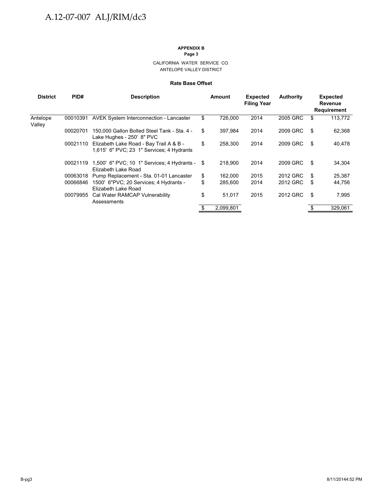#### CALIFORNIA WATER SERVICE CO. ANTELOPE VALLEY DISTRICT

#### **Rate Base Offset**

| <b>District</b>    | PID#     | <b>Description</b>                                                                   | Amount        | <b>Expected</b><br><b>Filing Year</b> | <b>Authority</b> | <b>Expected</b><br><b>Revenue</b><br>Requirement |
|--------------------|----------|--------------------------------------------------------------------------------------|---------------|---------------------------------------|------------------|--------------------------------------------------|
| Antelope<br>Valley | 00010391 | <b>AVEK System Interconnection - Lancaster</b>                                       | \$<br>726,000 | 2014                                  | 2005 GRC         | \$<br>113,772                                    |
|                    | 00020701 | 150,000 Gallon Bolted Steel Tank - Sta. 4 -<br>Lake Hughes - 250' 8" PVC             | \$<br>397.984 | 2014                                  | 2009 GRC         | \$<br>62,368                                     |
|                    | 00021110 | Elizabeth Lake Road - Bay Trail A & B -<br>1,615' 6" PVC; 23 1" Services; 4 Hydrants | \$<br>258.300 | 2014                                  | 2009 GRC         | \$<br>40,478                                     |
|                    | 00021119 | 1,500' 6" PVC; 10 1" Services; 4 Hydrants - \$<br>Elizabeth Lake Road                | 218,900       | 2014                                  | 2009 GRC         | \$<br>34,304                                     |
|                    | 00063018 | Pump Replacement - Sta. 01-01 Lancaster                                              | \$<br>162.000 | 2015                                  | 2012 GRC         | \$<br>25,387                                     |
|                    | 00066846 | 1500' 6"PVC; 20 Services; 4 Hydrants -<br>Elizabeth Lake Road                        | \$<br>285,600 | 2014                                  | 2012 GRC         | \$<br>44,756                                     |
|                    | 00079955 | Cal Water RAMCAP Vulnerability<br>Assessments                                        | \$<br>51,017  | 2015                                  | 2012 GRC         | \$<br>7,995                                      |
|                    |          |                                                                                      | 2,099,801     |                                       |                  | 329,061                                          |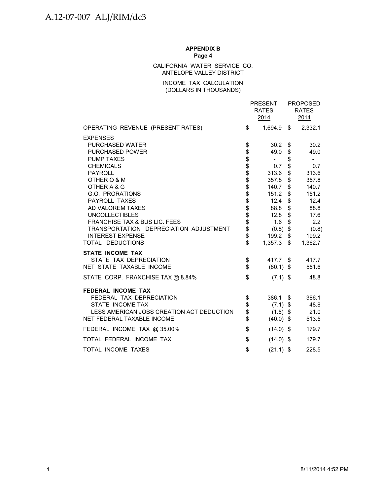### CALIFORNIA WATER SERVICE CO. ANTELOPE VALLEY DISTRICT

### INCOME TAX CALCULATION (DOLLARS IN THOUSANDS)

|                                           |                            | <b>PRESENT</b><br><b>RATES</b><br>2014 | <b>PROPOSED</b><br><b>RATES</b><br>2014 |
|-------------------------------------------|----------------------------|----------------------------------------|-----------------------------------------|
| OPERATING REVENUE (PRESENT RATES)         | \$                         | 1,694.9 \$                             | 2,332.1                                 |
| <b>EXPENSES</b>                           |                            |                                        |                                         |
| PURCHASED WATER                           | \$                         | $30.2 \quad$ \$                        | 30.2                                    |
| <b>PURCHASED POWER</b>                    |                            | 49.0                                   | \$<br>49.0                              |
| <b>PUMP TAXES</b>                         |                            | $\sim 10$                              | \$<br>$\overline{\phantom{a}}$          |
| <b>CHEMICALS</b>                          | \$\$\$\$\$\$\$\$\$\$\$\$\$ | 0.7                                    | \$<br>0.7                               |
| <b>PAYROLL</b>                            |                            | 313.6                                  | \$<br>313.6                             |
| OTHER O & M                               |                            | 357.8                                  | \$<br>357.8                             |
| OTHER A & G                               |                            | 140.7                                  | \$<br>140.7                             |
| G.O. PRORATIONS                           |                            | 151.2                                  | \$<br>151.2                             |
| PAYROLL TAXES                             |                            | 12.4                                   | \$<br>12.4                              |
| AD VALOREM TAXES                          |                            | 88.8                                   | \$<br>88.8                              |
| <b>UNCOLLECTIBLES</b>                     |                            | 12.8                                   | \$<br>17.6                              |
| <b>FRANCHISE TAX &amp; BUS LIC. FEES</b>  |                            | 1.6                                    | \$<br>2.2                               |
| TRANSPORTATION DEPRECIATION ADJUSTMENT    |                            | $(0.8)$ \$                             | (0.8)                                   |
| <b>INTEREST EXPENSE</b>                   | \$<br>\$                   | 199.2 \$                               | 199.2                                   |
| TOTAL DEDUCTIONS                          |                            | $1,357.3$ \$                           | 1,362.7                                 |
| <b>STATE INCOME TAX</b>                   |                            |                                        |                                         |
| STATE TAX DEPRECIATION                    | \$                         | 417.7 \$                               | 417.7                                   |
| NET STATE TAXABLE INCOME                  | $\mathfrak{S}$             | $(80.1)$ \$                            | 551.6                                   |
| STATE CORP. FRANCHISE TAX @ 8.84%         | \$                         | $(7.1)$ \$                             | 48.8                                    |
| <b>FEDERAL INCOME TAX</b>                 |                            |                                        |                                         |
| FEDERAL TAX DEPRECIATION                  | \$                         | 386.1                                  | \$<br>386.1                             |
| STATE INCOME TAX                          |                            | $(7.1)$ \$                             | 48.8                                    |
| LESS AMERICAN JOBS CREATION ACT DEDUCTION | \$\$                       | $(1.5)$ \$                             | 21.0                                    |
| NET FEDERAL TAXABLE INCOME                |                            | $(40.0)$ \$                            | 513.5                                   |
| FEDERAL INCOME TAX @ 35.00%               | \$                         | $(14.0)$ \$                            | 179.7                                   |
| TOTAL FEDERAL INCOME TAX                  | \$                         | $(14.0)$ \$                            | 179.7                                   |
| TOTAL INCOME TAXES                        | \$                         | $(21.1)$ \$                            | 228.5                                   |
|                                           |                            |                                        |                                         |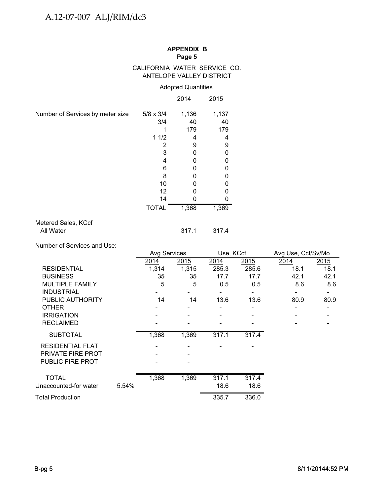### CALIFORNIA WATER SERVICE CO. ANTELOPE VALLEY DISTRICT

### Adopted Quantities

|                                  |                  | 2014  | 2015  |
|----------------------------------|------------------|-------|-------|
| Number of Services by meter size | $5/8 \times 3/4$ | 1,136 | 1,137 |
|                                  | 3/4              | 40    | 40    |
|                                  |                  | 179   | 179   |
|                                  | 11/2             | 4     | 4     |
|                                  | 2                | 9     | 9     |
|                                  | 3                | 0     | 0     |
|                                  | 4                | 0     | 0     |
|                                  | 6                | 0     | 0     |
|                                  | 8                | U     | 0     |
|                                  | 10               | ი     | ი     |
|                                  | 12               | O     | O     |
|                                  | 14               |       | O     |
|                                  | <b>TOTAL</b>     | 1,368 | 1,369 |
| Metered Sales, KCcf              |                  |       |       |
| All Water                        |                  | 317.1 | 317.4 |

Number of Services and Use:

|                          |       | <b>Avg Services</b>      |       | Use, KCcf |       | Avg Use, Ccf/Sv/Mo |                              |  |
|--------------------------|-------|--------------------------|-------|-----------|-------|--------------------|------------------------------|--|
|                          |       | 2014                     | 2015  | 2014      | 2015  | 2014               | 2015                         |  |
| <b>RESIDENTIAL</b>       |       | 1,314                    | 1,315 | 285.3     | 285.6 | 18.1               | 18.1                         |  |
| <b>BUSINESS</b>          |       | 35                       | 35    | 17.7      | 17.7  | 42.1               | 42.1                         |  |
| <b>MULTIPLE FAMILY</b>   |       | 5                        | 5     | 0.5       | 0.5   | 8.6                | 8.6                          |  |
| <b>INDUSTRIAL</b>        |       |                          |       |           |       |                    | $\qquad \qquad \blacksquare$ |  |
| PUBLIC AUTHORITY         |       | 14                       | 14    | 13.6      | 13.6  | 80.9               | 80.9                         |  |
| <b>OTHER</b>             |       |                          |       |           |       |                    |                              |  |
| <b>IRRIGATION</b>        |       |                          |       |           |       |                    |                              |  |
| <b>RECLAIMED</b>         |       | $\overline{\phantom{a}}$ |       |           |       |                    |                              |  |
| <b>SUBTOTAL</b>          |       | 1,368                    | 1,369 | 317.1     | 317.4 |                    |                              |  |
| <b>RESIDENTIAL FLAT</b>  |       |                          |       |           |       |                    |                              |  |
| <b>PRIVATE FIRE PROT</b> |       |                          |       |           |       |                    |                              |  |
| <b>PUBLIC FIRE PROT</b>  |       |                          |       |           |       |                    |                              |  |
| <b>TOTAL</b>             |       | 1,368                    | 1,369 | 317.1     | 317.4 |                    |                              |  |
| Unaccounted-for water    | 5.54% |                          |       | 18.6      | 18.6  |                    |                              |  |
| Total Production         |       |                          |       | 335.7     | 336.0 |                    |                              |  |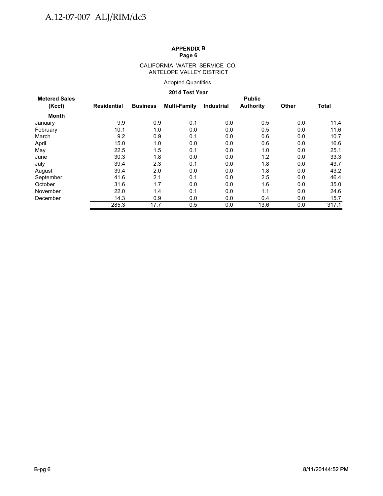#### CALIFORNIA WATER SERVICE CO. ANTELOPE VALLEY DISTRICT

### Adopted Quantities

### **2014 Test Year**

| <b>Metered Sales</b> | <b>Public</b>      |                 |              |                   |                  |              |              |  |  |  |  |
|----------------------|--------------------|-----------------|--------------|-------------------|------------------|--------------|--------------|--|--|--|--|
| (Kccf)               | <b>Residential</b> | <b>Business</b> | Multi-Family | <b>Industrial</b> | <b>Authority</b> | <b>Other</b> | <b>Total</b> |  |  |  |  |
| Month                |                    |                 |              |                   |                  |              |              |  |  |  |  |
| January              | 9.9                | 0.9             | 0.1          | 0.0               | 0.5              | 0.0          | 11.4         |  |  |  |  |
| February             | 10.1               | 1.0             | 0.0          | 0.0               | 0.5              | 0.0          | 11.6         |  |  |  |  |
| March                | 9.2                | 0.9             | 0.1          | 0.0               | 0.6              | 0.0          | 10.7         |  |  |  |  |
| April                | 15.0               | 1.0             | 0.0          | 0.0               | 0.6              | 0.0          | 16.6         |  |  |  |  |
| May                  | 22.5               | 1.5             | 0.1          | 0.0               | 1.0              | 0.0          | 25.1         |  |  |  |  |
| June                 | 30.3               | 1.8             | 0.0          | 0.0               | 1.2              | 0.0          | 33.3         |  |  |  |  |
| July                 | 39.4               | 2.3             | 0.1          | 0.0               | 1.8              | 0.0          | 43.7         |  |  |  |  |
| August               | 39.4               | 2.0             | 0.0          | 0.0               | 1.8              | 0.0          | 43.2         |  |  |  |  |
| September            | 41.6               | 2.1             | 0.1          | 0.0               | 2.5              | 0.0          | 46.4         |  |  |  |  |
| October              | 31.6               | 1.7             | 0.0          | 0.0               | 1.6              | 0.0          | 35.0         |  |  |  |  |
| November             | 22.0               | 1.4             | 0.1          | 0.0               | 1.1              | 0.0          | 24.6         |  |  |  |  |
| December             | 14.3               | 0.9             | 0.0          | 0.0               | 0.4              | 0.0          | 15.7         |  |  |  |  |
|                      | 285.3              | 17.7            | 0.5          | 0.0               | 13.6             | 0.0          | 317.1        |  |  |  |  |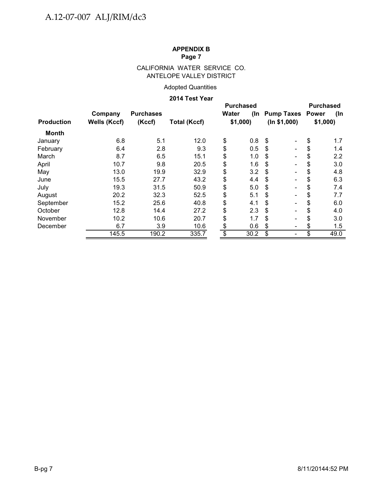### CALIFORNIA WATER SERVICE CO. ANTELOPE VALLEY DISTRICT

### Adopted Quantities

### **2014 Test Year**

|                   |                     |                  |                     | <b>Purchased</b> |                                    |         |      |  |
|-------------------|---------------------|------------------|---------------------|------------------|------------------------------------|---------|------|--|
|                   | Company             | <b>Purchases</b> |                     | Water<br>(In     | <b>Pump Taxes Power</b>            |         | (In  |  |
| <b>Production</b> | <b>Wells (Kccf)</b> | (Kccf)           | <b>Total (Kccf)</b> | \$1,000          | (ln \$1,000)                       | \$1,000 |      |  |
| <b>Month</b>      |                     |                  |                     |                  |                                    |         |      |  |
| January           | 6.8                 | 5.1              | 12.0                | \$<br>0.8        | \$                                 | \$      | 1.7  |  |
| February          | 6.4                 | 2.8              | 9.3                 | \$<br>0.5        | \$                                 | \$      | 1.4  |  |
| March             | 8.7                 | 6.5              | 15.1                | \$<br>1.0        | \$                                 | \$      | 2.2  |  |
| April             | 10.7                | 9.8              | 20.5                | \$<br>1.6        | \$                                 | \$      | 3.0  |  |
| May               | 13.0                | 19.9             | 32.9                | \$<br>3.2        | \$<br>$\overline{\phantom{0}}$     | \$      | 4.8  |  |
| June              | 15.5                | 27.7             | 43.2                | \$<br>4.4        | \$<br>$\qquad \qquad \blacksquare$ | \$      | 6.3  |  |
| July              | 19.3                | 31.5             | 50.9                | \$<br>5.0        | \$<br>$\blacksquare$               | \$      | 7.4  |  |
| August            | 20.2                | 32.3             | 52.5                | \$<br>5.1        | \$<br>Ξ.                           | \$      | 7.7  |  |
| September         | 15.2                | 25.6             | 40.8                | \$<br>4.1        | \$                                 | \$      | 6.0  |  |
| October           | 12.8                | 14.4             | 27.2                | \$<br>2.3        | \$                                 | \$      | 4.0  |  |
| November          | 10.2                | 10.6             | 20.7                | \$<br>1.7        | \$                                 | \$      | 3.0  |  |
| December          | 6.7                 | 3.9              | 10.6                | \$<br>0.6        | \$                                 | \$      | 1.5  |  |
|                   | 145.5               | 190.2            | 335.7               | \$<br>30.2       | \$                                 | \$      | 49.0 |  |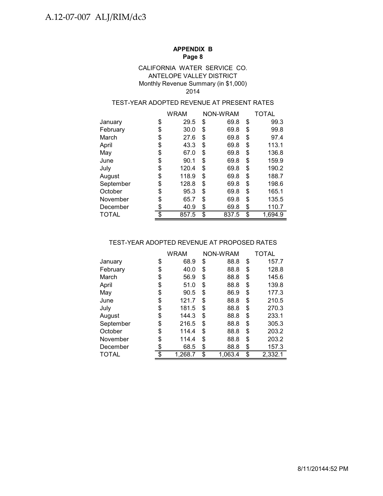### Monthly Revenue Summary (in \$1,000) CALIFORNIA WATER SERVICE CO. ANTELOPE VALLEY DISTRICT 2014

### TEST-YEAR ADOPTED REVENUE AT PRESENT RATES

|              | WRAM        |    | NON-WRAM |    | TOTAL   |
|--------------|-------------|----|----------|----|---------|
| January      | \$<br>29.5  | \$ | 69.8     | \$ | 99.3    |
| February     | \$<br>30.0  | \$ | 69.8     | \$ | 99.8    |
| March        | \$<br>27.6  | \$ | 69.8     | S  | 97.4    |
| April        | \$<br>43.3  | \$ | 69.8     | \$ | 113.1   |
| May          | \$<br>67.0  | \$ | 69.8     | \$ | 136.8   |
| June         | \$<br>90.1  | \$ | 69.8     | \$ | 159.9   |
| July         | \$<br>120.4 | \$ | 69.8     | \$ | 190.2   |
| August       | \$<br>118.9 | \$ | 69.8     | \$ | 188.7   |
| September    | \$<br>128.8 | \$ | 69.8     | \$ | 198.6   |
| October      | \$<br>95.3  | \$ | 69.8     | \$ | 165.1   |
| November     | \$<br>65.7  | \$ | 69.8     | \$ | 135.5   |
| December     | \$<br>40.9  | \$ | 69.8     | \$ | 110.7   |
| <b>TOTAL</b> | \$<br>857.5 | \$ | 837.5    | \$ | 1.694.9 |

### TEST-YEAR ADOPTED REVENUE AT PROPOSED RATES

|           | <b>WRAM</b>   | NON-WRAM      |    | <b>TOTAL</b> |
|-----------|---------------|---------------|----|--------------|
| January   | \$<br>68.9    | \$<br>88.8    | \$ | 157.7        |
| February  | \$<br>40.0    | \$<br>88.8    | \$ | 128.8        |
| March     | \$<br>56.9    | \$<br>88.8    | \$ | 145.6        |
| April     | \$<br>51.0    | \$<br>88.8    | \$ | 139.8        |
| May       | \$<br>90.5    | \$<br>86.9    | \$ | 177.3        |
| June      | \$<br>121.7   | \$<br>88.8    | \$ | 210.5        |
| July      | \$<br>181.5   | \$<br>88.8    | \$ | 270.3        |
| August    | \$<br>144.3   | \$<br>88.8    | \$ | 233.1        |
| September | \$<br>216.5   | \$<br>88.8    | \$ | 305.3        |
| October   | \$<br>114.4   | \$<br>88.8    | \$ | 203.2        |
| November  | \$<br>114.4   | \$<br>88.8    | \$ | 203.2        |
| December  | \$<br>68.5    | \$<br>88.8    | \$ | 157.3        |
| TOTAL     | \$<br>1,268.7 | \$<br>1.063.4 | \$ | 2,332.1      |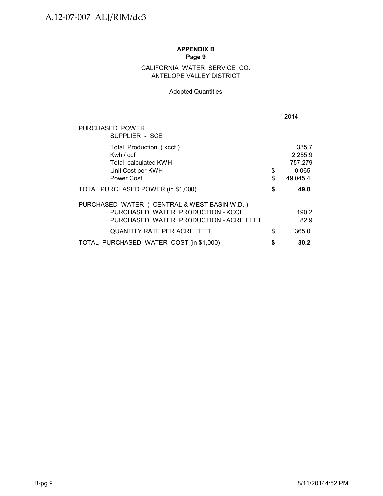### ANTELOPE VALLEY DISTRICT CALIFORNIA WATER SERVICE CO.

### Adopted Quantities

|                                                                                                                              |          | 2014                                             |
|------------------------------------------------------------------------------------------------------------------------------|----------|--------------------------------------------------|
| PURCHASED POWER<br>SUPPLIER - SCE                                                                                            |          |                                                  |
| Total Production (kccf)<br>Kwh $/$ ccf<br>Total calculated KWH<br>Unit Cost per KWH<br>Power Cost                            | \$<br>\$ | 335.7<br>2,255.9<br>757,279<br>0.065<br>49,045.4 |
| TOTAL PURCHASED POWER (in \$1,000)                                                                                           | \$       | 49.0                                             |
| PURCHASED WATER ( CENTRAL & WEST BASIN W.D. )<br>PURCHASED WATER PRODUCTION - KCCF<br>PURCHASED WATER PRODUCTION - ACRE FEET |          | 190.2<br>82.9                                    |
| QUANTITY RATE PER ACRE FEET                                                                                                  | \$       | 365.0                                            |
| TOTAL PURCHASED WATER COST (in \$1,000)                                                                                      | \$       | 30.2                                             |
|                                                                                                                              |          |                                                  |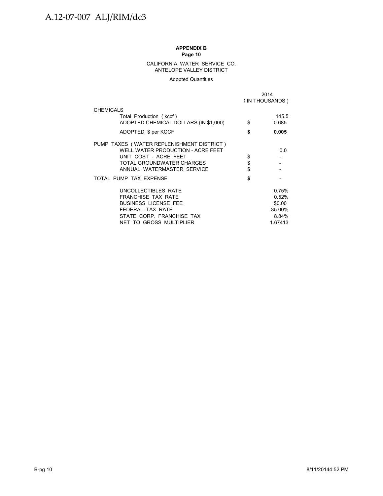#### CALIFORNIA WATER SERVICE CO. ANTELOPE VALLEY DISTRICT

#### Adopted Quantities

|                                           | 2014<br><b>IN THOUSANDS</b> |
|-------------------------------------------|-----------------------------|
| <b>CHEMICALS</b>                          |                             |
| Total Production (kccf)                   | 145.5                       |
| ADOPTED CHEMICAL DOLLARS (IN \$1,000)     | \$<br>0.685                 |
| ADOPTED \$ per KCCF                       | \$<br>0.005                 |
| PUMP TAXES (WATER REPLENISHMENT DISTRICT) |                             |
| WELL WATER PRODUCTION - ACRE FEET         | 0.0                         |
| UNIT COST - ACRE FEET                     | \$                          |
| TOTAL GROUNDWATER CHARGES                 | \$                          |
| ANNUAL WATERMASTER SERVICE                | \$                          |
| TOTAL PUMP TAX EXPENSE                    | \$                          |
| UNCOLLECTIBLES RATE                       | 0.75%                       |
| <b>FRANCHISE TAX RATE</b>                 | 0.52%                       |
| <b>BUSINESS LICENSE FEE</b>               | \$0.00                      |
| FFDFRAI TAX RATF                          | 35.00%                      |
| STATE CORP. FRANCHISE TAX                 | 8.84%                       |
| NET TO GROSS MULTIPLIER                   | 1.67413                     |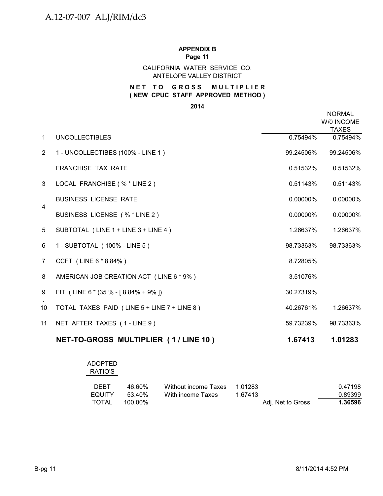### CALIFORNIA WATER SERVICE CO. ANTELOPE VALLEY DISTRICT

### **NET TO GROSS MULTIPLIER ( NEW CPUC STAFF APPROVED METHOD )**

### **2014**

|                |                                             |             | <b>NORMAL</b><br>W/0 INCOME<br><b>TAXES</b> |
|----------------|---------------------------------------------|-------------|---------------------------------------------|
| $\mathbf{1}$   | <b>UNCOLLECTIBLES</b>                       | 0.75494%    | 0.75494%                                    |
| $\overline{2}$ | 1 - UNCOLLECTIBES (100% - LINE 1)           | 99.24506%   | 99.24506%                                   |
|                | <b>FRANCHISE TAX RATE</b>                   | 0.51532%    | 0.51532%                                    |
| 3 <sup>1</sup> | LOCAL FRANCHISE (% * LINE 2)                | 0.51143%    | 0.51143%                                    |
|                | <b>BUSINESS LICENSE RATE</b>                | 0.00000%    | 0.00000%                                    |
| 4              | BUSINESS LICENSE (% * LINE 2)               | $0.00000\%$ | 0.00000%                                    |
| 5              | SUBTOTAL (LINE 1 + LINE 3 + LINE 4)         | 1.26637%    | 1.26637%                                    |
| 6              | 1 - SUBTOTAL (100% - LINE 5)                | 98.73363%   | 98.73363%                                   |
| $\overline{7}$ | CCFT (LINE 6 * 8.84%)                       | 8.72805%    |                                             |
| 8              | AMERICAN JOB CREATION ACT (LINE 6 * 9%)     | 3.51076%    |                                             |
| 9              | FIT (LINE 6 $*(35\% - [8.84\% + 9\%])$      | 30.27319%   |                                             |
| 10             | TOTAL TAXES PAID (LINE 5 + LINE 7 + LINE 8) | 40.26761%   | 1.26637%                                    |
| 11             | NET AFTER TAXES (1-LINE 9)                  | 59.73239%   | 98.73363%                                   |
|                | NET-TO-GROSS MULTIPLIER (1/LINE 10)         | 1.67413     | 1.01283                                     |

### ADOPTED RATIO'S

| <b>DEBT</b>   | 46.60%  | Without income Taxes 1.01283 |                   | 0.47198 |
|---------------|---------|------------------------------|-------------------|---------|
| <b>EQUITY</b> | .53.40% | With income Taxes            | 1.67413           | 0.89399 |
| TOTAL         | 100.00% |                              | Adj. Net to Gross | 1.36596 |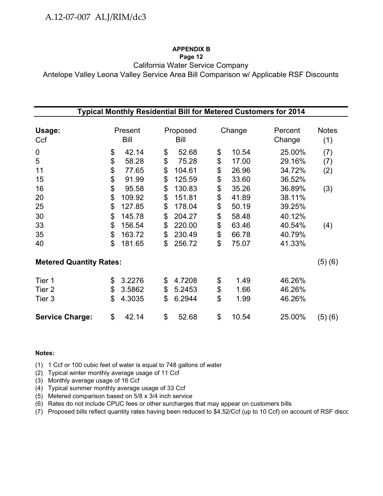### **APPENDIX B**

### **Page 12**

California Water Service Company

Antelope Valley Leona Valley Service Area Bill Comparison w/ Applicable RSF Discounts

|                                |                 |                  |             | <b>Typical Monthly Residential Bill for Metered Customers for 2014</b> |                     |
|--------------------------------|-----------------|------------------|-------------|------------------------------------------------------------------------|---------------------|
| Usage:<br>Ccf                  | Present<br>Bill | Proposed<br>Bill | Change      | Percent<br>Change                                                      | <b>Notes</b><br>(1) |
| 0                              | \$<br>42.14     | \$<br>52.68      | \$<br>10.54 | 25.00%                                                                 | (7)                 |
| 5                              | \$<br>58.28     | \$<br>75.28      | \$<br>17.00 | 29.16%                                                                 | (7)                 |
| 11                             | \$<br>77.65     | \$<br>104.61     | \$<br>26.96 | 34.72%                                                                 | (2)                 |
| 15                             | \$<br>91.99     | \$<br>125.59     | \$<br>33.60 | 36.52%                                                                 |                     |
| 16                             | \$<br>95.58     | \$<br>130.83     | \$<br>35.26 | 36.89%                                                                 | (3)                 |
| 20                             | \$<br>109.92    | \$<br>151.81     | \$<br>41.89 | 38.11%                                                                 |                     |
| 25                             | \$<br>127.85    | \$<br>178.04     | \$<br>50.19 | 39.25%                                                                 |                     |
| 30                             | \$<br>145.78    | \$<br>204.27     | \$<br>58.48 | 40.12%                                                                 |                     |
| 33                             | \$<br>156.54    | \$<br>220.00     | \$<br>63.46 | 40.54%                                                                 | (4)                 |
| 35                             | \$<br>163.72    | \$<br>230.49     | \$<br>66.78 | 40.79%                                                                 |                     |
| 40                             | \$<br>181.65    | \$<br>256.72     | \$<br>75.07 | 41.33%                                                                 |                     |
| <b>Metered Quantity Rates:</b> |                 |                  |             |                                                                        | (5)(6)              |
| Tier 1                         | \$<br>3.2276    | \$<br>4.7208     | \$<br>1.49  | 46.26%                                                                 |                     |
| Tier <sub>2</sub>              | \$<br>3.5862    | \$<br>5.2453     | \$<br>1.66  | 46.26%                                                                 |                     |
| Tier 3                         | \$<br>4.3035    | \$<br>6.2944     | \$<br>1.99  | 46.26%                                                                 |                     |
| <b>Service Charge:</b>         | \$<br>42.14     | \$<br>52.68      | \$<br>10.54 | 25.00%                                                                 | (5)(6)              |

### **Notes:**

(1) 1 Ccf or 100 cubic feet of water is equal to 748 gallons of water

(2) Typical winter monthly average usage of 11 Ccf

(3) Monthly average usage of 16 Ccf

(4) Typical summer monthly average usage of 33 Ccf

(5) Metered comparison based on 5/8 x 3/4 inch service

(6) Rates do not include CPUC fees or other surcharges that may appear on customers bills

(7) Proposed bills reflect quantity rates having been reduced to \$4.52/Ccf (up to 10 Ccf) on account of RSF disco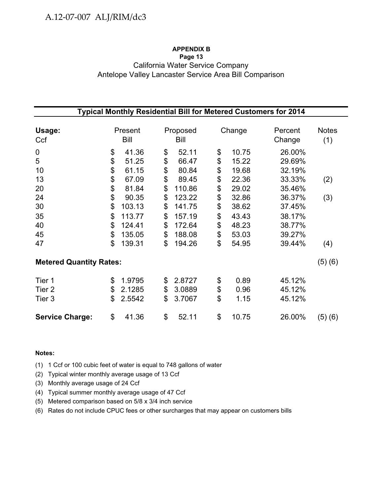### **APPENDIX B Page 13** California Water Service Company Antelope Valley Lancaster Service Area Bill Comparison

| Typical Monthly Residential Bill for Metered Customers for 2014 |    |         |    |          |    |        |         |              |  |  |
|-----------------------------------------------------------------|----|---------|----|----------|----|--------|---------|--------------|--|--|
|                                                                 |    |         |    |          |    |        |         |              |  |  |
| Usage:                                                          |    | Present |    | Proposed |    | Change | Percent | <b>Notes</b> |  |  |
| Ccf                                                             |    | Bill    |    | Bill     |    |        | Change  | (1)          |  |  |
| $\boldsymbol{0}$                                                | \$ | 41.36   | \$ | 52.11    | \$ | 10.75  | 26.00%  |              |  |  |
| 5                                                               | \$ | 51.25   | \$ | 66.47    | \$ | 15.22  | 29.69%  |              |  |  |
| 10                                                              | \$ | 61.15   | \$ | 80.84    | \$ | 19.68  | 32.19%  |              |  |  |
| 13                                                              | \$ | 67.09   | \$ | 89.45    | \$ | 22.36  | 33.33%  | (2)          |  |  |
| 20                                                              | \$ | 81.84   | \$ | 110.86   | \$ | 29.02  | 35.46%  |              |  |  |
| 24                                                              | \$ | 90.35   | \$ | 123.22   | \$ | 32.86  | 36.37%  | (3)          |  |  |
| 30                                                              | \$ | 103.13  | \$ | 141.75   | \$ | 38.62  | 37.45%  |              |  |  |
| 35                                                              | \$ | 113.77  | \$ | 157.19   | \$ | 43.43  | 38.17%  |              |  |  |
| 40                                                              | \$ | 124.41  | \$ | 172.64   | \$ | 48.23  | 38.77%  |              |  |  |
| 45                                                              | \$ | 135.05  | \$ | 188.08   | \$ | 53.03  | 39.27%  |              |  |  |
| 47                                                              | \$ | 139.31  | \$ | 194.26   | \$ | 54.95  | 39.44%  | (4)          |  |  |
| <b>Metered Quantity Rates:</b>                                  |    |         |    |          |    |        |         | (5)(6)       |  |  |
|                                                                 |    |         |    |          |    |        |         |              |  |  |
| Tier 1                                                          | \$ | 1.9795  | \$ | 2.8727   | \$ | 0.89   | 45.12%  |              |  |  |
| Tier <sub>2</sub>                                               | \$ | 2.1285  | \$ | 3.0889   | \$ | 0.96   | 45.12%  |              |  |  |
| Tier 3                                                          | \$ | 2.5542  | \$ | 3.7067   | \$ | 1.15   | 45.12%  |              |  |  |
| <b>Service Charge:</b>                                          | \$ | 41.36   | \$ | 52.11    | \$ | 10.75  | 26.00%  | (5)(6)       |  |  |

### **Notes:**

(1) 1 Ccf or 100 cubic feet of water is equal to 748 gallons of water

(2) Typical winter monthly average usage of 13 Ccf

- (3) Monthly average usage of 24 Ccf
- (4) Typical summer monthly average usage of 47 Ccf
- (5) Metered comparison based on 5/8 x 3/4 inch service

(6) Rates do not include CPUC fees or other surcharges that may appear on customers bills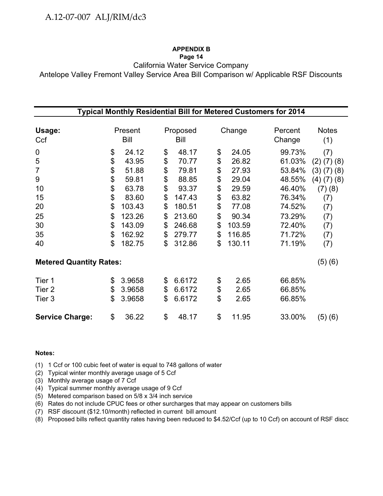### **APPENDIX B**

### **Page 14**

California Water Service Company

Antelope Valley Fremont Valley Service Area Bill Comparison w/ Applicable RSF Discounts

| Typical Monthly Residential Bill for Metered Customers for 2014 |    |                 |    |                  |    |        |                   |                     |  |  |  |
|-----------------------------------------------------------------|----|-----------------|----|------------------|----|--------|-------------------|---------------------|--|--|--|
| Usage:<br>Ccf                                                   |    | Present<br>Bill |    | Proposed<br>Bill |    | Change | Percent<br>Change | <b>Notes</b><br>(1) |  |  |  |
| 0                                                               | \$ | 24.12           | \$ | 48.17            | \$ | 24.05  | 99.73%            | (7)                 |  |  |  |
| 5                                                               | \$ | 43.95           | \$ | 70.77            | \$ | 26.82  | 61.03%            | $(2)$ $(7)$ $(8)$   |  |  |  |
| $\overline{7}$                                                  | \$ | 51.88           | \$ | 79.81            | \$ | 27.93  | 53.84%            | (3)(7)(8)           |  |  |  |
| 9                                                               | \$ | 59.81           | \$ | 88.85            | \$ | 29.04  | 48.55%            | $(4)$ $(7)$ $(8)$   |  |  |  |
| 10                                                              | \$ | 63.78           | \$ | 93.37            | \$ | 29.59  | 46.40%            | (7)(8)              |  |  |  |
| 15                                                              | \$ | 83.60           | \$ | 147.43           | \$ | 63.82  | 76.34%            | (7)                 |  |  |  |
| 20                                                              | \$ | 103.43          | \$ | 180.51           | \$ | 77.08  | 74.52%            | (7)                 |  |  |  |
| 25                                                              | \$ | 123.26          | \$ | 213.60           | \$ | 90.34  | 73.29%            | (7)                 |  |  |  |
| 30                                                              | \$ | 143.09          | \$ | 246.68           | \$ | 103.59 | 72.40%            | (7)                 |  |  |  |
| 35                                                              | \$ | 162.92          | \$ | 279.77           | \$ | 116.85 | 71.72%            | (7)                 |  |  |  |
| 40                                                              | \$ | 182.75          | \$ | 312.86           | \$ | 130.11 | 71.19%            | (7)                 |  |  |  |
| <b>Metered Quantity Rates:</b>                                  |    |                 |    |                  |    |        |                   | (5)(6)              |  |  |  |
| Tier 1                                                          | \$ | 3.9658          | \$ | 6.6172           | \$ | 2.65   | 66.85%            |                     |  |  |  |
| Tier <sub>2</sub>                                               | \$ | 3.9658          | \$ | 6.6172           | \$ | 2.65   | 66.85%            |                     |  |  |  |
| Tier 3                                                          | \$ | 3.9658          | \$ | 6.6172           | \$ | 2.65   | 66.85%            |                     |  |  |  |
| <b>Service Charge:</b>                                          | \$ | 36.22           | \$ | 48.17            | \$ | 11.95  | 33.00%            | (5)(6)              |  |  |  |

### **Notes:**

(1) 1 Ccf or 100 cubic feet of water is equal to 748 gallons of water

(2) Typical winter monthly average usage of 5 Ccf

(3) Monthly average usage of 7 Ccf

(4) Typical summer monthly average usage of 9 Ccf

(5) Metered comparison based on 5/8 x 3/4 inch service

(6) Rates do not include CPUC fees or other surcharges that may appear on customers bills

(7) RSF discount (\$12.10/month) reflected in current bill amount

(8) Proposed bills reflect quantity rates having been reduced to \$4.52/Ccf (up to 10 Ccf) on account of RSF disco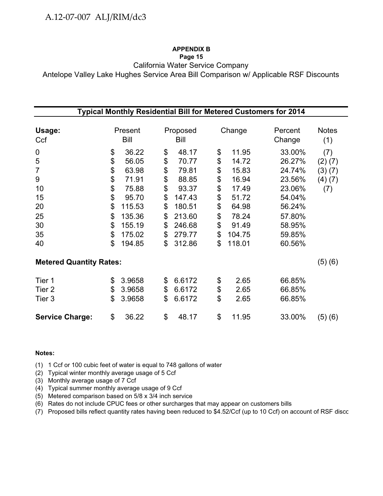### **APPENDIX B**

### **Page 15**

California Water Service Company

Antelope Valley Lake Hughes Service Area Bill Comparison w/ Applicable RSF Discounts

| Typical Monthly Residential Bill for Metered Customers for 2014 |    |             |    |          |    |        |         |              |  |  |  |
|-----------------------------------------------------------------|----|-------------|----|----------|----|--------|---------|--------------|--|--|--|
|                                                                 |    |             |    |          |    |        |         |              |  |  |  |
| Usage:                                                          |    | Present     |    | Proposed |    | Change | Percent | <b>Notes</b> |  |  |  |
| Ccf                                                             |    | <b>Bill</b> |    | Bill     |    |        | Change  | (1)          |  |  |  |
| 0                                                               | \$ | 36.22       | \$ | 48.17    | \$ | 11.95  | 33.00%  | (7)          |  |  |  |
| 5                                                               | \$ | 56.05       | \$ | 70.77    | \$ | 14.72  | 26.27%  | $(2)$ $(7)$  |  |  |  |
| $\overline{7}$                                                  | \$ | 63.98       | \$ | 79.81    | \$ | 15.83  | 24.74%  | (3)(7)       |  |  |  |
| 9                                                               | \$ | 71.91       | \$ | 88.85    | \$ | 16.94  | 23.56%  | (4)(7)       |  |  |  |
| 10                                                              | \$ | 75.88       | \$ | 93.37    | \$ | 17.49  | 23.06%  | (7)          |  |  |  |
| 15                                                              | \$ | 95.70       | \$ | 147.43   | \$ | 51.72  | 54.04%  |              |  |  |  |
| 20                                                              | \$ | 115.53      | \$ | 180.51   | \$ | 64.98  | 56.24%  |              |  |  |  |
| 25                                                              | \$ | 135.36      | \$ | 213.60   | \$ | 78.24  | 57.80%  |              |  |  |  |
| 30                                                              | \$ | 155.19      | \$ | 246.68   | \$ | 91.49  | 58.95%  |              |  |  |  |
| 35                                                              | \$ | 175.02      | \$ | 279.77   | \$ | 104.75 | 59.85%  |              |  |  |  |
| 40                                                              | \$ | 194.85      | \$ | 312.86   | \$ | 118.01 | 60.56%  |              |  |  |  |
| <b>Metered Quantity Rates:</b>                                  |    |             |    |          |    |        |         | (5)(6)       |  |  |  |
| Tier 1                                                          | \$ | 3.9658      | \$ | 6.6172   | \$ | 2.65   | 66.85%  |              |  |  |  |
| Tier 2                                                          | \$ | 3.9658      | \$ | 6.6172   | \$ | 2.65   | 66.85%  |              |  |  |  |
| Tier 3                                                          | \$ | 3.9658      | \$ | 6.6172   | \$ | 2.65   | 66.85%  |              |  |  |  |
| <b>Service Charge:</b>                                          | \$ | 36.22       | \$ | 48.17    | \$ | 11.95  | 33.00%  | (5)(6)       |  |  |  |

### **Notes:**

(1) 1 Ccf or 100 cubic feet of water is equal to 748 gallons of water

(2) Typical winter monthly average usage of 5 Ccf

(3) Monthly average usage of 7 Ccf

(4) Typical summer monthly average usage of 9 Ccf

(5) Metered comparison based on 5/8 x 3/4 inch service

(6) Rates do not include CPUC fees or other surcharges that may appear on customers bills

(7) Proposed bills reflect quantity rates having been reduced to \$4.52/Ccf (up to 10 Ccf) on account of RSF disco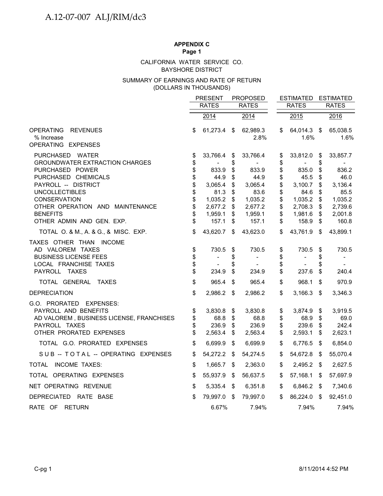### BAYSHORE DISTRICT CALIFORNIA WATER SERVICE CO.

### (DOLLARS IN THOUSANDS) SUMMARY OF EARNINGS AND RATE OF RETURN

|                                                                                                                                                                                                                                                              |                                                          | <b>PRESENT</b><br><b>RATES</b>                                                         | <b>PROPOSED</b><br><b>RATES</b>                          |                                                                                        |                                                          | <b>ESTIMATED</b><br><b>RATES</b>                                                       |                                                          | <b>ESTIMATED</b><br><b>RATES</b>                                                       |
|--------------------------------------------------------------------------------------------------------------------------------------------------------------------------------------------------------------------------------------------------------------|----------------------------------------------------------|----------------------------------------------------------------------------------------|----------------------------------------------------------|----------------------------------------------------------------------------------------|----------------------------------------------------------|----------------------------------------------------------------------------------------|----------------------------------------------------------|----------------------------------------------------------------------------------------|
|                                                                                                                                                                                                                                                              |                                                          | 2014                                                                                   |                                                          | 2014                                                                                   |                                                          | 2015                                                                                   |                                                          | 2016                                                                                   |
| <b>OPERATING</b><br><b>REVENUES</b><br>% Increase<br>OPERATING EXPENSES                                                                                                                                                                                      | \$                                                       | 61,273.4                                                                               | \$                                                       | 62,989.3<br>2.8%                                                                       | \$                                                       | 64,014.3<br>1.6%                                                                       | -\$                                                      | 65,038.5<br>1.6%                                                                       |
| PURCHASED WATER<br><b>GROUNDWATER EXTRACTION CHARGES</b><br>PURCHASED POWER<br>PURCHASED CHEMICALS<br>PAYROLL -- DISTRICT<br><b>UNCOLLECTIBLES</b><br><b>CONSERVATION</b><br>OTHER OPERATION AND MAINTENANCE<br><b>BENEFITS</b><br>OTHER ADMIN AND GEN. EXP. | \$<br>\$<br>\$<br>\$<br>\$<br>\$<br>\$<br>\$<br>\$<br>\$ | 33,766.4<br>833.9<br>44.9<br>3,065.4<br>81.3<br>1,035.2<br>2,677.2<br>1,959.1<br>157.1 | \$<br>\$<br>\$<br>\$<br>\$<br>\$<br>\$<br>\$<br>\$<br>\$ | 33,766.4<br>833.9<br>44.9<br>3,065.4<br>83.6<br>1,035.2<br>2,677.2<br>1,959.1<br>157.1 | \$<br>\$<br>\$<br>\$<br>\$<br>\$<br>\$<br>\$<br>\$<br>\$ | 33,812.0<br>835.0<br>45.5<br>3,100.7<br>84.6<br>1,035.2<br>2,708.3<br>1,981.6<br>158.9 | \$<br>\$<br>\$<br>\$<br>\$<br>\$<br>\$<br>\$<br>\$<br>\$ | 33,857.7<br>836.2<br>46.0<br>3,136.4<br>85.5<br>1,035.2<br>2,739.6<br>2,001.8<br>160.8 |
| TOTAL O. & M., A. & G., & MISC. EXP.<br>TAXES OTHER THAN INCOME<br>AD VALOREM TAXES<br><b>BUSINESS LICENSE FEES</b><br>LOCAL FRANCHISE TAXES<br>PAYROLL TAXES                                                                                                | \$<br>\$<br>\$<br>\$<br>\$                               | 43,620.7<br>730.5<br>$\overline{\phantom{a}}$<br>234.9                                 | \$<br>\$<br>\$<br>\$                                     | 43,623.0<br>730.5<br>$\overline{\phantom{m}}$<br>234.9                                 | \$<br>\$<br>\$<br>\$<br>\$                               | 43,761.9<br>730.5<br>$\overline{\phantom{a}}$<br>237.6                                 | \$<br>\$<br>\$<br>\$                                     | 43,899.1<br>730.5<br>$\overline{\phantom{a}}$<br>240.4                                 |
| TOTAL GENERAL TAXES                                                                                                                                                                                                                                          | \$                                                       | 965.4                                                                                  | \$                                                       | 965.4                                                                                  | \$                                                       | 968.1                                                                                  | \$                                                       | 970.9                                                                                  |
| <b>DEPRECIATION</b><br>G.O. PRORATED EXPENSES:<br>PAYROLL AND BENEFITS<br>AD VALOREM, BUSINESS LICENSE, FRANCHISES<br>PAYROLL TAXES<br>OTHER PRORATED EXPENSES                                                                                               | \$<br>\$<br>\$<br>\$<br>\$                               | 2,986.2<br>3,830.8<br>68.8<br>236.9<br>2,563.4                                         | \$<br>\$<br>\$<br>\$<br>\$                               | 2,986.2<br>3,830.8<br>68.8<br>236.9<br>2,563.4                                         | \$<br>\$<br>\$<br>\$<br>\$                               | 3,166.3<br>3,874.9<br>68.9<br>239.6<br>2,593.1                                         | \$<br>\$<br>\$<br>\$<br>\$                               | 3,346.3<br>3,919.5<br>69.0<br>242.4<br>2,623.1                                         |
| TOTAL G.O. PRORATED EXPENSES                                                                                                                                                                                                                                 | \$                                                       | 6,699.9                                                                                | -\$                                                      | 6,699.9                                                                                | \$                                                       | 6,776.5                                                                                | - \$                                                     | 6,854.0                                                                                |
| SUB -- TOTAL -- OPERATING EXPENSES                                                                                                                                                                                                                           | \$                                                       | 54,272.2                                                                               | \$                                                       | 54,274.5                                                                               | \$                                                       | 54,672.8                                                                               | \$                                                       | 55,070.4                                                                               |
| TOTAL INCOME TAXES:                                                                                                                                                                                                                                          | \$                                                       | 1,665.7 \$                                                                             |                                                          | 2,363.0                                                                                | \$                                                       | 2,495.2 \$                                                                             |                                                          | 2,627.5                                                                                |
| TOTAL OPERATING EXPENSES                                                                                                                                                                                                                                     | \$                                                       | 55,937.9                                                                               | S.                                                       | 56,637.5                                                                               | \$                                                       | 57,168.1                                                                               | \$                                                       | 57,697.9                                                                               |
| NET OPERATING REVENUE                                                                                                                                                                                                                                        | \$                                                       | 5,335.4                                                                                | - \$                                                     | 6,351.8                                                                                | \$                                                       | 6,846.2                                                                                | - \$                                                     | 7,340.6                                                                                |
| DEPRECIATED RATE BASE                                                                                                                                                                                                                                        | \$                                                       | 79,997.0                                                                               | - \$                                                     | 79,997.0                                                                               | \$                                                       | 86,224.0                                                                               | \$                                                       | 92,451.0                                                                               |
| RATE OF RETURN                                                                                                                                                                                                                                               |                                                          | 6.67%                                                                                  |                                                          | 7.94%                                                                                  |                                                          | 7.94%                                                                                  |                                                          | 7.94%                                                                                  |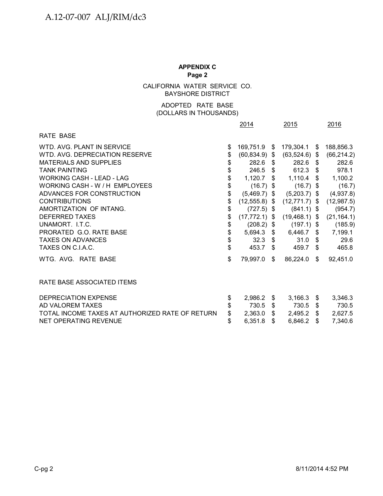CALIFORNIA WATER SERVICE CO. BAYSHORE DISTRICT

### ADOPTED RATE BASE (DOLLARS IN THOUSANDS)

|                                                 | 2014                   |     | 2015              | 2016           |
|-------------------------------------------------|------------------------|-----|-------------------|----------------|
| RATE BASE                                       |                        |     |                   |                |
| WTD, AVG, PLANT IN SERVICE                      | \$<br>169,751.9 \$     |     | 179,304.1 \$      | 188,856.3      |
| WTD, AVG, DEPRECIATION RESERVE                  | \$<br>$(60, 834.9)$ \$ |     | $(63,524.6)$ \$   | (66, 214.2)    |
| <b>MATERIALS AND SUPPLIES</b>                   | \$<br>282.6            | S.  | 282.6 \$          | 282.6          |
| <b>TANK PAINTING</b>                            | \$<br>$246.5$ \$       |     | 612.3 \$          | 978.1          |
| <b>WORKING CASH - LEAD - LAG</b>                | \$<br>1,120.7          | S.  | $1,110.4$ \$      | 1,100.2        |
| WORKING CASH - W / H EMPLOYEES                  | \$<br>$(16.7)$ \$      |     | $(16.7)$ \$       | (16.7)         |
| ADVANCES FOR CONSTRUCTION                       | \$<br>$(5,469.7)$ \$   |     | $(5,203.7)$ \$    | (4,937.8)      |
| <b>CONTRIBUTIONS</b>                            | \$<br>$(12,555.8)$ \$  |     | $(12,771.7)$ \$   | (12, 987.5)    |
| AMORTIZATION OF INTANG.                         | \$<br>$(727.5)$ \$     |     | $(841.1)$ \$      | (954.7)        |
| <b>DEFERRED TAXES</b>                           | \$<br>$(17, 772.1)$ \$ |     | $(19, 468.1)$ \$  | (21, 164.1)    |
| UNAMORT. I.T.C.                                 | \$<br>$(208.2)$ \$     |     | $(197.1)$ \$      | (185.9)        |
| PRORATED G.O. RATE BASE                         | \$<br>5,694.3          | S.  | $6,446.7$ \$      | 7,199.1        |
| <b>TAXES ON ADVANCES</b>                        | \$<br>32.3 $$$         |     | $31.0 \text{ } $$ | 29.6           |
| TAXES ON C.I.A.C.                               | \$<br>453.7            | \$  | 459.7 \$          | 465.8          |
| WTG. AVG. RATE BASE                             | \$<br>79,997.0         | \$  | 86,224.0          | \$<br>92,451.0 |
| RATE BASE ASSOCIATED ITEMS                      |                        |     |                   |                |
| <b>DEPRECIATION EXPENSE</b>                     | \$<br>2,986.2          | S.  | $3,166.3$ \$      | 3,346.3        |
| AD VALOREM TAXES                                | \$<br>730.5            | \$  | 730.5 \$          | 730.5          |
| TOTAL INCOME TAXES AT AUTHORIZED RATE OF RETURN | \$<br>2,363.0          | \$  | $2,495.2$ \$      | 2,627.5        |
| NET OPERATING REVENUE                           | \$<br>6,351.8          | \$. | 6,846.2           | \$<br>7,340.6  |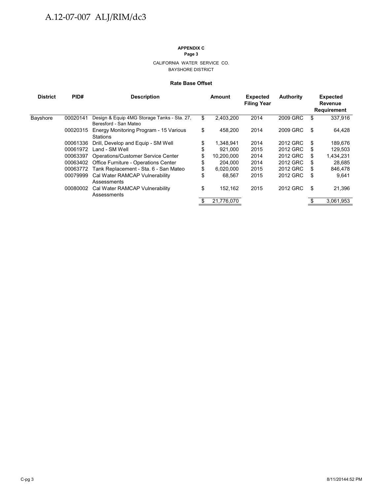#### CALIFORNIA WATER SERVICE CO. BAYSHORE DISTRICT

#### **Rate Base Offset**

| <b>District</b> | PID#     | <b>Description</b>                                                   | <b>Amount</b>    | <b>Expected</b><br><b>Filing Year</b> | <b>Authority</b> | <b>Expected</b><br>Revenue<br><b>Requirement</b> |
|-----------------|----------|----------------------------------------------------------------------|------------------|---------------------------------------|------------------|--------------------------------------------------|
| <b>Bayshore</b> | 00020141 | Design & Equip 4MG Storage Tanks - Sta. 27,<br>Beresford - San Mateo | \$<br>2.403.200  | 2014                                  | 2009 GRC         | \$<br>337.916                                    |
|                 | 00020315 | Energy Monitoring Program - 15 Various<br>Stations                   | \$<br>458.200    | 2014                                  | 2009 GRC         | \$<br>64,428                                     |
|                 | 00061336 | Drill, Develop and Equip - SM Well                                   | \$<br>1.348.941  | 2014                                  | 2012 GRC         | \$<br>189,676                                    |
|                 | 00061972 | Land - SM Well                                                       | \$<br>921.000    | 2015                                  | 2012 GRC         | \$<br>129,503                                    |
|                 | 00063397 | <b>Operations/Customer Service Center</b>                            | \$<br>10.200.000 | 2014                                  | 2012 GRC         | \$<br>1,434,231                                  |
|                 | 00063402 | Office Furniture - Operations Center                                 | \$<br>204.000    | 2014                                  | 2012 GRC         | \$<br>28,685                                     |
|                 | 00063772 | Tank Replacement - Sta. 6 - San Mateo                                | \$<br>6,020,000  | 2015                                  | 2012 GRC         | \$<br>846,478                                    |
|                 | 00079999 | Cal Water RAMCAP Vulnerability<br>Assessments                        | \$<br>68.567     | 2015                                  | 2012 GRC         | \$<br>9.641                                      |
|                 | 00080002 | Cal Water RAMCAP Vulnerability<br>Assessments                        | \$<br>152.162    | 2015                                  | 2012 GRC         | \$<br>21,396                                     |
|                 |          |                                                                      | 21,776,070       |                                       |                  | 3,061,953                                        |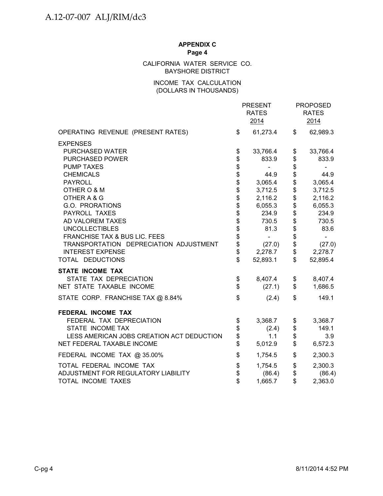### CALIFORNIA WATER SERVICE CO. BAYSHORE DISTRICT

### INCOME TAX CALCULATION (DOLLARS IN THOUSANDS)

|                                           |                    | <b>PRESENT</b><br><b>RATES</b><br>2014 |          | <b>PROPOSED</b><br><b>RATES</b><br>2014 |
|-------------------------------------------|--------------------|----------------------------------------|----------|-----------------------------------------|
| OPERATING REVENUE (PRESENT RATES)         | \$                 | 61,273.4                               | \$       | 62,989.3                                |
| <b>EXPENSES</b>                           |                    |                                        |          |                                         |
| PURCHASED WATER                           | \$                 | 33,766.4                               | \$       | 33,766.4                                |
| <b>PURCHASED POWER</b>                    |                    | 833.9                                  | \$       | 833.9                                   |
| <b>PUMP TAXES</b>                         | <b>88888888888</b> |                                        | \$       |                                         |
| <b>CHEMICALS</b>                          |                    | 44.9                                   | \$       | 44.9                                    |
| <b>PAYROLL</b>                            |                    | 3,065.4                                | \$       | 3,065.4                                 |
| OTHER O & M                               |                    | 3,712.5                                | \$       | 3,712.5                                 |
| OTHER A & G                               |                    | 2,116.2                                |          | 2,116.2                                 |
| G.O. PRORATIONS                           |                    | 6,055.3                                | \$       | 6,055.3                                 |
| PAYROLL TAXES                             |                    | 234.9                                  | \$       | 234.9                                   |
| AD VALOREM TAXES                          |                    | 730.5                                  | \$       | 730.5                                   |
| <b>UNCOLLECTIBLES</b>                     |                    | 81.3                                   | \$       | 83.6                                    |
| FRANCHISE TAX & BUS LIC. FEES             |                    | $\blacksquare$                         |          | $\blacksquare$                          |
| TRANSPORTATION DEPRECIATION ADJUSTMENT    | \$                 | (27.0)                                 | \$       | (27.0)                                  |
| <b>INTEREST EXPENSE</b>                   | \$<br>\$           | 2,278.7                                | \$<br>\$ | 2,278.7                                 |
| TOTAL DEDUCTIONS                          |                    | 52,893.1                               |          | 52,895.4                                |
| <b>STATE INCOME TAX</b>                   |                    |                                        |          |                                         |
| STATE TAX DEPRECIATION                    | \$                 | 8,407.4                                | \$       | 8,407.4                                 |
| NET STATE TAXABLE INCOME                  | \$                 | (27.1)                                 | \$       | 1,686.5                                 |
| STATE CORP. FRANCHISE TAX @ 8.84%         | \$                 | (2.4)                                  | \$       | 149.1                                   |
| <b>FEDERAL INCOME TAX</b>                 |                    |                                        |          |                                         |
| FEDERAL TAX DEPRECIATION                  | \$                 | 3,368.7                                | \$       | 3,368.7                                 |
| STATE INCOME TAX                          | \$                 | (2.4)                                  | \$       | 149.1                                   |
| LESS AMERICAN JOBS CREATION ACT DEDUCTION | \$                 | 1.1                                    | \$       | 3.9                                     |
| NET FEDERAL TAXABLE INCOME                | \$                 | 5,012.9                                | \$       | 6,572.3                                 |
| FEDERAL INCOME TAX @ 35.00%               | \$                 | 1,754.5                                | \$       | 2,300.3                                 |
| TOTAL FEDERAL INCOME TAX                  | \$                 | 1,754.5                                | \$       | 2,300.3                                 |
| ADJUSTMENT FOR REGULATORY LIABILITY       | \$                 | (86.4)                                 | \$       | (86.4)                                  |
| TOTAL INCOME TAXES                        | \$                 | 1,665.7                                | \$       | 2,363.0                                 |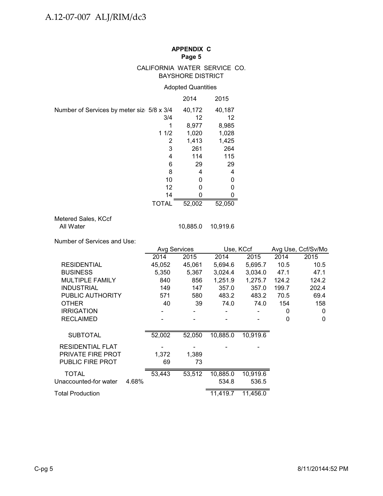### CALIFORNIA WATER SERVICE CO. BAYSHORE DISTRICT

### Adopted Quantities

|                                           | 2014       | 2015   |
|-------------------------------------------|------------|--------|
| Number of Services by meter siz 5/8 x 3/4 | 40,172     | 40,187 |
| 3/4                                       | 12         | 12     |
|                                           | 8,977      | 8,985  |
| 11/2                                      | 1,020      | 1,028  |
|                                           | 1,413<br>2 | 1,425  |
|                                           | 3<br>261   | 264    |
| 4                                         | 114        | 115    |
|                                           | 29<br>6    | 29     |
|                                           | 8<br>4     | 4      |
| 10                                        | O          | 0      |
| 12                                        | O          | 0      |
| 14                                        |            |        |
| TOTAL                                     | 52,002     | 52,050 |

# Metered Sales, KCcf<br>All Water

10,885.0 10,919.6

Number of Services and Use:

|                          |        | <b>Avg Services</b> |          | Use, KCcf             |       | Avg Use, Ccf/Sv/Mo |
|--------------------------|--------|---------------------|----------|-----------------------|-------|--------------------|
|                          | 2014   | 2015                | 2014     | 2015                  | 2014  | 2015               |
| <b>RESIDENTIAL</b>       | 45,052 | 45,061              | 5,694.6  | 5,695.7               | 10.5  | 10.5               |
| <b>BUSINESS</b>          | 5,350  | 5,367               | 3,024.4  | 3,034.0               | 47.1  | 47.1               |
| <b>MULTIPLE FAMILY</b>   | 840    | 856                 | 1,251.9  | 1,275.7               | 124.2 | 124.2              |
| <b>INDUSTRIAL</b>        | 149    | 147                 | 357.0    | 357.0                 | 199.7 | 202.4              |
| PUBLIC AUTHORITY         | 571    | 580                 | 483.2    | 483.2                 | 70.5  | 69.4               |
| <b>OTHER</b>             | 40     | 39                  | 74.0     | 74.0                  | 154   | 158                |
| <b>IRRIGATION</b>        |        |                     |          |                       | 0     | 0                  |
| <b>RECLAIMED</b>         |        |                     |          |                       | 0     | 0                  |
|                          |        |                     |          |                       |       |                    |
| <b>SUBTOTAL</b>          | 52,002 | 52,050              | 10,885.0 | $10,9\overline{19.6}$ |       |                    |
| <b>RESIDENTIAL FLAT</b>  |        |                     |          |                       |       |                    |
| <b>PRIVATE FIRE PROT</b> | 1,372  | 1,389               |          |                       |       |                    |
| <b>PUBLIC FIRE PROT</b>  | 69     | 73                  |          |                       |       |                    |
| <b>TOTAL</b>             | 53,443 | 53,512              | 10,885.0 | 10,919.6              |       |                    |
| Unaccounted-for water    | 4.68%  |                     | 534.8    | 536.5                 |       |                    |
| Total Production         |        |                     | 11,419.7 | 11,456.0              |       |                    |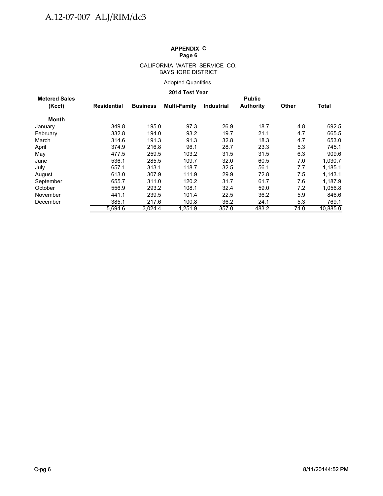#### CALIFORNIA WATER SERVICE CO. BAYSHORE DISTRICT

### Adopted Quantities

### **2014 Test Year**

| <b>Metered Sales</b> |             |                 |              |                   | <b>Public</b>    |              |              |
|----------------------|-------------|-----------------|--------------|-------------------|------------------|--------------|--------------|
| (Kccf)               | Residential | <b>Business</b> | Multi-Family | <b>Industrial</b> | <b>Authority</b> | <b>Other</b> | <b>Total</b> |
| Month                |             |                 |              |                   |                  |              |              |
| January              | 349.8       | 195.0           | 97.3         | 26.9              | 18.7             | 4.8          | 692.5        |
| February             | 332.8       | 194.0           | 93.2         | 19.7              | 21.1             | 4.7          | 665.5        |
| March                | 314.6       | 191.3           | 91.3         | 32.8              | 18.3             | 4.7          | 653.0        |
| April                | 374.9       | 216.8           | 96.1         | 28.7              | 23.3             | 5.3          | 745.1        |
| May                  | 477.5       | 259.5           | 103.2        | 31.5              | 31.5             | 6.3          | 909.6        |
| June                 | 536.1       | 285.5           | 109.7        | 32.0              | 60.5             | 7.0          | 1,030.7      |
| July                 | 657.1       | 313.1           | 118.7        | 32.5              | 56.1             | 7.7          | 1.185.1      |
| August               | 613.0       | 307.9           | 111.9        | 29.9              | 72.8             | 7.5          | 1,143.1      |
| September            | 655.7       | 311.0           | 120.2        | 31.7              | 61.7             | 7.6          | 1,187.9      |
| October              | 556.9       | 293.2           | 108.1        | 32.4              | 59.0             | 7.2          | 1,056.8      |
| November             | 441.1       | 239.5           | 101.4        | 22.5              | 36.2             | 5.9          | 846.6        |
| December             | 385.1       | 217.6           | 100.8        | 36.2              | 24.1             | 5.3          | 769.1        |
|                      | 5.694.6     | 3.024.4         | 1.251.9      | 357.0             | 483.2            | 74.0         | 10.885.0     |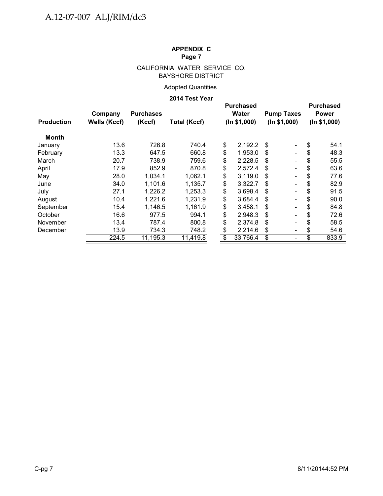### CALIFORNIA WATER SERVICE CO. BAYSHORE DISTRICT

### Adopted Quantities

### **2014 Test Year**

| <b>Production</b> | Company<br><b>Wells (Kccf)</b> | <b>Purchases</b><br>(Kccf) | <b>Total (Kccf)</b> |                          | <b>Purchased</b><br><b>Water</b><br>(ln \$1,000) |     | <b>Pump Taxes</b><br>(ln \$1,000) | <b>Purchased</b><br><b>Power</b><br>(ln \$1,000) |       |
|-------------------|--------------------------------|----------------------------|---------------------|--------------------------|--------------------------------------------------|-----|-----------------------------------|--------------------------------------------------|-------|
| Month             |                                |                            |                     |                          |                                                  |     |                                   |                                                  |       |
| January           | 13.6                           | 726.8                      | 740.4               | \$                       | 2,192.2                                          | S   | $\overline{\phantom{a}}$          | \$                                               | 54.1  |
| February          | 13.3                           | 647.5                      | 660.8               | \$                       | 1,953.0                                          | S   | $\overline{\phantom{a}}$          | S                                                | 48.3  |
| March             | 20.7                           | 738.9                      | 759.6               | \$                       | 2,228.5                                          | S   | $\overline{\phantom{a}}$          | S                                                | 55.5  |
| April             | 17.9                           | 852.9                      | 870.8               | \$                       | 2,572.4                                          | \$. | $\blacksquare$                    | S                                                | 63.6  |
| May               | 28.0                           | 1.034.1                    | 1,062.1             | \$                       | 3,119.0                                          | S   | $\overline{\phantom{a}}$          | S                                                | 77.6  |
| June              | 34.0                           | 1,101.6                    | 1,135.7             | \$                       | 3,322.7                                          | S   | $\overline{\phantom{a}}$          |                                                  | 82.9  |
| July              | 27.1                           | 1,226.2                    | 1,253.3             | \$                       | 3,698.4                                          | S   | $\overline{\phantom{a}}$          | S                                                | 91.5  |
| August            | 10.4                           | 1,221.6                    | 1,231.9             | \$                       | 3,684.4                                          | S   | $\overline{\phantom{a}}$          | S                                                | 90.0  |
| September         | 15.4                           | 1,146.5                    | 1,161.9             | \$                       | 3,458.1                                          | S   | $\overline{\phantom{a}}$          |                                                  | 84.8  |
| October           | 16.6                           | 977.5                      | 994.1               | \$                       | 2,948.3                                          | \$  | $\overline{\phantom{a}}$          |                                                  | 72.6  |
| November          | 13.4                           | 787.4                      | 800.8               | \$                       | 2,374.8                                          | S   | $\overline{\phantom{a}}$          | S                                                | 58.5  |
| December          | 13.9                           | 734.3                      | 748.2               | \$                       | 2,214.6                                          | \$  | $\overline{\phantom{a}}$          | \$                                               | 54.6  |
|                   | 224.5                          | 11,195.3                   | 11,419.8            | $\overline{\mathcal{S}}$ | 33,766.4                                         | \$  | $\overline{\phantom{a}}$          | \$                                               | 833.9 |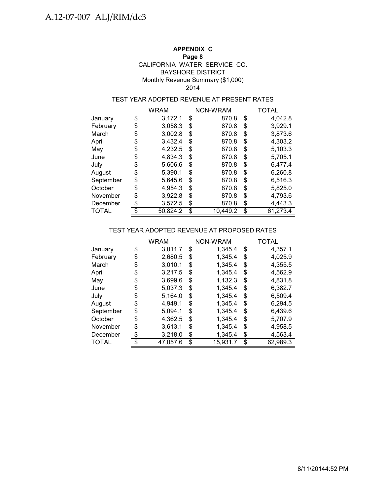### **APPENDIX C**

### **Page 8**

### BAYSHORE DISTRICT Monthly Revenue Summary (\$1,000) CALIFORNIA WATER SERVICE CO.

### 2014

### TEST YEAR ADOPTED REVENUE AT PRESENT RATES

|           | WRAM           | NON-WRAM       | <b>TOTAL</b>   |
|-----------|----------------|----------------|----------------|
| January   | \$<br>3,172.1  | \$<br>870.8    | \$<br>4,042.8  |
| February  | \$<br>3,058.3  | \$<br>870.8    | \$<br>3,929.1  |
| March     | \$<br>3,002.8  | \$<br>870.8    | \$<br>3,873.6  |
| April     | \$<br>3,432.4  | \$<br>870.8    | \$<br>4,303.2  |
| May       | \$<br>4,232.5  | \$<br>870.8    | \$<br>5,103.3  |
| June      | \$<br>4,834.3  | \$<br>870.8    | \$<br>5,705.1  |
| July      | \$<br>5,606.6  | \$<br>870.8    | \$<br>6,477.4  |
| August    | \$<br>5,390.1  | \$<br>870.8    | \$<br>6,260.8  |
| September | \$<br>5,645.6  | \$<br>870.8    | \$<br>6,516.3  |
| October   | \$<br>4,954.3  | \$<br>870.8    | \$<br>5,825.0  |
| November  | \$<br>3,922.8  | \$<br>870.8    | \$<br>4,793.6  |
| December  | \$<br>3,572.5  | \$<br>870.8    | \$<br>4,443.3  |
| TOTAL     | \$<br>50,824.2 | \$<br>10,449.2 | \$<br>61,273.4 |

### TEST YEAR ADOPTED REVENUE AT PROPOSED RATES

|              | <b>WRAM</b>    | NON-WRAM |          |    | TOTAL    |  |  |
|--------------|----------------|----------|----------|----|----------|--|--|
| January      | \$<br>3,011.7  | \$       | 1,345.4  | \$ | 4,357.1  |  |  |
| February     | \$<br>2,680.5  | \$       | 1,345.4  | \$ | 4,025.9  |  |  |
| March        | \$<br>3,010.1  | \$       | 1,345.4  | \$ | 4,355.5  |  |  |
| April        | \$<br>3,217.5  | \$       | 1,345.4  | \$ | 4,562.9  |  |  |
| May          | \$<br>3,699.6  | \$       | 1,132.3  | \$ | 4,831.8  |  |  |
| June         | \$<br>5,037.3  | \$       | 1,345.4  | \$ | 6,382.7  |  |  |
| July         | \$<br>5,164.0  | \$       | 1,345.4  | \$ | 6,509.4  |  |  |
| August       | \$<br>4,949.1  | \$       | 1,345.4  | \$ | 6,294.5  |  |  |
| September    | \$<br>5,094.1  | \$       | 1,345.4  | \$ | 6,439.6  |  |  |
| October      | \$<br>4,362.5  | \$       | 1,345.4  | \$ | 5,707.9  |  |  |
| November     | \$<br>3,613.1  | \$       | 1,345.4  | \$ | 4,958.5  |  |  |
| December     | \$<br>3,218.0  | \$       | 1,345.4  | \$ | 4,563.4  |  |  |
| <b>TOTAL</b> | \$<br>47,057.6 | \$       | 15,931.7 | \$ | 62,989.3 |  |  |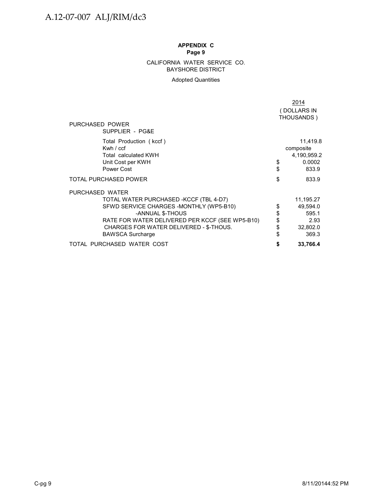#### BAYSHORE DISTRICT CALIFORNIA WATER SERVICE CO.

### Adopted Quantities

|                                                                                                                                                                                                                                                    |                            | 2014                                                        |
|----------------------------------------------------------------------------------------------------------------------------------------------------------------------------------------------------------------------------------------------------|----------------------------|-------------------------------------------------------------|
|                                                                                                                                                                                                                                                    |                            | (DOLLARS IN                                                 |
|                                                                                                                                                                                                                                                    |                            | THOUSANDS)                                                  |
| PURCHASED POWER<br>SUPPLIER - PG&E                                                                                                                                                                                                                 |                            |                                                             |
| Total Production (kccf)<br>Kwh / ccf<br>Total calculated KWH<br>Unit Cost per KWH<br>Power Cost                                                                                                                                                    | \$<br>\$                   | 11,419.8<br>composite<br>4,190,959.2<br>0.0002<br>833.9     |
| <b>TOTAL PURCHASED POWER</b>                                                                                                                                                                                                                       | \$                         | 833.9                                                       |
| PURCHASED WATER<br>TOTAL WATER PURCHASED -KCCF (TBL 4-D7)<br>SFWD SERVICE CHARGES - MONTHLY (WP5-B10)<br>-ANNUAL \$-THOUS<br>RATE FOR WATER DELIVERED PER KCCF (SEE WP5-B10)<br>CHARGES FOR WATER DELIVERED - \$-THOUS.<br><b>BAWSCA Surcharge</b> | \$<br>\$<br>\$<br>\$<br>\$ | 11,195.27<br>49,594.0<br>595.1<br>2.93<br>32,802.0<br>369.3 |
| TOTAL PURCHASED WATER COST                                                                                                                                                                                                                         | \$                         | 33,766.4                                                    |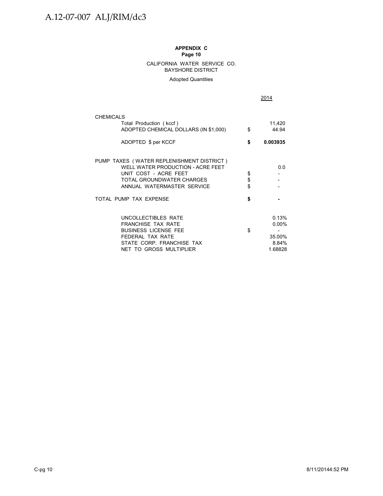#### CALIFORNIA WATER SERVICE CO. BAYSHORE DISTRICT

Adopted Quantities

2014

| <b>CHEMICALS</b><br>Total Production (kccf)<br>ADOPTED CHEMICAL DOLLARS (IN \$1,000)<br>ADOPTED \$ per KCCF                                                        | \$<br>\$       | 11,420<br>44.94<br>0.003935                     |
|--------------------------------------------------------------------------------------------------------------------------------------------------------------------|----------------|-------------------------------------------------|
| PUMP TAXES (WATER REPLENISHMENT DISTRICT)<br>WELL WATER PRODUCTION - ACRE FEET<br>UNIT COST - ACRE FEET<br>TOTAL GROUNDWATER CHARGES<br>ANNUAL WATERMASTER SERVICE | \$<br>\$<br>\$ | 0.0                                             |
| TOTAL PUMP TAX EXPENSE                                                                                                                                             | \$             |                                                 |
| UNCOLLECTIBLES RATE<br><b>FRANCHISE TAX RATE</b><br><b>BUSINESS LICENSE FEE</b><br>FEDERAL TAX RATE<br>STATE CORP. FRANCHISE TAX<br>NET TO GROSS MULTIPLIER        | \$             | 0.13%<br>$0.00\%$<br>35.00%<br>8.84%<br>1.68828 |

C-pg 10 8/11/20144:52 PM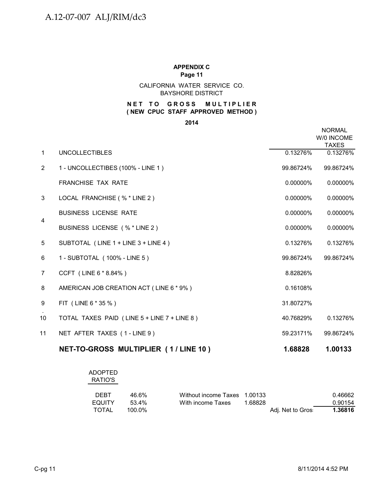CALIFORNIA WATER SERVICE CO. BAYSHORE DISTRICT

### **NET TO GROSS MULTIPLIER ( NEW CPUC STAFF APPROVED METHOD )**

**2014**

|                |                                             |           | <b>NORMAL</b><br>W/0 INCOME<br><b>TAXES</b> |
|----------------|---------------------------------------------|-----------|---------------------------------------------|
| $\mathbf{1}$   | <b>UNCOLLECTIBLES</b>                       | 0.13276%  | 0.13276%                                    |
| $\overline{2}$ | 1 - UNCOLLECTIBES (100% - LINE 1)           | 99.86724% | 99.86724%                                   |
|                | <b>FRANCHISE TAX RATE</b>                   | 0.00000%  | 0.00000%                                    |
| 3              | LOCAL FRANCHISE (% * LINE 2)                | 0.00000%  | 0.00000%                                    |
|                | <b>BUSINESS LICENSE RATE</b>                | 0.00000%  | 0.00000%                                    |
| 4              | BUSINESS LICENSE (% * LINE 2)               | 0.00000%  | 0.00000%                                    |
| 5              | SUBTOTAL (LINE 1 + LINE 3 + LINE 4)         | 0.13276%  | 0.13276%                                    |
| 6              | 1 - SUBTOTAL (100% - LINE 5)                | 99.86724% | 99.86724%                                   |
| $\overline{7}$ | CCFT (LINE 6 * 8.84%)                       | 8.82826%  |                                             |
| 8              | AMERICAN JOB CREATION ACT (LINE 6 * 9%)     | 0.16108%  |                                             |
| 9              | FIT (LINE 6 * 35 %)                         | 31.80727% |                                             |
| 10             | TOTAL TAXES PAID (LINE 5 + LINE 7 + LINE 8) | 40.76829% | 0.13276%                                    |
| 11             | NET AFTER TAXES (1-LINE 9)                  | 59.23171% | 99.86724%                                   |
|                | NET-TO-GROSS MULTIPLIER (1/LINE 10)         | 1.68828   | 1.00133                                     |

ADOPTED RATIO'S

| <b>DEBT</b> | 46.6%  | Without income Taxes 1.00133 |         |                   | 0.46662 |
|-------------|--------|------------------------------|---------|-------------------|---------|
| EQUITY      | 53.4%  | With income Taxes            | 1.68828 |                   | 0.90154 |
| TOTAL       | 100.0% |                              |         | Adj. Net to Gros: | 1.36816 |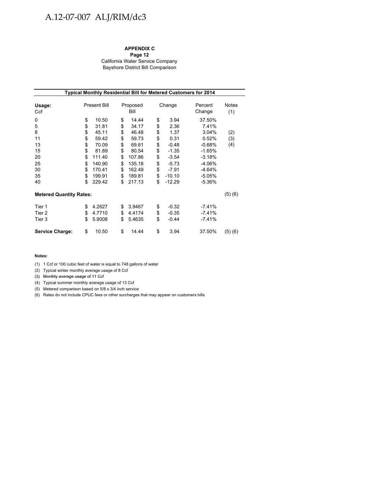# A.12-07-007 ALJ/RIM/dc3

### **APPENDIX C**

**Page 12** California Water Service Company Bayshore District Bill Comparison

| Typical Monthly Residential Bill for Metered Customers for 2014 |    |                     |    |                            |    |                   |              |         |  |
|-----------------------------------------------------------------|----|---------------------|----|----------------------------|----|-------------------|--------------|---------|--|
| Usage:<br>Ccf                                                   |    | <b>Present Bill</b> |    | Proposed<br>Change<br>Bill |    | Percent<br>Change | Notes<br>(1) |         |  |
| 0                                                               | \$ | 10.50               | \$ | 14.44                      | \$ | 3.94              | 37.50%       |         |  |
| 5                                                               | \$ | 31.81               | \$ | 34.17                      | \$ | 2.36              | 7.41%        |         |  |
| 8                                                               | \$ | 45.11               | \$ | 46.48                      | \$ | 1.37              | 3.04%        | (2)     |  |
| 11                                                              | \$ | 59.42               | \$ | 59.73                      | \$ | 0.31              | 0.52%        | (3)     |  |
| 13                                                              | \$ | 70.09               | \$ | 69.61                      | \$ | $-0.48$           | $-0.68%$     | (4)     |  |
| 15                                                              | \$ | 81.89               | \$ | 80.54                      | \$ | $-1.35$           | $-1.65%$     |         |  |
| 20                                                              | \$ | 111.40              | \$ | 107.86                     | \$ | $-3.54$           | $-3.18%$     |         |  |
| 25                                                              | \$ | 140.90              | \$ | 135.18                     | \$ | $-5.73$           | $-4.06%$     |         |  |
| 30                                                              | \$ | 170.41              | \$ | 162.49                     | \$ | $-7.91$           | $-4.64%$     |         |  |
| 35                                                              | \$ | 199.91              | \$ | 189.81                     | \$ | $-10.10$          | $-5.05%$     |         |  |
| 40                                                              | \$ | 229.42              | \$ | 217.13                     | \$ | $-12.29$          | $-5.36%$     |         |  |
| <b>Metered Quantity Rates:</b>                                  |    |                     |    |                            |    |                   |              | (5)(6)  |  |
| Tier 1                                                          | \$ | 4.2627              | \$ | 3.9467                     | \$ | $-0.32$           | $-7.41%$     |         |  |
| Tier 2                                                          | \$ | 4.7710              | \$ | 4.4174                     | \$ | $-0.35$           | $-7.41%$     |         |  |
| Tier 3                                                          | \$ | 5.9008              | \$ | 5.4635                     | \$ | $-0.44$           | -7.41%       |         |  |
| <b>Service Charge:</b>                                          | \$ | 10.50               | \$ | 14.44                      | \$ | 3.94              | 37.50%       | (5) (6) |  |

#### **Notes:**

(1) 1 Ccf or 100 cubic feet of water is equal to 748 gallons of water

(2) Typical winter monthly average usage of 8 Ccf

(3) Monthly average usage of 11 Ccf (3) Monthly average usage of 11

(4) Typical summer monthly average usage of 13 Ccf

(5) Metered comparison based on 5/8 x 3/4 inch service

(6) Rates do not include CPUC fees or other surcharges that may appear on customers bills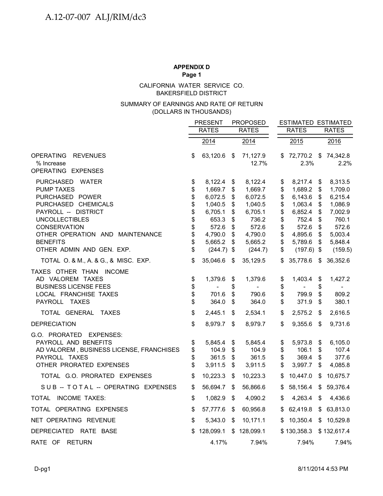CALIFORNIA WATER SERVICE CO. BAKERSFIELD DISTRICT

### (DOLLARS IN THOUSANDS) SUMMARY OF EARNINGS AND RATE OF RETURN

|                                                        |                | <b>PRESENT</b>   |          | <b>PROPOSED</b>   |          |                         |                           | <b>ESTIMATED ESTIMATED</b> |  |
|--------------------------------------------------------|----------------|------------------|----------|-------------------|----------|-------------------------|---------------------------|----------------------------|--|
|                                                        | <b>RATES</b>   |                  |          | <b>RATES</b>      |          | <b>RATES</b>            |                           | <b>RATES</b>               |  |
|                                                        |                | 2014             |          | 2014              |          | 2015                    |                           | 2016                       |  |
| <b>OPERATING</b><br><b>REVENUES</b><br>% Increase      | \$             | 63,120.6         | \$       | 71,127.9<br>12.7% | \$       | 72,770.2<br>2.3%        |                           | \$74,342.8<br>2.2%         |  |
| OPERATING EXPENSES                                     |                |                  |          |                   |          |                         |                           |                            |  |
| <b>PURCHASED</b><br>WATER                              | \$             | 8,122.4          | \$       | 8,122.4           | \$       | 8,217.4                 | \$                        | 8,313.5                    |  |
| <b>PUMP TAXES</b>                                      | \$             | 1,669.7          | \$       | 1,669.7           | \$       | 1,689.2                 | \$                        | 1,709.0                    |  |
| PURCHASED POWER                                        | \$             | 6,072.5          | \$       | 6,072.5           | \$       | 6,143.6                 | \$                        | 6,215.4                    |  |
| PURCHASED CHEMICALS                                    | \$             | 1,040.5          | \$       | 1,040.5           | \$       | 1,063.4                 | \$                        | 1,086.9                    |  |
| PAYROLL -- DISTRICT                                    | \$             | 6,705.1          | \$       | 6,705.1           | \$       | 6,852.4                 | \$                        | 7,002.9                    |  |
| <b>UNCOLLECTIBLES</b>                                  | \$             | 653.3            | \$       | 736.2             | \$       | 752.4                   | \$                        | 760.1                      |  |
| <b>CONSERVATION</b><br>OTHER OPERATION AND MAINTENANCE | \$<br>\$       | 572.6<br>4,790.0 | \$       | 572.6<br>4,790.0  | \$       | 572.6<br>4,895.6        | \$<br>\$                  | 572.6<br>5,003.4           |  |
| <b>BENEFITS</b>                                        | \$             | 5,665.2          | \$<br>\$ | 5,665.2           | \$<br>\$ | 5,789.6                 | \$                        | 5,848.4                    |  |
| OTHER ADMIN AND GEN. EXP.                              | \$             | $(244.7)$ \$     |          | (244.7)           | \$       | $(197.6)$ \$            |                           | (159.5)                    |  |
| TOTAL O. & M., A. & G., & MISC. EXP.                   | \$             | 35,046.6         | \$       | 35,129.5          | \$       | 35,778.6                | \$                        | 36,352.6                   |  |
|                                                        |                |                  |          |                   |          |                         |                           |                            |  |
| TAXES OTHER THAN INCOME                                |                |                  |          |                   |          |                         |                           |                            |  |
| AD VALOREM TAXES                                       | \$             | 1,379.6          | \$       | 1,379.6           | \$       | 1,403.4                 | \$                        | 1,427.2                    |  |
| <b>BUSINESS LICENSE FEES</b><br>LOCAL FRANCHISE TAXES  | \$<br>\$       | 701.6            | \$<br>\$ | 790.6             | \$<br>\$ | $\blacksquare$<br>799.9 | \$<br>\$                  | 809.2                      |  |
| PAYROLL TAXES                                          | \$             | 364.0            | \$       | 364.0             | \$       | 371.9                   | \$                        | 380.1                      |  |
|                                                        |                |                  |          |                   |          |                         |                           |                            |  |
| TOTAL GENERAL TAXES                                    | $\mathfrak{S}$ | 2,445.1          | \$       | 2,534.1           | \$       | 2,575.2                 | \$                        | 2,616.5                    |  |
| <b>DEPRECIATION</b>                                    | \$             | 8,979.7          | \$       | 8,979.7           | \$       | 9,355.6                 | \$                        | 9,731.6                    |  |
| G.O. PRORATED EXPENSES:                                |                |                  |          |                   |          |                         |                           |                            |  |
| PAYROLL AND BENEFITS                                   | \$             | 5,845.4          | \$       | 5,845.4           | \$       | 5,973.8                 | \$                        | 6,105.0                    |  |
| AD VALOREM, BUSINESS LICENSE, FRANCHISES               | \$             | 104.9            | \$       | 104.9             | \$       | 106.1                   | \$                        | 107.4                      |  |
| PAYROLL TAXES                                          | \$             | 361.5            | \$       | 361.5             | \$       | 369.4                   | \$                        | 377.6                      |  |
| OTHER PRORATED EXPENSES                                | \$             | 3,911.5          | \$       | 3,911.5           | \$       | 3,997.7                 | \$                        | 4,085.8                    |  |
| TOTAL G.O. PRORATED EXPENSES                           | \$             | 10,223.3         | \$       | 10,223.3          | \$       | 10,447.0                | \$                        | 10,675.7                   |  |
| SUB -- TOTAL -- OPERATING EXPENSES                     | \$             | 56,694.7         | \$       | 56,866.6          | \$       | 58,156.4                | \$                        | 59,376.4                   |  |
| TOTAL INCOME TAXES:                                    | \$             | 1,082.9          | \$       | 4,090.2           | \$       | 4,263.4                 | $\boldsymbol{\mathsf{S}}$ | 4,436.6                    |  |
| TOTAL OPERATING EXPENSES                               | \$             | 57,777.6         | \$       | 60,956.8          |          | \$62,419.8              | $\frac{1}{2}$             | 63,813.0                   |  |
| NET OPERATING REVENUE                                  | \$             | 5,343.0          | \$       | 10,171.1          | S        | 10,350.4                | \$                        | 10,529.8                   |  |
| DEPRECIATED RATE BASE                                  | \$             | 128,099.1        |          | \$128,099.1       |          | \$130,358.3             |                           | \$132,617.4                |  |
| RATE OF RETURN                                         |                | 4.17%            |          | 7.94%             |          | 7.94%                   |                           | 7.94%                      |  |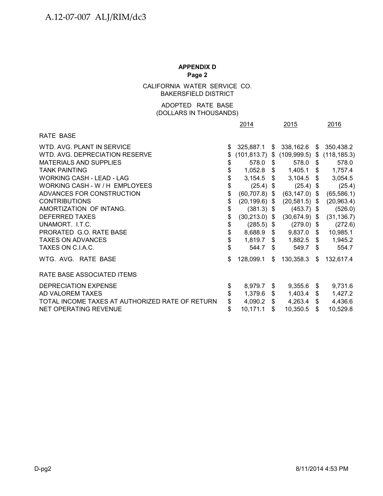CALIFORNIA WATER SERVICE CO. BAKERSFIELD DISTRICT

# (DOLLARS IN THOUSANDS) ADOPTED RATE BASE

|                                                 | 2014                   | 2015                                            | 2016            |
|-------------------------------------------------|------------------------|-------------------------------------------------|-----------------|
| RATE BASE                                       |                        |                                                 |                 |
| WTD. AVG. PLANT IN SERVICE                      | \$<br>325,887.1        | $$338,162.6$ \$                                 | 350,438.2       |
| WTD. AVG. DEPRECIATION RESERVE                  | \$                     | $(101,813.7)$ \$ $(109,999.5)$ \$ $(118,185.3)$ |                 |
| MATERIALS AND SUPPLIES                          | \$<br>578.0 \$         | 578.0 \$                                        | 578.0           |
| <b>TANK PAINTING</b>                            | \$                     | 1,052.8 \$ 1,405.1 \$ 1,757.4                   |                 |
| <b>WORKING CASH - LEAD - LAG</b>                | \$                     | $3,154.5$ \$ $3,104.5$ \$                       | 3,054.5         |
| WORKING CASH - W / H EMPLOYEES                  | \$<br>$(25.4)$ \$      | $(25.4)$ \$                                     | (25.4)          |
| ADVANCES FOR CONSTRUCTION                       | \$<br>$(60, 707.8)$ \$ | $(63, 147.0)$ \$                                | (65, 586.1)     |
| <b>CONTRIBUTIONS</b>                            | \$<br>$(20, 199.6)$ \$ | $(20,581.5)$ \$                                 | (20, 963.4)     |
| AMORTIZATION OF INTANG.                         | \$<br>$(381.3)$ \$     | $(453.7)$ \$                                    | (526.0)         |
| <b>DEFERRED TAXES</b>                           | \$<br>$(30,213.0)$ \$  | $(30,674.9)$ \$                                 | (31, 136.7)     |
| UNAMORT. I.T.C.                                 | \$<br>$(285.5)$ \$     | $(279.0)$ \$                                    | (272.6)         |
| PRORATED G.O. RATE BASE                         | \$<br>8,688.9 \$       | $9,837.0$ \$                                    | 10,985.1        |
| <b>TAXES ON ADVANCES</b>                        | \$                     | $1,819.7$ \$ $1,882.5$ \$                       | 1,945.2         |
| TAXES ON C.I.A.C.                               | \$<br>544.7 \$         | 549.7 \$                                        | 554.7           |
| WTG. AVG. RATE BASE                             | \$<br>128,099.1        | \$<br>130,358.3                                 | \$<br>132,617.4 |
| RATE BASE ASSOCIATED ITEMS                      |                        |                                                 |                 |
| DEPRECIATION EXPENSE                            | \$<br>8,979.7          | \$<br>$9,355.6$ \$                              | 9,731.6         |
| AD VALOREM TAXES                                | \$<br>$1,379.6$ \$     | $1,403.4$ \$                                    | 1,427.2         |
| TOTAL INCOME TAXES AT AUTHORIZED RATE OF RETURN | \$<br>4,090.2 $$$      | $4,263.4$ \$                                    | 4,436.6         |
| NET OPERATING REVENUE                           | \$<br>10,171.1         | \$<br>$10,350.5$ \$                             | 10,529.8        |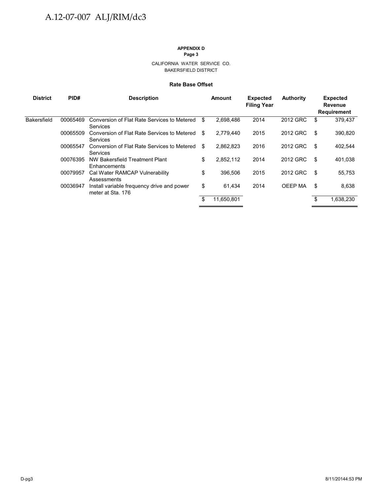# **APPENDIX D**

**Page 3**

#### CALIFORNIA WATER SERVICE CO. BAKERSFIELD DISTRICT

#### **Rate Base Offset**

| <b>District</b>    | PID#     | <b>Description</b>                                              | Amount           | <b>Expected</b><br><b>Filing Year</b> | <b>Authority</b> |    | <b>Expected</b><br>Revenue<br><b>Requirement</b> |
|--------------------|----------|-----------------------------------------------------------------|------------------|---------------------------------------|------------------|----|--------------------------------------------------|
| <b>Bakersfield</b> | 00065469 | Conversion of Flat Rate Services to Metered<br>Services         | \$<br>2,698,486  | 2014                                  | 2012 GRC         | \$ | 379.437                                          |
|                    | 00065509 | Conversion of Flat Rate Services to Metered<br>Services         | \$<br>2,779,440  | 2015                                  | 2012 GRC         | \$ | 390,820                                          |
|                    | 00065547 | Conversion of Flat Rate Services to Metered<br>Services         | \$<br>2,862,823  | 2016                                  | 2012 GRC         | \$ | 402,544                                          |
|                    | 00076395 | NW Bakersfield Treatment Plant<br>Enhancements                  | \$<br>2,852,112  | 2014                                  | 2012 GRC         | S  | 401,038                                          |
|                    | 00079957 | Cal Water RAMCAP Vulnerability<br>Assessments                   | \$<br>396,506    | 2015                                  | 2012 GRC         | \$ | 55.753                                           |
|                    | 00036947 | Install variable frequency drive and power<br>meter at Sta. 176 | \$<br>61.434     | 2014                                  | OEEP MA          | \$ | 8,638                                            |
|                    |          |                                                                 | \$<br>11,650,801 |                                       |                  | \$ | 1,638,230                                        |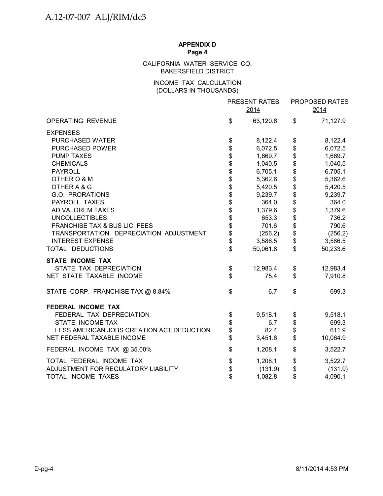# CALIFORNIA WATER SERVICE CO. BAKERSFIELD DISTRICT

# (DOLLARS IN THOUSANDS) INCOME TAX CALCULATION

|                                           |                                  | PRESENT RATES<br>2014 |              | PROPOSED RATES<br>2014 |
|-------------------------------------------|----------------------------------|-----------------------|--------------|------------------------|
| <b>OPERATING REVENUE</b>                  | \$                               | 63,120.6              | \$           | 71,127.9               |
| <b>EXPENSES</b>                           |                                  |                       |              |                        |
| PURCHASED WATER                           | \$                               | 8,122.4               | \$           | 8,122.4                |
| <b>PURCHASED POWER</b>                    |                                  | 6,072.5               | \$           | 6,072.5                |
| <b>PUMP TAXES</b>                         |                                  | 1,669.7               | \$           | 1,669.7                |
| <b>CHEMICALS</b>                          | \$\$\$\$\$\$\$\$\$\$\$\$\$\$\$\$ | 1,040.5               |              | 1,040.5                |
| <b>PAYROLL</b>                            |                                  | 6,705.1               | \$\$\$\$\$\$ | 6,705.1                |
| OTHER O & M                               |                                  | 5,362.6               |              | 5,362.6                |
| OTHER A & G                               |                                  | 5,420.5               |              | 5,420.5                |
| G.O. PRORATIONS                           |                                  | 9,239.7               |              | 9,239.7                |
| PAYROLL TAXES                             |                                  | 364.0                 |              | 364.0                  |
| AD VALOREM TAXES                          |                                  | 1,379.6               |              | 1,379.6                |
| <b>UNCOLLECTIBLES</b>                     |                                  | 653.3                 |              | 736.2                  |
| FRANCHISE TAX & BUS LIC. FEES             |                                  | 701.6                 | \$\$         | 790.6                  |
| TRANSPORTATION DEPRECIATION ADJUSTMENT    |                                  | (256.2)               | \$           | (256.2)                |
| <b>INTEREST EXPENSE</b>                   |                                  | 3,586.5               | \$           | 3,586.5                |
| TOTAL DEDUCTIONS                          | \$                               | 50,061.8              | \$           | 50,233.6               |
| <b>STATE INCOME TAX</b>                   |                                  |                       |              |                        |
| STATE TAX DEPRECIATION                    | \$                               | 12,983.4              | \$           | 12,983.4               |
| NET STATE TAXABLE INCOME                  | \$                               | 75.4                  | \$           | 7,910.8                |
| STATE CORP. FRANCHISE TAX @ 8.84%         | \$                               | 6.7                   | \$           | 699.3                  |
| FEDERAL INCOME TAX                        |                                  |                       |              |                        |
| FEDERAL TAX DEPRECIATION                  | \$                               | 9,518.1               | \$           | 9,518.1                |
| STATE INCOME TAX                          |                                  | 6.7                   |              | 699.3                  |
| LESS AMERICAN JOBS CREATION ACT DEDUCTION | \$<br>\$                         | 82.4                  | \$<br>\$     | 611.9                  |
| NET FEDERAL TAXABLE INCOME                | \$                               | 3,451.6               | \$           | 10,064.9               |
| FEDERAL INCOME TAX @ 35.00%               | \$                               | 1,208.1               | \$           | 3,522.7                |
| TOTAL FEDERAL INCOME TAX                  | \$                               | 1,208.1               | \$           | 3,522.7                |
| ADJUSTMENT FOR REGULATORY LIABILITY       | \$                               | (131.9)               | \$           | (131.9)                |
| TOTAL INCOME TAXES                        | \$                               | 1,082.8               | \$           | 4,090.1                |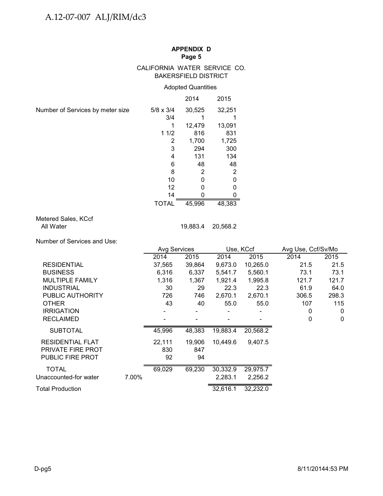#### CALIFORNIA WATER SERVICE CO. BAKERSFIELD DISTRICT

# Adopted Quantities

|                                  |                  | 2014   | 2015           |
|----------------------------------|------------------|--------|----------------|
| Number of Services by meter size | $5/8 \times 3/4$ | 30,525 | 32,251         |
|                                  | 3/4              |        |                |
|                                  |                  | 12,479 | 13,091         |
|                                  | 11/2             | 816    | 831            |
|                                  | 2                | 1,700  | 1,725          |
|                                  | 3                | 294    | 300            |
|                                  | 4                | 131    | 134            |
|                                  | 6                | 48     | 48             |
|                                  | 8                | 2      | $\overline{2}$ |
|                                  | 10               | 0      | 0              |
|                                  | 12               |        | O              |
|                                  | 14               |        |                |
|                                  | TOTAL            | 45,996 | 48,383         |

# Metered Sales, KCcf All Water 19,883.4 20,568.2

Number of Services and Use:

|                          |       | <b>Avg Services</b> |        |          | Use, KCcf | Avg Use, Ccf/Sv/Mo |              |  |
|--------------------------|-------|---------------------|--------|----------|-----------|--------------------|--------------|--|
|                          |       | 2014                | 2015   | 2014     | 2015      | 2014               | 2015         |  |
| <b>RESIDENTIAL</b>       |       | 37,565              | 39,864 | 9,673.0  | 10,265.0  | 21.5               | 21.5         |  |
| <b>BUSINESS</b>          |       | 6,316               | 6,337  | 5,541.7  | 5,560.1   | 73.1               | 73.1         |  |
| <b>MULTIPLE FAMILY</b>   |       | 1,316               | 1,367  | 1,921.4  | 1,995.8   | 121.7              | 121.7        |  |
| <b>INDUSTRIAL</b>        |       | 30                  | 29     | 22.3     | 22.3      | 61.9               | 64.0         |  |
| PUBLIC AUTHORITY         |       | 726                 | 746    | 2,670.1  | 2,670.1   | 306.5              | 298.3        |  |
| <b>OTHER</b>             |       | 43                  | 40     | 55.0     | 55.0      | 107                | 115          |  |
| <b>IRRIGATION</b>        |       |                     |        |          |           | 0                  | $\mathbf 0$  |  |
| <b>RECLAIMED</b>         |       |                     |        |          |           | 0                  | $\mathbf{0}$ |  |
| <b>SUBTOTAL</b>          |       | 45,996              | 48,383 | 19,883.4 | 20,568.2  |                    |              |  |
| <b>RESIDENTIAL FLAT</b>  |       | 22,111              | 19,906 | 10,449.6 | 9,407.5   |                    |              |  |
| <b>PRIVATE FIRE PROT</b> |       | 830                 | 847    |          |           |                    |              |  |
| <b>PUBLIC FIRE PROT</b>  |       | 92                  | 94     |          |           |                    |              |  |
| <b>TOTAL</b>             |       | 69,029              | 69,230 | 30,332.9 | 29,975.7  |                    |              |  |
| Unaccounted-for water    | 7.00% |                     |        | 2,283.1  | 2,256.2   |                    |              |  |
| Total Production         |       |                     |        | 32,616.1 | 32,232.0  |                    |              |  |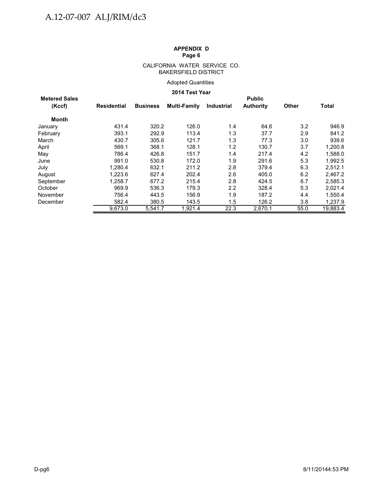#### CALIFORNIA WATER SERVICE CO. BAKERSFIELD DISTRICT

## Adopted Quantities

# **2014 Test Year**

| <b>Metered Sales</b> |             |                 |              |                   | <b>Public</b>    |       |              |
|----------------------|-------------|-----------------|--------------|-------------------|------------------|-------|--------------|
| (Kccf)               | Residential | <b>Business</b> | Multi-Family | <b>Industrial</b> | <b>Authority</b> | Other | <b>Total</b> |
| Month                |             |                 |              |                   |                  |       |              |
| January              | 431.4       | 320.2           | 126.0        | 1.4               | 64.6             | 3.2   | 946.9        |
| February             | 393.1       | 292.9           | 113.4        | 1.3               | 37.7             | 2.9   | 841.2        |
| March                | 430.7       | 305.6           | 121.7        | 1.3               | 77.3             | 3.0   | 939.6        |
| April                | 569.1       | 368.1           | 128.1        | 1.2               | 130.7            | 3.7   | 1,200.8      |
| May                  | 786.4       | 426.8           | 151.7        | 1.4               | 217.4            | 4.2   | 1,588.0      |
| June                 | 991.0       | 530.8           | 172.0        | 1.9               | 291.6            | 5.3   | 1,992.5      |
| July                 | 1.280.4     | 632.1           | 211.2        | 2.8               | 379.4            | 6.3   | 2.512.1      |
| August               | 1.223.6     | 627.4           | 202.4        | 2.6               | 405.0            | 6.2   | 2,467.2      |
| September            | 1.258.7     | 677.2           | 215.4        | 2.8               | 424.5            | 6.7   | 2,585.3      |
| October              | 969.9       | 536.3           | 179.3        | $2.2\,$           | 328.4            | 5.3   | 2,021.4      |
| November             | 756.4       | 443.5           | 156.9        | 1.9               | 187.2            | 4.4   | 1,550.4      |
| December             | 582.4       | 380.5           | 143.5        | 1.5               | 126.2            | 3.8   | 1,237.9      |
|                      | 9.673.0     | 5,541.7         | 1,921.4      | 22.3              | 2.670.1          | 55.0  | 19,883.4     |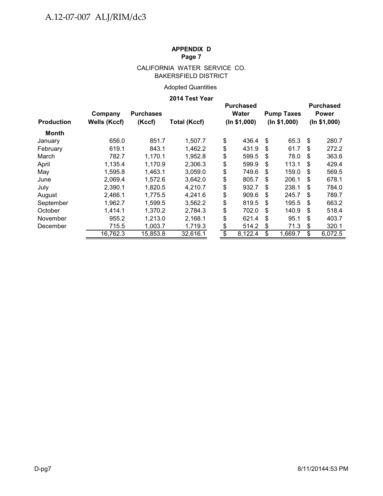# CALIFORNIA WATER SERVICE CO. BAKERSFIELD DISTRICT

# Adopted Quantities

## **2014 Test Year**

|                   | Company      | <b>Purchases</b> |                     |                         | <b>Purchased</b><br><b>Water</b> | <b>Pump Taxes</b> |              | <b>Purchased</b><br><b>Power</b> |
|-------------------|--------------|------------------|---------------------|-------------------------|----------------------------------|-------------------|--------------|----------------------------------|
| <b>Production</b> | Wells (Kccf) | (Kccf)           | <b>Total (Kccf)</b> | (ln \$1,000)            |                                  | (ln \$1,000)      | (ln \$1,000) |                                  |
| Month             |              |                  |                     |                         |                                  |                   |              |                                  |
| January           | 656.0        | 851.7            | 1,507.7             | \$                      | 436.4                            | \$<br>65.3        | \$           | 280.7                            |
| February          | 619.1        | 843.1            | 1,462.2             | \$                      | 431.9                            | \$<br>61.7        | \$           | 272.2                            |
| March             | 782.7        | 1,170.1          | 1,952.8             | \$                      | 599.5                            | \$<br>78.0        | \$           | 363.6                            |
| April             | 1,135.4      | 1,170.9          | 2,306.3             | \$                      | 599.9                            | \$<br>113.1       | \$           | 429.4                            |
| May               | 1,595.8      | 1,463.1          | 3,059.0             | \$                      | 749.6                            | \$<br>159.0       | \$           | 569.5                            |
| June              | 2,069.4      | 1,572.6          | 3,642.0             | \$                      | 805.7                            | \$<br>206.1       | \$           | 678.1                            |
| July              | 2,390.1      | 1,820.5          | 4.210.7             | \$                      | 932.7                            | \$<br>238.1       | S            | 784.0                            |
| August            | 2,466.1      | 1,775.5          | 4,241.6             | \$                      | 909.6                            | \$<br>245.7       | \$           | 789.7                            |
| September         | 1,962.7      | 1,599.5          | 3,562.2             | \$                      | 819.5                            | \$<br>195.5       | \$           | 663.2                            |
| October           | 1,414.1      | 1,370.2          | 2,784.3             | \$                      | 702.0                            | \$<br>140.9       | \$           | 518.4                            |
| November          | 955.2        | 1,213.0          | 2,168.1             | \$                      | 621.4                            | \$<br>95.1        | \$           | 403.7                            |
| December          | 715.5        | 1,003.7          | 1,719.3             | \$                      | 514.2                            | \$<br>71.3        | \$           | 320.1                            |
|                   | 16,762.3     | 15,853.8         | 32,616.1            | $\overline{\mathbf{e}}$ | 8,122.4                          | \$<br>1,669.7     | \$           | 6,072.5                          |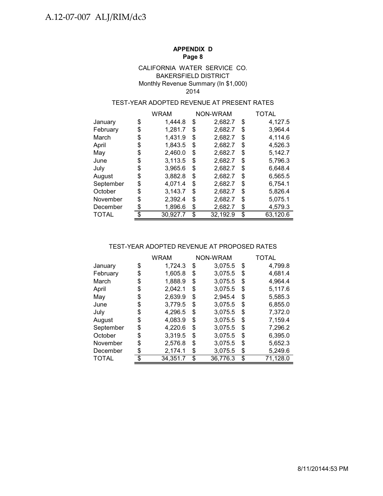## BAKERSFIELD DISTRICT Monthly Revenue Summary (In \$1,000) CALIFORNIA WATER SERVICE CO. 2014

# TEST-YEAR ADOPTED REVENUE AT PRESENT RATES

|           | WRAM           | NON-WRAM |          | TOTAL          |
|-----------|----------------|----------|----------|----------------|
| January   | \$<br>1.444.8  | \$       | 2,682.7  | \$<br>4,127.5  |
| February  | \$<br>1,281.7  | \$       | 2,682.7  | \$<br>3,964.4  |
| March     | \$<br>1,431.9  | \$       | 2,682.7  | \$<br>4,114.6  |
| April     | \$<br>1,843.5  | \$       | 2,682.7  | \$<br>4,526.3  |
| May       | \$<br>2,460.0  | \$       | 2,682.7  | \$<br>5,142.7  |
| June      | \$<br>3,113.5  | \$       | 2,682.7  | \$<br>5,796.3  |
| July      | \$<br>3,965.6  | \$       | 2,682.7  | \$<br>6,648.4  |
| August    | \$<br>3,882.8  | \$       | 2,682.7  | \$<br>6,565.5  |
| September | \$<br>4.071.4  | \$       | 2,682.7  | \$<br>6,754.1  |
| October   | \$<br>3,143.7  | S        | 2,682.7  | \$<br>5,826.4  |
| November  | \$<br>2,392.4  | \$       | 2,682.7  | \$<br>5,075.1  |
| December  | \$<br>1,896.6  | \$       | 2,682.7  | \$<br>4,579.3  |
| TOTAL     | \$<br>30,927.7 | \$       | 32,192.9 | \$<br>63,120.6 |

#### TEST-YEAR ADOPTED REVENUE AT PROPOSED RATES

|              |     | WRAM     | <b>NON-WRAM</b> |          | <b>TOTAL</b>   |
|--------------|-----|----------|-----------------|----------|----------------|
| January      | \$  | 1,724.3  | \$              | 3,075.5  | \$<br>4,799.8  |
| February     | \$  | 1,605.8  | \$              | 3,075.5  | \$<br>4,681.4  |
| March        | \$  | 1,888.9  | \$              | 3,075.5  | \$<br>4,964.4  |
| April        | \$  | 2,042.1  | \$              | 3,075.5  | \$<br>5,117.6  |
| May          | \$  | 2,639.9  | \$              | 2.945.4  | \$<br>5,585.3  |
| June         | \$  | 3,779.5  | \$              | 3,075.5  | \$<br>6,855.0  |
| July         | \$  | 4,296.5  | \$              | 3,075.5  | \$<br>7,372.0  |
| August       | \$  | 4,083.9  | \$              | 3,075.5  | \$<br>7,159.4  |
| September    | \$  | 4,220.6  | S               | 3,075.5  | \$<br>7,296.2  |
| October      | \$  | 3,319.5  | \$              | 3,075.5  | \$<br>6,395.0  |
| November     | \$  | 2,576.8  | \$              | 3,075.5  | \$<br>5,652.3  |
| December     | S   | 2,174.1  | \$              | 3,075.5  | \$<br>5,249.6  |
| <b>TOTAL</b> | \$. | 34,351.7 | \$              | 36,776.3 | \$<br>71,128.0 |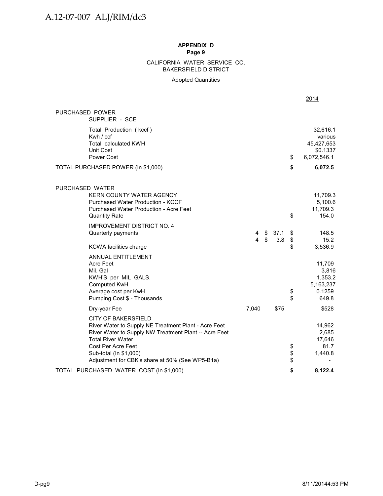#### BAKERSFIELD DISTRICT CALIFORNIA WATER SERVICE CO.

Adopted Quantities

|                                                                                                                                                                                                                                                                            |        |                                 |             |                | 2014                                                         |
|----------------------------------------------------------------------------------------------------------------------------------------------------------------------------------------------------------------------------------------------------------------------------|--------|---------------------------------|-------------|----------------|--------------------------------------------------------------|
| PURCHASED POWER<br>SUPPLIER - SCE                                                                                                                                                                                                                                          |        |                                 |             |                |                                                              |
| Total Production (kccf)<br>Kwh / ccf<br><b>Total calculated KWH</b><br>Unit Cost<br>Power Cost                                                                                                                                                                             |        |                                 |             | \$             | 32,616.1<br>various<br>45,427,653<br>\$0.1337<br>6,072,546.1 |
| TOTAL PURCHASED POWER (In \$1,000)                                                                                                                                                                                                                                         |        |                                 |             | \$             | 6,072.5                                                      |
| PURCHASED WATER<br><b>KERN COUNTY WATER AGENCY</b><br><b>Purchased Water Production - KCCF</b><br>Purchased Water Production - Acre Feet<br><b>Quantity Rate</b>                                                                                                           |        |                                 |             | \$             | 11,709.3<br>5,100.6<br>11,709.3<br>154.0                     |
| <b>IMPROVEMENT DISTRICT NO. 4</b><br>Quarterly payments<br><b>KCWA</b> facilities charge                                                                                                                                                                                   | 4<br>4 | - \$<br>$\sqrt[6]{\frac{1}{2}}$ | 37.1<br>3.8 | \$<br>\$<br>\$ | 148.5<br>15.2<br>3,536.9                                     |
| ANNUAL ENTITLEMENT<br>Acre Feet<br>Mil. Gal<br>KWH'S per MIL GALS.<br>Computed KwH<br>Average cost per KwH<br>Pumping Cost \$ - Thousands                                                                                                                                  |        |                                 |             | \$<br>\$       | 11,709<br>3,816<br>1,353.2<br>5,163,237<br>0.1259<br>649.8   |
| Dry-year Fee                                                                                                                                                                                                                                                               | 7,040  |                                 | \$75        |                | \$528                                                        |
| <b>CITY OF BAKERSFIELD</b><br>River Water to Supply NE Treatment Plant - Acre Feet<br>River Water to Supply NW Treatment Plant -- Acre Feet<br><b>Total River Water</b><br>Cost Per Acre Feet<br>Sub-total (In \$1,000)<br>Adjustment for CBK's share at 50% (See WP5-B1a) |        |                                 |             | \$<br>\$<br>\$ | 14,962<br>2,685<br>17,646<br>81.7<br>1,440.8                 |
| TOTAL PURCHASED WATER COST (In \$1,000)                                                                                                                                                                                                                                    |        |                                 |             | \$             | 8,122.4                                                      |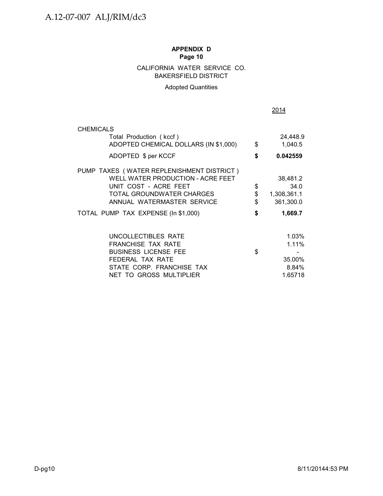# CALIFORNIA WATER SERVICE CO. BAKERSFIELD DISTRICT

# Adopted Quantities

|           |                                                                                                                                                                                                           |                              | 2014                                                           |                  |
|-----------|-----------------------------------------------------------------------------------------------------------------------------------------------------------------------------------------------------------|------------------------------|----------------------------------------------------------------|------------------|
|           | <b>CHEMICALS</b>                                                                                                                                                                                          |                              |                                                                |                  |
|           | Total Production (kccf)<br>ADOPTED CHEMICAL DOLLARS (IN \$1,000)                                                                                                                                          | \$                           | 24,448.9<br>1,040.5                                            |                  |
|           | ADOPTED \$ per KCCF                                                                                                                                                                                       | \$                           | 0.042559                                                       |                  |
|           | PUMP TAXES (WATER REPLENISHMENT DISTRICT)<br>WELL WATER PRODUCTION - ACRE FEET<br>UNIT COST - ACRE FEET<br>TOTAL GROUNDWATER CHARGES<br>ANNUAL WATERMASTER SERVICE<br>TOTAL PUMP TAX EXPENSE (In \$1,000) | \$<br>$\, \, \$$<br>\$<br>\$ | 38,481.2<br>34.0<br>1,308,361.1<br>361,300.0<br>1,669.7        |                  |
|           | UNCOLLECTIBLES RATE<br>FRANCHISE TAX RATE<br><b>BUSINESS LICENSE FEE</b><br>FEDERAL TAX RATE<br>STATE CORP. FRANCHISE TAX<br>NET TO GROSS MULTIPLIER                                                      | \$                           | 1.03%<br>1.11%<br>$\blacksquare$<br>35.00%<br>8.84%<br>1.65718 |                  |
| $D$ -pg10 |                                                                                                                                                                                                           |                              |                                                                | 8/11/20144:53 PM |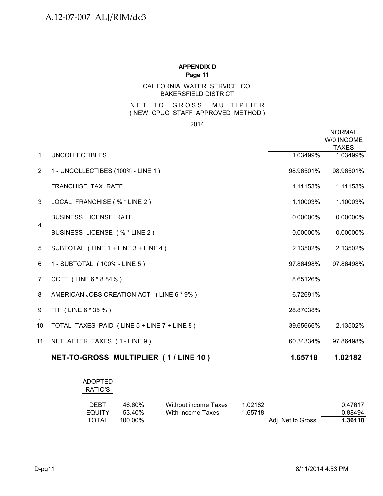# CALIFORNIA WATER SERVICE CO. BAKERSFIELD DISTRICT

#### N ET TO GROSS MULTIPLIER ( NEW CPUC STAFF APPROVED METHOD )

2014

|                |                                             |             | <b>NORMAL</b><br>W/0 INCOME<br><b>TAXES</b> |
|----------------|---------------------------------------------|-------------|---------------------------------------------|
| $\mathbf{1}$   | <b>UNCOLLECTIBLES</b>                       | 1.03499%    | 1.03499%                                    |
| $\overline{2}$ | 1 - UNCOLLECTIBES (100% - LINE 1)           | 98.96501%   | 98.96501%                                   |
|                | <b>FRANCHISE TAX RATE</b>                   | 1.11153%    | 1.11153%                                    |
| 3              | LOCAL FRANCHISE (% * LINE 2)                | 1.10003%    | 1.10003%                                    |
| 4              | <b>BUSINESS LICENSE RATE</b>                | $0.00000\%$ | 0.00000%                                    |
|                | BUSINESS LICENSE (% * LINE 2)               | 0.00000%    | 0.00000%                                    |
| 5              | SUBTOTAL (LINE 1 + LINE 3 + LINE 4)         | 2.13502%    | 2.13502%                                    |
| 6              | 1 - SUBTOTAL (100% - LINE 5)                | 97.86498%   | 97.86498%                                   |
| $\overline{7}$ | CCFT (LINE 6 * 8.84%)                       | 8.65126%    |                                             |
| 8              | AMERICAN JOBS CREATION ACT (LINE 6 * 9%)    | 6.72691%    |                                             |
| 9              | FIT (LINE 6 * 35 %)                         | 28.87038%   |                                             |
| 10             | TOTAL TAXES PAID (LINE 5 + LINE 7 + LINE 8) | 39.65666%   | 2.13502%                                    |
| 11             | NET AFTER TAXES (1-LINE 9)                  | 60.34334%   | 97.86498%                                   |
|                | NET-TO-GROSS MULTIPLIER (1/LINE 10)         | 1.65718     | 1.02182                                     |

| ADOPTED<br>RATIO'S |         |                      |                   |         |
|--------------------|---------|----------------------|-------------------|---------|
| <b>DEBT</b>        | 46.60%  | Without income Taxes | 1.02182           | 0.47617 |
| <b>EQUITY</b>      | 53.40%  | With income Taxes    | 1.65718           | 0.88494 |
| <b>TOTAL</b>       | 100.00% |                      | Adj. Net to Gross | 1.36110 |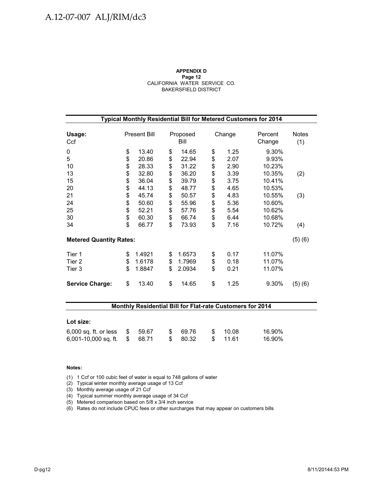#### **APPENDIX D Page 12** CALIFORNIA WATER SERVICE CO. BAKERSFIELD DISTRICT

| Typical Monthly Residential Bill for Metered Customers for 2014 |                |                            |                |                            |                |                      |                            |                     |  |  |  |  |
|-----------------------------------------------------------------|----------------|----------------------------|----------------|----------------------------|----------------|----------------------|----------------------------|---------------------|--|--|--|--|
| Usage:<br>Ccf                                                   |                | <b>Present Bill</b>        |                | Proposed<br>Bill           |                | Change               | Percent<br>Change          | <b>Notes</b><br>(1) |  |  |  |  |
| 0<br>5<br>10                                                    | \$<br>\$<br>\$ | 13.40<br>20.86             | \$<br>\$<br>\$ | 14.65<br>22.94<br>31.22    | \$<br>\$<br>\$ | 1.25<br>2.07<br>2.90 | 9.30%<br>9.93%             |                     |  |  |  |  |
| 13<br>15                                                        | \$\$           | 28.33<br>32.80<br>36.04    | \$<br>\$       | 36.20<br>39.79             | \$<br>\$       | 3.39<br>3.75         | 10.23%<br>10.35%<br>10.41% | (2)                 |  |  |  |  |
| 20<br>21<br>24                                                  | \$<br>\$       | 44.13<br>45.74<br>50.60    | \$<br>\$<br>\$ | 48.77<br>50.57<br>55.96    | \$<br>\$<br>\$ | 4.65<br>4.83<br>5.36 | 10.53%<br>10.55%<br>10.60% | (3)                 |  |  |  |  |
| 25<br>30<br>34                                                  | \$<br>\$<br>\$ | 52.21<br>60.30<br>66.77    | \$<br>\$<br>\$ | 57.76<br>66.74<br>73.93    | \$<br>\$<br>\$ | 5.54<br>6.44<br>7.16 | 10.62%<br>10.68%<br>10.72% |                     |  |  |  |  |
| <b>Metered Quantity Rates:</b>                                  |                |                            |                |                            |                |                      |                            | (4)<br>(5)(6)       |  |  |  |  |
| Tier 1<br>Tier 2<br>Tier 3                                      | \$<br>\$<br>\$ | 1.4921<br>1.6178<br>1.8847 | \$<br>\$<br>\$ | 1.6573<br>1.7969<br>2.0934 | \$<br>\$<br>\$ | 0.17<br>0.18<br>0.21 | 11.07%<br>11.07%<br>11.07% |                     |  |  |  |  |
| <b>Service Charge:</b>                                          | \$             | 13.40                      | \$             | 14.65                      | \$             | 1.25                 | 9.30%                      | (5)(6)              |  |  |  |  |

## **Monthly Residential Bill for Flat-rate Customers for 2014**

| Lot size:                       |  |  |  |          |  |         |        |  |  |
|---------------------------------|--|--|--|----------|--|---------|--------|--|--|
| 6,000 sq. ft. or less \$ 59.67  |  |  |  | \$69.76  |  | \$10.08 | 16.90% |  |  |
| $6,001-10,000$ sq. ft. $$68.71$ |  |  |  | \$ 80.32 |  | \$11.61 | 16.90% |  |  |

#### **Notes:**

(1) 1 Ccf or 100 cubic feet of water is equal to 748 gallons of water

(2) Typical winter monthly average usage of 13 Ccf

(3) Monthly average usage of 21 Ccf

(4) Typical summer monthly average usage of 34 Ccf

(5) Metered comparison based on 5/8 x 3/4 inch service

(6) Rates do not include CPUC fees or other surcharges that may appear on customers bills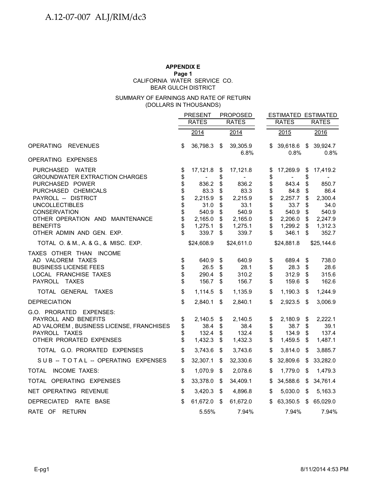#### **APPENDIX E**

#### **Page 1**

BEAR GULCH DISTRICT CALIFORNIA WATER SERVICE CO.

### (DOLLARS IN THOUSANDS) SUMMARY OF EARNINGS AND RATE OF RETURN

|                                                                                                                                                                                                                                                              |                                                    | <b>PRESENT</b>                                                                       | <b>PROPOSED</b>                                          |                                                                                      |                                                          | <b>ESTIMATED ESTIMATED</b>                                                           |                                                    |                                                                                      |
|--------------------------------------------------------------------------------------------------------------------------------------------------------------------------------------------------------------------------------------------------------------|----------------------------------------------------|--------------------------------------------------------------------------------------|----------------------------------------------------------|--------------------------------------------------------------------------------------|----------------------------------------------------------|--------------------------------------------------------------------------------------|----------------------------------------------------|--------------------------------------------------------------------------------------|
|                                                                                                                                                                                                                                                              |                                                    | <b>RATES</b>                                                                         |                                                          | <b>RATES</b>                                                                         |                                                          | <b>RATES</b>                                                                         |                                                    | <b>RATES</b>                                                                         |
|                                                                                                                                                                                                                                                              |                                                    | 2014                                                                                 |                                                          | 2014                                                                                 |                                                          | 2015                                                                                 |                                                    | 2016                                                                                 |
| <b>OPERATING</b><br><b>REVENUES</b>                                                                                                                                                                                                                          | \$                                                 | 36,798.3 \$                                                                          |                                                          | 39,305.9<br>6.8%                                                                     | S                                                        | 39,618.6<br>0.8%                                                                     | \$                                                 | 39,924.7<br>0.8%                                                                     |
| OPERATING EXPENSES                                                                                                                                                                                                                                           |                                                    |                                                                                      |                                                          |                                                                                      |                                                          |                                                                                      |                                                    |                                                                                      |
| PURCHASED WATER<br><b>GROUNDWATER EXTRACTION CHARGES</b><br>PURCHASED POWER<br>PURCHASED CHEMICALS<br>PAYROLL -- DISTRICT<br><b>UNCOLLECTIBLES</b><br><b>CONSERVATION</b><br>OTHER OPERATION AND MAINTENANCE<br><b>BENEFITS</b><br>OTHER ADMIN AND GEN. EXP. | \$<br>\$<br>\$<br>\$<br>\$<br>\$<br>\$<br>\$<br>\$ | 17,121.8<br>836.2<br>83.3<br>2,215.9<br>31.0<br>540.9<br>2,165.0<br>1,275.1<br>339.7 | \$<br>\$<br>\$<br>\$<br>\$<br>\$<br>\$<br>\$<br>\$<br>\$ | 17,121.8<br>836.2<br>83.3<br>2,215.9<br>33.1<br>540.9<br>2,165.0<br>1,275.1<br>339.7 | \$<br>\$<br>\$<br>\$<br>\$<br>\$<br>\$<br>\$<br>\$<br>\$ | 17,269.9<br>843.4<br>84.8<br>2,257.7<br>33.7<br>540.9<br>2,206.0<br>1,299.2<br>346.1 | \$<br>\$<br>\$<br>\$<br>\$<br>\$<br>\$<br>\$<br>\$ | 17,419.2<br>850.7<br>86.4<br>2,300.4<br>34.0<br>540.9<br>2,247.9<br>1,312.3<br>352.7 |
| TOTAL O. & M., A. & G., & MISC. EXP.                                                                                                                                                                                                                         |                                                    | \$24,608.9                                                                           |                                                          | \$24,611.0                                                                           |                                                          | \$24,881.8                                                                           |                                                    | \$25,144.6                                                                           |
| TAXES OTHER THAN INCOME<br>AD VALOREM TAXES<br><b>BUSINESS LICENSE FEES</b><br>LOCAL FRANCHISE TAXES<br>PAYROLL TAXES                                                                                                                                        | \$<br>\$<br>\$<br>\$                               | 640.9<br>26.5<br>290.4<br>156.7                                                      | \$<br>\$<br>\$<br>\$                                     | 640.9<br>28.1<br>310.2<br>156.7                                                      | \$<br>\$<br>\$<br>\$                                     | 689.4<br>28.3<br>312.9<br>159.6                                                      | \$<br>\$<br>\$<br>\$                               | 738.0<br>28.6<br>315.6<br>162.6                                                      |
| TOTAL GENERAL TAXES                                                                                                                                                                                                                                          | \$                                                 | 1,114.5                                                                              | \$                                                       | 1,135.9                                                                              | \$                                                       | 1,190.3                                                                              | \$                                                 | 1,244.9                                                                              |
| <b>DEPRECIATION</b><br>G.O. PRORATED EXPENSES:<br>PAYROLL AND BENEFITS<br>AD VALOREM, BUSINESS LICENSE, FRANCHISES                                                                                                                                           | \$<br>\$<br>\$                                     | $2,840.1$ \$<br>2,140.5<br>38.4                                                      | \$<br>\$                                                 | 2,840.1<br>2,140.5<br>38.4                                                           | \$<br>\$<br>\$                                           | 2,923.5<br>2,180.9<br>38.7                                                           | $\sqrt[6]{\frac{1}{2}}$<br>\$<br>\$                | 3,006.9<br>2,222.1<br>39.1                                                           |
| PAYROLL TAXES<br>OTHER PRORATED EXPENSES                                                                                                                                                                                                                     | \$<br>\$                                           | 132.4<br>1,432.3                                                                     | \$<br>\$                                                 | 132.4<br>1,432.3                                                                     | \$<br>\$                                                 | 134.9<br>1,459.5                                                                     | \$<br>\$                                           | 137.4<br>1,487.1                                                                     |
| TOTAL G.O. PRORATED EXPENSES                                                                                                                                                                                                                                 | \$                                                 | 3,743.6                                                                              | \$                                                       | 3,743.6                                                                              | \$                                                       | 3,814.0                                                                              | \$                                                 | 3,885.7                                                                              |
| SUB -- TOTAL -- OPERATING EXPENSES                                                                                                                                                                                                                           | \$                                                 | 32,307.1                                                                             | \$                                                       | 32,330.6                                                                             | \$                                                       | 32,809.6                                                                             | \$                                                 | 33,282.0                                                                             |
| TOTAL INCOME TAXES:                                                                                                                                                                                                                                          | \$                                                 | 1,070.9                                                                              | -\$                                                      | 2,078.6                                                                              | \$                                                       | 1,779.0                                                                              | \$                                                 | 1,479.3                                                                              |
| TOTAL OPERATING EXPENSES                                                                                                                                                                                                                                     | \$                                                 | 33,378.0                                                                             | - \$                                                     | 34,409.1                                                                             | \$                                                       | 34,588.6                                                                             | \$                                                 | 34,761.4                                                                             |
| NET OPERATING REVENUE                                                                                                                                                                                                                                        | \$                                                 | 3,420.3                                                                              | -\$                                                      | 4,896.8                                                                              | \$                                                       | 5,030.0                                                                              | \$                                                 | 5,163.3                                                                              |
| DEPRECIATED RATE BASE                                                                                                                                                                                                                                        | \$                                                 | 61,672.0                                                                             | - \$                                                     | 61,672.0                                                                             | \$                                                       | 63,350.5                                                                             | \$                                                 | 65,029.0                                                                             |
| RATE OF RETURN                                                                                                                                                                                                                                               |                                                    | 5.55%                                                                                |                                                          | 7.94%                                                                                |                                                          | 7.94%                                                                                |                                                    | 7.94%                                                                                |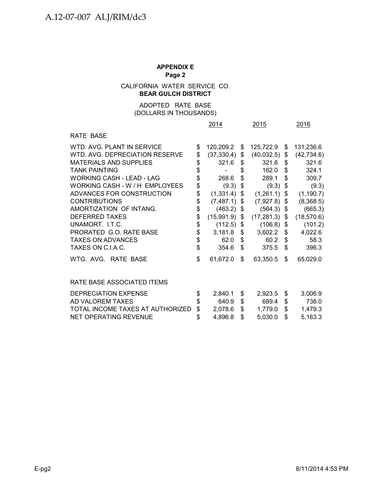# CALIFORNIA WATER SERVICE CO. **BEAR GULCH DISTRICT**

# (DOLLARS IN THOUSANDS) ADOPTED RATE BASE

|                                                                                                                                                                                                                                                                                                                                                                                                     |                                                                                           | 2014                                                                                                                                           |                                                                                  | 2015                                                                                                                                                    | 2016                                                                             |                                                                                                                                                          |  |
|-----------------------------------------------------------------------------------------------------------------------------------------------------------------------------------------------------------------------------------------------------------------------------------------------------------------------------------------------------------------------------------------------------|-------------------------------------------------------------------------------------------|------------------------------------------------------------------------------------------------------------------------------------------------|----------------------------------------------------------------------------------|---------------------------------------------------------------------------------------------------------------------------------------------------------|----------------------------------------------------------------------------------|----------------------------------------------------------------------------------------------------------------------------------------------------------|--|
| RATE BASE                                                                                                                                                                                                                                                                                                                                                                                           |                                                                                           |                                                                                                                                                |                                                                                  |                                                                                                                                                         |                                                                                  |                                                                                                                                                          |  |
| WTD. AVG. PLANT IN SERVICE<br>WTD. AVG. DEPRECIATION RESERVE<br><b>MATERIALS AND SUPPLIES</b><br><b>TANK PAINTING</b><br><b>WORKING CASH - LEAD - LAG</b><br>WORKING CASH - W / H EMPLOYEES<br>ADVANCES FOR CONSTRUCTION<br><b>CONTRIBUTIONS</b><br>AMORTIZATION OF INTANG.<br><b>DEFERRED TAXES</b><br>UNAMORT. I.T.C.<br>PRORATED G.O. RATE BASE<br><b>TAXES ON ADVANCES</b><br>TAXES ON C.I.A.C. | \$<br>\$<br>\$<br>\$<br>$\ddot{\$}$<br>\$<br>\$<br>\$<br>\$<br>\$<br>\$<br>\$<br>\$<br>\$ | 120,209.2<br>(37, 330.4)<br>321.6<br>268.6<br>(9.3)<br>(1,331.4)<br>(7, 487.1)<br>(463.2)<br>(15,991.9)<br>(112.5)<br>3,181.8<br>62.0<br>354.6 | \$<br>\$<br>\$<br>\$<br>\$<br>\$<br>\$<br>\$<br>\$<br>\$<br>\$<br>\$<br>\$<br>\$ | 125,722.9<br>(40, 032.5)<br>321.6<br>162.0<br>289.1<br>(9.3)<br>(1,261.1)<br>(7,927.8)<br>(564.3)<br>(17, 281.3)<br>(106.8)<br>3,602.2<br>60.2<br>375.5 | \$<br>\$<br>\$<br>\$<br>\$<br>\$<br>\$<br>\$<br>\$<br>\$<br>\$<br>\$<br>\$<br>\$ | 131,236.6<br>(42, 734.6)<br>321.6<br>324.1<br>309.7<br>(9.3)<br>(1, 190.7)<br>(8,368.5)<br>(665.3)<br>(18, 570.6)<br>(101.2)<br>4,022.6<br>58.3<br>396.3 |  |
| WTG. AVG. RATE BASE                                                                                                                                                                                                                                                                                                                                                                                 | \$                                                                                        | 61,672.0                                                                                                                                       | \$                                                                               | 63,350.5                                                                                                                                                | \$                                                                               | 65,029.0                                                                                                                                                 |  |
| RATE BASE ASSOCIATED ITEMS                                                                                                                                                                                                                                                                                                                                                                          |                                                                                           |                                                                                                                                                |                                                                                  |                                                                                                                                                         |                                                                                  |                                                                                                                                                          |  |
| <b>DEPRECIATION EXPENSE</b><br>AD VALOREM TAXES<br>TOTAL INCOME TAXES AT AUTHORIZED                                                                                                                                                                                                                                                                                                                 | \$<br>\$<br>\$                                                                            | 2,840.1<br>640.9<br>2,078.6                                                                                                                    | \$<br>\$<br>\$                                                                   | 2,923.5<br>689.4<br>1,779.0                                                                                                                             | \$<br>\$<br>\$                                                                   | 3,006.9<br>738.0<br>1,479.3                                                                                                                              |  |
| NET OPERATING REVENUE                                                                                                                                                                                                                                                                                                                                                                               | \$                                                                                        | 4,896.8                                                                                                                                        | \$                                                                               | 5,030.0                                                                                                                                                 | \$                                                                               | 5,163.3                                                                                                                                                  |  |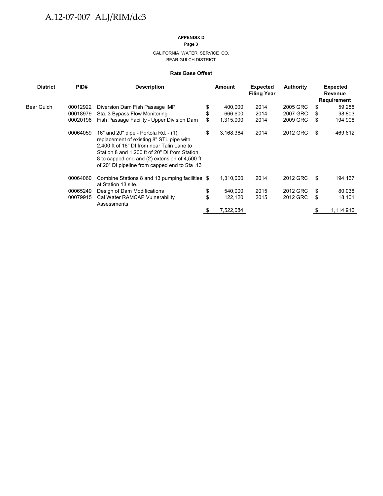#### **APPENDIX D**

**Page 3**

CALIFORNIA WATER SERVICE CO. BEAR GULCH DISTRICT

#### **Rate Base Offset**

| <b>District</b> | PID#<br><b>Description</b> |                                                                                                                                                                                                                                                                                   | Amount |           | <b>Expected</b><br><b>Filing Year</b> | <b>Authority</b> |    | <b>Expected</b><br><b>Revenue</b><br>Requirement |  |  |
|-----------------|----------------------------|-----------------------------------------------------------------------------------------------------------------------------------------------------------------------------------------------------------------------------------------------------------------------------------|--------|-----------|---------------------------------------|------------------|----|--------------------------------------------------|--|--|
| Bear Gulch      | 00012922                   | Diversion Dam Fish Passage IMP                                                                                                                                                                                                                                                    |        | 400,000   | 2014                                  | 2005 GRC         | \$ | 59,288                                           |  |  |
|                 | 00018979                   | Sta. 3 Bypass Flow Monitoring                                                                                                                                                                                                                                                     |        | 666,600   | 2014                                  | 2007 GRC         | \$ | 98,803                                           |  |  |
|                 | 00020196                   | Fish Passage Facility - Upper Division Dam                                                                                                                                                                                                                                        | S      | 1,315,000 | 2014                                  | 2009 GRC         | \$ | 194,908                                          |  |  |
|                 | 00064059                   | 16" and 20" pipe - Portola Rd. - (1)<br>replacement of existing 8" STL pipe with<br>2,400 ft of 16" DI from near Talin Lane to<br>Station 8 and 1,200 ft of 20" DI from Station<br>8 to capped end and (2) extension of 4,500 ft<br>of 20" DI pipeline from capped end to Sta .13 | \$     | 3,168,364 | 2014                                  | 2012 GRC         | \$ | 469,612                                          |  |  |
|                 | 00064060                   | Combine Stations 8 and 13 pumping facilities \$<br>at Station 13 site.                                                                                                                                                                                                            |        | 1,310,000 | 2014                                  | 2012 GRC         | S  | 194,167                                          |  |  |
|                 | 00065249                   | Design of Dam Modifications                                                                                                                                                                                                                                                       | \$     | 540,000   | 2015                                  | 2012 GRC         | \$ | 80,038                                           |  |  |
|                 | 00079915                   | Cal Water RAMCAP Vulnerability<br>Assessments                                                                                                                                                                                                                                     |        | 122,120   | 2015                                  | 2012 GRC         | S  | 18,101                                           |  |  |
|                 |                            |                                                                                                                                                                                                                                                                                   |        | 7,522,084 |                                       |                  |    | 1,114,916                                        |  |  |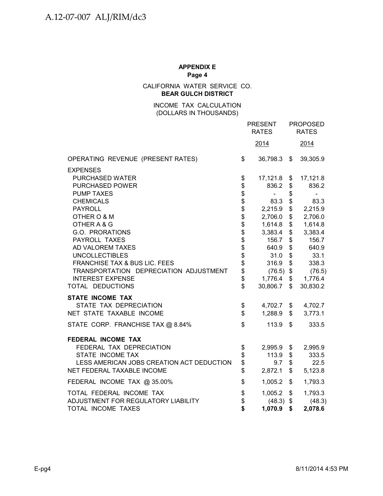CALIFORNIA WATER SERVICE CO. **BEAR GULCH DISTRICT**

> INCOME TAX CALCULATION (DOLLARS IN THOUSANDS)

|                                           | <b>PRESENT</b><br><b>RATES</b> |             |                | <b>PROPOSED</b><br><b>RATES</b> |
|-------------------------------------------|--------------------------------|-------------|----------------|---------------------------------|
|                                           |                                | 2014        |                | 2014                            |
| OPERATING REVENUE (PRESENT RATES)         | \$                             | 36,798.3 \$ |                | 39,305.9                        |
| <b>EXPENSES</b>                           |                                |             |                |                                 |
| PURCHASED WATER                           | \$                             | 17,121.8 \$ |                | 17,121.8                        |
| PURCHASED POWER                           |                                | 836.2       | \$             | 836.2                           |
| <b>PUMP TAXES</b>                         | \$\$\$\$\$\$\$\$\$\$\$\$\$\$\$ | $\sim$      | \$             | $\qquad \qquad \blacksquare$    |
| <b>CHEMICALS</b>                          |                                | 83.3 \$     |                | 83.3                            |
| <b>PAYROLL</b>                            |                                | 2,215.9     | \$             | 2,215.9                         |
| OTHER O & M                               |                                | 2,706.0     | \$             | 2,706.0                         |
| OTHER A & G                               |                                | 1,614.8     | \$             | 1,614.8                         |
| G.O. PRORATIONS                           |                                | 3,383.4     | \$             | 3,383.4                         |
| PAYROLL TAXES                             |                                | 156.7       | \$             | 156.7                           |
| AD VALOREM TAXES                          |                                | 640.9       | \$             | 640.9                           |
| <b>UNCOLLECTIBLES</b>                     |                                | 31.0        | \$             | 33.1                            |
| FRANCHISE TAX & BUS LIC. FEES             |                                | 316.9 \$    |                | 338.3                           |
| TRANSPORTATION DEPRECIATION ADJUSTMENT    |                                | $(76.5)$ \$ |                | (76.5)                          |
| <b>INTEREST EXPENSE</b>                   |                                | 1,776.4     | $\frac{1}{2}$  | 1,776.4                         |
| TOTAL DEDUCTIONS                          | $\mathfrak{S}$                 | 30,806.7    | $\mathbb{S}$   | 30,830.2                        |
| <b>STATE INCOME TAX</b>                   |                                |             |                |                                 |
| STATE TAX DEPRECIATION                    | \$                             | 4,702.7 \$  |                | 4,702.7                         |
| NET STATE TAXABLE INCOME                  | \$                             | 1,288.9     | $\mathsf{\$}$  | 3,773.1                         |
| STATE CORP. FRANCHISE TAX @ 8.84%         | $\mathfrak{S}$                 | 113.9       | $\mathfrak{S}$ | 333.5                           |
| FEDERAL INCOME TAX                        |                                |             |                |                                 |
| FEDERAL TAX DEPRECIATION                  | \$                             | 2,995.9 \$  |                | 2,995.9                         |
| STATE INCOME TAX                          | \$                             | $113.9$ \$  |                | 333.5                           |
| LESS AMERICAN JOBS CREATION ACT DEDUCTION | \$                             | 9.7         | \$             | 22.5                            |
| NET FEDERAL TAXABLE INCOME                | \$                             | 2,872.1     | \$             | 5,123.8                         |
| FEDERAL INCOME TAX @ 35.00%               | \$                             | 1,005.2     | \$             | 1,793.3                         |
| TOTAL FEDERAL INCOME TAX                  | \$                             | 1,005.2     | \$             | 1,793.3                         |
| ADJUSTMENT FOR REGULATORY LIABILITY       |                                | $(48.3)$ \$ |                | (48.3)                          |
| TOTAL INCOME TAXES                        | \$<br>\$                       | 1,070.9     | \$             | 2,078.6                         |
|                                           |                                |             |                |                                 |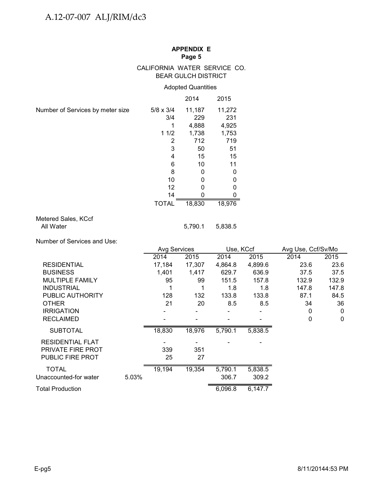# CALIFORNIA WATER SERVICE CO. BEAR GULCH DISTRICT

# Adopted Quantities

|                                  |                  | 2014   | 2015   |
|----------------------------------|------------------|--------|--------|
| Number of Services by meter size | $5/8 \times 3/4$ | 11,187 | 11,272 |
|                                  | 3/4              | 229    | 231    |
|                                  |                  | 4,888  | 4,925  |
|                                  | 11/2             | 1,738  | 1,753  |
|                                  | 2                | 712    | 719    |
|                                  | 3                | 50     | 51     |
|                                  | 4                | 15     | 15     |
|                                  | 6                | 10     | 11     |
|                                  | 8                | 0      | 0      |
|                                  | 10               | 0      | 0      |
|                                  | 12               |        |        |
|                                  | 14               |        |        |
|                                  | <b>TOTAL</b>     | 18,830 | 18,976 |

# Metered Sales, KCcf All Water 5,790.1 5,838.5

Number of Services and Use:

|                          |       | <b>Avg Services</b> |        | Use, KCcf |         | Avg Use, Ccf/Sv/Mo |             |
|--------------------------|-------|---------------------|--------|-----------|---------|--------------------|-------------|
|                          |       | 2014                | 2015   | 2014      | 2015    | 2014               | 2015        |
| <b>RESIDENTIAL</b>       |       | 17,184              | 17,307 | 4,864.8   | 4,899.6 | 23.6               | 23.6        |
| <b>BUSINESS</b>          |       | 1,401               | 1,417  | 629.7     | 636.9   | 37.5               | 37.5        |
| <b>MULTIPLE FAMILY</b>   |       | 95                  | 99     | 151.5     | 157.8   | 132.9              | 132.9       |
| <b>INDUSTRIAL</b>        |       |                     |        | 1.8       | 1.8     | 147.8              | 147.8       |
| PUBLIC AUTHORITY         |       | 128                 | 132    | 133.8     | 133.8   | 87.1               | 84.5        |
| <b>OTHER</b>             |       | 21                  | 20     | 8.5       | 8.5     | 34                 | 36          |
| <b>IRRIGATION</b>        |       |                     |        |           |         | 0                  | $\mathbf 0$ |
| <b>RECLAIMED</b>         |       |                     |        |           |         | 0                  | $\mathbf 0$ |
| <b>SUBTOTAL</b>          |       | 18,830              | 18,976 | 5,790.1   | 5,838.5 |                    |             |
| <b>RESIDENTIAL FLAT</b>  |       |                     |        |           |         |                    |             |
| <b>PRIVATE FIRE PROT</b> |       | 339                 | 351    |           |         |                    |             |
| <b>PUBLIC FIRE PROT</b>  |       | 25                  | 27     |           |         |                    |             |
| <b>TOTAL</b>             |       | 19,194              | 19,354 | 5,790.1   | 5,838.5 |                    |             |
| Unaccounted-for water    | 5.03% |                     |        | 306.7     | 309.2   |                    |             |
| Total Production         |       |                     |        | 6,096.8   | 6,147.7 |                    |             |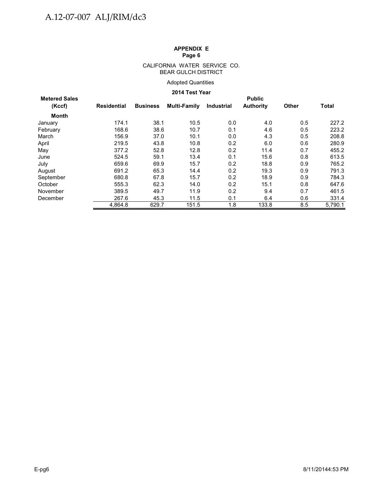#### CALIFORNIA WATER SERVICE CO. BEAR GULCH DISTRICT

## Adopted Quantities

## **2014 Test Year**

| <b>Metered Sales</b> |             | <b>Public</b>   |              |            |                  |       |         |  |  |  |  |  |
|----------------------|-------------|-----------------|--------------|------------|------------------|-------|---------|--|--|--|--|--|
| (Kccf)               | Residential | <b>Business</b> | Multi-Family | Industrial | <b>Authority</b> | Other | Total   |  |  |  |  |  |
| Month                |             |                 |              |            |                  |       |         |  |  |  |  |  |
| January              | 174.1       | 38.1            | 10.5         | 0.0        | 4.0              | 0.5   | 227.2   |  |  |  |  |  |
| February             | 168.6       | 38.6            | 10.7         | 0.1        | 4.6              | 0.5   | 223.2   |  |  |  |  |  |
| March                | 156.9       | 37.0            | 10.1         | 0.0        | 4.3              | 0.5   | 208.8   |  |  |  |  |  |
| April                | 219.5       | 43.8            | 10.8         | 0.2        | 6.0              | 0.6   | 280.9   |  |  |  |  |  |
| May                  | 377.2       | 52.8            | 12.8         | 0.2        | 11.4             | 0.7   | 455.2   |  |  |  |  |  |
| June                 | 524.5       | 59.1            | 13.4         | 0.1        | 15.6             | 0.8   | 613.5   |  |  |  |  |  |
| July                 | 659.6       | 69.9            | 15.7         | 0.2        | 18.8             | 0.9   | 765.2   |  |  |  |  |  |
| August               | 691.2       | 65.3            | 14.4         | 0.2        | 19.3             | 0.9   | 791.3   |  |  |  |  |  |
| September            | 680.8       | 67.8            | 15.7         | 0.2        | 18.9             | 0.9   | 784.3   |  |  |  |  |  |
| October              | 555.3       | 62.3            | 14.0         | 0.2        | 15.1             | 0.8   | 647.6   |  |  |  |  |  |
| November             | 389.5       | 49.7            | 11.9         | 0.2        | 9.4              | 0.7   | 461.5   |  |  |  |  |  |
| December             | 267.6       | 45.3            | 11.5         | 0.1        | 6.4              | 0.6   | 331.4   |  |  |  |  |  |
|                      | 4.864.8     | 629.7           | 151.5        | 1.8        | 133.8            | 8.5   | 5.790.1 |  |  |  |  |  |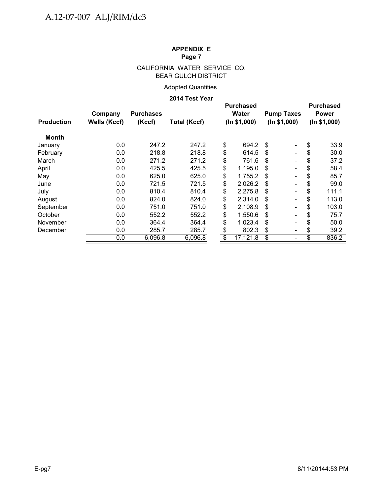# CALIFORNIA WATER SERVICE CO. BEAR GULCH DISTRICT

# Adopted Quantities

## **2014 Test Year**

| <b>Production</b> | Company<br><b>Wells (Kccf)</b> | <b>Purchases</b><br>(Kccf) | <b>Total (Kccf)</b> | <b>Purchased</b><br><b>Water</b><br>(ln \$1,000) | <b>Pump Taxes</b><br>(ln \$1,000) |                          | <b>Purchased</b><br><b>Power</b><br>(ln \$1,000) |       |
|-------------------|--------------------------------|----------------------------|---------------------|--------------------------------------------------|-----------------------------------|--------------------------|--------------------------------------------------|-------|
|                   |                                |                            |                     |                                                  |                                   |                          |                                                  |       |
| Month             |                                |                            |                     |                                                  |                                   |                          |                                                  |       |
| January           | 0.0                            | 247.2                      | 247.2               | \$<br>694.2                                      | \$                                | $\overline{\phantom{a}}$ | \$                                               | 33.9  |
| February          | 0.0                            | 218.8                      | 218.8               | \$<br>614.5                                      | -S                                | Ξ.                       | \$                                               | 30.0  |
| March             | 0.0                            | 271.2                      | 271.2               | \$<br>761.6                                      | \$.                               |                          | \$                                               | 37.2  |
| April             | 0.0                            | 425.5                      | 425.5               | \$<br>1,195.0                                    | \$                                | $\blacksquare$           | \$                                               | 58.4  |
| May               | 0.0                            | 625.0                      | 625.0               | \$<br>1,755.2                                    | \$                                |                          | \$                                               | 85.7  |
| June              | 0.0                            | 721.5                      | 721.5               | \$<br>2,026.2                                    | \$                                |                          | \$                                               | 99.0  |
| July              | 0.0                            | 810.4                      | 810.4               | \$<br>2,275.8                                    | \$                                |                          | \$                                               | 111.1 |
| August            | 0.0                            | 824.0                      | 824.0               | \$<br>2,314.0                                    | \$                                |                          | \$                                               | 113.0 |
| September         | 0.0                            | 751.0                      | 751.0               | \$<br>2,108.9                                    | \$                                |                          | \$                                               | 103.0 |
| October           | 0.0                            | 552.2                      | 552.2               | \$<br>1,550.6                                    | \$                                |                          | \$                                               | 75.7  |
| November          | 0.0                            | 364.4                      | 364.4               | \$<br>1,023.4                                    | \$                                |                          | \$                                               | 50.0  |
| December          | 0.0                            | 285.7                      | 285.7               | \$<br>802.3                                      | \$                                | $\overline{\phantom{a}}$ | \$                                               | 39.2  |
|                   | 0.0                            | 6,096.8                    | 6,096.8             | \$<br>17,121.8                                   | \$                                |                          | \$                                               | 836.2 |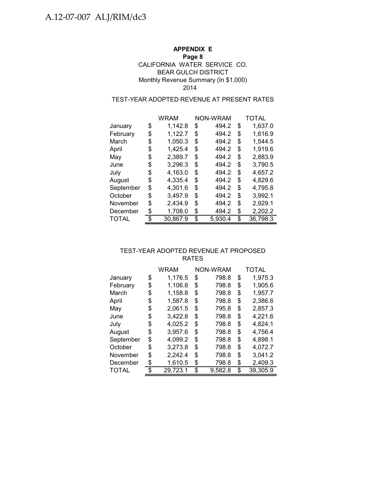# **APPENDIX E**

## **Page 8**

# CALIFORNIA WATER SERVICE CO. BEAR GULCH DISTRICT Monthly Revenue Summary (In \$1,000) 2014

# TEST-YEAR ADOPTED REVENUE AT PRESENT RATES

|              | WRAM           | NON-WRAM      | TOTAL          |
|--------------|----------------|---------------|----------------|
| January      | \$<br>1,142.8  | \$<br>494.2   | \$<br>1,637.0  |
| February     | \$<br>1,122.7  | \$<br>494.2   | \$<br>1,616.9  |
| March        | \$<br>1,050.3  | \$<br>494.2   | \$<br>1,544.5  |
| April        | \$<br>1,425.4  | \$<br>494.2   | \$<br>1,919.6  |
| May          | \$<br>2,389.7  | \$<br>494.2   | \$<br>2,883.9  |
| June         | \$<br>3,296.3  | \$<br>494.2   | \$<br>3,790.5  |
| July         | \$<br>4,163.0  | \$<br>494.2   | \$<br>4,657.2  |
| August       | \$<br>4,335.4  | \$<br>494.2   | \$<br>4,829.6  |
| September    | \$<br>4,301.6  | \$<br>494.2   | \$<br>4,795.8  |
| October      | \$<br>3,497.9  | \$<br>494.2   | \$<br>3,992.1  |
| November     | \$<br>2,434.9  | \$<br>494.2   | \$<br>2,929.1  |
| December     | \$<br>1,708.0  | \$<br>494.2   | \$<br>2,202.2  |
| <b>TOTAL</b> | \$<br>30.867.9 | \$<br>5,930.4 | \$<br>36,798.3 |

# TEST-YEAR ADOPTED REVENUE AT PROPOSED RATES

|              | WRAM           | NON-WRAM      | TOTAL          |
|--------------|----------------|---------------|----------------|
| January      | \$<br>1,176.5  | \$<br>798.8   | \$<br>1,975.3  |
| February     | \$<br>1,106.8  | \$<br>798.8   | \$<br>1,905.6  |
| March        | \$<br>1,158.8  | \$<br>798.8   | \$<br>1,957.7  |
| April        | \$<br>1,587.8  | \$<br>798.8   | \$<br>2,386.6  |
| May          | \$<br>2,061.5  | \$<br>795.8   | \$<br>2,857.3  |
| June         | \$<br>3,422.8  | \$<br>798.8   | \$<br>4,221.6  |
| July         | \$<br>4,025.2  | \$<br>798.8   | \$<br>4,824.1  |
| August       | \$<br>3,957.6  | \$<br>798.8   | \$<br>4,756.4  |
| September    | \$<br>4,099.2  | \$<br>798.8   | \$<br>4,898.1  |
| October      | \$<br>3,273.8  | \$<br>798.8   | \$<br>4,072.7  |
| November     | \$<br>2,242.4  | \$<br>798.8   | \$<br>3,041.2  |
| December     | \$<br>1,610.5  | \$<br>798.8   | \$<br>2,409.3  |
| <b>TOTAL</b> | \$<br>29,723.1 | \$<br>9,582.8 | \$<br>39,305.9 |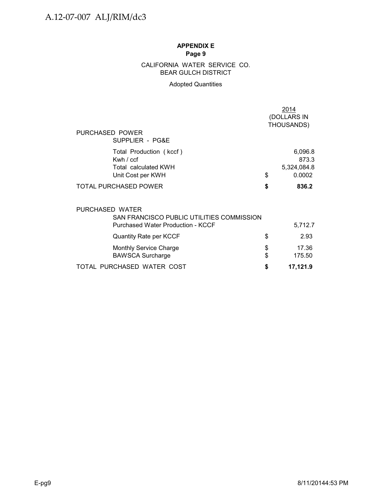# BEAR GULCH DISTRICT CALIFORNIA WATER SERVICE CO.

# Adopted Quantities

| PURCHASED POWER                                                                   |          | 2014<br>(DOLLARS IN<br>THOUSANDS)         |
|-----------------------------------------------------------------------------------|----------|-------------------------------------------|
| SUPPLIER - PG&E                                                                   |          |                                           |
| Total Production (kccf)<br>Kwh / ccf<br>Total calculated KWH<br>Unit Cost per KWH | \$       | 6,096.8<br>873.3<br>5,324,084.8<br>0.0002 |
| <b>TOTAL PURCHASED POWER</b>                                                      | \$       | 836.2                                     |
| PURCHASED WATER<br>SAN FRANCISCO PUBLIC UTILITIES COMMISSION                      |          |                                           |
| <b>Purchased Water Production - KCCF</b>                                          |          | 5,712.7                                   |
| <b>Quantity Rate per KCCF</b>                                                     | \$       | 2.93                                      |
| <b>Monthly Service Charge</b><br><b>BAWSCA Surcharge</b>                          | \$<br>\$ | 17.36<br>175.50                           |
| TOTAL PURCHASED WATER COST                                                        | S        | 17,121.9                                  |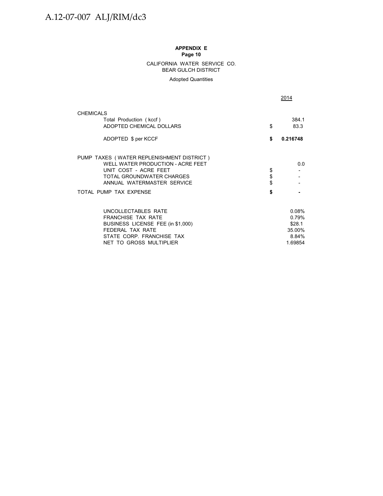#### CALIFORNIA WATER SERVICE CO. BEAR GULCH DISTRICT

Adopted Quantities

2014

| <b>CHEMICALS</b>                                   |          |          |
|----------------------------------------------------|----------|----------|
| Total Production (kccf)                            |          | 384.1    |
| ADOPTED CHEMICAL DOLLARS                           | \$       | 83.3     |
| ADOPTED \$ per KCCF                                | \$       | 0.216748 |
| PUMP TAXES (WATER REPLENISHMENT DISTRICT)          |          |          |
| WELL WATER PRODUCTION - ACRE FEET                  |          | 0.0      |
| UNIT COST - ACRE FEET<br>TOTAL GROUNDWATER CHARGES | \$<br>\$ |          |
| ANNUAL WATERMASTER SERVICE                         | \$       |          |
| TOTAL PUMP TAX EXPENSE                             | \$       |          |
| UNCOLLECTABLES RATE                                |          | 0.08%    |
| <b>FRANCHISE TAX RATE</b>                          |          | 0.79%    |
| BUSINESS LICENSE FEE (in \$1,000)                  |          | \$28.1   |
| FEDERAL TAX RATE                                   |          | 35.00%   |
| STATE CORP. FRANCHISE TAX                          |          | 8.84%    |
| NET TO GROSS MULTIPLIER                            |          | 1.69854  |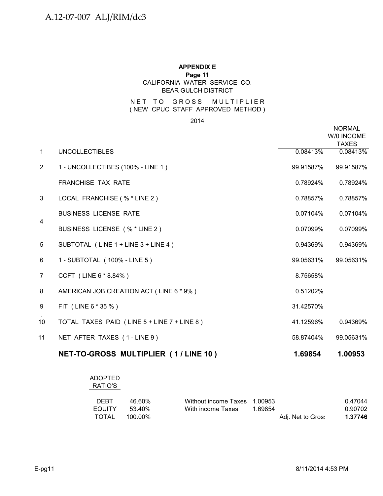# **APPENDIX E Page 11** CALIFORNIA WATER SERVICE CO. BEAR GULCH DISTRICT

# NET TO GROSS MULTIPLIER ( NEW CPUC STAFF APPROVED METHOD )

2014

|                |                                             |           | <b>NORMAL</b><br>W/0 INCOME<br><b>TAXES</b> |
|----------------|---------------------------------------------|-----------|---------------------------------------------|
| $\mathbf{1}$   | <b>UNCOLLECTIBLES</b>                       | 0.08413%  | 0.08413%                                    |
| 2              | 1 - UNCOLLECTIBES (100% - LINE 1)           | 99.91587% | 99.91587%                                   |
|                | <b>FRANCHISE TAX RATE</b>                   | 0.78924%  | 0.78924%                                    |
| 3              | LOCAL FRANCHISE (% * LINE 2)                | 0.78857%  | 0.78857%                                    |
|                | <b>BUSINESS LICENSE RATE</b>                | 0.07104%  | 0.07104%                                    |
| 4              | BUSINESS LICENSE (% * LINE 2)               | 0.07099%  | 0.07099%                                    |
| 5              | SUBTOTAL (LINE 1 + LINE 3 + LINE 4)         | 0.94369%  | 0.94369%                                    |
| 6              | 1 - SUBTOTAL (100% - LINE 5)                | 99.05631% | 99.05631%                                   |
| $\overline{7}$ | CCFT (LINE 6 * 8.84%)                       | 8.75658%  |                                             |
| 8              | AMERICAN JOB CREATION ACT (LINE 6 * 9%)     | 0.51202%  |                                             |
| 9              | FIT (LINE 6 * 35 %)                         | 31.42570% |                                             |
| 10             | TOTAL TAXES PAID (LINE 5 + LINE 7 + LINE 8) | 41.12596% | 0.94369%                                    |
| 11             | NET AFTER TAXES (1-LINE 9)                  | 58.87404% | 99.05631%                                   |
|                | NET-TO-GROSS MULTIPLIER (1/LINE 10)         | 1.69854   | 1.00953                                     |

| <b>ADOPTED</b><br>RATIO'S             |                                |                                           |                    |                   |                               |
|---------------------------------------|--------------------------------|-------------------------------------------|--------------------|-------------------|-------------------------------|
| <b>DEBT</b><br><b>EQUITY</b><br>TOTAL | 46.60%<br>53.40%<br>$100.00\%$ | Without income Taxes<br>With income Taxes | 1.00953<br>1.69854 | Adj. Net to Gros: | 0.47044<br>0.90702<br>1.37746 |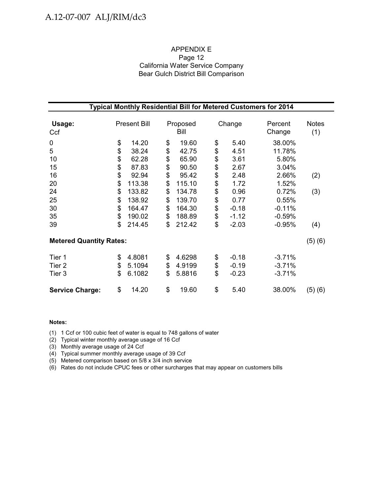# APPENDIX E Page 12 California Water Service Company Bear Gulch District Bill Comparison

| Typical Monthly Residential Bill for Metered Customers for 2014 |                |                            |                |                            |                |                               |                                  |                     |  |  |  |
|-----------------------------------------------------------------|----------------|----------------------------|----------------|----------------------------|----------------|-------------------------------|----------------------------------|---------------------|--|--|--|
| Usage:<br>Ccf                                                   |                | <b>Present Bill</b>        |                | Proposed<br>Bill           |                | Change                        | Percent<br>Change                | <b>Notes</b><br>(1) |  |  |  |
| 0<br>5<br>10                                                    | \$<br>\$<br>\$ | 14.20<br>38.24<br>62.28    | \$<br>\$<br>\$ | 19.60<br>42.75<br>65.90    | \$<br>\$       | 5.40<br>4.51<br>3.61          | 38.00%<br>11.78%<br>5.80%        |                     |  |  |  |
| 15<br>16<br>20                                                  | \$<br>\$<br>\$ | 87.83<br>92.94<br>113.38   | \$<br>\$<br>\$ | 90.50<br>95.42<br>115.10   | \$<br>\$<br>\$ | 2.67<br>2.48<br>1.72          | 3.04%<br>2.66%<br>1.52%          | (2)                 |  |  |  |
| 24<br>25<br>30                                                  | \$<br>\$<br>\$ | 133.82<br>138.92<br>164.47 | \$<br>\$<br>\$ | 134.78<br>139.70<br>164.30 | \$<br>\$       | 0.96<br>0.77<br>$-0.18$       | 0.72%<br>0.55%<br>$-0.11%$       | (3)                 |  |  |  |
| 35<br>39                                                        | \$<br>\$       | 190.02<br>214.45           | \$<br>\$       | 188.89<br>212.42           | \$<br>\$       | $-1.12$<br>$-2.03$            | $-0.59%$<br>$-0.95%$             | (4)                 |  |  |  |
| <b>Metered Quantity Rates:</b>                                  |                |                            |                |                            |                |                               |                                  | (5)(6)              |  |  |  |
| Tier 1<br>Tier <sub>2</sub><br>Tier 3                           | \$<br>\$<br>\$ | 4.8081<br>5.1094<br>6.1082 | \$<br>\$<br>\$ | 4.6298<br>4.9199<br>5.8816 | \$<br>\$<br>\$ | $-0.18$<br>$-0.19$<br>$-0.23$ | $-3.71%$<br>$-3.71%$<br>$-3.71%$ |                     |  |  |  |
| <b>Service Charge:</b>                                          | \$             | 14.20                      | \$             | 19.60                      | \$             | 5.40                          | 38.00%                           | (5)(6)              |  |  |  |

#### **Notes:**

(1) 1 Ccf or 100 cubic feet of water is equal to 748 gallons of water

(2) Typical winter monthly average usage of 16 Ccf

(3) Monthly average usage of 24 Ccf

(4) Typical summer monthly average usage of 39 Ccf

(5) Metered comparison based on 5/8 x 3/4 inch service

(6) Rates do not include CPUC fees or other surcharges that may appear on customers bills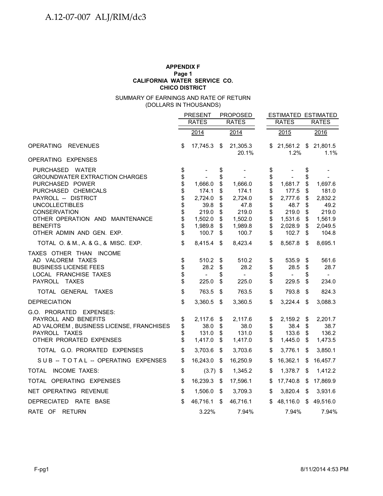#### **APPENDIX F Page 1 CHICO DISTRICT CALIFORNIA WATER SERVICE CO.**

#### (DOLLARS IN THOUSANDS) SUMMARY OF EARNINGS AND RATE OF RETURN

|                                                                                                                                                                                                                                                              |                                                          | <b>PRESENT</b>                                                              |                                                          | <b>PROPOSED</b>                                                             |                                                          | <b>ESTIMATED ESTIMATED</b>                                                  |                                                         |                                                                             |  |
|--------------------------------------------------------------------------------------------------------------------------------------------------------------------------------------------------------------------------------------------------------------|----------------------------------------------------------|-----------------------------------------------------------------------------|----------------------------------------------------------|-----------------------------------------------------------------------------|----------------------------------------------------------|-----------------------------------------------------------------------------|---------------------------------------------------------|-----------------------------------------------------------------------------|--|
|                                                                                                                                                                                                                                                              |                                                          | <b>RATES</b>                                                                |                                                          | <b>RATES</b>                                                                |                                                          | <b>RATES</b>                                                                |                                                         | <b>RATES</b>                                                                |  |
|                                                                                                                                                                                                                                                              |                                                          | 2014                                                                        |                                                          | 2014                                                                        |                                                          | 2015                                                                        |                                                         | 2016                                                                        |  |
| <b>OPERATING</b><br><b>REVENUES</b>                                                                                                                                                                                                                          | \$                                                       | 17,745.3 \$                                                                 |                                                          | 21,305.3<br>20.1%                                                           | \$                                                       | 1.2%                                                                        |                                                         | 21,561.2 \$ 21,801.5<br>1.1%                                                |  |
| OPERATING EXPENSES                                                                                                                                                                                                                                           |                                                          |                                                                             |                                                          |                                                                             |                                                          |                                                                             |                                                         |                                                                             |  |
| PURCHASED WATER<br><b>GROUNDWATER EXTRACTION CHARGES</b><br>PURCHASED POWER<br>PURCHASED CHEMICALS<br>PAYROLL -- DISTRICT<br><b>UNCOLLECTIBLES</b><br><b>CONSERVATION</b><br>OTHER OPERATION AND MAINTENANCE<br><b>BENEFITS</b><br>OTHER ADMIN AND GEN. EXP. | \$<br>\$<br>\$<br>\$<br>\$<br>\$<br>\$<br>\$<br>\$<br>\$ | 1,666.0<br>174.1<br>2,724.0<br>39.8<br>219.0<br>1,502.0<br>1,989.8<br>100.7 | \$<br>\$<br>\$<br>\$<br>\$<br>\$<br>\$<br>\$<br>\$<br>\$ | 1,666.0<br>174.1<br>2,724.0<br>47.8<br>219.0<br>1,502.0<br>1,989.8<br>100.7 | \$<br>\$<br>\$<br>\$<br>\$<br>\$<br>\$<br>\$<br>\$<br>\$ | 1,681.7<br>177.5<br>2,777.6<br>48.7<br>219.0<br>1,531.6<br>2,028.9<br>102.7 | \$<br>\$<br>\$<br>S<br>\$<br>\$<br>\$<br>\$<br>\$<br>\$ | 1,697.6<br>181.0<br>2,832.2<br>49.2<br>219.0<br>1,561.9<br>2,049.5<br>104.8 |  |
| TOTAL O. & M., A. & G., & MISC. EXP.                                                                                                                                                                                                                         | \$                                                       | 8,415.4 \$                                                                  |                                                          | 8,423.4                                                                     | \$                                                       | 8,567.8                                                                     | \$                                                      | 8,695.1                                                                     |  |
| TAXES OTHER THAN INCOME<br>AD VALOREM TAXES<br><b>BUSINESS LICENSE FEES</b><br>LOCAL FRANCHISE TAXES<br>PAYROLL TAXES                                                                                                                                        | \$<br>\$<br>\$<br>\$                                     | 510.2<br>28.2<br>$\overline{\phantom{a}}$<br>225.0                          | \$<br>\$<br>\$<br>\$                                     | 510.2<br>28.2<br>$\overline{\phantom{a}}$<br>225.0                          | \$<br>\$<br>\$<br>\$                                     | 535.9<br>28.5<br>$\overline{\phantom{a}}$<br>229.5                          | \$<br>\$<br>\$<br>\$                                    | 561.6<br>28.7<br>$\sim$<br>234.0                                            |  |
| TOTAL GENERAL TAXES                                                                                                                                                                                                                                          | \$                                                       | 763.5                                                                       | \$                                                       | 763.5                                                                       | \$                                                       | 793.8                                                                       | \$                                                      | 824.3                                                                       |  |
| <b>DEPRECIATION</b>                                                                                                                                                                                                                                          | \$                                                       | 3,360.5                                                                     | - \$                                                     | 3,360.5                                                                     | \$                                                       | 3,224.4                                                                     | $\sqrt[6]{3}$                                           | 3,088.3                                                                     |  |
| G.O. PRORATED EXPENSES:<br>PAYROLL AND BENEFITS<br>AD VALOREM, BUSINESS LICENSE, FRANCHISES<br>PAYROLL TAXES<br>OTHER PRORATED EXPENSES                                                                                                                      | \$<br>\$<br>\$<br>\$                                     | 2,117.6<br>38.0<br>131.0<br>1,417.0                                         | \$<br>\$<br>\$<br>\$                                     | 2,117.6<br>38.0<br>131.0<br>1,417.0                                         | \$<br>\$<br>\$<br>\$                                     | 2,159.2<br>38.4<br>133.6<br>1,445.0                                         | \$<br>\$<br>\$<br>\$                                    | 2,201.7<br>38.7<br>136.2<br>1,473.5                                         |  |
| TOTAL G.O. PRORATED EXPENSES                                                                                                                                                                                                                                 | \$                                                       | 3,703.6                                                                     | \$                                                       | 3,703.6                                                                     | \$                                                       | 3,776.1                                                                     | \$                                                      | 3,850.1                                                                     |  |
| SUB -- TOTAL -- OPERATING EXPENSES                                                                                                                                                                                                                           | \$                                                       | 16,243.0                                                                    | - \$                                                     | 16,250.9                                                                    | \$                                                       | 16,362.1                                                                    | \$                                                      | 16,457.7                                                                    |  |
| TOTAL INCOME TAXES:                                                                                                                                                                                                                                          | \$                                                       | $(3.7)$ \$                                                                  |                                                          | 1,345.2                                                                     | \$                                                       | 1,378.7 \$                                                                  |                                                         | 1,412.2                                                                     |  |
| TOTAL OPERATING EXPENSES                                                                                                                                                                                                                                     | \$                                                       | 16,239.3                                                                    | - \$                                                     | 17,596.1                                                                    | \$                                                       | 17,740.8                                                                    | \$                                                      | 17,869.9                                                                    |  |
| NET OPERATING REVENUE                                                                                                                                                                                                                                        | \$                                                       | 1,506.0                                                                     | - \$                                                     | 3,709.3                                                                     | \$                                                       | 3,820.4                                                                     | \$                                                      | 3,931.6                                                                     |  |
| DEPRECIATED RATE BASE                                                                                                                                                                                                                                        | \$                                                       | 46,716.1                                                                    | \$                                                       | 46,716.1                                                                    | \$                                                       | 48,116.0                                                                    |                                                         | \$49,516.0                                                                  |  |
| RATE OF RETURN                                                                                                                                                                                                                                               |                                                          | 3.22%                                                                       |                                                          | 7.94%                                                                       |                                                          | 7.94%                                                                       |                                                         | 7.94%                                                                       |  |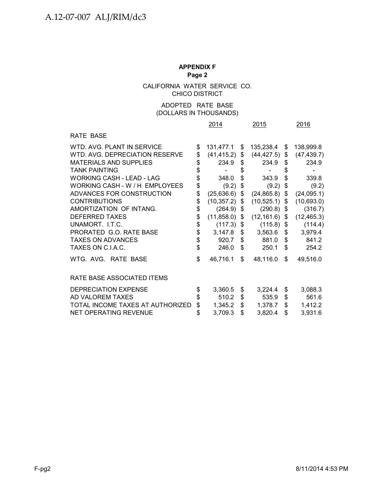CHICO DISTRICT CALIFORNIA WATER SERVICE CO.

# (DOLLARS IN THOUSANDS) ADOPTED RATE BASE

|                                  |          | 2014             |               | 2015                            |      | 2016        |
|----------------------------------|----------|------------------|---------------|---------------------------------|------|-------------|
| RATE BASE                        |          |                  |               |                                 |      |             |
| WTD. AVG. PLANT IN SERVICE       | \$       | 131,477.1        | \$            | 135,238.4                       | \$   | 138,999.8   |
| WTD. AVG. DEPRECIATION RESERVE   | \$       | $(41, 415.2)$ \$ |               | $(44, 427.5)$ \$                |      | (47, 439.7) |
| <b>MATERIALS AND SUPPLIES</b>    | \$       | 234.9            | \$            | 234.9                           | \$   | 234.9       |
| <b>TANK PAINTING</b>             | \$       |                  | \$            |                                 | \$   |             |
| WORKING CASH - LEAD - LAG        | \$       | 348.0            | \$            | 343.9                           | \$   | 339.8       |
| WORKING CASH - W / H EMPLOYEES   | \$       | (9.2)            | \$            | (9.2)                           | \$   | (9.2)       |
| ADVANCES FOR CONSTRUCTION        | \$       | (25, 636.6)      | $\frac{1}{2}$ | (24, 865.8)                     | \$   | (24, 095.1) |
| <b>CONTRIBUTIONS</b>             | \$       | $(10,357.2)$ \$  |               | (10, 525.1)                     | - \$ | (10,693.0)  |
| AMORTIZATION OF INTANG.          | \$       | $(264.9)$ \$     |               | (290.8)                         | - \$ | (316.7)     |
| <b>DEFERRED TAXES</b>            | \$       |                  |               | $(11,858.0)$ \$ $(12,161.6)$ \$ |      | (12, 465.3) |
| UNAMORT. I.T.C.                  | \$<br>\$ | $(117.3)$ \$     |               | $(115.8)$ \$                    |      | (114.4)     |
| PRORATED G.O. RATE BASE          |          | $3,147.8$ \$     |               | 3,563.6                         | \$   | 3,979.4     |
| <b>TAXES ON ADVANCES</b>         | \$       | 920.7            | \$            | 881.0                           | \$   | 841.2       |
| TAXES ON C.I.A.C.                | \$       | 246.0            | \$            | 250.1                           | \$   | 254.2       |
| WTG. AVG. RATE BASE              | \$       | 46,716.1         | \$            | 48,116.0                        | \$   | 49,516.0    |
| RATE BASE ASSOCIATED ITEMS       |          |                  |               |                                 |      |             |
| DEPRECIATION EXPENSE             | \$       | 3,360.5          | \$            | 3,224.4                         | \$   | 3,088.3     |
| AD VALOREM TAXES                 | \$       | 510.2            | \$            | 535.9                           | \$   | 561.6       |
| TOTAL INCOME TAXES AT AUTHORIZED | \$       | 1,345.2          | \$            | 1,378.7                         | \$   | 1,412.2     |
| NET OPERATING REVENUE            | \$       | 3,709.3          | \$            | 3,820.4                         | \$   | 3,931.6     |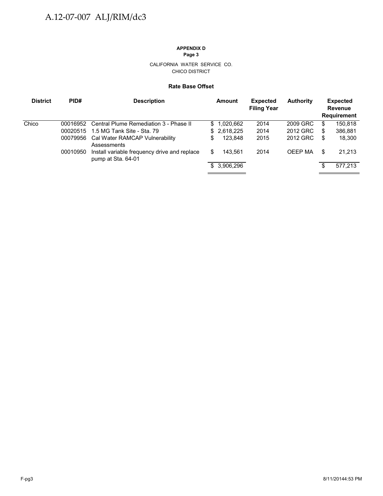#### CALIFORNIA WATER SERVICE CO. CHICO DISTRICT

#### **Rate Base Offset**

| <b>District</b> | PID#     | <b>Description</b>                                                 | Amount        | <b>Expected</b><br><b>Filing Year</b> | <b>Authority</b> |    | <b>Expected</b><br><b>Revenue</b><br><b>Requirement</b> |
|-----------------|----------|--------------------------------------------------------------------|---------------|---------------------------------------|------------------|----|---------------------------------------------------------|
| Chico           | 00016952 | Central Plume Remediation 3 - Phase II                             | \$1,020,662   | 2014                                  | 2009 GRC         | \$ | 150,818                                                 |
|                 | 00020515 | 1.5 MG Tank Site - Sta. 79                                         | \$2,618,225   | 2014                                  | 2012 GRC         | S  | 386,881                                                 |
|                 |          | 00079956 Cal Water RAMCAP Vulnerability<br>Assessments             | \$<br>123.848 | 2015                                  | 2012 GRC         | S  | 18,300                                                  |
|                 | 00010950 | Install variable frequency drive and replace<br>pump at Sta. 64-01 | \$<br>143.561 | 2014                                  | OEEP MA          | S  | 21,213                                                  |
|                 |          |                                                                    | \$3,906,296   |                                       |                  | \$ | 577,213                                                 |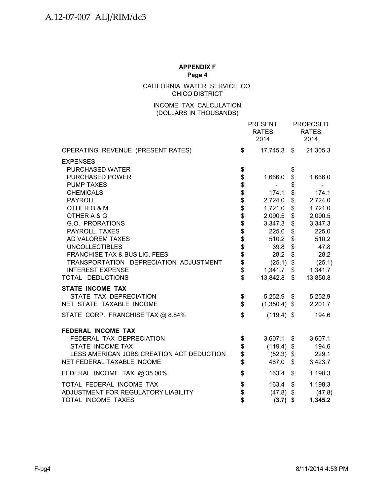CALIFORNIA WATER SERVICE CO. CHICO DISTRICT

# INCOME TAX CALCULATION (DOLLARS IN THOUSANDS)

|                                           |                              | <b>PRESENT</b><br><b>RATES</b><br>2014 |            | <b>PROPOSED</b><br><b>RATES</b><br>2014 |
|-------------------------------------------|------------------------------|----------------------------------------|------------|-----------------------------------------|
| OPERATING REVENUE (PRESENT RATES)         | \$                           | $17,745.3$ \$                          |            | 21,305.3                                |
| <b>EXPENSES</b>                           |                              |                                        |            |                                         |
| PURCHASED WATER                           | \$                           |                                        | \$         |                                         |
| <b>PURCHASED POWER</b>                    | \$                           | 1,666.0                                | \$         | 1,666.0                                 |
| <b>PUMP TAXES</b>                         |                              |                                        | \$         |                                         |
| <b>CHEMICALS</b>                          | \$\$\$\$\$\$\$\$\$\$\$\$\$\$ | 174.1                                  | \$         | 174.1                                   |
| <b>PAYROLL</b>                            |                              | 2,724.0                                | \$         | 2,724.0                                 |
| OTHER O & M                               |                              | 1,721.0                                | \$         | 1,721.0                                 |
| OTHER A & G                               |                              | 2,090.5                                | \$         | 2,090.5                                 |
| G.O. PRORATIONS                           |                              | 3,347.3                                | \$         | 3,347.3                                 |
| PAYROLL TAXES                             |                              | 225.0                                  | \$         | 225.0                                   |
| AD VALOREM TAXES                          |                              | 510.2                                  | \$         | 510.2                                   |
| <b>UNCOLLECTIBLES</b>                     |                              | 39.8                                   | \$         | 47.8                                    |
| FRANCHISE TAX & BUS LIC. FEES             |                              | 28.2                                   | \$         | 28.2                                    |
| TRANSPORTATION DEPRECIATION ADJUSTMENT    |                              | (25.1)                                 | \$         | (25.1)                                  |
| <b>INTEREST EXPENSE</b>                   |                              | 1,341.7                                | \$         | 1,341.7                                 |
| TOTAL DEDUCTIONS                          | \$                           | 13,842.8                               | \$         | 13,850.8                                |
| <b>STATE INCOME TAX</b>                   |                              |                                        |            |                                         |
| STATE TAX DEPRECIATION                    | \$                           | $5,252.9$ \$                           |            | 5,252.9                                 |
| NET STATE TAXABLE INCOME                  | \$                           | $(1,350.4)$ \$                         |            | 2,201.7                                 |
| STATE CORP. FRANCHISE TAX @ 8.84%         | \$                           | $(119.4)$ \$                           |            | 194.6                                   |
| FEDERAL INCOME TAX                        |                              |                                        |            |                                         |
| FEDERAL TAX DEPRECIATION                  | \$                           | 3,607.1                                | \$         | 3,607.1                                 |
| STATE INCOME TAX                          | \$<br>\$                     | $(119.4)$ \$                           |            | 194.6                                   |
| LESS AMERICAN JOBS CREATION ACT DEDUCTION |                              | $(52.3)$ \$                            |            | 229.1                                   |
| NET FEDERAL TAXABLE INCOME                | \$                           | 467.0                                  | $\sqrt{3}$ | 3,423.7                                 |
| FEDERAL INCOME TAX @ 35.00%               | \$                           | 163.4                                  | \$         | 1,198.3                                 |
| TOTAL FEDERAL INCOME TAX                  | \$                           | 163.4                                  | \$         | 1,198.3                                 |
| ADJUSTMENT FOR REGULATORY LIABILITY       | \$                           | $(47.8)$ \$                            |            | (47.8)                                  |
| <b>TOTAL INCOME TAXES</b>                 | \$                           | $(3.7)$ \$                             |            | 1,345.2                                 |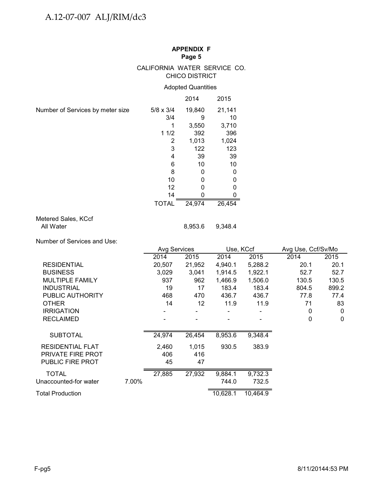#### CALIFORNIA WATER SERVICE CO. CHICO DISTRICT

# Adopted Quantities

|                                  |                  | 2014   | 2015   |
|----------------------------------|------------------|--------|--------|
| Number of Services by meter size | $5/8 \times 3/4$ | 19,840 | 21,141 |
|                                  | 3/4              | 9      | 10     |
|                                  |                  | 3,550  | 3,710  |
|                                  | 11/2             | 392    | 396    |
|                                  | 2                | 1,013  | 1,024  |
|                                  | 3                | 122    | 123    |
|                                  | 4                | 39     | 39     |
|                                  | 6                | 10     | 10     |
|                                  | 8                | 0      | 0      |
|                                  | 10               | 0      | 0      |
|                                  | 12               |        |        |
|                                  | 14               |        |        |
|                                  | <b>TOTAL</b>     | 24,974 | 26,454 |

# Metered Sales, KCcf<br>All Water

Number of Services and Use:

|                                                                         |       | <b>Avg Services</b> |                          | Use, KCcf        |                  | Avg Use, Ccf/Sv/Mo |              |
|-------------------------------------------------------------------------|-------|---------------------|--------------------------|------------------|------------------|--------------------|--------------|
|                                                                         |       | 2014                | 2015                     | 2014             | 2015             | 2014               | 2015         |
| <b>RESIDENTIAL</b>                                                      |       | 20,507              | 21,952                   | 4,940.1          | 5,288.2          | 20.1               | 20.1         |
| <b>BUSINESS</b>                                                         |       | 3,029               | 3,041                    | 1,914.5          | 1,922.1          | 52.7               | 52.7         |
| <b>MULTIPLE FAMILY</b>                                                  |       | 937                 | 962                      | 1,466.9          | 1,506.0          | 130.5              | 130.5        |
| <b>INDUSTRIAL</b>                                                       |       | 19                  | 17                       | 183.4            | 183.4            | 804.5              | 899.2        |
| PUBLIC AUTHORITY                                                        |       | 468                 | 470                      | 436.7            | 436.7            | 77.8               | 77.4         |
| <b>OTHER</b>                                                            |       | 14                  | 12                       | 11.9             | 11.9             | 71                 | 83           |
| <b>IRRIGATION</b>                                                       |       |                     | $\overline{\phantom{a}}$ |                  |                  | 0                  | $\mathbf{0}$ |
| <b>RECLAIMED</b>                                                        |       |                     |                          |                  |                  | 0                  | $\mathbf{0}$ |
| <b>SUBTOTAL</b>                                                         |       | 24,974              | 26,454                   | 8,953.6          | 9,348.4          |                    |              |
| <b>RESIDENTIAL FLAT</b><br><b>PRIVATE FIRE PROT</b><br>PUBLIC FIRE PROT |       | 2,460<br>406<br>45  | 1,015<br>416<br>47       | 930.5            | 383.9            |                    |              |
| <b>TOTAL</b><br>Unaccounted-for water                                   | 7.00% | 27,885              | 27,932                   | 9,884.1<br>744.0 | 9,732.3<br>732.5 |                    |              |
| Total Production                                                        |       |                     |                          | 10,628.1         | 10,464.9         |                    |              |

8,953.6 9,348.4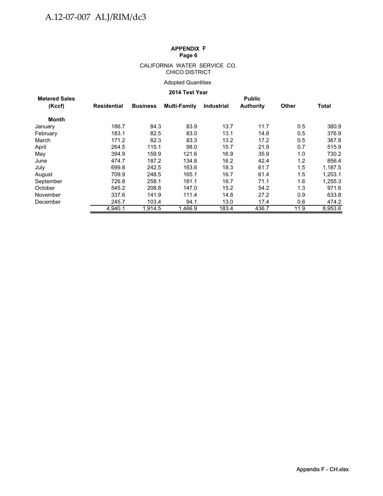#### CALIFORNIA WATER SERVICE CO. CHICO DISTRICT

# Adopted Quantities

#### **2014 Test Year**

| <b>Metered Sales</b> |             |                 |              |                   | <b>Public</b>    |              |              |
|----------------------|-------------|-----------------|--------------|-------------------|------------------|--------------|--------------|
| (Kccf)               | Residential | <b>Business</b> | Multi-Family | <b>Industrial</b> | <b>Authority</b> | <b>Other</b> | <b>Total</b> |
| Month                |             |                 |              |                   |                  |              |              |
| January              | 186.7       | 84.3            | 83.9         | 13.7              | 11.7             | 0.5          | 380.9        |
| February             | 183.1       | 82.5            | 83.0         | 13.1              | 14.8             | 0.5          | 376.9        |
| March                | 171.2       | 82.3            | 83.3         | 13.2              | 17.2             | 0.5          | 367.8        |
| April                | 264.5       | 115.1           | 98.0         | 15.7              | 21.9             | 0.7          | 515.9        |
| May                  | 394.9       | 159.9           | 121.6        | 16.9              | 35.9             | 1.0          | 730.2        |
| June                 | 474.7       | 187.2           | 134.8        | 16.2              | 42.4             | 1.2          | 856.4        |
| July                 | 699.8       | 242.5           | 163.6        | 18.3              | 61.7             | 1.5          | 1.187.5      |
| August               | 709.9       | 248.5           | 165.1        | 16.7              | 61.4             | 1.5          | 1,203.1      |
| September            | 726.8       | 258.1           | 181.1        | 16.7              | 71.1             | 1.6          | 1,255.3      |
| October              | 545.2       | 208.8           | 147.0        | 15.2              | 54.2             | 1.3          | 971.6        |
| November             | 337.6       | 141.9           | 111.4        | 14.8              | 27.2             | 0.9          | 633.8        |
| December             | 245.7       | 103.4           | 94.1         | 13.0              | 17.4             | 0.6          | 474.2        |
|                      | 4.940.1     | 1.914.5         | 1.466.9      | 183.4             | 436.7            | 11.9         | 8,953.6      |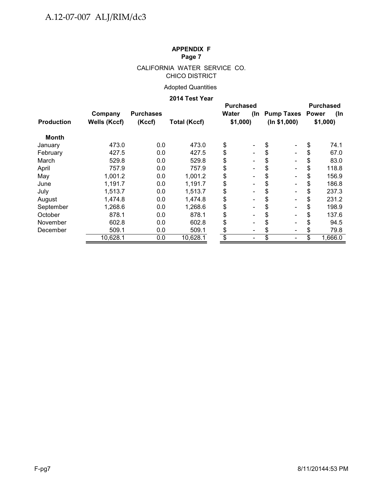# CALIFORNIA WATER SERVICE CO. CHICO DISTRICT

# Adopted Quantities

# **2014 Test Year**

|                                |                            | ZU 14 Test Tear     |                                |                                      |                                    |                      |
|--------------------------------|----------------------------|---------------------|--------------------------------|--------------------------------------|------------------------------------|----------------------|
| Company<br><b>Wells (Kccf)</b> | <b>Purchases</b><br>(Kccf) | <b>Total (Kccf)</b> |                                |                                      | <b>Purchased</b><br>(In<br>\$1,000 |                      |
|                                |                            |                     |                                |                                      |                                    |                      |
| 473.0                          | 0.0                        | 473.0               | \$                             | \$                                   | \$                                 | 74.1                 |
| 427.5                          | 0.0                        | 427.5               | \$                             | \$                                   | \$                                 | 67.0                 |
| 529.8                          | 0.0                        | 529.8               | \$                             | \$                                   | \$                                 | 83.0                 |
| 757.9                          | 0.0                        | 757.9               | \$<br>$\overline{a}$           |                                      | \$                                 | 118.8                |
| 1,001.2                        | 0.0                        | 1,001.2             | \$<br>$\overline{a}$           | \$                                   | \$                                 | 156.9                |
| 1,191.7                        | 0.0                        | 1,191.7             | \$<br>$\blacksquare$           | \$                                   | \$                                 | 186.8                |
| 1,513.7                        | 0.0                        | 1,513.7             | \$<br>$\overline{a}$           | \$                                   | \$                                 | 237.3                |
| 1,474.8                        | 0.0                        | 1,474.8             | \$<br>$\overline{a}$           | S                                    | \$                                 | 231.2                |
| 1,268.6                        | 0.0                        | 1,268.6             | \$<br>$\overline{a}$           | S                                    | \$                                 | 198.9                |
| 878.1                          | 0.0                        | 878.1               | \$<br>$\blacksquare$           |                                      |                                    | 137.6                |
| 602.8                          | 0.0                        | 602.8               | \$                             |                                      |                                    | 94.5                 |
| 509.1                          | 0.0                        | 509.1               | \$<br>$\overline{\phantom{0}}$ |                                      |                                    | 79.8                 |
| 10,628.1                       | 0.0                        | 10,628.1            | \$                             |                                      | \$                                 | 1,666.0              |
|                                |                            |                     |                                | <b>Purchased</b><br>Water<br>\$1,000 | (ln \$1,000)                       | (In Pump Taxes Power |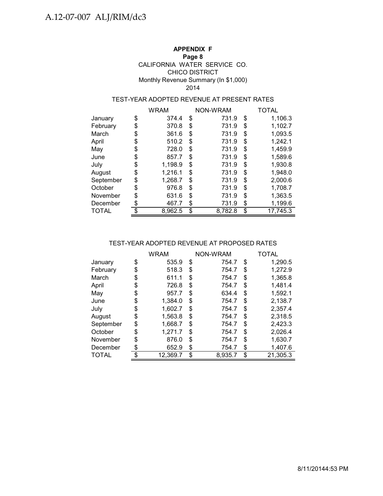# **APPENDIX F**

## **Page 8**

# CALIFORNIA WATER SERVICE CO. CHICO DISTRICT Monthly Revenue Summary (In \$1,000) 2014

# TEST-YEAR ADOPTED REVENUE AT PRESENT RATES

|           | <b>WRAM</b>   | NON-WRAM      | <b>TOTAL</b>   |  |  |  |
|-----------|---------------|---------------|----------------|--|--|--|
| January   | \$<br>374.4   | \$<br>731.9   | \$<br>1,106.3  |  |  |  |
| February  | \$<br>370.8   | \$<br>731.9   | \$<br>1,102.7  |  |  |  |
| March     | \$<br>361.6   | \$<br>731.9   | \$<br>1,093.5  |  |  |  |
| April     | \$<br>510.2   | \$<br>731.9   | \$<br>1,242.1  |  |  |  |
| May       | \$<br>728.0   | \$<br>731.9   | \$<br>1,459.9  |  |  |  |
| June      | \$<br>857.7   | \$<br>731.9   | \$<br>1,589.6  |  |  |  |
| July      | \$<br>1,198.9 | \$<br>731.9   | \$<br>1,930.8  |  |  |  |
| August    | \$<br>1,216.1 | \$<br>731.9   | \$<br>1,948.0  |  |  |  |
| September | \$<br>1,268.7 | \$<br>731.9   | \$<br>2,000.6  |  |  |  |
| October   | \$<br>976.8   | \$<br>731.9   | \$<br>1,708.7  |  |  |  |
| November  | \$<br>631.6   | \$<br>731.9   | \$<br>1,363.5  |  |  |  |
| December  | \$<br>467.7   | \$<br>731.9   | \$<br>1,199.6  |  |  |  |
| TOTAL     | \$<br>8,962.5 | \$<br>8,782.8 | \$<br>17,745.3 |  |  |  |

# TEST-YEAR ADOPTED REVENUE AT PROPOSED RATES

|              | WRAM           | NON-WRAM      | TOTAL          |  |  |
|--------------|----------------|---------------|----------------|--|--|
| January      | \$<br>535.9    | \$<br>754.7   | \$<br>1,290.5  |  |  |
| February     | \$<br>518.3    | \$<br>754.7   | \$<br>1,272.9  |  |  |
| March        | \$<br>611.1    | \$<br>754.7   | \$<br>1,365.8  |  |  |
| April        | \$<br>726.8    | \$<br>754.7   | \$<br>1,481.4  |  |  |
| May          | \$<br>957.7    | \$<br>634.4   | \$<br>1,592.1  |  |  |
| June         | \$<br>1,384.0  | \$<br>754.7   | \$<br>2,138.7  |  |  |
| July         | \$<br>1,602.7  | \$<br>754.7   | \$<br>2,357.4  |  |  |
| August       | \$<br>1,563.8  | \$<br>754.7   | \$<br>2,318.5  |  |  |
| September    | \$<br>1,668.7  | \$<br>754.7   | \$<br>2,423.3  |  |  |
| October      | \$<br>1,271.7  | \$<br>754.7   | \$<br>2,026.4  |  |  |
| November     | \$<br>876.0    | \$<br>754.7   | \$<br>1,630.7  |  |  |
| December     | \$<br>652.9    | \$<br>754.7   | \$<br>1,407.6  |  |  |
| <b>TOTAL</b> | \$<br>12,369.7 | \$<br>8.935.7 | \$<br>21,305.3 |  |  |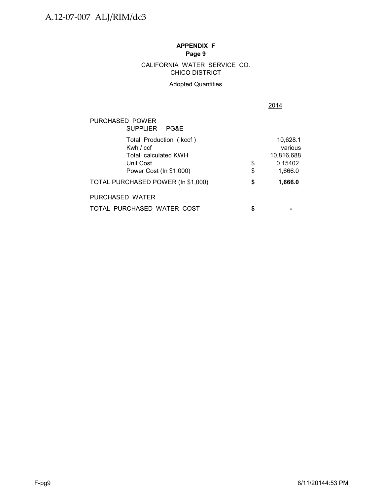CHICO DISTRICT CALIFORNIA WATER SERVICE CO.

# Adopted Quantities

2014

| PURCHASED POWER<br>SUPPLIER - PG&E                                                                   |          |                                                         |
|------------------------------------------------------------------------------------------------------|----------|---------------------------------------------------------|
| Total Production (kccf)<br>Kwh / ccf<br>Total calculated KWH<br>Unit Cost<br>Power Cost (In \$1,000) | \$<br>\$ | 10,628.1<br>various<br>10.816.688<br>0.15402<br>1,666.0 |
| TOTAL PURCHASED POWER (In \$1,000)                                                                   | \$       | 1,666.0                                                 |
| PURCHASED WATER                                                                                      |          |                                                         |
| TOTAL PURCHASED WATER COST                                                                           | S        |                                                         |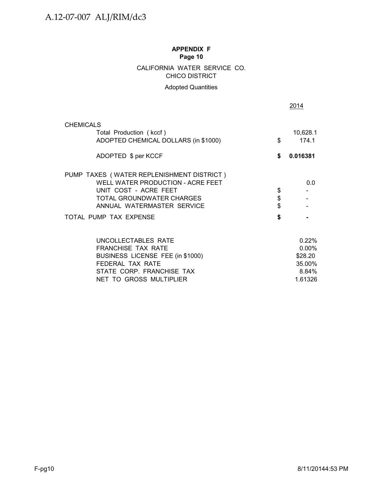# CALIFORNIA WATER SERVICE CO. CHICO DISTRICT

# Adopted Quantities

|                                                                                                                                                                    |                | 2014                                            |
|--------------------------------------------------------------------------------------------------------------------------------------------------------------------|----------------|-------------------------------------------------|
| <b>CHEMICALS</b>                                                                                                                                                   |                |                                                 |
| Total Production (kccf)<br>ADOPTED CHEMICAL DOLLARS (in \$1000)                                                                                                    | \$             | 10,628.1<br>174.1                               |
| ADOPTED \$ per KCCF                                                                                                                                                | \$             | 0.016381                                        |
| PUMP TAXES (WATER REPLENISHMENT DISTRICT)<br>WELL WATER PRODUCTION - ACRE FEET<br>UNIT COST - ACRE FEET<br>TOTAL GROUNDWATER CHARGES<br>ANNUAL WATERMASTER SERVICE | \$<br>\$<br>\$ | 0.0                                             |
| TOTAL PUMP TAX EXPENSE                                                                                                                                             | \$             |                                                 |
| UNCOLLECTABLES RATE<br><b>FRANCHISE TAX RATE</b><br>BUSINESS LICENSE FEE (in \$1000)<br>FEDERAL TAX RATE<br>STATE CORP. FRANCHISE TAX                              |                | 0.22%<br>$0.00\%$<br>\$28.20<br>35.00%<br>8.84% |
| NET TO GROSS MULTIPLIER                                                                                                                                            |                | 1.61326                                         |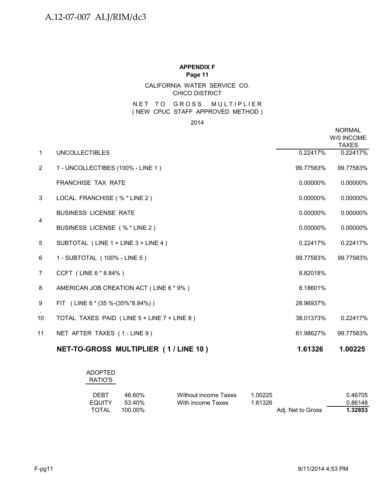# CALIFORNIA WATER SERVICE CO. CHICO DISTRICT

# NET TO GROSS MULTIPLIER ( NEW CPUC STAFF APPROVED METHOD )

2014

|                |                                             |             | <b>NORMAL</b><br>W/0 INCOME<br><b>TAXES</b> |
|----------------|---------------------------------------------|-------------|---------------------------------------------|
| $\mathbf{1}$   | <b>UNCOLLECTIBLES</b>                       | 0.22417%    | 0.22417%                                    |
| $\overline{2}$ | 1 - UNCOLLECTIBES (100% - LINE 1)           | 99.77583%   | 99.77583%                                   |
|                | FRANCHISE TAX RATE                          | 0.00000%    | 0.00000%                                    |
| 3              | LOCAL FRANCHISE (% * LINE 2)                | $0.00000\%$ | 0.00000%                                    |
|                | <b>BUSINESS LICENSE RATE</b>                | 0.00000%    | 0.00000%                                    |
| $\overline{4}$ | BUSINESS LICENSE (% * LINE 2)               | 0.00000%    | 0.00000%                                    |
| 5              | SUBTOTAL (LINE 1 + LINE 3 + LINE 4)         | 0.22417%    | 0.22417%                                    |
| 6              | 1 - SUBTOTAL (100% - LINE 5)                | 99.77583%   | 99.77583%                                   |
| 7              | CCFT (LINE 6 * 8.84%)                       | 8.82018%    |                                             |
| 8              | AMERICAN JOB CREATION ACT (LINE 6 * 9%)     | 8.18601%    |                                             |
| 9              | FIT (LINE 6 $*(35\%-(35\%*8.84\%))$         | 28.96937%   |                                             |
| 10             | TOTAL TAXES PAID (LINE 5 + LINE 7 + LINE 8) | 38.01373%   | 0.22417%                                    |
| 11             | NET AFTER TAXES (1-LINE 9)                  | 61.98627%   | 99.77583%                                   |
|                | NET-TO-GROSS MULTIPLIER (1/LINE 10)         | 1.61326     | 1.00225                                     |

# ADOPTED

|  | ×<br>×<br>٧ |
|--|-------------|
|  |             |

| DEBT   | 46.60%    | Without income Taxes | 1.00225 |                   | 0.46705 |
|--------|-----------|----------------------|---------|-------------------|---------|
| EQUITY | $53,40\%$ | With income Taxes    | 1.61326 |                   | 0.86148 |
| TOTAL  | 100.00%   |                      |         | Adi. Net to Gross | 1.32853 |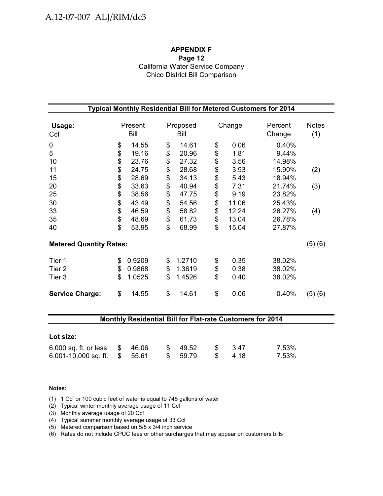# **APPENDIX F Page 12** California Water Service Company Chico District Bill Comparison

| Typical Monthly Residential Bill for Metered Customers for 2014    |                                  |                                                    |                                  |                                                    |                                  |                                                 |                                                          |                     |  |  |  |
|--------------------------------------------------------------------|----------------------------------|----------------------------------------------------|----------------------------------|----------------------------------------------------|----------------------------------|-------------------------------------------------|----------------------------------------------------------|---------------------|--|--|--|
| Usage:<br>Ccf                                                      |                                  | Present<br>Bill                                    |                                  | Proposed<br>Bill                                   |                                  | Change                                          | Percent<br>Change                                        | <b>Notes</b><br>(1) |  |  |  |
| 0<br>5<br>10<br>11                                                 | \$<br>\$<br>\$<br>\$             | 14.55<br>19.16<br>23.76<br>24.75                   | \$<br>\$<br>\$<br>\$             | 14.61<br>20.96<br>27.32<br>28.68                   | \$<br>\$<br>\$<br>\$             | 0.06<br>1.81<br>3.56<br>3.93                    | 0.40%<br>9.44%<br>14.98%<br>15.90%                       | (2)                 |  |  |  |
| 15<br>20<br>25<br>30<br>33<br>35                                   | \$<br>\$<br>\$<br>\$<br>\$<br>\$ | 28.69<br>33.63<br>38.56<br>43.49<br>46.59<br>48.69 | \$<br>\$<br>\$<br>\$<br>\$<br>\$ | 34.13<br>40.94<br>47.75<br>54.56<br>58.82<br>61.73 | \$<br>\$<br>\$<br>\$<br>\$<br>\$ | 5.43<br>7.31<br>9.19<br>11.06<br>12.24<br>13.04 | 18.94%<br>21.74%<br>23.82%<br>25.43%<br>26.27%<br>26.78% | (3)<br>(4)          |  |  |  |
| 40<br><b>Metered Quantity Rates:</b><br>Tier 1<br>Tier 2<br>Tier 3 | \$<br>\$<br>\$<br>\$             | 53.95<br>0.9209<br>0.9868<br>1.0525                | \$<br>\$<br>\$<br>\$             | 68.99<br>1.2710<br>1.3619<br>1.4526                | \$<br>\$<br>\$<br>\$             | 15.04<br>0.35<br>0.38<br>0.40                   | 27.87%<br>38.02%<br>38.02%<br>38.02%                     | (5)(6)              |  |  |  |
| <b>Service Charge:</b>                                             | \$                               | 14.55                                              | \$                               | 14.61                                              | \$                               | 0.06                                            | 0.40%                                                    | (5)(6)              |  |  |  |

## **Monthly Residential Bill for Flat-rate Customers for 2014**

| Lot size:                     |  |          |                |       |       |
|-------------------------------|--|----------|----------------|-------|-------|
| 6,000 sq. ft. or less \$46.06 |  | \$49.52  | $\mathbb{S}$   | - 347 | 7.53% |
| 6,001-10,000 sq. ft. $$5.61$  |  | \$ 59.79 | $\mathbb{S}$ . | -4.18 | 7.53% |

#### **Notes:**

- (1) 1 Ccf or 100 cubic feet of water is equal to 748 gallons of water
- (2) Typical winter monthly average usage of 11 Ccf
- (3) Monthly average usage of 20 Ccf
- (4) Typical summer monthly average usage of 33 Ccf
- (5) Metered comparison based on 5/8 x 3/4 inch service
- (6) Rates do not include CPUC fees or other surcharges that may appear on customers bills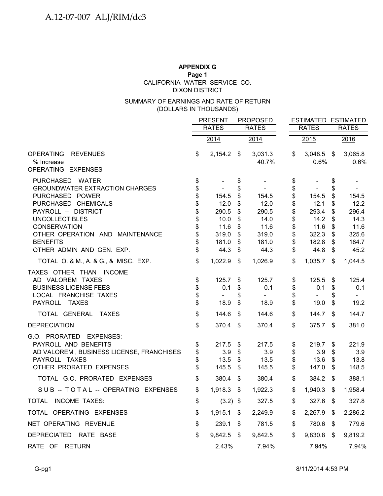# **APPENDIX G Page 1** DIXON DISTRICT CALIFORNIA WATER SERVICE CO.

# (DOLLARS IN THOUSANDS) SUMMARY OF EARNINGS AND RATE OF RETURN

|                                            | <b>PRESENT</b> |               |          | <b>PROPOSED</b>  |              |                      | <b>ESTIMATED ESTIMATED</b> |                 |
|--------------------------------------------|----------------|---------------|----------|------------------|--------------|----------------------|----------------------------|-----------------|
|                                            |                | <b>RATES</b>  |          | <b>RATES</b>     | <b>RATES</b> |                      |                            | <b>RATES</b>    |
|                                            |                | 2014          |          | 2014             |              | 2015                 |                            | 2016            |
| OPERATING<br><b>REVENUES</b><br>% Increase | \$             | $2,154.2$ \$  |          | 3,031.3<br>40.7% | \$           | $3,048.5$ \$<br>0.6% |                            | 3,065.8<br>0.6% |
| OPERATING EXPENSES                         |                |               |          |                  |              |                      |                            |                 |
| PURCHASED WATER                            | \$             |               | \$       |                  | \$           |                      | \$                         |                 |
| <b>GROUNDWATER EXTRACTION CHARGES</b>      | \$             |               | \$       |                  | \$           |                      | \$                         |                 |
| PURCHASED POWER                            | \$             | 154.5         | \$       | 154.5            | \$           | 154.5                | \$                         | 154.5           |
| PURCHASED CHEMICALS<br>PAYROLL -- DISTRICT | \$<br>\$       | 12.0<br>290.5 | \$       | 12.0             | \$           | 12.1<br>293.4        | \$                         | 12.2<br>296.4   |
| <b>UNCOLLECTIBLES</b>                      | \$             | 10.0          | \$<br>\$ | 290.5<br>14.0    | \$<br>\$     | 14.2                 | \$<br>\$                   | 14.3            |
| <b>CONSERVATION</b>                        | \$             | 11.6          | \$       | 11.6             | \$           | 11.6                 | \$                         | 11.6            |
| OTHER OPERATION AND MAINTENANCE            | \$             | 319.0         | \$       | 319.0            | \$           | 322.3                | \$                         | 325.6           |
| <b>BENEFITS</b>                            | \$             | 181.0         | \$       | 181.0            | \$           | 182.8                | \$                         | 184.7           |
| OTHER ADMIN AND GEN. EXP.                  | \$             | 44.3          | \$       | 44.3             | \$           | 44.8                 | \$                         | 45.2            |
| TOTAL O. & M., A. & G., & MISC. EXP.       | \$             | 1,022.9       | \$       | 1,026.9          | \$           | 1,035.7              | \$                         | 1,044.5         |
| TAXES OTHER THAN INCOME                    |                |               |          |                  |              |                      |                            |                 |
| AD VALOREM TAXES                           | \$             | 125.7         | S        | 125.7            | \$           | 125.5                | S.                         | 125.4           |
| <b>BUSINESS LICENSE FEES</b>               | \$             | 0.1           | \$       | 0.1              | \$           | 0.1                  | \$                         | 0.1             |
| LOCAL FRANCHISE TAXES                      | \$             |               | \$       |                  | \$           |                      | S                          |                 |
| PAYROLL TAXES                              | \$             | 18.9          | \$       | 18.9             | \$           | 19.0                 | \$                         | 19.2            |
| TOTAL GENERAL<br>TAXES                     | \$             | 144.6         | \$       | 144.6            | \$           | 144.7                | \$                         | 144.7           |
| <b>DEPRECIATION</b>                        | \$             | 370.4         | -\$      | 370.4            | \$           | 375.7                | \$                         | 381.0           |
| G.O. PRORATED EXPENSES:                    |                |               |          |                  |              |                      |                            |                 |
| PAYROLL AND BENEFITS                       | \$             | 217.5         | \$       | 217.5            | \$           | 219.7                | \$                         | 221.9           |
| AD VALOREM, BUSINESS LICENSE, FRANCHISES   | \$             | 3.9           | \$       | 3.9              | \$           | 3.9                  | \$                         | 3.9             |
| PAYROLL TAXES                              | \$             | 13.5          | \$       | 13.5             | \$           | 13.6                 | \$                         | 13.8            |
| OTHER PRORATED EXPENSES                    | \$             | 145.5         | \$       | 145.5            | \$           | 147.0                | \$                         | 148.5           |
| TOTAL G.O. PRORATED EXPENSES               | \$             | 380.4         | \$       | 380.4            | \$           | 384.2                | \$                         | 388.1           |
| SUB -- TOTAL -- OPERATING EXPENSES         | \$             | $1,918.3$ \$  |          | 1,922.3          | \$           | 1,940.3              | \$                         | 1,958.4         |
| <b>INCOME TAXES:</b><br>TOTAL              | \$             | $(3.2)$ \$    |          | 327.5            | \$           | 327.6                | \$                         | 327.8           |
| TOTAL OPERATING EXPENSES                   | \$             | $1,915.1$ \$  |          | 2,249.9          | \$           | 2,267.9              | \$                         | 2,286.2         |
| NET OPERATING REVENUE                      | \$             | $239.1$ \$    |          | 781.5            | \$           | 780.6                | \$                         | 779.6           |
| DEPRECIATED RATE BASE                      | \$             | 9,842.5 \$    |          | 9,842.5          | \$           | 9,830.8              | - \$                       | 9,819.2         |
| RATE OF RETURN                             |                | 2.43%         |          | 7.94%            |              | 7.94%                |                            | 7.94%           |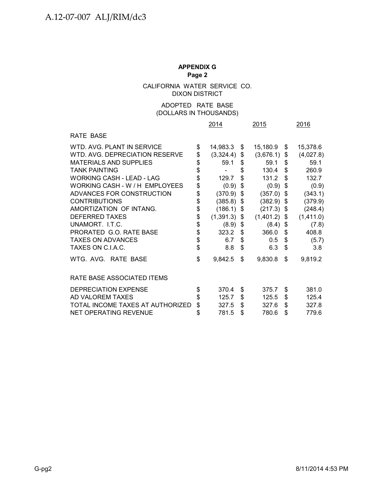CALIFORNIA WATER SERVICE CO. DIXON DISTRICT

#### (DOLLARS IN THOUSANDS) ADOPTED RATE BASE

|                                  | 2014       |           |    | 2015      | 2016 |           |
|----------------------------------|------------|-----------|----|-----------|------|-----------|
| RATE BASE                        |            |           |    |           |      |           |
| WTD, AVG, PLANT IN SERVICE       | \$         | 14,983.3  | \$ | 15,180.9  | \$   | 15,378.6  |
| WTD, AVG, DEPRECIATION RESERVE   | \$         | (3,324.4) | \$ | (3,676.1) | \$   | (4,027.8) |
| <b>MATERIALS AND SUPPLIES</b>    | \$         | 59.1      | \$ | 59.1      | \$   | 59.1      |
| <b>TANK PAINTING</b>             | \$         |           | \$ | 130.4     | \$   | 260.9     |
| <b>WORKING CASH - LEAD - LAG</b> | \$         | 129.7     | \$ | 131.2     | \$   | 132.7     |
| WORKING CASH - W / H EMPLOYEES   | \$         | (0.9)     | \$ | (0.9)     | \$   | (0.9)     |
| ADVANCES FOR CONSTRUCTION        | \$         | (370.9)   | \$ | (357.0)   | \$   | (343.1)   |
| <b>CONTRIBUTIONS</b>             | \$         | (385.8)   | \$ | (382.9)   | \$   | (379.9)   |
| AMORTIZATION OF INTANG.          | \$         | (186.1)   | \$ | (217.3)   | \$   | (248.4)   |
| <b>DEFERRED TAXES</b>            | $\dot{\$}$ | (1,391.3) | \$ | (1,401.2) | \$   | (1,411.0) |
| UNAMORT. LT.C.                   | \$         | (8.9)     | \$ | (8.4)     | \$   | (7.8)     |
| PRORATED G.O. RATE BASE          | \$         | 323.2     | \$ | 366.0     | \$   | 408.8     |
| <b>TAXES ON ADVANCES</b>         | \$         | 6.7       | \$ | 0.5       | \$   | (5.7)     |
| TAXES ON C.I.A.C.                | \$         | 8.8       | \$ | 6.3       | \$   | 3.8       |
| WTG. AVG. RATE BASE              | \$         | 9,842.5   | \$ | 9,830.8   | \$   | 9,819.2   |
| RATE BASE ASSOCIATED ITEMS       |            |           |    |           |      |           |
| <b>DEPRECIATION EXPENSE</b>      | \$         | 370.4     | \$ | 375.7     | \$   | 381.0     |
| AD VALOREM TAXES                 | \$         | 125.7     | \$ | 125.5     | \$   | 125.4     |
| TOTAL INCOME TAXES AT AUTHORIZED | \$         | 327.5     | \$ | 327.6     | \$   | 327.8     |
| <b>NET OPERATING REVENUE</b>     | \$         | 781.5     | \$ | 780.6     | \$   | 779.6     |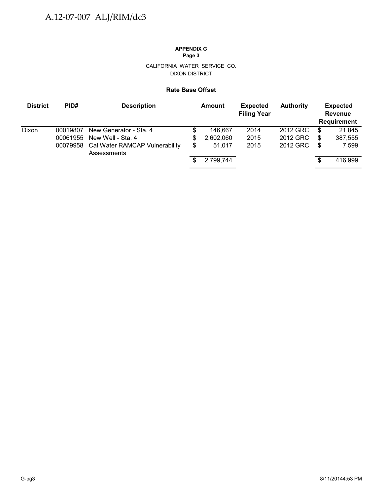#### CALIFORNIA WATER SERVICE CO. DIXON DISTRICT

#### **Rate Base Offset**

| <b>District</b> | PID#                             | <b>Description</b>                                                                           |               | <b>Amount</b>                  | <b>Expected</b><br><b>Filing Year</b> | <b>Authority</b>                 |              | <b>Expected</b><br><b>Revenue</b><br><b>Requirement</b> |
|-----------------|----------------------------------|----------------------------------------------------------------------------------------------|---------------|--------------------------------|---------------------------------------|----------------------------------|--------------|---------------------------------------------------------|
| Dixon           | 00019807<br>00061955<br>00079958 | New Generator - Sta. 4<br>New Well - Sta, 4<br>Cal Water RAMCAP Vulnerability<br>Assessments | S<br>S.<br>\$ | 146.667<br>2,602,060<br>51.017 | 2014<br>2015<br>2015                  | 2012 GRC<br>2012 GRC<br>2012 GRC | S<br>S<br>\$ | 21,845<br>387,555<br>7,599                              |
|                 |                                  |                                                                                              | S.            | 2,799,744                      |                                       |                                  | S            | 416,999                                                 |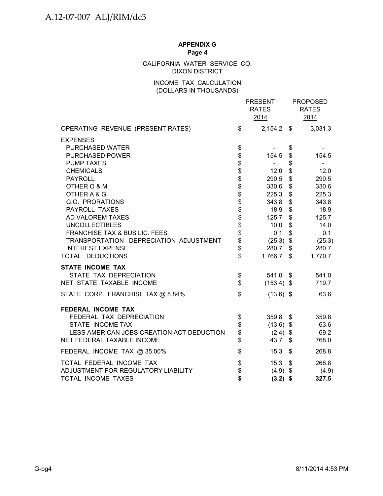#### CALIFORNIA WATER SERVICE CO. DIXON DISTRICT

### INCOME TAX CALCULATION (DOLLARS IN THOUSANDS)

|                                                                   |                                | <b>PRESENT</b><br><b>RATES</b><br>2014 |               | <b>PROPOSED</b><br><b>RATES</b><br>2014 |
|-------------------------------------------------------------------|--------------------------------|----------------------------------------|---------------|-----------------------------------------|
| OPERATING REVENUE (PRESENT RATES)                                 | \$                             | $2,154.2$ \$                           |               | 3,031.3                                 |
| <b>EXPENSES</b>                                                   |                                |                                        |               |                                         |
| <b>PURCHASED WATER</b>                                            | \$                             |                                        | \$            |                                         |
| <b>PURCHASED POWER</b>                                            |                                | 154.5                                  | \$            | 154.5                                   |
| <b>PUMP TAXES</b>                                                 | <b>88888888888888888888888</b> | $\sim$                                 | \$            |                                         |
| <b>CHEMICALS</b>                                                  |                                | 12.0                                   | \$            | 12.0                                    |
| <b>PAYROLL</b>                                                    |                                | 290.5                                  | \$            | 290.5                                   |
| OTHER O & M                                                       |                                | 330.6                                  | \$            | 330.6                                   |
| OTHER A & G                                                       |                                | 225.3                                  | \$            | 225.3                                   |
| G.O. PRORATIONS                                                   |                                | 343.8                                  | \$            | 343.8                                   |
| PAYROLL TAXES                                                     |                                | 18.9                                   | \$            | 18.9                                    |
| AD VALOREM TAXES                                                  |                                | 125.7                                  | \$            | 125.7                                   |
| <b>UNCOLLECTIBLES</b>                                             |                                | 10.0                                   | \$            | 14.0                                    |
| <b>FRANCHISE TAX &amp; BUS LIC. FEES</b>                          |                                | 0.1                                    | \$            | 0.1                                     |
| TRANSPORTATION DEPRECIATION ADJUSTMENT<br><b>INTEREST EXPENSE</b> |                                | $(25.3)$ \$<br>280.7 \$                |               | (25.3)<br>280.7                         |
| TOTAL DEDUCTIONS                                                  | \$                             | 1,766.7 \$                             |               | 1,770.7                                 |
| <b>STATE INCOME TAX</b>                                           |                                |                                        |               |                                         |
| STATE TAX DEPRECIATION                                            | \$                             | 541.0 \$                               |               | 541.0                                   |
| NET STATE TAXABLE INCOME                                          | \$                             | $(153.4)$ \$                           |               | 719.7                                   |
| STATE CORP. FRANCHISE TAX @ 8.84%                                 | \$                             | $(13.6)$ \$                            |               | 63.6                                    |
| FEDERAL INCOME TAX                                                |                                |                                        |               |                                         |
| FEDERAL TAX DEPRECIATION                                          | \$                             | 359.8 \$                               |               | 359.8                                   |
| STATE INCOME TAX                                                  | \$                             | $(13.6)$ \$                            |               | 63.6                                    |
| LESS AMERICAN JOBS CREATION ACT DEDUCTION                         | \$                             | $(2.4)$ \$                             |               | 69.2                                    |
| NET FEDERAL TAXABLE INCOME                                        | \$                             | 43.7                                   | $\sqrt[6]{3}$ | 768.0                                   |
| FEDERAL INCOME TAX @ 35.00%                                       | \$                             | 15.3                                   | \$            | 268.8                                   |
| TOTAL FEDERAL INCOME TAX                                          | \$                             | 15.3                                   | \$            | 268.8                                   |
| ADJUSTMENT FOR REGULATORY LIABILITY                               | \$                             | $(4.9)$ \$                             |               | (4.9)                                   |
| TOTAL INCOME TAXES                                                | \$                             | $(3.2)$ \$                             |               | 327.5                                   |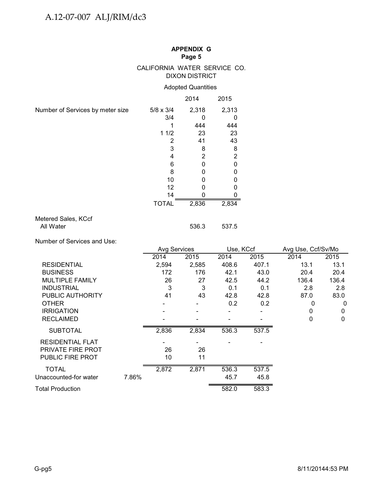### CALIFORNIA WATER SERVICE CO. DIXON DISTRICT

#### Adopted Quantities

|                                  |                  | 2014         | 2015           |
|----------------------------------|------------------|--------------|----------------|
| Number of Services by meter size | $5/8 \times 3/4$ | 2,318        | 2,313          |
|                                  | 3/4              |              | 0              |
|                                  |                  | 444          | 444            |
|                                  | 11/2             | 23           | 23             |
|                                  | 2                | 41           | 43             |
|                                  | 3                | 8            | 8              |
|                                  | 4                | 2            | $\overline{2}$ |
|                                  | 6                | 0            | 0              |
|                                  | 8                | 0            | 0              |
|                                  | 10               | O            | o              |
|                                  | 12               | $\mathbf{0}$ | o              |
|                                  | 14               |              |                |
|                                  | <b>TOTAL</b>     | 2,836        | 2,834          |
| Metered Sales, KCcf              |                  |              |                |

#### Metered Sales, KCcf All Water 536.3 537.5

Number of Services and Use:

|                         |       | Avg Services |       | Use, KCcf |       | Avg Use, Ccf/Sv/Mo |              |  |
|-------------------------|-------|--------------|-------|-----------|-------|--------------------|--------------|--|
|                         |       | 2014         | 2015  | 2014      | 2015  | 2014               | 2015         |  |
| <b>RESIDENTIAL</b>      |       | 2,594        | 2,585 | 408.6     | 407.1 | 13.1               | 13.1         |  |
| <b>BUSINESS</b>         |       | 172          | 176   | 42.1      | 43.0  | 20.4               | 20.4         |  |
| <b>MULTIPLE FAMILY</b>  |       | 26           | 27    | 42.5      | 44.2  | 136.4              | 136.4        |  |
| <b>INDUSTRIAL</b>       |       | 3            | 3     | 0.1       | 0.1   | 2.8                | 2.8          |  |
| PUBLIC AUTHORITY        |       | 41           | 43    | 42.8      | 42.8  | 87.0               | 83.0         |  |
| <b>OTHER</b>            |       |              |       | 0.2       | 0.2   | 0                  | 0            |  |
| <b>IRRIGATION</b>       |       |              |       |           |       | 0                  | 0            |  |
| <b>RECLAIMED</b>        |       |              |       |           |       | 0                  | $\mathbf{0}$ |  |
| <b>SUBTOTAL</b>         |       | 2,836        | 2,834 | 536.3     | 537.5 |                    |              |  |
| <b>RESIDENTIAL FLAT</b> |       |              |       |           |       |                    |              |  |
| PRIVATE FIRE PROT       |       | 26           | 26    |           |       |                    |              |  |
| <b>PUBLIC FIRE PROT</b> |       | 10           | 11    |           |       |                    |              |  |
| <b>TOTAL</b>            |       | 2,872        | 2,871 | 536.3     | 537.5 |                    |              |  |
| Unaccounted-for water   | 7.86% |              |       | 45.7      | 45.8  |                    |              |  |
| Total Production        |       |              |       | 582.0     | 583.3 |                    |              |  |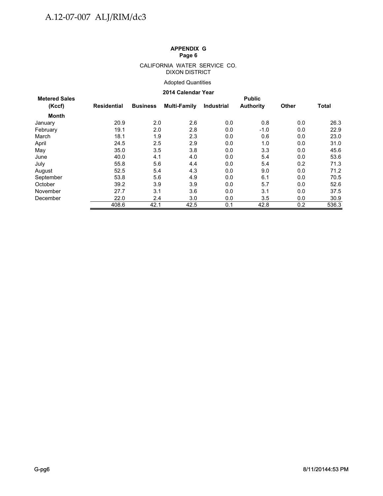#### CALIFORNIA WATER SERVICE CO. DIXON DISTRICT

### Adopted Quantities

#### **2014 Calendar Year**

| <b>Metered Sales</b> |                    |                 |              |                   | <b>Public</b>    |              |              |
|----------------------|--------------------|-----------------|--------------|-------------------|------------------|--------------|--------------|
| (Kccf)               | <b>Residential</b> | <b>Business</b> | Multi-Family | <b>Industrial</b> | <b>Authority</b> | <b>Other</b> | <b>Total</b> |
| Month                |                    |                 |              |                   |                  |              |              |
| January              | 20.9               | 2.0             | 2.6          | 0.0               | 0.8              | 0.0          | 26.3         |
| February             | 19.1               | 2.0             | 2.8          | 0.0               | $-1.0$           | 0.0          | 22.9         |
| March                | 18.1               | 1.9             | 2.3          | 0.0               | 0.6              | 0.0          | 23.0         |
| April                | 24.5               | 2.5             | 2.9          | 0.0               | 1.0              | 0.0          | 31.0         |
| May                  | 35.0               | 3.5             | 3.8          | 0.0               | 3.3              | 0.0          | 45.6         |
| June                 | 40.0               | 4.1             | 4.0          | 0.0               | 5.4              | 0.0          | 53.6         |
| July                 | 55.8               | 5.6             | 4.4          | 0.0               | 5.4              | 0.2          | 71.3         |
| August               | 52.5               | 5.4             | 4.3          | 0.0               | 9.0              | 0.0          | 71.2         |
| September            | 53.8               | 5.6             | 4.9          | 0.0               | 6.1              | 0.0          | 70.5         |
| October              | 39.2               | 3.9             | 3.9          | 0.0               | 5.7              | 0.0          | 52.6         |
| November             | 27.7               | 3.1             | 3.6          | 0.0               | 3.1              | 0.0          | 37.5         |
| December             | 22.0               | 2.4             | 3.0          | 0.0               | 3.5              | 0.0          | 30.9         |
|                      | 408.6              | 42.1            | 42.5         | 0.1               | 42.8             | 0.2          | 536.3        |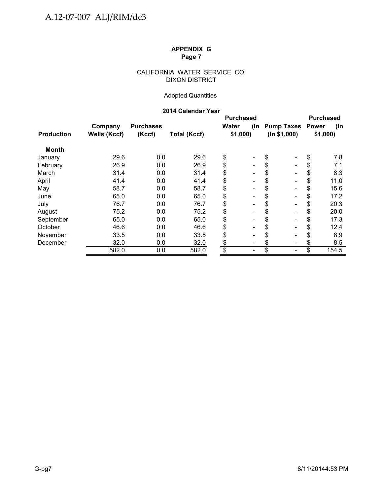#### CALIFORNIA WATER SERVICE CO. DIXON DISTRICT

### Adopted Quantities

### **2014 Calendar Year**

|                   |                     |                  |                     | <b>Purchased</b> |                              |                                | <b>Purchased</b> |         |  |
|-------------------|---------------------|------------------|---------------------|------------------|------------------------------|--------------------------------|------------------|---------|--|
|                   | Company             | <b>Purchases</b> |                     | Water            | (In                          | <b>Pump Taxes</b>              | <b>Power</b>     | (In     |  |
| <b>Production</b> | <b>Wells (Kccf)</b> | (Kccf)           | <b>Total (Kccf)</b> | \$1,000          |                              | (ln \$1,000)                   |                  | \$1,000 |  |
| <b>Month</b>      |                     |                  |                     |                  |                              |                                |                  |         |  |
| January           | 29.6                | 0.0              | 29.6                | \$               | $\overline{\phantom{a}}$     | \$<br>$\overline{\phantom{a}}$ | \$               | 7.8     |  |
| February          | 26.9                | 0.0              | 26.9                | \$               |                              | \$<br>$\blacksquare$           | \$               | 7.1     |  |
| March             | 31.4                | 0.0              | 31.4                | \$               |                              | \$<br>$\blacksquare$           | \$               | 8.3     |  |
| April             | 41.4                | 0.0              | 41.4                | \$               | $\overline{\phantom{0}}$     | \$<br>$\blacksquare$           | \$               | 11.0    |  |
| May               | 58.7                | 0.0              | 58.7                | \$               | $\qquad \qquad \blacksquare$ | \$<br>$\overline{\phantom{a}}$ |                  | 15.6    |  |
| June              | 65.0                | 0.0              | 65.0                | \$               | Ξ.                           | \$<br>$\blacksquare$           | \$               | 17.2    |  |
| July              | 76.7                | 0.0              | 76.7                | \$               | $\overline{\phantom{0}}$     | \$<br>$\blacksquare$           | \$               | 20.3    |  |
| August            | 75.2                | 0.0              | 75.2                | \$               |                              | \$<br>$\blacksquare$           | \$               | 20.0    |  |
| September         | 65.0                | 0.0              | 65.0                | \$               |                              | \$<br>$\overline{\phantom{a}}$ | S                | 17.3    |  |
| October           | 46.6                | 0.0              | 46.6                | \$               |                              | \$<br>$\blacksquare$           | S                | 12.4    |  |
| November          | 33.5                | 0.0              | 33.5                | \$               | $\qquad \qquad \blacksquare$ | \$<br>$\overline{\phantom{a}}$ |                  | 8.9     |  |
| December          | 32.0                | 0.0              | 32.0                | \$               | -                            | \$<br>$\blacksquare$           |                  | 8.5     |  |
|                   | 582.0               | 0.0              | 582.0               | \$               | -                            | \$<br>$\blacksquare$           | \$               | 154.5   |  |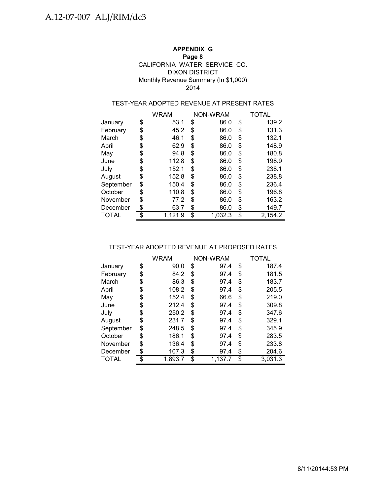#### **APPENDIX G Page 8** DIXON DISTRICT Monthly Revenue Summary (In \$1,000) CALIFORNIA WATER SERVICE CO. 2014

### TEST-YEAR ADOPTED REVENUE AT PRESENT RATES

|           | WRAM          | NON-WRAM      | TOTAL         |
|-----------|---------------|---------------|---------------|
| January   | \$<br>53.1    | \$<br>86.0    | \$<br>139.2   |
| February  | \$<br>45.2    | \$<br>86.0    | \$<br>131.3   |
| March     | \$<br>46.1    | \$<br>86.0    | \$<br>132.1   |
| April     | \$<br>62.9    | \$<br>86.0    | \$<br>148.9   |
| May       | \$<br>94.8    | \$<br>86.0    | \$<br>180.8   |
| June      | \$<br>112.8   | \$<br>86.0    | \$<br>198.9   |
| July      | \$<br>152.1   | \$<br>86.0    | \$<br>238.1   |
| August    | \$<br>152.8   | \$<br>86.0    | \$<br>238.8   |
| September | \$<br>150.4   | \$<br>86.0    | \$<br>236.4   |
| October   | \$<br>110.8   | \$<br>86.0    | \$<br>196.8   |
| November  | \$<br>77.2    | \$<br>86.0    | \$<br>163.2   |
| December  | \$<br>63.7    | \$<br>86.0    | \$<br>149.7   |
| TOTAL     | \$<br>1.121.9 | \$<br>1.032.3 | \$<br>2,154.2 |

#### TEST-YEAR ADOPTED REVENUE AT PROPOSED RATES

|           | <b>WRAM</b> | NON-WRAM      | <b>TOTAL</b>  |  |
|-----------|-------------|---------------|---------------|--|
| January   | \$<br>90.0  | \$<br>97.4    | \$<br>187.4   |  |
| February  | \$<br>84.2  | \$<br>97.4    | \$<br>181.5   |  |
| March     | \$<br>86.3  | \$<br>97.4    | \$<br>183.7   |  |
| April     | \$<br>108.2 | \$<br>97.4    | \$<br>205.5   |  |
| May       | \$<br>152.4 | \$<br>66.6    | \$<br>219.0   |  |
| June      | \$<br>212.4 | \$<br>97.4    | \$<br>309.8   |  |
| July      | \$<br>250.2 | \$<br>97.4    | \$<br>347.6   |  |
| August    | \$<br>231.7 | \$<br>97.4    | \$<br>329.1   |  |
| September | \$<br>248.5 | \$<br>97.4    | \$<br>345.9   |  |
| October   | \$<br>186.1 | \$<br>97.4    | \$<br>283.5   |  |
| November  | \$<br>136.4 | \$<br>97.4    | \$<br>233.8   |  |
| December  | \$<br>107.3 | \$<br>97.4    | \$<br>204.6   |  |
| TOTAL     | 1,893.7     | \$<br>1,137.7 | \$<br>3,031.3 |  |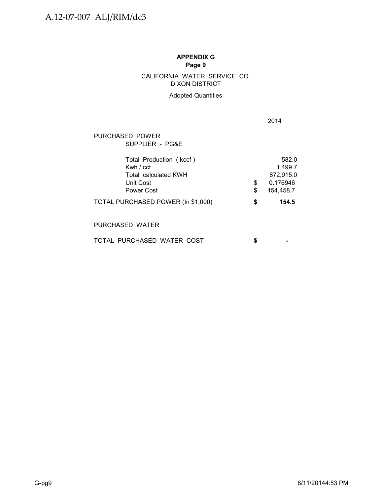## DIXON DISTRICT CALIFORNIA WATER SERVICE CO.

#### Adopted Quantities

2014

### PURCHASED POWER SUPPLIER - PG&E

| Total Production (kccf)<br>Kwh $/$ ccf |   | 582.0<br>1.499.7 |
|----------------------------------------|---|------------------|
| Total calculated KWH                   |   | 872,915.0        |
| Unit Cost                              |   | 0.176946         |
| Power Cost                             |   | 154.458.7        |
| TOTAL PURCHASED POWER (In \$1,000)     | S | 154.5            |

### PURCHASED WATER

| TOTAL PURCHASED WATER COST |  |  |  |
|----------------------------|--|--|--|
|                            |  |  |  |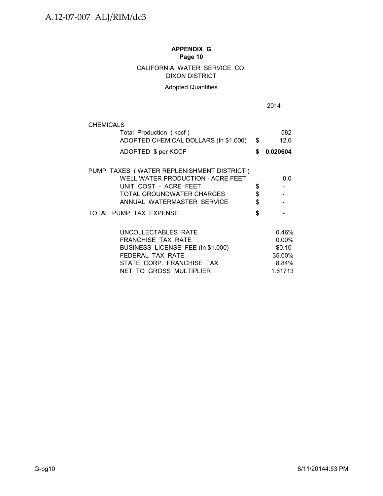### CALIFORNIA WATER SERVICE CO. DIXON DISTRICT

### Adopted Quantities

|                | 2014                                                         |
|----------------|--------------------------------------------------------------|
|                |                                                              |
| \$             | 582<br>12.0                                                  |
| \$             | 0.020604                                                     |
| \$<br>\$<br>\$ | 0.0                                                          |
| \$             |                                                              |
|                | $0.46\%$<br>$0.00\%$<br>\$0.10<br>35.00%<br>8.84%<br>1.61713 |
|                |                                                              |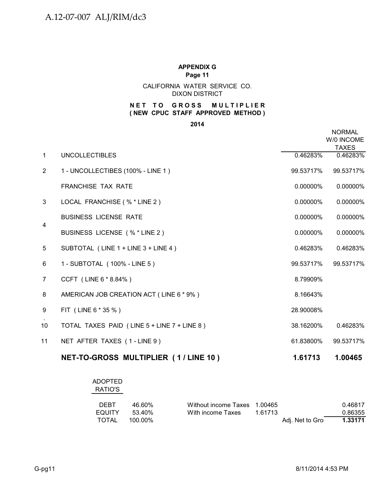CALIFORNIA WATER SERVICE CO. DIXON DISTRICT

#### **NET TO GROSS MULTIPLIER ( NEW CPUC STAFF APPROVED METHOD )**

**2014**

|                |                                             |           | <b>NORMAL</b><br>W/0 INCOME<br><b>TAXES</b> |
|----------------|---------------------------------------------|-----------|---------------------------------------------|
| $\mathbf{1}$   | <b>UNCOLLECTIBLES</b>                       | 0.46283%  | 0.46283%                                    |
| $\overline{2}$ | 1 - UNCOLLECTIBES (100% - LINE 1)           | 99.53717% | 99.53717%                                   |
|                | <b>FRANCHISE TAX RATE</b>                   | 0.00000%  | 0.00000%                                    |
| 3              | LOCAL FRANCHISE (% * LINE 2)                | 0.00000%  | 0.00000%                                    |
|                | <b>BUSINESS LICENSE RATE</b>                | 0.00000%  | 0.00000%                                    |
| $\overline{4}$ | BUSINESS LICENSE (% * LINE 2)               | 0.00000%  | 0.00000%                                    |
| 5              | SUBTOTAL (LINE 1 + LINE 3 + LINE 4)         | 0.46283%  | 0.46283%                                    |
| 6              | 1 - SUBTOTAL (100% - LINE 5)                | 99.53717% | 99.53717%                                   |
| $\overline{7}$ | CCFT (LINE 6 * 8.84%)                       | 8.79909%  |                                             |
| 8              | AMERICAN JOB CREATION ACT (LINE 6 * 9%)     | 8.16643%  |                                             |
| 9              | FIT (LINE 6 * 35 %)                         | 28.90008% |                                             |
| 10             | TOTAL TAXES PAID (LINE 5 + LINE 7 + LINE 8) | 38.16200% | 0.46283%                                    |
| 11             | NET AFTER TAXES (1-LINE 9)                  | 61.83800% | 99.53717%                                   |
|                | NET-TO-GROSS MULTIPLIER (1/LINE 10)         | 1.61713   | 1.00465                                     |

| <b>ADOPTED</b><br>RATIO'S |         |                              |         |                 |         |
|---------------------------|---------|------------------------------|---------|-----------------|---------|
| <b>DEBT</b>               | 46.60%  | Without income Taxes 1.00465 |         |                 | 0.46817 |
| <b>EQUITY</b>             | 53.40%  | With income Taxes            | 1.61713 |                 | 0.86355 |
| TOTAL                     | 100.00% |                              |         | Adj. Net to Gro | 1.33171 |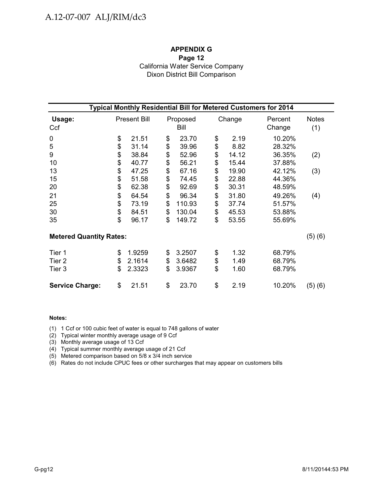### **APPENDIX G Page 12** California Water Service Company Dixon District Bill Comparison

| Typical Monthly Residential Bill for Metered Customers for 2014 |                     |        |    |                  |    |        |                   |                     |  |  |  |  |
|-----------------------------------------------------------------|---------------------|--------|----|------------------|----|--------|-------------------|---------------------|--|--|--|--|
| Usage:<br>Ccf                                                   | <b>Present Bill</b> |        |    | Proposed<br>Bill |    | Change | Percent<br>Change | <b>Notes</b><br>(1) |  |  |  |  |
| $\mathbf 0$                                                     | \$                  | 21.51  | \$ | 23.70            | \$ | 2.19   | 10.20%            |                     |  |  |  |  |
| 5                                                               | \$                  | 31.14  | \$ | 39.96            | \$ | 8.82   | 28.32%            |                     |  |  |  |  |
| 9                                                               | \$                  | 38.84  | \$ | 52.96            | \$ | 14.12  | 36.35%            | (2)                 |  |  |  |  |
| 10                                                              |                     | 40.77  | \$ | 56.21            | \$ | 15.44  | 37.88%            |                     |  |  |  |  |
| 13                                                              | \$                  | 47.25  | \$ | 67.16            | \$ | 19.90  | 42.12%            | (3)                 |  |  |  |  |
| 15                                                              | \$                  | 51.58  | \$ | 74.45            | \$ | 22.88  | 44.36%            |                     |  |  |  |  |
| 20                                                              | \$                  | 62.38  | \$ | 92.69            | \$ | 30.31  | 48.59%            |                     |  |  |  |  |
| 21                                                              | \$                  | 64.54  | \$ | 96.34            | \$ | 31.80  | 49.26%            | (4)                 |  |  |  |  |
| 25                                                              | \$                  | 73.19  | \$ | 110.93           | \$ | 37.74  | 51.57%            |                     |  |  |  |  |
| 30                                                              |                     | 84.51  | \$ | 130.04           | \$ | 45.53  | 53.88%            |                     |  |  |  |  |
| 35                                                              | \$<br>\$            | 96.17  | \$ | 149.72           | \$ | 53.55  | 55.69%            |                     |  |  |  |  |
| <b>Metered Quantity Rates:</b>                                  |                     |        |    |                  |    |        |                   | (5)(6)              |  |  |  |  |
| Tier 1                                                          | \$                  | 1.9259 | \$ | 3.2507           | \$ | 1.32   | 68.79%            |                     |  |  |  |  |
| Tier <sub>2</sub>                                               | \$                  | 2.1614 | \$ | 3.6482           | \$ | 1.49   | 68.79%            |                     |  |  |  |  |
| Tier 3                                                          | \$                  | 2.3323 | \$ | 3.9367           | \$ | 1.60   | 68.79%            |                     |  |  |  |  |
| <b>Service Charge:</b>                                          | \$                  | 21.51  | \$ | 23.70            | \$ | 2.19   | 10.20%            | (5) (6)             |  |  |  |  |

#### **Notes:**

(1) 1 Ccf or 100 cubic feet of water is equal to 748 gallons of water

(2) Typical winter monthly average usage of 9 Ccf

(3) Monthly average usage of 13 Ccf

(4) Typical summer monthly average usage of 21 Ccf

(5) Metered comparison based on 5/8 x 3/4 inch service

(6) Rates do not include CPUC fees or other surcharges that may appear on customers bills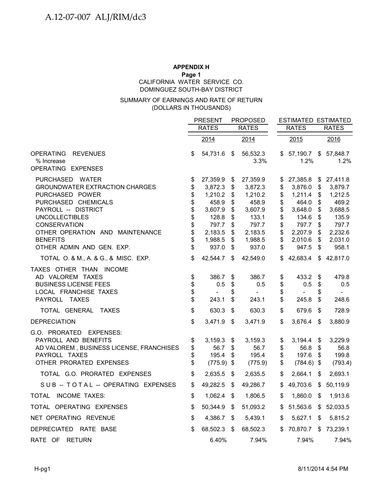#### **APPENDIX H Page 1** DOMINGUEZ SOUTH-BAY DISTRICT CALIFORNIA WATER SERVICE CO.

#### (DOLLARS IN THOUSANDS) SUMMARY OF EARNINGS AND RATE OF RETURN

|                                                                                                                                                                                                                                                                                                      |                                                                | <b>PRESENT</b>                                                                                                  | <b>PROPOSED</b>                                                |                                                                                                                 |                                                                |                                                                                                                 | <b>ESTIMATED ESTIMATED</b>                                     |                                                                                                                 |
|------------------------------------------------------------------------------------------------------------------------------------------------------------------------------------------------------------------------------------------------------------------------------------------------------|----------------------------------------------------------------|-----------------------------------------------------------------------------------------------------------------|----------------------------------------------------------------|-----------------------------------------------------------------------------------------------------------------|----------------------------------------------------------------|-----------------------------------------------------------------------------------------------------------------|----------------------------------------------------------------|-----------------------------------------------------------------------------------------------------------------|
|                                                                                                                                                                                                                                                                                                      |                                                                | <b>RATES</b>                                                                                                    |                                                                | <b>RATES</b>                                                                                                    |                                                                | <b>RATES</b>                                                                                                    |                                                                | <b>RATES</b>                                                                                                    |
|                                                                                                                                                                                                                                                                                                      |                                                                | 2014                                                                                                            |                                                                | 2014                                                                                                            |                                                                | $\overline{2015}$                                                                                               |                                                                | 2016                                                                                                            |
| <b>OPERATING</b><br><b>REVENUES</b><br>% Increase<br>OPERATING EXPENSES                                                                                                                                                                                                                              | \$                                                             | 54,731.6                                                                                                        | $\sqrt[6]{3}$                                                  | 56,532.3<br>$3.3\%$                                                                                             |                                                                | \$57,190.7<br>1.2%                                                                                              | $\frac{1}{2}$                                                  | 57,848.7<br>1.2%                                                                                                |
| PURCHASED WATER<br><b>GROUNDWATER EXTRACTION CHARGES</b><br>PURCHASED POWER<br>PURCHASED CHEMICALS<br>PAYROLL -- DISTRICT<br><b>UNCOLLECTIBLES</b><br><b>CONSERVATION</b><br>OTHER OPERATION AND MAINTENANCE<br><b>BENEFITS</b><br>OTHER ADMIN AND GEN. EXP.<br>TOTAL O. & M., A. & G., & MISC. EXP. | \$<br>\$<br>\$<br>\$<br>\$<br>\$<br>\$<br>\$<br>\$<br>\$<br>\$ | 27,359.9<br>3,872.3<br>1,210.2<br>458.9<br>3,607.9<br>128.8<br>797.7<br>2,183.5<br>1,988.5<br>937.0<br>42,544.7 | \$<br>\$<br>\$<br>\$<br>\$<br>\$<br>\$<br>\$<br>\$<br>\$<br>\$ | 27,359.9<br>3,872.3<br>1,210.2<br>458.9<br>3,607.9<br>133.1<br>797.7<br>2,183.5<br>1,988.5<br>937.0<br>42,549.0 | \$<br>\$<br>\$<br>\$<br>\$<br>\$<br>\$<br>\$<br>\$<br>\$<br>\$ | 27,385.8<br>3,876.0<br>1,211.4<br>464.0<br>3,648.0<br>134.6<br>797.7<br>2,207.9<br>2,010.6<br>947.5<br>42,683.4 | \$<br>\$<br>\$<br>\$<br>\$<br>\$<br>\$<br>\$<br>\$<br>\$<br>\$ | 27,411.8<br>3,879.7<br>1,212.5<br>469.2<br>3,688.5<br>135.9<br>797.7<br>2,232.6<br>2,031.0<br>958.1<br>42,817.0 |
| TAXES OTHER THAN INCOME<br>AD VALOREM TAXES<br><b>BUSINESS LICENSE FEES</b><br>LOCAL FRANCHISE TAXES<br>PAYROLL TAXES                                                                                                                                                                                | \$<br>\$<br>\$<br>\$                                           | 386.7<br>0.5<br>$\blacksquare$<br>243.1                                                                         | \$<br>\$<br>\$<br>\$                                           | 386.7<br>0.5<br>$\sim$<br>243.1                                                                                 | \$<br>\$<br>\$<br>\$                                           | 433.2<br>0.5<br>245.8                                                                                           | \$<br>\$<br>S<br>\$                                            | 479.8<br>0.5<br>$\overline{\phantom{0}}$<br>248.6                                                               |
| TOTAL GENERAL TAXES                                                                                                                                                                                                                                                                                  | \$                                                             | 630.3                                                                                                           | \$                                                             | 630.3                                                                                                           | \$                                                             | 679.6                                                                                                           | \$                                                             | 728.9                                                                                                           |
| <b>DEPRECIATION</b>                                                                                                                                                                                                                                                                                  | \$                                                             | 3,471.9                                                                                                         | $\boldsymbol{\mathsf{S}}$                                      | 3,471.9                                                                                                         | \$                                                             | 3,676.4                                                                                                         | - \$                                                           | 3,880.9                                                                                                         |
| G.O. PRORATED EXPENSES:<br>PAYROLL AND BENEFITS<br>AD VALOREM, BUSINESS LICENSE, FRANCHISES<br>PAYROLL TAXES<br>OTHER PRORATED EXPENSES                                                                                                                                                              | \$<br>\$<br>\$<br>\$                                           | 3,159.3<br>56.7<br>195.4<br>(775.9)                                                                             | \$<br>\$<br>\$<br>\$                                           | 3,159.3<br>56.7<br>195.4<br>(775.9)                                                                             | \$<br>\$<br>\$<br>\$                                           | 3,194.4<br>56.8<br>197.6<br>$(784.6)$ \$                                                                        | \$<br>$\sqrt[6]{\frac{1}{2}}$<br>\$                            | 3,229.9<br>56.8<br>199.8<br>(793.4)                                                                             |
| TOTAL G.O. PRORATED EXPENSES                                                                                                                                                                                                                                                                         | \$                                                             | 2,635.5                                                                                                         | \$                                                             | 2,635.5                                                                                                         | \$                                                             | 2,664.1                                                                                                         | \$                                                             | 2,693.1                                                                                                         |
| SUB-TOTAL-OPERATING EXPENSES                                                                                                                                                                                                                                                                         | \$                                                             | 49,282.5                                                                                                        | S                                                              | 49,286.7                                                                                                        | \$                                                             | 49,703.6                                                                                                        | \$                                                             | 50,119.9                                                                                                        |
| TOTAL INCOME TAXES:                                                                                                                                                                                                                                                                                  | \$                                                             | 1,062.4                                                                                                         | \$                                                             | 1,806.5                                                                                                         | \$                                                             | 1,860.0                                                                                                         | \$                                                             | 1,913.6                                                                                                         |
| TOTAL OPERATING EXPENSES                                                                                                                                                                                                                                                                             | \$                                                             | 50,344.9                                                                                                        | \$                                                             | 51,093.2                                                                                                        | \$                                                             | 51,563.6                                                                                                        | \$                                                             | 52,033.5                                                                                                        |
| NET OPERATING REVENUE                                                                                                                                                                                                                                                                                | \$                                                             | 4,386.7                                                                                                         | \$                                                             | 5,439.1                                                                                                         | \$                                                             | 5,627.1                                                                                                         | \$                                                             | 5,815.2                                                                                                         |
| DEPRECIATED RATE BASE                                                                                                                                                                                                                                                                                | \$                                                             | 68,502.3                                                                                                        | \$                                                             | 68,502.3                                                                                                        | \$                                                             | 70,870.7                                                                                                        | \$                                                             | 73,239.1                                                                                                        |
| RATE OF RETURN                                                                                                                                                                                                                                                                                       |                                                                | 6.40%                                                                                                           |                                                                | 7.94%                                                                                                           |                                                                | 7.94%                                                                                                           |                                                                | 7.94%                                                                                                           |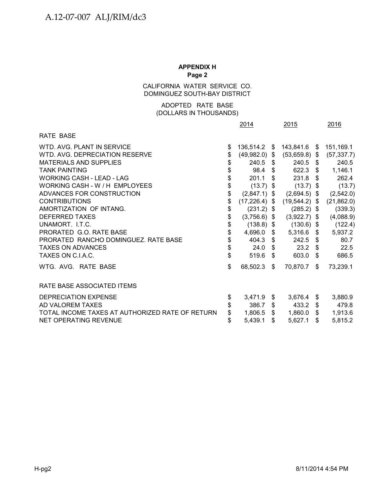CALIFORNIA WATER SERVICE CO. DOMINGUEZ SOUTH-BAY DISTRICT

#### (DOLLARS IN THOUSANDS) ADOPTED RATE BASE

|                                                 |                                           | 2014            |                | 2015            | 2016          |
|-------------------------------------------------|-------------------------------------------|-----------------|----------------|-----------------|---------------|
| RATE BASE                                       |                                           |                 |                |                 |               |
| WTD. AVG. PLANT IN SERVICE                      | \$                                        | 136,514.2 \$    |                | 143,841.6 \$    | 151,169.1     |
| WTD, AVG, DEPRECIATION RESERVE                  | \$                                        | $(49,982.0)$ \$ |                | $(53,659.8)$ \$ | (57, 337.7)   |
| <b>MATERIALS AND SUPPLIES</b>                   | \$                                        | $240.5$ \$      |                | $240.5$ \$      | 240.5         |
| <b>TANK PAINTING</b>                            | \$                                        | $98.4 \quad $$  |                | 622.3 \$        | 1,146.1       |
| <b>WORKING CASH - LEAD - LAG</b>                | \$                                        | 201.1           | \$.            | $231.8$ \$      | 262.4         |
| WORKING CASH - W / H EMPLOYEES                  | \$                                        | $(13.7)$ \$     |                | $(13.7)$ \$     | (13.7)        |
| ADVANCES FOR CONSTRUCTION                       | \$                                        | $(2,847.1)$ \$  |                | $(2,694.5)$ \$  | (2,542.0)     |
| <b>CONTRIBUTIONS</b>                            | \$                                        | $(17,226.4)$ \$ |                | $(19,544.2)$ \$ | (21, 862.0)   |
| AMORTIZATION OF INTANG.                         | $\, \, \raisebox{12pt}{$\scriptstyle \$}$ | $(231.2)$ \$    |                | $(285.2)$ \$    | (339.3)       |
| DEFERRED TAXES                                  | \$                                        | $(3,756.6)$ \$  |                | $(3,922.7)$ \$  | (4,088.9)     |
| UNAMORT. I.T.C.                                 | \$                                        | $(138.8)$ \$    |                | $(130.6)$ \$    | (122.4)       |
| PRORATED G.O. RATE BASE                         | \$                                        | 4,696.0         | \$             | $5,316.6$ \$    | 5,937.2       |
| PRORATED RANCHO DOMINGUEZ. RATE BASE            | \$                                        | 404.3 $$$       |                | $242.5$ \$      | 80.7          |
| <b>TAXES ON ADVANCES</b>                        | \$                                        | $24.0\quad$ \$  |                | $23.2$ \$       | 22.5          |
| TAXES ON C.I.A.C.                               | \$                                        | 519.6           | \$             | 603.0 \$        | 686.5         |
| WTG. AVG. RATE BASE                             | \$                                        | 68,502.3        | $\mathfrak{S}$ | 70,870.7 \$     | 73,239.1      |
| RATE BASE ASSOCIATED ITEMS                      |                                           |                 |                |                 |               |
| <b>DEPRECIATION EXPENSE</b>                     | \$                                        | 3,471.9         | \$             | 3,676.4         | \$<br>3,880.9 |
| AD VALOREM TAXES                                |                                           | 386.7           | \$             | 433.2 \$        | 479.8         |
| TOTAL INCOME TAXES AT AUTHORIZED RATE OF RETURN | \$                                        | 1,806.5         | \$             | $1,860.0$ \$    | 1,913.6       |
| NET OPERATING REVENUE                           | \$                                        | 5,439.1         | \$             | 5,627.1         | \$<br>5,815.2 |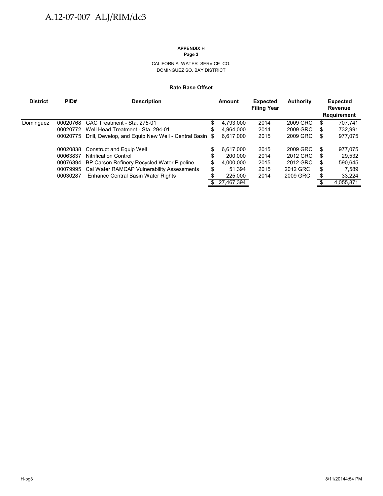#### CALIFORNIA WATER SERVICE CO. DOMINGUEZ SO. BAY DISTRICT

#### **Rate Base Offset**

| <b>District</b> | PID#     | <b>Description</b>                                  |      | Amount     | <b>Expected</b><br><b>Filing Year</b> | <b>Authority</b> |   | <b>Expected</b><br>Revenue<br><b>Requirement</b> |
|-----------------|----------|-----------------------------------------------------|------|------------|---------------------------------------|------------------|---|--------------------------------------------------|
| Dominguez       | 00020768 | GAC Treatment - Sta. 275-01                         | \$   | 4.793.000  | 2014                                  | 2009 GRC         | S | 707.741                                          |
|                 | 00020772 | Well Head Treatment - Sta. 294-01                   | S    | 4,964,000  | 2014                                  | 2009 GRC         | S | 732,991                                          |
|                 | 00020775 | Drill, Develop, and Equip New Well - Central Basin  | - \$ | 6.617.000  | 2015                                  | 2009 GRC         | S | 977,075                                          |
|                 |          | 00020838 Construct and Equip Well                   | \$   | 6.617.000  | 2015                                  | 2009 GRC         | S | 977,075                                          |
|                 | 00063837 | <b>Nitrification Control</b>                        | J    | 200.000    | 2014                                  | 2012 GRC         | S | 29,532                                           |
|                 |          | 00076394 BP Carson Refinery Recycled Water Pipeline | \$   | 4,000,000  | 2015                                  | 2012 GRC         | S | 590,645                                          |
|                 |          | 00079995 Cal Water RAMCAP Vulnerability Assessments | S    | 51.394     | 2015                                  | 2012 GRC         | S | 7.589                                            |
|                 | 00030287 | Enhance Central Basin Water Rights                  |      | 225,000    | 2014                                  | 2009 GRC         | S | 33,224                                           |
|                 |          |                                                     |      | 27,467,394 |                                       |                  |   | 4,055,871                                        |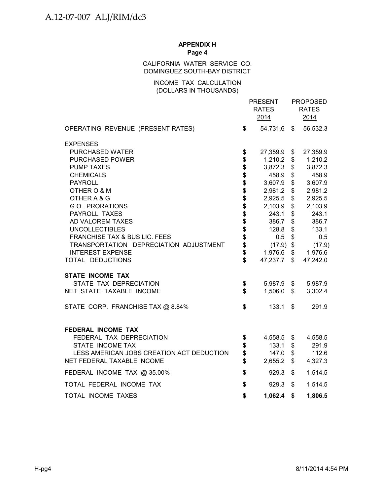#### CALIFORNIA WATER SERVICE CO. DOMINGUEZ SOUTH-BAY DISTRICT

#### INCOME TAX CALCULATION (DOLLARS IN THOUSANDS)

|                                                                   |                          | <b>PRESENT</b><br><b>RATES</b><br>2014 |                           | <b>PROPOSED</b><br><b>RATES</b><br>2014 |
|-------------------------------------------------------------------|--------------------------|----------------------------------------|---------------------------|-----------------------------------------|
| OPERATING REVENUE (PRESENT RATES)                                 | \$                       | 54,731.6 \$                            |                           | 56,532.3                                |
| <b>EXPENSES</b>                                                   |                          |                                        |                           |                                         |
| PURCHASED WATER                                                   | \$                       | 27,359.9 \$                            |                           | 27,359.9                                |
| <b>PURCHASED POWER</b>                                            | \$                       | 1,210.2                                | \$                        | 1,210.2                                 |
| <b>PUMP TAXES</b>                                                 | \$\$\$\$\$\$\$\$\$\$\$\$ | 3,872.3                                | \$                        | 3,872.3                                 |
| <b>CHEMICALS</b>                                                  |                          | 458.9                                  | \$                        | 458.9                                   |
| <b>PAYROLL</b>                                                    |                          | 3,607.9                                | \$                        | 3,607.9                                 |
| OTHER O & M                                                       |                          | 2,981.2                                | \$                        | 2,981.2                                 |
| OTHER A & G                                                       |                          | 2,925.5                                | \$                        | 2,925.5                                 |
| G.O. PRORATIONS                                                   |                          | 2,103.9                                | \$                        | 2,103.9                                 |
| PAYROLL TAXES                                                     |                          | 243.1                                  | \$                        | 243.1                                   |
| AD VALOREM TAXES                                                  |                          | 386.7                                  | \$                        | 386.7                                   |
| <b>UNCOLLECTIBLES</b><br><b>FRANCHISE TAX &amp; BUS LIC. FEES</b> |                          | 128.8                                  | $\$\$                     | 133.1                                   |
| TRANSPORTATION DEPRECIATION ADJUSTMENT                            | \$                       | 0.5<br>$(17.9)$ \$                     | $\boldsymbol{\mathsf{S}}$ | 0.5                                     |
| <b>INTEREST EXPENSE</b>                                           | \$                       | 1,976.6                                | \$                        | (17.9)<br>1,976.6                       |
| TOTAL DEDUCTIONS                                                  | \$                       | 47,237.7                               | \$                        | 47,242.0                                |
| <b>STATE INCOME TAX</b>                                           |                          |                                        |                           |                                         |
| STATE TAX DEPRECIATION                                            | \$                       | 5,987.9                                | \$                        | 5,987.9                                 |
| NET STATE TAXABLE INCOME                                          | \$                       | 1,506.0                                | $\mathfrak{S}$            | 3,302.4                                 |
| STATE CORP. FRANCHISE TAX @ 8.84%                                 | \$                       | 133.1                                  | \$                        | 291.9                                   |
| <b>FEDERAL INCOME TAX</b>                                         |                          |                                        |                           |                                         |
| FEDERAL TAX DEPRECIATION                                          | \$                       | 4,558.5 \$                             |                           | 4,558.5                                 |
| STATE INCOME TAX                                                  | \$                       | 133.1                                  | \$                        | 291.9                                   |
| LESS AMERICAN JOBS CREATION ACT DEDUCTION                         | \$<br>\$                 | 147.0                                  | \$                        | 112.6                                   |
| NET FEDERAL TAXABLE INCOME                                        |                          | 2,655.2                                | \$                        | 4,327.3                                 |
| FEDERAL INCOME TAX @ 35.00%                                       | \$                       | 929.3                                  | \$                        | 1,514.5                                 |
| TOTAL FEDERAL INCOME TAX                                          | \$                       | 929.3                                  | \$                        | 1,514.5                                 |
| TOTAL INCOME TAXES                                                | \$                       | 1,062.4                                | \$                        | 1,806.5                                 |
|                                                                   |                          |                                        |                           |                                         |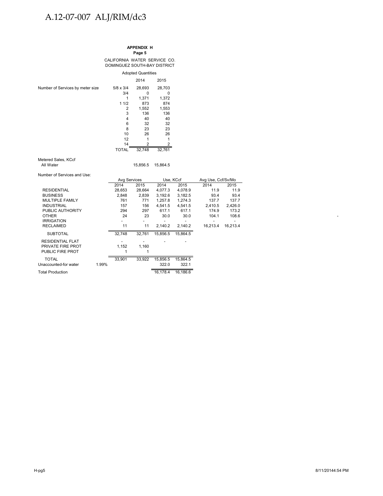# A.12-07-007 ALJ/RIM/dc3

**APPENDIX H Page 5**

CALIFORNIA WATER SERVICE CO. DOMINGUEZ SOUTH-BAY DISTRICT

|                                  | <b>Adopted Quantities</b> |        |        |  |  |  |  |  |  |
|----------------------------------|---------------------------|--------|--------|--|--|--|--|--|--|
|                                  |                           | 2014   | 2015   |  |  |  |  |  |  |
| Number of Services by meter size | $5/8 \times 3/4$          | 28,693 | 28,703 |  |  |  |  |  |  |
|                                  | 3/4                       | o      | 0      |  |  |  |  |  |  |
|                                  |                           | 1,371  | 1,372  |  |  |  |  |  |  |
|                                  | 11/2                      | 873    | 874    |  |  |  |  |  |  |
|                                  | 2                         | 1,552  | 1,553  |  |  |  |  |  |  |
|                                  | 3                         | 136    | 136    |  |  |  |  |  |  |
|                                  | 4                         | 40     | 40     |  |  |  |  |  |  |
|                                  | 6                         | 32     | 32     |  |  |  |  |  |  |
|                                  | 8                         | 23     | 23     |  |  |  |  |  |  |
|                                  | 10                        | 26     | 26     |  |  |  |  |  |  |
|                                  | 12                        |        |        |  |  |  |  |  |  |
|                                  | 14                        | 2      |        |  |  |  |  |  |  |
|                                  | <b>TOTAL</b>              | 32,748 | 32,761 |  |  |  |  |  |  |

Metered Sales, KCcf<br>All Water

15,856.5 15,864.5

Number of Services and Use:

|                         |       | <b>Avg Services</b> |        | Use, KCcf |          | Avg Use, Ccf/Sv/Mo |          |
|-------------------------|-------|---------------------|--------|-----------|----------|--------------------|----------|
|                         |       | 2014                | 2015   | 2014      | 2015     | 2014               | 2015     |
| <b>RESIDENTIAL</b>      |       | 28,653              | 28,664 | 4,077.3   | 4,078.9  | 11.9               | 11.9     |
| <b>BUSINESS</b>         |       | 2,848               | 2,839  | 3,192.6   | 3,182.5  | 93.4               | 93.4     |
| MULTIPLE FAMILY         |       | 761                 | 771    | 1,257.8   | 1.274.3  | 137.7              | 137.7    |
| <b>INDUSTRIAL</b>       |       | 157                 | 156    | 4.541.5   | 4.541.5  | 2.410.5            | 2.426.0  |
| PUBLIC AUTHORITY        |       | 294                 | 297    | 617.1     | 617.1    | 174.9              | 173.2    |
| <b>OTHER</b>            |       | 24                  | 23     | 30.0      | 30.0     | 104.1              | 108.6    |
| <b>IRRIGATION</b>       |       |                     |        |           |          |                    |          |
| <b>RECLAIMED</b>        |       | 11                  | 11     | 2,140.2   | 2,140.2  | 16,213.4           | 16,213.4 |
| <b>SUBTOTAL</b>         |       | 32,748              | 32,761 | 15,856.5  | 15,864.5 |                    |          |
| <b>RESIDENTIAL FLAT</b> |       |                     |        |           |          |                    |          |
| PRIVATE FIRE PROT       |       | 1,152               | 1,160  |           |          |                    |          |
| PUBLIC FIRE PROT        |       |                     |        |           |          |                    |          |
| <b>TOTAL</b>            |       | 33,901              | 33,922 | 15,856.5  | 15,864.5 |                    |          |
| Unaccounted-for water   | 1.99% |                     |        | 322.0     | 322.1    |                    |          |
| <b>Total Production</b> |       |                     |        | 16,178.4  | 16.186.6 |                    |          |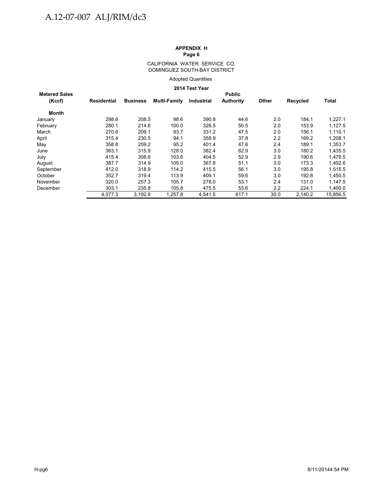#### CALIFORNIA WATER SERVICE CO. DOMINGUEZ SOUTH-BAY DISTRICT

Adopted Quantities

#### **2014 Test Year**

| <b>Metered Sales</b> |             |                 |              |            | <b>Public</b>    |         |          |              |
|----------------------|-------------|-----------------|--------------|------------|------------------|---------|----------|--------------|
| (Kccf)               | Residential | <b>Business</b> | Multi-Family | Industrial | <b>Authority</b> | Other   | Recycled | <b>Total</b> |
| Month                |             |                 |              |            |                  |         |          |              |
| January              | 298.6       | 208.5           | 98.6         | 390.8      | 44.6             | 2.0     | 184.1    | 1,227.1      |
| February             | 280.1       | 214.6           | 100.0        | 326.5      | 50.5             | 2.0     | 153.9    | 1,127.5      |
| March                | 270.6       | 209.1           | 93.7         | 331.2      | 47.5             | 2.0     | 156.1    | 1,110.1      |
| April                | 315.4       | 230.5           | 94.1         | 358.9      | 37.8             | 2.2     | 169.2    | 1,208.1      |
| May                  | 358.8       | 259.2           | 95.2         | 401.4      | 47.6             | 2.4     | 189.1    | 1.353.7      |
| June                 | 363.1       | 315.9           | 128.0        | 382.4      | 62.9             | 3.0     | 180.2    | 1,435.5      |
| July                 | 415.4       | 308.6           | 103.6        | 404.5      | 52.9             | 2.9     | 190.6    | 1,478.5      |
| August               | 387.7       | 314.9           | 105.0        | 367.8      | 51.1             | 3.0     | 173.3    | 1,402.6      |
| September            | 412.0       | 318.9           | 114.2        | 415.5      | 56.1             | 3.0     | 195.8    | 1,515.5      |
| October              | 352.7       | 319.4           | 113.9        | 409.1      | 59.6             | 3.0     | 192.8    | 1,450.5      |
| November             | 320.0       | 257.3           | 105.7        | 278.0      | 53.1             | 2.4     | 131.0    | 1,147.5      |
| December             | 303.1       | 235.8           | 105.8        | 475.5      | 53.6             | $2.2\,$ | 224.1    | 1,400.0      |
|                      | 4.077.3     | 3.192.6         | 1.257.8      | 4.541.5    | 617.1            | 30.0    | 2.140.2  | 15.856.5     |
|                      |             |                 |              |            |                  |         |          |              |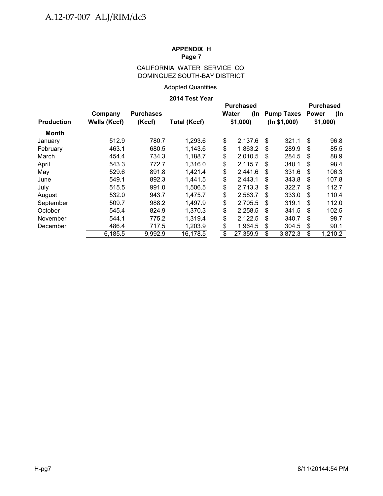### CALIFORNIA WATER SERVICE CO. DOMINGUEZ SOUTH-BAY DISTRICT

### Adopted Quantities

#### **2014 Test Year**

|                   |                         |                            | 471 - 1531 I 541    |                         |                                             |    |                                   |                                                    |
|-------------------|-------------------------|----------------------------|---------------------|-------------------------|---------------------------------------------|----|-----------------------------------|----------------------------------------------------|
| <b>Production</b> | Company<br>Wells (Kccf) | <b>Purchases</b><br>(Kccf) | <b>Total (Kccf)</b> |                         | <b>Purchased</b><br>Water<br>(In<br>\$1,000 |    | <b>Pump Taxes</b><br>(ln \$1,000) | <b>Purchased</b><br><b>Power</b><br>(In<br>\$1,000 |
| <b>Month</b>      |                         |                            |                     |                         |                                             |    |                                   |                                                    |
| January           | 512.9                   | 780.7                      | 1,293.6             | \$                      | 2,137.6                                     | \$ | 321.1                             | \$<br>96.8                                         |
| February          | 463.1                   | 680.5                      | 1,143.6             | \$                      | 1,863.2                                     | S  | 289.9                             | \$<br>85.5                                         |
| March             | 454.4                   | 734.3                      | 1,188.7             | \$                      | 2,010.5                                     | \$ | 284.5                             | \$<br>88.9                                         |
| April             | 543.3                   | 772.7                      | 1,316.0             | \$                      | 2,115.7                                     | \$ | 340.1                             | \$<br>98.4                                         |
| May               | 529.6                   | 891.8                      | 1,421.4             | \$                      | 2,441.6                                     | \$ | 331.6                             | \$<br>106.3                                        |
| June              | 549.1                   | 892.3                      | 1,441.5             | \$                      | 2,443.1                                     | \$ | 343.8                             | \$<br>107.8                                        |
| July              | 515.5                   | 991.0                      | 1,506.5             | \$                      | 2,713.3                                     | \$ | 322.7                             | \$<br>112.7                                        |
| August            | 532.0                   | 943.7                      | 1,475.7             | \$                      | 2,583.7                                     | \$ | 333.0                             | \$<br>110.4                                        |
| September         | 509.7                   | 988.2                      | 1,497.9             | \$                      | 2,705.5                                     | \$ | 319.1                             | \$<br>112.0                                        |
| October           | 545.4                   | 824.9                      | 1,370.3             | \$                      | 2,258.5                                     | \$ | 341.5                             | \$<br>102.5                                        |
| November          | 544.1                   | 775.2                      | 1,319.4             | \$                      | 2,122.5                                     | S  | 340.7                             | \$<br>98.7                                         |
| December          | 486.4                   | 717.5                      | 1,203.9             | \$                      | 1,964.5                                     | \$ | 304.5                             | \$<br>90.1                                         |
|                   | 6,185.5                 | 9,992.9                    | 16,178.5            | $\overline{\mathbf{e}}$ | 27,359.9                                    | \$ | 3,872.3                           | \$<br>1,210.2                                      |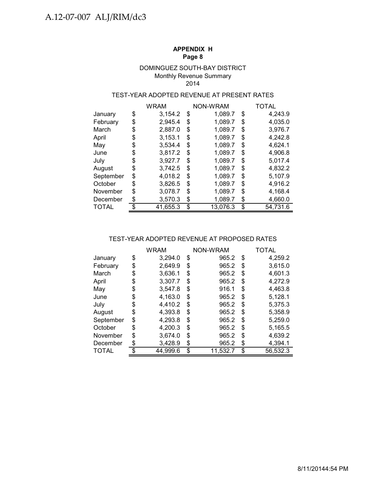#### DOMINGUEZ SOUTH-BAY DISTRICT Monthly Revenue Summary 2014

### TEST-YEAR ADOPTED REVENUE AT PRESENT RATES

|              | WRAM           |    | <b>NON-WRAM</b> | TOTAL |          |  |
|--------------|----------------|----|-----------------|-------|----------|--|
| January      | \$<br>3,154.2  | \$ | 1,089.7         | \$    | 4,243.9  |  |
| February     | \$<br>2,945.4  | \$ | 1,089.7         | \$    | 4,035.0  |  |
| March        | \$<br>2,887.0  | \$ | 1,089.7         | \$    | 3,976.7  |  |
| April        | \$<br>3,153.1  | \$ | 1,089.7         | \$    | 4,242.8  |  |
| May          | \$<br>3,534.4  | \$ | 1,089.7         | \$    | 4,624.1  |  |
| June         | \$<br>3,817.2  | \$ | 1,089.7         | \$    | 4,906.8  |  |
| July         | \$<br>3,927.7  | S  | 1,089.7         | \$    | 5,017.4  |  |
| August       | \$<br>3,742.5  | \$ | 1,089.7         | \$    | 4,832.2  |  |
| September    | \$<br>4,018.2  | \$ | 1,089.7         | \$    | 5,107.9  |  |
| October      | \$<br>3,826.5  | \$ | 1,089.7         | \$    | 4,916.2  |  |
| November     | \$<br>3,078.7  | \$ | 1,089.7         | \$    | 4,168.4  |  |
| December     | \$<br>3,570.3  | \$ | 1,089.7         | \$    | 4,660.0  |  |
| <b>TOTAL</b> | \$<br>41,655.3 | \$ | 13,076.3        | \$    | 54,731.6 |  |

#### TEST-YEAR ADOPTED REVENUE AT PROPOSED RATES

|              | <b>WRAM</b>    | NON-WRAM       | TOTAL          |
|--------------|----------------|----------------|----------------|
| January      | \$<br>3,294.0  | \$<br>965.2    | \$<br>4,259.2  |
| February     | \$<br>2,649.9  | \$<br>965.2    | \$<br>3.615.0  |
| March        | \$<br>3.636.1  | \$<br>965.2    | \$<br>4,601.3  |
| April        | \$<br>3,307.7  | \$<br>965.2    | \$<br>4,272.9  |
| May          | \$<br>3,547.8  | \$<br>916.1    | \$<br>4,463.8  |
| June         | \$<br>4,163.0  | \$<br>965.2    | \$<br>5,128.1  |
| July         | \$<br>4,410.2  | \$<br>965.2    | \$<br>5,375.3  |
| August       | \$<br>4,393.8  | \$<br>965.2    | \$<br>5,358.9  |
| September    | \$<br>4,293.8  | \$<br>965.2    | \$<br>5,259.0  |
| October      | \$<br>4,200.3  | \$<br>965.2    | \$<br>5,165.5  |
| November     | \$<br>3,674.0  | \$<br>965.2    | \$<br>4,639.2  |
| December     | \$<br>3,428.9  | \$<br>965.2    | \$<br>4,394.1  |
| <b>TOTAL</b> | \$<br>44,999.6 | \$<br>11,532.7 | \$<br>56,532.3 |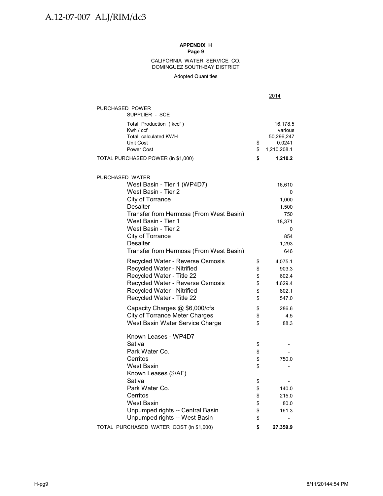DOMINGUEZ SOUTH-BAY DISTRICT CALIFORNIA WATER SERVICE CO.

Adopted Quantities

|                                                                                                                                                                                                                                                                                         |                                  | 2014                                                                       |
|-----------------------------------------------------------------------------------------------------------------------------------------------------------------------------------------------------------------------------------------------------------------------------------------|----------------------------------|----------------------------------------------------------------------------|
| PURCHASED POWER<br>SUPPLIER - SCE                                                                                                                                                                                                                                                       |                                  |                                                                            |
| Total Production (kccf)<br>Kwh / ccf<br>Total calculated KWH<br>Unit Cost<br>Power Cost                                                                                                                                                                                                 | \$<br>\$                         | 16,178.5<br>various<br>50,296,247<br>0.0241<br>1,210,208.1                 |
| TOTAL PURCHASED POWER (in \$1,000)                                                                                                                                                                                                                                                      | \$                               | 1,210.2                                                                    |
|                                                                                                                                                                                                                                                                                         |                                  |                                                                            |
| PURCHASED WATER<br>West Basin - Tier 1 (WP4D7)<br>West Basin - Tier 2<br>City of Torrance<br><b>Desalter</b><br>Transfer from Hermosa (From West Basin)<br>West Basin - Tier 1<br>West Basin - Tier 2<br>City of Torrance<br><b>Desalter</b><br>Transfer from Hermosa (From West Basin) |                                  | 16,610<br>0<br>1,000<br>1,500<br>750<br>18,371<br>0<br>854<br>1,293<br>646 |
| Recycled Water - Reverse Osmosis<br>Recycled Water - Nitrified<br>Recycled Water - Title 22<br>Recycled Water - Reverse Osmosis<br>Recycled Water - Nitrified<br>Recycled Water - Title 22                                                                                              | \$<br>\$<br>\$<br>\$<br>\$<br>\$ | 4,075.1<br>903.3<br>602.4<br>4,629.4<br>802.1<br>547.0                     |
| Capacity Charges @ \$6,000/cfs<br><b>City of Torrance Meter Charges</b><br>West Basin Water Service Charge                                                                                                                                                                              | \$<br>\$<br>\$                   | 286.6<br>4.5<br>88.3                                                       |
| Known Leases - WP4D7<br>Sativa<br>Park Water Co.<br>Cerritos<br><b>West Basin</b><br>Known Leases (\$/AF)                                                                                                                                                                               | \$<br>\$<br>\$<br>\$             | 750.0                                                                      |
| Sativa<br>Park Water Co.<br>Cerritos<br><b>West Basin</b><br>Unpumped rights -- Central Basin                                                                                                                                                                                           | \$<br>\$<br>\$<br>\$<br>\$       | 140.0<br>215.0<br>80.0<br>161.3                                            |
| Unpumped rights -- West Basin<br>TOTAL PURCHASED WATER COST (in \$1,000)                                                                                                                                                                                                                | \$<br>\$                         | 27,359.9                                                                   |
|                                                                                                                                                                                                                                                                                         |                                  |                                                                            |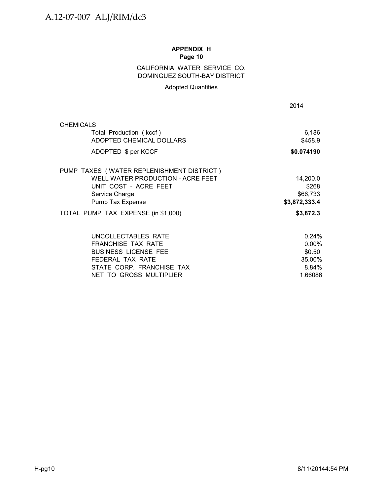### CALIFORNIA WATER SERVICE CO. DOMINGUEZ SOUTH-BAY DISTRICT

### Adopted Quantities

| <b>CHEMICALS</b><br>Total Production (kccf)<br>ADOPTED CHEMICAL DOLLARS<br>ADOPTED \$ per KCCF<br>PUMP TAXES (WATER REPLENISHMENT DISTRICT)<br>WELL WATER PRODUCTION - ACRE FEET<br>UNIT COST - ACRE FEET<br>Service Charge<br>Pump Tax Expense<br>TOTAL PUMP TAX EXPENSE (in \$1,000)<br>UNCOLLECTABLES RATE<br>FRANCHISE TAX RATE<br><b>BUSINESS LICENSE FEE</b><br>FEDERAL TAX RATE<br>STATE CORP. FRANCHISE TAX<br>NET TO GROSS MULTIPLIER | 6,186<br>\$458.9<br>\$0.074190<br>14,200.0<br>\$268<br>\$66,733<br>\$3,872,333.4<br>\$3,872.3<br>0.24% |  |
|------------------------------------------------------------------------------------------------------------------------------------------------------------------------------------------------------------------------------------------------------------------------------------------------------------------------------------------------------------------------------------------------------------------------------------------------|--------------------------------------------------------------------------------------------------------|--|
|                                                                                                                                                                                                                                                                                                                                                                                                                                                |                                                                                                        |  |
|                                                                                                                                                                                                                                                                                                                                                                                                                                                |                                                                                                        |  |
|                                                                                                                                                                                                                                                                                                                                                                                                                                                |                                                                                                        |  |
|                                                                                                                                                                                                                                                                                                                                                                                                                                                |                                                                                                        |  |
|                                                                                                                                                                                                                                                                                                                                                                                                                                                |                                                                                                        |  |
|                                                                                                                                                                                                                                                                                                                                                                                                                                                |                                                                                                        |  |
|                                                                                                                                                                                                                                                                                                                                                                                                                                                |                                                                                                        |  |
|                                                                                                                                                                                                                                                                                                                                                                                                                                                |                                                                                                        |  |
|                                                                                                                                                                                                                                                                                                                                                                                                                                                |                                                                                                        |  |
|                                                                                                                                                                                                                                                                                                                                                                                                                                                |                                                                                                        |  |
|                                                                                                                                                                                                                                                                                                                                                                                                                                                | 0.00%                                                                                                  |  |
|                                                                                                                                                                                                                                                                                                                                                                                                                                                | \$0.50                                                                                                 |  |
|                                                                                                                                                                                                                                                                                                                                                                                                                                                | 35.00%                                                                                                 |  |
|                                                                                                                                                                                                                                                                                                                                                                                                                                                | 8.84%                                                                                                  |  |
|                                                                                                                                                                                                                                                                                                                                                                                                                                                | 1.66086                                                                                                |  |
|                                                                                                                                                                                                                                                                                                                                                                                                                                                |                                                                                                        |  |
|                                                                                                                                                                                                                                                                                                                                                                                                                                                |                                                                                                        |  |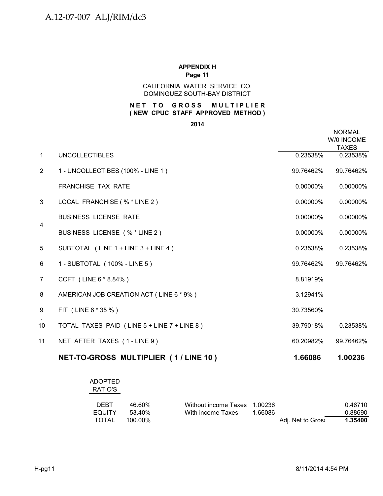#### CALIFORNIA WATER SERVICE CO. DOMINGUEZ SOUTH-BAY DISTRICT

### **NET TO GROSS MULTIPLIER ( NEW CPUC STAFF APPROVED METHOD )**

**2014**

|                |                                             |             | <b>NORMAL</b><br>W/0 INCOME<br><b>TAXES</b> |
|----------------|---------------------------------------------|-------------|---------------------------------------------|
| $\mathbf{1}$   | <b>UNCOLLECTIBLES</b>                       | 0.23538%    | 0.23538%                                    |
| $\overline{2}$ | 1 - UNCOLLECTIBES (100% - LINE 1)           | 99.76462%   | 99.76462%                                   |
|                | <b>FRANCHISE TAX RATE</b>                   | $0.00000\%$ | 0.00000%                                    |
| 3              | LOCAL FRANCHISE (% * LINE 2)                | 0.00000%    | 0.00000%                                    |
| 4              | <b>BUSINESS LICENSE RATE</b>                | 0.00000%    | 0.00000%                                    |
|                | BUSINESS LICENSE (% * LINE 2)               | 0.00000%    | 0.00000%                                    |
| 5              | SUBTOTAL (LINE 1 + LINE 3 + LINE 4)         | 0.23538%    | 0.23538%                                    |
| 6              | 1 - SUBTOTAL (100% - LINE 5)                | 99.76462%   | 99.76462%                                   |
| $\overline{7}$ | CCFT (LINE 6 * 8.84%)                       | 8.81919%    |                                             |
| 8              | AMERICAN JOB CREATION ACT (LINE 6 * 9%)     | 3.12941%    |                                             |
| 9              | FIT (LINE 6 * 35 %)                         | 30.73560%   |                                             |
| 10             | TOTAL TAXES PAID (LINE 5 + LINE 7 + LINE 8) | 39.79018%   | 0.23538%                                    |
| 11             | NET AFTER TAXES (1-LINE 9)                  | 60.20982%   | 99.76462%                                   |
|                | NET-TO-GROSS MULTIPLIER (1/LINE 10)         | 1.66086     | 1.00236                                     |

| <b>ADOPTED</b><br>RATIO'S |         |                      |           |                   |         |
|---------------------------|---------|----------------------|-----------|-------------------|---------|
| <b>DEBT</b>               | 46.60%  | Without income Taxes | - 1.00236 |                   | 0.46710 |
| <b>EQUITY</b>             | 53.40%  | With income Taxes    | 1.66086   |                   | 0.88690 |
| TOTAL                     | 100.00% |                      |           | Adj. Net to Gros: | 1.35400 |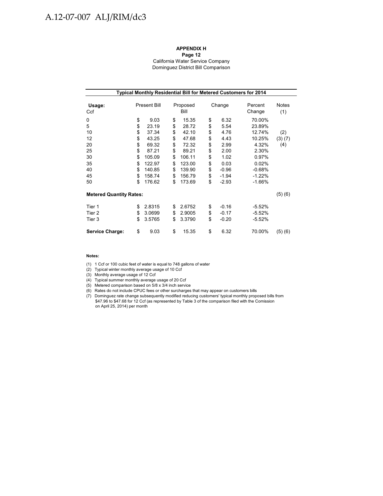# A.12-07-007 ALJ/RIM/dc3

#### **APPENDIX H**

#### **Page 12** California Water Service Company Dominguez District Bill Comparison

|                                                              | Typical Monthly Residential Bill for Metered Customers for 2014 |                                                                                                     |                                                                |                                                                                                      |                                                                |                                                                                               |                                                                                                              |                      |  |  |  |  |
|--------------------------------------------------------------|-----------------------------------------------------------------|-----------------------------------------------------------------------------------------------------|----------------------------------------------------------------|------------------------------------------------------------------------------------------------------|----------------------------------------------------------------|-----------------------------------------------------------------------------------------------|--------------------------------------------------------------------------------------------------------------|----------------------|--|--|--|--|
| Usage:<br>Ccf                                                |                                                                 | <b>Present Bill</b>                                                                                 |                                                                | Proposed<br>Bill                                                                                     |                                                                | Change                                                                                        | Percent<br>Change                                                                                            | Notes<br>(1)         |  |  |  |  |
| 0<br>5<br>10<br>12<br>20<br>25<br>30<br>35<br>40<br>45<br>50 | \$<br>\$<br>\$<br>\$<br>\$<br>\$<br>\$<br>\$<br>\$<br>\$<br>\$  | 9.03<br>23.19<br>37.34<br>43.25<br>69.32<br>87.21<br>105.09<br>122.97<br>140.85<br>158.74<br>176.62 | \$<br>\$<br>\$<br>\$<br>\$<br>\$<br>\$<br>\$<br>\$<br>\$<br>\$ | 15.35<br>28.72<br>42.10<br>47.68<br>72.32<br>89.21<br>106.11<br>123.00<br>139.90<br>156.79<br>173.69 | \$<br>\$<br>\$<br>\$<br>\$<br>\$<br>\$<br>\$<br>\$<br>\$<br>\$ | 6.32<br>5.54<br>4.76<br>4.43<br>2.99<br>2.00<br>1.02<br>0.03<br>$-0.96$<br>$-1.94$<br>$-2.93$ | 70.00%<br>23.89%<br>12.74%<br>10.25%<br>4.32%<br>2.30%<br>0.97%<br>0.02%<br>$-0.68%$<br>$-1.22%$<br>$-1.66%$ | (2)<br>(3)(7)<br>(4) |  |  |  |  |
| <b>Metered Quantity Rates:</b><br>Tier 1<br>Tier 2<br>Tier 3 | \$<br>\$<br>\$                                                  | 2.8315<br>3.0699<br>3.5765                                                                          | \$<br>\$<br>\$                                                 | 2.6752<br>2.9005<br>3.3790                                                                           | \$<br>\$<br>\$                                                 | $-0.16$<br>$-0.17$<br>$-0.20$                                                                 | $-5.52%$<br>$-5.52%$<br>$-5.52%$                                                                             | (5)(6)               |  |  |  |  |
| <b>Service Charge:</b>                                       | \$                                                              | 9.03                                                                                                | \$                                                             | 15.35                                                                                                | \$                                                             | 6.32                                                                                          | 70.00%                                                                                                       | (5)(6)               |  |  |  |  |

#### **Notes:**

(1) 1 Ccf or 100 cubic feet of water is equal to 748 gallons of water

(2) Typical winter monthly average usage of 10 Ccf

(3) Monthly average usage of 12 Ccf

- (4) Typical summer monthly average usage of 20 Ccf
- (5) Metered comparison based on 5/8 x 3/4 inch service
- (6) Rates do not include CPUC fees or other surcharges that may appear on customers bills
- (7) Dominguez rate change subsequently modified reducing customers' typical monthly proposed bills from \$47.96 to \$47.68 for 12 Ccf (as represented by Table 3 of the comparison filed with the Comission on April 25, 2014) per month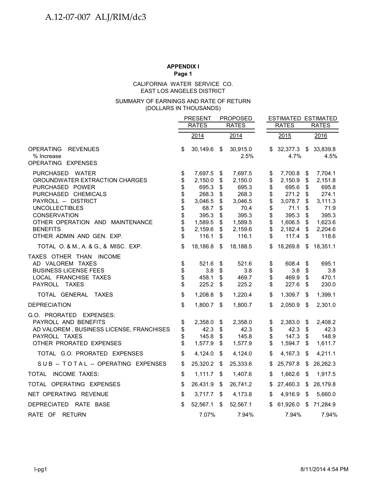#### EAST LOS ANGELES DISTRICT CALIFORNIA WATER SERVICE CO.

#### (DOLLARS IN THOUSANDS) SUMMARY OF EARNINGS AND RATE OF RETURN

|                                                                                                                                         |                      | <b>PRESENT</b>                      |                         | <b>PROPOSED</b>                     |                                                             |                         | <b>ESTIMATED ESTIMATED</b>          |
|-----------------------------------------------------------------------------------------------------------------------------------------|----------------------|-------------------------------------|-------------------------|-------------------------------------|-------------------------------------------------------------|-------------------------|-------------------------------------|
|                                                                                                                                         |                      | <b>RATES</b>                        |                         | <b>RATES</b>                        | <b>RATES</b>                                                |                         | <b>RATES</b>                        |
|                                                                                                                                         |                      | $\frac{2014}{ }$                    |                         | $\sqrt{2014}$                       | 2015                                                        |                         | 2016                                |
| <b>OPERATING</b><br><b>REVENUES</b><br>% Increase                                                                                       | \$                   | 30,149.6                            | $\sqrt[6]{\frac{1}{2}}$ | 30,915.0<br>2.5%                    | 32,377.3 \$<br>\$<br>4.7%                                   |                         | 33,839.8<br>4.5%                    |
| OPERATING EXPENSES                                                                                                                      |                      |                                     |                         |                                     |                                                             |                         |                                     |
| PURCHASED WATER<br><b>GROUNDWATER EXTRACTION CHARGES</b><br>PURCHASED POWER                                                             | \$<br>\$<br>\$       | 7,697.5<br>2,150.0<br>695.3         | \$<br>\$<br>\$          | 7,697.5<br>2,150.0<br>695.3         | 7,700.8<br>\$<br>\$<br>2,150.9<br>\$<br>695.6               | \$<br>\$<br>\$          | 7,704.1<br>2,151.8<br>695.8         |
| PURCHASED CHEMICALS<br>PAYROLL -- DISTRICT<br><b>UNCOLLECTIBLES</b><br>CONSERVATION                                                     | \$<br>\$<br>\$<br>\$ | 268.3<br>3,046.5<br>68.7<br>395.3   | \$<br>\$<br>\$<br>\$    | 268.3<br>3,046.5<br>70.4<br>395.3   | \$<br>271.2<br>\$<br>3,078.7<br>\$<br>71.1<br>\$<br>395.3   | \$<br>\$<br>\$<br>\$    | 274.1<br>3,111.3<br>71.9<br>395.3   |
| OTHER OPERATION AND MAINTENANCE<br><b>BENEFITS</b><br>OTHER ADMIN AND GEN. EXP.                                                         | \$<br>\$<br>\$       | 1,589.5<br>2,159.6<br>116.1         | \$<br>\$<br>\$          | 1,589.5<br>2,159.6<br>116.1         | \$<br>1,606.5<br>\$<br>2,182.4<br>\$<br>117.4               | \$<br>\$<br>\$          | 1,623.6<br>2,204.6<br>118.6         |
| TOTAL O. & M., A. & G., & MISC. EXP.                                                                                                    | \$                   | 18,186.8                            | \$                      | 18,188.5                            | 18,269.8<br>\$                                              | \$                      | 18,351.1                            |
| TAXES OTHER THAN INCOME<br>AD VALOREM TAXES<br><b>BUSINESS LICENSE FEES</b><br>LOCAL FRANCHISE TAXES<br>PAYROLL TAXES                   | \$<br>\$<br>\$<br>\$ | 521.6<br>3.8<br>458.1<br>225.2      | \$<br>\$<br>\$<br>\$    | 521.6<br>3.8<br>469.7<br>225.2      | 608.4<br>\$<br>\$<br>3.8<br>\$<br>469.9<br>\$<br>227.6      | \$<br>\$<br>\$<br>\$    | 695.1<br>3.8<br>470.1<br>230.0      |
| TOTAL GENERAL TAXES                                                                                                                     | \$                   | 1,208.8                             | \$                      | 1,220.4                             | \$<br>1,309.7                                               | \$                      | 1,399.1                             |
| <b>DEPRECIATION</b>                                                                                                                     | \$                   | 1,800.7 \$                          |                         | 1,800.7                             | \$<br>2,050.9                                               | \$                      | 2,301.0                             |
| G.O. PRORATED EXPENSES:<br>PAYROLL AND BENEFITS<br>AD VALOREM, BUSINESS LICENSE, FRANCHISES<br>PAYROLL TAXES<br>OTHER PRORATED EXPENSES | \$<br>\$<br>\$<br>\$ | 2,358.0<br>42.3<br>145.8<br>1,577.9 | \$<br>\$<br>\$<br>\$    | 2,358.0<br>42.3<br>145.8<br>1,577.9 | \$<br>2,383.0<br>\$<br>42.3<br>\$<br>147.3<br>\$<br>1,594.7 | \$<br>\$<br>\$<br>S     | 2,408.2<br>42.3<br>148.9<br>1,611.7 |
| TOTAL G.O. PRORATED EXPENSES                                                                                                            | \$                   | 4,124.0                             | - \$                    | 4,124.0                             | \$<br>4,167.3                                               | \$                      | 4,211.1                             |
| SUB -- TOTAL -- OPERATING EXPENSES                                                                                                      | \$                   | 25,320.2 \$                         |                         | 25,333.6                            | 25,797.8<br>\$                                              | \$                      | 26,262.3                            |
| TOTAL INCOME TAXES:                                                                                                                     | \$                   | $1,111.7$ \$                        |                         | 1,407.6                             | \$<br>1,662.6                                               | \$                      | 1,917.5                             |
| TOTAL OPERATING EXPENSES                                                                                                                | \$                   | 26,431.9 \$                         |                         | 26,741.2                            | 27,460.3<br>\$                                              | $\sqrt[6]{\frac{1}{2}}$ | 28,179.8                            |
| NET OPERATING REVENUE                                                                                                                   | \$                   | $3,717.7$ \$                        |                         | 4,173.8                             | \$<br>4,916.9                                               | \$                      | 5,660.0                             |
| DEPRECIATED RATE BASE                                                                                                                   | \$                   | 52,567.1                            | \$                      | 52,567.1                            | 61,926.0<br>\$                                              | \$                      | 71,284.9                            |
| RATE OF RETURN                                                                                                                          |                      | 7.07%                               |                         | 7.94%                               | 7.94%                                                       |                         | 7.94%                               |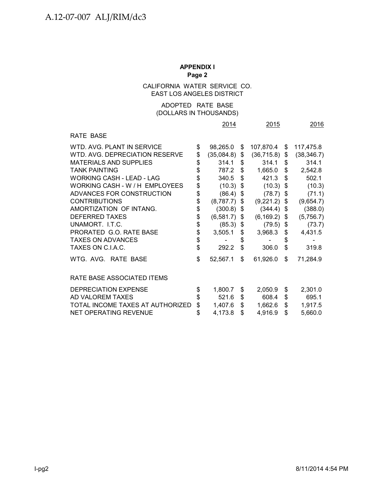### CALIFORNIA WATER SERVICE CO. EAST LOS ANGELES DISTRICT

#### (DOLLARS IN THOUSANDS) ADOPTED RATE BASE

|                                  | 2014                  |    | 2015            |    | 2016        |
|----------------------------------|-----------------------|----|-----------------|----|-------------|
| RATE BASE                        |                       |    |                 |    |             |
| WTD, AVG, PLANT IN SERVICE       | \$<br>98,265.0        | \$ | 107,870.4 \$    |    | 117,475.8   |
| WTD. AVG. DEPRECIATION RESERVE   | \$<br>$(35,084.8)$ \$ |    | $(36,715.8)$ \$ |    | (38, 346.7) |
| <b>MATERIALS AND SUPPLIES</b>    | \$<br>314.1           | S  | 314.1           | \$ | 314.1       |
| <b>TANK PAINTING</b>             | \$<br>787.2           | \$ | 1,665.0         | \$ | 2,542.8     |
| WORKING CASH - LEAD - LAG        | \$<br>340.5           | \$ | 421.3           | \$ | 502.1       |
| WORKING CASH - W / H EMPLOYEES   | \$<br>(10.3)          | \$ | (10.3)          | \$ | (10.3)      |
| ADVANCES FOR CONSTRUCTION        | \$<br>(86.4)          | \$ | (78.7)          | \$ | (71.1)      |
| <b>CONTRIBUTIONS</b>             | \$<br>(8,787.7)       | \$ | (9,221.2)       | S. | (9,654.7)   |
| AMORTIZATION OF INTANG.          | \$<br>(300.8)         | \$ | (344.4)         | \$ | (388.0)     |
| <b>DEFERRED TAXES</b>            | \$<br>$(6,581.7)$ \$  |    | (6, 169.2)      | \$ | (5,756.7)   |
| UNAMORT. I.T.C.                  | \$<br>$(85.3)$ \$     |    | (79.5)          | \$ | (73.7)      |
| PRORATED G.O. RATE BASE          | \$<br>3,505.1         | \$ | 3,968.3         | \$ | 4,431.5     |
| <b>TAXES ON ADVANCES</b>         | \$                    | \$ |                 | \$ |             |
| TAXES ON C.I.A.C.                | \$<br>292.2           | \$ | 306.0           | \$ | 319.8       |
| WTG. AVG. RATE BASE              | \$<br>52,567.1        | \$ | 61,926.0        | \$ | 71,284.9    |
| RATE BASE ASSOCIATED ITEMS       |                       |    |                 |    |             |
| <b>DEPRECIATION EXPENSE</b>      | \$<br>1,800.7         | \$ | 2,050.9         | \$ | 2,301.0     |
| AD VALOREM TAXES                 | \$<br>521.6           | \$ | 608.4           | \$ | 695.1       |
| TOTAL INCOME TAXES AT AUTHORIZED | \$<br>1,407.6         | \$ | 1,662.6         | \$ | 1,917.5     |
| <b>NET OPERATING REVENUE</b>     | \$<br>4,173.8         | \$ | 4,916.9         | \$ | 5,660.0     |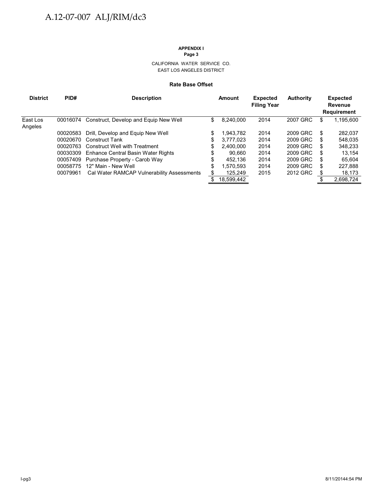# CALIFORNIA WATER SERVICE CO.

EAST LOS ANGELES DISTRICT

#### **Rate Base Offset**

| <b>District</b> | PID#     | <b>Description</b>                         |     | Amount     | <b>Expected</b><br><b>Filing Year</b> | Authority |    | <b>Expected</b><br>Revenue<br><b>Requirement</b> |
|-----------------|----------|--------------------------------------------|-----|------------|---------------------------------------|-----------|----|--------------------------------------------------|
| East Los        | 00016074 | Construct, Develop and Equip New Well      | \$  | 8,240,000  | 2014                                  | 2007 GRC  | \$ | 1,195,600                                        |
| Angeles         |          |                                            |     |            |                                       |           |    |                                                  |
|                 | 00020583 | Drill, Develop and Equip New Well          | \$  | 1.943.782  | 2014                                  | 2009 GRC  | S  | 282,037                                          |
|                 | 00020670 | <b>Construct Tank</b>                      | S   | 3,777,023  | 2014                                  | 2009 GRC  | S  | 548,035                                          |
|                 | 00020763 | <b>Construct Well with Treatment</b>       | \$. | 2.400,000  | 2014                                  | 2009 GRC  | S  | 348.233                                          |
|                 | 00030309 | Enhance Central Basin Water Rights         |     | 90.660     | 2014                                  | 2009 GRC  | S  | 13.154                                           |
|                 | 00057409 | Purchase Property - Carob Way              | \$  | 452.136    | 2014                                  | 2009 GRC  | S  | 65,604                                           |
|                 | 00058775 | 12" Main - New Well                        | \$  | 1,570,593  | 2014                                  | 2009 GRC  | \$ | 227,888                                          |
|                 | 00079961 | Cal Water RAMCAP Vulnerability Assessments |     | 125,249    | 2015                                  | 2012 GRC  | S  | 18,173                                           |
|                 |          |                                            |     | 18.599.442 |                                       |           |    | 2.698.724                                        |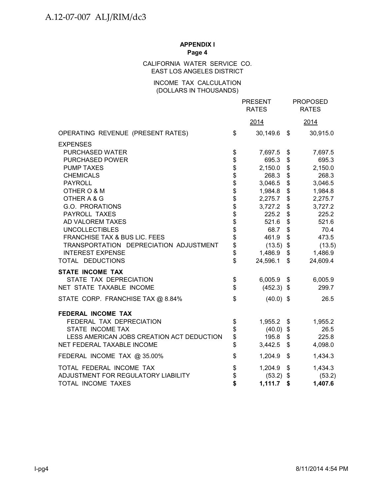#### CALIFORNIA WATER SERVICE CO. EAST LOS ANGELES DISTRICT

#### INCOME TAX CALCULATION (DOLLARS IN THOUSANDS)

|                                           |                | <b>PRESENT</b><br><b>RATES</b> | <b>PROPOSED</b><br><b>RATES</b> |
|-------------------------------------------|----------------|--------------------------------|---------------------------------|
|                                           |                | 2014                           | 2014                            |
| OPERATING REVENUE (PRESENT RATES)         | \$             | 30,149.6 \$                    | 30,915.0                        |
| <b>EXPENSES</b>                           |                |                                |                                 |
| PURCHASED WATER                           | \$             | 7,697.5                        | \$<br>7,697.5                   |
| PURCHASED POWER                           | \$             | 695.3                          | \$<br>695.3                     |
| <b>PUMP TAXES</b>                         | \$\$\$\$\$\$\$ | 2,150.0                        | \$<br>2,150.0                   |
| <b>CHEMICALS</b>                          |                | 268.3                          | \$<br>268.3                     |
| <b>PAYROLL</b>                            |                | 3,046.5                        | \$<br>3,046.5                   |
| OTHER O & M                               |                | 1,984.8                        | \$<br>1,984.8                   |
| OTHER A & G                               |                | 2,275.7                        | \$<br>2,275.7                   |
| G.O. PRORATIONS                           |                | 3,727.2                        | \$<br>3,727.2                   |
| PAYROLL TAXES                             |                | 225.2                          | \$<br>225.2                     |
| AD VALOREM TAXES                          | \$\$           | 521.6                          | \$<br>521.6                     |
| <b>UNCOLLECTIBLES</b>                     |                | 68.7                           | \$<br>70.4                      |
| FRANCHISE TAX & BUS LIC. FEES             |                | 461.9                          | \$<br>473.5                     |
| TRANSPORTATION DEPRECIATION ADJUSTMENT    | \$             | $(13.5)$ \$                    | (13.5)                          |
| <b>INTEREST EXPENSE</b>                   | \$             | 1,486.9                        | \$<br>1,486.9                   |
| TOTAL DEDUCTIONS                          | \$             | 24,596.1                       | \$<br>24,609.4                  |
| <b>STATE INCOME TAX</b>                   |                |                                |                                 |
| STATE TAX DEPRECIATION                    | \$             | $6,005.9$ \$                   | 6,005.9                         |
| NET STATE TAXABLE INCOME                  | \$             | $(452.3)$ \$                   | 299.7                           |
| STATE CORP. FRANCHISE TAX @ 8.84%         | \$             | $(40.0)$ \$                    | 26.5                            |
| FEDERAL INCOME TAX                        |                |                                |                                 |
| FEDERAL TAX DEPRECIATION                  | \$             | 1,955.2                        | \$<br>1,955.2                   |
| STATE INCOME TAX                          | \$             | (40.0)                         | \$<br>26.5                      |
| LESS AMERICAN JOBS CREATION ACT DEDUCTION | \$             | 195.8                          | \$<br>225.8                     |
| NET FEDERAL TAXABLE INCOME                | \$             | 3,442.5                        | \$<br>4,098.0                   |
| FEDERAL INCOME TAX @ 35.00%               | \$             | 1,204.9                        | \$<br>1,434.3                   |
| TOTAL FEDERAL INCOME TAX                  | \$             | 1,204.9                        | \$<br>1,434.3                   |
| ADJUSTMENT FOR REGULATORY LIABILITY       | \$             | $(53.2)$ \$                    | (53.2)                          |
| TOTAL INCOME TAXES                        | \$             | 1,111.7                        | \$<br>1,407.6                   |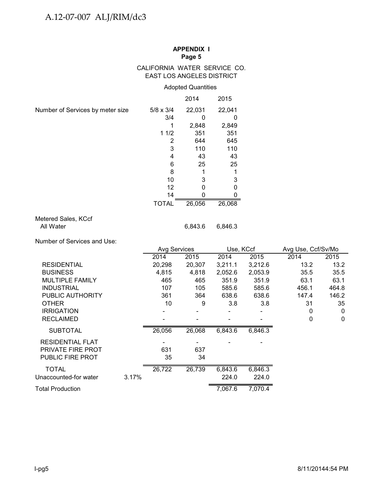#### CALIFORNIA WATER SERVICE CO. EAST LOS ANGELES DISTRICT

### Adopted Quantities

|                                  |                  | 2014   | 2015   |
|----------------------------------|------------------|--------|--------|
| Number of Services by meter size | $5/8 \times 3/4$ | 22,031 | 22,041 |
|                                  | 3/4              |        |        |
|                                  |                  | 2,848  | 2,849  |
|                                  | 11/2             | 351    | 351    |
|                                  | 2                | 644    | 645    |
|                                  | 3                | 110    | 110    |
|                                  | 4                | 43     | 43     |
|                                  | 6                | 25     | 25     |
|                                  | 8                |        |        |
|                                  | 10               | 3      | 3      |
|                                  | 12               |        |        |
|                                  | 14               |        |        |
|                                  | <b>TOTAL</b>     | 26,056 | 26,068 |

### Metered Sales, KCcf All Water 6,843.6 6,846.3

Number of Services and Use:

| 2014   | 2015   | 2014                | 2015    | 2014        | 2015               |
|--------|--------|---------------------|---------|-------------|--------------------|
| 20,298 | 20,307 | 3,211.1             | 3,212.6 | 13.2        | 13.2               |
| 4,815  | 4,818  | 2,052.6             | 2,053.9 | 35.5        | 35.5               |
| 465    | 465    | 351.9               | 351.9   | 63.1        | 63.1               |
| 107    | 105    | 585.6               | 585.6   | 456.1       | 464.8              |
| 361    | 364    | 638.6               | 638.6   | 147.4       | 146.2              |
| 10     | 9      | 3.8                 | 3.8     | 31          | 35                 |
|        |        |                     |         | 0           | 0                  |
|        |        |                     |         | $\mathbf 0$ | $\mathbf{0}$       |
| 26,056 | 26,068 | 6,843.6             | 6,846.3 |             |                    |
|        |        |                     |         |             |                    |
| 631    | 637    |                     |         |             |                    |
| 35     | 34     |                     |         |             |                    |
| 26,722 | 26,739 | 6,843.6             | 6,846.3 |             |                    |
|        |        | 224.0               | 224.0   |             |                    |
|        |        | 7,067.6             | 7,070.4 |             |                    |
|        |        | <b>Avg Services</b> |         | Use, KCcf   | Avg Use, Ccf/Sv/Mo |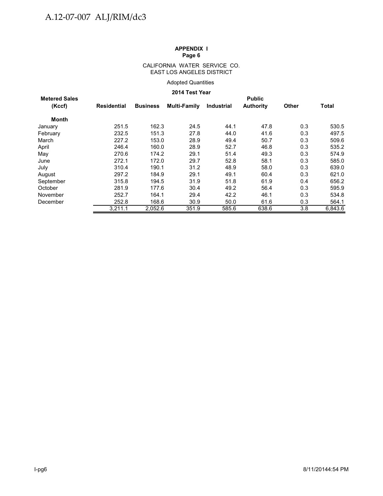#### CALIFORNIA WATER SERVICE CO. EAST LOS ANGELES DISTRICT

#### Adopted Quantities

#### **2014 Test Year**

| <b>Metered Sales</b> | <b>Public</b>      |                 |              |            |                  |              |              |  |  |  |  |  |
|----------------------|--------------------|-----------------|--------------|------------|------------------|--------------|--------------|--|--|--|--|--|
| (Kccf)               | <b>Residential</b> | <b>Business</b> | Multi-Family | Industrial | <b>Authority</b> | <b>Other</b> | <b>Total</b> |  |  |  |  |  |
| <b>Month</b>         |                    |                 |              |            |                  |              |              |  |  |  |  |  |
| January              | 251.5              | 162.3           | 24.5         | 44.1       | 47.8             | 0.3          | 530.5        |  |  |  |  |  |
| February             | 232.5              | 151.3           | 27.8         | 44.0       | 41.6             | 0.3          | 497.5        |  |  |  |  |  |
| March                | 227.2              | 153.0           | 28.9         | 49.4       | 50.7             | 0.3          | 509.6        |  |  |  |  |  |
| April                | 246.4              | 160.0           | 28.9         | 52.7       | 46.8             | 0.3          | 535.2        |  |  |  |  |  |
| May                  | 270.6              | 174.2           | 29.1         | 51.4       | 49.3             | 0.3          | 574.9        |  |  |  |  |  |
| June                 | 272.1              | 172.0           | 29.7         | 52.8       | 58.1             | 0.3          | 585.0        |  |  |  |  |  |
| July                 | 310.4              | 190.1           | 31.2         | 48.9       | 58.0             | 0.3          | 639.0        |  |  |  |  |  |
| August               | 297.2              | 184.9           | 29.1         | 49.1       | 60.4             | 0.3          | 621.0        |  |  |  |  |  |
| September            | 315.8              | 194.5           | 31.9         | 51.8       | 61.9             | 0.4          | 656.2        |  |  |  |  |  |
| October              | 281.9              | 177.6           | 30.4         | 49.2       | 56.4             | 0.3          | 595.9        |  |  |  |  |  |
| November             | 252.7              | 164.1           | 29.4         | 42.2       | 46.1             | 0.3          | 534.8        |  |  |  |  |  |
| December             | 252.8              | 168.6           | 30.9         | 50.0       | 61.6             | 0.3          | 564.1        |  |  |  |  |  |
|                      | 3,211.1            | 2,052.6         | 351.9        | 585.6      | 638.6            | 3.8          | 6.843.6      |  |  |  |  |  |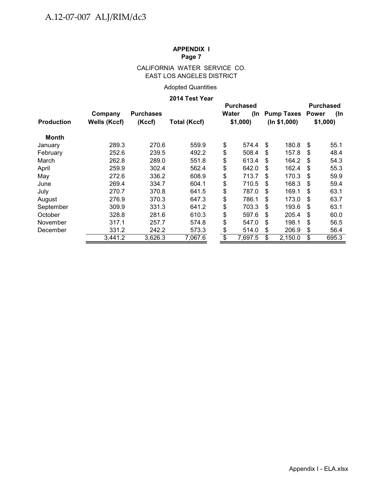### CALIFORNIA WATER SERVICE CO. EAST LOS ANGELES DISTRICT

### Adopted Quantities

#### **2014 Test Year**

|                   |              |                  |                     |       | <b>Purchased</b> |     | <b>Purchased</b>  |              |         |  |
|-------------------|--------------|------------------|---------------------|-------|------------------|-----|-------------------|--------------|---------|--|
|                   | Company      | <b>Purchases</b> |                     | Water | (In              |     | <b>Pump Taxes</b> | <b>Power</b> | (In     |  |
| <b>Production</b> | Wells (Kccf) | (Kccf)           | <b>Total (Kccf)</b> |       | \$1,000          |     | (ln \$1,000)      |              | \$1,000 |  |
| <b>Month</b>      |              |                  |                     |       |                  |     |                   |              |         |  |
| January           | 289.3        | 270.6            | 559.9               | \$    | 574.4            | \$. | 180.8             | \$           | 55.1    |  |
| February          | 252.6        | 239.5            | 492.2               | \$    | 508.4            | \$. | 157.8             | \$           | 48.4    |  |
| March             | 262.8        | 289.0            | 551.8               | \$    | 613.4            | \$  | 164.2             | - \$         | 54.3    |  |
| April             | 259.9        | 302.4            | 562.4               | \$    | 642.0            | \$  | 162.4             | \$           | 55.3    |  |
| May               | 272.6        | 336.2            | 608.9               | \$    | 713.7            | \$  | 170.3             | \$           | 59.9    |  |
| June              | 269.4        | 334.7            | 604.1               | \$    | 710.5            | \$  | 168.3             | \$           | 59.4    |  |
| July              | 270.7        | 370.8            | 641.5               | \$    | 787.0            | S   | 169.1             | S            | 63.1    |  |
| August            | 276.9        | 370.3            | 647.3               | \$    | 786.1            | \$  | 173.0             | \$           | 63.7    |  |
| September         | 309.9        | 331.3            | 641.2               | \$    | 703.3            | \$. | 193.6             | \$           | 63.1    |  |
| October           | 328.8        | 281.6            | 610.3               | \$    | 597.6            | \$  | 205.4             | \$           | 60.0    |  |
| November          | 317.1        | 257.7            | 574.8               | \$    | 547.0            | \$  | 198.1             | \$           | 56.5    |  |
| December          | 331.2        | 242.2            | 573.3               | \$    | 514.0            | \$  | 206.9             | \$           | 56.4    |  |
|                   | 3,441.2      | 3,626.3          | 7,067.6             | \$    | 7.697.5          | \$  | 2,150.0           | \$           | 695.3   |  |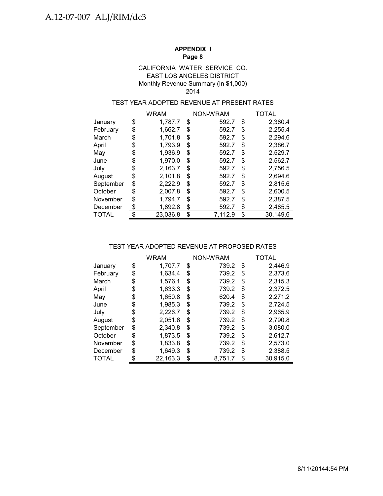#### EAST LOS ANGELES DISTRICT Monthly Revenue Summary (In \$1,000) CALIFORNIA WATER SERVICE CO. 2014

#### TEST YEAR ADOPTED REVENUE AT PRESENT RATES

|              | WRAM           |    | NON-WRAM | TOTAL          |
|--------------|----------------|----|----------|----------------|
| January      | \$<br>1,787.7  | \$ | 592.7    | \$<br>2,380.4  |
| February     | \$<br>1,662.7  | S  | 592.7    | \$<br>2,255.4  |
| March        | \$<br>1,701.8  | \$ | 592.7    | \$<br>2,294.6  |
| April        | \$<br>1,793.9  | \$ | 592.7    | \$<br>2,386.7  |
| May          | \$<br>1,936.9  | \$ | 592.7    | \$<br>2,529.7  |
| June         | \$<br>1,970.0  | \$ | 592.7    | \$<br>2,562.7  |
| July         | \$<br>2,163.7  | \$ | 592.7    | \$<br>2,756.5  |
| August       | \$<br>2,101.8  | \$ | 592.7    | \$<br>2,694.6  |
| September    | \$<br>2,222.9  | \$ | 592.7    | \$<br>2,815.6  |
| October      | \$<br>2,007.8  | \$ | 592.7    | \$<br>2,600.5  |
| November     | \$<br>1,794.7  | S  | 592.7    | \$<br>2,387.5  |
| December     | \$<br>1,892.8  | \$ | 592.7    | \$<br>2,485.5  |
| <b>TOTAL</b> | \$<br>23,036.8 | \$ | 7.112.9  | \$<br>30,149.6 |

#### TEST YEAR ADOPTED REVENUE AT PROPOSED RATES

|           |     | WRAM     |    | NON-WRAM | <b>TOTAL</b> |          |  |
|-----------|-----|----------|----|----------|--------------|----------|--|
| January   | \$  | 1.707.7  | \$ | 739.2    | \$           | 2,446.9  |  |
| February  | \$  | 1,634.4  | \$ | 739.2    | \$           | 2,373.6  |  |
| March     | \$  | 1,576.1  | \$ | 739.2    | \$           | 2,315.3  |  |
| April     | \$  | 1,633.3  | \$ | 739.2    | \$           | 2,372.5  |  |
| May       | \$  | 1,650.8  | \$ | 620.4    | \$           | 2,271.2  |  |
| June      | \$  | 1,985.3  | \$ | 739.2    | \$           | 2,724.5  |  |
| July      | \$  | 2,226.7  | \$ | 739.2    | \$           | 2,965.9  |  |
| August    | \$  | 2,051.6  | \$ | 739.2    | \$           | 2,790.8  |  |
| September | \$  | 2,340.8  | \$ | 739.2    | \$           | 3,080.0  |  |
| October   | \$  | 1,873.5  | \$ | 739.2    | \$           | 2,612.7  |  |
| November  | \$  | 1,833.8  | \$ | 739.2    | \$           | 2,573.0  |  |
| December  | \$  | 1,649.3  | \$ | 739.2    | \$           | 2,388.5  |  |
| TOTAL     | \$. | 22,163.3 | \$ | 8,751.7  | \$           | 30,915.0 |  |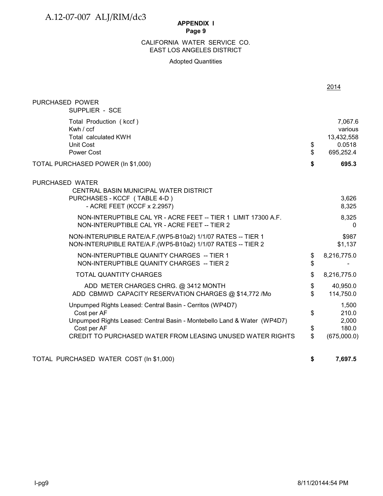# A.12-07-007 ALJ/RIM/dc3

#### **APPENDIX I Page 9**

### EAST LOS ANGELES DISTRICT CALIFORNIA WATER SERVICE CO.

#### Adopted Quantities

|                                                                                                                                                    |                      | 2014                                                    |
|----------------------------------------------------------------------------------------------------------------------------------------------------|----------------------|---------------------------------------------------------|
| PURCHASED POWER<br>SUPPLIER - SCE                                                                                                                  |                      |                                                         |
| Total Production (kccf)<br>Kwh $/$ ccf<br>Total calculated KWH<br><b>Unit Cost</b><br>Power Cost                                                   | \$<br>\$             | 7,067.6<br>various<br>13,432,558<br>0.0518<br>695,252.4 |
| TOTAL PURCHASED POWER (In \$1,000)                                                                                                                 | \$                   | 695.3                                                   |
| PURCHASED WATER<br>CENTRAL BASIN MUNICIPAL WATER DISTRICT<br>PURCHASES - KCCF (TABLE 4-D)<br>- ACRE FEET (KCCF x 2.2957)                           |                      | 3,626<br>8,325                                          |
| NON-INTERUPTIBLE CAL YR - ACRE FEET -- TIER 1 LIMIT 17300 A.F.<br>NON-INTERUPTIBLE CAL YR - ACRE FEET -- TIER 2                                    |                      | 8,325<br>$\Omega$                                       |
| NON-INTERUPIBLE RATE/A.F. (WP5-B10a2) 1/1/07 RATES -- TIER 1<br>NON-INTERUPIBLE RATE/A.F.(WP5-B10a2) 1/1/07 RATES -- TIER 2                        |                      | \$987<br>\$1,137                                        |
| NON-INTERUPTIBLE QUANITY CHARGES -- TIER 1<br>NON-INTERUPTIBLE QUANITY CHARGES -- TIER 2                                                           | \$<br>\$             | 8,216,775.0                                             |
| <b>TOTAL QUANTITY CHARGES</b>                                                                                                                      | \$                   | 8,216,775.0                                             |
| ADD METER CHARGES CHRG. @ 3412 MONTH<br>ADD CBMWD CAPACITY RESERVATION CHARGES @ \$14,772 /Mo                                                      | \$<br>\$             | 40,950.0<br>114,750.0                                   |
| Unpumped Rights Leased: Central Basin - Cerritos (WP4D7)<br>Cost per AF<br>Unpumped Rights Leased: Central Basin - Montebello Land & Water (WP4D7) | \$                   | 1,500<br>210.0<br>2,000                                 |
| Cost per AF<br>CREDIT TO PURCHASED WATER FROM LEASING UNUSED WATER RIGHTS                                                                          | \$<br>$\mathfrak{S}$ | 180.0<br>(675,000.0)                                    |
| TOTAL PURCHASED WATER COST (In \$1,000)                                                                                                            | \$                   | 7,697.5                                                 |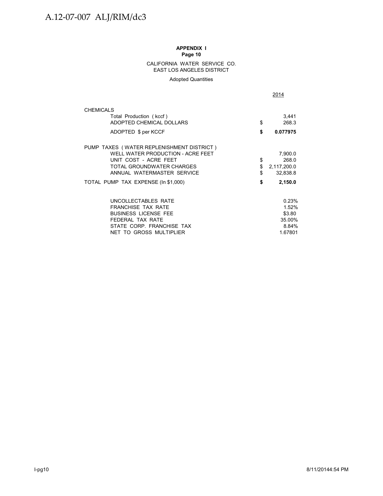#### CALIFORNIA WATER SERVICE CO. EAST LOS ANGELES DISTRICT

Adopted Quantities

|                                           | 2014              |  |  |
|-------------------------------------------|-------------------|--|--|
| <b>CHEMICALS</b>                          |                   |  |  |
| Total Production (kccf)                   | 3,441             |  |  |
| ADOPTED CHEMICAL DOLLARS                  | \$<br>268.3       |  |  |
| ADOPTED \$ per KCCF                       | \$<br>0.077975    |  |  |
| PUMP TAXES (WATER REPLENISHMENT DISTRICT) |                   |  |  |
| WELL WATER PRODUCTION - ACRE FEET         | 7,900.0           |  |  |
| UNIT COST - ACRE FEET                     | \$<br>268.0       |  |  |
| TOTAL GROUNDWATER CHARGES                 | \$<br>2,117,200.0 |  |  |
| ANNUAL WATERMASTER SERVICE                | \$<br>32,838.8    |  |  |
| TOTAL PUMP TAX EXPENSE (In \$1,000)       | \$<br>2,150.0     |  |  |
| UNCOLLECTABLES RATE                       | 0.23%             |  |  |
| <b>FRANCHISE TAX RATE</b>                 | 1.52%             |  |  |
| <b>BUSINESS LICENSE FEE</b>               | \$3.80            |  |  |
| FEDERAL TAX RATE                          | 35.00%            |  |  |
| STATE CORP. FRANCHISE TAX                 | 8.84%             |  |  |
| NET TO GROSS MULTIPLIER                   | 1.67801           |  |  |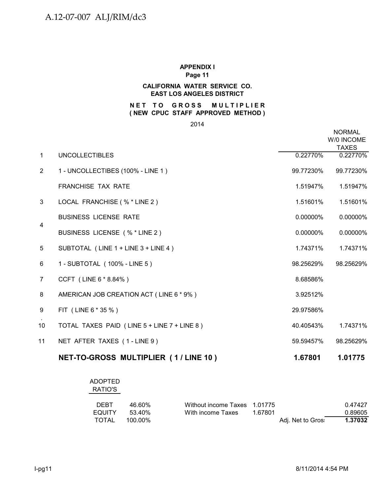#### **CALIFORNIA WATER SERVICE CO. EAST LOS ANGELES DISTRICT**

#### **NET TO GROSS MULTIPLIER ( NEW CPUC STAFF APPROVED METHOD )**

2014

|                |                                             |           | <b>NORMAL</b><br>W/0 INCOME<br><b>TAXES</b> |
|----------------|---------------------------------------------|-----------|---------------------------------------------|
| $\mathbf{1}$   | <b>UNCOLLECTIBLES</b>                       | 0.22770%  | 0.22770%                                    |
| $\overline{2}$ | 1 - UNCOLLECTIBES (100% - LINE 1)           | 99.77230% | 99.77230%                                   |
|                | FRANCHISE TAX RATE                          | 1.51947%  | 1.51947%                                    |
| 3              | LOCAL FRANCHISE (% * LINE 2)                | 1.51601%  | 1.51601%                                    |
| 4              | <b>BUSINESS LICENSE RATE</b>                | 0.00000%  | 0.00000%                                    |
|                | BUSINESS LICENSE (% * LINE 2)               | 0.00000%  | 0.00000%                                    |
| 5              | SUBTOTAL (LINE 1 + LINE 3 + LINE 4)         | 1.74371%  | 1.74371%                                    |
| 6              | 1 - SUBTOTAL (100% - LINE 5)                | 98.25629% | 98.25629%                                   |
| $\overline{7}$ | CCFT (LINE 6 * 8.84%)                       | 8.68586%  |                                             |
| 8              | AMERICAN JOB CREATION ACT (LINE 6 * 9%)     | 3.92512%  |                                             |
| 9              | FIT (LINE 6 * 35 %)                         | 29.97586% |                                             |
| 10             | TOTAL TAXES PAID (LINE 5 + LINE 7 + LINE 8) | 40.40543% | 1.74371%                                    |
| 11             | NET AFTER TAXES (1-LINE 9)                  | 59.59457% | 98.25629%                                   |
|                | NET-TO-GROSS MULTIPLIER (1/LINE 10)         | 1.67801   | 1.01775                                     |

| <b>ADOPTED</b><br>RATIO'S |         |                              |         |                   |         |
|---------------------------|---------|------------------------------|---------|-------------------|---------|
| <b>DEBT</b>               | 46.60%  | Without income Taxes 1.01775 |         |                   | 0.47427 |
| <b>EQUITY</b>             | 53.40%  | With income Taxes            | 1.67801 |                   | 0.89605 |
| TOTAL                     | 100.00% |                              |         | Adj. Net to Gros: | 1.37032 |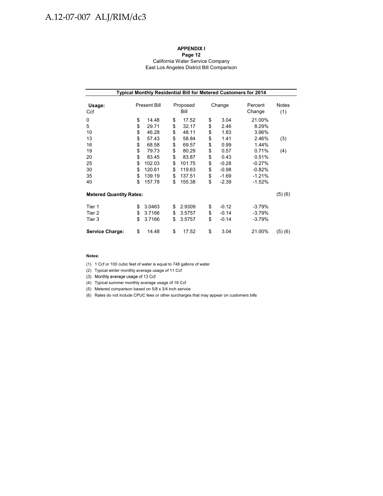# A.12-07-007 ALJ/RIM/dc3

#### **APPENDIX I**

**Page 12** California Water Service Company East Los Angeles District Bill Comparison

| Typical Monthly Residential Bill for Metered Customers for 2014 |          |                     |          |                  |          |                    |                      |              |  |  |
|-----------------------------------------------------------------|----------|---------------------|----------|------------------|----------|--------------------|----------------------|--------------|--|--|
| Usage:<br>Ccf                                                   |          | <b>Present Bill</b> |          | Proposed<br>Bill |          | Change             | Percent<br>Change    | Notes<br>(1) |  |  |
| 0<br>5                                                          | \$<br>\$ | 14.48<br>29.71      | \$<br>\$ | 17.52<br>32.17   | \$<br>\$ | 3.04<br>2.46       | 21.00%<br>8.29%      |              |  |  |
| 10                                                              | \$       | 46.28               | \$       | 48.11            | \$       | 1.83               | 3.96%                |              |  |  |
| 13<br>16                                                        | \$<br>\$ | 57.43<br>68.58      | \$<br>\$ | 58.84<br>69.57   | \$<br>\$ | 1.41<br>0.99       | 2.46%<br>1.44%       | (3)          |  |  |
| 19<br>20                                                        | \$<br>\$ | 79.73<br>83.45      | \$<br>\$ | 80.29<br>83.87   | \$<br>\$ | 0.57<br>0.43       | 0.71%<br>0.51%       | (4)          |  |  |
| 25<br>30                                                        | \$<br>\$ | 102.03<br>120.61    | \$<br>\$ | 101.75<br>119.63 | \$<br>\$ | $-0.28$<br>$-0.98$ | $-0.27%$<br>$-0.82%$ |              |  |  |
| 35                                                              | \$       | 139.19              | \$       | 137.51           | \$       | $-1.69$            | $-1.21%$             |              |  |  |
| 40                                                              | \$       | 157.78              | \$       | 155.38           | \$       | $-2.39$            | $-1.52%$             |              |  |  |
| <b>Metered Quantity Rates:</b>                                  |          |                     |          |                  |          |                    |                      | (5)(6)       |  |  |
| Tier 1                                                          | \$       | 3.0463              | \$       | 2.9309           | \$       | $-0.12$            | $-3.79%$             |              |  |  |
| Tier 2<br>Tier 3                                                | \$<br>\$ | 3.7166<br>3.7166    | \$<br>\$ | 3.5757<br>3.5757 | \$<br>\$ | $-0.14$<br>$-0.14$ | $-3.79%$<br>-3.79%   |              |  |  |
| <b>Service Charge:</b>                                          | \$       | 14.48               | \$       | 17.52            | \$       | 3.04               | 21.00%               | (5)(6)       |  |  |

#### **Notes:**

(1) 1 Ccf or 100 cubic feet of water is equal to 748 gallons of water

(2) Typical winter monthly average usage of 11 Ccf

(3) Monthly average usage of 13 Ccf

(4) Typical summer monthly average usage of 16 Ccf

(5) Metered comparison based on 5/8 x 3/4 inch service

(6) Rates do not include CPUC fees or other surcharges that may appear on customers bills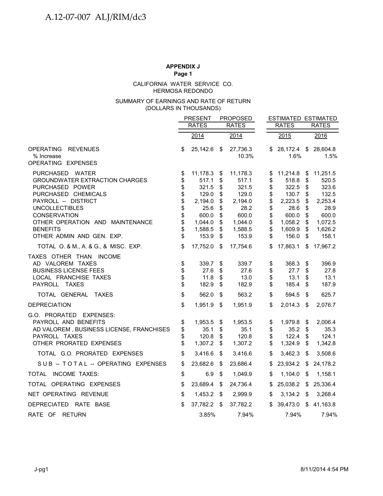HERMOSA REDONDO CALIFORNIA WATER SERVICE CO.

#### (DOLLARS IN THOUSANDS) SUMMARY OF EARNINGS AND RATE OF RETURN

|                                                                                                                                         |                      | <b>PRESENT</b>                      |                      | <b>PROPOSED</b>                     |                      |                                     | <b>ESTIMATED ESTIMATED</b> |                                     |  |
|-----------------------------------------------------------------------------------------------------------------------------------------|----------------------|-------------------------------------|----------------------|-------------------------------------|----------------------|-------------------------------------|----------------------------|-------------------------------------|--|
|                                                                                                                                         |                      | <b>RATES</b>                        |                      | <b>RATES</b>                        |                      | <b>RATES</b>                        | <b>RATES</b>               |                                     |  |
|                                                                                                                                         |                      | 2014                                |                      | 2014                                |                      | 2015                                |                            | 2016                                |  |
| <b>OPERATING</b><br><b>REVENUES</b><br>% Increase                                                                                       | \$                   | 25,142.6 \$                         |                      | 27,736.3<br>10.3%                   | S                    | 28,172.4<br>1.6%                    | \$                         | 28,604.8<br>1.5%                    |  |
| OPERATING EXPENSES                                                                                                                      |                      |                                     |                      |                                     |                      |                                     |                            |                                     |  |
| PURCHASED WATER<br><b>GROUNDWATER EXTRACTION CHARGES</b><br>PURCHASED POWER                                                             | \$<br>\$<br>\$       | 11,178.3<br>517.1<br>321.5          | \$<br>\$<br>\$       | 11,178.3<br>517.1<br>321.5          | \$<br>\$<br>\$       | 11,214.8<br>518.8<br>322.5          | \$<br>\$<br>\$             | 11,251.5<br>520.5<br>323.6          |  |
| PURCHASED CHEMICALS<br>PAYROLL -- DISTRICT<br><b>UNCOLLECTIBLES</b>                                                                     | \$<br>\$<br>\$       | 129.0<br>2,194.0<br>25.6            | \$<br>\$<br>\$       | 129.0<br>2,194.0<br>28.2            | \$<br>\$<br>\$       | 130.7<br>2,223.5<br>28.6            | \$<br>\$<br>\$             | 132.5<br>2,253.4<br>28.9            |  |
| <b>CONSERVATION</b><br>OTHER OPERATION AND MAINTENANCE                                                                                  | \$<br>\$             | 600.0<br>1,044.0                    | \$<br>\$             | 600.0<br>1,044.0                    | \$<br>\$             | 600.0<br>1,058.2                    | \$<br>\$                   | 600.0<br>1,072.5                    |  |
| <b>BENEFITS</b><br>OTHER ADMIN AND GEN. EXP.                                                                                            | \$<br>\$             | 1,588.5<br>153.9                    | \$<br>\$             | 1,588.5<br>153.9                    | \$<br>\$             | 1,609.9<br>156.0                    | \$<br>\$                   | 1,626.2<br>158.1                    |  |
| TOTAL O. & M., A. & G., & MISC. EXP.                                                                                                    | \$                   | 17,752.0                            | \$                   | 17,754.6                            | \$                   | 17,863.1                            | \$                         | 17,967.2                            |  |
| TAXES OTHER THAN INCOME<br>AD VALOREM TAXES<br><b>BUSINESS LICENSE FEES</b><br>LOCAL FRANCHISE TAXES<br>PAYROLL TAXES                   | \$<br>\$<br>\$<br>\$ | 339.7<br>27.6<br>11.8<br>182.9      | \$<br>\$<br>\$<br>\$ | 339.7<br>27.6<br>13.0<br>182.9      | \$<br>\$<br>\$<br>\$ | 368.3<br>27.7<br>13.1<br>185.4      | \$<br>\$<br>\$<br>S        | 396.9<br>27.8<br>13.1<br>187.9      |  |
| TOTAL GENERAL<br>TAXES                                                                                                                  | \$                   | 562.0                               | \$                   | 563.2                               | \$                   | 594.5                               | S.                         | 625.7                               |  |
| <b>DEPRECIATION</b>                                                                                                                     | \$                   | 1,951.9 \$                          |                      | 1,951.9                             | \$                   | 2,014.3                             | $\sqrt[6]{\frac{1}{2}}$    | 2,076.7                             |  |
| G.O. PRORATED EXPENSES:<br>PAYROLL AND BENEFITS<br>AD VALOREM, BUSINESS LICENSE, FRANCHISES<br>PAYROLL TAXES<br>OTHER PRORATED EXPENSES | \$<br>\$<br>\$<br>\$ | 1,953.5<br>35.1<br>120.8<br>1,307.2 | \$<br>\$<br>\$<br>\$ | 1,953.5<br>35.1<br>120.8<br>1,307.2 | \$<br>\$<br>\$<br>\$ | 1,979.8<br>35.2<br>122.4<br>1,324.9 | \$<br>\$<br>\$<br>\$       | 2,006.4<br>35.3<br>124.1<br>1,342.8 |  |
| TOTAL G.O. PRORATED EXPENSES                                                                                                            | \$                   | 3,416.6                             | \$                   | 3,416.6                             | \$                   | 3,462.3                             | \$                         | 3,508.6                             |  |
| SUB -- TOTAL -- OPERATING EXPENSES                                                                                                      | \$                   | 23,682.6                            | \$                   | 23,686.4                            | \$                   | 23,934.2                            | \$                         | 24,178.2                            |  |
| TOTAL INCOME TAXES:                                                                                                                     | \$                   | 6.9                                 | \$                   | 1,049.9                             | \$                   | 1,104.0                             | \$                         | 1,158.1                             |  |
| TOTAL OPERATING EXPENSES                                                                                                                | \$                   | 23,689.4                            | \$                   | 24,736.4                            | \$                   | 25,038.2                            | \$                         | 25,336.4                            |  |
| NET OPERATING REVENUE                                                                                                                   | \$                   | 1,453.2                             | - \$                 | 2,999.9                             | \$                   | 3,134.2                             | \$                         | 3,268.4                             |  |
| DEPRECIATED RATE BASE                                                                                                                   | \$                   | 37,782.2                            | \$                   | 37,782.2                            | \$                   | 39,473.0                            | \$                         | 41,163.8                            |  |
| RATE OF RETURN                                                                                                                          |                      | $3.85\%$                            |                      | 7.94%                               |                      | 7.94%                               |                            | 7.94%                               |  |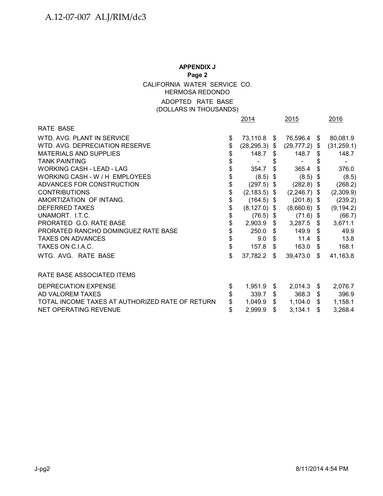# **APPENDIX J Page 2** CALIFORNIA WATER SERVICE CO. HERMOSA REDONDO ADOPTED RATE BASE

(DOLLARS IN THOUSANDS)

|                                                 | 2014                   |      | 2015                     |                           | 2016        |
|-------------------------------------------------|------------------------|------|--------------------------|---------------------------|-------------|
| RATE BASE                                       |                        |      |                          |                           |             |
| WTD. AVG. PLANT IN SERVICE                      | \$<br>73,110.8 \$      |      | 76,596.4 \$              |                           | 80,081.9    |
| WTD. AVG. DEPRECIATION RESERVE                  | \$<br>$(28, 295.3)$ \$ |      | $(29, 777.2)$ \$         |                           | (31, 259.1) |
| <b>MATERIALS AND SUPPLIES</b>                   | \$<br>$148.7$ \$       |      | 148.7                    | S.                        | 148.7       |
| <b>TANK PAINTING</b>                            | \$<br>$\blacksquare$   | \$   | $\overline{\phantom{a}}$ |                           |             |
| <b>WORKING CASH - LEAD - LAG</b>                | \$<br>354.7            | \$   | 365.4                    | \$                        | 376.0       |
| WORKING CASH - W / H EMPLOYEES                  | \$<br>$(8.5)$ \$       |      | (8.5)                    | \$                        | (8.5)       |
| ADVANCES FOR CONSTRUCTION                       | \$<br>$(297.5)$ \$     |      | $(282.8)$ \$             |                           | (268.2)     |
| <b>CONTRIBUTIONS</b>                            | \$<br>$(2, 183.5)$ \$  |      | $(2,246.7)$ \$           |                           | (2,309.9)   |
| AMORTIZATION OF INTANG.                         | \$<br>$(164.5)$ \$     |      | $(201.8)$ \$             |                           | (239.2)     |
| <b>DEFERRED TAXES</b>                           | \$<br>$(8, 127.0)$ \$  |      | $(8,660.6)$ \$           |                           | (9, 194.2)  |
| UNAMORT. I.T.C.                                 | \$<br>$(76.5)$ \$      |      | $(71.6)$ \$              |                           | (66.7)      |
| PRORATED G.O. RATE BASE                         | \$<br>2,903.9          | \$   | $3,287.5$ \$             |                           | 3,671.1     |
| PRORATED RANCHO DOMINGUEZ RATE BASE             | \$<br>250.0            | \$   | 149.9                    | \$                        | 49.9        |
| <b>TAXES ON ADVANCES</b>                        | \$<br>9.0              | \$   | 11.4                     | \$                        | 13.8        |
| TAXES ON C.I.A.C.                               | \$<br>157.8            | \$   | 163.0                    | $\boldsymbol{\mathsf{s}}$ | 168.1       |
| WTG. AVG. RATE BASE                             | \$<br>37,782.2         | - \$ | 39,473.0                 | \$                        | 41,163.8    |
| RATE BASE ASSOCIATED ITEMS                      |                        |      |                          |                           |             |
| DEPRECIATION EXPENSE                            | \$<br>1,951.9          | \$   | 2,014.3                  | \$                        | 2,076.7     |
| AD VALOREM TAXES                                | 339.7                  | \$   | 368.3                    | \$                        | 396.9       |
| TOTAL INCOME TAXES AT AUTHORIZED RATE OF RETURN | 1,049.9                | \$   | 1,104.0                  | $\$\$                     | 1,158.1     |
| NET OPERATING REVENUE                           | \$<br>2,999.9          | \$   | 3,134.1                  | \$                        | 3,268.4     |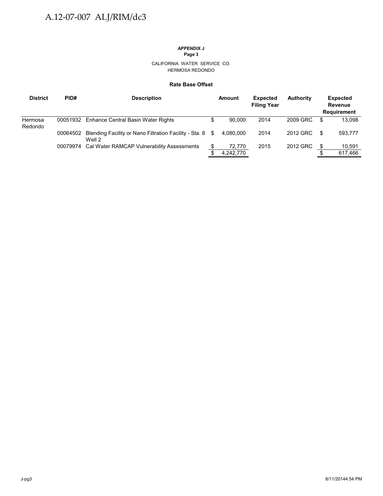# **APPENDIX J**

**Page 3**

#### CALIFORNIA WATER SERVICE CO. HERMOSA REDONDO

#### **Rate Base Offset**

| <b>District</b>    | PID#     | <b>Description</b>                                                  |    | Amount    | <b>Expected</b><br><b>Filing Year</b> | <b>Authority</b> |    | <b>Expected</b><br><b>Revenue</b><br><b>Requirement</b> |
|--------------------|----------|---------------------------------------------------------------------|----|-----------|---------------------------------------|------------------|----|---------------------------------------------------------|
| Hermosa<br>Redondo |          | 00051932 Enhance Central Basin Water Rights                         | \$ | 90.000    | 2014                                  | 2009 GRC         | \$ | 13.098                                                  |
|                    | 00064502 | Blending Facility or Nano Filtration Facility - Sta. 8 \$<br>Well 2 |    | 4.080.000 | 2014                                  | 2012 GRC         | S  | 593,777                                                 |
|                    |          | 00079974 Cal Water RAMCAP Vulnerability Assessments                 |    | 72,770    | 2015                                  | 2012 GRC         |    | 10.591                                                  |
|                    |          |                                                                     |    | 4,242,770 |                                       |                  |    | 617,466                                                 |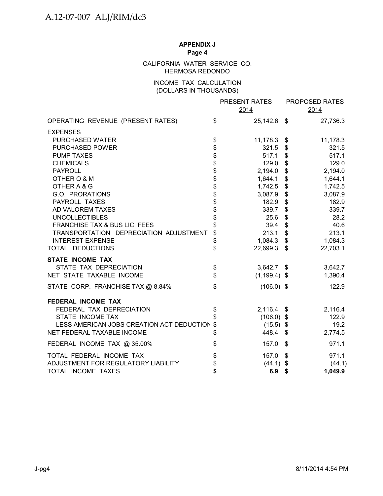# CALIFORNIA WATER SERVICE CO. HERMOSA REDONDO

# INCOME TAX CALCULATION (DOLLARS IN THOUSANDS)

|                                           |                                  | PRESENT RATES<br>2014 | PROPOSED RATES<br>2014 |
|-------------------------------------------|----------------------------------|-----------------------|------------------------|
| OPERATING REVENUE (PRESENT RATES)         | \$                               | 25,142.6 \$           | 27,736.3               |
| <b>EXPENSES</b>                           |                                  |                       |                        |
| PURCHASED WATER                           |                                  | 11,178.3              | \$<br>11,178.3         |
| PURCHASED POWER                           |                                  | 321.5                 | \$<br>321.5            |
| <b>PUMP TAXES</b>                         |                                  | 517.1                 | \$<br>517.1            |
| <b>CHEMICALS</b>                          | \$\$\$\$\$\$\$\$\$\$\$\$\$\$\$\$ | 129.0                 | \$<br>129.0            |
| <b>PAYROLL</b>                            |                                  | 2,194.0               | \$<br>2,194.0          |
| OTHER O & M                               |                                  | 1,644.1               | \$<br>1,644.1          |
| OTHER A & G                               |                                  | 1,742.5               | \$<br>1,742.5          |
| G.O. PRORATIONS                           |                                  | 3,087.9               | \$<br>3,087.9          |
| PAYROLL TAXES                             |                                  | 182.9                 | \$<br>182.9            |
| AD VALOREM TAXES                          |                                  | 339.7                 | \$<br>339.7            |
| <b>UNCOLLECTIBLES</b>                     |                                  | 25.6                  | \$<br>28.2             |
| FRANCHISE TAX & BUS LIC. FEES             |                                  | 39.4                  | \$<br>40.6             |
| TRANSPORTATION DEPRECIATION ADJUSTMENT    |                                  | 213.1                 | \$<br>213.1            |
| <b>INTEREST EXPENSE</b>                   | \$                               | 1,084.3               | \$<br>1,084.3          |
| TOTAL DEDUCTIONS                          | \$                               | 22,699.3              | \$<br>22,703.1         |
| <b>STATE INCOME TAX</b>                   |                                  |                       |                        |
| STATE TAX DEPRECIATION                    |                                  | $3,642.7$ \$          | 3,642.7                |
| NET STATE TAXABLE INCOME                  | \$                               | $(1, 199.4)$ \$       | 1,390.4                |
| STATE CORP. FRANCHISE TAX @ 8.84%         | \$                               | $(106.0)$ \$          | 122.9                  |
| <b>FEDERAL INCOME TAX</b>                 |                                  |                       |                        |
| FEDERAL TAX DEPRECIATION                  | \$                               | $2,116.4$ \$          | 2,116.4                |
| STATE INCOME TAX                          | \$                               | $(106.0)$ \$          | 122.9                  |
| LESS AMERICAN JOBS CREATION ACT DEDUCTION | $\mathfrak{S}$                   | $(15.5)$ \$           | 19.2                   |
| NET FEDERAL TAXABLE INCOME                | \$                               | 448.4                 | \$<br>2,774.5          |
| FEDERAL INCOME TAX @ 35.00%               | \$                               | 157.0                 | \$<br>971.1            |
| TOTAL FEDERAL INCOME TAX                  |                                  | 157.0                 | \$<br>971.1            |
| ADJUSTMENT FOR REGULATORY LIABILITY       | \$<br>\$                         | $(44.1)$ \$           | (44.1)                 |
| TOTAL INCOME TAXES                        |                                  | 6.9                   | \$<br>1,049.9          |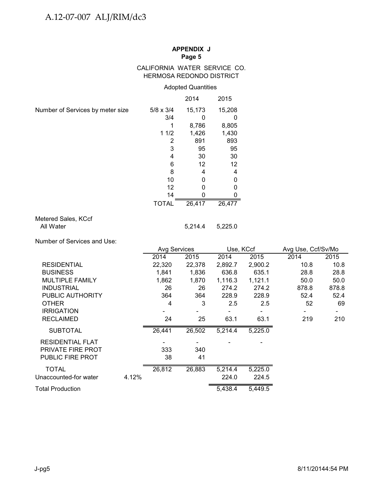# CALIFORNIA WATER SERVICE CO. HERMOSA REDONDO DISTRICT

# Adopted Quantities

|                                  |                  | 2014   | 2015   |
|----------------------------------|------------------|--------|--------|
| Number of Services by meter size | $5/8 \times 3/4$ | 15,173 | 15,208 |
|                                  | 3/4              |        |        |
|                                  |                  | 8,786  | 8,805  |
|                                  | 11/2             | 1,426  | 1,430  |
|                                  | 2                | 891    | 893    |
|                                  | 3                | 95     | 95     |
|                                  | 4                | 30     | 30     |
|                                  | 6                | 12     | 12     |
|                                  | 8                | 4      | 4      |
|                                  | 10               | U      | 0      |
|                                  | 12               |        | O      |
|                                  | 14               |        |        |
|                                  | <b>TOTAL</b>     | 26,417 | 26,477 |

# Metered Sales, KCcf All Water 5,214.4 5,225.0

Number of Services and Use:

|                         |       |        | <b>Avg Services</b><br>Use, KCcf |         |         | Avg Use, Ccf/Sv/Mo |       |  |
|-------------------------|-------|--------|----------------------------------|---------|---------|--------------------|-------|--|
|                         |       | 2014   | 2015                             | 2014    | 2015    | 2014               | 2015  |  |
| <b>RESIDENTIAL</b>      |       | 22,320 | 22,378                           | 2,892.7 | 2,900.2 | 10.8               | 10.8  |  |
| <b>BUSINESS</b>         |       | 1,841  | 1,836                            | 636.8   | 635.1   | 28.8               | 28.8  |  |
| <b>MULTIPLE FAMILY</b>  |       | 1,862  | 1,870                            | 1,116.3 | 1,121.1 | 50.0               | 50.0  |  |
| <b>INDUSTRIAL</b>       |       | 26     | 26                               | 274.2   | 274.2   | 878.8              | 878.8 |  |
| PUBLIC AUTHORITY        |       | 364    | 364                              | 228.9   | 228.9   | 52.4               | 52.4  |  |
| <b>OTHER</b>            |       | 4      | 3                                | 2.5     | 2.5     | 52                 | 69    |  |
| <b>IRRIGATION</b>       |       |        |                                  |         |         |                    |       |  |
| <b>RECLAIMED</b>        |       | 24     | 25                               | 63.1    | 63.1    | 219                | 210   |  |
| <b>SUBTOTAL</b>         |       | 26,441 | 26,502                           | 5,214.4 | 5,225.0 |                    |       |  |
| <b>RESIDENTIAL FLAT</b> |       |        |                                  |         |         |                    |       |  |
| PRIVATE FIRE PROT       |       | 333    | 340                              |         |         |                    |       |  |
| <b>PUBLIC FIRE PROT</b> |       | 38     | 41                               |         |         |                    |       |  |
| <b>TOTAL</b>            |       | 26,812 | 26,883                           | 5,214.4 | 5,225.0 |                    |       |  |
| Unaccounted-for water   | 4.12% |        |                                  | 224.0   | 224.5   |                    |       |  |
| <b>Total Production</b> |       |        |                                  | 5,438.4 | 5,449.5 |                    |       |  |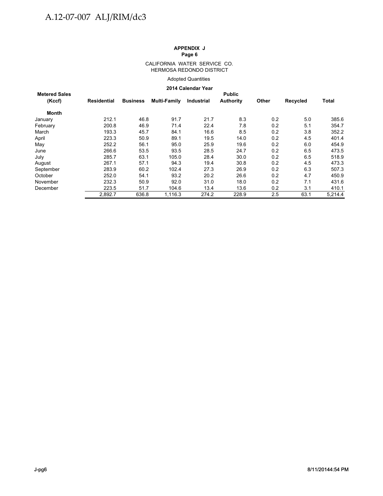#### CALIFORNIA WATER SERVICE CO. HERMOSA REDONDO DISTRICT

Adopted Quantities

#### **2014 Calendar Year**

| <b>Metered Sales</b> |                    |                 |                     |            | <b>Public</b>    |       |          |              |
|----------------------|--------------------|-----------------|---------------------|------------|------------------|-------|----------|--------------|
| (Kccf)               | <b>Residential</b> | <b>Business</b> | <b>Multi-Family</b> | Industrial | <b>Authority</b> | Other | Recycled | <b>Total</b> |
| Month                |                    |                 |                     |            |                  |       |          |              |
| January              | 212.1              | 46.8            | 91.7                | 21.7       | 8.3              | 0.2   | 5.0      | 385.6        |
| February             | 200.8              | 46.9            | 71.4                | 22.4       | 7.8              | 0.2   | 5.1      | 354.7        |
| March                | 193.3              | 45.7            | 84.1                | 16.6       | 8.5              | 0.2   | 3.8      | 352.2        |
| April                | 223.3              | 50.9            | 89.1                | 19.5       | 14.0             | 0.2   | 4.5      | 401.4        |
| May                  | 252.2              | 56.1            | 95.0                | 25.9       | 19.6             | 0.2   | 6.0      | 454.9        |
| June                 | 266.6              | 53.5            | 93.5                | 28.5       | 24.7             | 0.2   | 6.5      | 473.5        |
| July                 | 285.7              | 63.1            | 105.0               | 28.4       | 30.0             | 0.2   | 6.5      | 518.9        |
| August               | 267.1              | 57.1            | 94.3                | 19.4       | 30.8             | 0.2   | 4.5      | 473.3        |
| September            | 283.9              | 60.2            | 102.4               | 27.3       | 26.9             | 0.2   | 6.3      | 507.3        |
| October              | 252.0              | 54.1            | 93.2                | 20.2       | 26.6             | 0.2   | 4.7      | 450.9        |
| November             | 232.3              | 50.9            | 92.0                | 31.0       | 18.0             | 0.2   | 7.1      | 431.6        |
| December             | 223.5              | 51.7            | 104.6               | 13.4       | 13.6             | 0.2   | 3.1      | 410.1        |
|                      | 2.892.7            | 636.8           | 1,116.3             | 274.2      | 228.9            | 2.5   | 63.1     | 5,214.4      |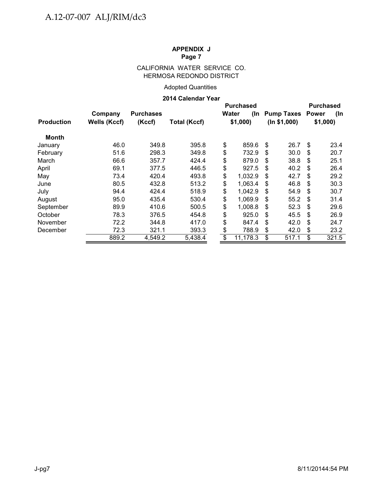# CALIFORNIA WATER SERVICE CO. HERMOSA REDONDO DISTRICT

# Adopted Quantities

#### **2014 Calendar Year**

|                   |                     |                  | LU IT VAIGHUAI TGAI |                 |                                  |    |                   |    |                                         |  |         |
|-------------------|---------------------|------------------|---------------------|-----------------|----------------------------------|----|-------------------|----|-----------------------------------------|--|---------|
|                   | Company             | <b>Purchases</b> |                     |                 | <b>Purchased</b><br>Water<br>(In |    | <b>Pump Taxes</b> |    | <b>Purchased</b><br><b>Power</b><br>(In |  |         |
| <b>Production</b> | <b>Wells (Kccf)</b> | (Kccf)           | <b>Total (Kccf)</b> |                 | \$1,000                          |    | (ln \$1,000)      |    |                                         |  | \$1,000 |
| Month             |                     |                  |                     |                 |                                  |    |                   |    |                                         |  |         |
| January           | 46.0                | 349.8            | 395.8               | \$              | 859.6                            | \$ | 26.7              | \$ | 23.4                                    |  |         |
| February          | 51.6                | 298.3            | 349.8               | \$              | 732.9                            | \$ | 30.0              | \$ | 20.7                                    |  |         |
| March             | 66.6                | 357.7            | 424.4               | \$              | 879.0                            | \$ | 38.8              | \$ | 25.1                                    |  |         |
| April             | 69.1                | 377.5            | 446.5               | \$              | 927.5                            | \$ | 40.2              | \$ | 26.4                                    |  |         |
| May               | 73.4                | 420.4            | 493.8               | \$              | 1,032.9                          | \$ | 42.7              | \$ | 29.2                                    |  |         |
| June              | 80.5                | 432.8            | 513.2               | \$              | 1,063.4                          | \$ | 46.8              | \$ | 30.3                                    |  |         |
| July              | 94.4                | 424.4            | 518.9               | \$              | 1,042.9                          | \$ | 54.9              | \$ | 30.7                                    |  |         |
| August            | 95.0                | 435.4            | 530.4               | \$              | 1,069.9                          | \$ | 55.2              | \$ | 31.4                                    |  |         |
| September         | 89.9                | 410.6            | 500.5               | \$              | 1,008.8                          | \$ | 52.3              | \$ | 29.6                                    |  |         |
| October           | 78.3                | 376.5            | 454.8               | \$              | 925.0                            | \$ | 45.5              | \$ | 26.9                                    |  |         |
| November          | 72.2                | 344.8            | 417.0               | \$              | 847.4                            | \$ | 42.0              | \$ | 24.7                                    |  |         |
| December          | 72.3                | 321.1            | 393.3               | \$              | 788.9                            | \$ | 42.0              | \$ | 23.2                                    |  |         |
|                   | 889.2               | 4,549.2          | 5,438.4             | $\overline{\$}$ | 11,178.3                         | \$ | 517.1             | \$ | 321.5                                   |  |         |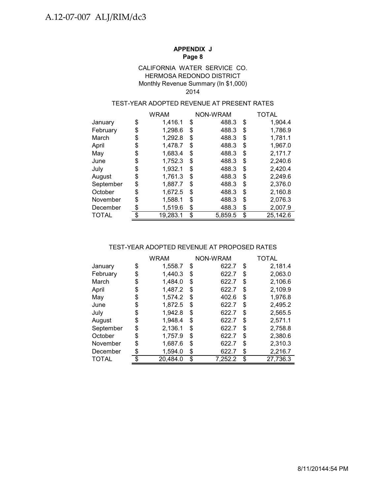#### HERMOSA REDONDO DISTRICT Monthly Revenue Summary (In \$1,000) CALIFORNIA WATER SERVICE CO. 2014

# TEST-YEAR ADOPTED REVENUE AT PRESENT RATES

|              | <b>WRAM</b>    | NON-WRAM      | TOTAL          |
|--------------|----------------|---------------|----------------|
| January      | \$<br>1,416.1  | \$<br>488.3   | \$<br>1,904.4  |
| February     | \$<br>1,298.6  | \$<br>488.3   | \$<br>1,786.9  |
| March        | \$<br>1,292.8  | \$<br>488.3   | \$<br>1,781.1  |
| April        | \$<br>1,478.7  | \$<br>488.3   | \$<br>1,967.0  |
| May          | \$<br>1,683.4  | \$<br>488.3   | \$<br>2,171.7  |
| June         | \$<br>1,752.3  | \$<br>488.3   | \$<br>2,240.6  |
| July         | \$<br>1,932.1  | \$<br>488.3   | \$<br>2,420.4  |
| August       | \$<br>1,761.3  | \$<br>488.3   | \$<br>2,249.6  |
| September    | \$<br>1,887.7  | \$<br>488.3   | \$<br>2,376.0  |
| October      | \$<br>1,672.5  | \$<br>488.3   | \$<br>2,160.8  |
| November     | \$<br>1,588.1  | \$<br>488.3   | \$<br>2,076.3  |
| December     | \$<br>1,519.6  | \$<br>488.3   | \$<br>2,007.9  |
| <b>TOTAL</b> | \$<br>19,283.1 | \$<br>5,859.5 | \$<br>25,142.6 |

#### TEST-YEAR ADOPTED REVENUE AT PROPOSED RATES

|              | <b>WRAM</b>   |    | NON-WRAM | TOTAL |          |  |
|--------------|---------------|----|----------|-------|----------|--|
| January      | \$<br>1,558.7 | \$ | 622.7    | \$    | 2,181.4  |  |
| February     | \$<br>1,440.3 | \$ | 622.7    | \$    | 2,063.0  |  |
| March        | \$<br>1,484.0 | \$ | 622.7    | \$    | 2,106.6  |  |
| April        | \$<br>1,487.2 | \$ | 622.7    | \$    | 2,109.9  |  |
| May          | \$<br>1,574.2 | S  | 402.6    | \$    | 1,976.8  |  |
| June         | \$<br>1,872.5 | \$ | 622.7    | \$    | 2,495.2  |  |
| July         | \$<br>1,942.8 | \$ | 622.7    | \$    | 2,565.5  |  |
| August       | \$<br>1,948.4 | \$ | 622.7    | \$    | 2,571.1  |  |
| September    | \$<br>2,136.1 | S  | 622.7    | \$    | 2,758.8  |  |
| October      | \$<br>1,757.9 | \$ | 622.7    | \$    | 2,380.6  |  |
| November     | \$<br>1,687.6 | \$ | 622.7    | \$    | 2,310.3  |  |
| December     | \$<br>1,594.0 | \$ | 622.7    | \$    | 2,216.7  |  |
| <b>TOTAL</b> | 20,484.0      | \$ | 7,252.2  | \$    | 27,736.3 |  |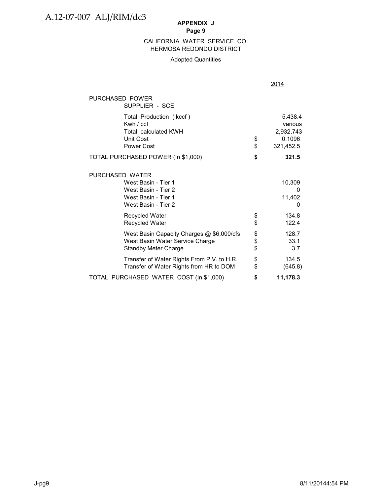#### HERMOSA REDONDO DISTRICT CALIFORNIA WATER SERVICE CO.

# Adopted Quantities

|                                                                                                             |          | 2014                                                   |
|-------------------------------------------------------------------------------------------------------------|----------|--------------------------------------------------------|
| PURCHASED POWER<br>SUPPLIER - SCE                                                                           |          |                                                        |
| Total Production (kccf)<br>Kwh / ccf<br><b>Total calculated KWH</b><br><b>Unit Cost</b><br>Power Cost       | \$<br>\$ | 5,438.4<br>various<br>2,932,743<br>0.1096<br>321,452.5 |
| TOTAL PURCHASED POWER (In \$1,000)                                                                          | \$       | 321.5                                                  |
| PURCHASED WATER<br>West Basin - Tier 1<br>West Basin - Tier 2<br>West Basin - Tier 1<br>West Basin - Tier 2 |          | 10,309<br>0<br>11,402<br>0                             |
| <b>Recycled Water</b><br>Recycled Water                                                                     | \$<br>\$ | 134.8<br>122.4                                         |
| West Basin Capacity Charges @ \$6,000/cfs<br>West Basin Water Service Charge<br><b>Standby Meter Charge</b> | \$<br>\$ | 128.7<br>33.1<br>3.7                                   |
| Transfer of Water Rights From P.V. to H.R.<br>Transfer of Water Rights from HR to DOM                       | \$<br>\$ | 134.5<br>(645.8)                                       |
| TOTAL PURCHASED WATER COST (In \$1,000)                                                                     | \$       | 11,178.3                                               |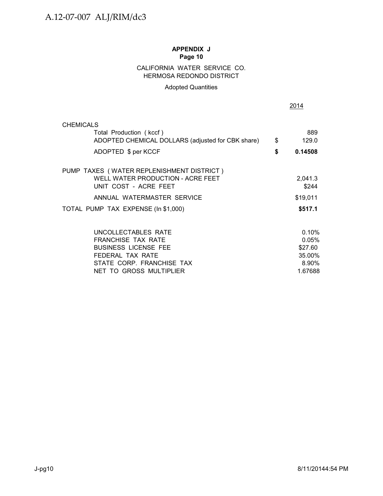# CALIFORNIA WATER SERVICE CO. HERMOSA REDONDO DISTRICT

# Adopted Quantities

| CHEMICALS                                                                    |                    |
|------------------------------------------------------------------------------|--------------------|
| Total Production (kccf)<br>ADOPTED CHEMICAL DOLLARS (adjusted for CBK share) | \$<br>889<br>129.0 |
| ADOPTED \$ per KCCF                                                          | \$<br>0.14508      |
| PUMP_TAXES_( WATER REPLENISHMENT DISTRICT )                                  |                    |
| WELL WATER PRODUCTION - ACRE FEET<br>UNIT COST - ACRE FEET                   | 2,041.3<br>\$244   |
| ANNUAL WATERMASTER SERVICE                                                   | \$19,011           |
| TOTAL PUMP TAX EXPENSE (In \$1,000)                                          | \$517.1            |
| UNCOLLECTABLES RATE                                                          | 0.10%              |
| <b>FRANCHISE TAX RATE</b>                                                    | 0.05%              |
| <b>BUSINESS LICENSE FEE</b>                                                  | \$27.60            |
| FEDERAL TAX RATE                                                             | 35.00%             |
| STATE CORP. FRANCHISE TAX                                                    | 8.90%              |
| NET TO GROSS MULTIPLIER                                                      | 1.67688            |

2014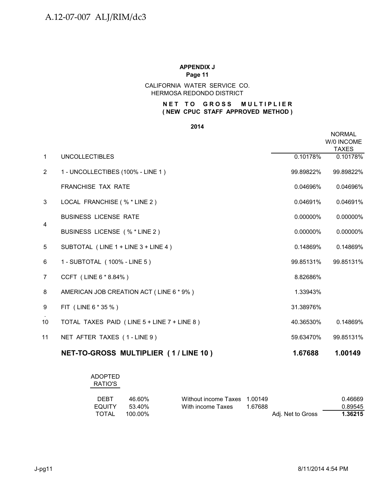#### HERMOSA REDONDO DISTRICT CALIFORNIA WATER SERVICE CO.

# **NET TO GROSS MULTIPLIER ( NEW CPUC STAFF APPROVED METHOD )**

#### **2014**

|                |                                             |           | <b>NORMAL</b><br>W/0 INCOME<br><b>TAXES</b> |
|----------------|---------------------------------------------|-----------|---------------------------------------------|
| $\mathbf{1}$   | <b>UNCOLLECTIBLES</b>                       | 0.10178%  | 0.10178%                                    |
| $\overline{2}$ | 1 - UNCOLLECTIBES (100% - LINE 1)           | 99.89822% | 99.89822%                                   |
|                | <b>FRANCHISE TAX RATE</b>                   | 0.04696%  | 0.04696%                                    |
| 3              | LOCAL FRANCHISE (% * LINE 2)                | 0.04691%  | 0.04691%                                    |
|                | <b>BUSINESS LICENSE RATE</b>                | 0.00000%  | 0.00000%                                    |
| $\overline{4}$ | BUSINESS LICENSE (% * LINE 2)               | 0.00000%  | 0.00000%                                    |
| 5              | SUBTOTAL (LINE 1 + LINE 3 + LINE 4)         | 0.14869%  | 0.14869%                                    |
| 6              | 1 - SUBTOTAL (100% - LINE 5)                | 99.85131% | 99.85131%                                   |
| $\overline{7}$ | CCFT (LINE 6 * 8.84%)                       | 8.82686%  |                                             |
| 8              | AMERICAN JOB CREATION ACT (LINE 6 * 9%)     | 1.33943%  |                                             |
| 9              | FIT (LINE 6 * 35 %)                         | 31.38976% |                                             |
| 10             | TOTAL TAXES PAID (LINE 5 + LINE 7 + LINE 8) | 40.36530% | 0.14869%                                    |
| 11             | NET AFTER TAXES (1-LINE 9)                  | 59.63470% | 99.85131%                                   |
|                | NET-TO-GROSS MULTIPLIER (1/LINE 10)         | 1.67688   | 1.00149                                     |

| <b>ADOPTED</b> |  |
|----------------|--|
| RATIO'S        |  |
|                |  |

| <b>DEBT</b>   | 46.60%  | Without income Taxes 1.00149 |         |                   | 0.46669 |
|---------------|---------|------------------------------|---------|-------------------|---------|
| <b>EQUITY</b> | 53.40%  | With income Taxes            | 1.67688 |                   | 0.89545 |
| TOTAL         | 100.00% |                              |         | Adj. Net to Gross | 1.36215 |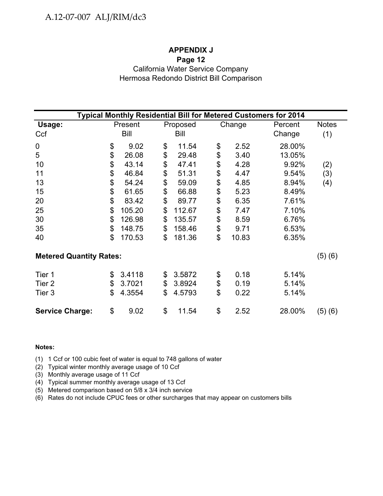# A.12-07-007 ALJ/RIM/dc3

# **APPENDIX J**

# **Page 12**

# California Water Service Company Hermosa Redondo District Bill Comparison

| Typical Monthly Residential Bill for Metered Customers for 2014 |    |         |    |          |                           |        |         |              |  |  |
|-----------------------------------------------------------------|----|---------|----|----------|---------------------------|--------|---------|--------------|--|--|
| Usage:                                                          |    | Present |    | Proposed |                           | Change | Percent | <b>Notes</b> |  |  |
| Ccf                                                             |    | Bill    |    | Bill     |                           |        | Change  | (1)          |  |  |
| 0                                                               | \$ | 9.02    | \$ | 11.54    | \$                        | 2.52   | 28.00%  |              |  |  |
| 5                                                               | \$ | 26.08   | \$ | 29.48    | \$                        | 3.40   | 13.05%  |              |  |  |
| 10                                                              | \$ | 43.14   | \$ | 47.41    | \$                        | 4.28   | 9.92%   | (2)          |  |  |
| 11                                                              | \$ | 46.84   | \$ | 51.31    | \$                        | 4.47   | 9.54%   | (3)          |  |  |
| 13                                                              | \$ | 54.24   | \$ | 59.09    | \$                        | 4.85   | 8.94%   | (4)          |  |  |
| 15                                                              | \$ | 61.65   | \$ | 66.88    | \$                        | 5.23   | 8.49%   |              |  |  |
| 20                                                              | \$ | 83.42   | \$ | 89.77    | \$                        | 6.35   | 7.61%   |              |  |  |
| 25                                                              | \$ | 105.20  | \$ | 112.67   | \$                        | 7.47   | 7.10%   |              |  |  |
| 30                                                              | \$ | 126.98  | \$ | 135.57   | \$                        | 8.59   | 6.76%   |              |  |  |
| 35                                                              | \$ | 148.75  | \$ | 158.46   | \$                        | 9.71   | 6.53%   |              |  |  |
| 40                                                              | \$ | 170.53  | \$ | 181.36   | \$                        | 10.83  | 6.35%   |              |  |  |
| <b>Metered Quantity Rates:</b>                                  |    |         |    |          |                           |        |         | (5)(6)       |  |  |
| Tier 1                                                          | \$ | 3.4118  | \$ | 3.5872   | \$                        | 0.18   | 5.14%   |              |  |  |
| Tier <sub>2</sub>                                               | \$ | 3.7021  | \$ | 3.8924   | \$                        | 0.19   | 5.14%   |              |  |  |
| Tier 3                                                          | \$ | 4.3554  | \$ | 4.5793   | $\boldsymbol{\mathsf{S}}$ | 0.22   | 5.14%   |              |  |  |
| <b>Service Charge:</b>                                          | \$ | 9.02    | \$ | 11.54    | \$                        | 2.52   | 28.00%  | (5)(6)       |  |  |

#### **Notes:**

(1) 1 Ccf or 100 cubic feet of water is equal to 748 gallons of water

(2) Typical winter monthly average usage of 10 Ccf

(3) Monthly average usage of 11 Ccf

(4) Typical summer monthly average usage of 13 Ccf

(5) Metered comparison based on 5/8 x 3/4 inch service

(6) Rates do not include CPUC fees or other surcharges that may appear on customers bills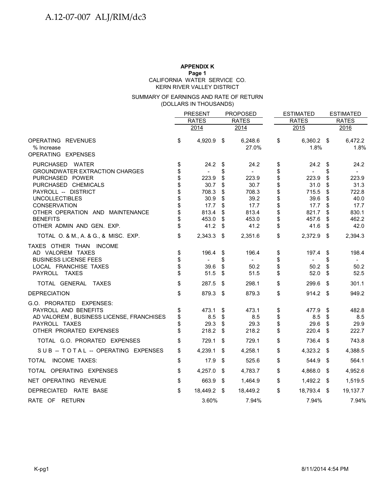# **APPENDIX K**

**Page 1**

CALIFORNIA WATER SERVICE CO.

KERN RIVER VALLEY DISTRICT

#### (DOLLARS IN THOUSANDS) SUMMARY OF EARNINGS AND RATE OF RETURN

|                                                                                                                                                   |                      | <b>PRESENT</b>                          | <b>PROPOSED</b>      |                                           | <b>ESTIMATED</b>     |                                         | <b>ESTIMATED</b>     |                                         |
|---------------------------------------------------------------------------------------------------------------------------------------------------|----------------------|-----------------------------------------|----------------------|-------------------------------------------|----------------------|-----------------------------------------|----------------------|-----------------------------------------|
|                                                                                                                                                   |                      | <b>RATES</b>                            |                      | <b>RATES</b>                              |                      | <b>RATES</b>                            |                      | <b>RATES</b>                            |
|                                                                                                                                                   |                      | 2014                                    |                      | 2014                                      |                      | 2015                                    |                      | 2016                                    |
| OPERATING REVENUES<br>% Increase<br>OPERATING EXPENSES                                                                                            | \$                   | 4,920.9 \$                              |                      | 6,248.6<br>27.0%                          | \$                   | 6,360.2 \$<br>1.8%                      |                      | 6,472.2<br>1.8%                         |
| PURCHASED WATER<br><b>GROUNDWATER EXTRACTION CHARGES</b><br>PURCHASED POWER                                                                       | \$<br>\$<br>\$       | 24.2<br>223.9                           | \$<br>\$<br>\$       | 24.2<br>$\overline{\phantom{a}}$<br>223.9 | \$<br>\$<br>\$       | 24.2<br>223.9                           | \$<br>\$<br>\$       | 24.2<br>223.9                           |
| PURCHASED CHEMICALS<br>PAYROLL -- DISTRICT<br><b>UNCOLLECTIBLES</b><br><b>CONSERVATION</b>                                                        | \$<br>\$<br>\$<br>\$ | 30.7<br>708.3<br>30.9<br>17.7           | \$<br>\$<br>\$<br>\$ | 30.7<br>708.3<br>39.2<br>17.7             | \$<br>\$<br>\$<br>\$ | 31.0<br>715.5<br>39.6<br>17.7           | \$<br>\$<br>\$<br>\$ | 31.3<br>722.8<br>40.0<br>17.7           |
| OTHER OPERATION AND MAINTENANCE<br><b>BENEFITS</b><br>OTHER ADMIN AND GEN. EXP.                                                                   | \$                   | 813.4<br>453.0<br>41.2                  | \$<br>\$<br>\$       | 813.4<br>453.0<br>41.2                    | \$<br>\$<br>\$       | 821.7<br>457.6<br>41.6                  | \$<br>\$<br>\$       | 830.1<br>462.2<br>42.0                  |
| TOTAL O. & M., A. & G., & MISC. EXP.                                                                                                              | \$                   | 2,343.3                                 | \$                   | 2,351.6                                   | \$                   | 2,372.9                                 | - \$                 | 2,394.3                                 |
| TAXES OTHER THAN INCOME<br>AD VALOREM TAXES<br><b>BUSINESS LICENSE FEES</b><br>LOCAL FRANCHISE TAXES<br>PAYROLL TAXES                             | \$<br>\$<br>\$<br>\$ | 196.4<br>$\blacksquare$<br>39.6<br>51.5 | \$<br>\$<br>\$<br>\$ | 196.4<br>$\sim$<br>50.2<br>51.5           | \$<br>\$<br>\$<br>\$ | 197.4<br>$\blacksquare$<br>50.2<br>52.0 | \$<br>\$<br>\$<br>\$ | 198.4<br>$\blacksquare$<br>50.2<br>52.5 |
| TOTAL GENERAL TAXES                                                                                                                               | \$                   | 287.5                                   | \$                   | 298.1                                     | \$                   | 299.6                                   | \$                   | 301.1                                   |
| <b>DEPRECIATION</b>                                                                                                                               | \$                   | 879.3                                   | \$                   | 879.3                                     | \$                   | $914.2$ \$                              |                      | 949.2                                   |
| G.O. PRORATED<br><b>EXPENSES:</b><br>PAYROLL AND BENEFITS<br>AD VALOREM, BUSINESS LICENSE, FRANCHISES<br>PAYROLL TAXES<br>OTHER PRORATED EXPENSES | \$<br>\$<br>\$<br>\$ | 473.1<br>8.5<br>29.3<br>218.2           | \$<br>\$<br>\$<br>\$ | 473.1<br>8.5<br>29.3<br>218.2             | \$<br>\$<br>\$<br>\$ | 477.9<br>8.5<br>29.6<br>220.4           | \$<br>\$<br>\$<br>\$ | 482.8<br>8.5<br>29.9<br>222.7           |
| TOTAL G.O. PRORATED EXPENSES                                                                                                                      | \$                   | 729.1                                   | \$                   | 729.1                                     | \$                   | 736.4                                   | \$                   | 743.8                                   |
| SUB -- TOTAL -- OPERATING EXPENSES                                                                                                                | \$                   | 4,239.1                                 | \$                   | 4,258.1                                   | \$                   | 4,323.2                                 | - \$                 | 4,388.5                                 |
| TOTAL INCOME TAXES:                                                                                                                               | \$                   | 17.9                                    | \$                   | 525.6                                     | \$                   | 544.9                                   | -\$                  | 564.1                                   |
| TOTAL OPERATING EXPENSES                                                                                                                          | \$                   | 4,257.0                                 | \$                   | 4,783.7                                   | \$                   | 4,868.0                                 | \$                   | 4,952.6                                 |
| NET OPERATING REVENUE                                                                                                                             | \$                   | 663.9                                   | \$                   | 1,464.9                                   | \$                   | 1,492.2 \$                              |                      | 1,519.5                                 |
| DEPRECIATED RATE BASE                                                                                                                             | \$                   | 18,449.2                                | \$                   | 18,449.2                                  | \$                   | 18,793.4 \$                             |                      | 19,137.7                                |
| RATE OF RETURN                                                                                                                                    |                      | 3.60%                                   |                      | 7.94%                                     |                      | 7.94%                                   |                      | 7.94%                                   |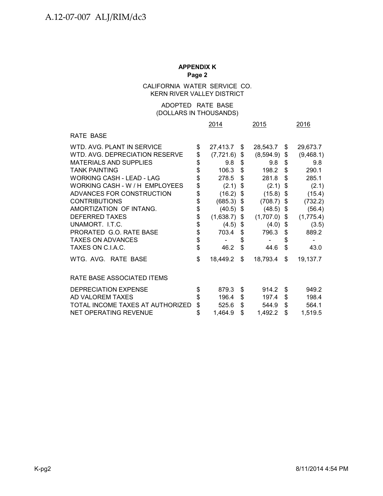# CALIFORNIA WATER SERVICE CO. KERN RIVER VALLEY DISTRICT

# (DOLLARS IN THOUSANDS) ADOPTED RATE BASE

|                                  |            | 2014           |    | 2015           |    | 2016      |
|----------------------------------|------------|----------------|----|----------------|----|-----------|
| <b>RATE BASE</b>                 |            |                |    |                |    |           |
| WTD, AVG, PLANT IN SERVICE       | \$         | 27,413.7       | S. | 28,543.7       | S. | 29,673.7  |
| WTD, AVG, DEPRECIATION RESERVE   | \$         | (7,721.6)      | \$ | (8,594.9)      | \$ | (9,468.1) |
| <b>MATERIALS AND SUPPLIES</b>    | \$         | 9.8            | \$ | 9.8            | \$ | 9.8       |
| <b>TANK PAINTING</b>             | \$         | 106.3          | \$ | 198.2          | \$ | 290.1     |
| <b>WORKING CASH - LEAD - LAG</b> | \$         | 278.5          | \$ | 281.8          | \$ | 285.1     |
| WORKING CASH - W / H EMPLOYEES   | \$         | (2.1)          | \$ | (2.1)          | \$ | (2.1)     |
| ADVANCES FOR CONSTRUCTION        | \$         | (16.2)         | \$ | (15.8)         | \$ | (15.4)    |
| <b>CONTRIBUTIONS</b>             | \$         | $(685.3)$ \$   |    | (708.7)        | \$ | (732.2)   |
| AMORTIZATION OF INTANG.          | \$         | $(40.5)$ \$    |    | (48.5)         | \$ | (56.4)    |
| <b>DEFERRED TAXES</b>            | $\dot{\$}$ | $(1,638.7)$ \$ |    | $(1,707.0)$ \$ |    | (1,775.4) |
| UNAMORT. I.T.C.                  | \$         | $(4.5)$ \$     |    | (4.0)          | \$ | (3.5)     |
| PRORATED G.O. RATE BASE          | \$         | 703.4          | \$ | 796.3          | \$ | 889.2     |
| <b>TAXES ON ADVANCES</b>         | \$<br>\$   |                | \$ |                | \$ |           |
| TAXES ON C.I.A.C.                |            | 46.2           | \$ | 44.6           | \$ | 43.0      |
| WTG. AVG. RATE BASE              | \$         | 18,449.2       | \$ | 18,793.4       | \$ | 19,137.7  |
| RATE BASE ASSOCIATED ITEMS       |            |                |    |                |    |           |
| <b>DEPRECIATION EXPENSE</b>      | \$         | 879.3          | \$ | 914.2          | \$ | 949.2     |
| AD VALOREM TAXES                 | \$         | 196.4          | \$ | 197.4          | \$ | 198.4     |
| TOTAL INCOME TAXES AT AUTHORIZED | \$         | 525.6          | \$ | 544.9          | \$ | 564.1     |
| <b>NET OPERATING REVENUE</b>     | \$         | 1,464.9        | \$ | 1,492.2        | \$ | 1,519.5   |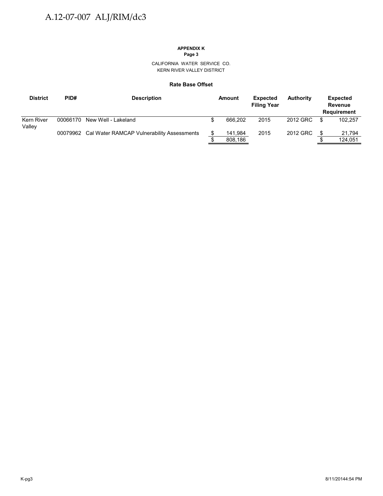# **APPENDIX K**

**Page 3**

CALIFORNIA WATER SERVICE CO. KERN RIVER VALLEY DISTRICT

#### **Rate Base Offset**

| <b>District</b>      | PID#     | <b>Description</b>                                  | Amount  | <b>Expected</b><br><b>Filing Year</b> | <b>Authority</b> |     | <b>Expected</b><br>Revenue<br><b>Requirement</b> |
|----------------------|----------|-----------------------------------------------------|---------|---------------------------------------|------------------|-----|--------------------------------------------------|
| Kern River<br>Valley | 00066170 | New Well - Lakeland                                 | 666.202 | 2015                                  | 2012 GRC         | \$. | 102.257                                          |
|                      |          | 00079962 Cal Water RAMCAP Vulnerability Assessments | 141,984 | 2015                                  | 2012 GRC         |     | 21,794                                           |
|                      |          |                                                     | 808,186 |                                       |                  |     | 124.051                                          |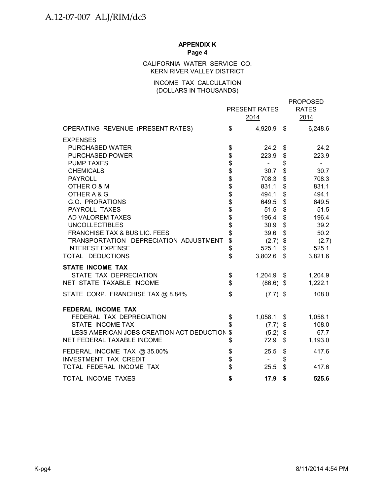# CALIFORNIA WATER SERVICE CO. KERN RIVER VALLEY DISTRICT

# INCOME TAX CALCULATION (DOLLARS IN THOUSANDS)

|                                           |                     | PRESENT RATES<br>2014 |                | <b>PROPOSED</b><br><b>RATES</b><br>2014 |
|-------------------------------------------|---------------------|-----------------------|----------------|-----------------------------------------|
| OPERATING REVENUE (PRESENT RATES)         | \$                  | 4,920.9 \$            |                | 6,248.6                                 |
| <b>EXPENSES</b>                           |                     |                       |                |                                         |
| PURCHASED WATER                           | \$                  | 24.2                  | \$             | 24.2                                    |
| <b>PURCHASED POWER</b>                    |                     | 223.9                 | \$             | 223.9                                   |
| <b>PUMP TAXES</b>                         | <b>888888888888</b> | $\sim 100$            | \$             |                                         |
| <b>CHEMICALS</b>                          |                     | 30.7                  | \$             | 30.7                                    |
| <b>PAYROLL</b>                            |                     | 708.3                 | \$             | 708.3                                   |
| OTHER O & M                               |                     | 831.1                 | \$             | 831.1                                   |
| OTHER A & G                               |                     | 494.1                 | \$             | 494.1                                   |
| G.O. PRORATIONS                           |                     | 649.5                 | \$             | 649.5                                   |
| PAYROLL TAXES                             |                     | 51.5                  | \$             | 51.5                                    |
| AD VALOREM TAXES                          |                     | 196.4                 | \$             | 196.4                                   |
| <b>UNCOLLECTIBLES</b>                     |                     | 30.9                  | \$             | 39.2                                    |
| <b>FRANCHISE TAX &amp; BUS LIC. FEES</b>  |                     | 39.6                  | \$             | 50.2                                    |
| TRANSPORTATION DEPRECIATION ADJUSTMENT    | \$                  | $(2.7)$ \$            |                | (2.7)                                   |
| <b>INTEREST EXPENSE</b>                   | \$                  | 525.1                 | \$             | 525.1                                   |
| TOTAL DEDUCTIONS                          | \$                  | 3,802.6               | $\mathfrak{S}$ | 3,821.6                                 |
| <b>STATE INCOME TAX</b>                   |                     |                       |                |                                         |
| STATE TAX DEPRECIATION                    | \$                  | $1,204.9$ \$          |                | 1,204.9                                 |
| NET STATE TAXABLE INCOME                  | \$                  | $(86.6)$ \$           |                | 1,222.1                                 |
| STATE CORP. FRANCHISE TAX @ 8.84%         | \$                  | $(7.7)$ \$            |                | 108.0                                   |
| <b>FEDERAL INCOME TAX</b>                 |                     |                       |                |                                         |
| FEDERAL TAX DEPRECIATION                  | \$                  | 1,058.1               | \$             | 1,058.1                                 |
| STATE INCOME TAX                          | \$                  | $(7.7)$ \$            |                | 108.0                                   |
| LESS AMERICAN JOBS CREATION ACT DEDUCTION | \$                  | $(5.2)$ \$            |                | 67.7                                    |
| NET FEDERAL TAXABLE INCOME                | \$                  | 72.9                  | \$             | 1,193.0                                 |
| FEDERAL INCOME TAX @ 35.00%               | \$                  | 25.5                  | \$             | 417.6                                   |
| <b>INVESTMENT TAX CREDIT</b>              |                     | $\blacksquare$        | \$             |                                         |
| TOTAL FEDERAL INCOME TAX                  | \$                  | 25.5                  | \$             | 417.6                                   |
| TOTAL INCOME TAXES                        | \$                  | 17.9                  | \$             | 525.6                                   |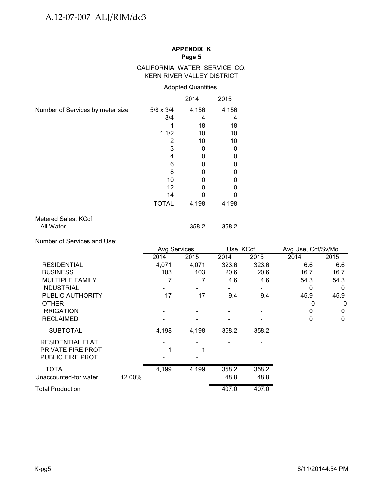# CALIFORNIA WATER SERVICE CO. KERN RIVER VALLEY DISTRICT

# Adopted Quantities

|                                  |                  | 2014  | 2015  |
|----------------------------------|------------------|-------|-------|
| Number of Services by meter size | $5/8 \times 3/4$ | 4,156 | 4,156 |
|                                  | 3/4              | 4     | 4     |
|                                  |                  | 18    | 18    |
|                                  | 11/2             | 10    | 10    |
|                                  | 2                | 10    | 10    |
|                                  | 3                | 0     | 0     |
|                                  | 4                | 0     | 0     |
|                                  | 6                | 0     | 0     |
|                                  | 8                | 0     | 0     |
|                                  | 10               | 0     | o     |
|                                  | 12               | O     | ი     |
|                                  | 14               |       |       |
|                                  | <b>TOTAL</b>     | 4,198 | 4,198 |
| Metered Sales, KCcf              |                  |       |       |

#### es, KCc All Water 358.2 358.2

Number of Services and Use:

|                         |        | <b>Avg Services</b> |       | Use, KCcf |       | Avg Use, Ccf/Sv/Mo |      |  |
|-------------------------|--------|---------------------|-------|-----------|-------|--------------------|------|--|
|                         |        | 2014                | 2015  | 2014      | 2015  | 2014               | 2015 |  |
| <b>RESIDENTIAL</b>      |        | 4,071               | 4,071 | 323.6     | 323.6 | 6.6                | 6.6  |  |
| <b>BUSINESS</b>         |        | 103                 | 103   | 20.6      | 20.6  | 16.7               | 16.7 |  |
| <b>MULTIPLE FAMILY</b>  |        |                     |       | 4.6       | 4.6   | 54.3               | 54.3 |  |
| <b>INDUSTRIAL</b>       |        |                     |       |           |       | 0                  | 0    |  |
| PUBLIC AUTHORITY        |        | 17                  | 17    | 9.4       | 9.4   | 45.9               | 45.9 |  |
| <b>OTHER</b>            |        |                     |       |           |       | 0                  | 0    |  |
| <b>IRRIGATION</b>       |        |                     |       |           |       | 0                  | 0    |  |
| <b>RECLAIMED</b>        |        |                     |       |           |       | 0                  | 0    |  |
| <b>SUBTOTAL</b>         |        | 4,198               | 4,198 | 358.2     | 358.2 |                    |      |  |
| <b>RESIDENTIAL FLAT</b> |        |                     |       |           |       |                    |      |  |
| PRIVATE FIRE PROT       |        |                     |       |           |       |                    |      |  |
| PUBLIC FIRE PROT        |        |                     |       |           |       |                    |      |  |
| <b>TOTAL</b>            |        | 4,199               | 4,199 | 358.2     | 358.2 |                    |      |  |
| Unaccounted-for water   | 12.00% |                     |       | 48.8      | 48.8  |                    |      |  |
| Total Production        |        |                     |       | 407.0     | 407.0 |                    |      |  |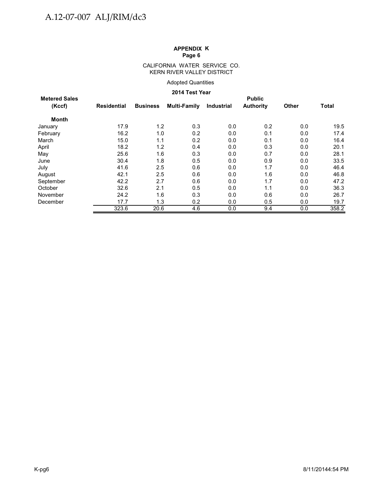#### CALIFORNIA WATER SERVICE CO. KERN RIVER VALLEY DISTRICT

#### Adopted Quantities

### **2014 Test Year**

| <b>Metered Sales</b> | <b>Public</b> |                 |                     |                   |                  |       |              |  |  |  |
|----------------------|---------------|-----------------|---------------------|-------------------|------------------|-------|--------------|--|--|--|
| (Kccf)               | Residential   | <b>Business</b> | <b>Multi-Family</b> | <b>Industrial</b> | <b>Authority</b> | Other | <b>Total</b> |  |  |  |
| Month                |               |                 |                     |                   |                  |       |              |  |  |  |
| January              | 17.9          | 1.2             | 0.3                 | 0.0               | 0.2              | 0.0   | 19.5         |  |  |  |
| February             | 16.2          | 1.0             | 0.2                 | 0.0               | 0.1              | 0.0   | 17.4         |  |  |  |
| March                | 15.0          | 1.1             | 0.2                 | 0.0               | 0.1              | 0.0   | 16.4         |  |  |  |
| April                | 18.2          | 1.2             | 0.4                 | 0.0               | 0.3              | 0.0   | 20.1         |  |  |  |
| May                  | 25.6          | 1.6             | 0.3                 | 0.0               | 0.7              | 0.0   | 28.1         |  |  |  |
| June                 | 30.4          | 1.8             | 0.5                 | 0.0               | 0.9              | 0.0   | 33.5         |  |  |  |
| July                 | 41.6          | 2.5             | 0.6                 | 0.0               | 1.7              | 0.0   | 46.4         |  |  |  |
| August               | 42.1          | 2.5             | 0.6                 | 0.0               | 1.6              | 0.0   | 46.8         |  |  |  |
| September            | 42.2          | 2.7             | 0.6                 | 0.0               | 1.7              | 0.0   | 47.2         |  |  |  |
| October              | 32.6          | 2.1             | 0.5                 | 0.0               | 1.1              | 0.0   | 36.3         |  |  |  |
| November             | 24.2          | 1.6             | 0.3                 | 0.0               | 0.6              | 0.0   | 26.7         |  |  |  |
| December             | 17.7          | 1.3             | 0.2                 | 0.0               | 0.5              | 0.0   | 19.7         |  |  |  |
|                      | 323.6         | 20.6            | 4.6                 | 0.0               | 9.4              | 0.0   | 358.2        |  |  |  |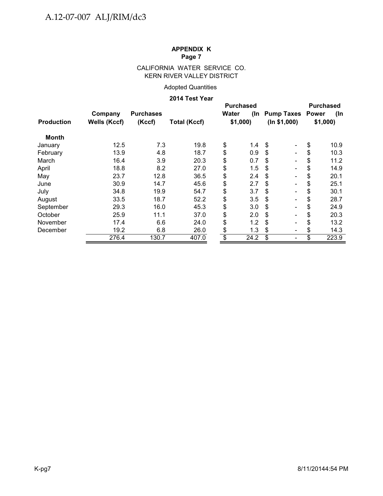# CALIFORNIA WATER SERVICE CO. KERN RIVER VALLEY DISTRICT

# Adopted Quantities

#### **2014 Test Year**

|                   |              | <b>Purchased</b> |                     |       |         |                                | <b>Purchased</b> |       |  |
|-------------------|--------------|------------------|---------------------|-------|---------|--------------------------------|------------------|-------|--|
|                   | Company      | <b>Purchases</b> |                     | Water |         | (In Pump Taxes Power           |                  | (In   |  |
| <b>Production</b> | Wells (Kccf) | (Kccf)           | <b>Total (Kccf)</b> |       | \$1,000 | (ln \$1,000)                   | \$1,000          |       |  |
| <b>Month</b>      |              |                  |                     |       |         |                                |                  |       |  |
| January           | 12.5         | 7.3              | 19.8                | \$    | 1.4     | \$                             | \$               | 10.9  |  |
| February          | 13.9         | 4.8              | 18.7                | \$    | 0.9     | \$<br>$\overline{\phantom{a}}$ | \$               | 10.3  |  |
| March             | 16.4         | 3.9              | 20.3                | \$    | 0.7     | \$                             | \$               | 11.2  |  |
| April             | 18.8         | 8.2              | 27.0                | \$    | 1.5     | \$                             | \$               | 14.9  |  |
| May               | 23.7         | 12.8             | 36.5                | \$    | 2.4     | \$                             | \$               | 20.1  |  |
| June              | 30.9         | 14.7             | 45.6                | \$    | 2.7     | \$                             | \$               | 25.1  |  |
| July              | 34.8         | 19.9             | 54.7                | \$    | 3.7     | \$                             | \$               | 30.1  |  |
| August            | 33.5         | 18.7             | 52.2                | \$    | 3.5     | \$                             | \$               | 28.7  |  |
| September         | 29.3         | 16.0             | 45.3                | \$    | 3.0     | \$                             | \$               | 24.9  |  |
| October           | 25.9         | 11.1             | 37.0                | \$    | 2.0     | \$                             | \$               | 20.3  |  |
| November          | 17.4         | 6.6              | 24.0                | \$    | 1.2     | \$                             | \$               | 13.2  |  |
| December          | 19.2         | 6.8              | 26.0                | \$    | 1.3     | \$                             | \$               | 14.3  |  |
|                   | 276.4        | 130.7            | 407.0               | \$    | 24.2    | \$                             | \$               | 223.9 |  |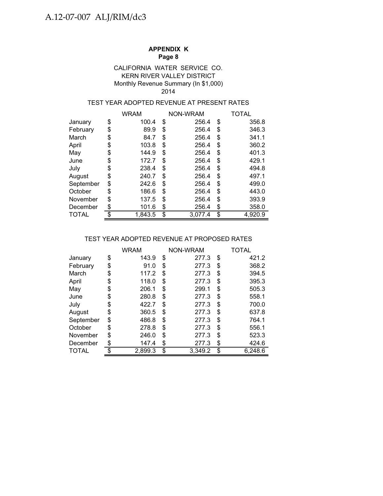# KERN RIVER VALLEY DISTRICT Monthly Revenue Summary (In \$1,000) CALIFORNIA WATER SERVICE CO. 2014

# TEST YEAR ADOPTED REVENUE AT PRESENT RATES

|           | <b>WRAM</b>   | NON-WRAM      | TOTAL         |  |  |
|-----------|---------------|---------------|---------------|--|--|
| January   | \$<br>100.4   | \$<br>256.4   | \$<br>356.8   |  |  |
| February  | \$<br>89.9    | \$<br>256.4   | \$<br>346.3   |  |  |
| March     | \$<br>84.7    | \$<br>256.4   | \$<br>341.1   |  |  |
| April     | \$<br>103.8   | \$<br>256.4   | \$<br>360.2   |  |  |
| May       | \$<br>144.9   | \$<br>256.4   | \$<br>401.3   |  |  |
| June      | \$<br>172.7   | \$<br>256.4   | \$<br>429.1   |  |  |
| July      | \$<br>238.4   | \$<br>256.4   | \$<br>494.8   |  |  |
| August    | \$<br>240.7   | \$<br>256.4   | \$<br>497.1   |  |  |
| September | \$<br>242.6   | \$<br>256.4   | \$<br>499.0   |  |  |
| October   | \$<br>186.6   | \$<br>256.4   | \$<br>443.0   |  |  |
| November  | \$<br>137.5   | \$<br>256.4   | \$<br>393.9   |  |  |
| December  | \$<br>101.6   | \$<br>256.4   | \$<br>358.0   |  |  |
| TOTAL     | \$<br>1.843.5 | \$<br>3,077.4 | \$<br>4.920.9 |  |  |

# TEST YEAR ADOPTED REVENUE AT PROPOSED RATES

|           | <b>WRAM</b>   |    | NON-WRAM | TOTAL         |
|-----------|---------------|----|----------|---------------|
| January   | \$<br>143.9   | \$ | 277.3    | \$<br>421.2   |
| February  | \$<br>91.0    | S  | 277.3    | \$<br>368.2   |
| March     | \$<br>117.2   | \$ | 277.3    | \$<br>394.5   |
| April     | \$<br>118.0   | \$ | 277.3    | \$<br>395.3   |
| May       | \$<br>206.1   | \$ | 299.1    | \$<br>505.3   |
| June      | \$<br>280.8   | \$ | 277.3    | \$<br>558.1   |
| July      | \$<br>422.7   | \$ | 277.3    | \$<br>700.0   |
| August    | \$<br>360.5   | \$ | 277.3    | \$<br>637.8   |
| September | \$<br>486.8   | \$ | 277.3    | \$<br>764.1   |
| October   | \$<br>278.8   | \$ | 277.3    | \$<br>556.1   |
| November  | \$<br>246.0   | \$ | 277.3    | \$<br>523.3   |
| December  | \$<br>147.4   | \$ | 277.3    | \$<br>424.6   |
| TOTAL     | \$<br>2,899.3 | \$ | 3,349.2  | \$<br>6.248.6 |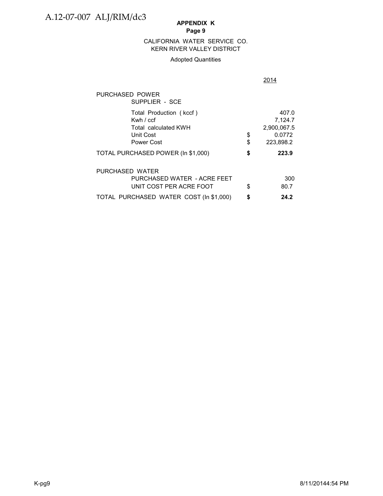# **APPENDIX K**

# **Page 9**

#### KERN RIVER VALLEY DISTRICT CALIFORNIA WATER SERVICE CO.

#### Adopted Quantities

|                                                                                           |          | 2014                                                   |
|-------------------------------------------------------------------------------------------|----------|--------------------------------------------------------|
| PURCHASED POWER<br>SUPPLIER - SCE                                                         |          |                                                        |
| Total Production (kccf)<br>Kwh $/$ ccf<br>Total calculated KWH<br>Unit Cost<br>Power Cost | \$<br>\$ | 407.0<br>7,124.7<br>2,900,067.5<br>0.0772<br>223,898.2 |
| TOTAL PURCHASED POWER (In \$1,000)                                                        | \$       | 223.9                                                  |
| PURCHASED WATER<br>PURCHASED WATER - ACRE FEET<br>UNIT COST PER ACRE FOOT                 | \$       | 300<br>80.7                                            |
| TOTAL PURCHASED WATER COST (In \$1,000)                                                   | \$       | 24.2                                                   |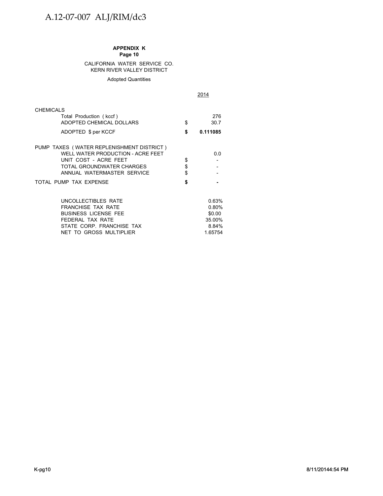#### CALIFORNIA WATER SERVICE CO. KERN RIVER VALLEY DISTRICT

#### Adopted Quantities

2014

| <b>CHEMICALS</b><br>Total Production (kccf)<br>ADOPTED CHEMICAL DOLLARS<br>ADOPTED \$ per KCCF                                                                     | \$<br>\$       | 276<br>30.7<br>0.111085                                |
|--------------------------------------------------------------------------------------------------------------------------------------------------------------------|----------------|--------------------------------------------------------|
| PUMP TAXES (WATER REPLENISHMENT DISTRICT)<br>WELL WATER PRODUCTION - ACRE FEET<br>UNIT COST - ACRE FEET<br>TOTAL GROUNDWATER CHARGES<br>ANNUAL WATERMASTER SERVICE | \$<br>\$<br>\$ | 0.0                                                    |
| TOTAL PUMP TAX EXPENSE                                                                                                                                             | \$             |                                                        |
| UNCOLLECTIBLES RATE<br><b>FRANCHISE TAX RATE</b><br><b>BUSINESS LICENSE FEE</b><br>FEDERAL TAX RATE<br>STATE CORP. FRANCHISE TAX<br>NET TO GROSS MULTIPLIER        |                | 0.63%<br>0.80%<br>\$0.00<br>35.00%<br>8.84%<br>1.65754 |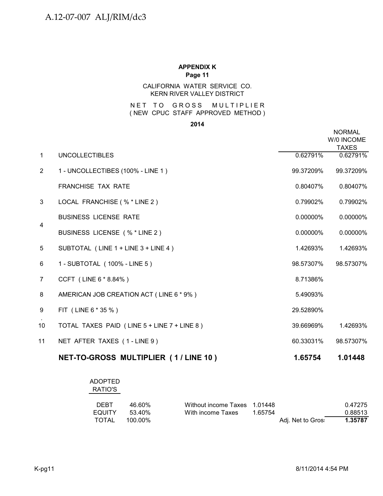# CALIFORNIA WATER SERVICE CO. KERN RIVER VALLEY DISTRICT

# NET TO GROSS MULTIPLIER ( NEW CPUC STAFF APPROVED METHOD )

#### **2014**

|                |                                             |           | <b>NORMAL</b><br>W/0 INCOME<br><b>TAXES</b> |
|----------------|---------------------------------------------|-----------|---------------------------------------------|
| $\mathbf{1}$   | <b>UNCOLLECTIBLES</b>                       | 0.62791%  | 0.62791%                                    |
| $\overline{2}$ | 1 - UNCOLLECTIBES (100% - LINE 1)           | 99.37209% | 99.37209%                                   |
|                | <b>FRANCHISE TAX RATE</b>                   | 0.80407%  | 0.80407%                                    |
| 3              | LOCAL FRANCHISE (% * LINE 2)                | 0.79902%  | 0.79902%                                    |
|                | <b>BUSINESS LICENSE RATE</b>                | 0.00000%  | 0.00000%                                    |
| $\overline{4}$ | BUSINESS LICENSE (% * LINE 2)               | 0.00000%  | 0.00000%                                    |
| 5              | SUBTOTAL (LINE 1 + LINE 3 + LINE 4)         | 1.42693%  | 1.42693%                                    |
| 6              | 1 - SUBTOTAL (100% - LINE 5)                | 98.57307% | 98.57307%                                   |
| $\overline{7}$ | CCFT (LINE 6 * 8.84%)                       | 8.71386%  |                                             |
| 8              | AMERICAN JOB CREATION ACT (LINE 6 * 9%)     | 5.49093%  |                                             |
| 9              | FIT (LINE 6 * 35 %)                         | 29.52890% |                                             |
| 10             | TOTAL TAXES PAID (LINE 5 + LINE 7 + LINE 8) | 39.66969% | 1.42693%                                    |
| 11             | NET AFTER TAXES (1-LINE 9)                  | 60.33031% | 98.57307%                                   |
|                | NET-TO-GROSS MULTIPLIER (1/LINE 10)         | 1.65754   | 1.01448                                     |

| ADOPTED<br>RATIO'S |         |                              |         |                   |         |
|--------------------|---------|------------------------------|---------|-------------------|---------|
| DEBT               | 46.60%  | Without income Taxes 1.01448 |         |                   | 0.47275 |
| <b>EQUITY</b>      | 53.40%  | With income Taxes            | 1.65754 |                   | 0.88513 |
| TOTAL              | 100.00% |                              |         | Adj. Net to Gros: | 1.35787 |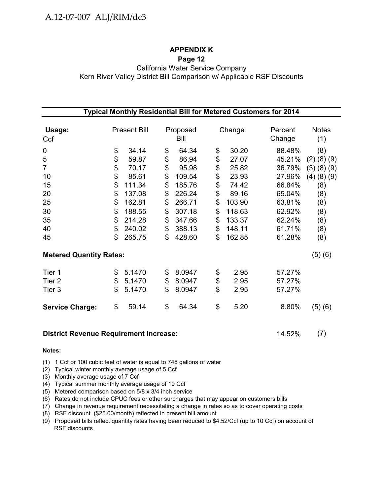# **APPENDIX K**

# **Page 12**

California Water Service Company Kern River Valley District Bill Comparison w/ Applicable RSF Discounts

| Typical Monthly Residential Bill for Metered Customers for 2014 |    |                     |    |                  |        |        |                   |                     |  |  |  |
|-----------------------------------------------------------------|----|---------------------|----|------------------|--------|--------|-------------------|---------------------|--|--|--|
| Usage:<br>Ccf                                                   |    | <b>Present Bill</b> |    | Proposed<br>Bill | Change |        | Percent<br>Change | <b>Notes</b><br>(1) |  |  |  |
| $\mathbf 0$                                                     | \$ | 34.14               | \$ | 64.34            | \$     | 30.20  | 88.48%            | (8)                 |  |  |  |
| 5                                                               | \$ | 59.87               | \$ | 86.94            | \$     | 27.07  | 45.21%            | $(2)$ $(8)$ $(9)$   |  |  |  |
| $\overline{7}$                                                  | \$ | 70.17               | \$ | 95.98            | \$     | 25.82  | 36.79%            | (3)(8)(9)           |  |  |  |
| 10                                                              | \$ | 85.61               | \$ | 109.54           | \$     | 23.93  | 27.96%            | $(4)$ $(8)$ $(9)$   |  |  |  |
| 15                                                              | \$ | 111.34              | \$ | 185.76           | \$     | 74.42  | 66.84%            | (8)                 |  |  |  |
| 20                                                              | \$ | 137.08              | \$ | 226.24           | \$     | 89.16  | 65.04%            | (8)                 |  |  |  |
| 25                                                              | \$ | 162.81              | \$ | 266.71           | \$     | 103.90 | 63.81%            | (8)                 |  |  |  |
| 30                                                              | \$ | 188.55              | \$ | 307.18           | \$     | 118.63 | 62.92%            | (8)                 |  |  |  |
| 35                                                              | \$ | 214.28              | \$ | 347.66           | \$     | 133.37 | 62.24%            | (8)                 |  |  |  |
| 40                                                              | \$ | 240.02              | \$ | 388.13           | \$     | 148.11 | 61.71%            | (8)                 |  |  |  |
| 45                                                              | \$ | 265.75              | \$ | 428.60           | \$     | 162.85 | 61.28%            | (8)                 |  |  |  |
| <b>Metered Quantity Rates:</b>                                  |    |                     |    |                  |        |        |                   | (5)(6)              |  |  |  |
| Tier 1                                                          | \$ | 5.1470              | \$ | 8.0947           | \$     | 2.95   | 57.27%            |                     |  |  |  |
| Tier 2                                                          | \$ | 5.1470              | \$ | 8.0947           | \$     | 2.95   | 57.27%            |                     |  |  |  |
| Tier 3                                                          | \$ | 5.1470              | \$ | 8.0947           | \$     | 2.95   | 57.27%            |                     |  |  |  |
| <b>Service Charge:</b>                                          | \$ | 59.14               | \$ | 64.34            | \$     | 5.20   | 8.80%             | (5)(6)              |  |  |  |

# **District Revenue Requirement Increase:** 14.52% (7)

# **Notes:**

- (1) 1 Ccf or 100 cubic feet of water is equal to 748 gallons of water
- (2) Typical winter monthly average usage of 5 Ccf
- (3) Monthly average usage of 7 Ccf
- (4) Typical summer monthly average usage of 10 Ccf
- (5) Metered comparison based on 5/8 x 3/4 inch service
- (6) Rates do not include CPUC fees or other surcharges that may appear on customers bills
- (7) Change in revenue requirement necessitating a change in rates so as to cover operating costs
- (8) RSF discount (\$25.00/month) reflected in present bill amount
- (9) Proposed bills reflect quantity rates having been reduced to \$4.52/Ccf (up to 10 Ccf) on account of RSF discounts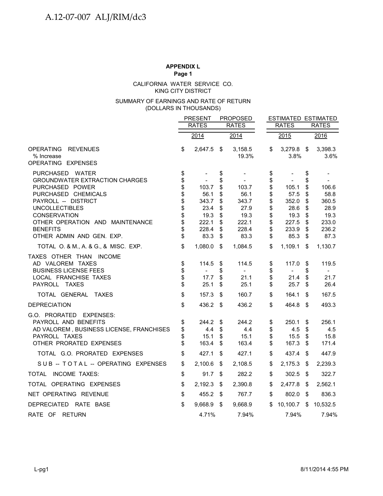### KING CITY DISTRICT CALIFORNIA WATER SERVICE CO.

#### (DOLLARS IN THOUSANDS) SUMMARY OF EARNINGS AND RATE OF RETURN

|                                                                                                                                                                                                                                                                                                      |                                                                | <b>PRESENT</b>                                                              |                                                                | <b>PROPOSED</b>                                                             |                                                                | <b>ESTIMATED ESTIMATED</b>                                                  |                                                                |                                                                             |
|------------------------------------------------------------------------------------------------------------------------------------------------------------------------------------------------------------------------------------------------------------------------------------------------------|----------------------------------------------------------------|-----------------------------------------------------------------------------|----------------------------------------------------------------|-----------------------------------------------------------------------------|----------------------------------------------------------------|-----------------------------------------------------------------------------|----------------------------------------------------------------|-----------------------------------------------------------------------------|
|                                                                                                                                                                                                                                                                                                      |                                                                | <b>RATES</b>                                                                |                                                                | <b>RATES</b>                                                                |                                                                | <b>RATES</b>                                                                |                                                                | <b>RATES</b>                                                                |
|                                                                                                                                                                                                                                                                                                      |                                                                | 2014                                                                        |                                                                | 2014                                                                        |                                                                | 2015                                                                        |                                                                | 2016                                                                        |
| <b>OPERATING</b><br><b>REVENUES</b><br>% Increase<br>OPERATING EXPENSES                                                                                                                                                                                                                              | \$                                                             | 2,647.5 \$                                                                  |                                                                | 3,158.5<br>19.3%                                                            | \$                                                             | 3,279.8<br>3.8%                                                             | $\sqrt[6]{3}$                                                  | 3,398.3<br>3.6%                                                             |
| PURCHASED WATER<br><b>GROUNDWATER EXTRACTION CHARGES</b><br>PURCHASED POWER<br>PURCHASED CHEMICALS<br>PAYROLL -- DISTRICT<br><b>UNCOLLECTIBLES</b><br><b>CONSERVATION</b><br>OTHER OPERATION AND MAINTENANCE<br><b>BENEFITS</b><br>OTHER ADMIN AND GEN. EXP.<br>TOTAL O. & M., A. & G., & MISC. EXP. | \$<br>\$<br>\$<br>\$<br>\$<br>\$<br>\$<br>\$<br>\$<br>\$<br>\$ | 103.7<br>56.1<br>343.7<br>23.4<br>19.3<br>222.1<br>228.4<br>83.3<br>1,080.0 | \$<br>\$<br>\$<br>\$<br>\$<br>\$<br>\$<br>\$<br>\$<br>\$<br>\$ | 103.7<br>56.1<br>343.7<br>27.9<br>19.3<br>222.1<br>228.4<br>83.3<br>1,084.5 | \$<br>\$<br>\$<br>\$<br>\$<br>\$<br>\$<br>\$<br>\$<br>\$<br>\$ | 105.1<br>57.5<br>352.0<br>28.6<br>19.3<br>227.5<br>233.9<br>85.3<br>1,109.1 | \$<br>\$<br>\$<br>\$<br>\$<br>\$<br>\$<br>\$<br>\$<br>\$<br>\$ | 106.6<br>58.8<br>360.5<br>28.9<br>19.3<br>233.0<br>236.2<br>87.3<br>1,130.7 |
| TAXES OTHER THAN INCOME<br>AD VALOREM TAXES<br><b>BUSINESS LICENSE FEES</b><br>LOCAL FRANCHISE TAXES<br>PAYROLL TAXES                                                                                                                                                                                | \$<br>\$<br>\$<br>\$                                           | 114.5<br>$\overline{\phantom{a}}$<br>17.7<br>25.1                           | \$<br>\$<br>\$<br>\$                                           | 114.5<br>$\blacksquare$<br>21.1<br>25.1                                     | \$<br>\$<br>\$<br>\$                                           | 117.0<br>$\blacksquare$<br>21.4<br>25.7                                     | \$<br>S<br>\$<br>\$                                            | 119.5<br>$\overline{\phantom{0}}$<br>21.7<br>26.4                           |
| TOTAL GENERAL<br>TAXES                                                                                                                                                                                                                                                                               | \$                                                             | 157.3                                                                       | \$                                                             | 160.7                                                                       | \$                                                             | 164.1                                                                       | \$                                                             | 167.5                                                                       |
| <b>DEPRECIATION</b>                                                                                                                                                                                                                                                                                  | \$                                                             | 436.2                                                                       | \$                                                             | 436.2                                                                       | \$                                                             | 464.8                                                                       | -\$                                                            | 493.3                                                                       |
| G.O. PRORATED<br><b>EXPENSES:</b><br>PAYROLL AND BENEFITS<br>AD VALOREM, BUSINESS LICENSE, FRANCHISES<br>PAYROLL TAXES<br>OTHER PRORATED EXPENSES                                                                                                                                                    | \$<br>\$<br>\$<br>\$                                           | 244.2<br>4.4<br>15.1<br>163.4                                               | \$<br>\$<br>\$<br>\$                                           | 244.2<br>4.4<br>15.1<br>163.4                                               | \$<br>\$<br>\$<br>\$                                           | 250.1<br>4.5<br>15.5<br>167.3                                               | \$<br>\$<br>\$<br>\$                                           | 256.1<br>4.5<br>15.8<br>171.4                                               |
| TOTAL G.O. PRORATED EXPENSES                                                                                                                                                                                                                                                                         | \$                                                             | 427.1                                                                       | \$                                                             | 427.1                                                                       | \$                                                             | 437.4                                                                       | \$                                                             | 447.9                                                                       |
| SUB -- TOTAL -- OPERATING EXPENSES                                                                                                                                                                                                                                                                   | \$                                                             | 2,100.6                                                                     | \$                                                             | 2,108.5                                                                     | \$                                                             | 2,175.3                                                                     | \$                                                             | 2,239.3                                                                     |
| TOTAL INCOME TAXES:                                                                                                                                                                                                                                                                                  | \$                                                             | 91.7                                                                        | \$                                                             | 282.2                                                                       | \$                                                             | 302.5                                                                       | \$                                                             | 322.7                                                                       |
| TOTAL OPERATING EXPENSES                                                                                                                                                                                                                                                                             | \$                                                             | 2,192.3                                                                     | - \$                                                           | 2,390.8                                                                     | \$                                                             | 2,477.8                                                                     | \$                                                             | 2,562.1                                                                     |
| NET OPERATING REVENUE                                                                                                                                                                                                                                                                                | \$                                                             | 455.2                                                                       | - \$                                                           | 767.7                                                                       | \$                                                             | 802.0                                                                       | $\sqrt[6]{3}$                                                  | 836.3                                                                       |
| DEPRECIATED RATE BASE                                                                                                                                                                                                                                                                                | $\mathbb{S}$                                                   | 9,668.9                                                                     | $\sqrt{3}$                                                     | 9,668.9                                                                     | \$                                                             | 10,100.7                                                                    | \$                                                             | 10,532.5                                                                    |
| RATE OF RETURN                                                                                                                                                                                                                                                                                       |                                                                | 4.71%                                                                       |                                                                | 7.94%                                                                       |                                                                | 7.94%                                                                       |                                                                | 7.94%                                                                       |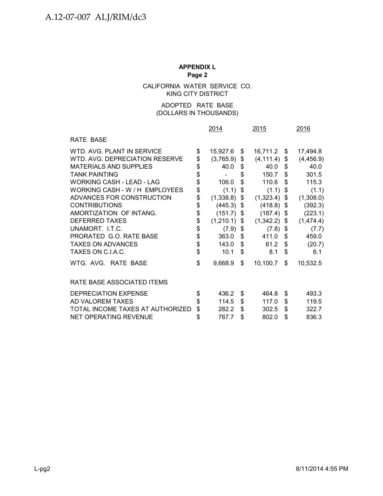CALIFORNIA WATER SERVICE CO. KING CITY DISTRICT

# (DOLLARS IN THOUSANDS) ADOPTED RATE BASE

|                                  |          | 2014      | 2015             |    | 2016       |
|----------------------------------|----------|-----------|------------------|----|------------|
| RATE BASE                        |          |           |                  |    |            |
| WTD. AVG. PLANT IN SERVICE       | \$       | 15,927.6  | \$<br>16,711.2   | S. | 17,494.8   |
| WTD, AVG, DEPRECIATION RESERVE   | \$       | (3,765.9) | \$<br>(4, 111.4) | \$ | (4, 456.9) |
| <b>MATERIALS AND SUPPLIES</b>    | \$       | 40.0      | \$<br>40.0       | \$ | 40.0       |
| <b>TANK PAINTING</b>             | \$       |           | \$<br>150.7      | \$ | 301.5      |
| WORKING CASH - LEAD - LAG        | \$       | 106.0     | \$<br>110.6      | \$ | 115.3      |
| WORKING CASH - W / H EMPLOYEES   | \$       | (1.1)     | \$<br>(1.1)      | \$ | (1.1)      |
| ADVANCES FOR CONSTRUCTION        | \$       | (1,338.8) | \$<br>(1,323.4)  | \$ | (1,308.0)  |
| <b>CONTRIBUTIONS</b>             | \$       | (445.3)   | \$<br>(418.8)    | \$ | (392.3)    |
| AMORTIZATION OF INTANG.          | \$       | (151.7)   | \$<br>(187.4)    | \$ | (223.1)    |
| <b>DEFERRED TAXES</b>            | \$       | (1,210.1) | \$<br>(1,342.2)  | \$ | (1,474.4)  |
| UNAMORT. I.T.C.                  | \$<br>\$ | (7.9)     | \$<br>(7.8)      | \$ | (7.7)      |
| PRORATED G.O. RATE BASE          | \$       | 363.0     | \$<br>411.0      | \$ | 459.0      |
| <b>TAXES ON ADVANCES</b>         | \$       | 143.0     | \$<br>61.2       | \$ | (20.7)     |
| TAXES ON C.I.A.C.                | \$       | 10.1      | \$<br>8.1        | \$ | 6.1        |
| WTG. AVG. RATE BASE              |          | 9,668.9   | \$<br>10,100.7   | \$ | 10,532.5   |
| RATE BASE ASSOCIATED ITEMS       |          |           |                  |    |            |
| DEPRECIATION EXPENSE             | \$       | 436.2     | \$<br>464.8      | \$ | 493.3      |
| AD VALOREM TAXES                 | \$       | 114.5     | \$<br>117.0      | \$ | 119.5      |
| TOTAL INCOME TAXES AT AUTHORIZED | \$       | 282.2     | \$<br>302.5      | \$ | 322.7      |
| <b>NET OPERATING REVENUE</b>     | \$       | 767.7     | \$<br>802.0      | \$ | 836.3      |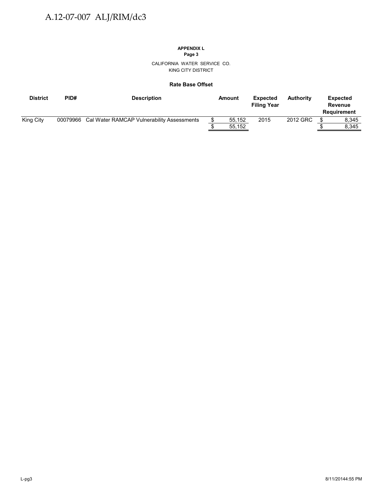# **APPENDIX L**

**Page 3**

CALIFORNIA WATER SERVICE CO. KING CITY DISTRICT

#### **Rate Base Offset**

| <b>District</b> | PID# | <b>Description</b>                                  | Amount | <b>Expected</b><br><b>Filing Year</b> | <b>Authority</b> | <b>Expected</b><br>Revenue<br>Requirement |
|-----------------|------|-----------------------------------------------------|--------|---------------------------------------|------------------|-------------------------------------------|
| King City       |      | 00079966 Cal Water RAMCAP Vulnerability Assessments | 55.152 | 2015                                  | 2012 GRC         | 8.345                                     |
|                 |      |                                                     | 55,152 |                                       |                  | 8.345                                     |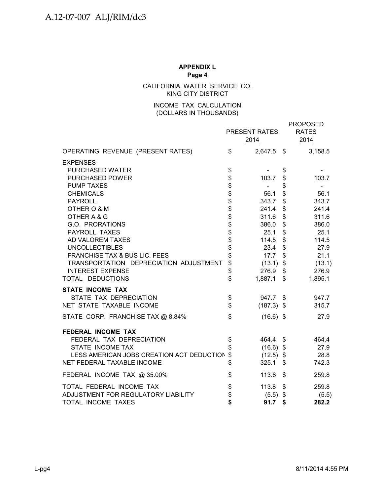CALIFORNIA WATER SERVICE CO. KING CITY DISTRICT

# INCOME TAX CALCULATION (DOLLARS IN THOUSANDS)

|                                           |                          | PRESENT RATES<br>2014 | <b>PROPOSED</b><br><b>RATES</b><br>2014 |
|-------------------------------------------|--------------------------|-----------------------|-----------------------------------------|
| OPERATING REVENUE (PRESENT RATES)         | \$                       | 2,647.5 \$            | 3,158.5                                 |
| <b>EXPENSES</b>                           |                          |                       |                                         |
| PURCHASED WATER                           | \$                       |                       | \$                                      |
| <b>PURCHASED POWER</b>                    |                          | 103.7                 | \$<br>103.7                             |
| <b>PUMP TAXES</b>                         |                          | $\sim$                | \$                                      |
| <b>CHEMICALS</b>                          | \$\$\$\$\$\$\$\$\$\$\$\$ | 56.1                  | \$<br>56.1                              |
| <b>PAYROLL</b>                            |                          | 343.7                 | \$<br>343.7                             |
| OTHER O & M                               |                          | 241.4                 | \$<br>241.4                             |
| OTHER A & G                               |                          | 311.6                 | \$<br>311.6                             |
| G.O. PRORATIONS                           |                          | 386.0                 | \$<br>386.0                             |
| <b>PAYROLL TAXES</b>                      |                          | 25.1                  | \$<br>25.1                              |
| AD VALOREM TAXES                          |                          | 114.5                 | \$<br>114.5                             |
| <b>UNCOLLECTIBLES</b>                     |                          | 23.4                  | \$<br>27.9                              |
| FRANCHISE TAX & BUS LIC. FEES             |                          | 17.7                  | \$<br>21.1                              |
| TRANSPORTATION DEPRECIATION ADJUSTMENT    | \$                       | (13.1)                | \$<br>(13.1)                            |
| <b>INTEREST EXPENSE</b>                   | \$                       | 276.9                 | \$<br>276.9                             |
| TOTAL DEDUCTIONS                          | \$                       | 1,887.1               | \$<br>1,895.1                           |
| <b>STATE INCOME TAX</b>                   |                          |                       |                                         |
| STATE TAX DEPRECIATION                    | \$                       | 947.7 \$              | 947.7                                   |
| NET STATE TAXABLE INCOME                  | \$                       | $(187.3)$ \$          | 315.7                                   |
| STATE CORP. FRANCHISE TAX @ 8.84%         | \$                       | $(16.6)$ \$           | 27.9                                    |
| FEDERAL INCOME TAX                        |                          |                       |                                         |
| FEDERAL TAX DEPRECIATION                  | \$                       | 464.4                 | \$<br>464.4                             |
| STATE INCOME TAX                          |                          | $(16.6)$ \$           | 27.9                                    |
| LESS AMERICAN JOBS CREATION ACT DEDUCTION | \$                       | $(12.5)$ \$           | 28.8                                    |
| NET FEDERAL TAXABLE INCOME                | \$                       | 325.1                 | \$<br>742.3                             |
| FEDERAL INCOME TAX @ 35.00%               | \$                       | 113.8                 | \$<br>259.8                             |
| TOTAL FEDERAL INCOME TAX                  | \$                       | 113.8                 | \$<br>259.8                             |
| ADJUSTMENT FOR REGULATORY LIABILITY       | \$                       | (5.5)                 | \$<br>(5.5)                             |
| TOTAL INCOME TAXES                        | \$                       | 91.7                  | \$<br>282.2                             |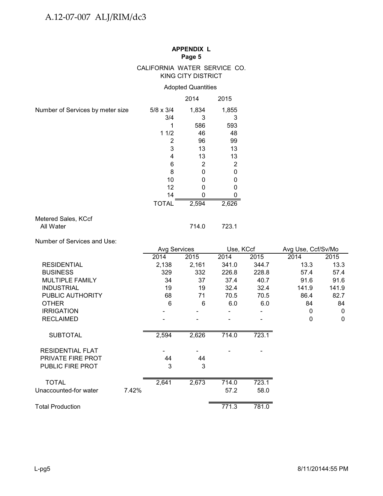# CALIFORNIA WATER SERVICE CO. KING CITY DISTRICT

# Adopted Quantities

|                                  |                  | 2014  | 2015           |
|----------------------------------|------------------|-------|----------------|
| Number of Services by meter size | $5/8 \times 3/4$ | 1,834 | 1,855          |
|                                  | 3/4              | 3     | 3              |
|                                  |                  | 586   | 593            |
|                                  | 11/2             | 46    | 48             |
|                                  | 2                | 96    | 99             |
|                                  | 3                | 13    | 13             |
|                                  | 4                | 13    | 13             |
|                                  | 6                | 2     | $\overline{2}$ |
|                                  | 8                | 0     | 0              |
|                                  | 10               | O     | 0              |
|                                  | 12               |       |                |
|                                  | 14               |       |                |
|                                  | <b>TOTAL</b>     | 2,594 | 2,626          |
| Matered Sales, KCof              |                  |       |                |

#### Metered Sales, KCcf All Water 714.0 723.1

Number of Services and Use:

|                         |       | Avg Services |       | Use, KCcf |       | Avg Use, Ccf/Sv/Mo |              |
|-------------------------|-------|--------------|-------|-----------|-------|--------------------|--------------|
|                         |       | 2014         | 2015  | 2014      | 2015  | 2014               | 2015         |
| <b>RESIDENTIAL</b>      |       | 2,138        | 2,161 | 341.0     | 344.7 | 13.3               | 13.3         |
| <b>BUSINESS</b>         |       | 329          | 332   | 226.8     | 228.8 | 57.4               | 57.4         |
| <b>MULTIPLE FAMILY</b>  |       | 34           | 37    | 37.4      | 40.7  | 91.6               | 91.6         |
| <b>INDUSTRIAL</b>       |       | 19           | 19    | 32.4      | 32.4  | 141.9              | 141.9        |
| PUBLIC AUTHORITY        |       | 68           | 71    | 70.5      | 70.5  | 86.4               | 82.7         |
| <b>OTHER</b>            |       | 6            | 6     | 6.0       | 6.0   | 84                 | 84           |
| <b>IRRIGATION</b>       |       |              |       |           |       | 0                  | $\mathbf{0}$ |
| <b>RECLAIMED</b>        |       |              |       |           |       | 0                  | 0            |
| <b>SUBTOTAL</b>         |       | 2,594        | 2,626 | 714.0     | 723.1 |                    |              |
| <b>RESIDENTIAL FLAT</b> |       |              |       |           |       |                    |              |
| PRIVATE FIRE PROT       |       | 44           | 44    |           |       |                    |              |
| <b>PUBLIC FIRE PROT</b> |       | 3            | 3     |           |       |                    |              |
| <b>TOTAL</b>            |       | 2,641        | 2,673 | 714.0     | 723.1 |                    |              |
| Unaccounted-for water   | 7.42% |              |       | 57.2      | 58.0  |                    |              |
|                         |       |              |       |           |       |                    |              |
| Total Production        |       |              |       | 771.3     | 781.0 |                    |              |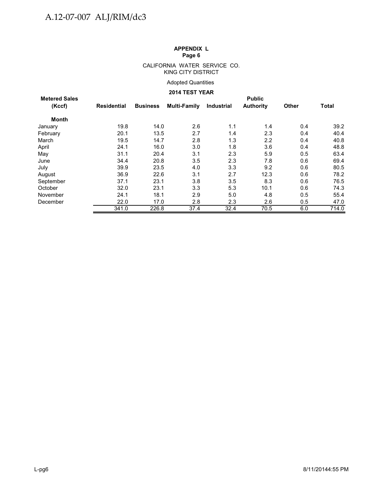#### CALIFORNIA WATER SERVICE CO. KING CITY DISTRICT

# Adopted Quantities

# **2014 TEST YEAR**

| <b>Metered Sales</b> | <b>Public</b> |                 |              |            |                  |              |              |  |  |  |  |
|----------------------|---------------|-----------------|--------------|------------|------------------|--------------|--------------|--|--|--|--|
| (Kccf)               | Residential   | <b>Business</b> | Multi-Family | Industrial | <b>Authority</b> | <b>Other</b> | <b>Total</b> |  |  |  |  |
| Month                |               |                 |              |            |                  |              |              |  |  |  |  |
| January              | 19.8          | 14.0            | 2.6          | 1.1        | 1.4              | 0.4          | 39.2         |  |  |  |  |
| February             | 20.1          | 13.5            | 2.7          | 1.4        | 2.3              | 0.4          | 40.4         |  |  |  |  |
| March                | 19.5          | 14.7            | 2.8          | 1.3        | $2.2\phantom{0}$ | 0.4          | 40.8         |  |  |  |  |
| April                | 24.1          | 16.0            | 3.0          | 1.8        | 3.6              | 0.4          | 48.8         |  |  |  |  |
| May                  | 31.1          | 20.4            | 3.1          | 2.3        | 5.9              | 0.5          | 63.4         |  |  |  |  |
| June                 | 34.4          | 20.8            | 3.5          | 2.3        | 7.8              | 0.6          | 69.4         |  |  |  |  |
| July                 | 39.9          | 23.5            | 4.0          | 3.3        | 9.2              | 0.6          | 80.5         |  |  |  |  |
| August               | 36.9          | 22.6            | 3.1          | 2.7        | 12.3             | 0.6          | 78.2         |  |  |  |  |
| September            | 37.1          | 23.1            | 3.8          | 3.5        | 8.3              | 0.6          | 76.5         |  |  |  |  |
| October              | 32.0          | 23.1            | 3.3          | 5.3        | 10.1             | 0.6          | 74.3         |  |  |  |  |
| November             | 24.1          | 18.1            | 2.9          | 5.0        | 4.8              | 0.5          | 55.4         |  |  |  |  |
| December             | 22.0          | 17.0            | 2.8          | 2.3        | 2.6              | 0.5          | 47.0         |  |  |  |  |
|                      | 341.0         | 226.8           | 37.4         | 32.4       | 70.5             | 6.0          | 714.0        |  |  |  |  |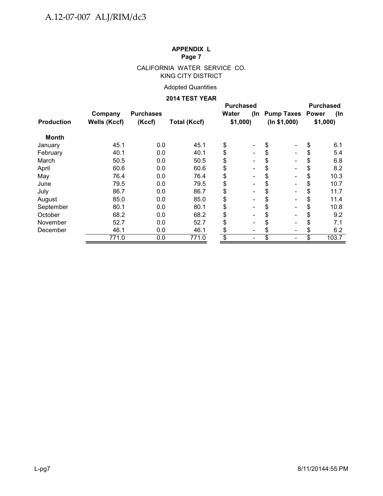# CALIFORNIA WATER SERVICE CO. KING CITY DISTRICT

# Adopted Quantities

#### **2014 TEST YEAR**

|                   |              |                  |                     | <b>Purchased</b> |                          |                      |            |
|-------------------|--------------|------------------|---------------------|------------------|--------------------------|----------------------|------------|
|                   | Company      | <b>Purchases</b> |                     | Water            |                          | (In Pump Taxes Power | (In        |
| <b>Production</b> | Wells (Kccf) | (Kccf)           | <b>Total (Kccf)</b> |                  | \$1,000<br>(ln \$1,000)  |                      | \$1,000    |
| <b>Month</b>      |              |                  |                     |                  |                          |                      |            |
| January           | 45.1         | 0.0              | 45.1                | \$               |                          | \$                   | \$<br>6.1  |
| February          | 40.1         | 0.0              | 40.1                | \$               | $\overline{\phantom{0}}$ | \$                   | \$<br>5.4  |
| March             | 50.5         | 0.0              | 50.5                | \$               | $\overline{\phantom{0}}$ | \$                   | \$<br>6.8  |
| April             | 60.6         | 0.0              | 60.6                | \$               | $\overline{a}$           | \$                   | \$<br>8.2  |
| May               | 76.4         | 0.0              | 76.4                | \$               | $\blacksquare$           |                      | \$<br>10.3 |
| June              | 79.5         | 0.0              | 79.5                | \$               | $\blacksquare$           |                      | \$<br>10.7 |
| July              | 86.7         | 0.0              | 86.7                | \$               |                          |                      | \$<br>11.7 |
| August            | 85.0         | 0.0              | 85.0                | \$               |                          | \$                   | \$<br>11.4 |
| September         | 80.1         | 0.0              | 80.1                | \$               |                          | \$                   | \$<br>10.8 |
| October           | 68.2         | 0.0              | 68.2                | \$               |                          | S                    | \$<br>9.2  |
| November          | 52.7         | 0.0              | 52.7                | \$               |                          |                      | \$<br>7.1  |
| December          | 46.1         | 0.0              | 46.1                | \$               |                          |                      | 6.2        |
|                   | 771.0        | 0.0              | 771.0               | \$               |                          | \$                   | 103.7      |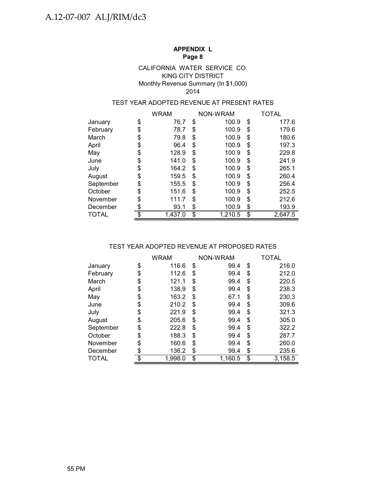### KING CITY DISTRICT Monthly Revenue Summary (In \$1,000) CALIFORNIA WATER SERVICE CO. 2014

# TEST YEAR ADOPTED REVENUE AT PRESENT RATES

|           |                 | <b>WRAM</b> |    | NON-WRAM | TOTAL         |
|-----------|-----------------|-------------|----|----------|---------------|
| January   | \$              | 76.7        | \$ | 100.9    | \$<br>177.6   |
| February  | \$              | 78.7        | \$ | 100.9    | \$<br>179.6   |
| March     | \$              | 79.8        | \$ | 100.9    | \$<br>180.6   |
| April     | \$              | 96.4        | \$ | 100.9    | \$<br>197.3   |
| May       | \$              | 128.9       | \$ | 100.9    | \$<br>229.8   |
| June      | \$              | 141.0       | \$ | 100.9    | \$<br>241.9   |
| July      | \$              | 164.2       | S  | 100.9    | \$<br>265.1   |
| August    | \$              | 159.5       | \$ | 100.9    | \$<br>260.4   |
| September | \$              | 155.5       | \$ | 100.9    | \$<br>256.4   |
| October   | \$              | 151.6       | \$ | 100.9    | \$<br>252.5   |
| November  | \$              | 111.7       | \$ | 100.9    | \$<br>212.6   |
| December  | \$              | 93.1        | \$ | 100.9    | \$<br>193.9   |
| TOTAL     | $\overline{\$}$ | 1,437.0     | \$ | 1,210.5  | \$<br>2,647.5 |

#### TEST YEAR ADOPTED REVENUE AT PROPOSED RATES

|              | <b>WRAM</b>   | NON-WRAM      |    | <b>TOTAL</b> |
|--------------|---------------|---------------|----|--------------|
| January      | \$<br>116.6   | \$<br>99.4    | \$ | 216.0        |
| February     | \$<br>112.6   | \$<br>99.4    | \$ | 212.0        |
| March        | \$<br>121.1   | \$<br>99.4    | S  | 220.5        |
| April        | \$<br>138.9   | \$<br>99.4    | \$ | 238.3        |
| May          | \$<br>163.2   | \$<br>67.1    | \$ | 230.3        |
| June         | \$<br>210.2   | \$<br>99.4    | \$ | 309.6        |
| July         | \$<br>221.9   | \$<br>99.4    | \$ | 321.3        |
| August       | \$<br>205.6   | \$<br>99.4    | \$ | 305.0        |
| September    | \$<br>222.8   | \$<br>99.4    | \$ | 322.2        |
| October      | \$<br>188.3   | \$<br>99.4    | \$ | 287.7        |
| November     | \$<br>160.6   | \$<br>99.4    | \$ | 260.0        |
| December     | \$<br>136.2   | \$<br>99.4    | \$ | 235.6        |
| <b>TOTAL</b> | \$<br>1,998.0 | \$<br>1,160.5 | \$ | 3,158.5      |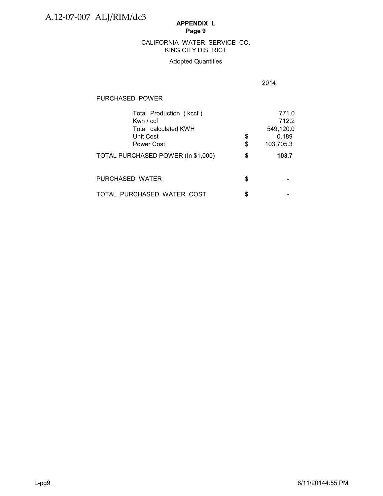# KING CITY DISTRICT CALIFORNIA WATER SERVICE CO.

# Adopted Quantities

# 2014

# PURCHASED POWER

| Total Production (kccf)            |    | 771.0     |
|------------------------------------|----|-----------|
| Kwh $/$ ccf                        |    | 712.2     |
| Total calculated KWH               |    | 549,120.0 |
| Unit Cost                          | \$ | 0.189     |
| Power Cost                         | \$ | 103,705.3 |
| TOTAL PURCHASED POWER (In \$1,000) | \$ | 103.7     |
| PURCHASED WATER                    | S  |           |
| TOTAL PURCHASED WATER COST         |    |           |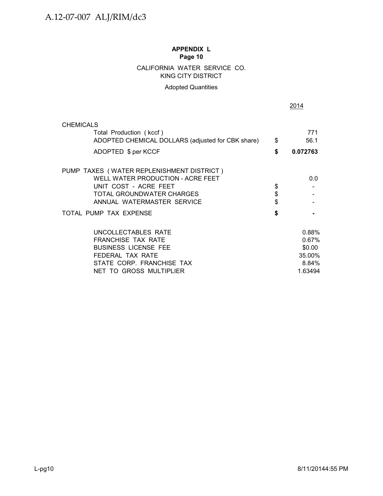# CALIFORNIA WATER SERVICE CO. KING CITY DISTRICT

# Adopted Quantities

|                                                   | 2014           |
|---------------------------------------------------|----------------|
| <b>CHEMICALS</b>                                  |                |
| Total Production (kccf)                           | 771            |
| ADOPTED CHEMICAL DOLLARS (adjusted for CBK share) | \$<br>56.1     |
| ADOPTED \$ per KCCF                               | \$<br>0.072763 |
| PUMP TAXES (WATER REPLENISHMENT DISTRICT)         |                |
| WELL WATER PRODUCTION - ACRE FEET                 | 0.0            |
| UNIT COST - ACRE FEET                             | \$             |
| TOTAL GROUNDWATER CHARGES                         | \$             |
| ANNUAL WATERMASTER SERVICE                        |                |
| TOTAL PUMP TAX EXPENSE                            | \$             |
| UNCOLLECTABLES RATE                               | 0.88%          |
| <b>FRANCHISE TAX RATE</b>                         | 0.67%          |
| <b>BUSINESS LICENSE FEE</b>                       | \$0.00         |
| FEDERAL TAX RATE                                  | 35.00%         |
| STATE CORP. FRANCHISE TAX                         | 8.84%          |
| NET TO GROSS MULTIPLIER                           | 1.63494        |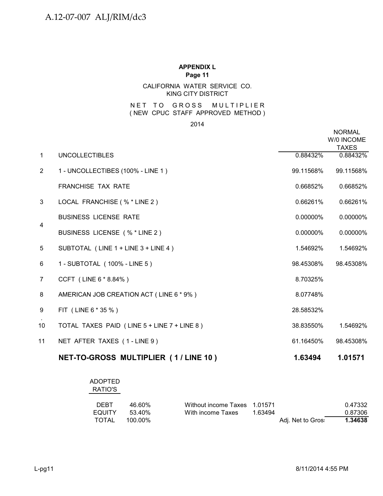# CALIFORNIA WATER SERVICE CO. KING CITY DISTRICT

#### N ET TO GROSS MULTIPLIER ( NEW CPUC STAFF APPROVED METHOD )

2014

|                |                                             |             | <b>NORMAL</b><br>W/0 INCOME<br><b>TAXES</b> |
|----------------|---------------------------------------------|-------------|---------------------------------------------|
| $\mathbf{1}$   | <b>UNCOLLECTIBLES</b>                       | 0.88432%    | 0.88432%                                    |
| $\overline{2}$ | 1 - UNCOLLECTIBES (100% - LINE 1)           | 99.11568%   | 99.11568%                                   |
|                | <b>FRANCHISE TAX RATE</b>                   | 0.66852%    | 0.66852%                                    |
| 3              | LOCAL FRANCHISE (% * LINE 2)                | 0.66261%    | 0.66261%                                    |
|                | <b>BUSINESS LICENSE RATE</b>                | $0.00000\%$ | 0.00000%                                    |
| $\overline{4}$ | BUSINESS LICENSE (% * LINE 2)               | 0.00000%    | 0.00000%                                    |
| 5              | SUBTOTAL (LINE 1 + LINE 3 + LINE 4)         | 1.54692%    | 1.54692%                                    |
| 6              | 1 - SUBTOTAL (100% - LINE 5)                | 98.45308%   | 98.45308%                                   |
| 7              | CCFT (LINE 6 * 8.84%)                       | 8.70325%    |                                             |
| 8              | AMERICAN JOB CREATION ACT (LINE 6 * 9%)     | 8.07748%    |                                             |
| 9              | FIT (LINE 6 * 35 %)                         | 28.58532%   |                                             |
| 10             | TOTAL TAXES PAID (LINE 5 + LINE 7 + LINE 8) | 38.83550%   | 1.54692%                                    |
| 11             | NET AFTER TAXES (1-LINE 9)                  | 61.16450%   | 98.45308%                                   |
|                |                                             |             |                                             |

| NET-TO-GROSS MULTIPLIER (1/LINE 10) |  | 1.63494 | 1.01571 |
|-------------------------------------|--|---------|---------|
|-------------------------------------|--|---------|---------|

| <b>ADOPTED</b><br>RATIO'S |            |                              |         |                   |         |
|---------------------------|------------|------------------------------|---------|-------------------|---------|
| <b>DEBT</b>               | 46.60%     | Without income Taxes 1.01571 |         |                   | 0.47332 |
| <b>EQUITY</b>             | 53.40%     | With income Taxes            | 1.63494 |                   | 0.87306 |
| TOTAL                     | $100.00\%$ |                              |         | Adj. Net to Gros: | 1.34638 |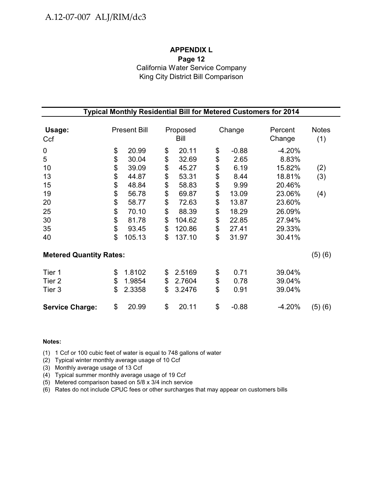# **APPENDIX L Page 12** California Water Service Company King City District Bill Comparison

| Typical Monthly Residential Bill for Metered Customers for 2014 |    |                     |    |                  |    |         |                   |                     |  |
|-----------------------------------------------------------------|----|---------------------|----|------------------|----|---------|-------------------|---------------------|--|
| Usage:<br>Ccf                                                   |    | <b>Present Bill</b> |    | Proposed<br>Bill |    | Change  | Percent<br>Change | <b>Notes</b><br>(1) |  |
| $\pmb{0}$                                                       | \$ | 20.99               | \$ | 20.11            | \$ | $-0.88$ | $-4.20%$          |                     |  |
| 5                                                               | \$ | 30.04               | \$ | 32.69            | \$ | 2.65    | 8.83%             |                     |  |
| 10                                                              | \$ | 39.09               | \$ | 45.27            | \$ | 6.19    | 15.82%            | (2)                 |  |
| 13                                                              | \$ | 44.87               | \$ | 53.31            | \$ | 8.44    | 18.81%            | (3)                 |  |
| 15                                                              | \$ | 48.84               | \$ | 58.83            | \$ | 9.99    | 20.46%            |                     |  |
| 19                                                              | \$ | 56.78               | \$ | 69.87            | \$ | 13.09   | 23.06%            | (4)                 |  |
| 20                                                              | \$ | 58.77               | \$ | 72.63            | \$ | 13.87   | 23.60%            |                     |  |
| 25                                                              | \$ | 70.10               | \$ | 88.39            | \$ | 18.29   | 26.09%            |                     |  |
| 30                                                              | \$ | 81.78               | \$ | 104.62           | \$ | 22.85   | 27.94%            |                     |  |
| 35                                                              | \$ | 93.45               | \$ | 120.86           | \$ | 27.41   | 29.33%            |                     |  |
| 40                                                              | \$ | 105.13              | \$ | 137.10           | \$ | 31.97   | 30.41%            |                     |  |
| <b>Metered Quantity Rates:</b>                                  |    |                     |    |                  |    |         |                   | (5)(6)              |  |
| Tier 1                                                          | \$ | 1.8102              | \$ | 2.5169           | \$ | 0.71    | 39.04%            |                     |  |
| Tier <sub>2</sub>                                               | \$ | 1.9854              | \$ | 2.7604           | \$ | 0.78    | 39.04%            |                     |  |
| Tier 3                                                          | \$ | 2.3358              | \$ | 3.2476           | \$ | 0.91    | 39.04%            |                     |  |
| <b>Service Charge:</b>                                          | \$ | 20.99               | \$ | 20.11            | \$ | $-0.88$ | $-4.20%$          | (5)(6)              |  |

#### **Notes:**

(1) 1 Ccf or 100 cubic feet of water is equal to 748 gallons of water

(2) Typical winter monthly average usage of 10 Ccf

(3) Monthly average usage of 13 Ccf

(4) Typical summer monthly average usage of 19 Ccf

(5) Metered comparison based on 5/8 x 3/4 inch service

(6) Rates do not include CPUC fees or other surcharges that may appear on customers bills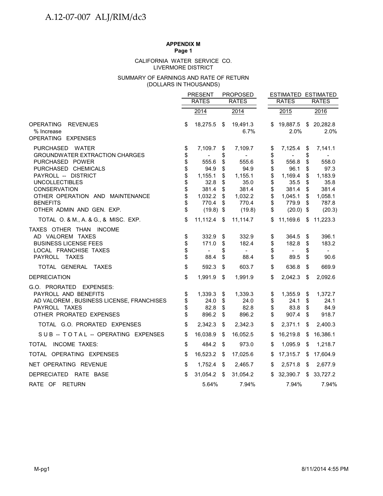# **APPENDIX M**

**Page 1**

#### LIVERMORE DISTRICT CALIFORNIA WATER SERVICE CO.

#### (DOLLARS IN THOUSANDS) SUMMARY OF EARNINGS AND RATE OF RETURN

|                                                                                                                                                                                                                                                                                               |                                                                | <b>PRESENT</b>                                                                                 |                                                                | <b>PROPOSED</b>                                                                                | ESTIMATED ESTIMATED                                            |                                                                                                |                                                                |                                                                                                |
|-----------------------------------------------------------------------------------------------------------------------------------------------------------------------------------------------------------------------------------------------------------------------------------------------|----------------------------------------------------------------|------------------------------------------------------------------------------------------------|----------------------------------------------------------------|------------------------------------------------------------------------------------------------|----------------------------------------------------------------|------------------------------------------------------------------------------------------------|----------------------------------------------------------------|------------------------------------------------------------------------------------------------|
|                                                                                                                                                                                                                                                                                               |                                                                | <b>RATES</b>                                                                                   |                                                                | <b>RATES</b>                                                                                   |                                                                | <b>RATES</b>                                                                                   |                                                                | <b>RATES</b>                                                                                   |
|                                                                                                                                                                                                                                                                                               |                                                                | 2014                                                                                           |                                                                | 2014                                                                                           |                                                                | 2015                                                                                           |                                                                | 2016                                                                                           |
| <b>OPERATING</b><br><b>REVENUES</b><br>% Increase<br>OPERATING EXPENSES                                                                                                                                                                                                                       | \$                                                             | 18,275.5                                                                                       | \$                                                             | 19,491.3<br>6.7%                                                                               | S.                                                             | 19,887.5<br>2.0%                                                                               |                                                                | \$20,282.8<br>2.0%                                                                             |
| PURCHASED WATER<br><b>GROUNDWATER EXTRACTION CHARGES</b><br>PURCHASED POWER<br>PURCHASED CHEMICALS<br>PAYROLL -- DISTRICT<br><b>UNCOLLECTIBLES</b><br>CONSERVATION<br>OTHER OPERATION AND MAINTENANCE<br><b>BENEFITS</b><br>OTHER ADMIN AND GEN. EXP.<br>TOTAL O. & M., A. & G., & MISC. EXP. | \$<br>\$<br>\$<br>\$<br>\$<br>\$<br>\$<br>\$<br>\$<br>\$<br>\$ | 7,109.7<br>555.6<br>94.9<br>1,155.1<br>32.8<br>381.4<br>1,032.2<br>770.4<br>(19.8)<br>11,112.4 | \$<br>\$<br>\$<br>\$<br>\$<br>\$<br>\$<br>\$<br>\$<br>\$<br>\$ | 7,109.7<br>555.6<br>94.9<br>1,155.1<br>35.0<br>381.4<br>1,032.2<br>770.4<br>(19.8)<br>11,114.7 | \$<br>\$<br>\$<br>\$<br>\$<br>\$<br>\$<br>\$<br>\$<br>\$<br>\$ | 7,125.4<br>556.8<br>96.1<br>1,169.4<br>35.5<br>381.4<br>1,045.1<br>779.9<br>(20.0)<br>11,169.6 | \$<br>\$<br>\$<br>\$<br>\$<br>\$<br>\$<br>\$<br>\$<br>\$<br>\$ | 7,141.1<br>558.0<br>97.3<br>1,183.9<br>35.8<br>381.4<br>1,058.1<br>787.8<br>(20.3)<br>11,223.3 |
| TAXES OTHER THAN INCOME<br>AD VALOREM TAXES<br><b>BUSINESS LICENSE FEES</b><br>LOCAL FRANCHISE TAXES<br>PAYROLL TAXES                                                                                                                                                                         | \$<br>\$<br>\$<br>\$                                           | 332.9<br>171.0<br>$\overline{\phantom{a}}$<br>88.4                                             | \$<br>\$<br>\$<br>\$                                           | 332.9<br>182.4<br>$\blacksquare$<br>88.4                                                       | \$<br>\$<br>\$<br>\$                                           | 364.5<br>182.8<br>$\blacksquare$<br>89.5                                                       | \$<br>\$<br>S<br>\$                                            | 396.1<br>183.2<br>$\overline{\phantom{0}}$<br>90.6                                             |
| TOTAL GENERAL TAXES                                                                                                                                                                                                                                                                           | \$                                                             | 592.3                                                                                          | \$                                                             | 603.7                                                                                          | \$                                                             | 636.8                                                                                          | \$                                                             | 669.9                                                                                          |
| <b>DEPRECIATION</b>                                                                                                                                                                                                                                                                           | \$                                                             | 1,991.9                                                                                        | \$                                                             | 1,991.9                                                                                        | \$                                                             | 2,042.3                                                                                        | \$                                                             | 2,092.6                                                                                        |
| G.O. PRORATED EXPENSES:<br>PAYROLL AND BENEFITS<br>AD VALOREM, BUSINESS LICENSE, FRANCHISES<br>PAYROLL TAXES<br>OTHER PRORATED EXPENSES                                                                                                                                                       | \$<br>\$<br>\$<br>\$                                           | 1,339.3<br>24.0<br>82.8<br>896.2                                                               | \$<br>\$<br>\$<br>\$                                           | 1,339.3<br>24.0<br>82.8<br>896.2                                                               | \$<br>\$<br>\$<br>\$                                           | 1,355.9<br>24.1<br>83.8<br>907.4                                                               | \$<br>\$<br>\$<br>\$                                           | 1,372.7<br>24.1<br>84.9<br>918.7                                                               |
| TOTAL G.O. PRORATED EXPENSES                                                                                                                                                                                                                                                                  | \$                                                             | 2,342.3                                                                                        | \$                                                             | 2,342.3                                                                                        | \$                                                             | 2,371.1                                                                                        | \$                                                             | 2,400.3                                                                                        |
| SUB -- TOTAL -- OPERATING EXPENSES                                                                                                                                                                                                                                                            | \$                                                             | 16,038.9                                                                                       | \$                                                             | 16,052.5                                                                                       | \$                                                             | 16,219.8                                                                                       | \$                                                             | 16,386.1                                                                                       |
| TOTAL INCOME TAXES:                                                                                                                                                                                                                                                                           | \$                                                             | 484.2                                                                                          | - \$                                                           | 973.0                                                                                          | \$                                                             | 1,095.9                                                                                        | - \$                                                           | 1,218.7                                                                                        |
| TOTAL OPERATING EXPENSES                                                                                                                                                                                                                                                                      | \$                                                             | 16,523.2                                                                                       | \$                                                             | 17,025.6                                                                                       | \$                                                             | 17,315.7                                                                                       | \$                                                             | 17,604.9                                                                                       |
| NET OPERATING REVENUE                                                                                                                                                                                                                                                                         | \$                                                             | 1,752.4                                                                                        | \$                                                             | 2,465.7                                                                                        | \$                                                             | 2,571.8                                                                                        | \$                                                             | 2,677.9                                                                                        |
| DEPRECIATED RATE BASE                                                                                                                                                                                                                                                                         | \$                                                             | 31,054.2                                                                                       | \$                                                             | 31,054.2                                                                                       |                                                                | \$32,390.7                                                                                     | \$                                                             | 33,727.2                                                                                       |
| RATE OF RETURN                                                                                                                                                                                                                                                                                |                                                                | 5.64%                                                                                          |                                                                | 7.94%                                                                                          |                                                                | 7.94%                                                                                          |                                                                | 7.94%                                                                                          |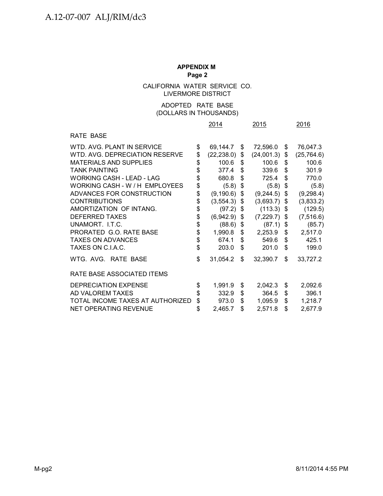CALIFORNIA WATER SERVICE CO. LIVERMORE DISTRICT

## (DOLLARS IN THOUSANDS) ADOPTED RATE BASE

|                                  | 2014                 | 2015             | 2016              |
|----------------------------------|----------------------|------------------|-------------------|
| RATE BASE                        |                      |                  |                   |
| WTD, AVG, PLANT IN SERVICE       | \$<br>69,144.7       | \$<br>72,596.0   | \$<br>76,047.3    |
| WTD. AVG. DEPRECIATION RESERVE   | \$<br>(22, 238.0)    | \$<br>(24,001.3) | \$<br>(25, 764.6) |
| <b>MATERIALS AND SUPPLIES</b>    | \$<br>100.6          | \$<br>100.6      | \$<br>100.6       |
| <b>TANK PAINTING</b>             | \$<br>377.4          | \$<br>339.6      | \$<br>301.9       |
| <b>WORKING CASH - LEAD - LAG</b> | \$<br>680.8          | \$<br>725.4      | \$<br>770.0       |
| WORKING CASH - W / H EMPLOYEES   | \$<br>(5.8)          | \$<br>(5.8)      | \$<br>(5.8)       |
| ADVANCES FOR CONSTRUCTION        | \$<br>(9, 190.6)     | \$<br>(9, 244.5) | \$<br>(9, 298.4)  |
| <b>CONTRIBUTIONS</b>             | \$<br>$(3,554.3)$ \$ | (3,693.7)        | \$<br>(3,833.2)   |
| AMORTIZATION OF INTANG.          | \$<br>$(97.2)$ \$    | (113.3)          | \$<br>(129.5)     |
| <b>DEFERRED TAXES</b>            | \$<br>$(6,942.9)$ \$ | (7,229.7)        | \$<br>(7, 516.6)  |
| UNAMORT. I.T.C.                  | \$<br>$(88.6)$ \$    | (87.1)           | \$<br>(85.7)      |
| PRORATED G.O. RATE BASE          | \$<br>1,990.8        | \$<br>2,253.9    | \$<br>2,517.0     |
| <b>TAXES ON ADVANCES</b>         | \$<br>674.1          | \$<br>549.6      | \$<br>425.1       |
| TAXES ON C.I.A.C.                | \$<br>203.0          | \$<br>201.0      | \$<br>199.0       |
| WTG. AVG. RATE BASE              | \$<br>31,054.2       | \$<br>32,390.7   | \$<br>33,727.2    |
| RATE BASE ASSOCIATED ITEMS       |                      |                  |                   |
| <b>DEPRECIATION EXPENSE</b>      | \$<br>1,991.9        | \$<br>2,042.3    | \$<br>2,092.6     |
| AD VALOREM TAXES                 | \$<br>332.9          | \$<br>364.5      | \$<br>396.1       |
| TOTAL INCOME TAXES AT AUTHORIZED | \$<br>973.0          | \$<br>1,095.9    | \$<br>1,218.7     |
| <b>NET OPERATING REVENUE</b>     | \$<br>2,465.7        | \$<br>2,571.8    | \$<br>2,677.9     |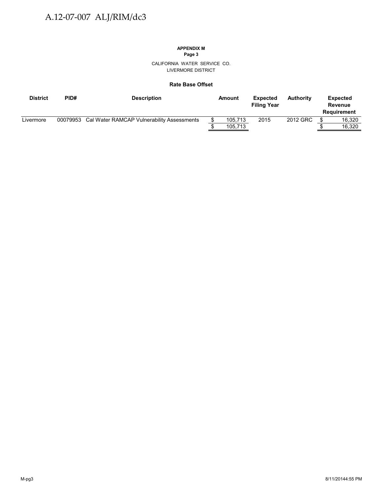## **APPENDIX M**

**Page 3**

CALIFORNIA WATER SERVICE CO. LIVERMORE DISTRICT

#### **Rate Base Offset**

| <b>District</b> | PID# | <b>Description</b>                                  | Amount  | <b>Expected</b><br><b>Filing Year</b> | <b>Authority</b> | Expected<br>Revenue<br>Requirement |
|-----------------|------|-----------------------------------------------------|---------|---------------------------------------|------------------|------------------------------------|
| Livermore       |      | 00079953 Cal Water RAMCAP Vulnerability Assessments | 105.713 | 2015                                  | 2012 GRC         | 16.320                             |
|                 |      |                                                     | 105,713 |                                       |                  | 16.320                             |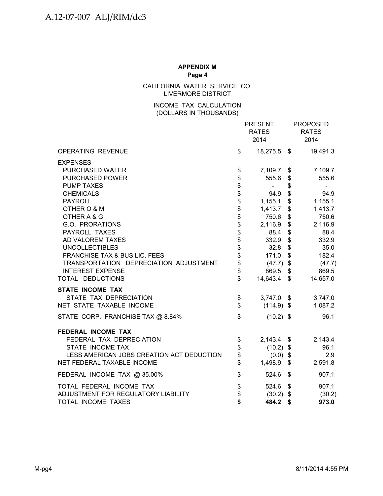CALIFORNIA WATER SERVICE CO. LIVERMORE DISTRICT

## (DOLLARS IN THOUSANDS) INCOME TAX CALCULATION

|                                           |                      | <b>PRESENT</b><br><b>RATES</b><br>2014 |                           | <b>PROPOSED</b><br><b>RATES</b><br>2014 |
|-------------------------------------------|----------------------|----------------------------------------|---------------------------|-----------------------------------------|
| OPERATING REVENUE                         | \$                   | 18,275.5 \$                            |                           | 19,491.3                                |
| <b>EXPENSES</b><br><b>PURCHASED WATER</b> | \$                   | 7,109.7 \$                             |                           | 7,109.7                                 |
| PURCHASED POWER                           | \$                   | 555.6                                  | \$                        | 555.6                                   |
| <b>PUMP TAXES</b>                         |                      | $\sim$                                 | \$                        | $\blacksquare$                          |
| <b>CHEMICALS</b>                          |                      | 94.9                                   | \$                        | 94.9                                    |
| <b>PAYROLL</b>                            |                      | 1,155.1                                | $\,$                      | 1,155.1                                 |
| OTHER O & M<br>OTHER A & G                | \$\$\$\$\$\$\$\$\$\$ | 1,413.7<br>750.6                       | \$<br>\$                  | 1,413.7<br>750.6                        |
| G.O. PRORATIONS                           |                      | 2,116.9                                | \$                        | 2,116.9                                 |
| PAYROLL TAXES                             |                      | 88.4                                   | \$                        | 88.4                                    |
| AD VALOREM TAXES                          |                      | 332.9                                  | \$                        | 332.9                                   |
| <b>UNCOLLECTIBLES</b>                     |                      | 32.8                                   | \$                        | 35.0                                    |
| FRANCHISE TAX & BUS LIC. FEES             | \$                   | 171.0                                  | \$                        | 182.4                                   |
| TRANSPORTATION DEPRECIATION ADJUSTMENT    | \$                   | (47.7)                                 | \$                        | (47.7)                                  |
| <b>INTEREST EXPENSE</b>                   | \$                   | 869.5                                  | \$                        | 869.5                                   |
| TOTAL DEDUCTIONS                          | \$                   | 14,643.4                               | $\mathfrak{S}$            | 14,657.0                                |
| <b>STATE INCOME TAX</b>                   |                      |                                        |                           |                                         |
| STATE TAX DEPRECIATION                    | \$                   | $3,747.0$ \$                           |                           | 3,747.0                                 |
| NET STATE TAXABLE INCOME                  | $\mathfrak{S}$       | $(114.9)$ \$                           |                           | 1,087.2                                 |
| STATE CORP. FRANCHISE TAX @ 8.84%         | \$                   | $(10.2)$ \$                            |                           | 96.1                                    |
| <b>FEDERAL INCOME TAX</b>                 |                      |                                        |                           |                                         |
| FEDERAL TAX DEPRECIATION                  | \$                   | $2,143.4$ \$                           |                           | 2,143.4                                 |
| STATE INCOME TAX                          | \$                   | $(10.2)$ \$                            |                           | 96.1                                    |
| LESS AMERICAN JOBS CREATION ACT DEDUCTION | \$<br>\$             | $(0.0)$ \$                             |                           | 2.9                                     |
| NET FEDERAL TAXABLE INCOME                |                      | 1,498.9                                | \$                        | 2,591.8                                 |
| FEDERAL INCOME TAX @ 35.00%               | \$                   | 524.6                                  | $\boldsymbol{\mathsf{S}}$ | 907.1                                   |
| TOTAL FEDERAL INCOME TAX                  | \$                   | 524.6                                  | \$                        | 907.1                                   |
| ADJUSTMENT FOR REGULATORY LIABILITY       | \$                   | (30.2)                                 | \$                        | (30.2)                                  |
| TOTAL INCOME TAXES                        | \$                   | 484.2                                  | \$                        | 973.0                                   |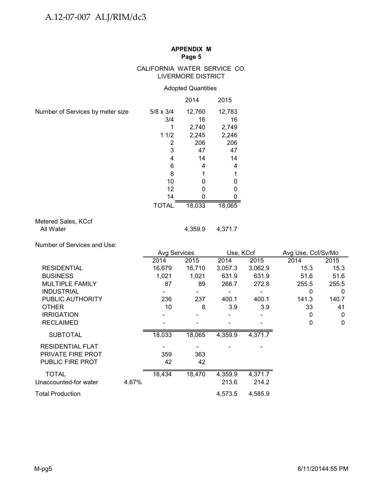## CALIFORNIA WATER SERVICE CO. LIVERMORE DISTRICT

## Adopted Quantities

|                                                           |       |                                                                                                                    | 2014                                                                                 | 2015                                                                       |                         |                      |                         |
|-----------------------------------------------------------|-------|--------------------------------------------------------------------------------------------------------------------|--------------------------------------------------------------------------------------|----------------------------------------------------------------------------|-------------------------|----------------------|-------------------------|
| Number of Services by meter size                          |       | $5/8 \times 3/4$<br>3/4<br>1<br>11/2<br>$\overline{2}$<br>3<br>$\overline{\mathbf{4}}$<br>6<br>8<br>10<br>12<br>14 | 12,760<br>16<br>2,740<br>2,245<br>206<br>47<br>14<br>4<br>1<br>0<br>$\mathbf 0$<br>0 | 12,783<br>16<br>2,749<br>2,246<br>206<br>47<br>14<br>4<br>1<br>0<br>0<br>0 |                         |                      |                         |
|                                                           |       | <b>TOTAL</b>                                                                                                       | 18,033                                                                               | 18,065                                                                     |                         |                      |                         |
| Metered Sales, KCcf<br>All Water                          |       |                                                                                                                    | 4,359.9                                                                              | 4,371.7                                                                    |                         |                      |                         |
|                                                           |       |                                                                                                                    |                                                                                      |                                                                            |                         |                      |                         |
| Number of Services and Use:                               |       | Avg Services                                                                                                       |                                                                                      | Use, KCcf                                                                  |                         | Avg Use, Ccf/Sv/Mo   |                         |
|                                                           |       | 2014                                                                                                               | 2015                                                                                 | 2014                                                                       | 2015                    | 2014                 | 2015                    |
|                                                           |       |                                                                                                                    |                                                                                      |                                                                            |                         |                      |                         |
|                                                           |       |                                                                                                                    |                                                                                      |                                                                            |                         |                      |                         |
| <b>RESIDENTIAL</b>                                        |       | 16,679                                                                                                             | 16,710                                                                               | 3,057.3                                                                    | 3,062.9                 | 15.3                 | 15.3                    |
| <b>BUSINESS</b>                                           |       | 1,021<br>87                                                                                                        | 1,021<br>89                                                                          | 631.9<br>266.7                                                             | 631.9                   | 51.6                 | 51.6                    |
| MULTIPLE FAMILY<br><b>INDUSTRIAL</b>                      |       |                                                                                                                    |                                                                                      |                                                                            | 272.8<br>$\blacksquare$ | 255.5<br>$\mathbf 0$ | 255.5<br>$\overline{0}$ |
| PUBLIC AUTHORITY                                          |       | 236                                                                                                                | 237                                                                                  | 400.1                                                                      | 400.1                   | 141.3                | 140.7                   |
| <b>OTHER</b>                                              |       | 10                                                                                                                 | 8                                                                                    | 3.9                                                                        | 3.9                     | 33                   | 41                      |
| <b>IRRIGATION</b>                                         |       |                                                                                                                    |                                                                                      |                                                                            |                         | $\pmb{0}$            | $\mathbf 0$             |
| <b>RECLAIMED</b>                                          |       |                                                                                                                    |                                                                                      |                                                                            |                         | 0                    | $\mathbf 0$             |
| <b>SUBTOTAL</b>                                           |       | 18,033                                                                                                             | 18,065                                                                               | 4,359.9                                                                    | 4,371.7                 |                      |                         |
| RESIDENTIAL FLAT<br>PRIVATE FIRE PROT<br>PUBLIC FIRE PROT |       | 359<br>42                                                                                                          | $\overline{\phantom{a}}$<br>363<br>42                                                |                                                                            |                         |                      |                         |
| <b>TOTAL</b><br>Unaccounted-for water                     | 4.67% | 18,434                                                                                                             | 18,470                                                                               | 4,359.9<br>213.6                                                           | 4,371.7<br>214.2        |                      |                         |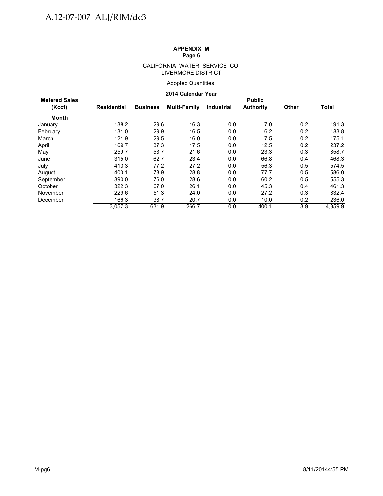#### CALIFORNIA WATER SERVICE CO. LIVERMORE DISTRICT

## Adopted Quantities

#### **2014 Calendar Year**

|                      |             | LV IT VAIVIIVAI TVAI |                     |                   |                  |              |              |  |  |  |  |
|----------------------|-------------|----------------------|---------------------|-------------------|------------------|--------------|--------------|--|--|--|--|
| <b>Metered Sales</b> |             |                      |                     |                   | <b>Public</b>    |              |              |  |  |  |  |
| (Kccf)               | Residential | <b>Business</b>      | <b>Multi-Family</b> | <b>Industrial</b> | <b>Authority</b> | <b>Other</b> | <b>Total</b> |  |  |  |  |
| Month                |             |                      |                     |                   |                  |              |              |  |  |  |  |
| January              | 138.2       | 29.6                 | 16.3                | 0.0               | 7.0              | 0.2          | 191.3        |  |  |  |  |
| February             | 131.0       | 29.9                 | 16.5                | 0.0               | 6.2              | 0.2          | 183.8        |  |  |  |  |
| March                | 121.9       | 29.5                 | 16.0                | 0.0               | 7.5              | 0.2          | 175.1        |  |  |  |  |
| April                | 169.7       | 37.3                 | 17.5                | 0.0               | 12.5             | 0.2          | 237.2        |  |  |  |  |
| May                  | 259.7       | 53.7                 | 21.6                | 0.0               | 23.3             | 0.3          | 358.7        |  |  |  |  |
| June                 | 315.0       | 62.7                 | 23.4                | 0.0               | 66.8             | 0.4          | 468.3        |  |  |  |  |
| July                 | 413.3       | 77.2                 | 27.2                | 0.0               | 56.3             | 0.5          | 574.5        |  |  |  |  |
| August               | 400.1       | 78.9                 | 28.8                | 0.0               | 77.7             | 0.5          | 586.0        |  |  |  |  |
| September            | 390.0       | 76.0                 | 28.6                | 0.0               | 60.2             | 0.5          | 555.3        |  |  |  |  |
| October              | 322.3       | 67.0                 | 26.1                | 0.0               | 45.3             | 0.4          | 461.3        |  |  |  |  |
| November             | 229.6       | 51.3                 | 24.0                | 0.0               | 27.2             | 0.3          | 332.4        |  |  |  |  |
| December             | 166.3       | 38.7                 | 20.7                | 0.0               | 10.0             | 0.2          | 236.0        |  |  |  |  |
|                      | 3.057.3     | 631.9                | 266.7               | 0.0               | 400.1            | 3.9          | 4,359.9      |  |  |  |  |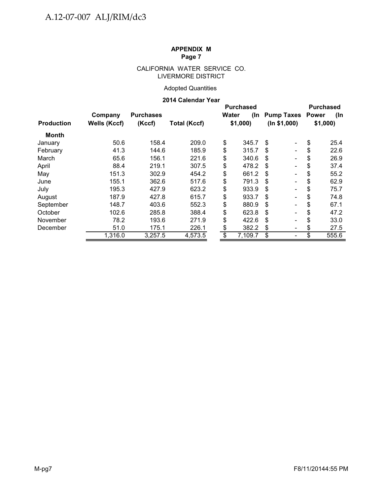## CALIFORNIA WATER SERVICE CO. LIVERMORE DISTRICT

## Adopted Quantities

## **2014 Calendar Year**

|                   |                     |                  |                     |       | <b>Purchased</b> | <b>Purchased</b>                   |         |       |
|-------------------|---------------------|------------------|---------------------|-------|------------------|------------------------------------|---------|-------|
|                   | Company             | <b>Purchases</b> |                     | Water | (In              | <b>Pump Taxes Power</b>            |         | (In   |
| <b>Production</b> | <b>Wells (Kccf)</b> | (Kccf)           | <b>Total (Kccf)</b> |       | \$1,000          | (ln \$1,000)                       | \$1,000 |       |
| <b>Month</b>      |                     |                  |                     |       |                  |                                    |         |       |
| January           | 50.6                | 158.4            | 209.0               | \$    | 345.7            | S<br>$\overline{\phantom{0}}$      | \$      | 25.4  |
| February          | 41.3                | 144.6            | 185.9               | \$    | 315.7            | \$                                 | \$      | 22.6  |
| March             | 65.6                | 156.1            | 221.6               | \$    | 340.6            | S                                  | \$      | 26.9  |
| April             | 88.4                | 219.1            | 307.5               | \$    | 478.2            | \$.                                | \$      | 37.4  |
| May               | 151.3               | 302.9            | 454.2               | \$    | 661.2            | \$.                                | \$      | 55.2  |
| June              | 155.1               | 362.6            | 517.6               | \$    | 791.3            | \$                                 | \$      | 62.9  |
| July              | 195.3               | 427.9            | 623.2               | \$    | 933.9            | \$                                 | \$      | 75.7  |
| August            | 187.9               | 427.8            | 615.7               | \$    | 933.7            | \$.<br>$\blacksquare$              | \$      | 74.8  |
| September         | 148.7               | 403.6            | 552.3               | \$    | 880.9            | S<br>$\blacksquare$                | \$      | 67.1  |
| October           | 102.6               | 285.8            | 388.4               | \$    | 623.8            | \$<br>$\qquad \qquad \blacksquare$ | \$      | 47.2  |
| November          | 78.2                | 193.6            | 271.9               | \$    | 422.6            | \$                                 | \$      | 33.0  |
| December          | 51.0                | 175.1            | 226.1               | \$    | 382.2            | \$                                 | S       | 27.5  |
|                   | 1,316.0             | 3,257.5          | 4,573.5             | \$    | 7,109.7          | \$                                 | \$      | 555.6 |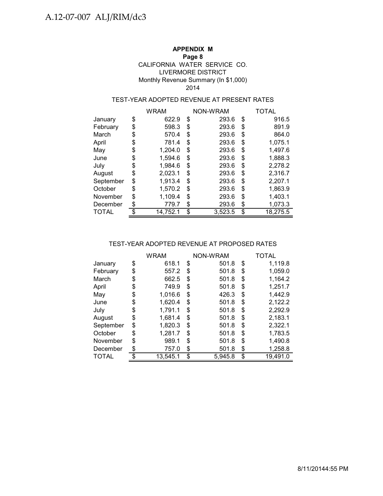## **APPENDIX M**

### **Page 8**

### LIVERMORE DISTRICT Monthly Revenue Summary (In \$1,000) CALIFORNIA WATER SERVICE CO. 2014

## TEST-YEAR ADOPTED REVENUE AT PRESENT RATES

|           | <b>WRAM</b>    |    | NON-WRAM | TOTAL          |
|-----------|----------------|----|----------|----------------|
| January   | \$<br>622.9    | \$ | 293.6    | \$<br>916.5    |
| February  | \$<br>598.3    | \$ | 293.6    | \$<br>891.9    |
| March     | \$<br>570.4    | \$ | 293.6    | \$<br>864.0    |
| April     | \$<br>781.4    | \$ | 293.6    | \$<br>1,075.1  |
| May       | \$<br>1,204.0  | \$ | 293.6    | \$<br>1,497.6  |
| June      | \$<br>1,594.6  | \$ | 293.6    | \$<br>1,888.3  |
| July      | \$<br>1,984.6  | \$ | 293.6    | \$<br>2,278.2  |
| August    | \$<br>2,023.1  | \$ | 293.6    | \$<br>2,316.7  |
| September | \$<br>1,913.4  | \$ | 293.6    | \$<br>2,207.1  |
| October   | \$<br>1,570.2  | S  | 293.6    | \$<br>1,863.9  |
| November  | \$<br>1,109.4  | \$ | 293.6    | \$<br>1,403.1  |
| December  | \$<br>779.7    | \$ | 293.6    | \$<br>1,073.3  |
| TOTAL     | \$<br>14,752.1 | \$ | 3,523.5  | \$<br>18,275.5 |

### TEST-YEAR ADOPTED REVENUE AT PROPOSED RATES

|           |     | <b>WRAM</b> | NON-WRAM      | TOTAL          |
|-----------|-----|-------------|---------------|----------------|
| January   | \$  | 618.1       | \$<br>501.8   | \$<br>1,119.8  |
| February  | \$  | 557.2       | \$<br>501.8   | \$<br>1,059.0  |
| March     | \$  | 662.5       | \$<br>501.8   | \$<br>1,164.2  |
| April     | \$  | 749.9       | \$<br>501.8   | \$<br>1,251.7  |
| May       | \$  | 1,016.6     | \$<br>426.3   | \$<br>1,442.9  |
| June      | \$  | 1,620.4     | \$<br>501.8   | \$<br>2,122.2  |
| July      | \$  | 1,791.1     | \$<br>501.8   | \$<br>2,292.9  |
| August    | \$  | 1.681.4     | \$<br>501.8   | \$<br>2,183.1  |
| September | \$  | 1,820.3     | \$<br>501.8   | \$<br>2,322.1  |
| October   | \$  | 1,281.7     | \$<br>501.8   | \$<br>1,783.5  |
| November  | \$  | 989.1       | \$<br>501.8   | \$<br>1,490.8  |
| December  | \$  | 757.0       | \$<br>501.8   | \$<br>1,258.8  |
| TOTAL     | \$. | 13,545.1    | \$<br>5,945.8 | \$<br>19,491.0 |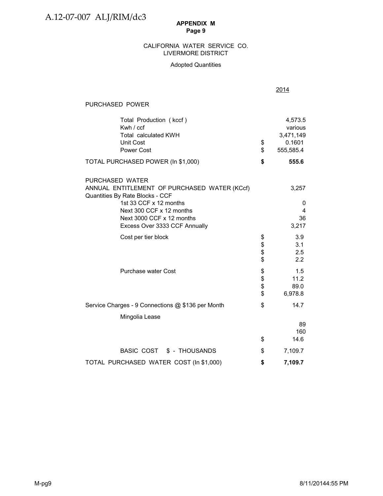### LIVERMORE DISTRICT CALIFORNIA WATER SERVICE CO.

### Adopted Quantities

| PURCHASED POWER                                                                                                                                                                                                        |            |                                                        |
|------------------------------------------------------------------------------------------------------------------------------------------------------------------------------------------------------------------------|------------|--------------------------------------------------------|
| Total Production (kccf)<br>Kwh / ccf<br><b>Total calculated KWH</b><br><b>Unit Cost</b><br><b>Power Cost</b>                                                                                                           | \$<br>\$   | 4,573.5<br>various<br>3,471,149<br>0.1601<br>555,585.4 |
| TOTAL PURCHASED POWER (In \$1,000)                                                                                                                                                                                     | \$         | 555.6                                                  |
| PURCHASED WATER<br>ANNUAL ENTITLEMENT OF PURCHASED WATER (KCcf)<br>Quantities By Rate Blocks - CCF<br>1st 33 CCF x 12 months<br>Next 300 CCF x 12 months<br>Next 3000 CCF x 12 months<br>Excess Over 3333 CCF Annually |            | 3,257<br>0<br>4<br>36<br>3,217                         |
| Cost per tier block                                                                                                                                                                                                    | \$<br>\$\$ | 3.9<br>3.1<br>2.5<br>2.2                               |
| <b>Purchase water Cost</b>                                                                                                                                                                                             | \$\$<br>\$ | 1.5<br>11.2<br>89.0<br>6,978.8                         |
| Service Charges - 9 Connections @ \$136 per Month                                                                                                                                                                      | \$         | 14.7                                                   |
| Mingolia Lease                                                                                                                                                                                                         | \$         | 89<br>160<br>14.6                                      |
| BASIC COST \$ - THOUSANDS                                                                                                                                                                                              | \$         | 7,109.7                                                |
| TOTAL PURCHASED WATER COST (In \$1,000)                                                                                                                                                                                | \$         | 7,109.7                                                |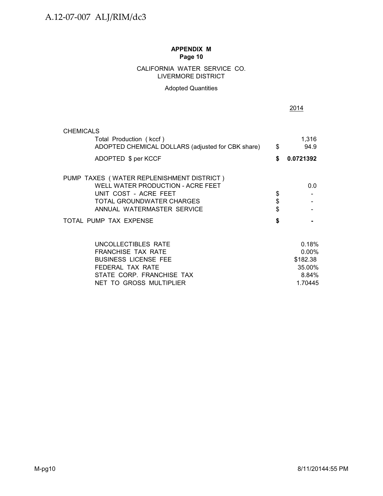## CALIFORNIA WATER SERVICE CO. LIVERMORE DISTRICT

## Adopted Quantities

| <b>CHEMICALS</b>                                  |          |           |
|---------------------------------------------------|----------|-----------|
| Total Production (kccf)                           |          | 1,316     |
| ADOPTED CHEMICAL DOLLARS (adjusted for CBK share) | \$       | 94.9      |
| ADOPTED \$ per KCCF                               | \$       | 0.0721392 |
| PUMP TAXES (WATER REPLENISHMENT DISTRICT)         |          |           |
| WELL WATER PRODUCTION - ACRE FEET                 |          | 0.0       |
| UNIT COST - ACRE FEET                             | \$       |           |
| <b>TOTAL GROUNDWATER CHARGES</b>                  | \$<br>\$ |           |
| ANNUAL WATERMASTER SERVICE                        |          |           |
| TOTAL PUMP TAX EXPENSE                            | \$       |           |
| UNCOLLECTIBLES RATE                               |          | 0.18%     |
| <b>FRANCHISE TAX RATE</b>                         |          | 0.00%     |
| <b>BUSINESS LICENSE FEE</b>                       |          | \$182.38  |
| FEDERAL TAX RATE                                  |          | 35.00%    |
| STATE CORP. FRANCHISE TAX                         |          | 8.84%     |
| NET TO GROSS MULTIPLIER                           |          | 1.70445   |

2014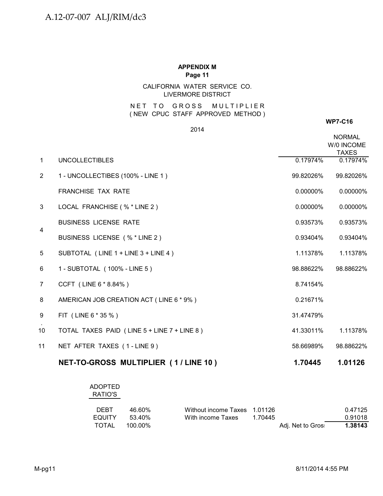## CALIFORNIA WATER SERVICE CO. LIVERMORE DISTRICT

## NET TO GROSS MULTIPLIER ( NEW CPUC STAFF APPROVED METHOD )

2014

**WP7-C16**

|                |                                             |           | <b>NORMAL</b><br>W/0 INCOME<br><b>TAXES</b> |
|----------------|---------------------------------------------|-----------|---------------------------------------------|
| $\mathbf{1}$   | <b>UNCOLLECTIBLES</b>                       | 0.17974%  | 0.17974%                                    |
| $\overline{2}$ | 1 - UNCOLLECTIBES (100% - LINE 1)           | 99.82026% | 99.82026%                                   |
|                | <b>FRANCHISE TAX RATE</b>                   | 0.00000%  | 0.00000%                                    |
| 3              | LOCAL FRANCHISE (% * LINE 2)                | 0.00000%  | 0.00000%                                    |
| 4              | <b>BUSINESS LICENSE RATE</b>                | 0.93573%  | 0.93573%                                    |
|                | BUSINESS LICENSE (% * LINE 2)               | 0.93404%  | 0.93404%                                    |
| 5              | SUBTOTAL (LINE 1 + LINE 3 + LINE 4)         | 1.11378%  | 1.11378%                                    |
| 6              | 1 - SUBTOTAL (100% - LINE 5)                | 98.88622% | 98.88622%                                   |
| $\overline{7}$ | CCFT (LINE 6 * 8.84%)                       | 8.74154%  |                                             |
| 8              | AMERICAN JOB CREATION ACT (LINE 6 * 9%)     | 0.21671%  |                                             |
| 9              | FIT (LINE 6 * 35 %)                         | 31.47479% |                                             |
| 10             | TOTAL TAXES PAID (LINE 5 + LINE 7 + LINE 8) | 41.33011% | 1.11378%                                    |
| 11             | NET AFTER TAXES (1-LINE 9)                  | 58.66989% | 98.88622%                                   |
|                |                                             |           |                                             |

# **NET-TO-GROSS MULTIPLIER ( 1 / LINE 10 ) 1.70445 1.01126**

| <b>ADOPTED</b> |  |
|----------------|--|
| RATIO'S        |  |

| <b>DEBT</b> | 46.60%  | Without income Taxes 1.01126 |         |                   | 0.47125 |
|-------------|---------|------------------------------|---------|-------------------|---------|
| EQUITY      | 53.40%  | With income Taxes            | 1 70445 |                   | 0.91018 |
| TOTAL       | 100.00% |                              |         | Adj. Net to Gros: | 1.38143 |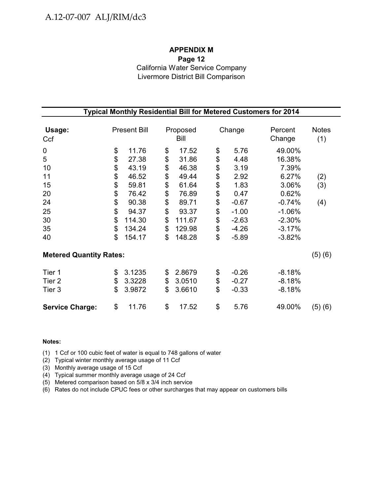## **APPENDIX M Page 12** California Water Service Company Livermore District Bill Comparison

| Typical Monthly Residential Bill for Metered Customers for 2014 |    |                     |    |                  |    |         |                   |                     |  |
|-----------------------------------------------------------------|----|---------------------|----|------------------|----|---------|-------------------|---------------------|--|
| Usage:<br>Ccf                                                   |    | <b>Present Bill</b> |    | Proposed<br>Bill |    | Change  | Percent<br>Change | <b>Notes</b><br>(1) |  |
| 0                                                               | \$ | 11.76               | \$ | 17.52            | \$ | 5.76    | 49.00%            |                     |  |
| 5                                                               | \$ | 27.38               | \$ | 31.86            | \$ | 4.48    | 16.38%            |                     |  |
| 10                                                              | \$ | 43.19               | \$ | 46.38            | \$ | 3.19    | 7.39%             |                     |  |
| 11                                                              | \$ | 46.52               | \$ | 49.44            | \$ | 2.92    | 6.27%             | (2)                 |  |
| 15                                                              | \$ | 59.81               | \$ | 61.64            | \$ | 1.83    | 3.06%             | (3)                 |  |
| 20                                                              | \$ | 76.42               | \$ | 76.89            | \$ | 0.47    | 0.62%             |                     |  |
| 24                                                              | \$ | 90.38               | \$ | 89.71            | \$ | $-0.67$ | $-0.74%$          | (4)                 |  |
| 25                                                              | \$ | 94.37               | \$ | 93.37            | \$ | $-1.00$ | $-1.06%$          |                     |  |
| 30                                                              | \$ | 114.30              | \$ | 111.67           | \$ | $-2.63$ | $-2.30%$          |                     |  |
| 35                                                              | \$ | 134.24              | \$ | 129.98           | \$ | $-4.26$ | $-3.17%$          |                     |  |
| 40                                                              | \$ | 154.17              | \$ | 148.28           | \$ | $-5.89$ | $-3.82%$          |                     |  |
| <b>Metered Quantity Rates:</b>                                  |    |                     |    |                  |    |         |                   | (5)(6)              |  |
| Tier 1                                                          | \$ | 3.1235              | \$ | 2.8679           | \$ | $-0.26$ | $-8.18%$          |                     |  |
| Tier <sub>2</sub>                                               | \$ | 3.3228              | \$ | 3.0510           | \$ | $-0.27$ | $-8.18%$          |                     |  |
| Tier 3                                                          | \$ | 3.9872              | \$ | 3.6610           | \$ | $-0.33$ | $-8.18%$          |                     |  |
| <b>Service Charge:</b>                                          | \$ | 11.76               | \$ | 17.52            | \$ | 5.76    | 49.00%            | (5)(6)              |  |

#### **Notes:**

(1) 1 Ccf or 100 cubic feet of water is equal to 748 gallons of water

(2) Typical winter monthly average usage of 11 Ccf

(3) Monthly average usage of 15 Ccf

(4) Typical summer monthly average usage of 24 Ccf

(5) Metered comparison based on 5/8 x 3/4 inch service

(6) Rates do not include CPUC fees or other surcharges that may appear on customers bills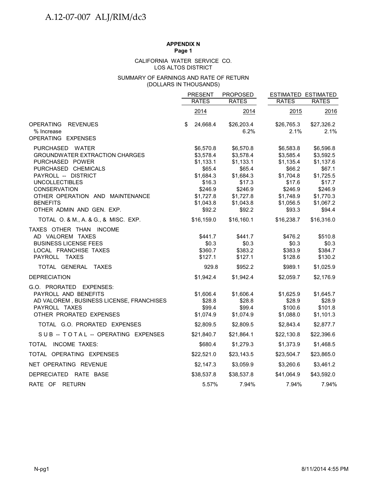## **APPENDIX N**

**Page 1**

#### LOS ALTOS DISTRICT CALIFORNIA WATER SERVICE CO.

#### (DOLLARS IN THOUSANDS) SUMMARY OF EARNINGS AND RATE OF RETURN

|                                          | <b>PRESENT</b> | <b>PROPOSED</b> |              | <b>ESTIMATED ESTIMATED</b> |
|------------------------------------------|----------------|-----------------|--------------|----------------------------|
|                                          | <b>RATES</b>   | <b>RATES</b>    | <b>RATES</b> | <b>RATES</b>               |
|                                          | 2014           | 2014            | 2015         | 2016                       |
| OPERATING<br><b>REVENUES</b>             | \$<br>24,668.4 | \$26,203.4      | \$26,765.3   | \$27,326.2                 |
| % Increase<br>OPERATING EXPENSES         |                | 6.2%            | 2.1%         | 2.1%                       |
| PURCHASED WATER                          | \$6,570.8      | \$6,570.8       | \$6,583.8    | \$6,596.8                  |
| <b>GROUNDWATER EXTRACTION CHARGES</b>    | \$3,578.4      | \$3,578.4       | \$3,585.4    | \$3,592.5                  |
| PURCHASED POWER                          | \$1,133.1      | \$1,133.1       | \$1,135.4    | \$1,137.6                  |
| PURCHASED CHEMICALS                      | \$65.4         | \$65.4          | \$66.2       | \$67.1                     |
| PAYROLL -- DISTRICT                      | \$1,684.3      | \$1,684.3       | \$1,704.8    | \$1,725.5                  |
| <b>UNCOLLECTIBLES</b>                    | \$16.3         | \$17.3          | \$17.6       | \$17.7                     |
| <b>CONSERVATION</b>                      | \$246.9        | \$246.9         | \$246.9      | \$246.9                    |
| OTHER OPERATION AND MAINTENANCE          | \$1,727.8      | \$1,727.8       | \$1,748.9    | \$1,770.3                  |
| <b>BENEFITS</b>                          | \$1,043.8      | \$1,043.8       | \$1,056.5    | \$1,067.2                  |
| OTHER ADMIN AND GEN. EXP.                | \$92.2         | \$92.2          | \$93.3       | \$94.4                     |
| TOTAL O. & M., A. & G., & MISC. EXP.     | \$16,159.0     | \$16,160.1      | \$16,238.7   | \$16,316.0                 |
| TAXES OTHER THAN INCOME                  |                |                 |              |                            |
| AD VALOREM TAXES                         | \$441.7        | \$441.7         | \$476.2      | \$510.8                    |
| <b>BUSINESS LICENSE FEES</b>             | \$0.3          | \$0.3           | \$0.3        | \$0.3                      |
| LOCAL FRANCHISE TAXES                    | \$360.7        | \$383.2         | \$383.9      | \$384.7                    |
| PAYROLL TAXES                            | \$127.1        | \$127.1         | \$128.6      | \$130.2                    |
| TOTAL GENERAL TAXES                      | 929.8          | \$952.2         | \$989.1      | \$1,025.9                  |
| <b>DEPRECIATION</b>                      | \$1,942.4      | \$1,942.4       | \$2,059.7    | \$2,176.9                  |
| G.O. PRORATED EXPENSES:                  |                |                 |              |                            |
| PAYROLL AND BENEFITS                     | \$1,606.4      | \$1,606.4       | \$1,625.9    | \$1,645.7                  |
| AD VALOREM, BUSINESS LICENSE, FRANCHISES | \$28.8         | \$28.8          | \$28.9       | \$28.9                     |
| PAYROLL TAXES                            | \$99.4         | \$99.4          | \$100.6      | \$101.8                    |
| OTHER PRORATED EXPENSES                  | \$1,074.9      | \$1,074.9       | \$1,088.0    | \$1,101.3                  |
| TOTAL G.O. PRORATED EXPENSES             | \$2,809.5      | \$2,809.5       | \$2,843.4    | \$2,877.7                  |
| SUB -- TOTAL -- OPERATING EXPENSES       | \$21,840.7     | \$21,864.1      | \$22,130.8   | \$22,396.6                 |
| TOTAL INCOME TAXES:                      | \$680.4        | \$1,279.3       | \$1,373.9    | \$1,468.5                  |
| TOTAL OPERATING EXPENSES                 | \$22,521.0     | \$23,143.5      | \$23,504.7   | \$23,865.0                 |
| NET OPERATING REVENUE                    | \$2,147.3      | \$3,059.9       | \$3,260.6    | \$3,461.2                  |
| DEPRECIATED RATE BASE                    | \$38,537.8     | \$38,537.8      | \$41,064.9   | \$43,592.0                 |
| RATE OF RETURN                           | 5.57%          | 7.94%           | 7.94%        | 7.94%                      |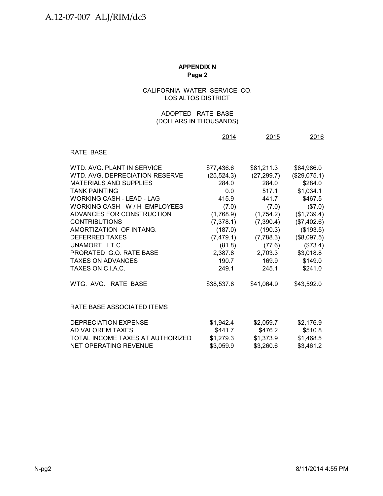## CALIFORNIA WATER SERVICE CO. LOS ALTOS DISTRICT

## (DOLLARS IN THOUSANDS) ADOPTED RATE BASE

|                                  | 2014        | 2015        | 2016         |
|----------------------------------|-------------|-------------|--------------|
| RATE BASE                        |             |             |              |
| WTD. AVG. PLANT IN SERVICE       | \$77,436.6  | \$81,211.3  | \$84,986.0   |
| WTD, AVG, DEPRECIATION RESERVE   | (25, 524.3) | (27, 299.7) | (\$29,075.1) |
| <b>MATERIALS AND SUPPLIES</b>    | 284.0       | 284.0       | \$284.0      |
| <b>TANK PAINTING</b>             | 0.0         | 517.1       | \$1,034.1    |
| WORKING CASH - LEAD - LAG        | 415.9       | 441.7       | \$467.5      |
| WORKING CASH - W / H EMPLOYEES   | (7.0)       | (7.0)       | (\$7.0)      |
| ADVANCES FOR CONSTRUCTION        | (1,768.9)   | (1,754.2)   | (\$1,739.4)  |
| <b>CONTRIBUTIONS</b>             | (7,378.1)   | (7,390.4)   | (\$7,402.6)  |
| AMORTIZATION OF INTANG.          | (187.0)     | (190.3)     | (\$193.5)    |
| <b>DEFERRED TAXES</b>            | (7,479.1)   | (7,788.3)   | (\$8,097.5)  |
| UNAMORT. I.T.C.                  | (81.8)      | (77.6)      | (\$73.4)     |
| PRORATED G.O. RATE BASE          | 2,387.8     | 2,703.3     | \$3,018.8    |
| <b>TAXES ON ADVANCES</b>         | 190.7       | 169.9       | \$149.0      |
| TAXES ON C.I.A.C.                | 249.1       | 245.1       | \$241.0      |
| WTG. AVG. RATE BASE              | \$38,537.8  | \$41,064.9  | \$43,592.0   |
| RATE BASE ASSOCIATED ITEMS       |             |             |              |
| DEPRECIATION EXPENSE             | \$1,942.4   | \$2,059.7   | \$2,176.9    |
| AD VALOREM TAXES                 | \$441.7     | \$476.2     | \$510.8      |
| TOTAL INCOME TAXES AT AUTHORIZED | \$1,279.3   | \$1,373.9   | \$1,468.5    |
| NET OPERATING REVENUE            | \$3,059.9   | \$3,260.6   | \$3,461.2    |
|                                  |             |             |              |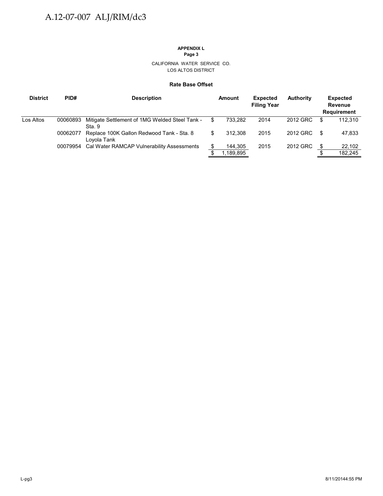## **APPENDIX L**

**Page 3**

#### CALIFORNIA WATER SERVICE CO. LOS ALTOS DISTRICT

#### **Rate Base Offset**

| <b>District</b> | PID#     | <b>Description</b>                                       |    | Amount    | <b>Expected</b><br><b>Filing Year</b> | <b>Authority</b> |    | <b>Expected</b><br>Revenue<br><b>Requirement</b> |
|-----------------|----------|----------------------------------------------------------|----|-----------|---------------------------------------|------------------|----|--------------------------------------------------|
| Los Altos       | 00060893 | Mitigate Settlement of 1MG Welded Steel Tank -<br>Sta. 9 | S  | 733.282   | 2014                                  | 2012 GRC         | S  | 112.310                                          |
|                 | 00062077 | Replace 100K Gallon Redwood Tank - Sta. 8<br>Loyola Tank | \$ | 312.308   | 2015                                  | 2012 GRC         | \$ | 47,833                                           |
|                 |          | 00079954 Cal Water RAMCAP Vulnerability Assessments      |    | 144,305   | 2015                                  | 2012 GRC         | \$ | 22,102                                           |
|                 |          |                                                          |    | 1,189,895 |                                       |                  |    | 182,245                                          |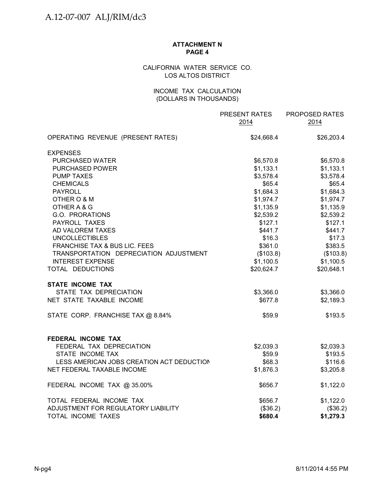## **ATTACHMENT N PAGE 4**

## CALIFORNIA WATER SERVICE CO. LOS ALTOS DISTRICT

## INCOME TAX CALCULATION (DOLLARS IN THOUSANDS)

|                                           | PRESENT RATES<br>2014 | PROPOSED RATES<br>2014 |
|-------------------------------------------|-----------------------|------------------------|
| OPERATING REVENUE (PRESENT RATES)         | \$24,668.4            | \$26,203.4             |
| <b>EXPENSES</b>                           |                       |                        |
| PURCHASED WATER                           | \$6,570.8             | \$6,570.8              |
| <b>PURCHASED POWER</b>                    | \$1,133.1             | \$1,133.1              |
| <b>PUMP TAXES</b>                         | \$3,578.4             | \$3,578.4              |
| <b>CHEMICALS</b>                          | \$65.4                | \$65.4                 |
| <b>PAYROLL</b>                            | \$1,684.3             | \$1,684.3              |
| OTHER O & M                               | \$1,974.7             | \$1,974.7              |
| OTHER A & G                               | \$1,135.9             | \$1,135.9              |
| G.O. PRORATIONS                           | \$2,539.2             | \$2,539.2              |
| PAYROLL TAXES                             | \$127.1               | \$127.1                |
| AD VALOREM TAXES                          | \$441.7               | \$441.7                |
| <b>UNCOLLECTIBLES</b>                     | \$16.3                | \$17.3                 |
| FRANCHISE TAX & BUS LIC. FEES             | \$361.0               | \$383.5                |
| TRANSPORTATION DEPRECIATION ADJUSTMENT    | (\$103.8)             | (\$103.8)              |
| <b>INTEREST EXPENSE</b>                   | \$1,100.5             | \$1,100.5              |
| TOTAL DEDUCTIONS                          | \$20,624.7            | \$20,648.1             |
| <b>STATE INCOME TAX</b>                   |                       |                        |
| STATE TAX DEPRECIATION                    | \$3,366.0             | \$3,366.0              |
| NET STATE TAXABLE INCOME                  | \$677.8               | \$2,189.3              |
| STATE CORP. FRANCHISE TAX @ 8.84%         | \$59.9                | \$193.5                |
| FEDERAL INCOME TAX                        |                       |                        |
| FEDERAL TAX DEPRECIATION                  | \$2,039.3             | \$2,039.3              |
| STATE INCOME TAX                          | \$59.9                | \$193.5                |
| LESS AMERICAN JOBS CREATION ACT DEDUCTION | \$68.3                | \$116.6                |
| NET FEDERAL TAXABLE INCOME                | \$1,876.3             | \$3,205.8              |
| FEDERAL INCOME TAX @ 35.00%               | \$656.7               | \$1,122.0              |
| TOTAL FEDERAL INCOME TAX                  | \$656.7               | \$1,122.0              |
| ADJUSTMENT FOR REGULATORY LIABILITY       | (\$36.2)              | (\$36.2)               |
| TOTAL INCOME TAXES                        | \$680.4               | \$1,279.3              |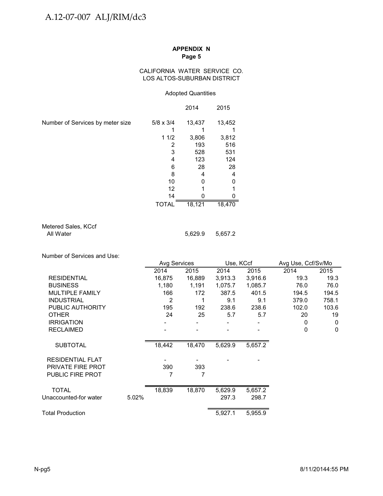### CALIFORNIA WATER SERVICE CO. LOS ALTOS-SUBURBAN DISTRICT

### Adopted Quantities

|                                  |                  | 2014   | 2015   |
|----------------------------------|------------------|--------|--------|
| Number of Services by meter size | $5/8 \times 3/4$ | 13,437 | 13,452 |
|                                  |                  |        |        |
|                                  | 11/2             | 3,806  | 3,812  |
|                                  | 2                | 193    | 516    |
|                                  | 3                | 528    | 531    |
|                                  | 4                | 123    | 124    |
|                                  | 6                | 28     | 28     |
|                                  | 8                | 4      | 4      |
|                                  | 10               |        | 0      |
|                                  | 12               |        |        |
|                                  | 14               |        |        |
|                                  | TOTAL            | 18,121 | 18,470 |

| Metered Sales, KCcf |  |
|---------------------|--|
| All Water           |  |

Number of Services and Use:

|                         |       | Avg Services |        | Use, KCcf |         | Avg Use, Ccf/Sv/Mo |              |
|-------------------------|-------|--------------|--------|-----------|---------|--------------------|--------------|
|                         |       | 2014         | 2015   | 2014      | 2015    | 2014               | 2015         |
| <b>RESIDENTIAL</b>      |       | 16,875       | 16,889 | 3,913.3   | 3,916.6 | 19.3               | 19.3         |
| <b>BUSINESS</b>         |       | 1,180        | 1,191  | 1,075.7   | 1,085.7 | 76.0               | 76.0         |
| MULTIPLE FAMILY         |       | 166          | 172    | 387.5     | 401.5   | 194.5              | 194.5        |
| <b>INDUSTRIAL</b>       |       | 2            | 1      | 9.1       | 9.1     | 379.0              | 758.1        |
| PUBLIC AUTHORITY        |       | 195          | 192    | 238.6     | 238.6   | 102.0              | 103.6        |
| <b>OTHER</b>            |       | 24           | 25     | 5.7       | 5.7     | 20                 | 19           |
| <b>IRRIGATION</b>       |       |              |        |           |         | 0                  | 0            |
| <b>RECLAIMED</b>        |       |              |        |           |         | 0                  | $\mathbf{0}$ |
| <b>SUBTOTAL</b>         |       | 18,442       | 18,470 | 5,629.9   | 5,657.2 |                    |              |
| <b>RESIDENTIAL FLAT</b> |       |              |        |           |         |                    |              |
| PRIVATE FIRE PROT       |       | 390          | 393    |           |         |                    |              |
| <b>PUBLIC FIRE PROT</b> |       | 7            | 7      |           |         |                    |              |
| <b>TOTAL</b>            |       | 18,839       | 18,870 | 5,629.9   | 5,657.2 |                    |              |
| Unaccounted-for water   | 5.02% |              |        | 297.3     | 298.7   |                    |              |
|                         |       |              |        |           |         |                    |              |
| Total Production        |       |              |        | 5,927.1   | 5,955.9 |                    |              |

5,629.9 5,657.2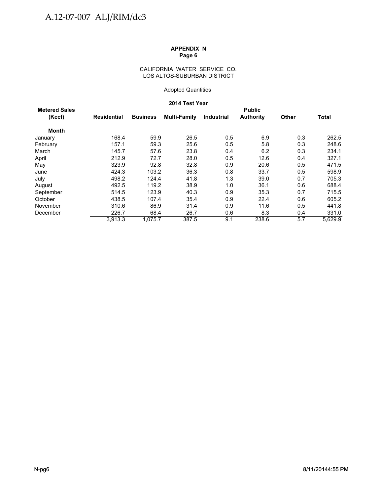### CALIFORNIA WATER SERVICE CO. LOS ALTOS-SUBURBAN DISTRICT

### Adopted Quantities

### **2014 Test Year**

| <b>Metered Sales</b> |             |                 |                     |                   | <b>Public</b>    |              |              |
|----------------------|-------------|-----------------|---------------------|-------------------|------------------|--------------|--------------|
| (Kccf)               | Residential | <b>Business</b> | <b>Multi-Family</b> | <b>Industrial</b> | <b>Authority</b> | <b>Other</b> | <b>Total</b> |
| <b>Month</b>         |             |                 |                     |                   |                  |              |              |
| January              | 168.4       | 59.9            | 26.5                | 0.5               | 6.9              | 0.3          | 262.5        |
| February             | 157.1       | 59.3            | 25.6                | 0.5               | 5.8              | 0.3          | 248.6        |
| March                | 145.7       | 57.6            | 23.8                | 0.4               | 6.2              | 0.3          | 234.1        |
| April                | 212.9       | 72.7            | 28.0                | 0.5               | 12.6             | 0.4          | 327.1        |
| May                  | 323.9       | 92.8            | 32.8                | 0.9               | 20.6             | 0.5          | 471.5        |
| June                 | 424.3       | 103.2           | 36.3                | 0.8               | 33.7             | 0.5          | 598.9        |
| July                 | 498.2       | 124.4           | 41.8                | 1.3               | 39.0             | 0.7          | 705.3        |
| August               | 492.5       | 119.2           | 38.9                | 1.0               | 36.1             | 0.6          | 688.4        |
| September            | 514.5       | 123.9           | 40.3                | 0.9               | 35.3             | 0.7          | 715.5        |
| October              | 438.5       | 107.4           | 35.4                | 0.9               | 22.4             | 0.6          | 605.2        |
| November             | 310.6       | 86.9            | 31.4                | 0.9               | 11.6             | 0.5          | 441.8        |
| December             | 226.7       | 68.4            | 26.7                | 0.6               | 8.3              | 0.4          | 331.0        |
|                      | 3,913.3     | 1.075.7         | 387.5               | 9.1               | 238.6            | 5.7          | 5,629.9      |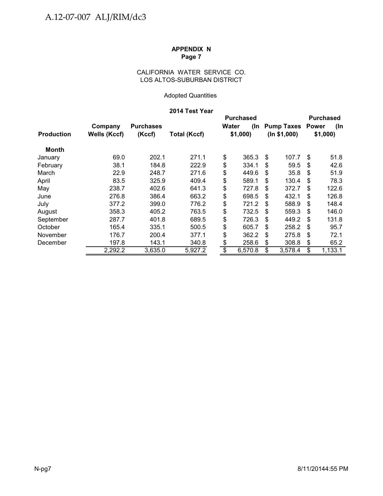## CALIFORNIA WATER SERVICE CO. LOS ALTOS-SUBURBAN DISTRICT

## Adopted Quantities

## **2014 Test Year**

|                   |                     |                  |                     | <b>Purchased</b> |         |    |                         |     | <b>Purchased</b> |
|-------------------|---------------------|------------------|---------------------|------------------|---------|----|-------------------------|-----|------------------|
|                   | Company             | <b>Purchases</b> |                     | Water            | (In     |    | <b>Pump Taxes Power</b> |     | (In              |
| <b>Production</b> | <b>Wells (Kccf)</b> | (Kccf)           | <b>Total (Kccf)</b> |                  | \$1,000 |    | (ln \$1,000)            |     | \$1,000          |
| Month             |                     |                  |                     |                  |         |    |                         |     |                  |
| January           | 69.0                | 202.1            | 271.1               | \$               | 365.3   | S  | 107.7                   | \$  | 51.8             |
| February          | 38.1                | 184.8            | 222.9               | \$               | 334.1   | S  | 59.5                    | \$. | 42.6             |
| March             | 22.9                | 248.7            | 271.6               | \$               | 449.6   | \$ | 35.8                    | S   | 51.9             |
| April             | 83.5                | 325.9            | 409.4               | \$               | 589.1   | S  | 130.4                   | \$  | 78.3             |
| May               | 238.7               | 402.6            | 641.3               | \$               | 727.8   | \$ | 372.7                   | \$  | 122.6            |
| June              | 276.8               | 386.4            | 663.2               | \$               | 698.5   | S  | 432.1                   | \$  | 126.8            |
| July              | 377.2               | 399.0            | 776.2               | \$               | 721.2   | S  | 588.9                   | \$  | 148.4            |
| August            | 358.3               | 405.2            | 763.5               | \$               | 732.5   | S  | 559.3                   | \$. | 146.0            |
| September         | 287.7               | 401.8            | 689.5               | \$               | 726.3   | \$ | 449.2                   | \$  | 131.8            |
| October           | 165.4               | 335.1            | 500.5               | \$               | 605.7   | \$ | 258.2                   | \$  | 95.7             |
| November          | 176.7               | 200.4            | 377.1               | \$               | 362.2   | S  | 275.8                   | \$  | 72.1             |
| December          | 197.8               | 143.1            | 340.8               | \$               | 258.6   | \$ | 308.8                   | \$  | 65.2             |
|                   | 2,292.2             | 3,635.0          | 5,927.2             | \$               | 6,570.8 | \$ | 3,578.4                 | \$  | 1,133.1          |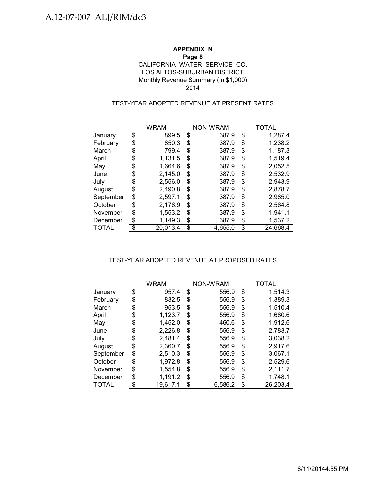## **APPENDIX N Page 8** LOS ALTOS-SUBURBAN DISTRICT Monthly Revenue Summary (In \$1,000) CALIFORNIA WATER SERVICE CO. 2014

## TEST-YEAR ADOPTED REVENUE AT PRESENT RATES

|           | <b>WRAM</b>    |    | NON-WRAM | TOTAL          |
|-----------|----------------|----|----------|----------------|
| January   | \$<br>899.5    | \$ | 387.9    | \$<br>1,287.4  |
| February  | \$<br>850.3    | \$ | 387.9    | \$<br>1,238.2  |
| March     | \$<br>799.4    | \$ | 387.9    | \$<br>1,187.3  |
| April     | \$<br>1,131.5  | \$ | 387.9    | \$<br>1,519.4  |
| May       | \$<br>1,664.6  | S  | 387.9    | \$<br>2,052.5  |
| June      | \$<br>2,145.0  | \$ | 387.9    | \$<br>2,532.9  |
| July      | \$<br>2,556.0  | S  | 387.9    | \$<br>2,943.9  |
| August    | \$<br>2,490.8  | \$ | 387.9    | \$<br>2,878.7  |
| September | \$<br>2,597.1  | \$ | 387.9    | \$<br>2,985.0  |
| October   | \$<br>2,176.9  | \$ | 387.9    | \$<br>2,564.8  |
| November  | \$<br>1,553.2  | \$ | 387.9    | \$<br>1,941.1  |
| December  | \$<br>1,149.3  | \$ | 387.9    | \$<br>1,537.2  |
| TOTAL     | \$<br>20,013.4 | \$ | 4,655.0  | \$<br>24,668.4 |

### TEST-YEAR ADOPTED REVENUE AT PROPOSED RATES

|           |    | <b>WRAM</b> |    | NON-WRAM | TOTAL          |
|-----------|----|-------------|----|----------|----------------|
| January   | \$ | 957.4       | \$ | 556.9    | \$<br>1.514.3  |
| February  | \$ | 832.5       | \$ | 556.9    | \$<br>1,389.3  |
| March     | S  | 953.5       | \$ | 556.9    | \$<br>1,510.4  |
| April     | \$ | 1,123.7     | S  | 556.9    | \$<br>1,680.6  |
| May       | \$ | 1,452.0     | \$ | 460.6    | \$<br>1,912.6  |
| June      | \$ | 2,226.8     | \$ | 556.9    | \$<br>2,783.7  |
| July      | \$ | 2,481.4     | \$ | 556.9    | \$<br>3,038.2  |
| August    | \$ | 2,360.7     | \$ | 556.9    | \$<br>2,917.6  |
| September | \$ | 2,510.3     | S  | 556.9    | \$<br>3,067.1  |
| October   | \$ | 1,972.8     | \$ | 556.9    | \$<br>2,529.6  |
| November  | \$ | 1,554.8     | \$ | 556.9    | \$<br>2,111.7  |
| December  | \$ | 1,191.2     | \$ | 556.9    | \$<br>1,748.1  |
| TOTAL     |    | 19.617.1    | \$ | 6,586.2  | \$<br>26,203.4 |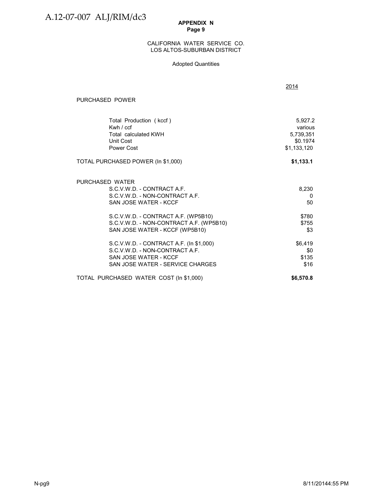#### LOS ALTOS-SUBURBAN DISTRICT CALIFORNIA WATER SERVICE CO.

### Adopted Quantities

|                                                                                                                                        | 2014                                                       |
|----------------------------------------------------------------------------------------------------------------------------------------|------------------------------------------------------------|
| PURCHASED POWER                                                                                                                        |                                                            |
| Total Production (kccf)<br>Kwh / ccf<br>Total calculated KWH<br>Unit Cost<br>Power Cost                                                | 5,927.2<br>various<br>5,739,351<br>\$0.1974<br>\$1,133,120 |
| TOTAL PURCHASED POWER (In \$1,000)                                                                                                     | \$1,133.1                                                  |
| PURCHASED WATER<br>S.C.V.W.D. - CONTRACT A.F.<br>S.C.V.W.D. - NON-CONTRACT A.F.<br>SAN JOSE WATER - KCCF                               | 8,230<br>0<br>50                                           |
| S.C.V.W.D. - CONTRACT A.F. (WP5B10)<br>S.C.V.W.D. - NON-CONTRACT A.F. (WP5B10)<br>SAN JOSE WATER - KCCF (WP5B10)                       | \$780<br>\$755<br>\$3                                      |
| S.C.V.W.D. - CONTRACT A.F. (In \$1,000)<br>S.C.V.W.D. - NON-CONTRACT A.F.<br>SAN JOSE WATER - KCCF<br>SAN JOSE WATER - SERVICE CHARGES | \$6,419<br>\$0<br>\$135<br>\$16                            |
| TOTAL PURCHASED WATER COST (In \$1,000)                                                                                                | \$6,570.8                                                  |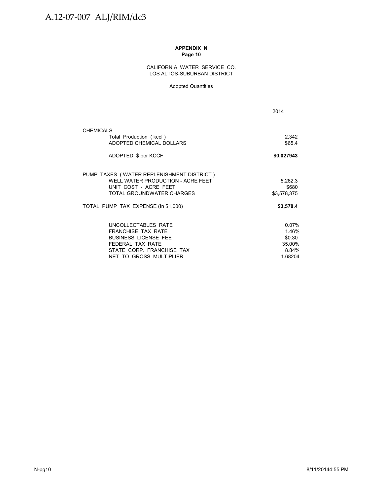#### CALIFORNIA WATER SERVICE CO. LOS ALTOS-SUBURBAN DISTRICT

#### Adopted Quantities

| 2014             |
|------------------|
|                  |
| 2,342<br>\$65.4  |
| \$0.027943       |
|                  |
| 5,262.3<br>\$680 |
| \$3,578,375      |
| \$3,578.4        |
| 0.07%            |
| 1.46%            |
| \$0.30<br>35.00% |
| 8.84%            |
| 1.68204          |
|                  |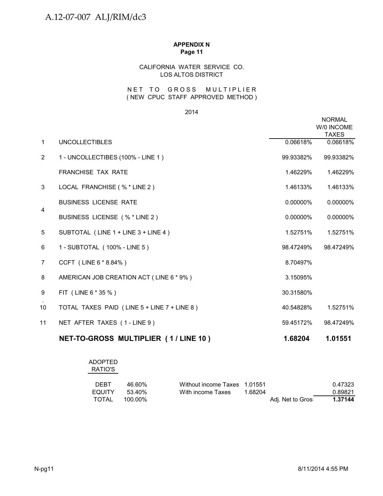## CALIFORNIA WATER SERVICE CO. LOS ALTOS DISTRICT

## ( NEW CPUC STAFF APPROVED METHOD ) NET TO GROSS MULTIPLIER

#### 2014

|                |                                             |             | <b>NORMAL</b><br>W/0 INCOME<br><b>TAXES</b> |
|----------------|---------------------------------------------|-------------|---------------------------------------------|
| $\mathbf{1}$   | <b>UNCOLLECTIBLES</b>                       | 0.06618%    | 0.06618%                                    |
| $\overline{2}$ | 1 - UNCOLLECTIBES (100% - LINE 1)           | 99.93382%   | 99.93382%                                   |
|                | <b>FRANCHISE TAX RATE</b>                   | 1.46229%    | 1.46229%                                    |
| 3              | LOCAL FRANCHISE (% * LINE 2)                | 1.46133%    | 1.46133%                                    |
| 4              | <b>BUSINESS LICENSE RATE</b>                | $0.00000\%$ | 0.00000%                                    |
|                | BUSINESS LICENSE (% * LINE 2)               | $0.00000\%$ | 0.00000%                                    |
| 5              | SUBTOTAL (LINE 1 + LINE 3 + LINE 4)         | 1.52751%    | 1.52751%                                    |
| 6              | 1 - SUBTOTAL (100% - LINE 5)                | 98.47249%   | 98.47249%                                   |
| $\overline{7}$ | CCFT (LINE 6 * 8.84%)                       | 8.70497%    |                                             |
| 8              | AMERICAN JOB CREATION ACT (LINE 6 * 9%)     | 3.15095%    |                                             |
| 9              | FIT (LINE 6 * 35 %)                         | 30.31580%   |                                             |
| 10             | TOTAL TAXES PAID (LINE 5 + LINE 7 + LINE 8) | 40.54828%   | 1.52751%                                    |
| 11             | NET AFTER TAXES (1-LINE 9)                  | 59.45172%   | 98.47249%                                   |
|                | NET-TO-GROSS MULTIPLIER (1/LINE 10)         | 1.68204     | 1.01551                                     |

## ADOPTED RATIO'S

| <b>DEBT</b> | 46.60%  | Without income Taxes 1.01551 |         |                   | 0.47323 |
|-------------|---------|------------------------------|---------|-------------------|---------|
| EQUITY      | 53.40%  | With income Taxes            | 1.68204 |                   | 0.89821 |
| TOTAL       | 100.00% |                              |         | Adi. Net to Gros: | 1.37144 |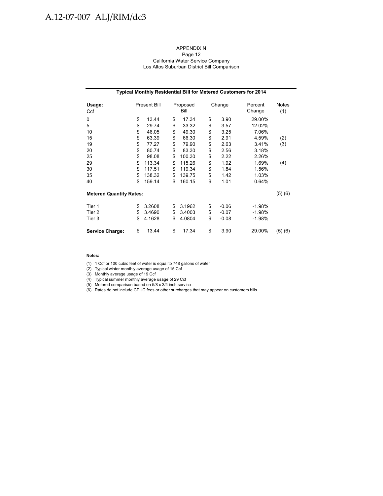# A.12-07-007 ALJ/RIM/dc3

#### APPENDIX N Page 12 California Water Service Company Los Altos Suburban District Bill Comparison

| Typical Monthly Residential Bill for Metered Customers for 2014 |    |                     |    |                  |        |         |                   |              |  |
|-----------------------------------------------------------------|----|---------------------|----|------------------|--------|---------|-------------------|--------------|--|
| Usage:<br>Ccf                                                   |    | <b>Present Bill</b> |    | Proposed<br>Bill | Change |         | Percent<br>Change | Notes<br>(1) |  |
| 0                                                               | \$ | 13.44               | \$ | 17.34            | \$     | 3.90    | 29.00%            |              |  |
| 5                                                               | \$ | 29.74               | \$ | 33.32            | \$     | 3.57    | 12.02%            |              |  |
| 10                                                              | \$ | 46.05               | \$ | 49.30            | \$     | 3.25    | 7.06%             |              |  |
| 15                                                              | \$ | 63.39               | \$ | 66.30            | \$     | 2.91    | 4.59%             | (2)          |  |
| 19                                                              | \$ | 77.27               | \$ | 79.90            | \$     | 2.63    | 3.41%             | (3)          |  |
| 20                                                              | \$ | 80.74               | \$ | 83.30            | \$     | 2.56    | 3.18%             |              |  |
| 25                                                              | \$ | 98.08               | \$ | 100.30           | \$     | 2.22    | 2.26%             |              |  |
| 29                                                              | \$ | 113.34              | \$ | 115.26           | \$     | 1.92    | 1.69%             | (4)          |  |
| 30                                                              | \$ | 117.51              | \$ | 119.34           | \$     | 1.84    | 1.56%             |              |  |
| 35                                                              | \$ | 138.32              | \$ | 139.75           | \$     | 1.42    | 1.03%             |              |  |
| 40                                                              | \$ | 159.14              | \$ | 160.15           | \$     | 1.01    | 0.64%             |              |  |
| <b>Metered Quantity Rates:</b>                                  |    |                     |    |                  |        |         |                   | (5)(6)       |  |
| Tier 1                                                          | \$ | 3.2608              | \$ | 3.1962           | \$     | $-0.06$ | $-1.98%$          |              |  |
| Tier 2                                                          | \$ | 3.4690              | \$ | 3.4003           | \$     | $-0.07$ | $-1.98%$          |              |  |
| Tier 3                                                          | \$ | 4.1628              | \$ | 4.0804           | \$     | $-0.08$ | $-1.98%$          |              |  |
| <b>Service Charge:</b>                                          | \$ | 13.44               | \$ | 17.34            | \$     | 3.90    | 29.00%            | (5)(6)       |  |

#### **Notes:**

(1) 1 Ccf or 100 cubic feet of water is equal to 748 gallons of water

(2) Typical winter monthly average usage of 15 Ccf

(3) Monthly average usage of 19 Ccf

(4) Typical summer monthly average usage of 29 Ccf

(5) Metered comparison based on 5/8 x 3/4 inch service

(6) Rates do not include CPUC fees or other surcharges that may appear on customers bills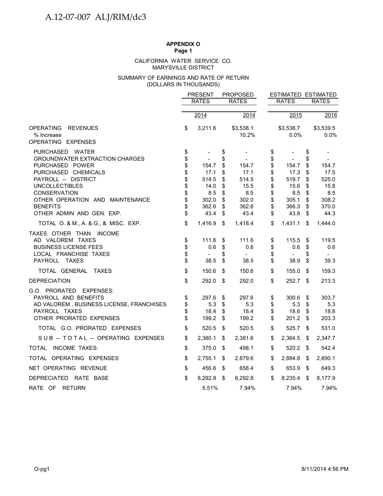#### MARYSVILLE DISTRICT CALIFORNIA WATER SERVICE CO.

### (DOLLARS IN THOUSANDS) SUMMARY OF EARNINGS AND RATE OF RETURN

|                                                                                                                                                                                                                                                                                                      |                                                                | <b>PRESENT</b>                                                             |                                                                | <b>PROPOSED</b>                                                            |                                                                |                                                                                              |                                                                | ESTIMATED ESTIMATED                                                        |
|------------------------------------------------------------------------------------------------------------------------------------------------------------------------------------------------------------------------------------------------------------------------------------------------------|----------------------------------------------------------------|----------------------------------------------------------------------------|----------------------------------------------------------------|----------------------------------------------------------------------------|----------------------------------------------------------------|----------------------------------------------------------------------------------------------|----------------------------------------------------------------|----------------------------------------------------------------------------|
|                                                                                                                                                                                                                                                                                                      |                                                                | <b>RATES</b>                                                               |                                                                | <b>RATES</b>                                                               |                                                                | <b>RATES</b>                                                                                 |                                                                | <b>RATES</b>                                                               |
|                                                                                                                                                                                                                                                                                                      |                                                                |                                                                            |                                                                |                                                                            |                                                                |                                                                                              |                                                                |                                                                            |
|                                                                                                                                                                                                                                                                                                      |                                                                | 2014                                                                       |                                                                | 2014                                                                       |                                                                | 2015                                                                                         |                                                                | 2016                                                                       |
| <b>OPERATING</b><br><b>REVENUES</b><br>% Increase<br>OPERATING EXPENSES                                                                                                                                                                                                                              | \$                                                             | 3,211.6                                                                    |                                                                | \$3,538.1<br>10.2%                                                         |                                                                | \$3,538.7<br>0.0%                                                                            |                                                                | \$3,539.5<br>0.0%                                                          |
| PURCHASED WATER<br><b>GROUNDWATER EXTRACTION CHARGES</b><br>PURCHASED POWER<br>PURCHASED CHEMICALS<br>PAYROLL -- DISTRICT<br><b>UNCOLLECTIBLES</b><br><b>CONSERVATION</b><br>OTHER OPERATION AND MAINTENANCE<br><b>BENEFITS</b><br>OTHER ADMIN AND GEN. EXP.<br>TOTAL O. & M., A. & G., & MISC. EXP. | \$<br>\$<br>\$<br>\$<br>\$<br>\$<br>\$<br>\$<br>\$<br>\$<br>\$ | 154.7<br>17.1<br>514.5<br>14.0<br>8.5<br>302.0<br>362.6<br>43.4<br>1,416.9 | \$<br>\$<br>\$<br>\$<br>\$<br>\$<br>\$<br>\$<br>\$<br>\$<br>\$ | 154.7<br>17.1<br>514.5<br>15.5<br>8.5<br>302.0<br>362.6<br>43.4<br>1,418.4 | \$<br>\$<br>\$<br>\$<br>\$<br>\$<br>\$<br>\$<br>\$<br>\$<br>\$ | $\overline{a}$<br>154.7<br>17.3<br>519.7<br>15.6<br>8.5<br>305.1<br>366.3<br>43.8<br>1,431.1 | \$<br>\$<br>\$<br>\$<br>\$<br>\$<br>\$<br>\$<br>\$<br>\$<br>\$ | 154.7<br>17.5<br>525.0<br>15.8<br>8.5<br>308.2<br>370.0<br>44.3<br>1,444.0 |
| TAXES OTHER THAN INCOME<br>AD VALOREM TAXES<br><b>BUSINESS LICENSE FEES</b><br>LOCAL FRANCHISE TAXES<br><b>TAXES</b><br><b>PAYROLL</b>                                                                                                                                                               | \$<br>\$<br>\$<br>\$                                           | 111.6<br>0.6<br>$\overline{\phantom{a}}$<br>38.5                           | \$<br>\$<br>\$<br>\$                                           | 111.6<br>0.6<br>$\overline{\phantom{a}}$<br>38.5                           | \$<br>\$<br>\$<br>\$                                           | 115.5<br>0.6<br>$\overline{\phantom{a}}$<br>38.9                                             | \$<br>\$<br>\$<br>\$                                           | 119.5<br>0.6<br>$\sim$<br>39.3                                             |
| TOTAL GENERAL<br><b>TAXES</b>                                                                                                                                                                                                                                                                        | \$                                                             | 150.6                                                                      | \$                                                             | 150.6                                                                      | \$                                                             | 155.0                                                                                        | \$                                                             | 159.3                                                                      |
| <b>DEPRECIATION</b>                                                                                                                                                                                                                                                                                  | \$                                                             | 292.0                                                                      | \$                                                             | 292.0                                                                      | \$                                                             | 252.7                                                                                        | \$                                                             | 213.3                                                                      |
| G.O. PRORATED EXPENSES:<br>PAYROLL AND BENEFITS<br>AD VALOREM, BUSINESS LICENSE, FRANCHISES<br>PAYROLL TAXES<br>OTHER PRORATED EXPENSES                                                                                                                                                              | \$<br>\$<br>\$<br>\$                                           | 297.6<br>5.3<br>18.4<br>199.2                                              | \$<br>\$<br>\$<br>\$                                           | 297.6<br>5.3<br>18.4<br>199.2                                              | \$<br>\$<br>\$<br>\$                                           | 300.6<br>5.3<br>18.6<br>201.2                                                                | \$<br>\$<br>\$<br>\$                                           | 303.7<br>5.3<br>18.8<br>203.3                                              |
| TOTAL G.O. PRORATED EXPENSES                                                                                                                                                                                                                                                                         | \$                                                             | 520.5                                                                      | \$                                                             | 520.5                                                                      | \$                                                             | 525.7                                                                                        | \$                                                             | 531.0                                                                      |
| SUB -- TOTAL -- OPERATING EXPENSES                                                                                                                                                                                                                                                                   | \$                                                             | 2,380.1                                                                    | \$                                                             | 2,381.6                                                                    | \$                                                             | 2,364.5                                                                                      | \$                                                             | 2,347.7                                                                    |
| TOTAL INCOME TAXES:                                                                                                                                                                                                                                                                                  | \$                                                             | 375.0                                                                      | \$                                                             | 498.1                                                                      | \$                                                             | 520.2                                                                                        | \$                                                             | 542.4                                                                      |
| TOTAL OPERATING EXPENSES                                                                                                                                                                                                                                                                             | \$                                                             | 2,755.1                                                                    | \$                                                             | 2,879.6                                                                    | \$                                                             | 2,884.8                                                                                      | S                                                              | 2,890.1                                                                    |
| NET OPERATING REVENUE                                                                                                                                                                                                                                                                                | \$                                                             | 456.6                                                                      | \$                                                             | 658.4                                                                      | \$                                                             | 653.9                                                                                        | \$                                                             | 649.3                                                                      |
| DEPRECIATED RATE BASE                                                                                                                                                                                                                                                                                | \$                                                             | 8,292.8                                                                    | \$                                                             | 8,292.8                                                                    | \$                                                             | 8,235.4                                                                                      | \$                                                             | 8,177.9                                                                    |
| RATE OF RETURN                                                                                                                                                                                                                                                                                       |                                                                | 5.51%                                                                      |                                                                | 7.94%                                                                      |                                                                | 7.94%                                                                                        |                                                                | 7.94%                                                                      |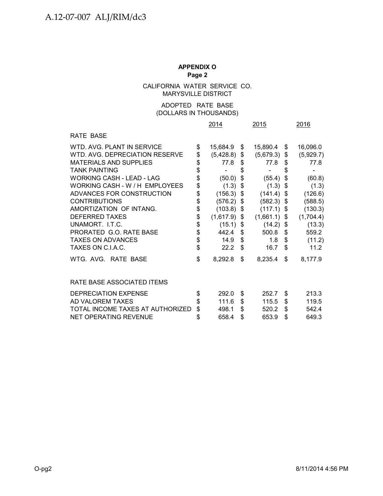CALIFORNIA WATER SERVICE CO. MARYSVILLE DISTRICT

## (DOLLARS IN THOUSANDS) ADOPTED RATE BASE

|                                  |             | 2014      | 2015                   |    | 2016      |
|----------------------------------|-------------|-----------|------------------------|----|-----------|
| RATE BASE                        |             |           |                        |    |           |
| WTD. AVG. PLANT IN SERVICE       | \$          | 15,684.9  | \$<br>15,890.4         | S. | 16,096.0  |
| WTD, AVG, DEPRECIATION RESERVE   | \$          | (5,428.8) | \$<br>$(5,679.3)$ \$   |    | (5,929.7) |
| <b>MATERIALS AND SUPPLIES</b>    | \$          | 77.8      | \$<br>77.8             | \$ | 77.8      |
| <b>TANK PAINTING</b>             | \$          |           | \$                     | \$ |           |
| <b>WORKING CASH - LEAD - LAG</b> | \$          | (50.0)    | \$<br>(55.4)           | \$ | (60.8)    |
| WORKING CASH - W / H EMPLOYEES   | \$          | (1.3)     | \$<br>(1.3)            | \$ | (1.3)     |
| ADVANCES FOR CONSTRUCTION        | \$          | (156.3)   | \$<br>(141.4)          | \$ | (126.6)   |
| <b>CONTRIBUTIONS</b>             | \$\$        | (576.2)   | \$<br>(582.3)          | \$ | (588.5)   |
| AMORTIZATION OF INTANG.          |             | (103.8)   | \$<br>(117.1)          | \$ | (130.3)   |
| <b>DEFERRED TAXES</b>            |             | (1,617.9) | \$<br>(1,661.1)        | \$ | (1,704.4) |
| UNAMORT. LT.C.                   | \$          | (15.1)    | \$<br>(14.2)           | \$ | (13.3)    |
| PRORATED G.O. RATE BASE          | \$          | 442.4     | \$<br>500.8            | \$ | 559.2     |
| <b>TAXES ON ADVANCES</b>         | $\ddot{\$}$ | 14.9      | \$<br>1.8 <sup>1</sup> | \$ | (11.2)    |
| TAXES ON C.I.A.C.                | \$          | 22.2      | \$<br>16.7             | \$ | 11.2      |
| WTG. AVG. RATE BASE              | \$          | 8,292.8   | \$<br>8,235.4          | \$ | 8,177.9   |
| RATE BASE ASSOCIATED ITEMS       |             |           |                        |    |           |
| DEPRECIATION EXPENSE             | \$          | 292.0     | \$<br>252.7            | \$ | 213.3     |
| AD VALOREM TAXES                 | \$          | 111.6     | \$<br>115.5            | \$ | 119.5     |
| TOTAL INCOME TAXES AT AUTHORIZED | \$          | 498.1     | \$<br>520.2            | \$ | 542.4     |
| NET OPERATING REVENUE            | \$          | 658.4     | \$<br>653.9            | \$ | 649.3     |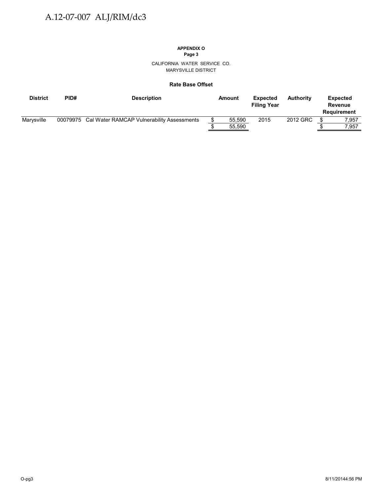## **APPENDIX O**

**Page 3**

CALIFORNIA WATER SERVICE CO. MARYSVILLE DISTRICT

#### **Rate Base Offset**

| <b>District</b> | PID# | <b>Description</b>                                  | Amount | <b>Expected</b><br><b>Filing Year</b> | <b>Authority</b> | <b>Expected</b><br>Revenue<br>Requirement |
|-----------------|------|-----------------------------------------------------|--------|---------------------------------------|------------------|-------------------------------------------|
| Marvsville      |      | 00079975 Cal Water RAMCAP Vulnerability Assessments | 55.590 | 2015                                  | 2012 GRC         | 7.957                                     |
|                 |      |                                                     | 55,590 |                                       |                  | 7.957                                     |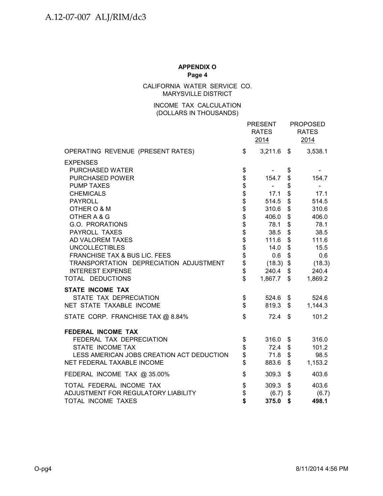CALIFORNIA WATER SERVICE CO. MARYSVILLE DISTRICT

## (DOLLARS IN THOUSANDS) INCOME TAX CALCULATION

|                                           |                            | <b>PRESENT</b><br><b>RATES</b><br>2014 | <b>PROPOSED</b><br><b>RATES</b><br>2014 |
|-------------------------------------------|----------------------------|----------------------------------------|-----------------------------------------|
| OPERATING REVENUE (PRESENT RATES)         | \$                         | $3,211.6$ \$                           | 3,538.1                                 |
| <b>EXPENSES</b>                           |                            |                                        |                                         |
| PURCHASED WATER                           | \$                         |                                        | \$                                      |
| <b>PURCHASED POWER</b>                    | \$                         | 154.7                                  | \$<br>154.7                             |
| <b>PUMP TAXES</b>                         |                            | $\sim 100$                             | \$                                      |
| <b>CHEMICALS</b>                          | <b>a a a a a a a a a a</b> | 17.1                                   | \$<br>17.1                              |
| <b>PAYROLL</b>                            |                            | 514.5                                  | \$<br>514.5                             |
| OTHER O & M                               |                            | 310.6                                  | \$<br>310.6                             |
| OTHER A & G                               |                            | 406.0                                  | \$<br>406.0                             |
| G.O. PRORATIONS                           |                            | 78.1                                   | \$<br>78.1                              |
| PAYROLL TAXES                             |                            | 38.5                                   | \$<br>38.5                              |
| AD VALOREM TAXES                          |                            | 111.6                                  | \$<br>111.6                             |
| <b>UNCOLLECTIBLES</b>                     |                            | 14.0                                   | \$<br>15.5                              |
| FRANCHISE TAX & BUS LIC. FEES             |                            | 0.6                                    | \$<br>0.6                               |
| TRANSPORTATION DEPRECIATION ADJUSTMENT    | \$                         | $(18.3)$ \$                            | (18.3)                                  |
| <b>INTEREST EXPENSE</b>                   | \$                         | 240.4                                  | \$<br>240.4                             |
| TOTAL DEDUCTIONS                          | \$                         | 1,867.7 \$                             | 1,869.2                                 |
| <b>STATE INCOME TAX</b>                   |                            |                                        |                                         |
| STATE TAX DEPRECIATION                    | \$                         | 524.6 \$                               | 524.6                                   |
| NET STATE TAXABLE INCOME                  | $\mathfrak{S}$             | 819.3 \$                               | 1,144.3                                 |
| STATE CORP. FRANCHISE TAX @ 8.84%         | $\mathbb{S}$               | 72.4                                   | \$<br>101.2                             |
| FEDERAL INCOME TAX                        |                            |                                        |                                         |
| FEDERAL TAX DEPRECIATION                  | \$                         | $316.0$ \$                             | 316.0                                   |
| STATE INCOME TAX                          | \$                         | 72.4                                   | \$<br>101.2                             |
| LESS AMERICAN JOBS CREATION ACT DEDUCTION | \$                         | 71.8                                   | \$<br>98.5                              |
| NET FEDERAL TAXABLE INCOME                | \$                         | 883.6                                  | \$<br>1,153.2                           |
| FEDERAL INCOME TAX @ 35.00%               | \$                         | 309.3                                  | \$<br>403.6                             |
| TOTAL FEDERAL INCOME TAX                  | \$                         | 309.3                                  | \$<br>403.6                             |
| ADJUSTMENT FOR REGULATORY LIABILITY       | \$                         | $(6.7)$ \$                             | (6.7)                                   |
| <b>TOTAL INCOME TAXES</b>                 | \$                         | 375.0                                  | \$<br>498.1                             |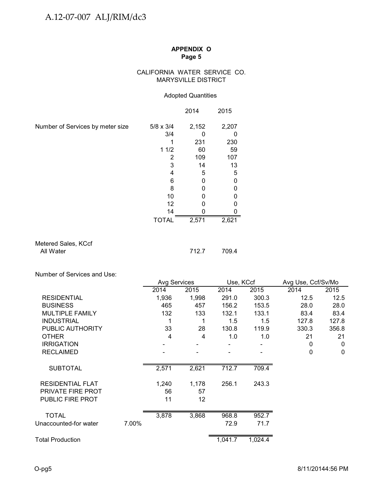## CALIFORNIA WATER SERVICE CO. MARYSVILLE DISTRICT

### Adopted Quantities

|                                  |                  | 2014  | 2015  |
|----------------------------------|------------------|-------|-------|
| Number of Services by meter size | $5/8 \times 3/4$ | 2,152 | 2,207 |
|                                  | 3/4              |       |       |
|                                  |                  | 231   | 230   |
|                                  | 11/2             | 60    | 59    |
|                                  | 2                | 109   | 107   |
|                                  | 3                | 14    | 13    |
|                                  | 4                | 5     | 5     |
|                                  | 6                |       |       |
|                                  | 8                |       |       |
|                                  | 10               |       |       |
|                                  | 12               |       |       |
|                                  | 14               |       |       |
|                                  | <b>TOTAL</b>     | 2,571 | 2,621 |

### Metered Sales, KCcf All Water 712.7 709.4

Number of Services and Use:

|                          |       | <b>Avg Services</b> |       | Use, KCcf |         | Avg Use, Ccf/Sv/Mo |              |
|--------------------------|-------|---------------------|-------|-----------|---------|--------------------|--------------|
|                          |       | 2014                | 2015  | 2014      | 2015    | 2014               | 2015         |
| <b>RESIDENTIAL</b>       |       | 1,936               | 1,998 | 291.0     | 300.3   | 12.5               | 12.5         |
| <b>BUSINESS</b>          |       | 465                 | 457   | 156.2     | 153.5   | 28.0               | 28.0         |
| <b>MULTIPLE FAMILY</b>   |       | 132                 | 133   | 132.1     | 133.1   | 83.4               | 83.4         |
| <b>INDUSTRIAL</b>        |       | 1                   | 1     | 1.5       | 1.5     | 127.8              | 127.8        |
| PUBLIC AUTHORITY         |       | 33                  | 28    | 130.8     | 119.9   | 330.3              | 356.8        |
| <b>OTHER</b>             |       | $\overline{4}$      | 4     | 1.0       | 1.0     | 21                 | 21           |
| <b>IRRIGATION</b>        |       |                     |       |           |         | 0                  | 0            |
| <b>RECLAIMED</b>         |       |                     |       |           |         | 0                  | $\mathbf{0}$ |
| <b>SUBTOTAL</b>          |       | 2,571               | 2,621 | 712.7     | 709.4   |                    |              |
| <b>RESIDENTIAL FLAT</b>  |       | 1,240               | 1,178 | 256.1     | 243.3   |                    |              |
| <b>PRIVATE FIRE PROT</b> |       | 56                  | 57    |           |         |                    |              |
| <b>PUBLIC FIRE PROT</b>  |       | 11                  | 12    |           |         |                    |              |
| <b>TOTAL</b>             |       | 3,878               | 3,868 | 968.8     | 952.7   |                    |              |
| Unaccounted-for water    | 7.00% |                     |       | 72.9      | 71.7    |                    |              |
| <b>Total Production</b>  |       |                     |       | 1,041.7   | 1,024.4 |                    |              |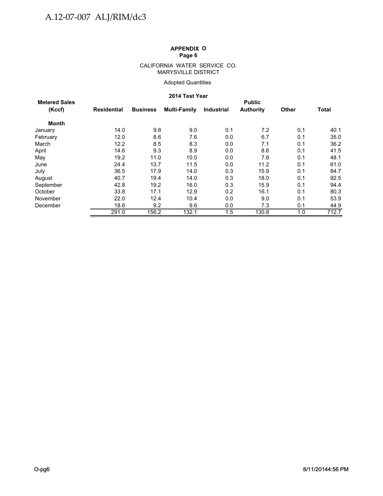#### CALIFORNIA WATER SERVICE CO. MARYSVILLE DISTRICT

## Adopted Quantities

#### **2014 Test Year**

|                      |             |                 | 671 - 177 - 178 |                   |                  |              |              |
|----------------------|-------------|-----------------|-----------------|-------------------|------------------|--------------|--------------|
| <b>Metered Sales</b> |             |                 |                 |                   | <b>Public</b>    |              |              |
| (Kccf)               | Residential | <b>Business</b> | Multi-Family    | <b>Industrial</b> | <b>Authority</b> | <b>Other</b> | <b>Total</b> |
| <b>Month</b>         |             |                 |                 |                   |                  |              |              |
| January              | 14.0        | 9.8             | 9.0             | 0.1               | 7.2              | 0.1          | 40.1         |
| February             | 12.0        | 8.6             | 7.6             | 0.0               | 6.7              | 0.1          | 35.0         |
| March                | 12.2        | 8.5             | 8.3             | 0.0               | 7.1              | 0.1          | 36.2         |
| April                | 14.6        | 9.3             | 8.9             | 0.0               | 8.6              | 0.1          | 41.5         |
| May                  | 19.2        | 11.0            | 10.0            | 0.0               | 7.8              | 0.1          | 48.1         |
| June                 | 24.4        | 13.7            | 11.5            | 0.0               | 11.2             | 0.1          | 61.0         |
| July                 | 36.5        | 17.9            | 14.0            | 0.3               | 15.9             | 0.1          | 84.7         |
| August               | 40.7        | 19.4            | 14.0            | 0.3               | 18.0             | 0.1          | 92.5         |
| September            | 42.8        | 19.2            | 16.0            | 0.3               | 15.9             | 0.1          | 94.4         |
| October              | 33.8        | 17.1            | 12.9            | 0.2               | 16.1             | 0.1          | 80.3         |
| November             | 22.0        | 12.4            | 10.4            | 0.0               | 9.0              | 0.1          | 53.9         |
| December             | 18.6        | 9.2             | 9.6             | 0.0               | 7.3              | 0.1          | 44.9         |
|                      | 291.0       | 156.2           | 132.1           | 1.5               | 130.8            | 1.0          | 712.7        |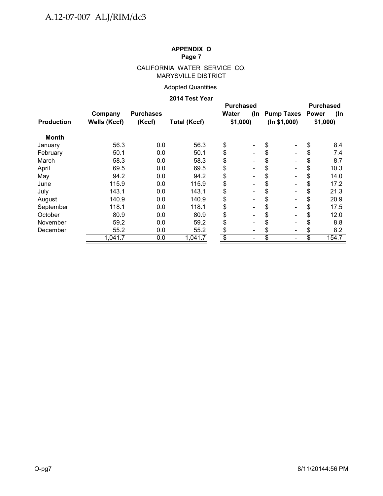## CALIFORNIA WATER SERVICE CO. MARYSVILLE DISTRICT

## Adopted Quantities

## **2014 Test Year**

|                   |                                                      |                  | <b>Purchased</b> |       |                              |                      |         |       |  |
|-------------------|------------------------------------------------------|------------------|------------------|-------|------------------------------|----------------------|---------|-------|--|
|                   | Company                                              | <b>Purchases</b> |                  | Water |                              | (In Pump Taxes Power |         | (In   |  |
| <b>Production</b> | <b>Wells (Kccf)</b><br>(Kccf)<br><b>Total (Kccf)</b> |                  | \$1,000          |       | (ln \$1,000)                 |                      | \$1,000 |       |  |
| Month             |                                                      |                  |                  |       |                              |                      |         |       |  |
| January           | 56.3                                                 | 0.0              | 56.3             | \$    | $\overline{\phantom{0}}$     | \$                   | \$      | 8.4   |  |
| February          | 50.1                                                 | 0.0              | 50.1             | \$    | $\qquad \qquad \blacksquare$ |                      | \$      | 7.4   |  |
| March             | 58.3                                                 | 0.0              | 58.3             | \$    | $\overline{\phantom{0}}$     |                      | \$      | 8.7   |  |
| April             | 69.5                                                 | 0.0              | 69.5             | \$    | $\qquad \qquad \blacksquare$ |                      | \$      | 10.3  |  |
| May               | 94.2                                                 | 0.0              | 94.2             | \$    | $\blacksquare$               |                      | \$      | 14.0  |  |
| June              | 115.9                                                | 0.0              | 115.9            | \$    | $\blacksquare$               |                      | \$      | 17.2  |  |
| July              | 143.1                                                | 0.0              | 143.1            | \$    | $\blacksquare$               |                      | \$      | 21.3  |  |
| August            | 140.9                                                | 0.0              | 140.9            | \$    | $\blacksquare$               |                      | \$      | 20.9  |  |
| September         | 118.1                                                | 0.0              | 118.1            | \$    | $\blacksquare$               |                      | \$      | 17.5  |  |
| October           | 80.9                                                 | 0.0              | 80.9             | \$    |                              |                      | \$      | 12.0  |  |
| November          | 59.2                                                 | 0.0              | 59.2             | \$    | $\blacksquare$               |                      | \$      | 8.8   |  |
| December          | 55.2                                                 | 0.0              | 55.2             | \$    |                              |                      | \$      | 8.2   |  |
|                   | 1,041.7                                              | 0.0              | 1,041.7          | \$    |                              | \$                   |         | 154.7 |  |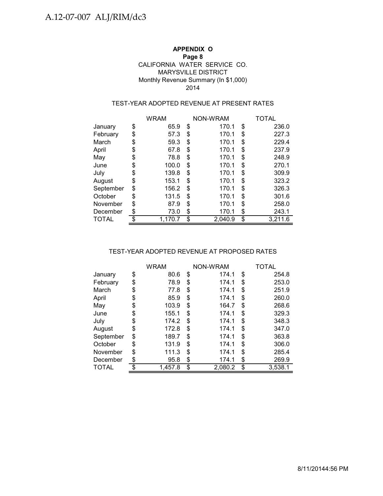## **APPENDIX O Page 8** MARYSVILLE DISTRICT Monthly Revenue Summary (In \$1,000) CALIFORNIA WATER SERVICE CO. 2014

## TEST-YEAR ADOPTED REVENUE AT PRESENT RATES

|              | <b>WRAM</b> |         |    | NON-WRAM | TOTAL |         |  |
|--------------|-------------|---------|----|----------|-------|---------|--|
| January      | \$          | 65.9    | \$ | 170.1    | \$    | 236.0   |  |
| February     | \$          | 57.3    | \$ | 170.1    | \$    | 227.3   |  |
| March        | \$          | 59.3    | \$ | 170.1    | \$    | 229.4   |  |
| April        | \$          | 67.8    | S  | 170.1    | \$    | 237.9   |  |
| May          | \$          | 78.8    | \$ | 170.1    | \$    | 248.9   |  |
| June         | \$          | 100.0   | S  | 170.1    | \$    | 270.1   |  |
| July         | \$          | 139.8   | \$ | 170.1    | \$    | 309.9   |  |
| August       | \$          | 153.1   | \$ | 170.1    | \$    | 323.2   |  |
| September    | \$          | 156.2   | \$ | 170.1    | \$    | 326.3   |  |
| October      | \$          | 131.5   | S  | 170.1    | \$    | 301.6   |  |
| November     | \$          | 87.9    | \$ | 170.1    | \$    | 258.0   |  |
| December     | \$          | 73.0    | \$ | 170.1    | \$    | 243.1   |  |
| <b>TOTAL</b> | \$          | 1.170.7 | \$ | 2.040.9  | \$    | 3.211.6 |  |

### TEST-YEAR ADOPTED REVENUE AT PROPOSED RATES

|              | <b>WRAM</b>   | NON-WRAM      | TOTAL |         |  |
|--------------|---------------|---------------|-------|---------|--|
| January      | \$<br>80.6    | \$<br>174.1   | \$    | 254.8   |  |
| February     | \$<br>78.9    | \$<br>174.1   | \$    | 253.0   |  |
| March        | \$<br>77.8    | \$<br>174.1   | \$    | 251.9   |  |
| April        | \$<br>85.9    | \$<br>174.1   | \$    | 260.0   |  |
| May          | \$<br>103.9   | \$<br>164.7   | \$    | 268.6   |  |
| June         | \$<br>155.1   | \$<br>174.1   | \$    | 329.3   |  |
| July         | \$<br>174.2   | \$<br>174.1   | \$    | 348.3   |  |
| August       | \$<br>172.8   | \$<br>174.1   | \$    | 347.0   |  |
| September    | \$<br>189.7   | \$<br>174.1   | \$    | 363.8   |  |
| October      | \$<br>131.9   | \$<br>174.1   | \$    | 306.0   |  |
| November     | \$<br>111.3   | \$<br>174.1   | \$    | 285.4   |  |
| December     | \$<br>95.8    | \$<br>174.1   | \$    | 269.9   |  |
| <b>TOTAL</b> | \$<br>1,457.8 | \$<br>2.080.2 | \$    | 3,538.1 |  |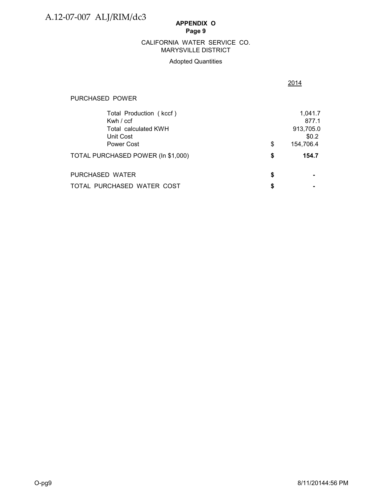## MARYSVILLE DISTRICT CALIFORNIA WATER SERVICE CO.

## Adopted Quantities

## PURCHASED POWER

| Total Production (kccf)<br>Kwh $/$ ccf<br>Total calculated KWH |    | 1,041.7<br>877.1<br>913,705.0 |
|----------------------------------------------------------------|----|-------------------------------|
| Unit Cost<br>Power Cost                                        | \$ | \$0.2<br>154,706.4            |
| TOTAL PURCHASED POWER (In \$1,000)                             | S  | 154.7                         |
| PURCHASED WATER                                                | S  |                               |
| TOTAL PURCHASED WATER COST                                     | S  |                               |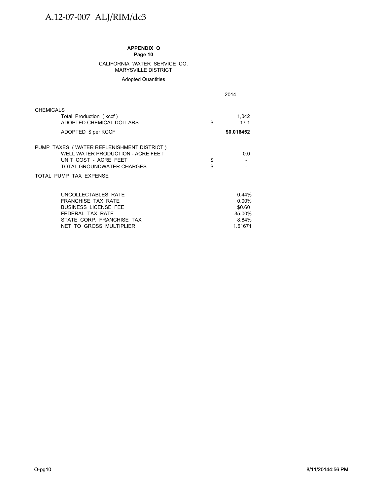# A.12-07-007 ALJ/RIM/dc3

#### **APPENDIX O Page 10**

#### CALIFORNIA WATER SERVICE CO. MARYSVILLE DISTRICT

Adopted Quantities

2014

| <b>CHEMICALS</b><br>Total Production (kccf)<br>ADOPTED CHEMICAL DOLLARS                                                                                        | \$       | 1,042<br>17.1                                             |
|----------------------------------------------------------------------------------------------------------------------------------------------------------------|----------|-----------------------------------------------------------|
| ADOPTED \$ per KCCF                                                                                                                                            |          | \$0.016452                                                |
| PUMP TAXES (WATER REPLENISHMENT DISTRICT)<br>WELL WATER PRODUCTION - ACRE FEET<br>UNIT COST - ACRE FEET<br>TOTAL GROUNDWATER CHARGES<br>TOTAL PUMP TAX EXPENSE | \$<br>\$ | 0.0                                                       |
| UNCOLLECTABLES RATE<br><b>FRANCHISE TAX RATE</b><br><b>BUSINESS LICENSE FEE</b><br>FEDERAL TAX RATE<br>STATE CORP. FRANCHISE TAX<br>NET TO GROSS MULTIPLIER    |          | 0.44%<br>$0.00\%$<br>\$0.60<br>35.00%<br>8.84%<br>1.61671 |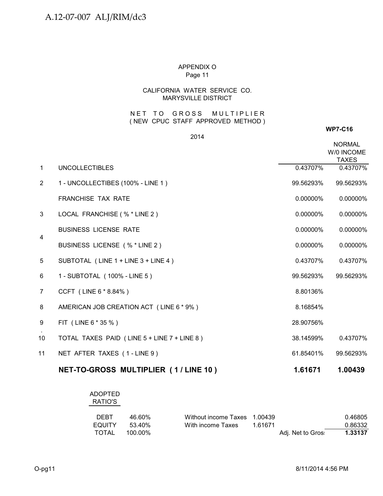## CALIFORNIA WATER SERVICE CO. MARYSVILLE DISTRICT

## NET TO GROSS MULTIPLIER ( NEW CPUC STAFF APPROVED METHOD )

#### 2014

#### **WP7-C16**

|                |                                             |           | <b>NORMAL</b><br>W/0 INCOME<br><b>TAXES</b> |
|----------------|---------------------------------------------|-----------|---------------------------------------------|
| $\mathbf{1}$   | <b>UNCOLLECTIBLES</b>                       | 0.43707%  | 0.43707%                                    |
| $\overline{2}$ | 1 - UNCOLLECTIBES (100% - LINE 1)           | 99.56293% | 99.56293%                                   |
|                | <b>FRANCHISE TAX RATE</b>                   | 0.00000%  | 0.00000%                                    |
| 3              | LOCAL FRANCHISE (% * LINE 2)                | 0.00000%  | 0.00000%                                    |
| $\overline{4}$ | <b>BUSINESS LICENSE RATE</b>                | 0.00000%  | 0.00000%                                    |
|                | BUSINESS LICENSE (% * LINE 2)               | 0.00000%  | 0.00000%                                    |
| 5              | SUBTOTAL (LINE 1 + LINE 3 + LINE 4)         | 0.43707%  | 0.43707%                                    |
| 6              | 1 - SUBTOTAL (100% - LINE 5)                | 99.56293% | 99.56293%                                   |
| 7              | CCFT (LINE 6 * 8.84%)                       | 8.80136%  |                                             |
| 8              | AMERICAN JOB CREATION ACT (LINE 6 * 9%)     | 8.16854%  |                                             |
| 9              | FIT (LINE 6 * 35 %)                         | 28.90756% |                                             |
| 10             | TOTAL TAXES PAID (LINE 5 + LINE 7 + LINE 8) | 38.14599% | 0.43707%                                    |
| 11             | NET AFTER TAXES (1-LINE 9)                  | 61.85401% | 99.56293%                                   |
|                | NET-TO-GROSS MULTIPLIER (1/LINE 10)         | 1.61671   | 1.00439                                     |

## ADOPTED RATIO'S

| <b>DEBT</b> | 46.60%  | Without income Taxes 1.00439 |         |                   | 0.46805 |
|-------------|---------|------------------------------|---------|-------------------|---------|
| EQUITY      | 53.40%  | With income Taxes            | 1 61671 |                   | 0.86332 |
| TOTAL       | 100.00% |                              |         | Adj. Net to Gros: | 1.33137 |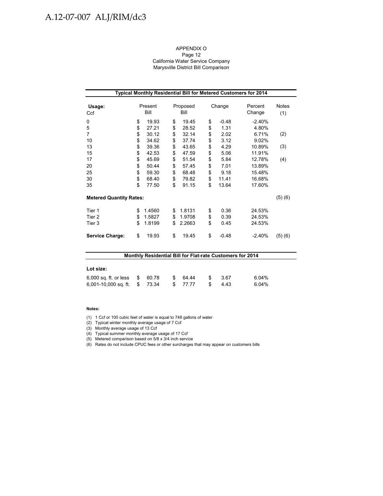# A.12-07-007 ALJ/RIM/dc3

#### APPENDIX O Page 12 California Water Service Company

Marysville District Bill Comparison

| Typical Monthly Residential Bill for Metered Customers for 2014 |    |                 |    |                  |        |         |                   |                     |  |  |  |  |
|-----------------------------------------------------------------|----|-----------------|----|------------------|--------|---------|-------------------|---------------------|--|--|--|--|
| Usage:<br>Ccf                                                   |    | Present<br>Bill |    | Proposed<br>Bill | Change |         | Percent<br>Change | <b>Notes</b><br>(1) |  |  |  |  |
| 0                                                               | \$ | 19.93           | \$ | 19.45            | \$     | $-0.48$ | $-2.40%$          |                     |  |  |  |  |
| 5                                                               | \$ | 27.21           | \$ | 28.52            | \$     | 1.31    | 4.80%             |                     |  |  |  |  |
| 7                                                               | \$ | 30.12           | \$ | 32.14            | \$     | 2.02    | 6.71%             | (2)                 |  |  |  |  |
| 10                                                              | \$ | 34.62           | \$ | 37.74            | \$     | 3.12    | 9.02%             |                     |  |  |  |  |
| 13                                                              | \$ | 39.36           | \$ | 43.65            | \$     | 4.29    | 10.89%            | (3)                 |  |  |  |  |
| 15                                                              | \$ | 42.53           | \$ | 47.59            | \$     | 5.06    | 11.91%            |                     |  |  |  |  |
| 17                                                              | \$ | 45.69           | \$ | 51.54            | \$     | 5.84    | 12.78%            | (4)                 |  |  |  |  |
| 20                                                              | \$ | 50.44           | \$ | 57.45            | \$     | 7.01    | 13.89%            |                     |  |  |  |  |
| 25                                                              | \$ | 59.30           | \$ | 68.48            | \$     | 9.18    | 15.48%            |                     |  |  |  |  |
| 30                                                              | \$ | 68.40           | \$ | 79.82            | \$     | 11.41   | 16.68%            |                     |  |  |  |  |
| 35                                                              | \$ | 77.50           | \$ | 91.15            | \$     | 13.64   | 17.60%            |                     |  |  |  |  |
| <b>Metered Quantity Rates:</b>                                  |    |                 |    |                  |        |         |                   | (5)(6)              |  |  |  |  |
| Tier 1                                                          | \$ | 1.4560          | \$ | 1.8131           | \$     | 0.36    | 24.53%            |                     |  |  |  |  |
| Tier <sub>2</sub>                                               | \$ | 1.5827          | \$ | 1.9708           | \$     | 0.39    | 24.53%            |                     |  |  |  |  |
| Tier 3                                                          | \$ | 1.8199          | \$ | 2.2663           | \$     | 0.45    | 24.53%            |                     |  |  |  |  |
| <b>Service Charge:</b>                                          | \$ | 19.93           | \$ | 19.45            | \$     | $-0.48$ | $-2.40%$          | (5)(6)              |  |  |  |  |

| Monthly Residential Bill for Flat-rate Customers for 2014 |    |       |    |         |  |      |          |  |  |  |  |
|-----------------------------------------------------------|----|-------|----|---------|--|------|----------|--|--|--|--|
|                                                           |    |       |    |         |  |      |          |  |  |  |  |
| Lot size:                                                 |    |       |    |         |  |      |          |  |  |  |  |
| $6,000$ sq. ft. or less $$$                               |    | 60.78 | S. | 64.44   |  | 3.67 | $6.04\%$ |  |  |  |  |
| 6,001-10,000 sq. ft.                                      | S. | 73.34 |    | \$77.77 |  | 4.43 | 6.04%    |  |  |  |  |

#### **Notes:**

(1) 1 Ccf or 100 cubic feet of water is equal to 748 gallons of water

(2) Typical winter monthly average usage of 7 Ccf

(3) Monthly average usage of 13 Ccf

(4) Typical summer monthly average usage of 17 Ccf

(5) Metered comparison based on 5/8 x 3/4 inch service

(6) Rates do not include CPUC fees or other surcharges that may appear on customers bills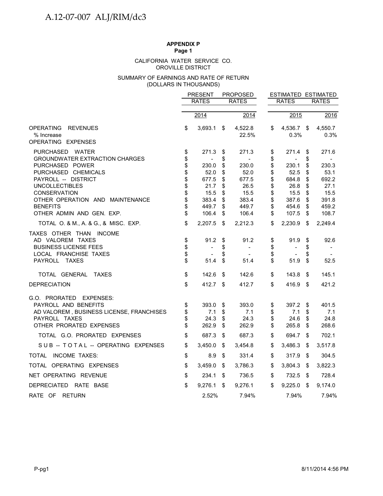# **APPENDIX P**

**Page 1**

#### OROVILLE DISTRICT CALIFORNIA WATER SERVICE CO.

#### (DOLLARS IN THOUSANDS) SUMMARY OF EARNINGS AND RATE OF RETURN

|                                                           |          | <b>PRESENT</b>           |          | <b>PROPOSED</b>                            |          |                          | ESTIMATED ESTIMATED |                 |
|-----------------------------------------------------------|----------|--------------------------|----------|--------------------------------------------|----------|--------------------------|---------------------|-----------------|
|                                                           |          | <b>RATES</b>             |          | <b>RATES</b>                               |          | <b>RATES</b>             |                     | <b>RATES</b>    |
|                                                           |          | 2014                     |          | 2014                                       |          | 2015                     |                     | 2016            |
|                                                           |          |                          |          |                                            |          |                          |                     |                 |
| OPERATING<br><b>REVENUES</b><br>% Increase                | \$       | 3,693.1                  | \$       | 4,522.8<br>22.5%                           | \$       | 4,536.7<br>0.3%          | \$                  | 4,550.7<br>0.3% |
| OPERATING EXPENSES                                        |          |                          |          |                                            |          |                          |                     |                 |
| PURCHASED WATER                                           | \$       | 271.3                    | \$       | 271.3                                      | \$       | 271.4                    | \$                  | 271.6           |
| <b>GROUNDWATER EXTRACTION CHARGES</b>                     | \$       | $\overline{\phantom{a}}$ | \$       | $\blacksquare$                             | \$       | $\overline{a}$           | \$                  |                 |
| PURCHASED POWER                                           | \$       | 230.0                    | \$       | 230.0                                      | \$       | 230.1                    | \$                  | 230.3           |
| PURCHASED CHEMICALS<br>PAYROLL -- DISTRICT                | \$<br>\$ | 52.0<br>677.5            | \$<br>\$ | 52.0<br>677.5                              | \$<br>\$ | 52.5<br>684.8            | \$<br>\$            | 53.1<br>692.2   |
| <b>UNCOLLECTIBLES</b>                                     | \$       | 21.7                     | \$       | 26.5                                       | \$       | 26.8                     | \$                  | 27.1            |
| <b>CONSERVATION</b>                                       | \$       | 15.5                     | \$       | 15.5                                       | \$       | 15.5                     | \$                  | 15.5            |
| OTHER OPERATION AND MAINTENANCE                           | \$       | 383.4                    | \$       | 383.4                                      | \$       | 387.6                    | \$                  | 391.8           |
| <b>BENEFITS</b>                                           | \$       | 449.7                    | \$       | 449.7                                      | \$       | 454.6                    | \$                  | 459.2           |
| OTHER ADMIN AND GEN. EXP.                                 | \$       | 106.4                    | \$       | 106.4                                      | \$       | 107.5                    | \$                  | 108.7           |
| TOTAL O. & M., A. & G., & MISC. EXP.                      | \$       | 2,207.5                  | \$       | 2,212.3                                    | \$       | 2,230.9                  | \$                  | 2,249.4         |
| TAXES OTHER THAN INCOME                                   |          |                          |          |                                            |          |                          |                     |                 |
| AD VALOREM TAXES                                          | \$       | 91.2                     | \$       | 91.2                                       | \$       | 91.9                     | \$                  | 92.6            |
| <b>BUSINESS LICENSE FEES</b><br>LOCAL FRANCHISE TAXES     | \$<br>\$ | $\blacksquare$           | \$<br>\$ | $\overline{\phantom{a}}$<br>$\blacksquare$ | \$<br>\$ | $\overline{\phantom{0}}$ | \$<br>\$            | $\sim$          |
| PAYROLL TAXES                                             | \$       | 51.4                     | \$       | 51.4                                       | \$       | 51.9                     | \$                  | 52.5            |
|                                                           |          |                          |          |                                            |          |                          |                     |                 |
| TOTAL GENERAL<br><b>TAXES</b>                             | \$       | 142.6                    | \$       | 142.6                                      | \$       | 143.8                    | \$                  | 145.1           |
| <b>DEPRECIATION</b>                                       | \$       | 412.7                    | \$       | 412.7                                      | \$       | 416.9                    | \$                  | 421.2           |
| G.O. PRORATED EXPENSES:                                   |          |                          |          |                                            |          |                          |                     |                 |
| PAYROLL AND BENEFITS                                      | \$<br>\$ | 393.0                    | \$       | 393.0                                      | \$<br>\$ | 397.2                    | \$                  | 401.5           |
| AD VALOREM, BUSINESS LICENSE, FRANCHISES<br>PAYROLL TAXES | \$       | 7.1<br>24.3              | \$<br>\$ | 7.1<br>24.3                                | \$       | 7.1<br>24.6              | \$<br>\$            | 7.1<br>24.8     |
| OTHER PRORATED EXPENSES                                   | \$       | 262.9                    | \$       | 262.9                                      | \$       | 265.8                    | \$                  | 268.6           |
| TOTAL G.O. PRORATED EXPENSES                              | \$       | 687.3                    | \$       | 687.3                                      | \$       | 694.7                    | \$                  | 702.1           |
| SUB-TOTAL-OPERATING EXPENSES                              | \$       | 3,450.0                  | \$       | 3,454.8                                    | \$       | 3,486.3                  | \$                  | 3,517.8         |
| TOTAL INCOME TAXES:                                       | \$       | 8.9                      | \$       | 331.4                                      | \$       | 317.9                    | \$                  | 304.5           |
| TOTAL OPERATING EXPENSES                                  | \$       | 3,459.0                  | \$       | 3,786.3                                    | \$       | 3,804.3                  | \$                  | 3,822.3         |
| NET OPERATING REVENUE                                     | \$       | 234.1                    | \$       | 736.5                                      | \$       | 732.5                    | \$                  | 728.4           |
| DEPRECIATED RATE BASE                                     | \$       | 9,276.1                  | \$       | 9,276.1                                    | \$       | 9,225.0                  | \$                  | 9,174.0         |
| RATE OF RETURN                                            |          | 2.52%                    |          | 7.94%                                      |          | 7.94%                    |                     | 7.94%           |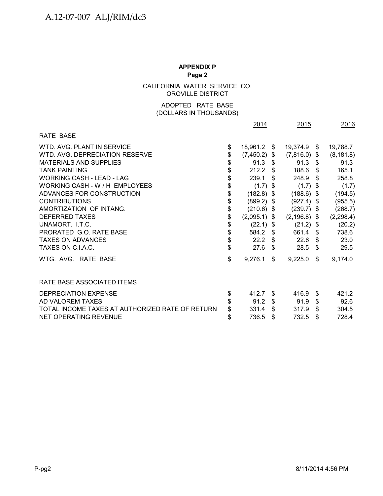CALIFORNIA WATER SERVICE CO. OROVILLE DISTRICT

## (DOLLARS IN THOUSANDS) ADOPTED RATE BASE

|                                                 | 2014               |     | 2015            | 2016          |
|-------------------------------------------------|--------------------|-----|-----------------|---------------|
| <b>RATE BASE</b>                                |                    |     |                 |               |
| WTD. AVG. PLANT IN SERVICE                      | \$<br>18,961.2     | \$  | 19,374.9 \$     | 19,788.7      |
| WTD. AVG. DEPRECIATION RESERVE                  | \$<br>(7, 450.2)   | \$  | $(7,816.0)$ \$  | (8, 181.8)    |
| <b>MATERIALS AND SUPPLIES</b>                   | \$<br>91.3         | \$  | $91.3$ \$       | 91.3          |
| <b>TANK PAINTING</b>                            | \$<br>212.2        | \$. | 188.6           | \$<br>165.1   |
| <b>WORKING CASH - LEAD - LAG</b>                | \$<br>239.1        |     | 248.9           | \$<br>258.8   |
| WORKING CASH - W / H EMPLOYEES                  | \$<br>(1.7)        | \$  | $(1.7)$ \$      | (1.7)         |
| ADVANCES FOR CONSTRUCTION                       | \$<br>$(182.8)$ \$ |     | $(188.6)$ \$    | (194.5)       |
| <b>CONTRIBUTIONS</b>                            | \$<br>$(899.2)$ \$ |     | $(927.4)$ \$    | (955.5)       |
| AMORTIZATION OF INTANG.                         | \$<br>$(210.6)$ \$ |     | $(239.7)$ \$    | (268.7)       |
| DEFERRED TAXES                                  | \$<br>(2,095.1)    | \$  | $(2, 196.8)$ \$ | (2, 298.4)    |
| UNAMORT. I.T.C.                                 | \$<br>(22.1)       | \$  | $(21.2)$ \$     | (20.2)        |
| PRORATED G.O. RATE BASE                         | \$<br>584.2        | \$  | 661.4 \$        | 738.6         |
| <b>TAXES ON ADVANCES</b>                        | \$<br>22.2         | -S  | 22.6            | \$<br>23.0    |
| TAXES ON C.I.A.C.                               | \$<br>27.6         | \$. | 28.5            | \$<br>29.5    |
| WTG. AVG. RATE BASE                             | \$<br>9,276.1      | \$  | 9,225.0         | \$<br>9,174.0 |
| RATE BASE ASSOCIATED ITEMS                      |                    |     |                 |               |
| DEPRECIATION EXPENSE                            | \$<br>412.7        | \$. | 416.9           | \$<br>421.2   |
| AD VALOREM TAXES                                | \$<br>91.2         | \$  | 91.9            | \$<br>92.6    |
| TOTAL INCOME TAXES AT AUTHORIZED RATE OF RETURN | \$<br>331.4        | \$  | 317.9           | \$<br>304.5   |
| NET OPERATING REVENUE                           | \$<br>736.5        | \$  | 732.5           | \$<br>728.4   |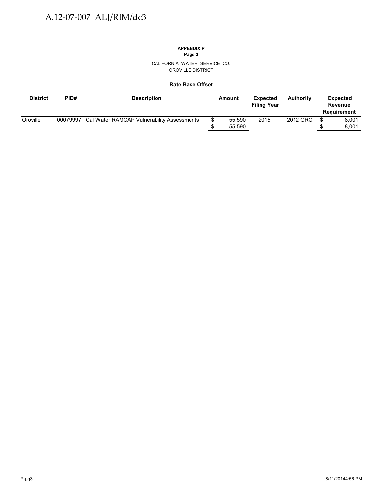# **APPENDIX P**

**Page 3**

CALIFORNIA WATER SERVICE CO. OROVILLE DISTRICT

#### **Rate Base Offset**

| <b>District</b> | PID#     | <b>Description</b>                         | Amount | <b>Expected</b><br><b>Filing Year</b> | <b>Authority</b> | <b>Expected</b><br>Revenue<br>Requirement |
|-----------------|----------|--------------------------------------------|--------|---------------------------------------|------------------|-------------------------------------------|
| Oroville        | 00079997 | Cal Water RAMCAP Vulnerability Assessments | 55.590 | 2015                                  | 2012 GRC         | 8.001                                     |
|                 |          |                                            | 55,590 |                                       |                  | 8.001                                     |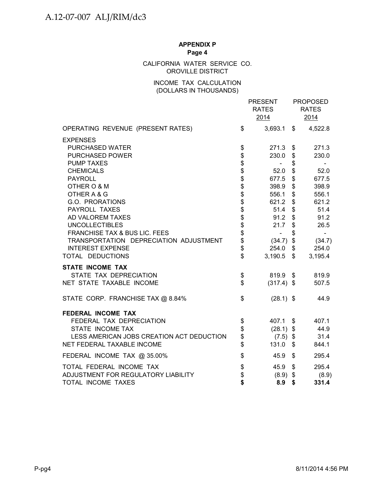## CALIFORNIA WATER SERVICE CO. OROVILLE DISTRICT

## INCOME TAX CALCULATION (DOLLARS IN THOUSANDS)

|                                           |                                    | <b>PRESENT</b><br><b>RATES</b><br>2014 | <b>PROPOSED</b><br><b>RATES</b><br>2014 |
|-------------------------------------------|------------------------------------|----------------------------------------|-----------------------------------------|
| OPERATING REVENUE (PRESENT RATES)         | \$                                 | 3,693.1                                | \$<br>4,522.8                           |
| <b>EXPENSES</b>                           |                                    |                                        |                                         |
| PURCHASED WATER                           |                                    | 271.3                                  | \$<br>271.3                             |
| PURCHASED POWER                           | \$\$\$\$\$\$\$\$\$\$\$\$\$\$\$\$\$ | 230.0                                  | \$<br>230.0                             |
| <b>PUMP TAXES</b>                         |                                    | $\blacksquare$                         | \$                                      |
| <b>CHEMICALS</b>                          |                                    | 52.0                                   | \$<br>52.0                              |
| <b>PAYROLL</b>                            |                                    | 677.5                                  | \$<br>677.5                             |
| OTHER O & M                               |                                    | 398.9                                  | \$<br>398.9                             |
| OTHER A & G                               |                                    | 556.1                                  | \$<br>556.1                             |
| G.O. PRORATIONS                           |                                    | 621.2                                  | \$<br>621.2                             |
| PAYROLL TAXES                             |                                    | 51.4                                   | \$<br>51.4                              |
| AD VALOREM TAXES                          |                                    | 91.2                                   | \$<br>91.2                              |
| <b>UNCOLLECTIBLES</b>                     |                                    | 21.7                                   | \$<br>26.5                              |
| FRANCHISE TAX & BUS LIC. FEES             |                                    | $\overline{\phantom{0}}$               | \$                                      |
| TRANSPORTATION DEPRECIATION ADJUSTMENT    |                                    | $(34.7)$ \$                            | (34.7)                                  |
| <b>INTEREST EXPENSE</b>                   |                                    | 254.0                                  | \$<br>254.0                             |
| TOTAL DEDUCTIONS                          | \$                                 | 3,190.5                                | \$<br>3,195.4                           |
| <b>STATE INCOME TAX</b>                   |                                    |                                        |                                         |
| STATE TAX DEPRECIATION                    | \$                                 | 819.9 \$                               | 819.9                                   |
| NET STATE TAXABLE INCOME                  | \$                                 | $(317.4)$ \$                           | 507.5                                   |
| STATE CORP. FRANCHISE TAX @ 8.84%         | \$                                 | $(28.1)$ \$                            | 44.9                                    |
| FEDERAL INCOME TAX                        |                                    |                                        |                                         |
| FEDERAL TAX DEPRECIATION                  | \$                                 | 407.1                                  | \$<br>407.1                             |
| STATE INCOME TAX                          | \$                                 | $(28.1)$ \$                            | 44.9                                    |
| LESS AMERICAN JOBS CREATION ACT DEDUCTION |                                    | $(7.5)$ \$                             | 31.4                                    |
| NET FEDERAL TAXABLE INCOME                | \$<br>\$                           | 131.0                                  | \$<br>844.1                             |
| FEDERAL INCOME TAX @ 35.00%               | \$                                 | 45.9                                   | \$<br>295.4                             |
| TOTAL FEDERAL INCOME TAX                  |                                    | 45.9                                   | \$<br>295.4                             |
| ADJUSTMENT FOR REGULATORY LIABILITY       |                                    | $(8.9)$ \$                             | (8.9)                                   |
| TOTAL INCOME TAXES                        | \$\$\$                             | 8.9                                    | \$<br>331.4                             |
|                                           |                                    |                                        |                                         |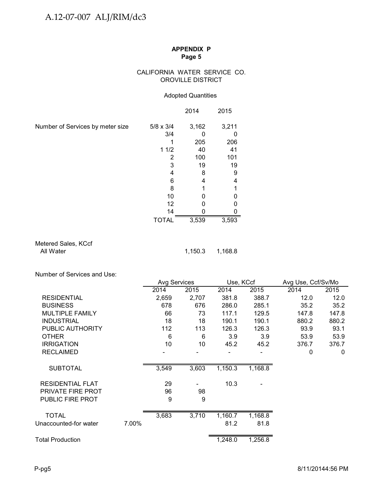## CALIFORNIA WATER SERVICE CO. OROVILLE DISTRICT

## Adopted Quantities

|                                  |                  | 2014  | 2015  |
|----------------------------------|------------------|-------|-------|
| Number of Services by meter size | $5/8 \times 3/4$ | 3,162 | 3,211 |
|                                  | 3/4              |       |       |
|                                  |                  | 205   | 206   |
|                                  | 11/2             | 40    | 41    |
|                                  | 2                | 100   | 101   |
|                                  | 3                | 19    | 19    |
|                                  | 4                | 8     | 9     |
|                                  | 6                | 4     | 4     |
|                                  | 8                |       |       |
|                                  | 10               |       |       |
|                                  | 12               |       |       |
|                                  | 14               |       |       |
|                                  | <b>TOTAL</b>     | 3,539 | 3,593 |

## Metered Sales, KCcf All Water 1,150.3 1,168.8

Number of Services and Use:

|                         |       | Avg Services |       | Use, KCcf |         | Avg Use, Ccf/Sv/Mo |       |  |
|-------------------------|-------|--------------|-------|-----------|---------|--------------------|-------|--|
|                         |       | 2014         | 2015  | 2014      | 2015    | 2014               | 2015  |  |
| <b>RESIDENTIAL</b>      |       | 2,659        | 2,707 | 381.8     | 388.7   | 12.0               | 12.0  |  |
| <b>BUSINESS</b>         |       | 678          | 676   | 286.0     | 285.1   | 35.2               | 35.2  |  |
| <b>MULTIPLE FAMILY</b>  |       | 66           | 73    | 117.1     | 129.5   | 147.8              | 147.8 |  |
| <b>INDUSTRIAL</b>       |       | 18           | 18    | 190.1     | 190.1   | 880.2              | 880.2 |  |
| PUBLIC AUTHORITY        |       | 112          | 113   | 126.3     | 126.3   | 93.9               | 93.1  |  |
| <b>OTHER</b>            |       | 6            | 6     | 3.9       | 3.9     | 53.9               | 53.9  |  |
| <b>IRRIGATION</b>       |       | 10           | 10    | 45.2      | 45.2    | 376.7              | 376.7 |  |
| <b>RECLAIMED</b>        |       |              |       |           |         | 0                  | 0     |  |
| <b>SUBTOTAL</b>         |       | 3,549        | 3,603 | 1,150.3   | 1,168.8 |                    |       |  |
| <b>RESIDENTIAL FLAT</b> |       | 29           |       | 10.3      |         |                    |       |  |
| PRIVATE FIRE PROT       |       | 96           | 98    |           |         |                    |       |  |
| <b>PUBLIC FIRE PROT</b> |       | 9            | 9     |           |         |                    |       |  |
| <b>TOTAL</b>            |       | 3,683        | 3,710 | 1,160.7   | 1,168.8 |                    |       |  |
|                         |       |              |       |           |         |                    |       |  |
| Unaccounted-for water   | 7.00% |              |       | 81.2      | 81.8    |                    |       |  |
| <b>Total Production</b> |       |              |       | 1,248.0   | 1,256.8 |                    |       |  |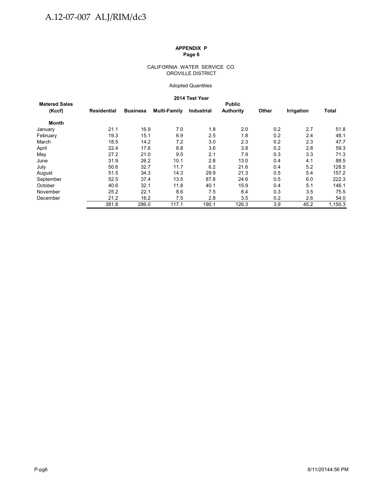#### CALIFORNIA WATER SERVICE CO. OROVILLE DISTRICT

#### Adopted Quantities

#### **2014 Test Year**

|                      |                    |                 |              | z∪ ï 4 ïest rear |           |       |                   |         |  |  |  |  |
|----------------------|--------------------|-----------------|--------------|------------------|-----------|-------|-------------------|---------|--|--|--|--|
| <b>Metered Sales</b> | <b>Public</b>      |                 |              |                  |           |       |                   |         |  |  |  |  |
| (Kccf)               | <b>Residential</b> | <b>Business</b> | Multi-Family | Industrial       | Authority | Other | <b>Irrigation</b> | Total   |  |  |  |  |
| Month                |                    |                 |              |                  |           |       |                   |         |  |  |  |  |
| January              | 21.1               | 16.9            | 7.0          | 1.8              | 2.0       | 0.2   | 2.7               | 51.8    |  |  |  |  |
| February             | 19.3               | 15.1            | 6.9          | 2.5              | 1.8       | 0.2   | 2.4               | 48.1    |  |  |  |  |
| March                | 18.5               | 14.2            | 7.2          | 3.0              | 2.3       | 0.2   | 2.3               | 47.7    |  |  |  |  |
| April                | 22.4               | 17.6            | 8.8          | 3.6              | 3.8       | 0.2   | 2.8               | 59.3    |  |  |  |  |
| May                  | 27.2               | 21.0            | 9.5          | 2.1              | 7.9       | 0.3   | 3.3               | 71.3    |  |  |  |  |
| June                 | 31.9               | 26.2            | 10.1         | 2.8              | 13.0      | 0.4   | 4.1               | 88.5    |  |  |  |  |
| July                 | 50.6               | 32.7            | 11.7         | 6.2              | 21.6      | 0.4   | 5.2               | 128.5   |  |  |  |  |
| August               | 51.5               | 34.3            | 14.3         | 29.9             | 21.3      | 0.5   | 5.4               | 157.2   |  |  |  |  |
| September            | 52.5               | 37.4            | 13.5         | 87.8             | 24.6      | 0.5   | 6.0               | 222.3   |  |  |  |  |
| October              | 40.6               | 32.1            | 11.8         | 40.1             | 15.9      | 0.4   | 5.1               | 146.1   |  |  |  |  |
| November             | 25.2               | 22.1            | 8.6          | 7.5              | 8.4       | 0.3   | 3.5               | 75.5    |  |  |  |  |
| December             | 21.2               | 16.2            | 7.5          | 2.8              | 3.5       | 0.2   | 2.6               | 54.0    |  |  |  |  |
|                      | 381.8              | 286.0           | 117.1        | 190.1            | 126.3     | 3.9   | 45.2              | 1,150.3 |  |  |  |  |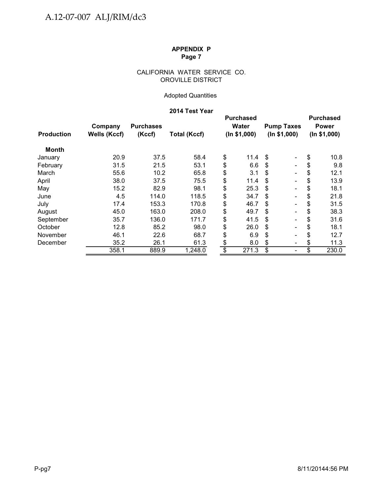## CALIFORNIA WATER SERVICE CO. OROVILLE DISTRICT

# Adopted Quantities

# **2014 Test Year**

| <b>Production</b> | Company<br>Wells (Kccf) | <b>Purchases</b><br>(Kccf) | <b>Total (Kccf)</b> |                 | <b>Purchased</b><br>Water<br>(ln \$1,000) | <b>Pump Taxes</b><br>(ln \$1,000) |                          | <b>Purchased</b><br><b>Power</b><br>(ln \$1,000) |       |
|-------------------|-------------------------|----------------------------|---------------------|-----------------|-------------------------------------------|-----------------------------------|--------------------------|--------------------------------------------------|-------|
| <b>Month</b>      |                         |                            |                     |                 |                                           |                                   |                          |                                                  |       |
| January           | 20.9                    | 37.5                       | 58.4                | \$              | 11.4                                      | \$                                | $\blacksquare$           | \$                                               | 10.8  |
| February          | 31.5                    | 21.5                       | 53.1                | \$              | 6.6                                       | S                                 | $\blacksquare$           | \$                                               | 9.8   |
| March             | 55.6                    | 10.2                       | 65.8                | \$              | 3.1                                       | \$                                | $\blacksquare$           | \$                                               | 12.1  |
| April             | 38.0                    | 37.5                       | 75.5                | \$              | 11.4                                      | S                                 | $\overline{\phantom{a}}$ | \$                                               | 13.9  |
| May               | 15.2                    | 82.9                       | 98.1                | \$              | 25.3                                      | S                                 | $\blacksquare$           | \$                                               | 18.1  |
| June              | 4.5                     | 114.0                      | 118.5               | \$              | 34.7                                      | S                                 | $\overline{\phantom{a}}$ | \$                                               | 21.8  |
| July              | 17.4                    | 153.3                      | 170.8               | \$              | 46.7                                      | \$.                               | $\blacksquare$           | \$                                               | 31.5  |
| August            | 45.0                    | 163.0                      | 208.0               | \$              | 49.7                                      | S                                 | $\overline{\phantom{a}}$ | \$                                               | 38.3  |
| September         | 35.7                    | 136.0                      | 171.7               | \$              | 41.5                                      | \$                                | $\overline{\phantom{a}}$ | \$                                               | 31.6  |
| October           | 12.8                    | 85.2                       | 98.0                | \$              | 26.0                                      | S                                 | $\blacksquare$           | \$                                               | 18.1  |
| November          | 46.1                    | 22.6                       | 68.7                | \$              | 6.9                                       | S                                 | $\overline{\phantom{a}}$ | S                                                | 12.7  |
| December          | 35.2                    | 26.1                       | 61.3                | \$              | 8.0                                       | \$                                | $\overline{\phantom{a}}$ | \$                                               | 11.3  |
|                   | 358.1                   | 889.9                      | 1,248.0             | $\overline{\$}$ | 271.3                                     | \$                                | $\blacksquare$           | \$                                               | 230.0 |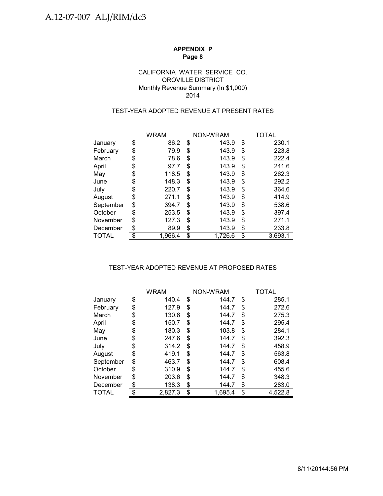## OROVILLE DISTRICT Monthly Revenue Summary (In \$1,000) CALIFORNIA WATER SERVICE CO. 2014

## TEST-YEAR ADOPTED REVENUE AT PRESENT RATES

|              | <b>WRAM</b>   |    | NON-WRAM | TOTAL         |
|--------------|---------------|----|----------|---------------|
| January      | \$<br>86.2    | \$ | 143.9    | \$<br>230.1   |
| February     | \$<br>79.9    | \$ | 143.9    | \$<br>223.8   |
| March        | \$<br>78.6    | \$ | 143.9    | \$<br>222.4   |
| April        | \$<br>97.7    | S  | 143.9    | \$<br>241.6   |
| May          | \$<br>118.5   | \$ | 143.9    | \$<br>262.3   |
| June         | \$<br>148.3   | \$ | 143.9    | \$<br>292.2   |
| July         | \$<br>220.7   | \$ | 143.9    | \$<br>364.6   |
| August       | \$<br>271.1   | \$ | 143.9    | \$<br>414.9   |
| September    | \$<br>394.7   | \$ | 143.9    | \$<br>538.6   |
| October      | \$<br>253.5   | \$ | 143.9    | \$<br>397.4   |
| November     | \$<br>127.3   | \$ | 143.9    | \$<br>271.1   |
| December     | \$<br>89.9    | \$ | 143.9    | \$<br>233.8   |
| <b>TOTAL</b> | \$<br>1,966.4 | \$ | 1,726.6  | \$<br>3,693.1 |

### TEST-YEAR ADOPTED REVENUE AT PROPOSED RATES

|           | <b>WRAM</b>   | NON-WRAM      | TOTAL         |
|-----------|---------------|---------------|---------------|
| January   | \$<br>140.4   | \$<br>144.7   | \$<br>285.1   |
| February  | \$<br>127.9   | \$<br>144.7   | \$<br>272.6   |
| March     | \$<br>130.6   | \$<br>144.7   | \$<br>275.3   |
| April     | \$<br>150.7   | \$<br>144.7   | \$<br>295.4   |
| May       | \$<br>180.3   | \$<br>103.8   | \$<br>284.1   |
| June      | \$<br>247.6   | \$<br>144.7   | \$<br>392.3   |
| July      | \$<br>314.2   | \$<br>144.7   | \$<br>458.9   |
| August    | \$<br>419.1   | \$<br>144.7   | \$<br>563.8   |
| September | \$<br>463.7   | \$<br>144.7   | \$<br>608.4   |
| October   | \$<br>310.9   | \$<br>144.7   | \$<br>455.6   |
| November  | \$<br>203.6   | \$<br>144.7   | \$<br>348.3   |
| December  | \$<br>138.3   | \$<br>144.7   | \$<br>283.0   |
| TOTAL     | \$<br>2,827.3 | \$<br>1.695.4 | \$<br>4.522.8 |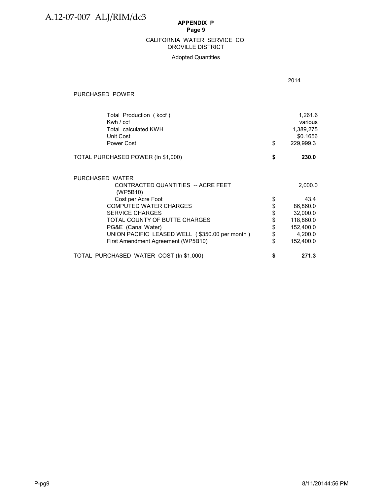#### OROVILLE DISTRICT CALIFORNIA WATER SERVICE CO.

#### Adopted Quantities

2014

#### PURCHASED POWER

| Total Production (kccf)<br>Kwh $/$ ccf<br>Total calculated KWH<br>Unit Cost<br>Power Cost | \$<br>1,261.6<br>various<br>1,389,275<br>\$0.1656<br>229,999.3 |
|-------------------------------------------------------------------------------------------|----------------------------------------------------------------|
| TOTAL PURCHASED POWER (In \$1,000)                                                        | \$<br>230.0                                                    |
| PURCHASED WATER                                                                           |                                                                |
| CONTRACTED QUANTITIES -- ACRE FEET<br>(WP5B10)                                            | 2,000.0                                                        |
| Cost per Acre Foot                                                                        | 43.4                                                           |
| <b>COMPUTED WATER CHARGES</b>                                                             | \$<br>86,860.0                                                 |
| <b>SERVICE CHARGES</b>                                                                    | \$<br>32,000.0                                                 |
| TOTAL COUNTY OF BUTTE CHARGES                                                             | \$<br>118,860.0                                                |
| PG&E (Canal Water)                                                                        | \$<br>152,400.0                                                |
| UNION PACIFIC LEASED WELL (\$350.00 per month)                                            | \$<br>4,200.0                                                  |
| First Amendment Agreement (WP5B10)                                                        | \$<br>152,400.0                                                |
| TOTAL PURCHASED WATER COST (In \$1,000)                                                   | \$<br>271.3                                                    |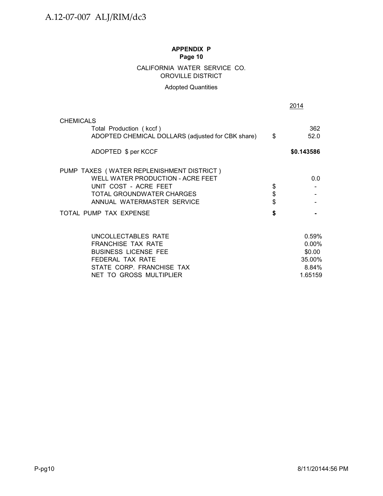# CALIFORNIA WATER SERVICE CO. OROVILLE DISTRICT

# Adopted Quantities

|                                                                                                                                                      |          | 2014                                                   |  |
|------------------------------------------------------------------------------------------------------------------------------------------------------|----------|--------------------------------------------------------|--|
| <b>CHEMICALS</b>                                                                                                                                     |          |                                                        |  |
| Total Production (kccf)<br>ADOPTED CHEMICAL DOLLARS (adjusted for CBK share)                                                                         | \$       | 362<br>52.0                                            |  |
| ADOPTED \$ per KCCF                                                                                                                                  |          | \$0.143586                                             |  |
| PUMP TAXES (WATER REPLENISHMENT DISTRICT)<br>WELL WATER PRODUCTION - ACRE FEET<br>UNIT COST - ACRE FEET<br>TOTAL GROUNDWATER CHARGES                 | \$<br>\$ | 0.0                                                    |  |
| ANNUAL WATERMASTER SERVICE                                                                                                                           |          |                                                        |  |
| TOTAL PUMP TAX EXPENSE                                                                                                                               | \$       |                                                        |  |
| UNCOLLECTABLES RATE<br>FRANCHISE TAX RATE<br><b>BUSINESS LICENSE FEE</b><br>FEDERAL TAX RATE<br>STATE CORP. FRANCHISE TAX<br>NET TO GROSS MULTIPLIER |          | 0.59%<br>0.00%<br>\$0.00<br>35.00%<br>8.84%<br>1.65159 |  |
|                                                                                                                                                      |          |                                                        |  |
|                                                                                                                                                      |          |                                                        |  |
|                                                                                                                                                      |          |                                                        |  |
|                                                                                                                                                      |          |                                                        |  |
|                                                                                                                                                      |          |                                                        |  |
| P-pg10                                                                                                                                               |          | 8/11/20144:56 PM                                       |  |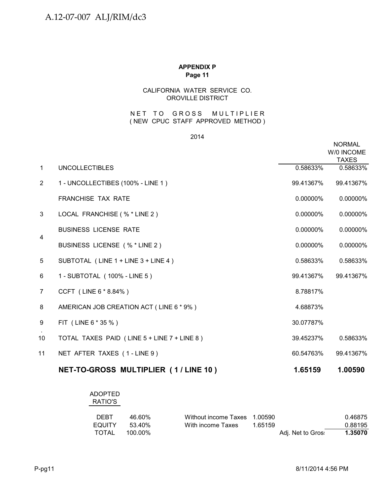# CALIFORNIA WATER SERVICE CO. OROVILLE DISTRICT

## NET TO GROSS MULTIPLIER ( NEW CPUC STAFF APPROVED METHOD )

### 2014

|                |                                             |             | <b>NORMAL</b><br>W/0 INCOME<br><b>TAXES</b> |
|----------------|---------------------------------------------|-------------|---------------------------------------------|
| $\mathbf{1}$   | <b>UNCOLLECTIBLES</b>                       | 0.58633%    | 0.58633%                                    |
| $\overline{2}$ | 1 - UNCOLLECTIBES (100% - LINE 1)           | 99.41367%   | 99.41367%                                   |
|                | <b>FRANCHISE TAX RATE</b>                   | $0.00000\%$ | 0.00000%                                    |
| 3              | LOCAL FRANCHISE (% * LINE 2)                | 0.00000%    | 0.00000%                                    |
|                | <b>BUSINESS LICENSE RATE</b>                | 0.00000%    | 0.00000%                                    |
| $\overline{4}$ | BUSINESS LICENSE (% * LINE 2)               | 0.00000%    | 0.00000%                                    |
| 5              | SUBTOTAL (LINE 1 + LINE 3 + LINE 4)         | 0.58633%    | 0.58633%                                    |
| 6              | 1 - SUBTOTAL (100% - LINE 5)                | 99.41367%   | 99.41367%                                   |
| 7              | CCFT (LINE 6 * 8.84%)                       | 8.78817%    |                                             |
| 8              | AMERICAN JOB CREATION ACT (LINE 6 * 9%)     | 4.68873%    |                                             |
| 9              | FIT (LINE 6 * 35 %)                         | 30.07787%   |                                             |
| 10             | TOTAL TAXES PAID (LINE 5 + LINE 7 + LINE 8) | 39.45237%   | 0.58633%                                    |
| 11             | NET AFTER TAXES (1-LINE 9)                  | 60.54763%   | 99.41367%                                   |
|                | NET-TO-GROSS MULTIPLIER (1/LINE 10)         | 1.65159     | 1.00590                                     |

# ADOPTED RATIO'S

| <b>DEBT</b> | 46.60%  | Without income Taxes 1.00590 |         |                   | 0.46875 |
|-------------|---------|------------------------------|---------|-------------------|---------|
| EQUITY      | 53 40%  | With income Taxes            | 1.65159 |                   | 0.88195 |
| TOTAL       | 100.00% |                              |         | Adj. Net to Gros: | 1.35070 |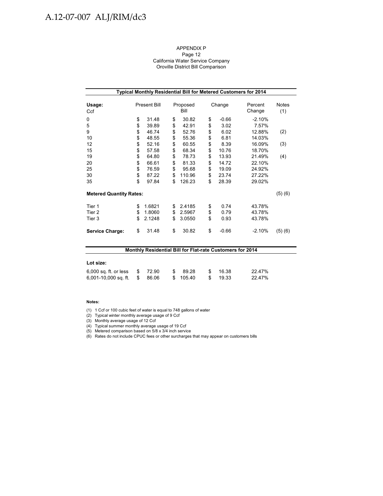# A.12-07-007 ALJ/RIM/dc3

#### APPENDIX P Page 12 California Water Service Company Oroville District Bill Comparison

| Typical Monthly Residential Bill for Metered Customers for 2014 |    |                     |    |                  |    |         |                   |                     |  |  |  |
|-----------------------------------------------------------------|----|---------------------|----|------------------|----|---------|-------------------|---------------------|--|--|--|
| Usage:<br>Ccf                                                   |    | <b>Present Bill</b> |    | Proposed<br>Bill |    | Change  | Percent<br>Change | <b>Notes</b><br>(1) |  |  |  |
| 0                                                               | \$ | 31.48               | \$ | 30.82            | \$ | $-0.66$ | $-2.10%$          |                     |  |  |  |
| 5                                                               | \$ | 39.89               | \$ | 42.91            | \$ | 3.02    | 7.57%             |                     |  |  |  |
| 9                                                               | \$ | 46.74               | \$ | 52.76            | \$ | 6.02    | 12.88%            | (2)                 |  |  |  |
| 10                                                              | \$ | 48.55               | \$ | 55.36            | \$ | 6.81    | 14.03%            |                     |  |  |  |
| 12                                                              | \$ | 52.16               | \$ | 60.55            | \$ | 8.39    | 16.09%            | (3)                 |  |  |  |
| 15                                                              | \$ | 57.58               | \$ | 68.34            | \$ | 10.76   | 18.70%            |                     |  |  |  |
| 19                                                              | \$ | 64.80               | \$ | 78.73            | \$ | 13.93   | 21.49%            | (4)                 |  |  |  |
| 20                                                              | \$ | 66.61               | \$ | 81.33            | \$ | 14.72   | 22.10%            |                     |  |  |  |
| 25                                                              | \$ | 76.59               | \$ | 95.68            | \$ | 19.09   | 24.92%            |                     |  |  |  |
| 30                                                              | \$ | 87.22               | \$ | 110.96           | \$ | 23.74   | 27.22%            |                     |  |  |  |
| 35                                                              | \$ | 97.84               | \$ | 126.23           | \$ | 28.39   | 29.02%            |                     |  |  |  |
| <b>Metered Quantity Rates:</b>                                  |    |                     |    |                  |    |         |                   | (5)(6)              |  |  |  |
| Tier 1                                                          | \$ | 1.6821              | \$ | 2.4185           | \$ | 0.74    | 43.78%            |                     |  |  |  |
| Tier 2                                                          | \$ | 1.8060              | \$ | 2.5967           | \$ | 0.79    | 43.78%            |                     |  |  |  |
| Tier 3                                                          | \$ | 2.1248              | \$ | 3.0550           | \$ | 0.93    | 43.78%            |                     |  |  |  |
| <b>Service Charge:</b>                                          | \$ | 31.48               | \$ | 30.82            | \$ | $-0.66$ | $-2.10%$          | (5)(6)              |  |  |  |

| <b>Monthly Residential Bill for Flat-rate Customers for 2014</b> |     |       |    |          |    |       |        |  |  |  |
|------------------------------------------------------------------|-----|-------|----|----------|----|-------|--------|--|--|--|
|                                                                  |     |       |    |          |    |       |        |  |  |  |
| Lot size:                                                        |     |       |    |          |    |       |        |  |  |  |
| $6,000$ sq. ft. or less                                          | -SS | 72.90 | S. | 89.28    | .S | 16.38 | 22.47% |  |  |  |
| $6,001-10,000$ sq. ft.                                           | S   | 86.06 |    | \$105.40 | £. | 19.33 | 22.47% |  |  |  |

#### **Notes:**

- (1) 1 Ccf or 100 cubic feet of water is equal to 748 gallons of water
- (2) Typical winter monthly average usage of 9 Ccf

(3) Monthly average usage of 12 Ccf

(4) Typical summer monthly average usage of 19 Ccf

(5) Metered comparison based on 5/8 x 3/4 inch service

(6) Rates do not include CPUC fees or other surcharges that may appear on customers bills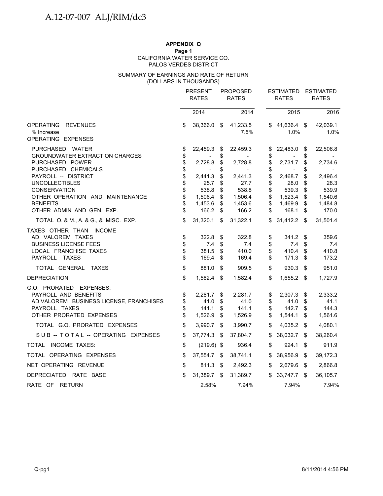## **APPENDIX Q**

#### **Page 1**

PALOS VERDES DISTRICT CALIFORNIA WATER SERVICE CO.

#### (DOLLARS IN THOUSANDS) SUMMARY OF EARNINGS AND RATE OF RETURN

|                                                                                                                                         | <b>PROPOSED</b><br><b>PRESENT</b> |                                     |                         | <b>ESTIMATED</b>                      |                      | <b>ESTIMATED</b>                    |                      |                                     |
|-----------------------------------------------------------------------------------------------------------------------------------------|-----------------------------------|-------------------------------------|-------------------------|---------------------------------------|----------------------|-------------------------------------|----------------------|-------------------------------------|
|                                                                                                                                         |                                   | <b>RATES</b>                        |                         | <b>RATES</b>                          |                      | <b>RATES</b>                        |                      | <b>RATES</b>                        |
|                                                                                                                                         |                                   | 2014                                |                         | 2014                                  |                      | 2015                                |                      | 2016                                |
| OPERATING REVENUES<br>% Increase                                                                                                        | \$                                | 38,366.0                            | \$                      | 41,233.5<br>7.5%                      | \$                   | 41,636.4 \$<br>1.0%                 |                      | 42,039.1<br>1.0%                    |
| OPERATING EXPENSES                                                                                                                      |                                   |                                     |                         |                                       |                      |                                     |                      |                                     |
| PURCHASED WATER<br><b>GROUNDWATER EXTRACTION CHARGES</b><br>PURCHASED POWER                                                             | \$<br>\$<br>\$                    | 22,459.3<br>2,728.8                 | \$<br>\$<br>\$          | 22,459.3<br>$\blacksquare$<br>2,728.8 | \$<br>\$<br>\$       | 22,483.0<br>2,731.7                 | \$<br>\$<br>\$       | 22,506.8<br>2,734.6                 |
| PURCHASED CHEMICALS<br>PAYROLL -- DISTRICT                                                                                              | \$<br>\$                          | 2,441.3                             | \$<br>\$                | $\sim$<br>2,441.3                     | \$<br>\$             | 2,468.7                             | \$                   | 2,496.4                             |
| <b>UNCOLLECTIBLES</b><br><b>CONSERVATION</b><br>OTHER OPERATION AND MAINTENANCE                                                         | \$<br>\$<br>\$                    | 25.7<br>538.8<br>1,506.4            | \$<br>\$<br>\$          | 27.7<br>538.8<br>1,506.4              | \$<br>\$<br>\$       | 28.0<br>539.3<br>1,523.4            | \$<br>\$<br>\$       | 28.3<br>539.9<br>1,540.6            |
| <b>BENEFITS</b><br>OTHER ADMIN AND GEN. EXP.                                                                                            | \$<br>\$                          | 1,453.6<br>166.2                    | \$<br>\$                | 1,453.6<br>166.2                      | \$<br>\$             | 1,469.9<br>168.1                    | \$<br>\$             | 1,484.8<br>170.0                    |
| TOTAL O. & M., A. & G., & MISC. EXP.                                                                                                    | \$                                | 31,320.1                            | \$                      | 31,322.1                              | \$                   | 31,412.2                            | -S                   | 31,501.4                            |
| TAXES OTHER THAN INCOME<br>AD VALOREM TAXES<br><b>BUSINESS LICENSE FEES</b><br>LOCAL FRANCHISE TAXES<br>PAYROLL TAXES                   | \$<br>\$<br>\$<br>\$              | 322.8<br>7.4<br>381.5<br>169.4      | \$<br>\$<br>\$<br>\$    | 322.8<br>7.4<br>410.0<br>169.4        | \$<br>\$<br>\$<br>\$ | 341.2<br>7.4<br>410.4<br>171.3      | \$<br>\$<br>\$<br>\$ | 359.6<br>7.4<br>410.8<br>173.2      |
| TOTAL GENERAL TAXES                                                                                                                     | \$                                | 881.0                               | \$                      | 909.5                                 | \$                   | 930.3                               | \$                   | 951.0                               |
| <b>DEPRECIATION</b>                                                                                                                     | \$                                | 1,582.4 \$                          |                         | 1,582.4                               | \$                   | 1,655.2 \$                          |                      | 1,727.9                             |
| G.O. PRORATED EXPENSES:<br>PAYROLL AND BENEFITS<br>AD VALOREM, BUSINESS LICENSE, FRANCHISES<br>PAYROLL TAXES<br>OTHER PRORATED EXPENSES | \$<br>\$<br>\$<br>\$              | 2,281.7<br>41.0<br>141.1<br>1,526.9 | \$<br>\$<br>\$<br>\$    | 2,281.7<br>41.0<br>141.1<br>1,526.9   | \$<br>\$<br>\$<br>\$ | 2,307.3<br>41.0<br>142.7<br>1,544.1 | \$<br>\$<br>\$<br>\$ | 2,333.2<br>41.1<br>144.3<br>1,561.6 |
| TOTAL G.O. PRORATED EXPENSES                                                                                                            | \$                                | 3,990.7                             | $\sqrt[6]{\frac{1}{2}}$ | 3,990.7                               | \$                   | 4,035.2                             | \$                   | 4,080.1                             |
| SUB -- TOTAL -- OPERATING EXPENSES                                                                                                      | \$                                | 37,774.3                            | - \$                    | 37,804.7                              | \$                   | 38,032.7                            | \$                   | 38,260.4                            |
| TOTAL INCOME TAXES:                                                                                                                     | \$                                | $(219.6)$ \$                        |                         | 936.4                                 | \$                   | 924.1                               | \$                   | 911.9                               |
| TOTAL OPERATING EXPENSES                                                                                                                | \$                                | 37,554.7 \$                         |                         | 38,741.1                              | \$                   | 38,956.9                            | \$                   | 39,172.3                            |
| NET OPERATING REVENUE                                                                                                                   | \$                                | 811.3 \$                            |                         | 2,492.3                               | \$                   | 2,679.6                             | - \$                 | 2,866.8                             |
| DEPRECIATED RATE BASE                                                                                                                   | \$                                | 31,389.7                            | \$                      | 31,389.7                              | \$                   | 33,747.7                            | \$                   | 36,105.7                            |
| RATE OF RETURN                                                                                                                          |                                   | 2.58%                               |                         | 7.94%                                 |                      | 7.94%                               |                      | 7.94%                               |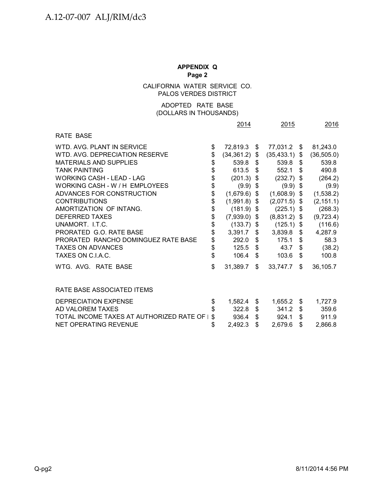CALIFORNIA WATER SERVICE CO. PALOS VERDES DISTRICT

## (DOLLARS IN THOUSANDS) ADOPTED RATE BASE

|                                            |                      | 2015           |                  | 2016       |             |
|--------------------------------------------|----------------------|----------------|------------------|------------|-------------|
| RATE BASE                                  |                      |                |                  |            |             |
| WTD. AVG. PLANT IN SERVICE                 | \$<br>72,819.3 \$    |                | 77,031.2 \$      |            | 81,243.0    |
| WTD, AVG, DEPRECIATION RESERVE             | \$<br>(34, 361.2)    | $\mathsf{\$}$  | $(35, 433.1)$ \$ |            | (36, 505.0) |
| <b>MATERIALS AND SUPPLIES</b>              | \$<br>$539.8$ \$     |                | 539.8 \$         |            | 539.8       |
| <b>TANK PAINTING</b>                       | \$<br>613.5 \$       |                | 552.1            | \$         | 490.8       |
| WORKING CASH - LEAD - LAG                  | \$<br>$(201.3)$ \$   |                | $(232.7)$ \$     |            | (264.2)     |
| WORKING CASH - W / H EMPLOYEES             | \$<br>$(9.9)$ \$     |                | $(9.9)$ \$       |            | (9.9)       |
| ADVANCES FOR CONSTRUCTION                  | \$<br>$(1,679.6)$ \$ |                | $(1,608.9)$ \$   |            | (1,538.2)   |
| <b>CONTRIBUTIONS</b>                       | \$<br>$(1,991.8)$ \$ |                | $(2,071.5)$ \$   |            | (2, 151.1)  |
| AMORTIZATION OF INTANG.                    | \$<br>$(181.9)$ \$   |                | $(225.1)$ \$     |            | (268.3)     |
| <b>DEFERRED TAXES</b>                      | \$<br>$(7,939.0)$ \$ |                | $(8,831.2)$ \$   |            | (9,723.4)   |
| UNAMORT. I.T.C.                            | \$<br>$(133.7)$ \$   |                | $(125.1)$ \$     |            | (116.6)     |
| PRORATED G.O. RATE BASE                    | \$<br>3,391.7        | \$             | $3,839.8$ \$     |            | 4,287.9     |
| PRORATED RANCHO DOMINGUEZ RATE BASE        | \$<br>$292.0$ \$     |                | 175.1            | \$         | 58.3        |
| <b>TAXES ON ADVANCES</b>                   | \$<br>$125.5$ \$     |                | 43.7 $$$         |            | (38.2)      |
| TAXES ON C.I.A.C.                          | \$<br>106.4          | \$             | 103.6            | - \$       | 100.8       |
| WTG. AVG. RATE BASE                        | \$<br>31,389.7       | \$             | 33,747.7         | \$         | 36,105.7    |
| RATE BASE ASSOCIATED ITEMS                 |                      |                |                  |            |             |
| DEPRECIATION EXPENSE                       | \$<br>1,582.4        | \$             | 1,655.2          | \$         | 1,727.9     |
| AD VALOREM TAXES                           | \$<br>$322.8$ \$     |                | 341.2            | $\sqrt{3}$ | 359.6       |
| TOTAL INCOME TAXES AT AUTHORIZED RATE OF I | \$<br>936.4          | $\mathfrak{S}$ | 924.1            | \$         | 911.9       |
| NET OPERATING REVENUE                      | \$<br>2,492.3        | \$             | 2,679.6          | \$         | 2,866.8     |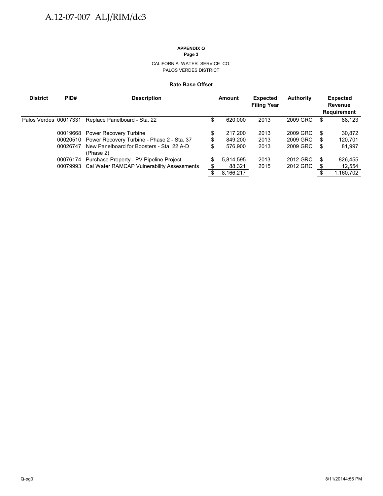# **APPENDIX Q**

**Page 3**

CALIFORNIA WATER SERVICE CO. PALOS VERDES DISTRICT

#### **Rate Base Offset**

| <b>District</b>       | PID#     | <b>Description</b>                                     |    | Amount    | <b>Expected</b><br><b>Filing Year</b> | <b>Authority</b> |     | <b>Expected</b><br>Revenue<br><b>Requirement</b> |
|-----------------------|----------|--------------------------------------------------------|----|-----------|---------------------------------------|------------------|-----|--------------------------------------------------|
| Palos Verdes 00017331 |          | Replace Panelboard - Sta. 22                           | D  | 620.000   | 2013                                  | 2009 GRC         | S   | 88,123                                           |
|                       |          | 00019668 Power Recovery Turbine                        | \$ | 217.200   | 2013                                  | 2009 GRC         | \$. | 30,872                                           |
|                       |          | 00020510 Power Recovery Turbine - Phase 2 - Sta. 37    | \$ | 849.200   | 2013                                  | 2009 GRC         | S   | 120,701                                          |
|                       | 00026747 | New Panelboard for Boosters - Sta. 22 A-D<br>(Phase 2) | \$ | 576.900   | 2013                                  | 2009 GRC         | S   | 81,997                                           |
|                       |          | 00076174 Purchase Property - PV Pipeline Project       | S  | 5.814.595 | 2013                                  | 2012 GRC         | \$  | 826,455                                          |
|                       | 00079993 | Cal Water RAMCAP Vulnerability Assessments             |    | 88,321    | 2015                                  | 2012 GRC         | S   | 12,554                                           |
|                       |          |                                                        |    | 8,166,217 |                                       |                  |     | 1,160,702                                        |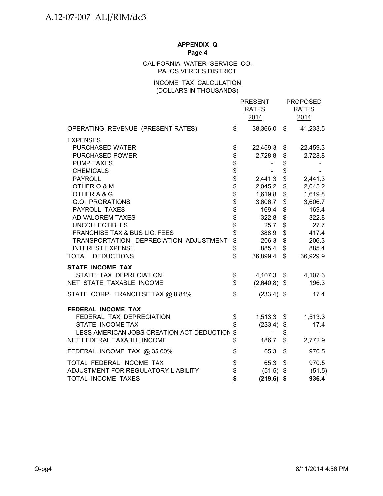## CALIFORNIA WATER SERVICE CO. PALOS VERDES DISTRICT

## INCOME TAX CALCULATION (DOLLARS IN THOUSANDS)

|                                              |                   | <b>PRESENT</b><br><b>RATES</b><br>2014 |          | <b>PROPOSED</b><br><b>RATES</b><br>2014 |
|----------------------------------------------|-------------------|----------------------------------------|----------|-----------------------------------------|
| OPERATING REVENUE (PRESENT RATES)            | \$                | 38,366.0                               | \$       | 41,233.5                                |
| <b>EXPENSES</b>                              |                   |                                        |          |                                         |
| PURCHASED WATER                              | \$                | 22,459.3 \$                            |          | 22,459.3                                |
| PURCHASED POWER                              | \$                | 2,728.8                                | \$       | 2,728.8                                 |
| <b>PUMP TAXES</b>                            |                   |                                        | \$       |                                         |
| <b>CHEMICALS</b>                             |                   |                                        | \$       |                                         |
| <b>PAYROLL</b>                               |                   | 2,441.3                                | $\,$     | 2,441.3                                 |
| OTHER O & M<br>OTHER A & G                   | <b>8888888888</b> | 2,045.2<br>1,619.8                     | \$<br>\$ | 2,045.2<br>1,619.8                      |
| G.O. PRORATIONS                              |                   | 3,606.7                                | \$       | 3,606.7                                 |
| PAYROLL TAXES                                |                   | 169.4                                  | \$       | 169.4                                   |
| AD VALOREM TAXES                             |                   | 322.8                                  | \$       | 322.8                                   |
| <b>UNCOLLECTIBLES</b>                        |                   | 25.7                                   | \$       | 27.7                                    |
| <b>FRANCHISE TAX &amp; BUS LIC. FEES</b>     |                   | 388.9                                  | \$       | 417.4                                   |
| TRANSPORTATION DEPRECIATION ADJUSTMENT       | \$                | 206.3                                  | \$       | 206.3                                   |
| <b>INTEREST EXPENSE</b>                      | \$                | 885.4                                  | \$       | 885.4                                   |
| TOTAL DEDUCTIONS                             | \$                | 36,899.4                               | \$       | 36,929.9                                |
| <b>STATE INCOME TAX</b>                      |                   |                                        |          |                                         |
| STATE TAX DEPRECIATION                       | \$                | 4,107.3 \$                             |          | 4,107.3                                 |
| NET STATE TAXABLE INCOME                     | \$                | $(2,640.8)$ \$                         |          | 196.3                                   |
| STATE CORP. FRANCHISE TAX @ 8.84%            | \$                | $(233.4)$ \$                           |          | 17.4                                    |
| FEDERAL INCOME TAX                           |                   |                                        |          |                                         |
| FEDERAL TAX DEPRECIATION                     | \$                | $1,513.3$ \$                           |          | 1,513.3                                 |
| STATE INCOME TAX                             | \$                | $(233.4)$ \$                           |          | 17.4                                    |
| LESS AMERICAN JOBS CREATION ACT DEDUCTION \$ |                   |                                        | \$       |                                         |
| NET FEDERAL TAXABLE INCOME                   | \$                | 186.7                                  | \$       | 2,772.9                                 |
| FEDERAL INCOME TAX @ 35.00%                  | \$                | 65.3                                   | \$       | 970.5                                   |
| TOTAL FEDERAL INCOME TAX                     | \$                | 65.3                                   | \$       | 970.5                                   |
| ADJUSTMENT FOR REGULATORY LIABILITY          | \$                | $(51.5)$ \$                            |          | (51.5)                                  |
| TOTAL INCOME TAXES                           | \$                | $(219.6)$ \$                           |          | 936.4                                   |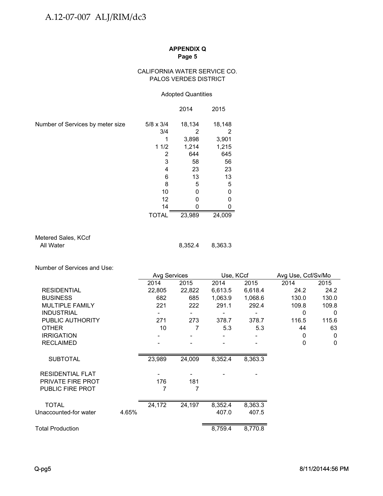### CALIFORNIA WATER SERVICE CO. PALOS VERDES DISTRICT

### Adopted Quantities

|                                  |                  | 2014   | 2015   |
|----------------------------------|------------------|--------|--------|
| Number of Services by meter size | $5/8 \times 3/4$ | 18,134 | 18,148 |
|                                  | 3/4              | 2      | 2      |
|                                  |                  | 3,898  | 3,901  |
|                                  | 11/2             | 1,214  | 1,215  |
|                                  | 2                | 644    | 645    |
|                                  | 3                | 58     | 56     |
|                                  | 4                | 23     | 23     |
|                                  | 6                | 13     | 13     |
|                                  | 8                | 5      | 5      |
|                                  | 10               | 0      | O      |
|                                  | 12               | 0      | O      |
|                                  | 14               |        | n      |
|                                  | <b>TOTAL</b>     | 23,989 | 24,009 |

Metered Sales, KCcf<br>All Water

8,352.4 8,363.3

Number of Services and Use:

|                          |       | Avg Services |                          | Use, KCcf |         | Avg Use, Ccf/Sv/Mo |              |
|--------------------------|-------|--------------|--------------------------|-----------|---------|--------------------|--------------|
|                          |       | 2014         | 2015                     | 2014      | 2015    | 2014               | 2015         |
| <b>RESIDENTIAL</b>       |       | 22,805       | 22,822                   | 6,613.5   | 6,618.4 | 24.2               | 24.2         |
| <b>BUSINESS</b>          |       | 682          | 685                      | 1,063.9   | 1,068.6 | 130.0              | 130.0        |
| <b>MULTIPLE FAMILY</b>   |       | 221          | 222                      | 291.1     | 292.4   | 109.8              | 109.8        |
| <b>INDUSTRIAL</b>        |       |              | $\overline{\phantom{0}}$ |           |         | 0                  | $\mathbf{0}$ |
| PUBLIC AUTHORITY         |       | 271          | 273                      | 378.7     | 378.7   | 116.5              | 115.6        |
| <b>OTHER</b>             |       | 10           |                          | 5.3       | 5.3     | 44                 | 63           |
| <b>IRRIGATION</b>        |       | -            | -                        | -         | -       | 0                  | $\mathbf{0}$ |
| <b>RECLAIMED</b>         |       |              |                          |           |         | 0                  | $\mathbf{0}$ |
| <b>SUBTOTAL</b>          |       | 23,989       | 24,009                   | 8,352.4   | 8,363.3 |                    |              |
| <b>RESIDENTIAL FLAT</b>  |       |              |                          |           |         |                    |              |
| <b>PRIVATE FIRE PROT</b> |       | 176          | 181                      |           |         |                    |              |
| PUBLIC FIRE PROT         |       | 7            | 7                        |           |         |                    |              |
| <b>TOTAL</b>             |       | 24,172       | 24,197                   | 8,352.4   | 8,363.3 |                    |              |
| Unaccounted-for water    | 4.65% |              |                          | 407.0     | 407.5   |                    |              |
| <b>Total Production</b>  |       |              |                          | 8,759.4   | 8,770.8 |                    |              |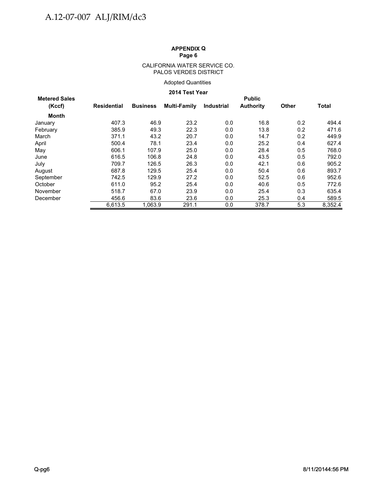#### CALIFORNIA WATER SERVICE CO. PALOS VERDES DISTRICT

## Adopted Quantities

## **2014 Test Year**

| <b>Metered Sales</b> |                    | <b>Public</b>   |              |                   |                  |              |              |  |  |  |  |  |
|----------------------|--------------------|-----------------|--------------|-------------------|------------------|--------------|--------------|--|--|--|--|--|
| (Kccf)               | <b>Residential</b> | <b>Business</b> | Multi-Family | <b>Industrial</b> | <b>Authority</b> | <b>Other</b> | <b>Total</b> |  |  |  |  |  |
| <b>Month</b>         |                    |                 |              |                   |                  |              |              |  |  |  |  |  |
| January              | 407.3              | 46.9            | 23.2         | 0.0               | 16.8             | 0.2          | 494.4        |  |  |  |  |  |
| February             | 385.9              | 49.3            | 22.3         | 0.0               | 13.8             | 0.2          | 471.6        |  |  |  |  |  |
| March                | 371.1              | 43.2            | 20.7         | 0.0               | 14.7             | 0.2          | 449.9        |  |  |  |  |  |
| April                | 500.4              | 78.1            | 23.4         | 0.0               | 25.2             | 0.4          | 627.4        |  |  |  |  |  |
| May                  | 606.1              | 107.9           | 25.0         | 0.0               | 28.4             | 0.5          | 768.0        |  |  |  |  |  |
| June                 | 616.5              | 106.8           | 24.8         | 0.0               | 43.5             | 0.5          | 792.0        |  |  |  |  |  |
| July                 | 709.7              | 126.5           | 26.3         | 0.0               | 42.1             | 0.6          | 905.2        |  |  |  |  |  |
| August               | 687.8              | 129.5           | 25.4         | 0.0               | 50.4             | 0.6          | 893.7        |  |  |  |  |  |
| September            | 742.5              | 129.9           | 27.2         | 0.0               | 52.5             | 0.6          | 952.6        |  |  |  |  |  |
| October              | 611.0              | 95.2            | 25.4         | 0.0               | 40.6             | 0.5          | 772.6        |  |  |  |  |  |
| November             | 518.7              | 67.0            | 23.9         | 0.0               | 25.4             | 0.3          | 635.4        |  |  |  |  |  |
| December             | 456.6              | 83.6            | 23.6         | 0.0               | 25.3             | 0.4          | 589.5        |  |  |  |  |  |
|                      | 6.613.5            | 1.063.9         | 291.1        | 0.0               | 378.7            | 5.3          | 8,352.4      |  |  |  |  |  |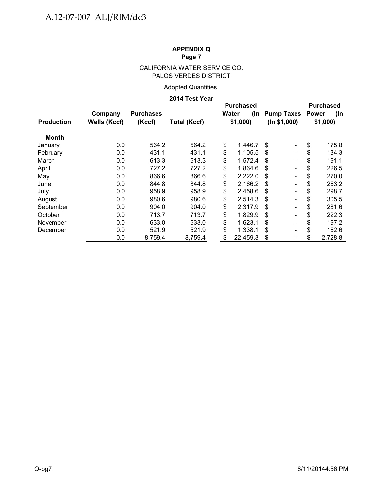# CALIFORNIA WATER SERVICE CO. PALOS VERDES DISTRICT

# Adopted Quantities

## **2014 Test Year**

|                   |                     |                  |                     | <b>Purchased</b> |              |                                 |               |  |
|-------------------|---------------------|------------------|---------------------|------------------|--------------|---------------------------------|---------------|--|
|                   | Company             | <b>Purchases</b> |                     |                  | Water<br>(In | <b>Pump Taxes Power</b>         | (In           |  |
| <b>Production</b> | <b>Wells (Kccf)</b> | (Kccf)           | <b>Total (Kccf)</b> |                  | \$1,000      | (ln \$1,000)                    | \$1,000       |  |
| Month             |                     |                  |                     |                  |              |                                 |               |  |
| January           | 0.0                 | 564.2            | 564.2               | \$               | 1,446.7      | \$.<br>$\overline{\phantom{a}}$ | \$<br>175.8   |  |
| February          | 0.0                 | 431.1            | 431.1               | \$               | 1,105.5      | \$<br>$\overline{\phantom{0}}$  | \$<br>134.3   |  |
| March             | 0.0                 | 613.3            | 613.3               | \$               | 1,572.4      | \$.                             | \$<br>191.1   |  |
| April             | 0.0                 | 727.2            | 727.2               | \$               | 1,864.6      | \$<br>$\overline{\phantom{a}}$  | \$<br>226.5   |  |
| May               | 0.0                 | 866.6            | 866.6               | \$               | 2,222.0      | \$                              | \$<br>270.0   |  |
| June              | 0.0                 | 844.8            | 844.8               | \$               | 2,166.2      | \$                              | \$<br>263.2   |  |
| July              | 0.0                 | 958.9            | 958.9               | \$               | 2,458.6      | \$                              | \$<br>298.7   |  |
| August            | 0.0                 | 980.6            | 980.6               | \$               | 2,514.3      | \$                              | \$<br>305.5   |  |
| September         | 0.0                 | 904.0            | 904.0               | \$               | 2,317.9      | \$                              | \$<br>281.6   |  |
| October           | 0.0                 | 713.7            | 713.7               | \$               | 1,829.9      | \$                              | \$<br>222.3   |  |
| November          | 0.0                 | 633.0            | 633.0               | \$               | 1,623.1      | \$<br>$\overline{\phantom{a}}$  | \$<br>197.2   |  |
| December          | 0.0                 | 521.9            | 521.9               | \$               | 1,338.1      | \$<br>$\overline{\phantom{a}}$  | 162.6<br>\$   |  |
|                   | 0.0                 | 8,759.4          | 8,759.4             | \$               | 22,459.3     | \$<br>$\overline{\phantom{a}}$  | \$<br>2,728.8 |  |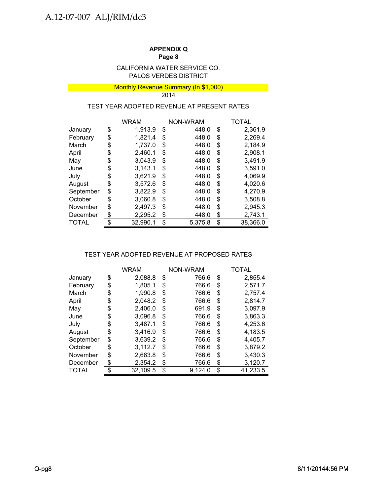## PALOS VERDES DISTRICT CALIFORNIA WATER SERVICE CO.

#### **Monthly Revenue Summary (In \$1,000) Monthly Revenue Summary (In \$1,000)** 2014

## TEST YEAR ADOPTED REVENUE AT PRESENT RATES

|           | <b>WRAM</b>    | NON-WRAM |         | TOTAL          |
|-----------|----------------|----------|---------|----------------|
| January   | \$<br>1,913.9  | \$       | 448.0   | \$<br>2,361.9  |
| February  | \$<br>1,821.4  | \$       | 448.0   | \$<br>2,269.4  |
| March     | \$<br>1,737.0  | \$       | 448.0   | \$<br>2,184.9  |
| April     | \$<br>2,460.1  | \$       | 448.0   | \$<br>2,908.1  |
| May       | \$<br>3,043.9  | S        | 448.0   | \$<br>3,491.9  |
| June      | \$<br>3,143.1  | \$       | 448.0   | \$<br>3,591.0  |
| July      | \$<br>3,621.9  | \$       | 448.0   | \$<br>4,069.9  |
| August    | \$<br>3,572.6  | \$       | 448.0   | \$<br>4,020.6  |
| September | \$<br>3.822.9  | \$       | 448.0   | \$<br>4,270.9  |
| October   | \$<br>3,060.8  | \$       | 448.0   | \$<br>3,508.8  |
| November  | \$<br>2,497.3  | \$       | 448.0   | \$<br>2,945.3  |
| December  | \$<br>2,295.2  | \$       | 448.0   | \$<br>2,743.1  |
| TOTAL     | \$<br>32.990.1 | \$       | 5,375.8 | \$<br>38,366.0 |

# TEST YEAR ADOPTED REVENUE AT PROPOSED RATES

|              | <b>WRAM</b>   |    | NON-WRAM | TOTAL |          |  |
|--------------|---------------|----|----------|-------|----------|--|
| January      | \$<br>2,088.8 | \$ | 766.6    | \$    | 2,855.4  |  |
| February     | \$<br>1,805.1 | \$ | 766.6    | \$    | 2,571.7  |  |
| March        | \$<br>1,990.8 | \$ | 766.6    | \$    | 2.757.4  |  |
| April        | \$<br>2,048.2 | S  | 766.6    | \$    | 2,814.7  |  |
| May          | \$<br>2,406.0 | \$ | 691.9    | \$    | 3,097.9  |  |
| June         | \$<br>3,096.8 | \$ | 766.6    | \$    | 3,863.3  |  |
| July         | \$<br>3,487.1 | \$ | 766.6    | \$    | 4,253.6  |  |
| August       | \$<br>3,416.9 | \$ | 766.6    | \$    | 4,183.5  |  |
| September    | \$<br>3,639.2 | \$ | 766.6    | \$    | 4,405.7  |  |
| October      | \$<br>3,112.7 | S  | 766.6    | \$    | 3,879.2  |  |
| November     | \$<br>2,663.8 | \$ | 766.6    | \$    | 3,430.3  |  |
| December     | \$<br>2,354.2 | \$ | 766.6    | \$    | 3,120.7  |  |
| <b>TOTAL</b> | 32,109.5      | \$ | 9.124.0  | \$    | 41,233.5 |  |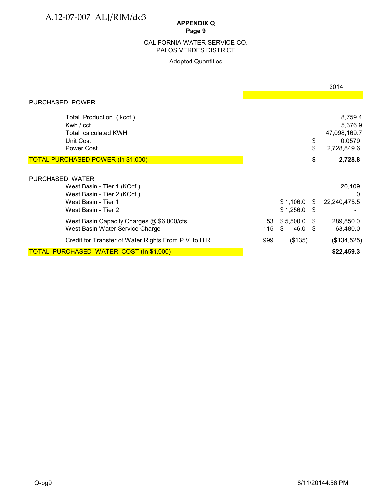# **APPENDIX Q**

# **Page 9**

## PALOS VERDES DISTRICT CALIFORNIA WATER SERVICE CO.

## Adopted Quantities

|                                                                                                                             |           |                            |              | 2014                                                        |
|-----------------------------------------------------------------------------------------------------------------------------|-----------|----------------------------|--------------|-------------------------------------------------------------|
| PURCHASED POWER                                                                                                             |           |                            |              |                                                             |
| Total Production (kccf)<br>Kwh $/$ ccf<br><b>Total calculated KWH</b><br>Unit Cost<br>Power Cost                            |           |                            | \$<br>\$     | 8,759.4<br>5,376.9<br>47,098,169.7<br>0.0579<br>2,728,849.6 |
| TOTAL PURCHASED POWER (In \$1,000)                                                                                          |           |                            | \$           | 2,728.8                                                     |
| PURCHASED WATER<br>West Basin - Tier 1 (KCcf.)<br>West Basin - Tier 2 (KCcf.)<br>West Basin - Tier 1<br>West Basin - Tier 2 |           | $$1,106.0$ \$<br>\$1,256.0 | - \$         | 20,109<br><sup>0</sup><br>22,240,475.5                      |
| West Basin Capacity Charges @ \$6,000/cfs<br>West Basin Water Service Charge                                                | 53<br>115 | \$5,500.0<br>46.0<br>\$    | - \$<br>- \$ | 289,850.0<br>63,480.0                                       |
| Credit for Transfer of Water Rights From P.V. to H.R.                                                                       | 999       | (\$135)                    |              | (\$134,525)                                                 |
| <b>TOTAL PURCHASED WATER COST (In \$1,000)</b>                                                                              |           |                            |              | \$22,459.3                                                  |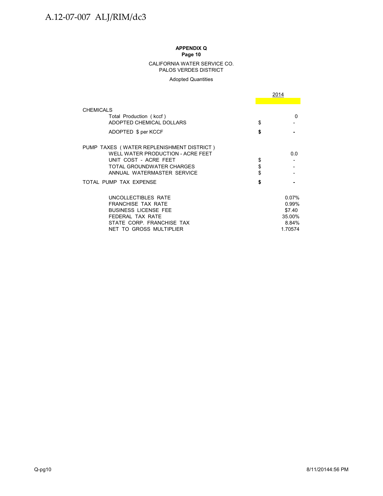#### CALIFORNIA WATER SERVICE CO. PALOS VERDES DISTRICT

#### Adopted Quantities

|                                           | 2014    |
|-------------------------------------------|---------|
|                                           |         |
| <b>CHEMICALS</b>                          |         |
| Total Production (kccf)                   | O       |
| ADOPTED CHEMICAL DOLLARS                  | \$      |
| ADOPTED \$ per KCCF                       | \$      |
| PUMP TAXES (WATER REPLENISHMENT DISTRICT) |         |
| WELL WATER PRODUCTION - ACRE FEET         | 0.0     |
| UNIT COST - ACRE FEET                     | \$      |
| TOTAL GROUNDWATER CHARGES                 | \$      |
| ANNUAL WATERMASTER SERVICE                | \$      |
| TOTAL PUMP TAX EXPENSE                    | \$      |
| UNCOLLECTIBLES RATE                       | 0.07%   |
| <b>FRANCHISE TAX RATE</b>                 | 0.99%   |
| <b>BUSINESS LICENSE FEE</b>               | \$7.40  |
| FEDERAL TAX RATE                          | 35.00%  |
| STATE CORP. FRANCHISE TAX                 | 8.84%   |
| NET TO GROSS MULTIPLIER                   | 1.70574 |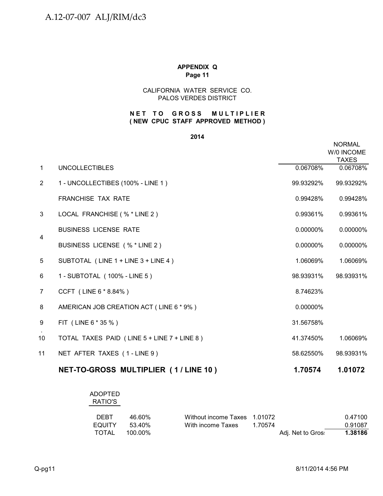## CALIFORNIA WATER SERVICE CO. PALOS VERDES DISTRICT

## **NET TO GROSS MULTIPLIER ( NEW CPUC STAFF APPROVED METHOD )**

### **2014**

|                |                                             |           | <b>NORMAL</b><br>W/0 INCOME<br><b>TAXES</b> |
|----------------|---------------------------------------------|-----------|---------------------------------------------|
| $\mathbf{1}$   | <b>UNCOLLECTIBLES</b>                       | 0.06708%  | 0.06708%                                    |
| $\overline{2}$ | 1 - UNCOLLECTIBES (100% - LINE 1)           | 99.93292% | 99.93292%                                   |
|                | <b>FRANCHISE TAX RATE</b>                   | 0.99428%  | 0.99428%                                    |
| 3              | LOCAL FRANCHISE (% * LINE 2)                | 0.99361%  | 0.99361%                                    |
| $\overline{4}$ | <b>BUSINESS LICENSE RATE</b>                | 0.00000%  | 0.00000%                                    |
|                | BUSINESS LICENSE (% * LINE 2)               | 0.00000%  | 0.00000%                                    |
| 5              | SUBTOTAL (LINE 1 + LINE 3 + LINE 4)         | 1.06069%  | 1.06069%                                    |
| 6              | 1 - SUBTOTAL (100% - LINE 5)                | 98.93931% | 98.93931%                                   |
| 7              | CCFT (LINE 6 * 8.84%)                       | 8.74623%  |                                             |
| 8              | AMERICAN JOB CREATION ACT (LINE 6 * 9%)     | 0.00000%  |                                             |
| 9              | FIT (LINE 6 * 35 %)                         | 31.56758% |                                             |
| 10             | TOTAL TAXES PAID (LINE 5 + LINE 7 + LINE 8) | 41.37450% | 1.06069%                                    |
| 11             | NET AFTER TAXES (1-LINE 9)                  | 58.62550% | 98.93931%                                   |
|                | NET-TO-GROSS MULTIPLIER (1/LINE 10)         | 1.70574   | 1.01072                                     |

# ADOPTED RATIO'S

| <b>DEBT</b> | 46.60%  | Without income Taxes 1.01072 |         |                   | 0.47100 |
|-------------|---------|------------------------------|---------|-------------------|---------|
| EQUITY      | .53.40% | With income Taxes            | 1 70574 |                   | 0.91087 |
| TOTAL       | 100.00% |                              |         | Adj. Net to Gros: | 1.38186 |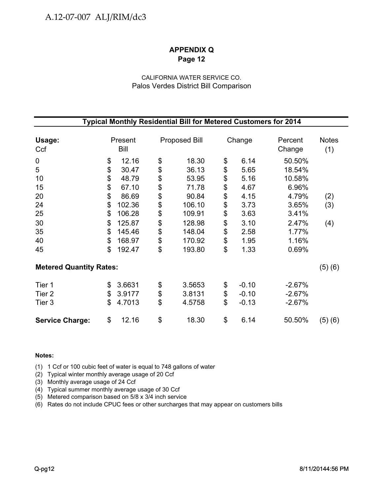# CALIFORNIA WATER SERVICE CO. Palos Verdes District Bill Comparison

|                                       |                                  |                                                     |                                  | Typical Monthly Residential Bill for Metered Customers for 2014 |                                  |                                              |                                                       |                     |
|---------------------------------------|----------------------------------|-----------------------------------------------------|----------------------------------|-----------------------------------------------------------------|----------------------------------|----------------------------------------------|-------------------------------------------------------|---------------------|
| Usage:<br>Ccf                         |                                  | Present<br>Bill                                     |                                  | <b>Proposed Bill</b>                                            |                                  | Change                                       | Percent<br>Change                                     | <b>Notes</b><br>(1) |
| $\mathbf 0$<br>5<br>10<br>15<br>20    | \$<br>\$<br>\$<br>\$<br>\$<br>\$ | 12.16<br>30.47<br>48.79<br>67.10<br>86.69<br>102.36 | \$<br>\$<br>\$<br>\$             | 18.30<br>36.13<br>53.95<br>71.78<br>90.84<br>106.10             | \$<br>\$<br>\$<br>\$<br>\$       | 6.14<br>5.65<br>5.16<br>4.67<br>4.15<br>3.73 | 50.50%<br>18.54%<br>10.58%<br>6.96%<br>4.79%<br>3.65% | (2)                 |
| 24<br>25<br>30<br>35<br>40<br>45      | \$<br>\$<br>\$<br>\$<br>\$       | 106.28<br>125.87<br>145.46<br>168.97<br>192.47      | \$<br>\$<br>\$<br>\$<br>\$<br>\$ | 109.91<br>128.98<br>148.04<br>170.92<br>193.80                  | \$<br>\$<br>\$<br>\$<br>\$<br>\$ | 3.63<br>3.10<br>2.58<br>1.95<br>1.33         | 3.41%<br>2.47%<br>1.77%<br>1.16%<br>0.69%             | (3)<br>(4)          |
| <b>Metered Quantity Rates:</b>        |                                  |                                                     |                                  |                                                                 |                                  |                                              |                                                       | (5)(6)              |
| Tier 1<br>Tier <sub>2</sub><br>Tier 3 | \$<br>\$<br>\$                   | 3.6631<br>3.9177<br>4.7013                          | \$<br>\$<br>\$                   | 3.5653<br>3.8131<br>4.5758                                      | \$<br>\$<br>\$                   | $-0.10$<br>$-0.10$<br>$-0.13$                | $-2.67%$<br>$-2.67%$<br>$-2.67%$                      |                     |
| <b>Service Charge:</b>                | \$                               | 12.16                                               | \$                               | 18.30                                                           | \$                               | 6.14                                         | 50.50%                                                | (5)(6)              |

## **Notes:**

(1) 1 Ccf or 100 cubic feet of water is equal to 748 gallons of water

(2) Typical winter monthly average usage of 20 Ccf

(3) Monthly average usage of 24 Ccf

(4) Typical summer monthly average usage of 30 Ccf

(5) Metered comparison based on 5/8 x 3/4 inch service

(6) Rates do not include CPUC fees or other surcharges that may appear on customers bills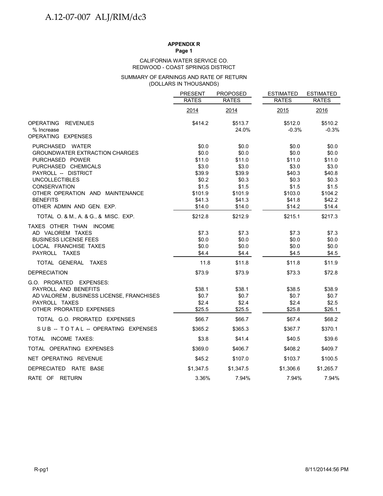#### REDWOOD - COAST SPRINGS DISTRICT CALIFORNIA WATER SERVICE CO.

#### (DOLLARS IN THOUSANDS) SUMMARY OF EARNINGS AND RATE OF RETURN

|                                                    | <b>PRESENT</b>   | <b>PROPOSED</b>  | <b>ESTIMATED</b>   | <b>ESTIMATED</b>   |
|----------------------------------------------------|------------------|------------------|--------------------|--------------------|
|                                                    | <b>RATES</b>     | <b>RATES</b>     | <b>RATES</b>       | <b>RATES</b>       |
|                                                    | 2014             | 2014             | 2015               | 2016               |
| <b>OPERATING</b><br><b>REVENUES</b><br>% Increase  | \$414.2          | \$513.7<br>24.0% | \$512.0<br>$-0.3%$ | \$510.2<br>$-0.3%$ |
| OPERATING EXPENSES                                 |                  |                  |                    |                    |
| PURCHASED WATER                                    | \$0.0            | \$0.0            | \$0.0              | \$0.0              |
| <b>GROUNDWATER EXTRACTION CHARGES</b>              | \$0.0            | \$0.0            | \$0.0              | \$0.0              |
| PURCHASED POWER                                    | \$11.0           | \$11.0           | \$11.0             | \$11.0             |
| PURCHASED CHEMICALS                                | \$3.0            | \$3.0            | \$3.0              | \$3.0              |
| PAYROLL -- DISTRICT                                | \$39.9           | \$39.9           | \$40.3             | \$40.8             |
| <b>UNCOLLECTIBLES</b>                              | \$0.2            | \$0.3            | \$0.3              | \$0.3              |
| <b>CONSERVATION</b>                                | \$1.5            | \$1.5            | \$1.5              | \$1.5              |
| OTHER OPERATION AND MAINTENANCE<br><b>BENEFITS</b> | \$101.9          | \$101.9          | \$103.0            | \$104.2            |
| OTHER ADMIN AND GEN. EXP.                          | \$41.3<br>\$14.0 | \$41.3<br>\$14.0 | \$41.8<br>\$14.2   | \$42.2<br>\$14.4   |
| TOTAL O. & M., A. & G., & MISC. EXP.               | \$212.8          | \$212.9          | \$215.1            | \$217.3            |
|                                                    |                  |                  |                    |                    |
| TAXES OTHER THAN INCOME<br>AD VALOREM TAXES        | \$7.3            | \$7.3            | \$7.3              | \$7.3              |
| <b>BUSINESS LICENSE FEES</b>                       | \$0.0            | \$0.0            | \$0.0              | \$0.0\$            |
| LOCAL FRANCHISE TAXES                              | \$0.0            | \$0.0            | \$0.0              | \$0.0              |
| PAYROLL TAXES                                      | \$4.4            | \$4.4            | \$4.5              | \$4.5              |
| TOTAL GENERAL TAXES                                | 11.8             | \$11.8           | \$11.8             | \$11.9             |
|                                                    |                  |                  |                    |                    |
| <b>DEPRECIATION</b>                                | \$73.9           | \$73.9           | \$73.3             | \$72.8             |
| G.O. PRORATED EXPENSES:<br>PAYROLL AND BENEFITS    | \$38.1           | \$38.1           | \$38.5             | \$38.9             |
| AD VALOREM, BUSINESS LICENSE, FRANCHISES           | \$0.7            | \$0.7            | \$0.7              | \$0.7              |
| PAYROLL TAXES                                      | \$2.4            | \$2.4            | \$2.4              | \$2.5              |
| OTHER PRORATED EXPENSES                            | \$25.5           | \$25.5           | \$25.8             | \$26.1             |
| TOTAL G.O. PRORATED EXPENSES                       | \$66.7           | \$66.7           | \$67.4             | \$68.2             |
| SUB -- TOTAL -- OPERATING EXPENSES                 | \$365.2          | \$365.3          | \$367.7            | \$370.1            |
| TOTAL INCOME TAXES:                                | \$3.8            | \$41.4           | \$40.5             | \$39.6             |
| TOTAL OPERATING EXPENSES                           | \$369.0          | \$406.7          | \$408.2            | \$409.7            |
| NET OPERATING REVENUE                              | \$45.2           | \$107.0          | \$103.7            | \$100.5            |
| DEPRECIATED RATE BASE                              | \$1,347.5        | \$1,347.5        | \$1,306.6          | \$1,265.7          |
| RATE OF RETURN                                     | 3.36%            | 7.94%            | 7.94%              | 7.94%              |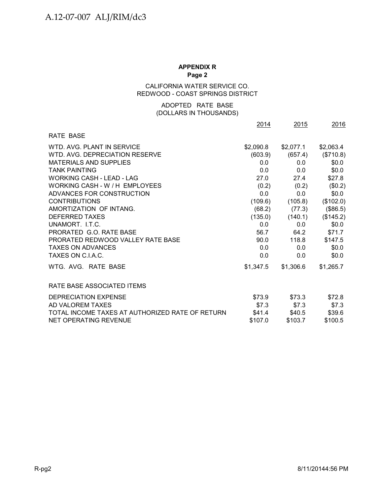## CALIFORNIA WATER SERVICE CO. REDWOOD - COAST SPRINGS DISTRICT

## (DOLLARS IN THOUSANDS) ADOPTED RATE BASE

|                                                 | 2014      | 2015      | 2016      |
|-------------------------------------------------|-----------|-----------|-----------|
| <b>RATE BASE</b>                                |           |           |           |
| WTD. AVG. PLANT IN SERVICE                      | \$2,090.8 | \$2,077.1 | \$2,063.4 |
| WTD, AVG, DEPRECIATION RESERVE                  | (603.9)   | (657.4)   | (\$710.8) |
| <b>MATERIALS AND SUPPLIES</b>                   | 0.0       | 0.0       | \$0.0     |
| <b>TANK PAINTING</b>                            | 0.0       | 0.0       | \$0.0\$   |
| <b>WORKING CASH - LEAD - LAG</b>                | 27.0      | 27.4      | \$27.8    |
| WORKING CASH - W / H EMPLOYEES                  | (0.2)     | (0.2)     | (\$0.2)   |
| ADVANCES FOR CONSTRUCTION                       | 0.0       | 0.0       | \$0.0\$   |
| <b>CONTRIBUTIONS</b>                            | (109.6)   | (105.8)   | (\$102.0) |
| AMORTIZATION OF INTANG.                         | (68.2)    | (77.3)    | (\$86.5)  |
| <b>DEFERRED TAXES</b>                           | (135.0)   | (140.1)   | (\$145.2) |
| UNAMORT. I.T.C.                                 | 0.0       | 0.0       | \$0.0\$   |
| PRORATED G.O. RATE BASE                         | 56.7      | 64.2      | \$71.7    |
| PRORATED REDWOOD VALLEY RATE BASE               | 90.0      | 118.8     | \$147.5   |
| <b>TAXES ON ADVANCES</b>                        | 0.0       | 0.0       | \$0.0     |
| TAXES ON C.LA.C.                                | 0.0       | 0.0       | \$0.0\$   |
| WTG. AVG. RATE BASE                             | \$1,347.5 | \$1,306.6 | \$1,265.7 |
| RATE BASE ASSOCIATED ITEMS                      |           |           |           |
| DEPRECIATION EXPENSE                            | \$73.9    | \$73.3    | \$72.8    |
| AD VALOREM TAXES                                | \$7.3     | \$7.3     | \$7.3     |
| TOTAL INCOME TAXES AT AUTHORIZED RATE OF RETURN | \$41.4    | \$40.5    | \$39.6    |
| <b>NET OPERATING REVENUE</b>                    | \$107.0   | \$103.7   | \$100.5   |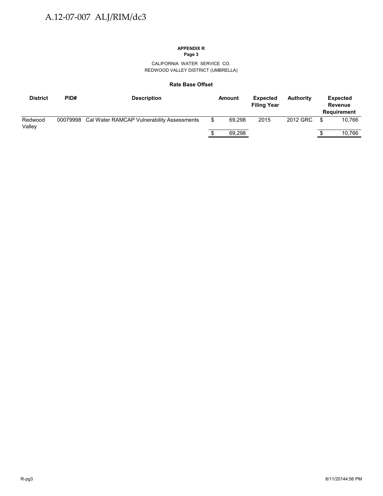CALIFORNIA WATER SERVICE CO. REDWOOD VALLEY DISTRICT (UMBRELLA)

#### **Rate Base Offset**

| <b>District</b>   | PID#     | <b>Description</b>                         |   | Amount | <b>Expected</b><br><b>Filing Year</b> | <b>Authority</b> |      | <b>Expected</b><br><b>Revenue</b><br><b>Requirement</b> |
|-------------------|----------|--------------------------------------------|---|--------|---------------------------------------|------------------|------|---------------------------------------------------------|
| Redwood<br>Valley | 00079998 | Cal Water RAMCAP Vulnerability Assessments | S | 69.298 | 2015                                  | 2012 GRC         | - \$ | 10.766                                                  |
|                   |          |                                            |   | 69,298 |                                       |                  |      | 10,766                                                  |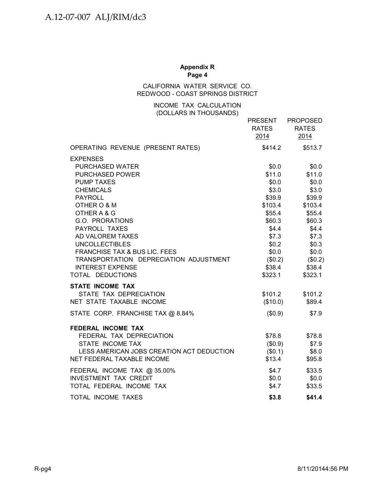#### **Appendix R Page 4**

## CALIFORNIA WATER SERVICE CO. REDWOOD - COAST SPRINGS DISTRICT

## INCOME TAX CALCULATION (DOLLARS IN THOUSANDS)

|                                           | <b>PRESENT</b><br>RATES<br>2014 | <b>PROPOSED</b><br><b>RATES</b><br>2014 |
|-------------------------------------------|---------------------------------|-----------------------------------------|
| OPERATING REVENUE (PRESENT RATES)         | \$414.2                         | \$513.7                                 |
| <b>EXPENSES</b>                           |                                 |                                         |
| <b>PURCHASED WATER</b>                    | \$0.0                           | \$0.0                                   |
| <b>PURCHASED POWER</b>                    | \$11.0                          | \$11.0                                  |
| <b>PUMP TAXES</b>                         | \$0.0                           | \$0.0                                   |
| <b>CHEMICALS</b>                          | \$3.0                           | \$3.0                                   |
| <b>PAYROLL</b>                            | \$39.9                          | \$39.9                                  |
| OTHER O & M                               | \$103.4                         | \$103.4                                 |
| OTHER A & G                               | \$55.4                          | \$55.4                                  |
| G.O. PRORATIONS                           | \$60.3                          | \$60.3                                  |
| <b>PAYROLL TAXES</b>                      | \$4.4                           | \$4.4                                   |
| AD VALOREM TAXES                          | \$7.3                           | \$7.3                                   |
| <b>UNCOLLECTIBLES</b>                     | \$0.2\$                         | \$0.3                                   |
| <b>FRANCHISE TAX &amp; BUS LIC. FEES</b>  | \$0.0\$                         | \$0.0                                   |
| TRANSPORTATION DEPRECIATION ADJUSTMENT    | $(\$0.2)$                       | (\$0.2)                                 |
| <b>INTEREST EXPENSE</b>                   | \$38.4                          | \$38.4                                  |
| TOTAL DEDUCTIONS                          | \$323.1                         | \$323.1                                 |
| <b>STATE INCOME TAX</b>                   |                                 |                                         |
| STATE TAX DEPRECIATION                    | \$101.2                         | \$101.2                                 |
| NET STATE TAXABLE INCOME                  | (\$10.0)                        | \$89.4                                  |
| STATE CORP. FRANCHISE TAX @ 8.84%         | (\$0.9)                         | \$7.9                                   |
| FEDERAL INCOME TAX                        |                                 |                                         |
| FEDERAL TAX DEPRECIATION                  | \$78.8                          | \$78.8                                  |
| STATE INCOME TAX                          | (\$0.9)                         | \$7.9                                   |
| LESS AMERICAN JOBS CREATION ACT DEDUCTION | (\$0.1)                         | \$8.0                                   |
| NET FEDERAL TAXABLE INCOME                | \$13.4                          | \$95.8                                  |
| FEDERAL INCOME TAX @ 35.00%               | \$4.7                           | \$33.5                                  |
| <b>INVESTMENT TAX CREDIT</b>              | \$0.0\$                         | \$0.0                                   |
| TOTAL FEDERAL INCOME TAX                  | \$4.7                           | \$33.5                                  |
| TOTAL INCOME TAXES                        | \$3.8                           | \$41.4                                  |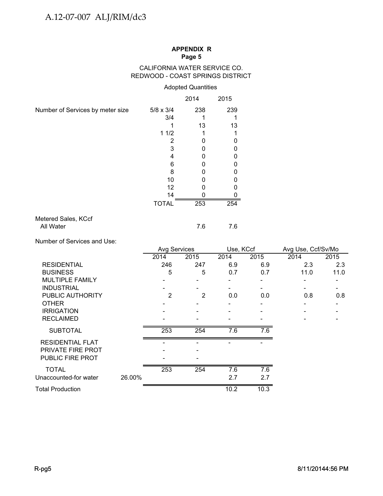## CALIFORNIA WATER SERVICE CO. REDWOOD - COAST SPRINGS DISTRICT

# Adopted Quantities

|                                  |                  | 2014 | 2015 |
|----------------------------------|------------------|------|------|
| Number of Services by meter size | $5/8 \times 3/4$ | 238  | 239  |
|                                  | 3/4              |      |      |
|                                  |                  | 13   | 13   |
|                                  | 11/2             |      |      |
|                                  | 2                |      | 0    |
|                                  | 3                |      | O    |
|                                  | 4                |      | O    |
|                                  | 6                |      | O    |
|                                  | 8                |      | O    |
|                                  | 10               |      |      |
|                                  | 12               |      |      |
|                                  | 14               |      |      |
|                                  | <b>TOTAL</b>     | 253  | 254  |
| Metered Sales, KCcf              |                  |      |      |

## Metered Sales, KCcf All Water 7.6 7.6 7.6

Number of Services and Use:

|                         |        | Avg Services |      | Use, KCcf |      | Avg Use, Ccf/Sv/Mo |      |
|-------------------------|--------|--------------|------|-----------|------|--------------------|------|
|                         |        | 2014         | 2015 | 2014      | 2015 | 2014               | 2015 |
| <b>RESIDENTIAL</b>      |        | 246          | 247  | 6.9       | 6.9  | 2.3                | 2.3  |
| <b>BUSINESS</b>         |        | 5            | 5    | 0.7       | 0.7  | 11.0               | 11.0 |
| <b>MULTIPLE FAMILY</b>  |        |              |      |           |      |                    |      |
| <b>INDUSTRIAL</b>       |        |              |      |           |      |                    |      |
| PUBLIC AUTHORITY        |        | 2            | 2    | 0.0       | 0.0  | 0.8                | 0.8  |
| <b>OTHER</b>            |        |              |      |           |      |                    |      |
| <b>IRRIGATION</b>       |        |              |      |           |      |                    |      |
| <b>RECLAIMED</b>        |        |              |      |           |      |                    |      |
| <b>SUBTOTAL</b>         |        | 253          | 254  | 7.6       | 7.6  |                    |      |
| RESIDENTIAL FLAT        |        |              |      |           |      |                    |      |
| PRIVATE FIRE PROT       |        |              |      |           |      |                    |      |
| <b>PUBLIC FIRE PROT</b> |        |              |      |           |      |                    |      |
| <b>TOTAL</b>            |        | 253          | 254  | 7.6       | 7.6  |                    |      |
| Unaccounted-for water   | 26.00% |              |      | 2.7       | 2.7  |                    |      |
| <b>Total Production</b> |        |              |      | 10.2      | 10.3 |                    |      |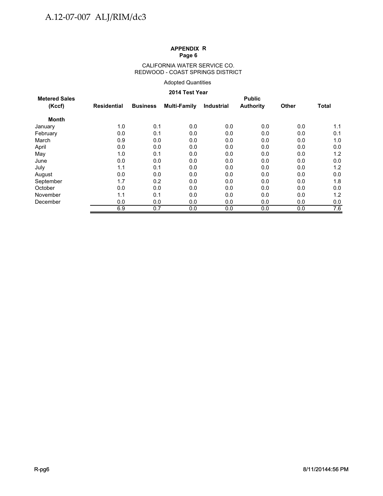#### CALIFORNIA WATER SERVICE CO. REDWOOD - COAST SPRINGS DISTRICT

## Adopted Quantities

## **2014 Test Year**

| <b>Metered Sales</b> |             |                 |                     |                   | <b>Public</b>    |              |              |
|----------------------|-------------|-----------------|---------------------|-------------------|------------------|--------------|--------------|
| (Kccf)               | Residential | <b>Business</b> | <b>Multi-Family</b> | <b>Industrial</b> | <b>Authority</b> | <b>Other</b> | <b>Total</b> |
| Month                |             |                 |                     |                   |                  |              |              |
| January              | 1.0         | 0.1             | 0.0                 | 0.0               | 0.0              | 0.0          | 1.1          |
| February             | 0.0         | 0.1             | 0.0                 | 0.0               | 0.0              | 0.0          | 0.1          |
| March                | 0.9         | 0.0             | 0.0                 | 0.0               | 0.0              | 0.0          | 1.0          |
| April                | 0.0         | 0.0             | 0.0                 | 0.0               | 0.0              | 0.0          | 0.0          |
| May                  | 1.0         | 0.1             | 0.0                 | 0.0               | 0.0              | 0.0          | 1.2          |
| June                 | 0.0         | 0.0             | 0.0                 | 0.0               | 0.0              | 0.0          | 0.0          |
| July                 | 1.1         | 0.1             | 0.0                 | 0.0               | 0.0              | 0.0          | 1.2          |
| August               | 0.0         | 0.0             | 0.0                 | 0.0               | 0.0              | 0.0          | 0.0          |
| September            | 1.7         | 0.2             | 0.0                 | 0.0               | 0.0              | 0.0          | 1.8          |
| October              | 0.0         | 0.0             | 0.0                 | 0.0               | 0.0              | 0.0          | 0.0          |
| November             | 1.1         | 0.1             | 0.0                 | 0.0               | 0.0              | 0.0          | 1.2          |
| December             | 0.0         | 0.0             | 0.0                 | 0.0               | 0.0              | 0.0          | 0.0          |
|                      | 6.9         | 0.7             | 0.0                 | 0.0               | 0.0              | 0.0          | 7.6          |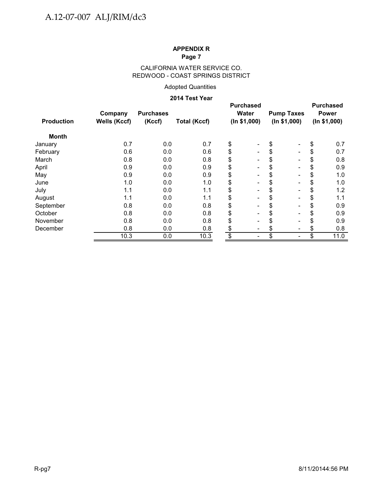## CALIFORNIA WATER SERVICE CO. REDWOOD - COAST SPRINGS DISTRICT

## Adopted Quantities

## **2014 Test Year**

| <b>Production</b> | Company<br><b>Wells (Kccf)</b> | <b>Purchases</b><br>(Kccf) | <b>Total (Kccf)</b> | <b>Purchased</b><br>Water<br>(ln \$1,000) | <b>Pump Taxes</b><br>(ln \$1,000) | <b>Purchased</b><br><b>Power</b><br>(ln \$1,000) |
|-------------------|--------------------------------|----------------------------|---------------------|-------------------------------------------|-----------------------------------|--------------------------------------------------|
| <b>Month</b>      |                                |                            |                     |                                           |                                   |                                                  |
| January           | 0.7                            | 0.0                        | 0.7                 | \$<br>$\overline{\phantom{a}}$            | \$                                | \$<br>0.7                                        |
| February          | 0.6                            | 0.0                        | 0.6                 | \$<br>$\overline{\phantom{a}}$            | \$<br>$\blacksquare$              | \$<br>0.7                                        |
| March             | 0.8                            | 0.0                        | 0.8                 | \$<br>$\blacksquare$                      | \$<br>۰                           | \$<br>0.8                                        |
| April             | 0.9                            | 0.0                        | 0.9                 | \$<br>Ξ.                                  | \$                                | \$<br>0.9                                        |
| May               | 0.9                            | 0.0                        | 0.9                 | \$<br>Ξ.                                  | \$                                | \$<br>1.0                                        |
| June              | 1.0                            | 0.0                        | 1.0                 | \$<br>$\blacksquare$                      | \$<br>۰                           | \$<br>1.0                                        |
| July              | 1.1                            | 0.0                        | 1.1                 | \$<br>$\blacksquare$                      | \$<br>۰                           | \$<br>1.2                                        |
| August            | 1.1                            | 0.0                        | 1.1                 | \$<br>$\overline{\phantom{a}}$            | \$<br>۰                           | \$<br>1.1                                        |
| September         | 0.8                            | 0.0                        | 0.8                 | \$<br>Ξ.                                  | \$<br>۰                           | \$<br>0.9                                        |
| October           | 0.8                            | 0.0                        | 0.8                 | \$<br>Ξ.                                  | \$                                | \$<br>0.9                                        |
| November          | 0.8                            | 0.0                        | 0.8                 | \$                                        | \$                                | \$<br>0.9                                        |
| December          | 0.8                            | 0.0                        | 0.8                 | \$                                        | \$                                | \$<br>0.8                                        |
|                   | 10.3                           | 0.0                        | 10.3                | \$                                        | \$                                | \$<br>11.0                                       |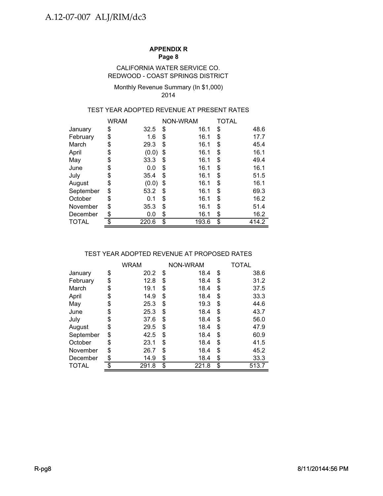## CALIFORNIA WATER SERVICE CO. REDWOOD - COAST SPRINGS DISTRICT

#### Monthly Revenue Summary (In \$1,000) 2014

## TEST YEAR ADOPTED REVENUE AT PRESENT RATES

|           | <b>WRAM</b> |       |    | NON-WRAM |    | TOTAL |
|-----------|-------------|-------|----|----------|----|-------|
| January   | \$          | 32.5  | \$ | 16.1     | \$ | 48.6  |
| February  | \$          | 1.6   | \$ | 16.1     | \$ | 17.7  |
| March     | \$          | 29.3  | \$ | 16.1     | \$ | 45.4  |
| April     | \$          | (0.0) | \$ | 16.1     | \$ | 16.1  |
| May       | \$          | 33.3  | \$ | 16.1     | \$ | 49.4  |
| June      | \$          | 0.0   | \$ | 16.1     | \$ | 16.1  |
| July      | \$          | 35.4  | \$ | 16.1     | \$ | 51.5  |
| August    | \$          | (0.0) | \$ | 16.1     | \$ | 16.1  |
| September | \$          | 53.2  | S  | 16.1     | \$ | 69.3  |
| October   | \$          | 0.1   | \$ | 16.1     | \$ | 16.2  |
| November  | \$          | 35.3  | \$ | 16.1     | \$ | 51.4  |
| December  | \$          | 0.0   | \$ | 16.1     | \$ | 16.2  |
| TOTAL     | \$          | 220.6 | \$ | 193.6    | \$ | 414.2 |

## TEST YEAR ADOPTED REVENUE AT PROPOSED RATES

|              | <b>WRAM</b> | NON-WRAM    | TOTAL       |
|--------------|-------------|-------------|-------------|
| January      | \$<br>20.2  | \$<br>18.4  | \$<br>38.6  |
| February     | \$<br>12.8  | \$<br>18.4  | \$<br>31.2  |
| March        | \$<br>19.1  | \$<br>18.4  | \$<br>37.5  |
| April        | \$<br>14.9  | \$<br>18.4  | \$<br>33.3  |
| May          | \$<br>25.3  | \$<br>19.3  | \$<br>44.6  |
| June         | \$<br>25.3  | \$<br>18.4  | \$<br>43.7  |
| July         | \$<br>37.6  | \$<br>18.4  | \$<br>56.0  |
| August       | \$<br>29.5  | \$<br>18.4  | \$<br>47.9  |
| September    | \$<br>42.5  | \$<br>18.4  | \$<br>60.9  |
| October      | \$<br>23.1  | \$<br>18.4  | \$<br>41.5  |
| November     | \$<br>26.7  | \$<br>18.4  | \$<br>45.2  |
| December     | \$<br>14.9  | \$<br>18.4  | \$<br>33.3  |
| <b>TOTAL</b> | \$<br>291.8 | \$<br>221.8 | \$<br>513.7 |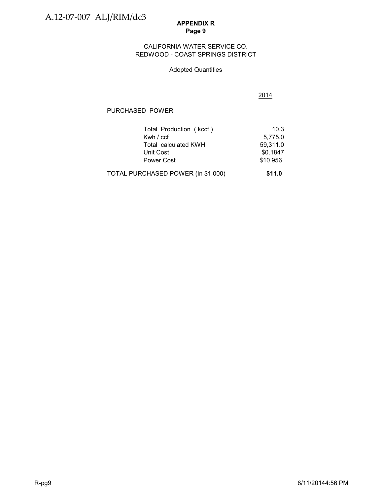## CALIFORNIA WATER SERVICE CO. REDWOOD - COAST SPRINGS DISTRICT

## Adopted Quantities

2014

# PURCHASED POWER

| Total Production (kccf)            | 10.3     |
|------------------------------------|----------|
| Kwh / ccf                          | 5,775.0  |
| Total calculated KWH               | 59,311.0 |
| Unit Cost                          | \$0.1847 |
| Power Cost                         | \$10,956 |
| TOTAL PURCHASED POWER (In \$1,000) | \$11.0   |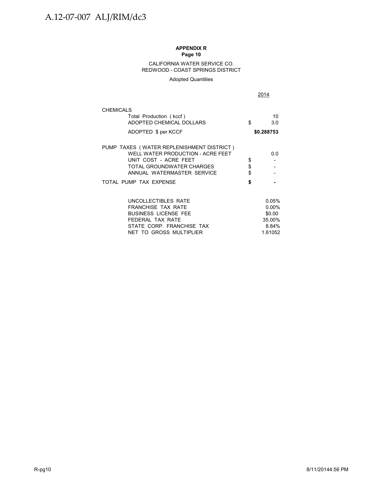#### CALIFORNIA WATER SERVICE CO. REDWOOD - COAST SPRINGS DISTRICT

Adopted Quantities

|                                                                                                                                                                    |                | 2014                                           |
|--------------------------------------------------------------------------------------------------------------------------------------------------------------------|----------------|------------------------------------------------|
| <b>CHEMICALS</b>                                                                                                                                                   |                |                                                |
| Total Production (kccf)<br>ADOPTED CHEMICAL DOLLARS                                                                                                                | \$             | 10<br>3.0                                      |
| ADOPTED \$ per KCCF                                                                                                                                                |                | \$0.288753                                     |
| PUMP TAXES (WATER REPLENISHMENT DISTRICT)<br>WELL WATER PRODUCTION - ACRE FEET<br>UNIT COST - ACRE FEET<br>TOTAL GROUNDWATER CHARGES<br>ANNUAL WATERMASTER SERVICE | \$<br>\$<br>\$ | 0.0                                            |
| TOTAL PUMP TAX EXPENSE                                                                                                                                             | \$             |                                                |
| UNCOLLECTIBLES RATE<br><b>FRANCHISE TAX RATE</b><br><b>BUSINESS LICENSE FEE</b><br>FEDERAL TAX RATE<br>STATE CORP. FRANCHISE TAX                                   |                | 0.05%<br>$0.00\%$<br>\$0.00<br>35.00%<br>8.84% |
| NET TO GROSS MULTIPLIER                                                                                                                                            |                | 1.61052                                        |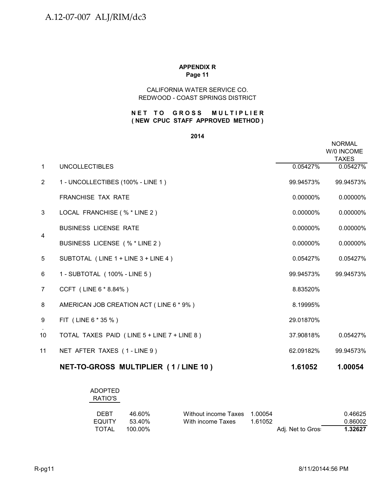## **Page 11 APPENDIX R**

## REDWOOD - COAST SPRINGS DISTRICT CALIFORNIA WATER SERVICE CO.

## **NET TO GROSS MULTIPLIER ( NEW CPUC STAFF APPROVED METHOD )**

#### **2014**

|                      |                                             |             | <b>NORMAL</b><br>W/0 INCOME<br><b>TAXES</b> |
|----------------------|---------------------------------------------|-------------|---------------------------------------------|
| $\mathbf{1}$         | <b>UNCOLLECTIBLES</b>                       | 0.05427%    | 0.05427%                                    |
| $\mathbf{2}^{\circ}$ | 1 - UNCOLLECTIBES (100% - LINE 1)           | 99.94573%   | 99.94573%                                   |
|                      | <b>FRANCHISE TAX RATE</b>                   | $0.00000\%$ | 0.00000%                                    |
| 3                    | LOCAL FRANCHISE (% * LINE 2)                | $0.00000\%$ | 0.00000%                                    |
|                      | <b>BUSINESS LICENSE RATE</b>                | 0.00000%    | 0.00000%                                    |
| $\overline{4}$       | BUSINESS LICENSE (% * LINE 2)               | 0.00000%    | 0.00000%                                    |
| 5                    | SUBTOTAL (LINE 1 + LINE 3 + LINE 4)         | 0.05427%    | 0.05427%                                    |
| 6                    | 1 - SUBTOTAL (100% - LINE 5)                | 99.94573%   | 99.94573%                                   |
| $\overline{7}$       | CCFT (LINE 6 * 8.84%)                       | 8.83520%    |                                             |
| 8                    | AMERICAN JOB CREATION ACT (LINE 6 * 9%)     | 8.19995%    |                                             |
| 9                    | FIT (LINE 6 * 35 %)                         | 29.01870%   |                                             |
| 10                   | TOTAL TAXES PAID (LINE 5 + LINE 7 + LINE 8) | 37.90818%   | 0.05427%                                    |
| 11                   | NET AFTER TAXES (1-LINE 9)                  | 62.09182%   | 99.94573%                                   |
|                      | NET-TO-GROSS MULTIPLIER (1/LINE 10)         | 1.61052     | 1.00054                                     |

## ADOPTED RATIO'S

| <b>DEBT</b>   | 46.60%  | Without income Taxes 1.00054 |         |                   | 0.46625 |
|---------------|---------|------------------------------|---------|-------------------|---------|
| <b>EQUITY</b> | .53.40% | With income Taxes            | 1 61052 |                   | 0.86002 |
| TOTAL         | 100.00% |                              |         | Adj. Net to Gros: | 1.32627 |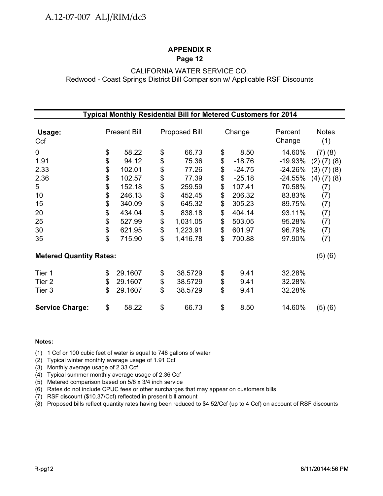# CALIFORNIA WATER SERVICE CO. Redwood - Coast Springs District Bill Comparison w/ Applicable RSF Discounts

|                                | Typical Monthly Residential Bill for Metered Customers for 2014 |                     |    |                      |    |          |                   |                     |  |
|--------------------------------|-----------------------------------------------------------------|---------------------|----|----------------------|----|----------|-------------------|---------------------|--|
| Usage:<br>Ccf                  |                                                                 | <b>Present Bill</b> |    | <b>Proposed Bill</b> |    | Change   | Percent<br>Change | <b>Notes</b><br>(1) |  |
| $\mathbf 0$                    | \$                                                              | 58.22               | \$ | 66.73                | \$ | 8.50     | 14.60%            | (7)(8)              |  |
| 1.91                           | \$                                                              | 94.12               | \$ | 75.36                | \$ | $-18.76$ | $-19.93%$         | $(2)$ $(7)$ $(8)$   |  |
| 2.33                           | \$                                                              | 102.01              | \$ | 77.26                | \$ | $-24.75$ | $-24.26%$         | $(3)$ $(7)$ $(8)$   |  |
| 2.36                           | \$                                                              | 102.57              | \$ | 77.39                | \$ | $-25.18$ | $-24.55%$         | $(4)$ $(7)$ $(8)$   |  |
| $5\phantom{.0}$                | \$                                                              | 152.18              | \$ | 259.59               | \$ | 107.41   | 70.58%            | (7)                 |  |
| 10                             | \$                                                              | 246.13              |    | 452.45               | \$ | 206.32   | 83.83%            | (7)                 |  |
| 15                             | \$                                                              | 340.09              | \$ | 645.32               | \$ | 305.23   | 89.75%            | (7)                 |  |
| 20                             | \$                                                              | 434.04              | \$ | 838.18               | \$ | 404.14   | 93.11%            | (7)                 |  |
| 25                             | \$                                                              | 527.99              | \$ | 1,031.05             | \$ | 503.05   | 95.28%            | (7)                 |  |
| 30                             | \$                                                              | 621.95              | \$ | 1,223.91             | \$ | 601.97   | 96.79%            | (7)                 |  |
| 35                             | \$                                                              | 715.90              | \$ | 1,416.78             | \$ | 700.88   | 97.90%            | (7)                 |  |
| <b>Metered Quantity Rates:</b> |                                                                 |                     |    |                      |    |          |                   | (5)(6)              |  |
| Tier 1                         | \$                                                              | 29.1607             | \$ | 38.5729              | \$ | 9.41     | 32.28%            |                     |  |
| Tier 2                         | \$                                                              | 29.1607             | \$ | 38.5729              | \$ | 9.41     | 32.28%            |                     |  |
| Tier 3                         | \$                                                              | 29.1607             | \$ | 38.5729              | \$ | 9.41     | 32.28%            |                     |  |
| <b>Service Charge:</b>         | \$                                                              | 58.22               | \$ | 66.73                | \$ | 8.50     | 14.60%            | (5) (6)             |  |

#### **Notes:**

(1) 1 Ccf or 100 cubic feet of water is equal to 748 gallons of water

(2) Typical winter monthly average usage of 1.91 Ccf

(3) Monthly average usage of 2.33 Ccf

(4) Typical summer monthly average usage of 2.36 Ccf

(5) Metered comparison based on 5/8 x 3/4 inch service

(6) Rates do not include CPUC fees or other surcharges that may appear on customers bills

(7) RSF discount (\$10.37/Ccf) reflected in present bill amount

(8) Proposed bills reflect quantity rates having been reduced to \$4.52/Ccf (up to 4 Ccf) on account of RSF discounts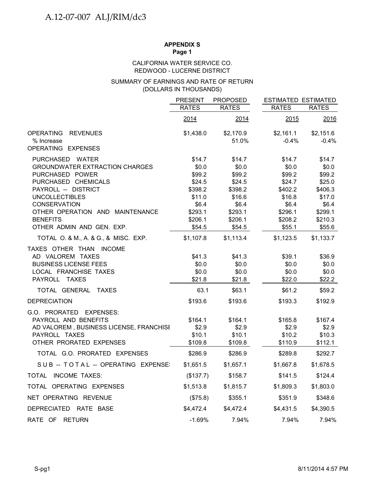## **APPENDIX S**

**Page 1**

## REDWOOD - LUCERNE DISTRICT CALIFORNIA WATER SERVICE CO.

## (DOLLARS IN THOUSANDS) SUMMARY OF EARNINGS AND RATE OF RETURN

|                                                        | <b>PRESENT</b>     | <b>PROPOSED</b>    | <b>ESTIMATED ESTIMATED</b> |                    |
|--------------------------------------------------------|--------------------|--------------------|----------------------------|--------------------|
|                                                        | <b>RATES</b>       | <b>RATES</b>       | <b>RATES</b>               | <b>RATES</b>       |
|                                                        | 2014               | 2014               | 2015                       | 2016               |
| <b>OPERATING</b><br><b>REVENUES</b>                    | \$1,438.0          | \$2,170.9          | \$2,161.1                  | \$2,151.6          |
| % Increase<br>OPERATING EXPENSES                       |                    | 51.0%              | $-0.4%$                    | $-0.4%$            |
| PURCHASED WATER                                        | \$14.7             | \$14.7             | \$14.7                     | \$14.7             |
| <b>GROUNDWATER EXTRACTION CHARGES</b>                  | \$0.0              | \$0.0              | \$0.0                      | \$0.0              |
| PURCHASED POWER                                        | \$99.2             | \$99.2             | \$99.2                     | \$99.2             |
| PURCHASED CHEMICALS                                    | \$24.5             | \$24.5             | \$24.7                     | \$25.0             |
| PAYROLL -- DISTRICT                                    | \$398.2            | \$398.2            | \$402.2                    | \$406.3            |
| <b>UNCOLLECTIBLES</b>                                  | \$11.0             | \$16.6             | \$16.8                     | \$17.0             |
| <b>CONSERVATION</b><br>OTHER OPERATION AND MAINTENANCE | \$6.4              | \$6.4              | \$6.4                      | \$6.4              |
| <b>BENEFITS</b>                                        | \$293.1<br>\$206.1 | \$293.1<br>\$206.1 | \$296.1<br>\$208.2         | \$299.1<br>\$210.3 |
| OTHER ADMIN AND GEN. EXP.                              | \$54.5             | \$54.5             | \$55.1                     | \$55.6             |
| TOTAL O. & M., A. & G., & MISC. EXP.                   | \$1,107.8          | \$1,113.4          | \$1,123.5                  | \$1,133.7          |
| TAXES OTHER THAN INCOME                                |                    |                    |                            |                    |
| AD VALOREM TAXES                                       | \$41.3             | \$41.3             | \$39.1                     | \$36.9             |
| <b>BUSINESS LICENSE FEES</b>                           | \$0.0              | \$0.0              | \$0.0                      | \$0.0              |
| LOCAL FRANCHISE TAXES                                  | \$0.0              | \$0.0              | \$0.0                      | \$0.0              |
| PAYROLL TAXES                                          | \$21.8             | \$21.8             | \$22.0                     | \$22.2             |
| TOTAL GENERAL TAXES                                    | 63.1               | \$63.1             | \$61.2                     | \$59.2             |
| <b>DEPRECIATION</b>                                    | \$193.6            | \$193.6            | \$193.3                    | \$192.9            |
| G.O. PRORATED EXPENSES:                                |                    |                    |                            |                    |
| PAYROLL AND BENEFITS                                   | \$164.1            | \$164.1            | \$165.8                    | \$167.4            |
| AD VALOREM, BUSINESS LICENSE, FRANCHISI                | \$2.9              | \$2.9              | \$2.9                      | \$2.9              |
| PAYROLL TAXES                                          | \$10.1             | \$10.1             | \$10.2                     | \$10.3             |
| OTHER PRORATED EXPENSES                                | \$109.8            | \$109.8            | \$110.9                    | \$112.1            |
| TOTAL G.O. PRORATED EXPENSES                           | \$286.9            | \$286.9            | \$289.8                    | \$292.7            |
| SUB -- TOTAL -- OPERATING EXPENSE                      | \$1,651.5          | \$1,657.1          | \$1,667.8                  | \$1,678.5          |
| TOTAL INCOME TAXES:                                    | (\$137.7)          | \$158.7            | \$141.5                    | \$124.4            |
| TOTAL OPERATING EXPENSES                               | \$1,513.8          | \$1,815.7          | \$1,809.3                  | \$1,803.0          |
| NET OPERATING REVENUE                                  | (\$75.8)           | \$355.1            | \$351.9                    | \$348.6            |
| DEPRECIATED RATE BASE                                  | \$4,472.4          | \$4,472.4          | \$4,431.5                  | \$4,390.5          |
| RATE OF<br>RETURN                                      | $-1.69%$           | 7.94%              | 7.94%                      | 7.94%              |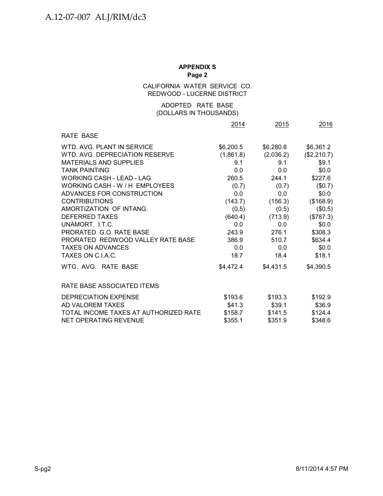### CALIFORNIA WATER SERVICE CO. REDWOOD - LUCERNE DISTRICT

### (DOLLARS IN THOUSANDS) ADOPTED RATE BASE

|                                       | 2014      | 2015      | 2016        |
|---------------------------------------|-----------|-----------|-------------|
| RATE BASE                             |           |           |             |
| WTD, AVG, PLANT IN SERVICE            | \$6,200.5 | \$6,280.8 | \$6,361.2   |
| WTD, AVG, DEPRECIATION RESERVE        | (1,861.8) | (2,036.2) | (\$2,210.7) |
| <b>MATERIALS AND SUPPLIES</b>         | 9.1       | 9.1       | \$9.1       |
| <b>TANK PAINTING</b>                  | 0.0       | 0.0       | \$0.0\$     |
| <b>WORKING CASH - LEAD - LAG</b>      | 260.5     | 244.1     | \$227.6     |
| WORKING CASH - W / H EMPLOYEES        | (0.7)     | (0.7)     | (\$0.7)     |
| ADVANCES FOR CONSTRUCTION             | 0.0       | 0.0       | \$0.0\$     |
| <b>CONTRIBUTIONS</b>                  | (143.7)   | (156.3)   | (\$168.9)   |
| AMORTIZATION OF INTANG.               | (0.5)     | (0.5)     | (\$0.5)     |
| <b>DEFERRED TAXES</b>                 | (640.4)   | (713.9)   | (\$787.3)   |
| UNAMORT, LT.C.                        | 0.0       | 0.0       | \$0.0\$     |
| PRORATED G.O. RATE BASE               | 243.9     | 276.1     | \$308.3     |
| PRORATED REDWOOD VALLEY RATE BASE     | 386.9     | 510.7     | \$634.4     |
| <b>TAXES ON ADVANCES</b>              | 0.0       | 0.0       | \$0.0\$     |
| TAXES ON C.I.A.C.                     | 18.7      | 18.4      | \$18.1      |
| WTG. AVG. RATE BASE                   | \$4,472.4 | \$4,431.5 | \$4,390.5   |
| RATE BASE ASSOCIATED ITEMS            |           |           |             |
| DEPRECIATION EXPENSE                  | \$193.6   | \$193.3   | \$192.9     |
| AD VALOREM TAXES                      | \$41.3    | \$39.1    | \$36.9      |
| TOTAL INCOME TAXES AT AUTHORIZED RATE | \$158.7   | \$141.5   | \$124.4     |
| <b>NET OPERATING REVENUE</b>          | \$355.1   | \$351.9   | \$348.6     |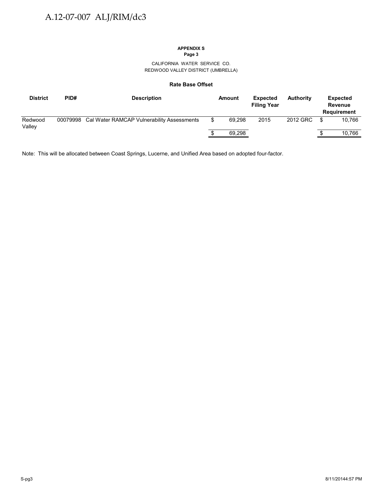CALIFORNIA WATER SERVICE CO. REDWOOD VALLEY DISTRICT (UMBRELLA)

#### **Rate Base Offset**

| <b>District</b>   | PID#     | <b>Description</b>                         | Amount | <b>Expected</b><br><b>Filing Year</b> | <b>Authority</b> |    | Expected<br><b>Revenue</b><br>Requirement |
|-------------------|----------|--------------------------------------------|--------|---------------------------------------|------------------|----|-------------------------------------------|
| Redwood<br>Valley | 00079998 | Cal Water RAMCAP Vulnerability Assessments | 69.298 | 2015                                  | 2012 GRC         | -S | 10.766                                    |
|                   |          |                                            | 69,298 |                                       |                  |    | 10.766                                    |

Note: This will be allocated between Coast Springs, Lucerne, and Unified Area based on adopted four-factor.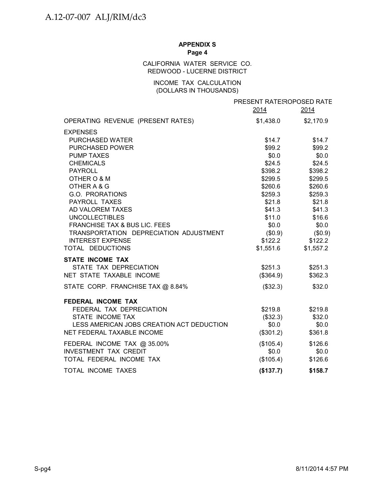### CALIFORNIA WATER SERVICE CO. REDWOOD - LUCERNE DISTRICT

### INCOME TAX CALCULATION (DOLLARS IN THOUSANDS)

|                                           | PRESENT RATE ROPOSED RATE |           |
|-------------------------------------------|---------------------------|-----------|
|                                           | 2014                      | 2014      |
| OPERATING REVENUE (PRESENT RATES)         | \$1,438.0                 | \$2,170.9 |
| <b>EXPENSES</b>                           |                           |           |
| <b>PURCHASED WATER</b>                    | \$14.7                    | \$14.7    |
| PURCHASED POWER                           | \$99.2                    | \$99.2    |
| <b>PUMP TAXES</b>                         | \$0.0\$                   | \$0.0     |
| <b>CHEMICALS</b>                          | \$24.5                    | \$24.5    |
| <b>PAYROLL</b>                            | \$398.2                   | \$398.2   |
| OTHER O & M                               | \$299.5                   | \$299.5   |
| OTHER A & G                               | \$260.6                   | \$260.6   |
| G.O. PRORATIONS                           | \$259.3                   | \$259.3   |
| PAYROLL TAXES                             | \$21.8                    | \$21.8    |
| AD VALOREM TAXES                          | \$41.3                    | \$41.3    |
| <b>UNCOLLECTIBLES</b>                     | \$11.0                    | \$16.6    |
| <b>FRANCHISE TAX &amp; BUS LIC. FEES</b>  | \$0.0                     | \$0.0     |
| TRANSPORTATION DEPRECIATION ADJUSTMENT    | $(\$0.9)$                 | (\$0.9)   |
| <b>INTEREST EXPENSE</b>                   | \$122.2                   | \$122.2   |
| TOTAL DEDUCTIONS                          | \$1,551.6                 | \$1,557.2 |
| <b>STATE INCOME TAX</b>                   |                           |           |
| STATE TAX DEPRECIATION                    | \$251.3                   | \$251.3   |
| NET STATE TAXABLE INCOME                  | $(\$364.9)$               | \$362.3   |
| STATE CORP. FRANCHISE TAX @ 8.84%         | $(\$32.3)$                | \$32.0    |
| FEDERAL INCOME TAX                        |                           |           |
| FEDERAL TAX DEPRECIATION                  | \$219.8                   | \$219.8   |
| STATE INCOME TAX                          | $(\$32.3)$                | \$32.0    |
| LESS AMERICAN JOBS CREATION ACT DEDUCTION | \$0.0\$                   | \$0.0     |
| NET FEDERAL TAXABLE INCOME                | (\$301.2)                 | \$361.8   |
| FEDERAL INCOME TAX @ 35.00%               | $(\$105.4)$               | \$126.6   |
| <b>INVESTMENT TAX CREDIT</b>              | \$0.0                     | \$0.0     |
| TOTAL FEDERAL INCOME TAX                  | (\$105.4)                 | \$126.6   |
| TOTAL INCOME TAXES                        | (\$137.7)                 | \$158.7   |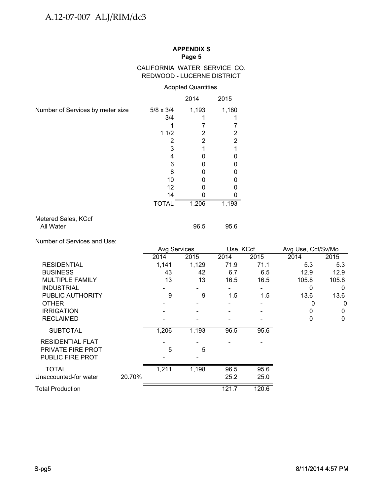### CALIFORNIA WATER SERVICE CO. REDWOOD - LUCERNE DISTRICT

### Adopted Quantities

|                                  |                  | 2014  | 2015  |
|----------------------------------|------------------|-------|-------|
| Number of Services by meter size | $5/8 \times 3/4$ | 1,193 | 1,180 |
|                                  | 3/4              |       |       |
|                                  |                  |       |       |
|                                  | 11/2             | 2     | 2     |
|                                  | 2                | 2     | 2     |
|                                  | 3                |       |       |
|                                  | 4                |       | ი     |
|                                  | 6                |       | 0     |
|                                  | 8                |       | 0     |
|                                  | 10               |       | U     |
|                                  | 12               |       | O     |
|                                  | 14               |       |       |
|                                  | <b>TOTAL</b>     | 1,206 | 1,193 |
| Metered Sales, KCcf              |                  |       |       |
| All Water                        |                  | 96.5  | 95.6  |

Number of Services and Use:

|                          |        | Avg Services |       | Use, KCcf |       | Avg Use, Ccf/Sv/Mo |       |
|--------------------------|--------|--------------|-------|-----------|-------|--------------------|-------|
|                          |        | 2014         | 2015  | 2014      | 2015  | 2014               | 2015  |
| <b>RESIDENTIAL</b>       |        | 1,141        | 1,129 | 71.9      | 71.1  | 5.3                | 5.3   |
| <b>BUSINESS</b>          |        | 43           | 42    | 6.7       | 6.5   | 12.9               | 12.9  |
| <b>MULTIPLE FAMILY</b>   |        | 13           | 13    | 16.5      | 16.5  | 105.8              | 105.8 |
| <b>INDUSTRIAL</b>        |        |              |       |           |       | 0                  | 0     |
| PUBLIC AUTHORITY         |        | 9            | 9     | 1.5       | 1.5   | 13.6               | 13.6  |
| <b>OTHER</b>             |        |              |       |           |       | 0                  | 0     |
| <b>IRRIGATION</b>        |        |              |       |           |       | 0                  | 0     |
| <b>RECLAIMED</b>         |        |              |       |           |       | $\mathbf 0$        | 0     |
| <b>SUBTOTAL</b>          |        | 1,206        | 1,193 | 96.5      | 95.6  |                    |       |
| <b>RESIDENTIAL FLAT</b>  |        |              |       |           |       |                    |       |
| <b>PRIVATE FIRE PROT</b> |        | 5            | 5     |           |       |                    |       |
| <b>PUBLIC FIRE PROT</b>  |        |              |       |           |       |                    |       |
| <b>TOTAL</b>             |        | 1,211        | 1,198 | 96.5      | 95.6  |                    |       |
| Unaccounted-for water    | 20.70% |              |       | 25.2      | 25.0  |                    |       |
| <b>Total Production</b>  |        |              |       | 121.7     | 120.6 |                    |       |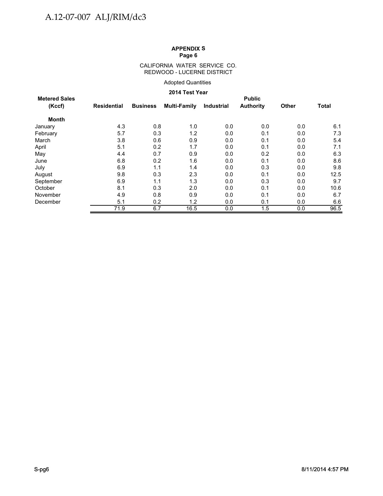#### CALIFORNIA WATER SERVICE CO. REDWOOD - LUCERNE DISTRICT

#### Adopted Quantities

#### **2014 Test Year**

| <b>Metered Sales</b> |             |                 |                     |                   | <b>Public</b>    |              |              |
|----------------------|-------------|-----------------|---------------------|-------------------|------------------|--------------|--------------|
| (Kccf)               | Residential | <b>Business</b> | <b>Multi-Family</b> | <b>Industrial</b> | <b>Authority</b> | <b>Other</b> | <b>Total</b> |
| <b>Month</b>         |             |                 |                     |                   |                  |              |              |
| January              | 4.3         | 0.8             | 1.0                 | 0.0               | 0.0              | 0.0          | 6.1          |
| February             | 5.7         | 0.3             | 1.2                 | 0.0               | 0.1              | 0.0          | 7.3          |
| March                | 3.8         | 0.6             | 0.9                 | 0.0               | 0.1              | 0.0          | 5.4          |
| April                | 5.1         | 0.2             | 1.7                 | 0.0               | 0.1              | 0.0          | 7.1          |
| May                  | 4.4         | 0.7             | 0.9                 | 0.0               | 0.2              | 0.0          | 6.3          |
| June                 | 6.8         | 0.2             | 1.6                 | 0.0               | 0.1              | 0.0          | 8.6          |
| July                 | 6.9         | 1.1             | 1.4                 | 0.0               | 0.3              | 0.0          | 9.8          |
| August               | 9.8         | 0.3             | 2.3                 | 0.0               | 0.1              | 0.0          | 12.5         |
| September            | 6.9         | 1.1             | 1.3                 | 0.0               | 0.3              | 0.0          | 9.7          |
| October              | 8.1         | 0.3             | 2.0                 | 0.0               | 0.1              | 0.0          | 10.6         |
| November             | 4.9         | 0.8             | 0.9                 | 0.0               | 0.1              | 0.0          | 6.7          |
| December             | 5.1         | 0.2             | 1.2                 | 0.0               | 0.1              | 0.0          | 6.6          |
|                      | 71.9        | 6.7             | 16.5                | 0.0               | 1.5              | 0.0          | 96.5         |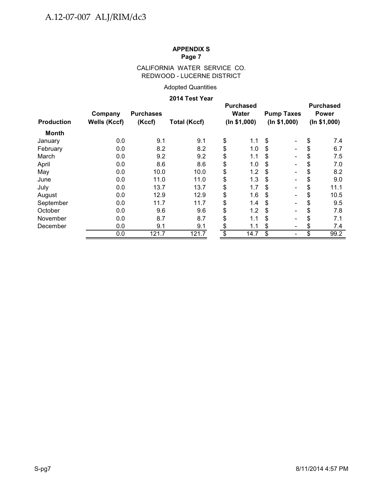### CALIFORNIA WATER SERVICE CO. REDWOOD - LUCERNE DISTRICT

### Adopted Quantities

#### **2014 Test Year**

|                   |                     |                  |                     | <b>Purchased</b> |              |                          |              | <b>Purchased</b> |
|-------------------|---------------------|------------------|---------------------|------------------|--------------|--------------------------|--------------|------------------|
|                   | Company             | <b>Purchases</b> |                     | <b>Water</b>     |              | <b>Pump Taxes</b>        |              | <b>Power</b>     |
| <b>Production</b> | <b>Wells (Kccf)</b> | (Kccf)           | <b>Total (Kccf)</b> | (ln \$1,000)     | (ln \$1,000) |                          | (ln \$1,000) |                  |
| Month             |                     |                  |                     |                  |              |                          |              |                  |
| January           | 0.0                 | 9.1              | 9.1                 | \$<br>1.1        | \$           |                          | \$           | 7.4              |
| February          | 0.0                 | 8.2              | 8.2                 | \$<br>1.0        | S            |                          | \$           | 6.7              |
| March             | 0.0                 | 9.2              | 9.2                 | \$<br>1.1        | \$           |                          | \$           | 7.5              |
| April             | 0.0                 | 8.6              | 8.6                 | \$<br>1.0        | \$           | $\overline{\phantom{0}}$ | \$           | 7.0              |
| May               | 0.0                 | 10.0             | 10.0                | \$<br>1.2        | \$           | $\blacksquare$           | \$           | 8.2              |
| June              | 0.0                 | 11.0             | 11.0                | \$<br>1.3        | \$           | $\overline{\phantom{0}}$ | \$           | 9.0              |
| July              | 0.0                 | 13.7             | 13.7                | \$<br>1.7        | \$           |                          | \$           | 11.1             |
| August            | 0.0                 | 12.9             | 12.9                | \$<br>1.6        | \$           | $\overline{\phantom{0}}$ | \$           | 10.5             |
| September         | 0.0                 | 11.7             | 11.7                | \$<br>1.4        | \$           | $\overline{\phantom{0}}$ | \$           | 9.5              |
| October           | 0.0                 | 9.6              | 9.6                 | \$<br>1.2        | \$           |                          | \$           | 7.8              |
| November          | 0.0                 | 8.7              | 8.7                 | \$<br>1.1        | S            |                          | \$           | 7.1              |
| December          | 0.0                 | 9.1              | 9.1                 | \$<br>1.1        | \$           | $\overline{\phantom{a}}$ | \$           | 7.4              |
|                   | 0.0                 | 121.7            | 121.7               | \$<br>14.7       | \$           |                          | \$           | 99.2             |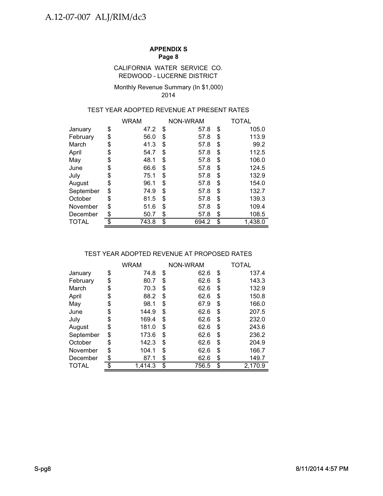#### REDWOOD - LUCERNE DISTRICT CALIFORNIA WATER SERVICE CO.

#### Monthly Revenue Summary (In \$1,000) 2014

### TEST YEAR ADOPTED REVENUE AT PRESENT RATES

|           |    | <b>WRAM</b> |    | NON-WRAM | TOTAL         |
|-----------|----|-------------|----|----------|---------------|
| January   | \$ | 47.2        | \$ | 57.8     | \$<br>105.0   |
| February  | \$ | 56.0        | S  | 57.8     | \$<br>113.9   |
| March     | \$ | 41.3        | \$ | 57.8     | \$<br>99.2    |
| April     | \$ | 54.7        | S  | 57.8     | \$<br>112.5   |
| May       | \$ | 48.1        | \$ | 57.8     | \$<br>106.0   |
| June      | \$ | 66.6        | \$ | 57.8     | \$<br>124.5   |
| July      | \$ | 75.1        | S  | 57.8     | \$<br>132.9   |
| August    | \$ | 96.1        | \$ | 57.8     | \$<br>154.0   |
| September | \$ | 74.9        | \$ | 57.8     | \$<br>132.7   |
| October   | S  | 81.5        | S  | 57.8     | \$<br>139.3   |
| November  | \$ | 51.6        | \$ | 57.8     | \$<br>109.4   |
| December  | \$ | 50.7        | \$ | 57.8     | \$<br>108.5   |
| TOTAL     | \$ | 743.8       | \$ | 694.2    | \$<br>1,438.0 |

### TEST YEAR ADOPTED REVENUE AT PROPOSED RATES

|              | WRAM          | NON-WRAM    | TOTAL         |
|--------------|---------------|-------------|---------------|
| January      | \$<br>74.8    | \$<br>62.6  | \$<br>137.4   |
| February     | \$<br>80.7    | \$<br>62.6  | \$<br>143.3   |
| March        | \$<br>70.3    | \$<br>62.6  | \$<br>132.9   |
| April        | \$<br>88.2    | \$<br>62.6  | \$<br>150.8   |
| May          | \$<br>98.1    | \$<br>67.9  | \$<br>166.0   |
| June         | \$<br>144.9   | \$<br>62.6  | \$<br>207.5   |
| July         | \$<br>169.4   | \$<br>62.6  | \$<br>232.0   |
| August       | \$<br>181.0   | \$<br>62.6  | \$<br>243.6   |
| September    | \$<br>173.6   | \$<br>62.6  | \$<br>236.2   |
| October      | \$<br>142.3   | \$<br>62.6  | \$<br>204.9   |
| November     | \$<br>104.1   | \$<br>62.6  | \$<br>166.7   |
| December     | \$<br>87.1    | \$<br>62.6  | \$<br>149.7   |
| <b>TOTAL</b> | \$<br>1.414.3 | \$<br>756.5 | \$<br>2,170.9 |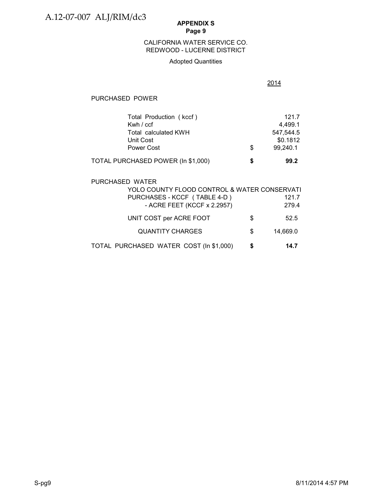### REDWOOD - LUCERNE DISTRICT CALIFORNIA WATER SERVICE CO.

#### Adopted Quantities

2014

#### PURCHASED POWER

| Total Production (kccf)            |   | 121.7     |
|------------------------------------|---|-----------|
| Kwh / ccf                          |   | 4.499.1   |
| Total calculated KWH               |   | 547.544.5 |
| Unit Cost                          |   | \$0.1812  |
| Power Cost                         | S | 99,240.1  |
| TOTAL PURCHASED POWER (In \$1,000) | S | 99.2      |

# PURCHASED WATER YOLO COUNTY FLOOD CONTROL & WATER CONSERVATI PURCHASES - KCCF (TABLE 4-D) 121.7 - ACRE FEET (KCCF x 2.2957) 279.4 UNIT COST per ACRE FOOT  $$$  52.5 QUANTITY CHARGES \$ 14,669.0 TOTAL PURCHASED WATER COST (In \$1,000) **\$ 14.7**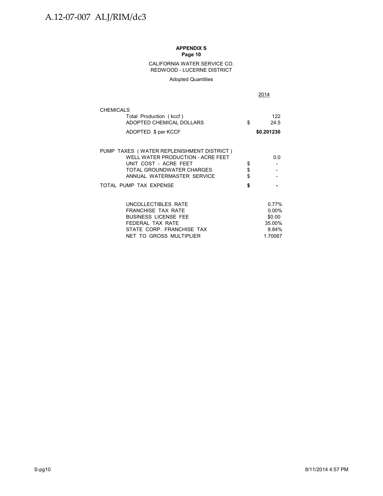#### CALIFORNIA WATER SERVICE CO. REDWOOD - LUCERNE DISTRICT

#### Adopted Quantities

|                                                                                                                                                                    |                | 2014                                                      |
|--------------------------------------------------------------------------------------------------------------------------------------------------------------------|----------------|-----------------------------------------------------------|
| <b>CHEMICALS</b><br>Total Production (kccf)<br>ADOPTED CHEMICAL DOLLARS<br>ADOPTED \$ per KCCF                                                                     | \$             | 122<br>24.5<br>\$0.201230                                 |
| PUMP TAXES (WATER REPLENISHMENT DISTRICT)<br>WELL WATER PRODUCTION - ACRE FEET<br>UNIT COST - ACRE FEET<br>TOTAL GROUNDWATER CHARGES<br>ANNUAL WATERMASTER SERVICE | \$<br>\$<br>\$ | 0.0                                                       |
| TOTAL PUMP TAX EXPENSE                                                                                                                                             | \$             |                                                           |
| UNCOLLECTIBLES RATE<br><b>FRANCHISE TAX RATE</b><br><b>BUSINESS LICENSE FEE</b><br>FEDERAL TAX RATE<br>STATE CORP. FRANCHISE TAX<br>NET TO GROSS MULTIPLIER        |                | 0.77%<br>$0.00\%$<br>\$0.00<br>35.00%<br>8.84%<br>1.70067 |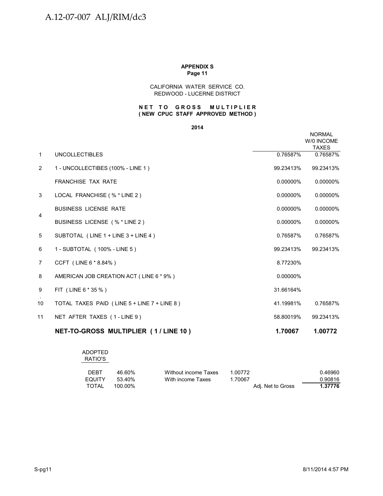#### **Page 11 APPENDIX S**

#### CALIFORNIA WATER SERVICE CO. REDWOOD - LUCERNE DISTRICT

#### **NET TO GROSS MULTIPLIER ( NEW CPUC STAFF APPROVED METHOD )**

#### **2014**

|                |                                             |           | <b>NORMAL</b><br>W/0 INCOME<br><b>TAXES</b> |
|----------------|---------------------------------------------|-----------|---------------------------------------------|
| $\mathbf{1}$   | <b>UNCOLLECTIBLES</b>                       | 0.76587%  | 0.76587%                                    |
| 2              | 1 - UNCOLLECTIBES (100% - LINE 1)           | 99.23413% | 99.23413%                                   |
|                | <b>FRANCHISE TAX RATE</b>                   | 0.00000%  | 0.00000%                                    |
| 3              | LOCAL FRANCHISE (% * LINE 2)                | 0.00000%  | 0.00000%                                    |
|                | <b>BUSINESS LICENSE RATE</b>                | 0.00000%  | 0.00000%                                    |
| 4              | BUSINESS LICENSE (% * LINE 2)               | 0.00000%  | 0.00000%                                    |
| 5              | SUBTOTAL (LINE 1 + LINE 3 + LINE 4)         | 0.76587%  | 0.76587%                                    |
| 6              | 1 - SUBTOTAL (100% - LINE 5)                | 99.23413% | 99.23413%                                   |
| $\overline{7}$ | CCFT (LINE 6 * 8.84%)                       | 8.77230%  |                                             |
| 8              | AMERICAN JOB CREATION ACT (LINE 6 * 9%)     | 0.00000%  |                                             |
| 9              | FIT (LINE 6 * 35 %)                         | 31.66164% |                                             |
| 10             | TOTAL TAXES PAID (LINE 5 + LINE 7 + LINE 8) | 41.19981% | 0.76587%                                    |
| 11             | NET AFTER TAXES (1-LINE 9)                  | 58.80019% | 99.23413%                                   |
|                | NET-TO-GROSS MULTIPLIER (1/LINE 10)         | 1.70067   | 1.00772                                     |

# ADOPTED

### RATIO'S

| <b>DEBT</b>   | 46.60%  | Without income Taxes | 1.00772           | 0.46960 |
|---------------|---------|----------------------|-------------------|---------|
| <b>EQUITY</b> | 53.40%  | With income Taxes    | 1.70067           | 0.90816 |
| TOTAL         | 100.00% |                      | Adi. Net to Gross | 1.37776 |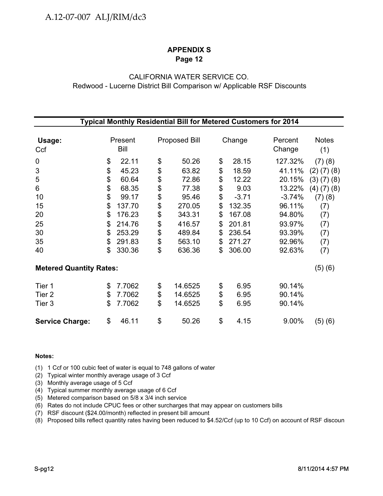### CALIFORNIA WATER SERVICE CO. Redwood - Lucerne District Bill Comparison w/ Applicable RSF Discounts

| Typical Monthly Residential Bill for Metered Customers for 2014 |    |         |    |                      |    |         |          |                   |  |
|-----------------------------------------------------------------|----|---------|----|----------------------|----|---------|----------|-------------------|--|
|                                                                 |    |         |    |                      |    |         |          |                   |  |
| Usage:                                                          |    | Present |    | <b>Proposed Bill</b> |    | Change  | Percent  | <b>Notes</b>      |  |
| Ccf                                                             |    | Bill    |    |                      |    |         | Change   | (1)               |  |
| $\mathbf 0$                                                     | \$ | 22.11   | \$ | 50.26                | \$ | 28.15   | 127.32%  | (7)(8)            |  |
| $\ensuremath{\mathsf{3}}$                                       | \$ | 45.23   | \$ | 63.82                | \$ | 18.59   | 41.11%   | $(2)$ $(7)$ $(8)$ |  |
| 5                                                               | \$ | 60.64   | \$ | 72.86                | \$ | 12.22   | 20.15%   | (3)(7)(8)         |  |
| 6                                                               | \$ | 68.35   | \$ | 77.38                | \$ | 9.03    | 13.22%   | $(4)$ $(7)$ $(8)$ |  |
| 10                                                              | \$ | 99.17   | \$ | 95.46                | \$ | $-3.71$ | $-3.74%$ | (7)(8)            |  |
| 15                                                              | \$ | 137.70  | \$ | 270.05               | \$ | 132.35  | 96.11%   | (7)               |  |
| 20                                                              | \$ | 176.23  | \$ | 343.31               | \$ | 167.08  | 94.80%   | (7)               |  |
| 25                                                              | \$ | 214.76  | \$ | 416.57               | \$ | 201.81  | 93.97%   | (7)               |  |
| 30                                                              | \$ | 253.29  | \$ | 489.84               | \$ | 236.54  | 93.39%   | (7)               |  |
| 35                                                              | \$ | 291.83  | \$ | 563.10               | \$ | 271.27  | 92.96%   | (7)               |  |
| 40                                                              | \$ | 330.36  | \$ | 636.36               | \$ | 306.00  | 92.63%   | (7)               |  |
| <b>Metered Quantity Rates:</b>                                  |    |         |    |                      |    |         |          | (5)(6)            |  |
| Tier 1                                                          | \$ | 7.7062  | \$ | 14.6525              | \$ | 6.95    | 90.14%   |                   |  |
| Tier <sub>2</sub>                                               | \$ | 7.7062  | \$ | 14.6525              | \$ | 6.95    | 90.14%   |                   |  |
| Tier 3                                                          | \$ | 7.7062  | \$ | 14.6525              | \$ | 6.95    | 90.14%   |                   |  |
| <b>Service Charge:</b>                                          | \$ | 46.11   | \$ | 50.26                | \$ | 4.15    | 9.00%    | (5)(6)            |  |

#### **Notes:**

(1) 1 Ccf or 100 cubic feet of water is equal to 748 gallons of water

- (2) Typical winter monthly average usage of 3 Ccf
- (3) Monthly average usage of 5 Ccf
- (4) Typical summer monthly average usage of 6 Ccf
- (5) Metered comparison based on 5/8 x 3/4 inch service
- (6) Rates do not include CPUC fees or other surcharges that may appear on customers bills
- (7) RSF discount (\$24.00/month) reflected in present bill amount
- (8) Proposed bills reflect quantity rates having been reduced to \$4.52/Ccf (up to 10 Ccf) on account of RSF discoun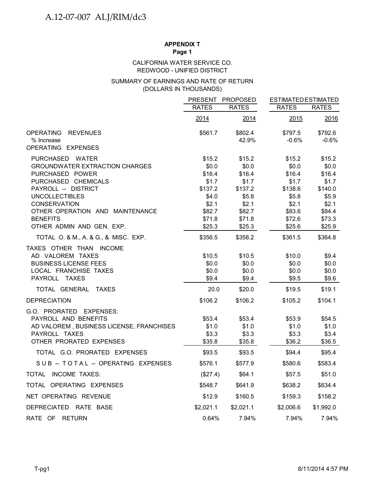## **APPENDIX T**

**Page 1**

#### REDWOOD - UNIFIED DISTRICT CALIFORNIA WATER SERVICE CO.

#### (DOLLARS IN THOUSANDS) SUMMARY OF EARNINGS AND RATE OF RETURN

|                                                 | <b>PRESENT</b>  | <b>PROPOSED</b> | <b>ESTIMATED ESTIMATED</b> |              |
|-------------------------------------------------|-----------------|-----------------|----------------------------|--------------|
|                                                 | <b>RATES</b>    | <b>RATES</b>    | <b>RATES</b>               | <b>RATES</b> |
|                                                 | 2014            | 2014            | 2015                       | 2016         |
| <b>OPERATING</b><br><b>REVENUES</b>             | \$561.7         | \$802.4         | \$797.5                    | \$792.6      |
| % Increase<br>OPERATING EXPENSES                |                 | 42.9%           | $-0.6%$                    | $-0.6%$      |
| PURCHASED WATER                                 | \$15.2          | \$15.2          | \$15.2                     | \$15.2       |
| <b>GROUNDWATER EXTRACTION CHARGES</b>           | \$0.0           | \$0.0           | \$0.0                      | \$0.0        |
| PURCHASED POWER                                 | \$16.4          | \$16.4          | \$16.4                     | \$16.4       |
| PURCHASED CHEMICALS                             | \$1.7           | \$1.7           | \$1.7                      | \$1.7        |
| PAYROLL -- DISTRICT                             | \$137.2         | \$137.2         | \$138.6                    | \$140.0      |
| <b>UNCOLLECTIBLES</b>                           | \$4.0           | \$5.8           | \$5.8                      | \$5.9        |
| <b>CONSERVATION</b>                             | \$2.1           | \$2.1           | \$2.1                      | \$2.1        |
| OTHER OPERATION AND MAINTENANCE                 | \$82.7          | \$82.7          | \$83.6                     | \$84.4       |
| <b>BENEFITS</b>                                 | \$71.8          | \$71.8          | \$72.6                     | \$73.3       |
| OTHER ADMIN AND GEN. EXP.                       | \$25.3          | \$25.3          | \$25.6                     | \$25.9       |
| TOTAL O. & M., A. & G., & MISC. EXP.            | \$356.5         | \$358.2         | \$361.5                    | \$364.8      |
| TAXES OTHER THAN INCOME                         |                 |                 |                            |              |
| AD VALOREM TAXES                                | \$10.5          | \$10.5          | \$10.0                     | \$9.4        |
| <b>BUSINESS LICENSE FEES</b>                    | \$0.0           | \$0.0           | \$0.0                      | \$0.0        |
| LOCAL FRANCHISE TAXES                           | \$0.0           | \$0.0           | \$0.0                      | \$0.0        |
| PAYROLL TAXES                                   | \$9.4           | \$9.4           | \$9.5                      | \$9.6        |
| TOTAL GENERAL TAXES                             | 20.0            | \$20.0          | \$19.5                     | \$19.1       |
| <b>DEPRECIATION</b>                             | \$106.2         | \$106.2         | \$105.2                    | \$104.1      |
| G.O. PRORATED EXPENSES:<br>PAYROLL AND BENEFITS |                 | \$53.4          | \$53.9                     | \$54.5       |
| AD VALOREM, BUSINESS LICENSE, FRANCHISES        | \$53.4<br>\$1.0 | \$1.0           | \$1.0                      | \$1.0        |
| PAYROLL TAXES                                   | \$3.3           | \$3.3           | \$3.3                      | \$3.4        |
| OTHER PRORATED EXPENSES                         | \$35.8          | \$35.8          | \$36.2                     | \$36.5       |
| TOTAL G.O. PRORATED EXPENSES                    | \$93.5          | \$93.5          | \$94.4                     | \$95.4       |
| SUB -- TOTAL -- OPERATING EXPENSES              | \$576.1         | \$577.9         | \$580.6                    | \$583.4      |
| TOTAL INCOME TAXES:                             | (\$27.4)        | \$64.1          | \$57.5                     | \$51.0       |
| TOTAL OPERATING EXPENSES                        | \$548.7         | \$641.9         | \$638.2                    | \$634.4      |
| NET OPERATING REVENUE                           | \$12.9          | \$160.5         | \$159.3                    | \$158.2      |
| <b>DEPRECIATED</b><br>RATE BASE                 | \$2,021.1       | \$2,021.1       | \$2,006.6                  | \$1,992.0    |
| RATE OF RETURN                                  | 0.64%           | 7.94%           | 7.94%                      | 7.94%        |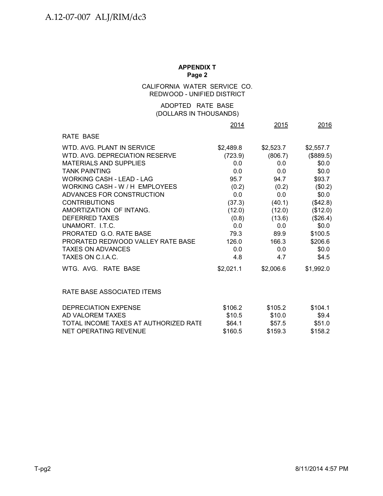#### CALIFORNIA WATER SERVICE CO. REDWOOD - UNIFIED DISTRICT

### (DOLLARS IN THOUSANDS) ADOPTED RATE BASE

|                                       | 2014      | 2015      | 2016      |
|---------------------------------------|-----------|-----------|-----------|
| <b>RATE BASE</b>                      |           |           |           |
| WTD, AVG, PLANT IN SERVICE            | \$2,489.8 | \$2,523.7 | \$2,557.7 |
| WTD, AVG, DEPRECIATION RESERVE        | (723.9)   | (806.7)   | (\$889.5) |
| <b>MATERIALS AND SUPPLIES</b>         | 0.0       | 0.0       | \$0.0\$   |
| <b>TANK PAINTING</b>                  | 0.0       | 0.0       | \$0.0\$   |
| <b>WORKING CASH - LEAD - LAG</b>      | 95.7      | 94.7      | \$93.7    |
| WORKING CASH - W / H EMPLOYEES        | (0.2)     | (0.2)     | (\$0.2)   |
| ADVANCES FOR CONSTRUCTION             | 0.0       | 0.0       | \$0.0\$   |
| <b>CONTRIBUTIONS</b>                  | (37.3)    | (40.1)    | (\$42.8)  |
| AMORTIZATION OF INTANG.               | (12.0)    | (12.0)    | (\$12.0)  |
| <b>DEFERRED TAXES</b>                 | (0.8)     | (13.6)    | (\$26.4)  |
| UNAMORT. I.T.C.                       | 0.0       | 0.0       | \$0.0     |
| PRORATED G.O. RATE BASE               | 79.3      | 89.9      | \$100.5   |
| PRORATED REDWOOD VALLEY RATE BASE     | 126.0     | 166.3     | \$206.6   |
| <b>TAXES ON ADVANCES</b>              | 0.0       | 0.0       | \$0.0\$   |
| TAXES ON C.I.A.C.                     | 4.8       | 4.7       | \$4.5     |
| WTG, AVG, RATE BASE                   | \$2,021.1 | \$2,006.6 | \$1,992.0 |
| RATE BASE ASSOCIATED ITEMS            |           |           |           |
| <b>DEPRECIATION EXPENSE</b>           | \$106.2   | \$105.2   | \$104.1   |
| AD VALOREM TAXES                      | \$10.5    | \$10.0    | \$9.4     |
| TOTAL INCOME TAXES AT AUTHORIZED RATE | \$64.1    | \$57.5    | \$51.0    |
| <b>NET OPERATING REVENUE</b>          | \$160.5   | \$159.3   | \$158.2   |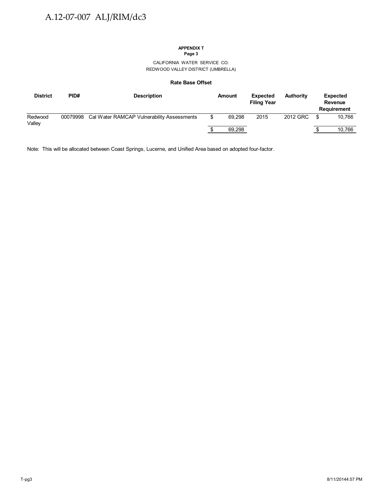#### CALIFORNIA WATER SERVICE CO. REDWOOD VALLEY DISTRICT (UMBRELLA)

#### **Rate Base Offset**

| <b>District</b>   | PID#     | <b>Description</b>                         | Amount | <b>Expected</b><br><b>Filing Year</b> | <b>Authority</b> |     | Expected<br>Revenue<br><b>Requirement</b> |
|-------------------|----------|--------------------------------------------|--------|---------------------------------------|------------------|-----|-------------------------------------------|
| Redwood<br>Valley | 00079998 | Cal Water RAMCAP Vulnerability Assessments | 69.298 | 2015                                  | 2012 GRC         | \$. | 10.766                                    |
|                   |          |                                            | 69,298 |                                       |                  |     | 10.766                                    |

Note: This will be allocated between Coast Springs, Lucerne, and Unified Area based on adopted four-factor.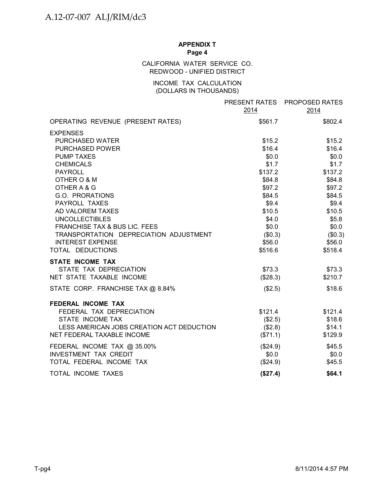### CALIFORNIA WATER SERVICE CO. REDWOOD - UNIFIED DISTRICT

### INCOME TAX CALCULATION (DOLLARS IN THOUSANDS)

|                                                                                                                                                                                                                | 2014                                                                        | PRESENT RATES PROPOSED RATES<br>2014                                        |
|----------------------------------------------------------------------------------------------------------------------------------------------------------------------------------------------------------------|-----------------------------------------------------------------------------|-----------------------------------------------------------------------------|
| OPERATING REVENUE (PRESENT RATES)                                                                                                                                                                              | \$561.7                                                                     | \$802.4                                                                     |
| <b>EXPENSES</b><br>PURCHASED WATER<br><b>PURCHASED POWER</b><br><b>PUMP TAXES</b><br><b>CHEMICALS</b><br><b>PAYROLL</b><br>OTHER O & M<br>OTHER A & G                                                          | \$15.2<br>\$16.4<br>\$0.0<br>\$1.7<br>\$137.2<br>\$84.8<br>\$97.2           | \$15.2<br>\$16.4<br>\$0.0<br>\$1.7<br>\$137.2<br>\$84.8<br>\$97.2           |
| G.O. PRORATIONS<br><b>PAYROLL TAXES</b><br>AD VALOREM TAXES<br><b>UNCOLLECTIBLES</b><br>FRANCHISE TAX & BUS LIC. FEES<br>TRANSPORTATION DEPRECIATION ADJUSTMENT<br><b>INTEREST EXPENSE</b><br>TOTAL DEDUCTIONS | \$84.5<br>\$9.4<br>\$10.5<br>\$4.0<br>\$0.0<br>(\$0.3)<br>\$56.0<br>\$516.6 | \$84.5<br>\$9.4<br>\$10.5<br>\$5.8<br>\$0.0<br>(\$0.3)<br>\$56.0<br>\$518.4 |
| <b>STATE INCOME TAX</b><br>STATE TAX DEPRECIATION<br>NET STATE TAXABLE INCOME                                                                                                                                  | \$73.3<br>(\$28.3)                                                          | \$73.3<br>\$210.7                                                           |
| STATE CORP. FRANCHISE TAX @ 8.84%                                                                                                                                                                              | (\$2.5)                                                                     | \$18.6                                                                      |
| <b>FEDERAL INCOME TAX</b><br>FEDERAL TAX DEPRECIATION<br>STATE INCOME TAX<br>LESS AMERICAN JOBS CREATION ACT DEDUCTION<br>NET FEDERAL TAXABLE INCOME                                                           | \$121.4<br>(\$2.5)<br>(\$2.8)<br>(\$71.1)                                   | \$121.4<br>\$18.6<br>\$14.1<br>\$129.9                                      |
| FEDERAL INCOME TAX @ 35.00%<br><b>INVESTMENT TAX CREDIT</b><br>TOTAL FEDERAL INCOME TAX                                                                                                                        | (\$24.9)<br>\$0.0\$<br>(\$24.9)                                             | \$45.5<br>\$0.0<br>\$45.5                                                   |
| <b>TOTAL INCOME TAXES</b>                                                                                                                                                                                      | (\$27.4)                                                                    | \$64.1                                                                      |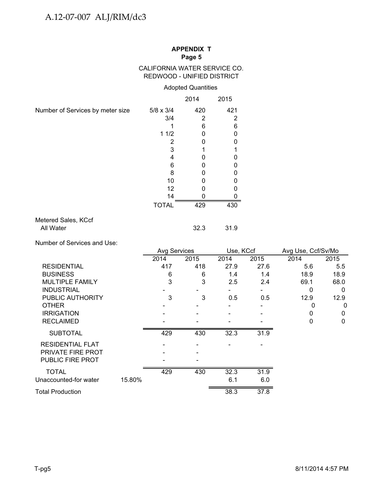### CALIFORNIA WATER SERVICE CO. REDWOOD - UNIFIED DISTRICT

### Adopted Quantities

|                                  |                  | 2014 | 2015 |
|----------------------------------|------------------|------|------|
| Number of Services by meter size | $5/8 \times 3/4$ | 420  | 421  |
|                                  | 3/4              | 2    | 2    |
|                                  |                  | 6    | 6    |
|                                  | 11/2             | O    | n    |
|                                  | 2                |      | ი    |
|                                  | 3                |      |      |
|                                  | 4                |      |      |
|                                  | 6                |      |      |
|                                  | 8                | ი    | 0    |
|                                  | 10               |      | n    |
|                                  | 12               |      |      |
|                                  | 14               |      |      |
|                                  | <b>TOTAL</b>     | 429  | 430  |
| Metered Sales, KCcf              |                  |      |      |
| All Water                        |                  | 32.3 | 31.9 |

Number of Services and Use:

|                         |        | <b>Avg Services</b> |                | Use, KCcf |      | Avg Use, Ccf/Sv/Mo |             |
|-------------------------|--------|---------------------|----------------|-----------|------|--------------------|-------------|
|                         |        | 2014                | 2015           | 2014      | 2015 | 2014               | 2015        |
| <b>RESIDENTIAL</b>      |        | 417                 | 418            | 27.9      | 27.6 | 5.6                | 5.5         |
| <b>BUSINESS</b>         |        | 6                   | 6              | 1.4       | 1.4  | 18.9               | 18.9        |
| <b>MULTIPLE FAMILY</b>  |        | 3                   | 3              | 2.5       | 2.4  | 69.1               | 68.0        |
| <b>INDUSTRIAL</b>       |        |                     |                |           |      | 0                  | $\Omega$    |
| PUBLIC AUTHORITY        |        | 3                   | 3              | 0.5       | 0.5  | 12.9               | 12.9        |
| <b>OTHER</b>            |        |                     |                |           |      | 0                  | $\mathbf 0$ |
| <b>IRRIGATION</b>       |        |                     |                |           |      | 0                  | 0           |
| <b>RECLAIMED</b>        |        |                     |                |           |      | 0                  | $\mathbf 0$ |
| <b>SUBTOTAL</b>         |        | 429                 | 430            | 32.3      | 31.9 |                    |             |
| <b>RESIDENTIAL FLAT</b> |        |                     |                |           |      |                    |             |
| PRIVATE FIRE PROT       |        |                     |                |           |      |                    |             |
| <b>PUBLIC FIRE PROT</b> |        |                     | $\overline{ }$ |           |      |                    |             |
| <b>TOTAL</b>            |        | 429                 | 430            | 32.3      | 31.9 |                    |             |
| Unaccounted-for water   | 15.80% |                     |                | 6.1       | 6.0  |                    |             |
| <b>Total Production</b> |        |                     |                | 38.3      | 37.8 |                    |             |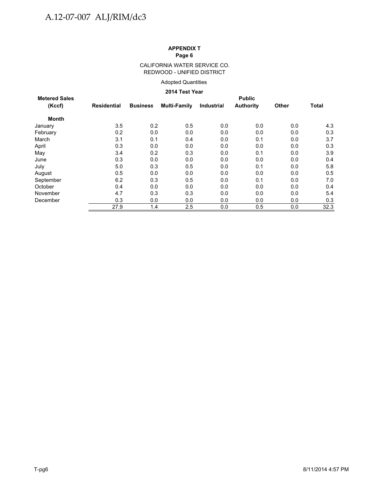#### CALIFORNIA WATER SERVICE CO. REDWOOD - UNIFIED DISTRICT

#### Adopted Quantities

#### **2014 Test Year**

|                                |             |                 | LVIT I VOL I VUI    |            |                                   |              |       |
|--------------------------------|-------------|-----------------|---------------------|------------|-----------------------------------|--------------|-------|
| <b>Metered Sales</b><br>(Kccf) | Residential | <b>Business</b> | <b>Multi-Family</b> | Industrial | <b>Public</b><br><b>Authority</b> | <b>Other</b> | Total |
| <b>Month</b>                   |             |                 |                     |            |                                   |              |       |
| January                        | 3.5         | 0.2             | 0.5                 | 0.0        | 0.0                               | 0.0          | 4.3   |
| February                       | 0.2         | 0.0             | 0.0                 | 0.0        | 0.0                               | 0.0          | 0.3   |
| March                          | 3.1         | 0.1             | 0.4                 | 0.0        | 0.1                               | 0.0          | 3.7   |
| April                          | 0.3         | 0.0             | 0.0                 | 0.0        | 0.0                               | 0.0          | 0.3   |
| May                            | 3.4         | 0.2             | 0.3                 | 0.0        | 0.1                               | 0.0          | 3.9   |
| June                           | 0.3         | 0.0             | 0.0                 | 0.0        | 0.0                               | 0.0          | 0.4   |
| July                           | 5.0         | 0.3             | 0.5                 | 0.0        | 0.1                               | 0.0          | 5.8   |
| August                         | 0.5         | 0.0             | 0.0                 | 0.0        | 0.0                               | 0.0          | 0.5   |
| September                      | 6.2         | 0.3             | 0.5                 | 0.0        | 0.1                               | 0.0          | 7.0   |
| October                        | 0.4         | 0.0             | 0.0                 | 0.0        | 0.0                               | 0.0          | 0.4   |
| November                       | 4.7         | 0.3             | 0.3                 | 0.0        | 0.0                               | 0.0          | 5.4   |
| December                       | 0.3         | 0.0             | 0.0                 | 0.0        | 0.0                               | 0.0          | 0.3   |
|                                | 27.9        | 1.4             | 2.5                 | 0.0        | 0.5                               | 0.0          | 32.3  |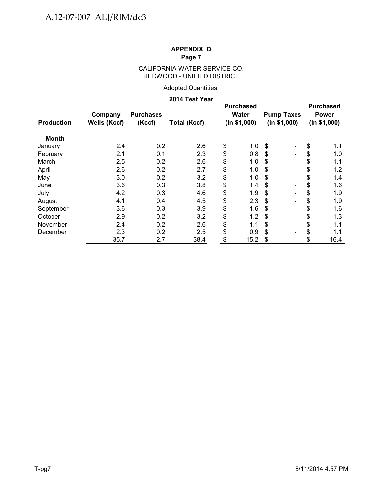### CALIFORNIA WATER SERVICE CO. REDWOOD - UNIFIED DISTRICT

### Adopted Quantities

#### **2014 Test Year**

| <b>Production</b> | Company<br><b>Wells (Kccf)</b> | <b>Purchases</b><br>(Kccf) | <b>Total (Kccf)</b> |                          | <b>Purchased</b><br>Water<br>(ln \$1,000) |     | <b>Pump Taxes</b><br>(ln \$1,000) | <b>Purchased</b><br><b>Power</b><br>(ln \$1,000) |
|-------------------|--------------------------------|----------------------------|---------------------|--------------------------|-------------------------------------------|-----|-----------------------------------|--------------------------------------------------|
| <b>Month</b>      |                                |                            |                     |                          |                                           |     |                                   |                                                  |
| January           | 2.4                            | 0.2                        | 2.6                 | \$                       | 1.0                                       | \$  | -                                 | \$<br>1.1                                        |
| February          | 2.1                            | 0.1                        | 2.3                 | \$                       | 0.8                                       | \$  | $\overline{\phantom{0}}$          | \$<br>1.0                                        |
| March             | 2.5                            | 0.2                        | 2.6                 | \$                       | 1.0                                       | S   | -                                 | \$<br>1.1                                        |
| April             | 2.6                            | 0.2                        | 2.7                 | \$                       | 1.0                                       | S   | $\overline{\phantom{0}}$          | \$<br>1.2                                        |
| May               | 3.0                            | 0.2                        | 3.2                 | \$                       | 1.0                                       | \$. |                                   | \$<br>1.4                                        |
| June              | 3.6                            | 0.3                        | 3.8                 | \$                       | 1.4                                       | \$  |                                   | \$<br>1.6                                        |
| July              | 4.2                            | 0.3                        | 4.6                 | \$                       | 1.9                                       | \$  |                                   | \$<br>1.9                                        |
| August            | 4.1                            | 0.4                        | 4.5                 | \$                       | 2.3                                       | \$  |                                   | \$<br>1.9                                        |
| September         | 3.6                            | 0.3                        | 3.9                 | \$                       | 1.6                                       | \$  |                                   | \$<br>1.6                                        |
| October           | 2.9                            | 0.2                        | 3.2                 | \$                       | 1.2                                       | \$  |                                   | \$<br>1.3                                        |
| November          | 2.4                            | 0.2                        | 2.6                 | \$                       | 1.1                                       | \$  | -                                 | \$<br>1.1                                        |
| December          | 2.3                            | 0.2                        | 2.5                 | \$                       | 0.9                                       | \$  | -                                 | \$<br>1.1                                        |
|                   | 35.7                           | 2.7                        | 38.4                | $\overline{\mathcal{S}}$ | 15.2                                      | \$  |                                   | \$<br>16.4                                       |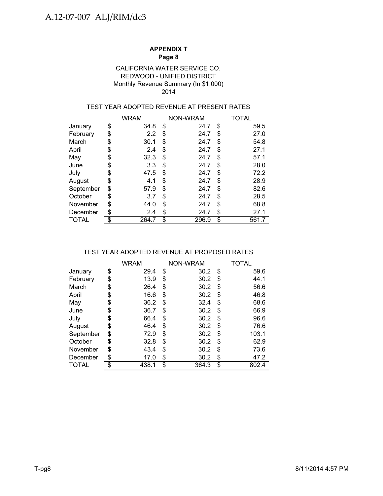### Monthly Revenue Summary (In \$1,000) 2014 CALIFORNIA WATER SERVICE CO. REDWOOD - UNIFIED DISTRICT

### TEST YEAR ADOPTED REVENUE AT PRESENT RATES

|              | <b>WRAM</b> |    | NON-WRAM | TOTAL       |
|--------------|-------------|----|----------|-------------|
| January      | \$<br>34.8  | \$ | 24.7     | \$<br>59.5  |
| February     | \$<br>2.2   | \$ | 24.7     | \$<br>27.0  |
| March        | \$<br>30.1  | \$ | 24.7     | \$<br>54.8  |
| April        | \$<br>2.4   | \$ | 24.7     | \$<br>27.1  |
| May          | \$<br>32.3  | \$ | 24.7     | \$<br>57.1  |
| June         | \$<br>3.3   | \$ | 24.7     | \$<br>28.0  |
| July         | \$<br>47.5  | \$ | 24.7     | \$<br>72.2  |
| August       | \$<br>4.1   | \$ | 24.7     | \$<br>28.9  |
| September    | \$<br>57.9  | \$ | 24.7     | \$<br>82.6  |
| October      | \$<br>3.7   | S  | 24.7     | \$<br>28.5  |
| November     | \$<br>44.0  | \$ | 24.7     | \$<br>68.8  |
| December     | \$<br>2.4   | \$ | 24.7     | \$<br>27.1  |
| <b>TOTAL</b> | \$<br>264.7 | \$ | 296.9    | \$<br>561.7 |

### TEST YEAR ADOPTED REVENUE AT PROPOSED RATES

|              | <b>WRAM</b> | NON-WRAM    | TOTAL       |
|--------------|-------------|-------------|-------------|
| January      | \$<br>29.4  | \$<br>30.2  | \$<br>59.6  |
| February     | \$<br>13.9  | \$<br>30.2  | \$<br>44.1  |
| March        | \$<br>26.4  | \$<br>30.2  | \$<br>56.6  |
| April        | \$<br>16.6  | \$<br>30.2  | \$<br>46.8  |
| May          | \$<br>36.2  | \$<br>32.4  | \$<br>68.6  |
| June         | \$<br>36.7  | \$<br>30.2  | \$<br>66.9  |
| July         | \$<br>66.4  | \$<br>30.2  | \$<br>96.6  |
| August       | \$<br>46.4  | \$<br>30.2  | \$<br>76.6  |
| September    | \$<br>72.9  | \$<br>30.2  | \$<br>103.1 |
| October      | \$<br>32.8  | \$<br>30.2  | \$<br>62.9  |
| November     | \$<br>43.4  | \$<br>30.2  | \$<br>73.6  |
| December     | \$<br>17.0  | \$<br>30.2  | \$<br>47.2  |
| <b>TOTAL</b> | \$<br>438.1 | \$<br>364.3 | \$<br>802.4 |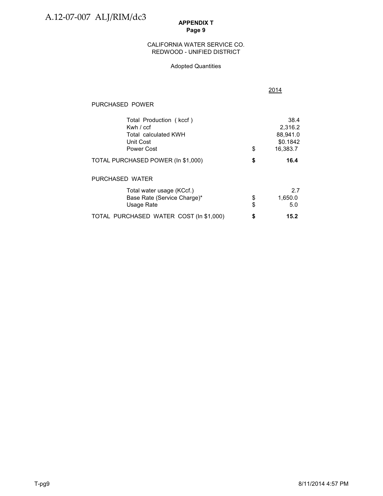#### CALIFORNIA WATER SERVICE CO. REDWOOD - UNIFIED DISTRICT

#### Adopted Quantities

2014

| PURCHASED POWER                                                                           |          |                                                     |
|-------------------------------------------------------------------------------------------|----------|-----------------------------------------------------|
| Total Production (kccf)<br>Kwh $/$ ccf<br>Total calculated KWH<br>Unit Cost<br>Power Cost | \$       | 38.4<br>2,316.2<br>88,941.0<br>\$0.1842<br>16,383.7 |
| TOTAL PURCHASED POWER (In \$1,000)                                                        | \$       | 16.4                                                |
| PURCHASED WATER                                                                           |          |                                                     |
| Total water usage (KCcf.)<br>Base Rate (Service Charge)*<br>Usage Rate                    | \$<br>\$ | 2.7<br>1,650.0<br>5.0                               |
| TOTAL PURCHASED WATER COST (In \$1,000)                                                   | \$       | 15.2                                                |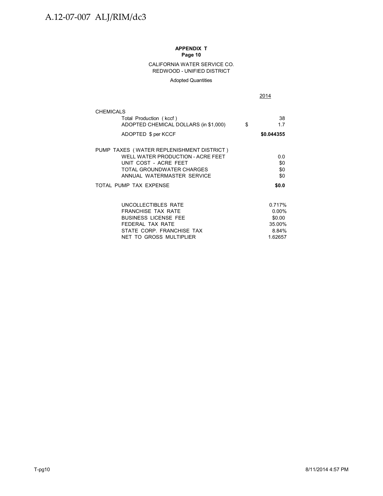#### CALIFORNIA WATER SERVICE CO. REDWOOD - UNIFIED DISTRICT

#### Adopted Quantities

2014

| <b>CHEMICALS</b>                                                 |                 |
|------------------------------------------------------------------|-----------------|
| Total Production (kccf)<br>ADOPTED CHEMICAL DOLLARS (in \$1,000) | \$<br>38<br>1.7 |
| ADOPTED \$ per KCCF                                              | \$0.044355      |
| PUMP TAXES (WATER REPLENISHMENT DISTRICT)                        |                 |
| WELL WATER PRODUCTION - ACRE FEET<br>UNIT COST - ACRE FEET       | 0.0<br>\$0      |
| TOTAL GROUNDWATER CHARGES                                        | \$0             |
| ANNUAL WATERMASTER SERVICE                                       | \$0             |
| TOTAL PUMP TAX EXPENSE                                           | \$0.0           |
|                                                                  |                 |
| UNCOLLECTIBLES RATE                                              | 0.717%          |
| <b>FRANCHISE TAX RATE</b>                                        | $0.00\%$        |
| <b>BUSINESS LICENSE FEE</b>                                      | \$0.00          |
| FEDERAL TAX RATE                                                 | 35.00%          |
| STATE CORP. FRANCHISE TAX                                        | 8.84%           |
| NET TO GROSS MULTIPLIER                                          | 1.62657         |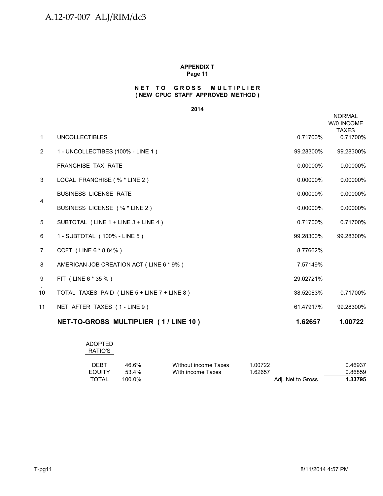#### **NET TO GROSS MULTIPLIER ( NEW CPUC STAFF APPROVED METHOD )**

#### **2014**

|                |                                             |             | <b>NORMAL</b><br>W/0 INCOME<br><b>TAXES</b> |
|----------------|---------------------------------------------|-------------|---------------------------------------------|
| $\mathbf{1}$   | <b>UNCOLLECTIBLES</b>                       | 0.71700%    | 0.71700%                                    |
| $\overline{2}$ | 1 - UNCOLLECTIBES (100% - LINE 1)           | 99.28300%   | 99.28300%                                   |
|                | <b>FRANCHISE TAX RATE</b>                   | 0.00000%    | 0.00000%                                    |
| 3              | LOCAL FRANCHISE (% * LINE 2)                | 0.00000%    | 0.00000%                                    |
| 4              | <b>BUSINESS LICENSE RATE</b>                | $0.00000\%$ | 0.00000%                                    |
|                | BUSINESS LICENSE (% * LINE 2)               | 0.00000%    | 0.00000%                                    |
| 5              | SUBTOTAL (LINE 1 + LINE 3 + LINE 4)         | 0.71700%    | 0.71700%                                    |
| 6              | 1 - SUBTOTAL (100% - LINE 5)                | 99.28300%   | 99.28300%                                   |
| $\overline{7}$ | CCFT (LINE 6 * 8.84%)                       | 8.77662%    |                                             |
| 8              | AMERICAN JOB CREATION ACT (LINE 6 * 9%)     | 7.57149%    |                                             |
| 9              | FIT (LINE 6 * 35 %)                         | 29.02721%   |                                             |
| 10             | TOTAL TAXES PAID (LINE 5 + LINE 7 + LINE 8) | 38.52083%   | 0.71700%                                    |
| 11             | NET AFTER TAXES (1-LINE 9)                  | 61.47917%   | 99.28300%                                   |
|                | NET-TO-GROSS MULTIPLIER (1/LINE 10)         | 1.62657     | 1.00722                                     |

| <b>ADOPTED</b><br>RATIO'S |        |                      |                   |         |
|---------------------------|--------|----------------------|-------------------|---------|
| DEBT                      | 46.6%  | Without income Taxes | 1.00722           | 0.46937 |
| <b>EQUITY</b>             | 53.4%  | With income Taxes    | 1.62657           | 0.86859 |
| <b>TOTAL</b>              | 100.0% |                      | Adj. Net to Gross | 1.33795 |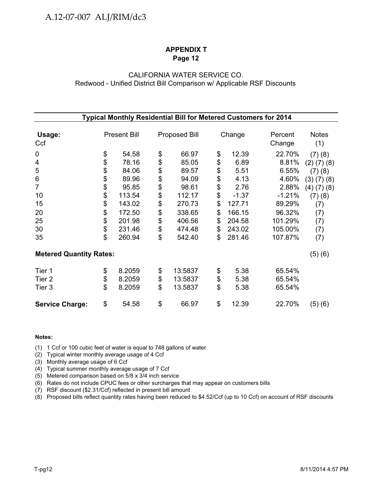### CALIFORNIA WATER SERVICE CO. Redwood - Unified District Bill Comparison w/ Applicable RSF Discounts

| Typical Monthly Residential Bill for Metered Customers for 2014 |    |                     |    |                      |    |         |          |                   |
|-----------------------------------------------------------------|----|---------------------|----|----------------------|----|---------|----------|-------------------|
|                                                                 |    |                     |    |                      |    |         |          |                   |
| Usage:                                                          |    | <b>Present Bill</b> |    | <b>Proposed Bill</b> |    | Change  | Percent  | <b>Notes</b>      |
| Ccf                                                             |    |                     |    |                      |    |         | Change   | (1)               |
| $\mathbf 0$                                                     | \$ | 54.58               | \$ | 66.97                | \$ | 12.39   | 22.70%   | (7)(8)            |
| 4                                                               | \$ | 78.16               | \$ | 85.05                | \$ | 6.89    | 8.81%    | $(2)$ $(7)$ $(8)$ |
| 5                                                               | \$ | 84.06               | \$ | 89.57                | \$ | 5.51    | 6.55%    | (7)(8)            |
| 6                                                               | \$ | 89.96               | \$ | 94.09                | \$ | 4.13    | 4.60%    | (3)(7)(8)         |
| 7                                                               | \$ | 95.85               | \$ | 98.61                | \$ | 2.76    | 2.88%    | $(4)$ $(7)$ $(8)$ |
| 10                                                              | \$ | 113.54              | \$ | 112.17               | \$ | $-1.37$ | $-1.21%$ | (7)(8)            |
| 15                                                              | \$ | 143.02              | \$ | 270.73               | \$ | 127.71  | 89.29%   | (7)               |
| 20                                                              | \$ | 172.50              | \$ | 338.65               | \$ | 166.15  | 96.32%   | (7)               |
| 25                                                              | \$ | 201.98              | \$ | 406.56               | \$ | 204.58  | 101.29%  | (7)               |
| 30                                                              | \$ | 231.46              | \$ | 474.48               | \$ | 243.02  | 105.00%  | (7)               |
| 35                                                              | \$ | 260.94              | \$ | 542.40               | \$ | 281.46  | 107.87%  | (7)               |
| <b>Metered Quantity Rates:</b>                                  |    |                     |    |                      |    |         |          | (5) (6)           |
| Tier 1                                                          | \$ | 8.2059              | \$ | 13.5837              | \$ | 5.38    | 65.54%   |                   |
| Tier <sub>2</sub>                                               | \$ | 8.2059              | \$ | 13.5837              | \$ | 5.38    | 65.54%   |                   |
| Tier 3                                                          | \$ | 8.2059              | \$ | 13.5837              | \$ | 5.38    | 65.54%   |                   |
| <b>Service Charge:</b>                                          | \$ | 54.58               | \$ | 66.97                | \$ | 12.39   | 22.70%   | (5)(6)            |

#### **Notes:**

(1) 1 Ccf or 100 cubic feet of water is equal to 748 gallons of water

(2) Typical winter monthly average usage of 4 Ccf

(3) Monthly average usage of 6 Ccf

(4) Typical summer monthly average usage of 7 Ccf

(5) Metered comparison based on 5/8 x 3/4 inch service

(6) Rates do not include CPUC fees or other surcharges that may appear on customers bills

(7) RSF discount (\$2.31/Ccf) reflected in present bill amount

(8) Proposed bills reflect quantity rates having been reduced to \$4.52/Ccf (up to 10 Ccf) on account of RSF discounts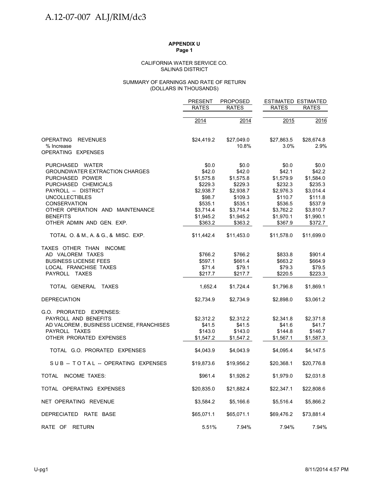#### SALINAS DISTRICT CALIFORNIA WATER SERVICE CO.

#### (DOLLARS IN THOUSANDS) SUMMARY OF EARNINGS AND RATE OF RETURN

|                                          | <b>PRESENT</b> | <b>PROPOSED</b> | <b>ESTIMATED ESTIMATED</b> |              |
|------------------------------------------|----------------|-----------------|----------------------------|--------------|
|                                          | <b>RATES</b>   | <b>RATES</b>    | <b>RATES</b>               | <b>RATES</b> |
|                                          | 2014           | 2014            | 2015                       | 2016         |
|                                          |                |                 |                            |              |
| <b>OPERATING</b><br><b>REVENUES</b>      | \$24,419.2     | \$27,049.0      | \$27,863.5                 | \$28,674.8   |
| % Increase                               |                | 10.8%           | 3.0%                       | 2.9%         |
| OPERATING EXPENSES                       |                |                 |                            |              |
| PURCHASED WATER                          | \$0.0          | \$0.0           | \$0.0                      | \$0.0        |
| <b>GROUNDWATER EXTRACTION CHARGES</b>    | \$42.0         | \$42.0          | \$42.1                     | \$42.2       |
| PURCHASED POWER                          | \$1,575.8      | \$1,575.8       | \$1,579.9                  | \$1,584.0    |
| PURCHASED CHEMICALS                      | \$229.3        | \$229.3         | \$232.3                    | \$235.3      |
| PAYROLL -- DISTRICT                      | \$2,938.7      | \$2,938.7       | \$2,976.3                  | \$3,014.4    |
| <b>UNCOLLECTIBLES</b>                    | \$98.7         | \$109.3         | \$110.7                    | \$111.8      |
| <b>CONSERVATION</b>                      | \$535.1        | \$535.1         | \$536.5                    | \$537.9      |
| OTHER OPERATION AND MAINTENANCE          | \$3,714.4      | \$3,714.4       | \$3,762.2                  | \$3,810.7    |
| <b>BENEFITS</b>                          | \$1,945.2      | \$1,945.2       | \$1,970.1                  | \$1,990.1    |
| OTHER ADMIN AND GEN. EXP.                | \$363.2        | \$363.2         | \$367.9                    | \$372.7      |
| TOTAL O. & M., A. & G., & MISC. EXP.     | \$11,442.4     | \$11,453.0      | \$11,578.0                 | \$11,699.0   |
| TAXES OTHER THAN INCOME                  |                |                 |                            |              |
| AD VALOREM TAXES                         | \$766.2        | \$766.2         | \$833.8                    | \$901.4      |
| <b>BUSINESS LICENSE FEES</b>             | \$597.1        | \$661.4         | \$663.2                    | \$664.9      |
| LOCAL FRANCHISE TAXES                    | \$71.4         | \$79.1          | \$79.3                     | \$79.5       |
| PAYROLL TAXES                            | \$217.7        | \$217.7         | \$220.5                    | \$223.3      |
| TOTAL GENERAL TAXES                      | 1,652.4        | \$1,724.4       | \$1,796.8                  | \$1,869.1    |
| <b>DEPRECIATION</b>                      | \$2,734.9      | \$2,734.9       | \$2,898.0                  | \$3,061.2    |
| G.O. PRORATED EXPENSES:                  |                |                 |                            |              |
| PAYROLL AND BENEFITS                     | \$2,312.2      | \$2,312.2       | \$2,341.8                  | \$2,371.8    |
| AD VALOREM, BUSINESS LICENSE, FRANCHISES | \$41.5         | \$41.5          | \$41.6                     | \$41.7       |
| PAYROLL TAXES                            | \$143.0        | \$143.0         | \$144.8                    | \$146.7      |
| OTHER PRORATED EXPENSES                  | \$1,547.2      | \$1,547.2       | \$1,567.1                  | \$1,587.3    |
| TOTAL G.O. PRORATED EXPENSES             | \$4,043.9      | \$4,043.9       | \$4,095.4                  | \$4,147.5    |
| SUB-TOTAL-OPERATING EXPENSES             | \$19,873.6     | \$19,956.2      | \$20,368.1                 | \$20,776.8   |
| TOTAL INCOME TAXES:                      | \$961.4        | \$1,926.2       | \$1,979.0                  | \$2,031.8    |
| TOTAL OPERATING EXPENSES                 | \$20,835.0     | \$21,882.4      | \$22,347.1                 | \$22,808.6   |
| NET OPERATING REVENUE                    | \$3,584.2      | \$5,166.6       | \$5,516.4                  | \$5,866.2    |
| DEPRECIATED RATE BASE                    | \$65,071.1     | \$65,071.1      | \$69,476.2                 | \$73,881.4   |
| RATE OF RETURN                           | 5.51%          | 7.94%           | 7.94%                      | 7.94%        |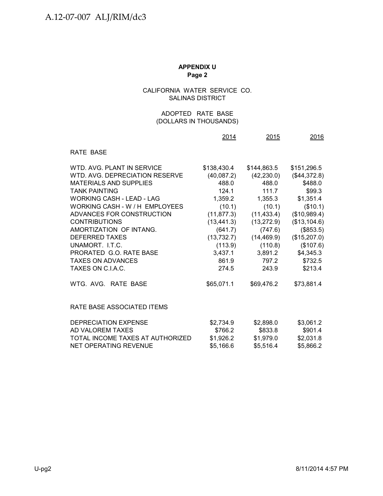### CALIFORNIA WATER SERVICE CO. SALINAS DISTRICT

### (DOLLARS IN THOUSANDS) ADOPTED RATE BASE

|                                  | 2014        | 2015        | 2016         |
|----------------------------------|-------------|-------------|--------------|
| RATE BASE                        |             |             |              |
| WTD. AVG. PLANT IN SERVICE       | \$138,430.4 | \$144,863.5 | \$151,296.5  |
| WTD, AVG, DEPRECIATION RESERVE   | (40,087.2)  | (42, 230.0) | (\$44,372.8) |
| <b>MATERIALS AND SUPPLIES</b>    | 488.0       | 488.0       | \$488.0      |
| <b>TANK PAINTING</b>             | 124.1       | 111.7       | \$99.3       |
| WORKING CASH - LEAD - LAG        | 1,359.2     | 1,355.3     | \$1,351.4    |
| WORKING CASH - W / H EMPLOYEES   | (10.1)      | (10.1)      | (\$10.1)     |
| ADVANCES FOR CONSTRUCTION        | (11, 877.3) | (11, 433.4) | (\$10,989.4) |
| <b>CONTRIBUTIONS</b>             | (13, 441.3) | (13, 272.9) | (\$13,104.6) |
| AMORTIZATION OF INTANG.          | (641.7)     | (747.6)     | (\$853.5)    |
| <b>DEFERRED TAXES</b>            | (13, 732.7) | (14, 469.9) | (\$15,207.0) |
| UNAMORT. I.T.C.                  | (113.9)     | (110.8)     | (\$107.6)    |
| PRORATED G.O. RATE BASE          | 3,437.1     | 3,891.2     | \$4,345.3    |
| <b>TAXES ON ADVANCES</b>         | 861.9       | 797.2       | \$732.5      |
| TAXES ON C.I.A.C.                | 274.5       | 243.9       | \$213.4      |
| WTG. AVG. RATE BASE              | \$65,071.1  | \$69,476.2  | \$73,881.4   |
| RATE BASE ASSOCIATED ITEMS       |             |             |              |
| DEPRECIATION EXPENSE             | \$2,734.9   | \$2,898.0   | \$3,061.2    |
| AD VALOREM TAXES                 | \$766.2     | \$833.8     | \$901.4      |
| TOTAL INCOME TAXES AT AUTHORIZED | \$1,926.2   | \$1,979.0   | \$2,031.8    |
| NET OPERATING REVENUE            | \$5,166.6   | \$5,516.4   | \$5,866.2    |
|                                  |             |             |              |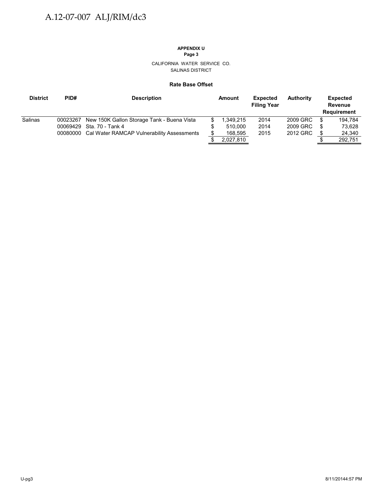# **APPENDIX U**

**Page 3**

#### CALIFORNIA WATER SERVICE CO. SALINAS DISTRICT

#### **Rate Base Offset**

| <b>District</b> | PID#     | <b>Description</b>                                  |  | Amount    | <b>Expected</b><br><b>Filing Year</b> | <b>Authority</b> |     | <b>Expected</b><br><b>Revenue</b><br><b>Requirement</b> |
|-----------------|----------|-----------------------------------------------------|--|-----------|---------------------------------------|------------------|-----|---------------------------------------------------------|
| Salinas         | 00023267 | New 150K Gallon Storage Tank - Buena Vista          |  | .349.215  | 2014                                  | 2009 GRC         | S   | 194.784                                                 |
|                 | 00069429 | Sta. 70 - Tank 4                                    |  | 510.000   | 2014                                  | 2009 GRC         | \$  | 73.628                                                  |
|                 |          | 00080000 Cal Water RAMCAP Vulnerability Assessments |  | 168,595   | 2015                                  | 2012 GRC         | \$. | 24,340                                                  |
|                 |          |                                                     |  | 2,027,810 |                                       |                  |     | 292,751                                                 |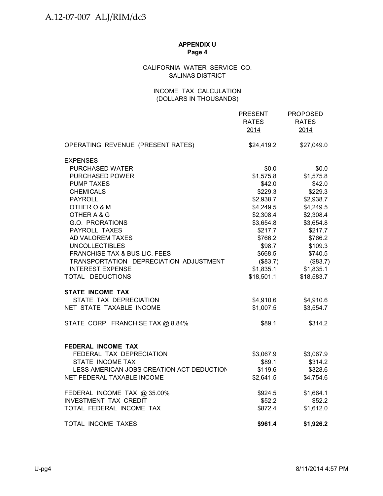### CALIFORNIA WATER SERVICE CO. SALINAS DISTRICT

### INCOME TAX CALCULATION (DOLLARS IN THOUSANDS)

|                                           | <b>PRESENT</b><br><b>RATES</b><br>2014 | <b>PROPOSED</b><br><b>RATES</b><br>2014 |
|-------------------------------------------|----------------------------------------|-----------------------------------------|
| OPERATING REVENUE (PRESENT RATES)         | \$24,419.2                             | \$27,049.0                              |
| <b>EXPENSES</b>                           |                                        |                                         |
| PURCHASED WATER                           | \$0.0                                  | \$0.0                                   |
| <b>PURCHASED POWER</b>                    | \$1,575.8                              | \$1,575.8                               |
| <b>PUMP TAXES</b>                         | \$42.0                                 | \$42.0                                  |
| <b>CHEMICALS</b>                          | \$229.3                                | \$229.3                                 |
| <b>PAYROLL</b>                            | \$2,938.7                              | \$2,938.7                               |
| OTHER O & M                               | \$4,249.5                              | \$4,249.5                               |
| OTHER A & G                               | \$2,308.4                              | \$2,308.4                               |
| G.O. PRORATIONS                           | \$3,654.8                              | \$3,654.8                               |
| PAYROLL TAXES                             | \$217.7                                | \$217.7                                 |
| AD VALOREM TAXES                          | \$766.2                                | \$766.2                                 |
| <b>UNCOLLECTIBLES</b>                     | \$98.7                                 | \$109.3                                 |
| FRANCHISE TAX & BUS LIC. FEES             | \$668.5                                | \$740.5                                 |
| TRANSPORTATION DEPRECIATION ADJUSTMENT    | (\$83.7)                               | (\$83.7)                                |
| <b>INTEREST EXPENSE</b>                   | \$1,835.1                              | \$1,835.1                               |
| TOTAL DEDUCTIONS                          | \$18,501.1                             | \$18,583.7                              |
| <b>STATE INCOME TAX</b>                   |                                        |                                         |
| STATE TAX DEPRECIATION                    | \$4,910.6                              | \$4,910.6                               |
| NET STATE TAXABLE INCOME                  | \$1,007.5                              | \$3,554.7                               |
| STATE CORP. FRANCHISE TAX @ 8.84%         | \$89.1                                 | \$314.2                                 |
| FEDERAL INCOME TAX                        |                                        |                                         |
| FEDERAL TAX DEPRECIATION                  | \$3,067.9                              | \$3,067.9                               |
| STATE INCOME TAX                          | \$89.1                                 | \$314.2                                 |
| LESS AMERICAN JOBS CREATION ACT DEDUCTION | \$119.6                                | \$328.6                                 |
| NET FEDERAL TAXABLE INCOME                | \$2,641.5                              | \$4,754.6                               |
| FEDERAL INCOME TAX @ 35.00%               | \$924.5                                | \$1,664.1                               |
| <b>INVESTMENT TAX CREDIT</b>              | \$52.2                                 | \$52.2                                  |
| TOTAL FEDERAL INCOME TAX                  | \$872.4                                | \$1,612.0                               |
| TOTAL INCOME TAXES                        | \$961.4                                | \$1,926.2                               |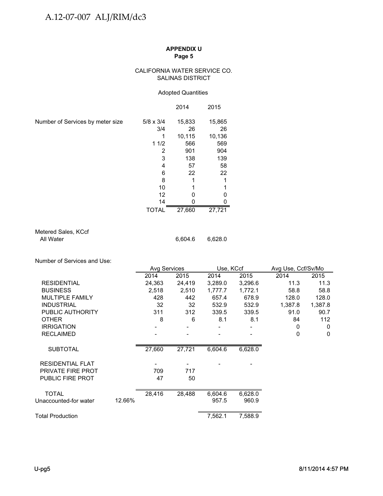#### CALIFORNIA WATER SERVICE CO. SALINAS DISTRICT

#### Adopted Quantities

|                                  |                  | 2014   | 2015   |
|----------------------------------|------------------|--------|--------|
| Number of Services by meter size | $5/8 \times 3/4$ | 15,833 | 15,865 |
|                                  | 3/4              | 26     | 26     |
|                                  |                  | 10,115 | 10,136 |
|                                  | 11/2             | 566    | 569    |
|                                  | 2                | 901    | 904    |
|                                  | 3                | 138    | 139    |
|                                  | 4                | 57     | 58     |
|                                  | 6                | 22     | 22     |
|                                  | 8                |        | 1      |
|                                  | 10               |        |        |
|                                  | 12               | O      | 0      |
|                                  | 14               |        | 0      |
|                                  | <b>TOTAL</b>     | 27,660 | 27,721 |

| Metered Sales, KCcf |         |
|---------------------|---------|
| All Water           | 6.604.6 |

Number of Services and Use:

|                          |        | <b>Avg Services</b> |        | Use, KCcf |         | Avg Use, Ccf/Sv/Mo |         |
|--------------------------|--------|---------------------|--------|-----------|---------|--------------------|---------|
|                          |        | 2014                | 2015   | 2014      | 2015    | 2014               | 2015    |
| <b>RESIDENTIAL</b>       |        | 24,363              | 24,419 | 3,289.0   | 3,296.6 | 11.3               | 11.3    |
| <b>BUSINESS</b>          |        | 2,518               | 2,510  | 1,777.7   | 1,772.1 | 58.8               | 58.8    |
| <b>MULTIPLE FAMILY</b>   |        | 428                 | 442    | 657.4     | 678.9   | 128.0              | 128.0   |
| <b>INDUSTRIAL</b>        |        | 32                  | 32     | 532.9     | 532.9   | 1,387.8            | 1,387.8 |
| PUBLIC AUTHORITY         |        | 311                 | 312    | 339.5     | 339.5   | 91.0               | 90.7    |
| <b>OTHER</b>             |        | 8                   | 6      | 8.1       | 8.1     | 84                 | 112     |
| <b>IRRIGATION</b>        |        |                     |        |           |         | 0                  | 0       |
| <b>RECLAIMED</b>         |        |                     |        |           |         | 0                  | 0       |
| <b>SUBTOTAL</b>          |        | 27,660              | 27,721 | 6,604.6   | 6,628.0 |                    |         |
| <b>RESIDENTIAL FLAT</b>  |        |                     |        |           |         |                    |         |
| <b>PRIVATE FIRE PROT</b> |        | 709                 | 717    |           |         |                    |         |
| <b>PUBLIC FIRE PROT</b>  |        | 47                  | 50     |           |         |                    |         |
| <b>TOTAL</b>             |        | 28,416              | 28,488 | 6,604.6   | 6,628.0 |                    |         |
| Unaccounted-for water    | 12.66% |                     |        | 957.5     | 960.9   |                    |         |
|                          |        |                     |        |           |         |                    |         |
| <b>Total Production</b>  |        |                     |        | 7,562.1   | 7,588.9 |                    |         |

6,628.0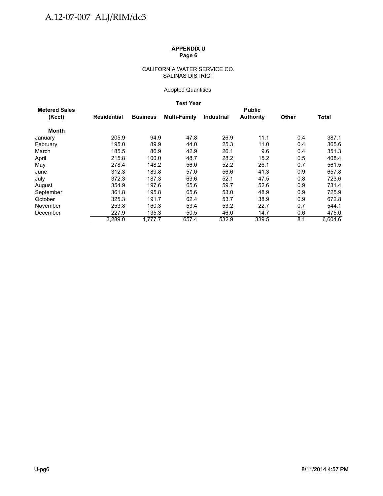#### CALIFORNIA WATER SERVICE CO. SALINAS DISTRICT

#### Adopted Quantities

#### **Test Year**

| <b>Metered Sales</b> |             |                 |                     |                   | <b>Public</b>    |              |              |
|----------------------|-------------|-----------------|---------------------|-------------------|------------------|--------------|--------------|
| (Kccf)               | Residential | <b>Business</b> | <b>Multi-Family</b> | <b>Industrial</b> | <b>Authority</b> | <b>Other</b> | <b>Total</b> |
| <b>Month</b>         |             |                 |                     |                   |                  |              |              |
| January              | 205.9       | 94.9            | 47.8                | 26.9              | 11.1             | 0.4          | 387.1        |
| February             | 195.0       | 89.9            | 44.0                | 25.3              | 11.0             | 0.4          | 365.6        |
| March                | 185.5       | 86.9            | 42.9                | 26.1              | 9.6              | 0.4          | 351.3        |
| April                | 215.8       | 100.0           | 48.7                | 28.2              | 15.2             | 0.5          | 408.4        |
| May                  | 278.4       | 148.2           | 56.0                | 52.2              | 26.1             | 0.7          | 561.5        |
| June                 | 312.3       | 189.8           | 57.0                | 56.6              | 41.3             | 0.9          | 657.8        |
| July                 | 372.3       | 187.3           | 63.6                | 52.1              | 47.5             | 0.8          | 723.6        |
| August               | 354.9       | 197.6           | 65.6                | 59.7              | 52.6             | 0.9          | 731.4        |
| September            | 361.8       | 195.8           | 65.6                | 53.0              | 48.9             | 0.9          | 725.9        |
| October              | 325.3       | 191.7           | 62.4                | 53.7              | 38.9             | 0.9          | 672.8        |
| November             | 253.8       | 160.3           | 53.4                | 53.2              | 22.7             | 0.7          | 544.1        |
| December             | 227.9       | 135.3           | 50.5                | 46.0              | 14.7             | 0.6          | 475.0        |
|                      | 3,289.0     | 1.777.7         | 657.4               | 532.9             | 339.5            | 8.1          | 6,604.6      |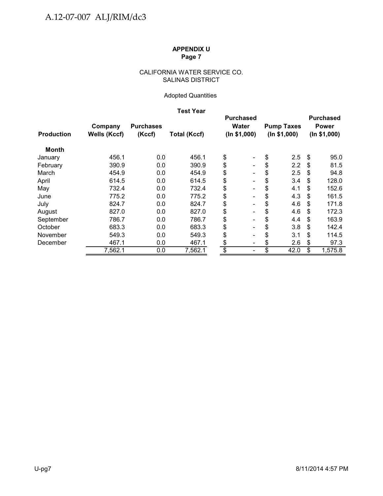### CALIFORNIA WATER SERVICE CO. SALINAS DISTRICT

### Adopted Quantities

### **Test Year**

|                   |                     |                  |                     |                 | <b>Purchased</b>             |    |                   |     | <b>Purchased</b> |  |
|-------------------|---------------------|------------------|---------------------|-----------------|------------------------------|----|-------------------|-----|------------------|--|
|                   | Company             | <b>Purchases</b> |                     |                 | <b>Water</b>                 |    | <b>Pump Taxes</b> |     | <b>Power</b>     |  |
| <b>Production</b> | <b>Wells (Kccf)</b> | (Kccf)           | <b>Total (Kccf)</b> |                 | (ln \$1,000)                 |    | (ln \$1,000)      |     | (ln \$1,000)     |  |
| Month             |                     |                  |                     |                 |                              |    |                   |     |                  |  |
| January           | 456.1               | 0.0              | 456.1               | \$              | $\qquad \qquad \blacksquare$ | \$ | 2.5               | \$  | 95.0             |  |
| February          | 390.9               | 0.0              | 390.9               | \$              | $\qquad \qquad \blacksquare$ | \$ | 2.2               | S   | 81.5             |  |
| March             | 454.9               | 0.0              | 454.9               | \$              | $\qquad \qquad \blacksquare$ | \$ | 2.5               | S   | 94.8             |  |
| April             | 614.5               | 0.0              | 614.5               | \$              | $\qquad \qquad \blacksquare$ | \$ | 3.4               | \$  | 128.0            |  |
| May               | 732.4               | 0.0              | 732.4               | \$              | Ξ.                           | \$ | 4.1               | \$  | 152.6            |  |
| June              | 775.2               | 0.0              | 775.2               | \$              | $\overline{\phantom{0}}$     | \$ | 4.3               | S   | 161.5            |  |
| July              | 824.7               | 0.0              | 824.7               | \$              | $\qquad \qquad \blacksquare$ | \$ | 4.6               | \$. | 171.8            |  |
| August            | 827.0               | 0.0              | 827.0               | \$              |                              | \$ | 4.6               | S   | 172.3            |  |
| September         | 786.7               | 0.0              | 786.7               | \$              |                              | \$ | 4.4               | S   | 163.9            |  |
| October           | 683.3               | 0.0              | 683.3               | \$              | $\qquad \qquad \blacksquare$ | \$ | 3.8               | \$  | 142.4            |  |
| November          | 549.3               | 0.0              | 549.3               | \$              | -                            | \$ | 3.1               | \$  | 114.5            |  |
| December          | 467.1               | 0.0              | 467.1               | \$              | $\overline{\phantom{a}}$     | \$ | 2.6               | \$  | 97.3             |  |
|                   | 7,562.1             | 0.0              | 7,562.1             | $\overline{\$}$ | $\qquad \qquad \blacksquare$ | \$ | 42.0              | \$  | 1,575.8          |  |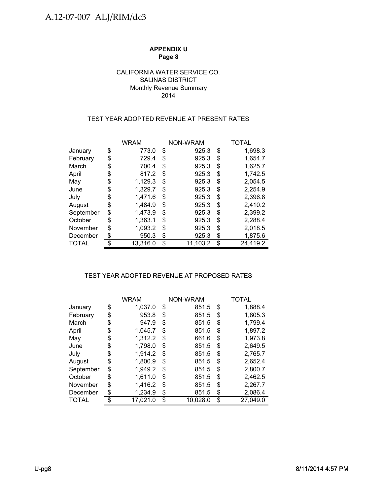### CALIFORNIA WATER SERVICE CO. SALINAS DISTRICT Monthly Revenue Summary 2014

### TEST YEAR ADOPTED REVENUE AT PRESENT RATES

|              |    | <b>WRAM</b> | NON-WRAM       | TOTAL          |
|--------------|----|-------------|----------------|----------------|
| January      | \$ | 773.0       | \$<br>925.3    | \$<br>1,698.3  |
| February     | \$ | 729.4       | \$<br>925.3    | \$<br>1,654.7  |
| March        | \$ | 700.4       | \$<br>925.3    | \$<br>1,625.7  |
| April        | \$ | 817.2       | \$<br>925.3    | \$<br>1,742.5  |
| May          | \$ | 1,129.3     | \$<br>925.3    | \$<br>2,054.5  |
| June         | S  | 1,329.7     | \$<br>925.3    | \$<br>2,254.9  |
| July         | \$ | 1,471.6     | \$<br>925.3    | \$<br>2,396.8  |
| August       | \$ | 1.484.9     | \$<br>925.3    | \$<br>2,410.2  |
| September    | \$ | 1,473.9     | \$<br>925.3    | \$<br>2,399.2  |
| October      | \$ | 1,363.1     | \$<br>925.3    | \$<br>2,288.4  |
| November     | \$ | 1,093.2     | \$<br>925.3    | \$<br>2,018.5  |
| December     | \$ | 950.3       | \$<br>925.3    | \$<br>1,875.6  |
| <b>TOTAL</b> | ጥ  | 13,316.0    | \$<br>11,103.2 | \$<br>24,419.2 |

### TEST YEAR ADOPTED REVENUE AT PROPOSED RATES TEST YEAR ADOPTED REVENUE AT PROPOSED

|              |    | <b>WRAM</b> |    | NON-WRAM | TOTAL          |
|--------------|----|-------------|----|----------|----------------|
| January      | \$ | 1,037.0     | \$ | 851.5    | \$<br>1,888.4  |
| February     | \$ | 953.8       | \$ | 851.5    | \$<br>1,805.3  |
| March        | \$ | 947.9       | S  | 851.5    | \$<br>1,799.4  |
| April        | \$ | 1,045.7     | \$ | 851.5    | \$<br>1,897.2  |
| May          | \$ | 1,312.2     | S  | 661.6    | \$<br>1,973.8  |
| June         | \$ | 1,798.0     | S  | 851.5    | \$<br>2,649.5  |
| July         | \$ | 1,914.2     | S  | 851.5    | \$<br>2,765.7  |
| August       | \$ | 1.800.9     | \$ | 851.5    | \$<br>2,652.4  |
| September    | \$ | 1,949.2     | S  | 851.5    | \$<br>2,800.7  |
| October      | \$ | 1,611.0     | \$ | 851.5    | \$<br>2,462.5  |
| November     | \$ | 1,416.2     | \$ | 851.5    | \$<br>2,267.7  |
| December     | S  | 1,234.9     | \$ | 851.5    | \$<br>2,086.4  |
| <b>TOTAL</b> |    | 17,021.0    | \$ | 10,028.0 | \$<br>27,049.0 |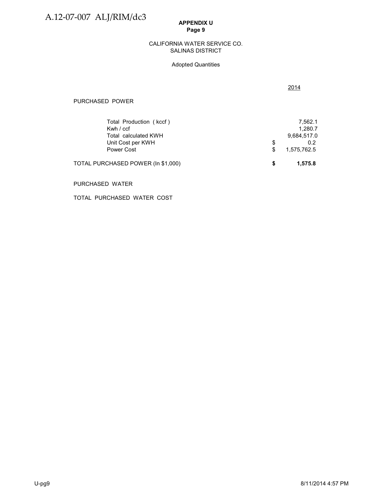#### SALINAS DISTRICT CALIFORNIA WATER SERVICE CO.

#### Adopted Quantities

2014

| TOTAL PURCHASED POWER (In \$1,000) |   | 1,575.8     |
|------------------------------------|---|-------------|
| Power Cost                         |   | 1,575,762.5 |
| Unit Cost per KWH                  | S | 0.2         |
| Total calculated KWH               |   | 9,684,517.0 |
| Kwh / ccf                          |   | 1.280.7     |
| Total Production (kccf)            |   | 7.562.1     |
|                                    |   |             |

#### PURCHASED WATER

TOTAL PURCHASED WATER COST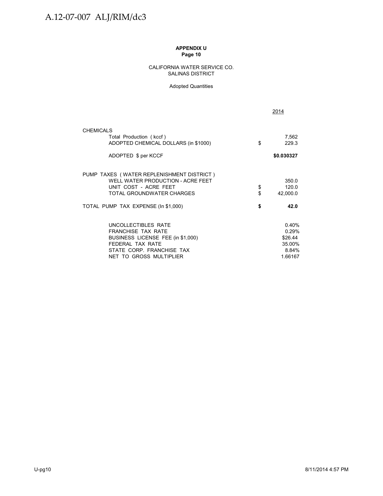#### CALIFORNIA WATER SERVICE CO. SALINAS DISTRICT

#### Adopted Quantities

|                                                                 |          | 2014              |
|-----------------------------------------------------------------|----------|-------------------|
| <b>CHEMICALS</b>                                                |          |                   |
| Total Production (kccf)<br>ADOPTED CHEMICAL DOLLARS (in \$1000) | \$       | 7,562<br>229.3    |
| ADOPTED \$ per KCCF                                             |          | \$0.030327        |
| PUMP TAXES (WATER REPLENISHMENT DISTRICT)                       |          |                   |
| WELL WATER PRODUCTION - ACRE FEET                               |          | 350.0             |
| UNIT COST - ACRE FEET<br>TOTAL GROUNDWATER CHARGES              | \$<br>\$ | 120.0<br>42,000.0 |
| TOTAL PUMP TAX EXPENSE (In \$1,000)                             | \$       | 42.0              |
| UNCOLLECTIBLES RATE                                             |          | 0.40%             |
| <b>FRANCHISE TAX RATE</b>                                       |          | 0.29%             |
| BUSINESS LICENSE FEE (in \$1,000)                               |          | \$26.44           |
| FFDFRAI TAX RATF                                                |          | 35.00%            |
| STATE CORP. FRANCHISE TAX<br>NET TO GROSS MULTIPLIER            |          | 8.84%<br>1.66167  |
|                                                                 |          |                   |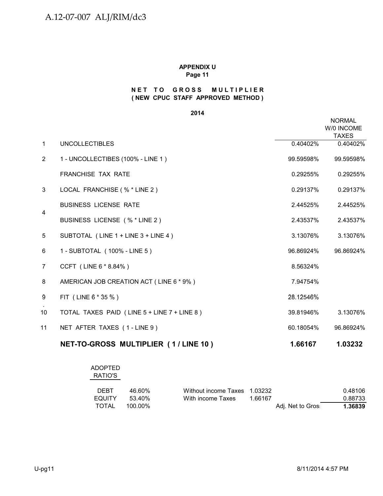### **( NEW CPUC STAFF APPROVED METHOD ) NET TO GROSS MULTIPLIER**

**2014**

|                |                                             |           | <b>NORMAL</b><br>W/0 INCOME<br><b>TAXES</b> |
|----------------|---------------------------------------------|-----------|---------------------------------------------|
| $\mathbf{1}$   | <b>UNCOLLECTIBLES</b>                       | 0.40402%  | 0.40402%                                    |
| 2              | 1 - UNCOLLECTIBES (100% - LINE 1)           | 99.59598% | 99.59598%                                   |
|                | <b>FRANCHISE TAX RATE</b>                   | 0.29255%  | 0.29255%                                    |
| 3              | LOCAL FRANCHISE (% * LINE 2)                | 0.29137%  | 0.29137%                                    |
|                | <b>BUSINESS LICENSE RATE</b>                | 2.44525%  | 2.44525%                                    |
| $\overline{4}$ | BUSINESS LICENSE (% * LINE 2)               | 2.43537%  | 2.43537%                                    |
| 5              | SUBTOTAL (LINE 1 + LINE 3 + LINE 4)         | 3.13076%  | 3.13076%                                    |
| 6              | 1 - SUBTOTAL (100% - LINE 5)                | 96.86924% | 96.86924%                                   |
| $\overline{7}$ | CCFT (LINE 6 * 8.84%)                       | 8.56324%  |                                             |
| 8              | AMERICAN JOB CREATION ACT (LINE 6 * 9%)     | 7.94754%  |                                             |
| 9              | FIT (LINE 6 * 35 %)                         | 28.12546% |                                             |
| 10             | TOTAL TAXES PAID (LINE 5 + LINE 7 + LINE 8) | 39.81946% | 3.13076%                                    |
| 11             | NET AFTER TAXES (1-LINE 9)                  | 60.18054% | 96.86924%                                   |
|                | NET-TO-GROSS MULTIPLIER (1/LINE 10)         | 1.66167   | 1.03232                                     |

#### ADOPTED RATIO'S

| <b>DEBT</b>   | 46.60%  | Without income Taxes 1.03232 |         |                   | 0.48106 |
|---------------|---------|------------------------------|---------|-------------------|---------|
| <b>EQUITY</b> | .53.40% | With income Taxes            | 1.66167 |                   | 0.88733 |
| TOTAL         | 100.00% |                              |         | Adj. Net to Gros: | 1.36839 |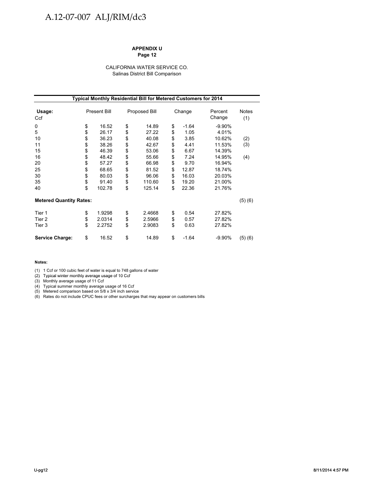# A.12-07-007 ALJ/RIM/dc3

#### **APPENDIX U Page 12**

#### CALIFORNIA WATER SERVICE CO. Salinas District Bill Comparison

|                                | <b>Typical Monthly Residential Bill for Metered Customers for 2014</b> |                     |    |               |    |         |                   |                     |  |
|--------------------------------|------------------------------------------------------------------------|---------------------|----|---------------|----|---------|-------------------|---------------------|--|
| Usage:<br>Ccf                  |                                                                        | <b>Present Bill</b> |    | Proposed Bill |    | Change  | Percent<br>Change | <b>Notes</b><br>(1) |  |
| 0                              | \$                                                                     | 16.52               | \$ | 14.89         | \$ | $-1.64$ | $-9.90%$          |                     |  |
| 5                              | \$                                                                     | 26.17               | \$ | 27.22         | \$ | 1.05    | 4.01%             |                     |  |
| 10                             | \$                                                                     | 36.23               | \$ | 40.08         | \$ | 3.85    | 10.62%            | (2)                 |  |
| 11                             | \$                                                                     | 38.26               | \$ | 42.67         | \$ | 4.41    | 11.53%            | (3)                 |  |
| 15                             | \$                                                                     | 46.39               | \$ | 53.06         | \$ | 6.67    | 14.39%            |                     |  |
| 16                             | \$                                                                     | 48.42               | \$ | 55.66         | \$ | 7.24    | 14.95%            | (4)                 |  |
| 20                             | \$                                                                     | 57.27               | \$ | 66.98         | \$ | 9.70    | 16.94%            |                     |  |
| 25                             | \$                                                                     | 68.65               | \$ | 81.52         | \$ | 12.87   | 18.74%            |                     |  |
| 30                             | \$                                                                     | 80.03               | \$ | 96.06         | \$ | 16.03   | 20.03%            |                     |  |
| 35                             | \$                                                                     | 91.40               | \$ | 110.60        | \$ | 19.20   | 21.00%            |                     |  |
| 40                             | \$                                                                     | 102.78              | \$ | 125.14        | \$ | 22.36   | 21.76%            |                     |  |
| <b>Metered Quantity Rates:</b> |                                                                        |                     |    |               |    |         |                   | (5)(6)              |  |
| Tier 1                         | \$                                                                     | 1.9298              | \$ | 2.4668        | \$ | 0.54    | 27.82%            |                     |  |
| Tier 2                         | \$                                                                     | 2.0314              | \$ | 2.5966        | \$ | 0.57    | 27.82%            |                     |  |
| Tier 3                         | \$                                                                     | 2.2752              | \$ | 2.9083        | \$ | 0.63    | 27.82%            |                     |  |
| <b>Service Charge:</b>         | \$                                                                     | 16.52               | \$ | 14.89         | \$ | $-1.64$ | $-9.90%$          | (5)(6)              |  |

#### **Notes:**

(1) 1 Ccf or 100 cubic feet of water is equal to 748 gallons of water

(2) Typical winter monthly average usage of 10 Ccf

(3) Monthly average usage of 11 Ccf

(4) Typical summer monthly average usage of 16 Ccf

(5) Metered comparison based on 5/8 x 3/4 inch service

(6) Rates do not include CPUC fees or other surcharges that may appear on customers bills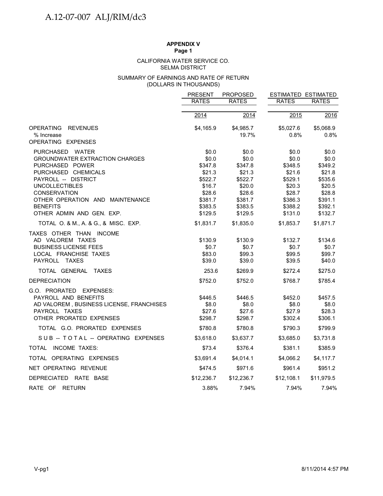#### SELMA DISTRICT CALIFORNIA WATER SERVICE CO.

#### (DOLLARS IN THOUSANDS) SUMMARY OF EARNINGS AND RATE OF RETURN

|                                                           | <b>PRESENT</b>    | <b>PROPOSED</b>    | <b>ESTIMATED ESTIMATED</b> |                   |
|-----------------------------------------------------------|-------------------|--------------------|----------------------------|-------------------|
|                                                           | <b>RATES</b>      | <b>RATES</b>       | <b>RATES</b>               | <b>RATES</b>      |
|                                                           |                   |                    |                            |                   |
|                                                           | 2014              | 2014               | 2015                       | 2016              |
| <b>OPERATING</b><br><b>REVENUES</b><br>% Increase         | \$4,165.9         | \$4,985.7<br>19.7% | \$5,027.6<br>0.8%          | \$5,068.9<br>0.8% |
| OPERATING EXPENSES                                        |                   |                    |                            |                   |
| PURCHASED WATER<br><b>GROUNDWATER EXTRACTION CHARGES</b>  | \$0.0<br>\$0.0    | \$0.0<br>\$0.0     | \$0.0<br>\$0.0             | \$0.0<br>\$0.0    |
| PURCHASED POWER<br>PURCHASED CHEMICALS                    | \$347.8<br>\$21.3 | \$347.8<br>\$21.3  | \$348.5<br>\$21.6          | \$349.2<br>\$21.8 |
| PAYROLL -- DISTRICT                                       | \$522.7           | \$522.7            | \$529.1                    | \$535.6           |
| <b>UNCOLLECTIBLES</b>                                     | \$16.7            | \$20.0             | \$20.3                     | \$20.5            |
| CONSERVATION                                              | \$28.6            | \$28.6             | \$28.7                     | \$28.8            |
| OTHER OPERATION AND MAINTENANCE                           | \$381.7           | \$381.7            | \$386.3                    | \$391.1           |
| <b>BENEFITS</b>                                           | \$383.5           | \$383.5            | \$388.2                    | \$392.1           |
| OTHER ADMIN AND GEN. EXP.                                 | \$129.5           | \$129.5            | \$131.0                    | \$132.7           |
| TOTAL 0. & M., A. & G., & MISC. EXP.                      | \$1,831.7         | \$1,835.0          | \$1,853.7                  | \$1,871.7         |
| TAXES OTHER THAN INCOME                                   |                   |                    |                            |                   |
| AD VALOREM TAXES                                          | \$130.9           | \$130.9            | \$132.7                    | \$134.6           |
| <b>BUSINESS LICENSE FEES</b>                              | \$0.7             | \$0.7              | \$0.7                      | \$0.7             |
| LOCAL FRANCHISE TAXES                                     | \$83.0            | \$99.3             | \$99.5                     | \$99.7            |
| PAYROLL TAXES                                             | \$39.0            | \$39.0             | \$39.5                     | \$40.0            |
| TOTAL GENERAL TAXES                                       | 253.6             | \$269.9            | \$272.4                    | \$275.0           |
| <b>DEPRECIATION</b>                                       | \$752.0           | \$752.0            | \$768.7                    | \$785.4           |
| G.O. PRORATED EXPENSES:                                   |                   |                    |                            |                   |
| PAYROLL AND BENEFITS                                      | \$446.5           | \$446.5            | \$452.0                    | \$457.5           |
| AD VALOREM, BUSINESS LICENSE, FRANCHISES<br>PAYROLL TAXES | \$8.0<br>\$27.6   | \$8.0<br>\$27.6    | \$8.0                      | \$8.0             |
| OTHER PRORATED EXPENSES                                   | \$298.7           | \$298.7            | \$27.9<br>\$302.4          | \$28.3<br>\$306.1 |
|                                                           |                   |                    |                            |                   |
| TOTAL G.O. PRORATED EXPENSES                              | \$780.8           | \$780.8            | \$790.3                    | \$799.9           |
| SUB-TOTAL-OPERATING EXPENSES                              | \$3,618.0         | \$3,637.7          | \$3,685.0                  | \$3,731.8         |
| TOTAL INCOME TAXES:                                       | \$73.4            | \$376.4            | \$381.1                    | \$385.9           |
| TOTAL OPERATING EXPENSES                                  | \$3,691.4         | \$4,014.1          | \$4,066.2                  | \$4,117.7         |
| NET OPERATING REVENUE                                     | \$474.5           | \$971.6            | \$961.4                    | \$951.2           |
| DEPRECIATED RATE BASE                                     | \$12,236.7        | \$12,236.7         | \$12,108.1                 | \$11,979.5        |
| RATE OF RETURN                                            | 3.88%             | 7.94%              | 7.94%                      | 7.94%             |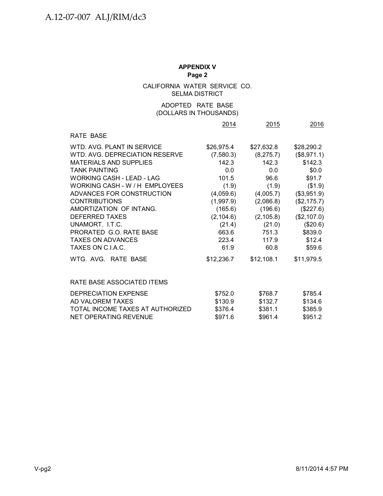CALIFORNIA WATER SERVICE CO. SELMA DISTRICT

## (DOLLARS IN THOUSANDS) ADOPTED RATE BASE

|                                                                                                                                                                                                                                                                                                                                                                                                            | 2014                                                                                                                                                           | 2015                                                                                                                                                           | 2016                                                                                                                                                                                  |
|------------------------------------------------------------------------------------------------------------------------------------------------------------------------------------------------------------------------------------------------------------------------------------------------------------------------------------------------------------------------------------------------------------|----------------------------------------------------------------------------------------------------------------------------------------------------------------|----------------------------------------------------------------------------------------------------------------------------------------------------------------|---------------------------------------------------------------------------------------------------------------------------------------------------------------------------------------|
| RATE BASE                                                                                                                                                                                                                                                                                                                                                                                                  |                                                                                                                                                                |                                                                                                                                                                |                                                                                                                                                                                       |
| WTD, AVG, PLANT IN SERVICE<br>WTD, AVG, DEPRECIATION RESERVE<br><b>MATERIALS AND SUPPLIES</b><br><b>TANK PAINTING</b><br>WORKING CASH - LEAD - LAG<br>WORKING CASH - W / H EMPLOYEES<br>ADVANCES FOR CONSTRUCTION<br><b>CONTRIBUTIONS</b><br>AMORTIZATION OF INTANG.<br>DEFERRED TAXES<br>UNAMORT. LT.C.<br>PRORATED G.O. RATE BASE<br><b>TAXES ON ADVANCES</b><br>TAXES ON C.LA.C.<br>WTG. AVG. RATE BASE | \$26,975.4<br>(7,580.3)<br>142.3<br>0.0<br>101.5<br>(1.9)<br>(4,059.6)<br>(1,997.9)<br>(165.6)<br>(2, 104.6)<br>(21.4)<br>663.6<br>223.4<br>61.9<br>\$12,236.7 | \$27,632.8<br>(8, 275.7)<br>142.3<br>0.0<br>96.6<br>(1.9)<br>(4,005.7)<br>(2,086.8)<br>(196.6)<br>(2, 105.8)<br>(21.0)<br>751.3<br>117.9<br>60.8<br>\$12,108.1 | \$28,290.2<br>(\$8,971.1)<br>\$142.3<br>\$0.0<br>\$91.7<br>(\$1.9)<br>(\$3,951.9)<br>(\$2,175.7)<br>(\$227.6)<br>(\$2,107.0)<br>(\$20.6)<br>\$839.0<br>\$12.4<br>\$59.6<br>\$11,979.5 |
| RATE BASE ASSOCIATED ITEMS                                                                                                                                                                                                                                                                                                                                                                                 |                                                                                                                                                                |                                                                                                                                                                |                                                                                                                                                                                       |
| DEPRECIATION EXPENSE<br>AD VALOREM TAXES<br>TOTAL INCOME TAXES AT AUTHORIZED<br><b>NET OPERATING REVENUE</b>                                                                                                                                                                                                                                                                                               | \$752.0<br>\$130.9<br>\$376.4<br>\$971.6                                                                                                                       | \$768.7<br>\$132.7<br>\$381.1<br>\$961.4                                                                                                                       | \$785.4<br>\$134.6<br>\$385.9<br>\$951.2                                                                                                                                              |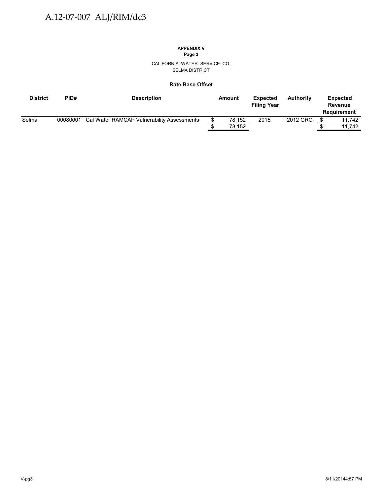# **APPENDIX V**

**Page 3**

CALIFORNIA WATER SERVICE CO. SELMA DISTRICT

#### **Rate Base Offset**

| <b>District</b> | PID#     | <b>Description</b>                         | Amount | <b>Expected</b><br><b>Filing Year</b> | <b>Authority</b> | <b>Expected</b><br>Revenue<br><b>Requirement</b> |
|-----------------|----------|--------------------------------------------|--------|---------------------------------------|------------------|--------------------------------------------------|
| Selma           | 00080001 | Cal Water RAMCAP Vulnerability Assessments | 78,152 | 2015                                  | 2012 GRC         | 11.742                                           |
|                 |          |                                            | 78.152 |                                       |                  | 11.742                                           |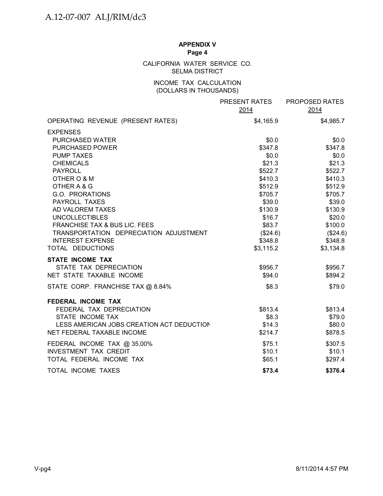## CALIFORNIA WATER SERVICE CO. SELMA DISTRICT

## INCOME TAX CALCULATION (DOLLARS IN THOUSANDS)

|                                           | PRESENT RATES<br>2014 | PROPOSED RATES<br>2014 |
|-------------------------------------------|-----------------------|------------------------|
| OPERATING REVENUE (PRESENT RATES)         | \$4,165.9             | \$4,985.7              |
| <b>EXPENSES</b>                           |                       |                        |
| PURCHASED WATER                           | \$0.0                 | \$0.0\$                |
| <b>PURCHASED POWER</b>                    | \$347.8               | \$347.8                |
| <b>PUMP TAXES</b>                         | \$0.0                 | \$0.0                  |
| <b>CHEMICALS</b>                          | \$21.3                | \$21.3                 |
| <b>PAYROLL</b><br>OTHER O & M             | \$522.7<br>\$410.3    | \$522.7<br>\$410.3     |
| OTHER A & G                               | \$512.9               | \$512.9                |
| G.O. PRORATIONS                           | \$705.7               | \$705.7                |
| PAYROLL TAXES                             | \$39.0                | \$39.0                 |
| AD VALOREM TAXES                          | \$130.9               | \$130.9                |
| <b>UNCOLLECTIBLES</b>                     | \$16.7                | \$20.0                 |
| FRANCHISE TAX & BUS LIC. FEES             | \$83.7                | \$100.0                |
| TRANSPORTATION DEPRECIATION ADJUSTMENT    | (\$24.6)              | (\$24.6)               |
| <b>INTEREST EXPENSE</b>                   | \$348.8               | \$348.8                |
| TOTAL DEDUCTIONS                          | \$3,115.2             | \$3,134.8              |
| <b>STATE INCOME TAX</b>                   |                       |                        |
| STATE TAX DEPRECIATION                    | \$956.7               | \$956.7                |
| NET STATE TAXABLE INCOME                  | \$94.0                | \$894.2                |
| STATE CORP. FRANCHISE TAX @ 8.84%         | \$8.3                 | \$79.0                 |
| <b>FEDERAL INCOME TAX</b>                 |                       |                        |
| FEDERAL TAX DEPRECIATION                  | \$813.4               | \$813.4                |
| STATE INCOME TAX                          | \$8.3                 | \$79.0                 |
| LESS AMERICAN JOBS CREATION ACT DEDUCTION | \$14.3                | \$80.0                 |
| NET FEDERAL TAXABLE INCOME                | \$214.7               | \$878.5                |
| FEDERAL INCOME TAX @ 35.00%               | \$75.1                | \$307.5                |
| <b>INVESTMENT TAX CREDIT</b>              | \$10.1                | \$10.1                 |
| TOTAL FEDERAL INCOME TAX                  | \$65.1                | \$297.4                |
| TOTAL INCOME TAXES                        | \$73.4                | \$376.4                |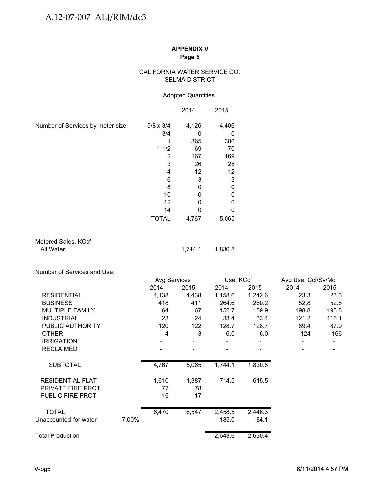## CALIFORNIA WATER SERVICE CO. SELMA DISTRICT

## Adopted Quantities

|                                  |                  | 2014  | 2015  |
|----------------------------------|------------------|-------|-------|
| Number of Services by meter size | $5/8 \times 3/4$ | 4,126 | 4,406 |
|                                  | 3/4              |       |       |
|                                  |                  | 365   | 380   |
|                                  | 11/2             | 69    | 70    |
|                                  | 2                | 167   | 169   |
|                                  | 3                | 26    | 25    |
|                                  | 4                | 12    | 12    |
|                                  | 6                | 3     | 3     |
|                                  | 8                |       |       |
|                                  | 10               |       |       |
|                                  | 12               |       |       |
|                                  | 14               |       |       |
|                                  | TOTAL            | 4,767 | 5,065 |

Metered Sales, KCcf<br>All Water

1,744.1 1,830.8

Number of Services and Use:

|                         |       | Avg Services |       | Use, KCcf |         | Avg Use, Ccf/Sv/Mo |       |  |
|-------------------------|-------|--------------|-------|-----------|---------|--------------------|-------|--|
|                         |       | 2014         | 2015  | 2014      | 2015    | 2014               | 2015  |  |
| <b>RESIDENTIAL</b>      |       | 4,138        | 4,438 | 1,158.6   | 1,242.6 | 23.3               | 23.3  |  |
| <b>BUSINESS</b>         |       | 418          | 411   | 264.6     | 260.2   | 52.8               | 52.8  |  |
| <b>MULTIPLE FAMILY</b>  |       | 64           | 67    | 152.7     | 159.9   | 198.8              | 198.8 |  |
| <b>INDUSTRIAL</b>       |       | 23           | 24    | 33.4      | 33.4    | 121.2              | 116.1 |  |
| PUBLIC AUTHORITY        |       | 120          | 122   | 128.7     | 128.7   | 89.4               | 87.9  |  |
| <b>OTHER</b>            |       | 4            | 3     | 6.0       | 6.0     | 124                | 166   |  |
| <b>IRRIGATION</b>       |       |              |       |           |         |                    |       |  |
| <b>RECLAIMED</b>        |       |              |       |           |         |                    |       |  |
| <b>SUBTOTAL</b>         |       | 4,767        | 5,065 | 1,744.1   | 1,830.8 |                    |       |  |
| <b>RESIDENTIAL FLAT</b> |       | 1,610        | 1,387 | 714.5     | 615.5   |                    |       |  |
| PRIVATE FIRE PROT       |       | 77           | 78    |           |         |                    |       |  |
| PUBLIC FIRE PROT        |       | 16           | 17    |           |         |                    |       |  |
| <b>TOTAL</b>            |       | 6,470        | 6,547 | 2,458.5   | 2,446.3 |                    |       |  |
| Unaccounted-for water   | 7.00% |              |       | 185.0     | 184.1   |                    |       |  |
| <b>Total Production</b> |       |              |       | 2,643.6   | 2,630.4 |                    |       |  |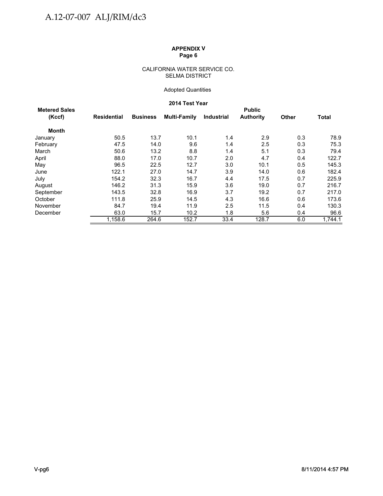#### CALIFORNIA WATER SERVICE CO. SELMA DISTRICT

## Adopted Quantities

## **2014 Test Year**

| <b>Metered Sales</b> |             |                 |                     |                   | <b>Public</b>    |              |              |
|----------------------|-------------|-----------------|---------------------|-------------------|------------------|--------------|--------------|
| (Kccf)               | Residential | <b>Business</b> | <b>Multi-Family</b> | <b>Industrial</b> | <b>Authority</b> | <b>Other</b> | <b>Total</b> |
| <b>Month</b>         |             |                 |                     |                   |                  |              |              |
| January              | 50.5        | 13.7            | 10.1                | 1.4               | 2.9              | 0.3          | 78.9         |
| February             | 47.5        | 14.0            | 9.6                 | 1.4               | 2.5              | 0.3          | 75.3         |
| March                | 50.6        | 13.2            | 8.8                 | 1.4               | 5.1              | 0.3          | 79.4         |
| April                | 88.0        | 17.0            | 10.7                | 2.0               | 4.7              | 0.4          | 122.7        |
| May                  | 96.5        | 22.5            | 12.7                | 3.0               | 10.1             | 0.5          | 145.3        |
| June                 | 122.1       | 27.0            | 14.7                | 3.9               | 14.0             | 0.6          | 182.4        |
| July                 | 154.2       | 32.3            | 16.7                | 4.4               | 17.5             | 0.7          | 225.9        |
| August               | 146.2       | 31.3            | 15.9                | 3.6               | 19.0             | 0.7          | 216.7        |
| September            | 143.5       | 32.8            | 16.9                | 3.7               | 19.2             | 0.7          | 217.0        |
| October              | 111.8       | 25.9            | 14.5                | 4.3               | 16.6             | 0.6          | 173.6        |
| November             | 84.7        | 19.4            | 11.9                | 2.5               | 11.5             | 0.4          | 130.3        |
| December             | 63.0        | 15.7            | 10.2                | 1.8               | 5.6              | 0.4          | 96.6         |
|                      | 1.158.6     | 264.6           | 152.7               | 33.4              | 128.7            | 6.0          | 1.744.1      |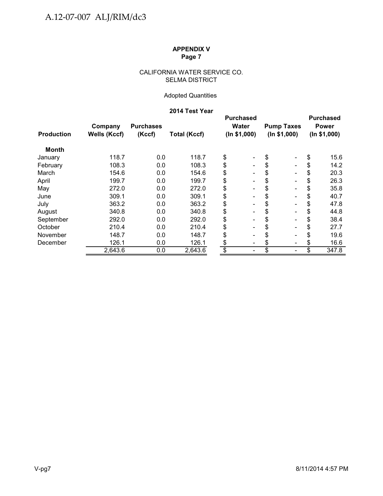## CALIFORNIA WATER SERVICE CO. SELMA DISTRICT

# Adopted Quantities

# **2014 Test Year**

|                   | Company             | <b>Purchases</b> |                     |              | <b>Purchased</b><br>Water    |              | <b>Pump Taxes</b>            |              | <b>Purchased</b><br><b>Power</b> |
|-------------------|---------------------|------------------|---------------------|--------------|------------------------------|--------------|------------------------------|--------------|----------------------------------|
| <b>Production</b> | <b>Wells (Kccf)</b> | (Kccf)           | <b>Total (Kccf)</b> | (ln \$1,000) |                              | (ln \$1,000) |                              | (ln \$1,000) |                                  |
| <b>Month</b>      |                     |                  |                     |              |                              |              |                              |              |                                  |
| January           | 118.7               | 0.0              | 118.7               | \$           | -                            | \$           | $\blacksquare$               | \$           | 15.6                             |
| February          | 108.3               | 0.0              | 108.3               | \$           |                              | \$           | $\overline{\phantom{a}}$     | \$           | 14.2                             |
| March             | 154.6               | 0.0              | 154.6               | \$           |                              | \$           | $\overline{\phantom{a}}$     |              | 20.3                             |
| April             | 199.7               | 0.0              | 199.7               | \$           | $\overline{\phantom{0}}$     | \$           | $\blacksquare$               |              | 26.3                             |
| May               | 272.0               | 0.0              | 272.0               | \$           | $\qquad \qquad \blacksquare$ | \$           | $\blacksquare$               |              | 35.8                             |
| June              | 309.1               | 0.0              | 309.1               | \$           | $\qquad \qquad \blacksquare$ | \$           | $\overline{\phantom{a}}$     | \$           | 40.7                             |
| July              | 363.2               | 0.0              | 363.2               | \$           | $\overline{\phantom{0}}$     | \$           | $\blacksquare$               | S            | 47.8                             |
| August            | 340.8               | 0.0              | 340.8               | \$           |                              | \$           | $\qquad \qquad \blacksquare$ | \$           | 44.8                             |
| September         | 292.0               | 0.0              | 292.0               | \$           |                              | \$           | $\blacksquare$               | \$           | 38.4                             |
| October           | 210.4               | 0.0              | 210.4               | \$           |                              | \$           | $\blacksquare$               |              | 27.7                             |
| November          | 148.7               | 0.0              | 148.7               | \$           | $\qquad \qquad \blacksquare$ | \$           | $\overline{\phantom{a}}$     |              | 19.6                             |
| December          | 126.1               | 0.0              | 126.1               | \$           | -                            | \$           | $\overline{\phantom{a}}$     |              | 16.6                             |
|                   | 2,643.6             | 0.0              | 2,643.6             | \$           | -                            | \$           | $\overline{\phantom{a}}$     | \$           | 347.8                            |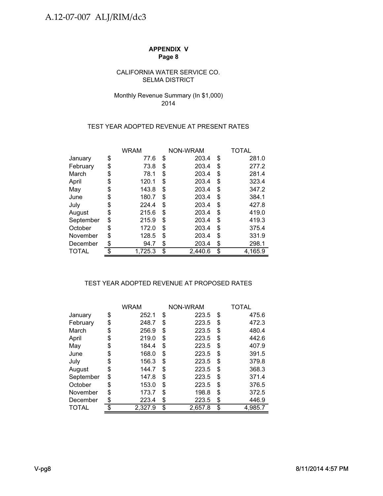## SELMA DISTRICT CALIFORNIA WATER SERVICE CO.

# Monthly Revenue Summary (In \$1,000) 2014

## TEST YEAR ADOPTED REVENUE AT PRESENT RATES

|           |    | <b>WRAM</b> | NON-WRAM      | TOTAL         |
|-----------|----|-------------|---------------|---------------|
| January   | \$ | 77.6        | \$<br>203.4   | \$<br>281.0   |
| February  | \$ | 73.8        | \$<br>203.4   | \$<br>277.2   |
| March     | \$ | 78.1        | \$<br>203.4   | \$<br>281.4   |
| April     | S  | 120.1       | \$<br>203.4   | \$<br>323.4   |
| May       | \$ | 143.8       | \$<br>203.4   | \$<br>347.2   |
| June      | \$ | 180.7       | \$<br>203.4   | \$<br>384.1   |
| July      | S  | 224.4       | \$<br>203.4   | \$<br>427.8   |
| August    | \$ | 215.6       | \$<br>203.4   | \$<br>419.0   |
| September | \$ | 215.9       | \$<br>203.4   | \$<br>419.3   |
| October   | \$ | 172.0       | \$<br>203.4   | \$<br>375.4   |
| November  | S  | 128.5       | \$<br>203.4   | \$<br>331.9   |
| December  |    | 94.7        | \$<br>203.4   | \$<br>298.1   |
| TOTAL     |    | 1,725.3     | \$<br>2,440.6 | \$<br>4,165.9 |

# TEST YEAR ADOPTED REVENUE AT PROPOSED RATES

|              | <b>WRAM</b>   |    | NON-WRAM | TOTAL         |
|--------------|---------------|----|----------|---------------|
| January      | \$<br>252.1   | \$ | 223.5    | \$<br>475.6   |
| February     | \$<br>248.7   | \$ | 223.5    | \$<br>472.3   |
| March        | \$<br>256.9   | S  | 223.5    | \$<br>480.4   |
| April        | \$<br>219.0   | \$ | 223.5    | \$<br>442.6   |
| May          | \$<br>184.4   | \$ | 223.5    | \$<br>407.9   |
| June         | \$<br>168.0   | \$ | 223.5    | \$<br>391.5   |
| July         | \$<br>156.3   | \$ | 223.5    | \$<br>379.8   |
| August       | \$<br>144.7   | S  | 223.5    | \$<br>368.3   |
| September    | \$<br>147.8   | \$ | 223.5    | \$<br>371.4   |
| October      | \$<br>153.0   | \$ | 223.5    | \$<br>376.5   |
| November     | \$<br>173.7   | \$ | 198.8    | \$<br>372.5   |
| December     | \$<br>223.4   | \$ | 223.5    | \$<br>446.9   |
| <b>TOTAL</b> | \$<br>2,327.9 | \$ | 2,657.8  | \$<br>4,985.7 |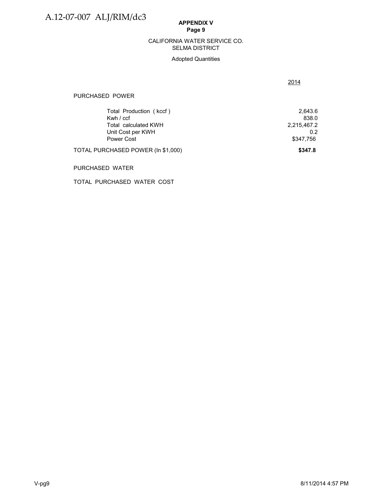#### SELMA DISTRICT CALIFORNIA WATER SERVICE CO.

## Adopted Quantities

2014

#### PURCHASED POWER

| Total Production (kccf)            | 2.643.6     |
|------------------------------------|-------------|
| Kwh / ccf                          | 838.0       |
| Total calculated KWH               | 2,215,467.2 |
| Unit Cost per KWH                  | 0 2         |
| Power Cost                         | \$347.756   |
| TOTAL PURCHASED POWER (In \$1,000) | \$347.8     |

#### PURCHASED WATER

TOTAL PURCHASED WATER COST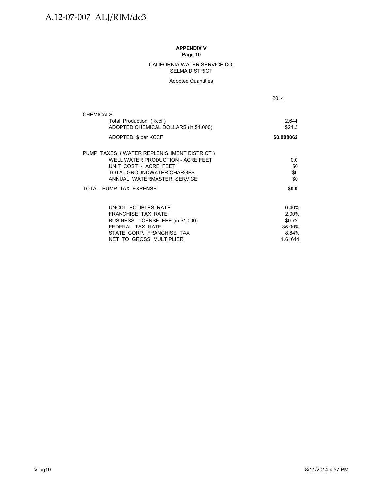#### CALIFORNIA WATER SERVICE CO. SELMA DISTRICT

#### Adopted Quantities

2014

| <b>CHEMICALS</b><br>Total Production (kccf)<br>ADOPTED CHEMICAL DOLLARS (in \$1,000)<br>ADOPTED \$ per KCCF                                                        | 2,644<br>\$21.3<br>\$0.008062                          |
|--------------------------------------------------------------------------------------------------------------------------------------------------------------------|--------------------------------------------------------|
| PUMP TAXES (WATER REPLENISHMENT DISTRICT)<br>WELL WATER PRODUCTION - ACRE FEET<br>UNIT COST - ACRE FEET<br>TOTAL GROUNDWATER CHARGES<br>ANNUAL WATERMASTER SERVICE | 0.0<br>\$0<br>\$0<br>\$0                               |
| TOTAL PUMP TAX EXPENSE                                                                                                                                             | \$0.0                                                  |
| UNCOLLECTIBLES RATE<br><b>FRANCHISE TAX RATE</b><br>BUSINESS LICENSE FEE (in \$1,000)<br>FFDFRAI TAX RATF<br>STATE CORP. FRANCHISE TAX<br>NET TO GROSS MULTIPLIER  | 0.40%<br>2.00%<br>\$0.72<br>35.00%<br>8.84%<br>1.61614 |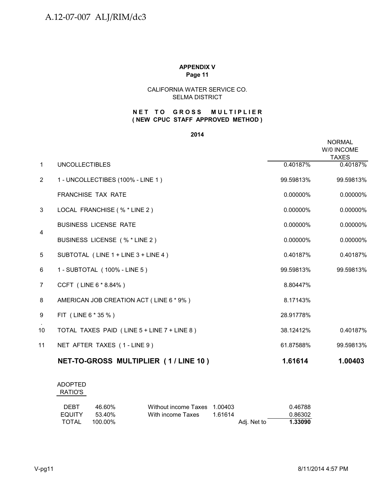## CALIFORNIA WATER SERVICE CO. SELMA DISTRICT

## **NET TO GROSS MULTIPLIER ( NEW CPUC STAFF APPROVED METHOD )**

#### **2014**

|                |                                             |             | <b>NORMAL</b><br>W/0 INCOME<br><b>TAXES</b> |
|----------------|---------------------------------------------|-------------|---------------------------------------------|
| $\mathbf{1}$   | <b>UNCOLLECTIBLES</b>                       | 0.40187%    | 0.40187%                                    |
| 2              | 1 - UNCOLLECTIBES (100% - LINE 1)           | 99.59813%   | 99.59813%                                   |
|                | <b>FRANCHISE TAX RATE</b>                   | $0.00000\%$ | 0.00000%                                    |
| 3              | LOCAL FRANCHISE (% * LINE 2)                | $0.00000\%$ | 0.00000%                                    |
|                | <b>BUSINESS LICENSE RATE</b>                | 0.00000%    | 0.00000%                                    |
| 4              | BUSINESS LICENSE (% * LINE 2)               | 0.00000%    | 0.00000%                                    |
| 5              | SUBTOTAL (LINE 1 + LINE 3 + LINE 4)         | 0.40187%    | 0.40187%                                    |
| 6              | 1 - SUBTOTAL (100% - LINE 5)                | 99.59813%   | 99.59813%                                   |
| $\overline{7}$ | CCFT (LINE 6 * 8.84%)                       | 8.80447%    |                                             |
| 8              | AMERICAN JOB CREATION ACT (LINE 6 * 9%)     | 8.17143%    |                                             |
| 9              | FIT (LINE 6 * 35 %)                         | 28.91778%   |                                             |
| 10             | TOTAL TAXES PAID (LINE 5 + LINE 7 + LINE 8) | 38.12412%   | 0.40187%                                    |
| 11             | NET AFTER TAXES (1-LINE 9)                  | 61.87588%   | 99.59813%                                   |
|                | NET-TO-GROSS MULTIPLIER (1/LINE 10)         | 1.61614     | 1.00403                                     |

## ADOPTED RATIO'S

| <b>DEBT</b> | 46.60%  | Without income Taxes 1.00403 |             | 0.46788 |
|-------------|---------|------------------------------|-------------|---------|
| EQUITY      | 53.40%  | With income Taxes            | 1.61614     | 0.86302 |
| TOTAL       | 100.00% |                              | Adj. Net to | 1.33090 |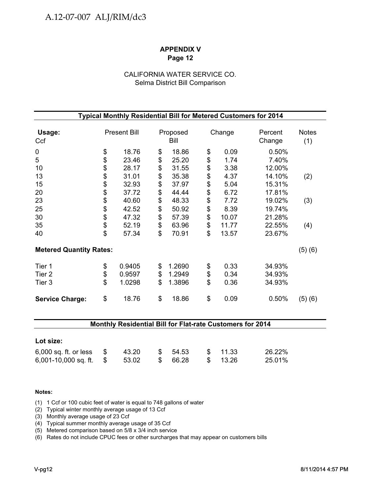# CALIFORNIA WATER SERVICE CO. Selma District Bill Comparison

| Typical Monthly Residential Bill for Metered Customers for 2014 |    |                     |    |                  |    |        |                   |                     |  |
|-----------------------------------------------------------------|----|---------------------|----|------------------|----|--------|-------------------|---------------------|--|
| Usage:<br>Ccf                                                   |    | <b>Present Bill</b> |    | Proposed<br>Bill |    | Change | Percent<br>Change | <b>Notes</b><br>(1) |  |
| $\pmb{0}$                                                       | \$ | 18.76               | \$ | 18.86            | \$ | 0.09   | 0.50%             |                     |  |
| 5                                                               | \$ | 23.46               | \$ | 25.20            | \$ | 1.74   | 7.40%             |                     |  |
| 10                                                              |    | 28.17               | \$ | 31.55            | \$ | 3.38   | 12.00%            |                     |  |
| 13                                                              | \$ | 31.01               | \$ | 35.38            | \$ | 4.37   | 14.10%            | (2)                 |  |
| 15                                                              | \$ | 32.93               | \$ | 37.97            | \$ | 5.04   | 15.31%            |                     |  |
| 20                                                              | \$ | 37.72               | \$ | 44.44            | \$ | 6.72   | 17.81%            |                     |  |
| 23                                                              |    | 40.60               | \$ | 48.33            | \$ | 7.72   | 19.02%            | (3)                 |  |
| 25                                                              | \$ | 42.52               | \$ | 50.92            | \$ | 8.39   | 19.74%            |                     |  |
| 30                                                              | \$ | 47.32               | \$ | 57.39            | \$ | 10.07  | 21.28%            |                     |  |
| 35                                                              | \$ | 52.19               | \$ | 63.96            | \$ | 11.77  | 22.55%            | (4)                 |  |
| 40                                                              | \$ | 57.34               | \$ | 70.91            | \$ | 13.57  | 23.67%            |                     |  |
| <b>Metered Quantity Rates:</b>                                  |    |                     |    |                  |    |        |                   | (5)(6)              |  |
| Tier 1                                                          | \$ | 0.9405              | \$ | 1.2690           | \$ | 0.33   | 34.93%            |                     |  |
| Tier <sub>2</sub>                                               | \$ | 0.9597              | \$ | 1.2949           | \$ | 0.34   | 34.93%            |                     |  |
| Tier 3                                                          | \$ | 1.0298              | \$ | 1.3896           | \$ | 0.36   | 34.93%            |                     |  |
| <b>Service Charge:</b>                                          | \$ | 18.76               | \$ | 18.86            | \$ | 0.09   | 0.50%             | (5)(6)              |  |

## **Monthly Residential Bill for Flat-rate Customers for 2014**

| Lot size:                                                     |       |                     |                      |                  |
|---------------------------------------------------------------|-------|---------------------|----------------------|------------------|
| $6,000$ sq. ft. or less $$$<br>6,001-10,000 sq. ft. $$$ 53.02 | 43.20 | \$54.53<br>\$ 66.28 | \$ 11.33<br>\$ 13.26 | 26.22%<br>25.01% |

#### **Notes:**

(1) 1 Ccf or 100 cubic feet of water is equal to 748 gallons of water

(2) Typical winter monthly average usage of 13 Ccf

(3) Monthly average usage of 23 Ccf

(4) Typical summer monthly average usage of 35 Ccf

(5) Metered comparison based on 5/8 x 3/4 inch service

(6) Rates do not include CPUC fees or other surcharges that may appear on customers bills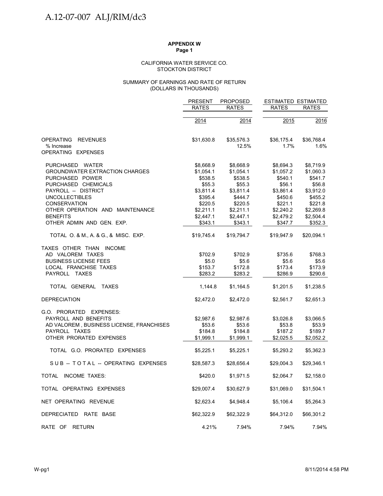#### STOCKTON DISTRICT CALIFORNIA WATER SERVICE CO.

#### (DOLLARS IN THOUSANDS) SUMMARY OF EARNINGS AND RATE OF RETURN

|                                          | <b>PRESENT</b> | <b>PROPOSED</b> | <b>ESTIMATED ESTIMATED</b> |              |
|------------------------------------------|----------------|-----------------|----------------------------|--------------|
|                                          | <b>RATES</b>   | <b>RATES</b>    | <b>RATES</b>               | <b>RATES</b> |
|                                          | 2014           | 2014            | 2015                       | 2016         |
|                                          |                |                 |                            |              |
| <b>OPERATING</b><br><b>REVENUES</b>      | \$31,630.8     | \$35,576.3      | \$36,175.4                 | \$36,768.4   |
| % Increase<br>OPERATING EXPENSES         |                | 12.5%           | 1.7%                       | 1.6%         |
| PURCHASED WATER                          | \$8,668.9      | \$8,668.9       | \$8,694.3                  | \$8,719.9    |
| <b>GROUNDWATER EXTRACTION CHARGES</b>    | \$1,054.1      | \$1,054.1       | \$1,057.2                  | \$1,060.3    |
| PURCHASED POWER                          | \$538.5        | \$538.5         | \$540.1                    | \$541.7      |
| PURCHASED CHEMICALS                      | \$55.3         | \$55.3          | \$56.1                     | \$56.8       |
| PAYROLL -- DISTRICT                      | \$3,811.4      | \$3,811.4       | \$3,861.4                  | \$3,912.0    |
| <b>UNCOLLECTIBLES</b>                    | \$395.4        | \$444.7         | \$450.6                    | \$455.2      |
| <b>CONSERVATION</b>                      | \$220.5        | \$220.5         | \$221.1                    | \$221.8      |
| OTHER OPERATION AND MAINTENANCE          | \$2,211.1      | \$2,211.1       | \$2,240.2                  | \$2,269.8    |
| <b>BENEFITS</b>                          | \$2,447.1      | \$2,447.1       | \$2,479.2                  | \$2,504.4    |
| OTHER ADMIN AND GEN. EXP.                | \$343.1        | \$343.1         | \$347.7                    | \$352.3      |
| TOTAL O. & M., A. & G., & MISC. EXP.     | \$19,745.4     | \$19,794.7      | \$19,947.9                 | \$20,094.1   |
| TAXES OTHER THAN INCOME                  |                |                 |                            |              |
| AD VALOREM TAXES                         | \$702.9        | \$702.9         | \$735.6                    | \$768.3      |
| <b>BUSINESS LICENSE FEES</b>             | \$5.0          | \$5.6           | \$5.6                      | \$5.6        |
| LOCAL FRANCHISE TAXES                    | \$153.7        | \$172.8         | \$173.4                    | \$173.9      |
| PAYROLL TAXES                            | \$283.2        | \$283.2         | \$286.9                    | \$290.6      |
| TOTAL GENERAL TAXES                      | 1,144.8        | \$1,164.5       | \$1,201.5                  | \$1,238.5    |
| <b>DEPRECIATION</b>                      | \$2,472.0      | \$2,472.0       | \$2,561.7                  | \$2,651.3    |
| G.O. PRORATED EXPENSES:                  |                |                 |                            |              |
| PAYROLL AND BENEFITS                     | \$2,987.6      | \$2,987.6       | \$3,026.8                  | \$3,066.5    |
| AD VALOREM, BUSINESS LICENSE, FRANCHISES | \$53.6         | \$53.6          | \$53.8                     | \$53.9       |
| PAYROLL TAXES                            | \$184.8        | \$184.8         | \$187.2                    | \$189.7      |
| OTHER PRORATED EXPENSES                  | \$1,999.1      | \$1,999.1       | \$2,025.5                  | \$2,052.2    |
| TOTAL G.O. PRORATED EXPENSES             | \$5,225.1      | \$5,225.1       | \$5,293.2                  | \$5,362.3    |
| SUB-TOTAL-OPERATING EXPENSES             | \$28,587.3     | \$28,656.4      | \$29,004.3                 | \$29,346.1   |
| TOTAL INCOME TAXES:                      | \$420.0        | \$1,971.5       | \$2,064.7                  | \$2,158.0    |
| TOTAL OPERATING EXPENSES                 | \$29,007.4     | \$30,627.9      | \$31,069.0                 | \$31,504.1   |
| NET OPERATING REVENUE                    | \$2,623.4      | \$4,948.4       | \$5,106.4                  | \$5,264.3    |
| DEPRECIATED RATE BASE                    | \$62,322.9     | \$62,322.9      | \$64,312.0                 | \$66,301.2   |
| RATE OF RETURN                           | 4.21%          | 7.94%           | 7.94%                      | 7.94%        |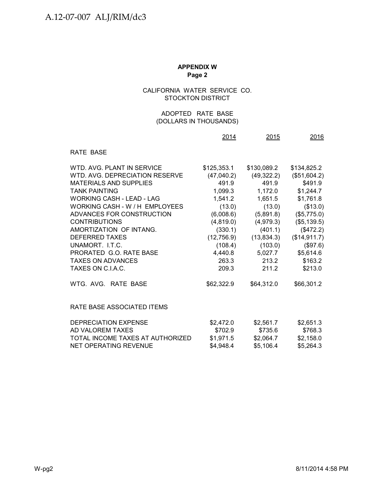# CALIFORNIA WATER SERVICE CO. STOCKTON DISTRICT

## (DOLLARS IN THOUSANDS) ADOPTED RATE BASE

|                                  | 2014        | 2015        | 2016         |
|----------------------------------|-------------|-------------|--------------|
| RATE BASE                        |             |             |              |
| WTD. AVG. PLANT IN SERVICE       | \$125,353.1 | \$130,089.2 | \$134,825.2  |
| WTD, AVG, DEPRECIATION RESERVE   | (47,040.2)  | (49, 322.2) | (\$51,604.2) |
| <b>MATERIALS AND SUPPLIES</b>    | 491.9       | 491.9       | \$491.9      |
| <b>TANK PAINTING</b>             | 1,099.3     | 1,172.0     | \$1,244.7    |
| <b>WORKING CASH - LEAD - LAG</b> | 1,541.2     | 1,651.5     | \$1,761.8    |
| WORKING CASH - W / H EMPLOYEES   | (13.0)      | (13.0)      | (\$13.0)     |
| ADVANCES FOR CONSTRUCTION        | (6,008.6)   | (5,891.8)   | (\$5,775.0)  |
| <b>CONTRIBUTIONS</b>             | (4,819.0)   | (4,979.3)   | (\$5,139.5)  |
| AMORTIZATION OF INTANG.          | (330.1)     | (401.1)     | (\$472.2)    |
| <b>DEFERRED TAXES</b>            | (12,756.9)  | (13, 834.3) | (\$14,911.7) |
| UNAMORT. I.T.C.                  | (108.4)     | (103.0)     | (\$97.6)     |
| PRORATED G.O. RATE BASE          | 4,440.8     | 5,027.7     | \$5,614.6    |
| <b>TAXES ON ADVANCES</b>         | 263.3       | 213.2       | \$163.2      |
| TAXES ON C.I.A.C.                | 209.3       | 211.2       | \$213.0      |
| WTG. AVG. RATE BASE              | \$62,322.9  | \$64,312.0  | \$66,301.2   |
| RATE BASE ASSOCIATED ITEMS       |             |             |              |
| DEPRECIATION EXPENSE             | \$2,472.0   | \$2,561.7   | \$2,651.3    |
| AD VALOREM TAXES                 | \$702.9     | \$735.6     | \$768.3      |
| TOTAL INCOME TAXES AT AUTHORIZED | \$1,971.5   | \$2,064.7   | \$2,158.0    |
| NET OPERATING REVENUE            | \$4,948.4   | \$5,106.4   | \$5,264.3    |
|                                  |             |             |              |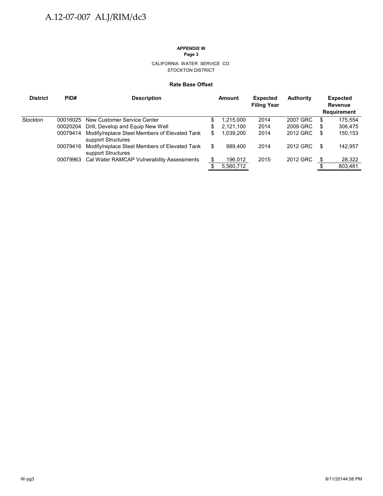#### CALIFORNIA WATER SERVICE CO. STOCKTON DISTRICT

#### **Rate Base Offset**

| <b>District</b> | PID#     | <b>Description</b>                                                  | Amount          | <b>Expected</b><br><b>Filing Year</b> | <b>Authority</b> |    | <b>Expected</b><br><b>Revenue</b><br><b>Requirement</b> |
|-----------------|----------|---------------------------------------------------------------------|-----------------|---------------------------------------|------------------|----|---------------------------------------------------------|
| Stockton        | 00016025 | New Customer Service Center                                         | \$<br>1.215.000 | 2014                                  | 2007 GRC         | S  | 175,554                                                 |
|                 | 00020204 | Drill, Develop and Equip New Well                                   | \$<br>2.121.100 | 2014                                  | 2009 GRC         | S  | 306,475                                                 |
|                 | 00079414 | Modify/replace Steel Members of Elevated Tank<br>support Structures | \$<br>1.039.200 | 2014                                  | 2012 GRC         | S  | 150,153                                                 |
|                 | 00079416 | Modify/replace Steel Members of Elevated Tank<br>support Structures | \$<br>989.400   | 2014                                  | 2012 GRC         | \$ | 142,957                                                 |
|                 | 00079963 | Cal Water RAMCAP Vulnerability Assessments                          | 196,012         | 2015                                  | 2012 GRC         | S  | 28,322                                                  |
|                 |          |                                                                     | 5,560,712       |                                       |                  |    | 803,461                                                 |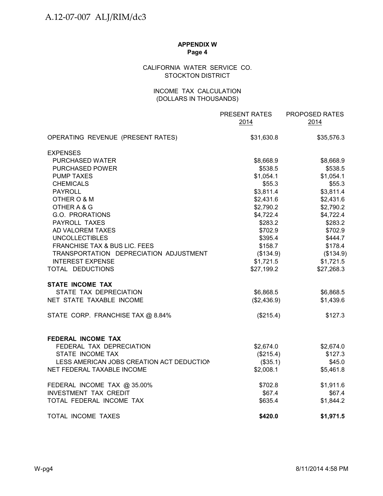# CALIFORNIA WATER SERVICE CO. STOCKTON DISTRICT

## INCOME TAX CALCULATION (DOLLARS IN THOUSANDS)

|                                             | PRESENT RATES<br>2014   | PROPOSED RATES<br>2014  |
|---------------------------------------------|-------------------------|-------------------------|
| OPERATING REVENUE (PRESENT RATES)           | \$31,630.8              | \$35,576.3              |
| <b>EXPENSES</b>                             |                         |                         |
| PURCHASED WATER                             | \$8,668.9               | \$8,668.9               |
| <b>PURCHASED POWER</b>                      | \$538.5                 | \$538.5                 |
| <b>PUMP TAXES</b>                           | \$1,054.1               | \$1,054.1               |
| <b>CHEMICALS</b>                            | \$55.3                  | \$55.3                  |
| <b>PAYROLL</b>                              | \$3,811.4               | \$3,811.4               |
| OTHER O & M                                 | \$2,431.6               | \$2,431.6               |
| OTHER A & G                                 | \$2,790.2               | \$2,790.2               |
| G.O. PRORATIONS                             | \$4,722.4               | \$4,722.4               |
| PAYROLL TAXES                               | \$283.2                 | \$283.2                 |
| AD VALOREM TAXES                            | \$702.9                 | \$702.9                 |
| <b>UNCOLLECTIBLES</b>                       | \$395.4                 | \$444.7                 |
| FRANCHISE TAX & BUS LIC. FEES               | \$158.7                 | \$178.4                 |
| TRANSPORTATION DEPRECIATION ADJUSTMENT      | (\$134.9)               | (\$134.9)               |
| <b>INTEREST EXPENSE</b><br>TOTAL DEDUCTIONS | \$1,721.5<br>\$27,199.2 | \$1,721.5<br>\$27,268.3 |
| <b>STATE INCOME TAX</b>                     |                         |                         |
| STATE TAX DEPRECIATION                      | \$6,868.5               | \$6,868.5               |
| NET STATE TAXABLE INCOME                    | (\$2,436.9)             | \$1,439.6               |
| STATE CORP. FRANCHISE TAX @ 8.84%           | (\$215.4)               | \$127.3                 |
| FEDERAL INCOME TAX                          |                         |                         |
| FEDERAL TAX DEPRECIATION                    | \$2,674.0               | \$2,674.0               |
| STATE INCOME TAX                            | (\$215.4)               | \$127.3                 |
| LESS AMERICAN JOBS CREATION ACT DEDUCTION   | (\$35.1)                | \$45.0                  |
| NET FEDERAL TAXABLE INCOME                  | \$2,008.1               | \$5,461.8               |
| FEDERAL INCOME TAX @ 35.00%                 | \$702.8                 | \$1,911.6               |
| <b>INVESTMENT TAX CREDIT</b>                | \$67.4                  | \$67.4                  |
| TOTAL FEDERAL INCOME TAX                    | \$635.4                 | \$1,844.2               |
| TOTAL INCOME TAXES                          | \$420.0                 | \$1,971.5               |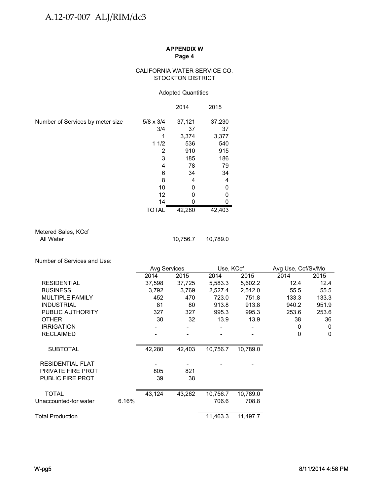#### CALIFORNIA WATER SERVICE CO. STOCKTON DISTRICT

## Adopted Quantities

|                                  |                  | 2014   | 2015   |
|----------------------------------|------------------|--------|--------|
| Number of Services by meter size | $5/8 \times 3/4$ | 37,121 | 37,230 |
|                                  | 3/4              | 37     | 37     |
|                                  |                  | 3,374  | 3,377  |
|                                  | 11/2             | 536    | 540    |
|                                  | 2                | 910    | 915    |
|                                  | 3                | 185    | 186    |
|                                  | 4                | 78     | 79     |
|                                  | 6                | 34     | 34     |
|                                  | 8                | 4      | 4      |
|                                  | 10               | 0      |        |
|                                  | 12               | 0      |        |
|                                  | 14               |        |        |
|                                  | <b>TOTAL</b>     | 42,280 | 42,403 |

Metered Sales, KCcf<br>All Water

10,756.7 10,789.0

Number of Services and Use:

|                         |       | Avg Services |        | Use, KCcf |                       | Avg Use, Ccf/Sv/Mo |          |
|-------------------------|-------|--------------|--------|-----------|-----------------------|--------------------|----------|
|                         |       | 2014         | 2015   | 2014      | 2015                  | 2014               | 2015     |
| <b>RESIDENTIAL</b>      |       | 37,598       | 37,725 | 5,583.3   | 5,602.2               | 12.4               | 12.4     |
| <b>BUSINESS</b>         |       | 3,792        | 3,769  | 2,527.4   | 2,512.0               | 55.5               | 55.5     |
| <b>MULTIPLE FAMILY</b>  |       | 452          | 470    | 723.0     | 751.8                 | 133.3              | 133.3    |
| <b>INDUSTRIAL</b>       |       | 81           | 80     | 913.8     | 913.8                 | 940.2              | 951.9    |
| PUBLIC AUTHORITY        |       | 327          | 327    | 995.3     | 995.3                 | 253.6              | 253.6    |
| <b>OTHER</b>            |       | 30           | 32     | 13.9      | 13.9                  | 38                 | 36       |
| <b>IRRIGATION</b>       |       |              |        |           |                       | 0                  | 0        |
| <b>RECLAIMED</b>        |       |              |        |           |                       | $\mathbf{0}$       | $\Omega$ |
|                         |       |              |        |           |                       |                    |          |
| <b>SUBTOTAL</b>         |       | 42,280       | 42,403 | 10,756.7  | 10,789.0              |                    |          |
| <b>RESIDENTIAL FLAT</b> |       |              |        |           |                       |                    |          |
| PRIVATE FIRE PROT       |       | 805          | 821    |           |                       |                    |          |
| <b>PUBLIC FIRE PROT</b> |       | 39           | 38     |           |                       |                    |          |
|                         |       |              |        |           |                       |                    |          |
| <b>TOTAL</b>            |       | 43,124       | 43,262 | 10,756.7  | 10,789.0              |                    |          |
| Unaccounted-for water   | 6.16% |              |        | 706.6     | 708.8                 |                    |          |
| <b>Total Production</b> |       |              |        | 11,463.3  | $11,497.\overline{7}$ |                    |          |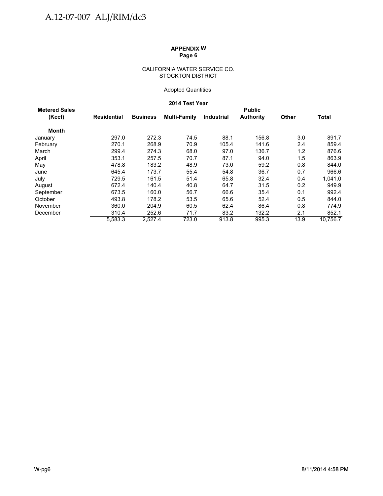#### CALIFORNIA WATER SERVICE CO. STOCKTON DISTRICT

## Adopted Quantities

# **2014 Test Year**

| <b>Metered Sales</b> |             |                 |              |                   | <b>Public</b>    |              |              |
|----------------------|-------------|-----------------|--------------|-------------------|------------------|--------------|--------------|
| (Kccf)               | Residential | <b>Business</b> | Multi-Family | <b>Industrial</b> | <b>Authority</b> | <b>Other</b> | <b>Total</b> |
| <b>Month</b>         |             |                 |              |                   |                  |              |              |
| January              | 297.0       | 272.3           | 74.5         | 88.1              | 156.8            | 3.0          | 891.7        |
| February             | 270.1       | 268.9           | 70.9         | 105.4             | 141.6            | 2.4          | 859.4        |
| March                | 299.4       | 274.3           | 68.0         | 97.0              | 136.7            | 1.2          | 876.6        |
| April                | 353.1       | 257.5           | 70.7         | 87.1              | 94.0             | $1.5\,$      | 863.9        |
| May                  | 478.8       | 183.2           | 48.9         | 73.0              | 59.2             | 0.8          | 844.0        |
| June                 | 645.4       | 173.7           | 55.4         | 54.8              | 36.7             | 0.7          | 966.6        |
| July                 | 729.5       | 161.5           | 51.4         | 65.8              | 32.4             | 0.4          | 1,041.0      |
| August               | 672.4       | 140.4           | 40.8         | 64.7              | 31.5             | 0.2          | 949.9        |
| September            | 673.5       | 160.0           | 56.7         | 66.6              | 35.4             | 0.1          | 992.4        |
| October              | 493.8       | 178.2           | 53.5         | 65.6              | 52.4             | 0.5          | 844.0        |
| November             | 360.0       | 204.9           | 60.5         | 62.4              | 86.4             | 0.8          | 774.9        |
| December             | 310.4       | 252.6           | 71.7         | 83.2              | 132.2            | 2.1          | 852.1        |
|                      | 5,583.3     | 2,527.4         | 723.0        | 913.8             | 995.3            | 13.9         | 10.756.7     |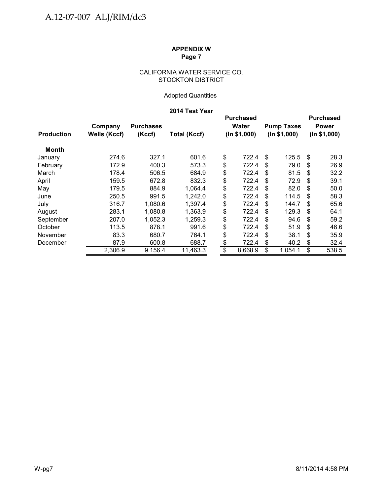## CALIFORNIA WATER SERVICE CO. STOCKTON DISTRICT

# Adopted Quantities

# **2014 Test Year**

|                   |                     |                  |                     | <b>Purchased</b> |    |                   |              | <b>Purchased</b> |
|-------------------|---------------------|------------------|---------------------|------------------|----|-------------------|--------------|------------------|
|                   | Company             | <b>Purchases</b> |                     | <b>Water</b>     |    | <b>Pump Taxes</b> |              | <b>Power</b>     |
| <b>Production</b> | <b>Wells (Kccf)</b> | (Kccf)           | <b>Total (Kccf)</b> | (ln \$1,000)     |    | (ln \$1,000)      | (ln \$1,000) |                  |
| Month             |                     |                  |                     |                  |    |                   |              |                  |
| January           | 274.6               | 327.1            | 601.6               | \$<br>722.4      | \$ | 125.5             | \$           | 28.3             |
| February          | 172.9               | 400.3            | 573.3               | \$<br>722.4      | \$ | 79.0              | S            | 26.9             |
| March             | 178.4               | 506.5            | 684.9               | \$<br>722.4      | \$ | 81.5              | \$           | 32.2             |
| April             | 159.5               | 672.8            | 832.3               | \$<br>722.4      | \$ | 72.9              | \$           | 39.1             |
| May               | 179.5               | 884.9            | 1,064.4             | \$<br>722.4      | S  | 82.0              | S            | 50.0             |
| June              | 250.5               | 991.5            | 1,242.0             | \$<br>722.4      | S  | 114.5             | \$.          | 58.3             |
| July              | 316.7               | 1,080.6          | 1,397.4             | \$<br>722.4      | \$ | 144.7             | \$.          | 65.6             |
| August            | 283.1               | 1,080.8          | 1,363.9             | \$<br>722.4      | \$ | 129.3             | \$           | 64.1             |
| September         | 207.0               | 1,052.3          | 1,259.3             | \$<br>722.4      | \$ | 94.6              | \$           | 59.2             |
| October           | 113.5               | 878.1            | 991.6               | \$<br>722.4      | S  | 51.9              | \$.          | 46.6             |
| November          | 83.3                | 680.7            | 764.1               | \$<br>722.4      | \$ | 38.1              | \$           | 35.9             |
| December          | 87.9                | 600.8            | 688.7               | \$<br>722.4      | \$ | 40.2              | \$           | 32.4             |
|                   | 2,306.9             | 9,156.4          | 11,463.3            | \$<br>8,668.9    | \$ | 1,054.1           | \$           | 538.5            |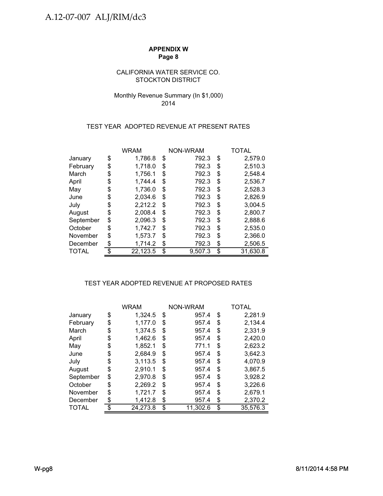## CALIFORNIA WATER SERVICE CO. STOCKTON DISTRICT

# Monthly Revenue Summary (In \$1,000) 2014

## TEST YEAR ADOPTED REVENUE AT PRESENT RATES

|           |    | <b>WRAM</b> | NON-WRAM |         | TOTAL          |
|-----------|----|-------------|----------|---------|----------------|
| January   | \$ | 1,786.8     | \$       | 792.3   | \$<br>2,579.0  |
| February  | \$ | 1,718.0     | \$       | 792.3   | \$<br>2,510.3  |
| March     | \$ | 1,756.1     | \$       | 792.3   | \$<br>2,548.4  |
| April     | S  | 1,744.4     | \$       | 792.3   | \$<br>2,536.7  |
| May       | \$ | 1,736.0     | \$       | 792.3   | \$<br>2,528.3  |
| June      | \$ | 2,034.6     | \$       | 792.3   | \$<br>2,826.9  |
| July      | \$ | 2,212.2     | S        | 792.3   | \$<br>3,004.5  |
| August    | \$ | 2,008.4     | \$       | 792.3   | \$<br>2,800.7  |
| September | \$ | 2,096.3     | \$       | 792.3   | \$<br>2,888.6  |
| October   | \$ | 1,742.7     | \$       | 792.3   | \$<br>2,535.0  |
| November  | \$ | 1,573.7     | \$       | 792.3   | \$<br>2,366.0  |
| December  | \$ | 1,714.2     | S        | 792.3   | \$<br>2,506.5  |
| TOTAL     |    | 22,123.5    | \$       | 9,507.3 | \$<br>31,630.8 |

# TEST YEAR ADOPTED REVENUE AT PROPOSED RATES

|           | <b>WRAM</b>    |    | <b>NON-WRAM</b> | TOTAL          |
|-----------|----------------|----|-----------------|----------------|
| January   | \$<br>1,324.5  | \$ | 957.4           | \$<br>2,281.9  |
| February  | \$<br>1,177.0  | \$ | 957.4           | \$<br>2,134.4  |
| March     | \$<br>1,374.5  | \$ | 957.4           | \$<br>2,331.9  |
| April     | \$<br>1,462.6  | \$ | 957.4           | \$<br>2,420.0  |
| May       | \$<br>1,852.1  | \$ | 771.1           | \$<br>2,623.2  |
| June      | \$<br>2,684.9  | \$ | 957.4           | \$<br>3,642.3  |
| July      | \$<br>3,113.5  | \$ | 957.4           | \$<br>4,070.9  |
| August    | \$<br>2,910.1  | \$ | 957.4           | \$<br>3,867.5  |
| September | \$<br>2,970.8  | \$ | 957.4           | \$<br>3,928.2  |
| October   | \$<br>2,269.2  | S  | 957.4           | \$<br>3,226.6  |
| November  | \$<br>1,721.7  | S  | 957.4           | \$<br>2,679.1  |
| December  | \$<br>1,412.8  | \$ | 957.4           | \$<br>2,370.2  |
| TOTAL     | \$<br>24,273.8 | \$ | 11,302.6        | \$<br>35,576.3 |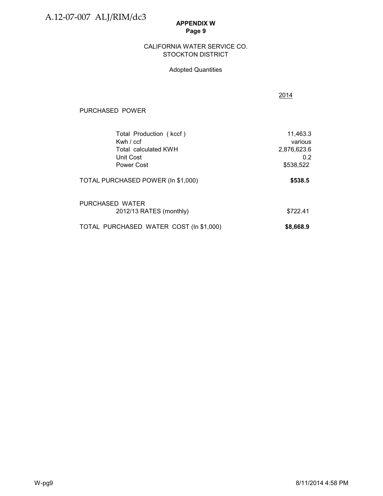PURCHASED POWER

## **APPENDIX W Page 9**

#### STOCKTON DISTRICT CALIFORNIA WATER SERVICE CO.

## Adopted Quantities

| ) POWER                 |          |
|-------------------------|----------|
| Total Production (kccf) | 11,463.3 |
| Kwh / ccf               | various  |

2014

| Kwh $/$ ccf                             | various     |
|-----------------------------------------|-------------|
| Total calculated KWH                    | 2,876,623.6 |
| Unit Cost                               | 0.2         |
| <b>Power Cost</b>                       | \$538,522   |
| TOTAL PURCHASED POWER (In \$1,000)      | \$538.5     |
| PURCHASED WATER                         |             |
| 2012/13 RATES (monthly)                 | \$722.41    |
| TOTAL PURCHASED WATER COST (In \$1,000) | \$8,668.9   |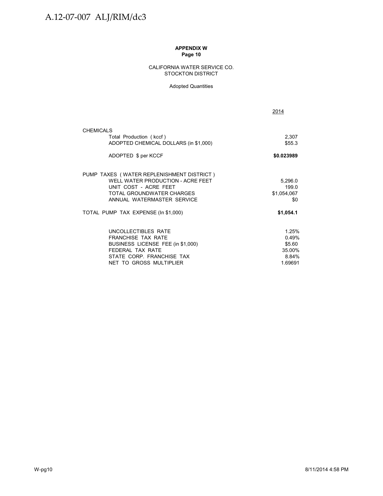#### CALIFORNIA WATER SERVICE CO. STOCKTON DISTRICT

#### Adopted Quantities

|                                                                                                         | 2014               |
|---------------------------------------------------------------------------------------------------------|--------------------|
| <b>CHEMICALS</b>                                                                                        |                    |
| Total Production (kccf)<br>ADOPTED CHEMICAL DOLLARS (in \$1,000)                                        | 2,307<br>\$55.3    |
| ADOPTED \$ per KCCF                                                                                     | \$0.023989         |
| PUMP TAXES (WATER REPLENISHMENT DISTRICT)<br>WELL WATER PRODUCTION - ACRE FEET<br>UNIT COST - ACRE FEET | 5,296.0<br>199.0   |
| TOTAL GROUNDWATER CHARGES<br>ANNUAL WATERMASTER SERVICE                                                 | \$1,054,067<br>\$0 |
| TOTAL PUMP TAX EXPENSE (In \$1,000)                                                                     | \$1,054.1          |
| UNCOLLECTIBLES RATE                                                                                     | 1.25%              |
| <b>FRANCHISE TAX RATE</b>                                                                               | 0.49%              |
| BUSINESS LICENSE FEE (in \$1,000)<br>FFDFRAI TAX RATF                                                   | \$5.60<br>35.00%   |
| STATE CORP. FRANCHISE TAX                                                                               | 8.84%              |
| NET TO GROSS MULTIPLIER                                                                                 | 1.69691            |
|                                                                                                         |                    |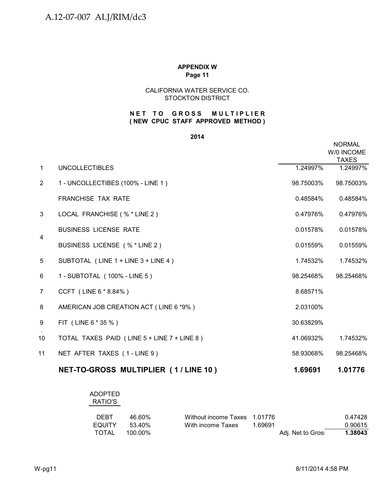# CALIFORNIA WATER SERVICE CO. STOCKTON DISTRICT

# **( NEW CPUC STAFF APPROVED METHOD ) NET TO GROSS MULTIPLIER**

#### **2014**

|                |                                             |           | <b>NORMAL</b><br>W/0 INCOME<br><b>TAXES</b> |
|----------------|---------------------------------------------|-----------|---------------------------------------------|
| $\mathbf{1}$   | <b>UNCOLLECTIBLES</b>                       | 1.24997%  | 1.24997%                                    |
| $\overline{2}$ | 1 - UNCOLLECTIBES (100% - LINE 1)           | 98.75003% | 98.75003%                                   |
|                | <b>FRANCHISE TAX RATE</b>                   | 0.48584%  | 0.48584%                                    |
| 3              | LOCAL FRANCHISE (% * LINE 2)                | 0.47976%  | 0.47976%                                    |
| 4              | <b>BUSINESS LICENSE RATE</b>                | 0.01578%  | 0.01578%                                    |
|                | BUSINESS LICENSE (% * LINE 2)               | 0.01559%  | 0.01559%                                    |
| 5              | SUBTOTAL (LINE 1 + LINE 3 + LINE 4)         | 1.74532%  | 1.74532%                                    |
| 6              | 1 - SUBTOTAL (100% - LINE 5)                | 98.25468% | 98.25468%                                   |
| 7              | CCFT (LINE 6 * 8.84%)                       | 8.68571%  |                                             |
| 8              | AMERICAN JOB CREATION ACT (LINE 6 *9%)      | 2.03100%  |                                             |
| 9              | FIT (LINE 6 * 35 %)                         | 30.63829% |                                             |
| 10             | TOTAL TAXES PAID (LINE 5 + LINE 7 + LINE 8) | 41.06932% | 1.74532%                                    |
| 11             | NET AFTER TAXES (1-LINE 9)                  | 58.93068% | 98.25468%                                   |
|                | NET-TO-GROSS MULTIPLIER (1/LINE 10)         | 1.69691   | 1.01776                                     |

# ADOPTED RATIO'S

| <b>DEBT</b> | 46.60%  | Without income Taxes 1.01776 |         |                   | 0.47428 |
|-------------|---------|------------------------------|---------|-------------------|---------|
| EQUITY      | 53.40%  | With income Taxes            | 1.69691 |                   | 0.90615 |
| TOTAL       | 100.00% |                              |         | Adj. Net to Gros: | 1.38043 |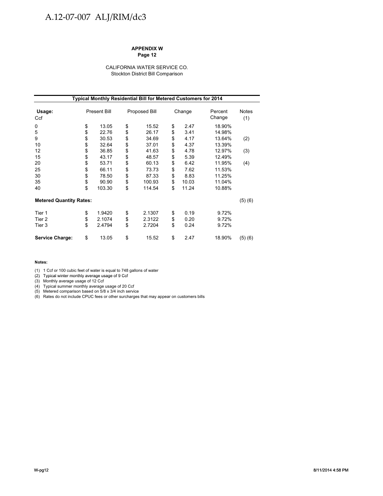# A.12-07-007 ALJ/RIM/dc3

#### **APPENDIX W Page 12**

#### CALIFORNIA WATER SERVICE CO. Stockton District Bill Comparison

|                                | Typical Monthly Residential Bill for Metered Customers for 2014 |                     |    |               |    |        |                   |                     |
|--------------------------------|-----------------------------------------------------------------|---------------------|----|---------------|----|--------|-------------------|---------------------|
| Usage:<br>Ccf                  |                                                                 | <b>Present Bill</b> |    | Proposed Bill |    | Change | Percent<br>Change | <b>Notes</b><br>(1) |
| 0                              | \$                                                              | 13.05               | \$ | 15.52         | \$ | 2.47   | 18.90%            |                     |
| 5                              | \$                                                              | 22.76               | \$ | 26.17         | \$ | 3.41   | 14.98%            |                     |
| 9                              | \$                                                              | 30.53               | \$ | 34.69         | \$ | 4.17   | 13.64%            | (2)                 |
| 10                             | \$                                                              | 32.64               | \$ | 37.01         | \$ | 4.37   | 13.39%            |                     |
| 12                             | \$                                                              | 36.85               | \$ | 41.63         | \$ | 4.78   | 12.97%            | (3)                 |
| 15                             | \$                                                              | 43.17               | \$ | 48.57         | \$ | 5.39   | 12.49%            |                     |
| 20                             | \$                                                              | 53.71               | \$ | 60.13         | \$ | 6.42   | 11.95%            | (4)                 |
| 25                             | \$                                                              | 66.11               | \$ | 73.73         | \$ | 7.62   | 11.53%            |                     |
| 30                             | \$                                                              | 78.50               | \$ | 87.33         | \$ | 8.83   | 11.25%            |                     |
| 35                             | \$                                                              | 90.90               | \$ | 100.93        | \$ | 10.03  | 11.04%            |                     |
| 40                             | \$                                                              | 103.30              | \$ | 114.54        | \$ | 11.24  | 10.88%            |                     |
| <b>Metered Quantity Rates:</b> |                                                                 |                     |    |               |    |        |                   | (5)(6)              |
| Tier 1                         | \$                                                              | 1.9420              | \$ | 2.1307        | \$ | 0.19   | 9.72%             |                     |
| Tier 2                         | \$                                                              | 2.1074              | \$ | 2.3122        | \$ | 0.20   | 9.72%             |                     |
| Tier 3                         | \$                                                              | 2.4794              | \$ | 2.7204        | \$ | 0.24   | 9.72%             |                     |
| <b>Service Charge:</b>         | \$                                                              | 13.05               | \$ | 15.52         | \$ | 2.47   | 18.90%            | (5)(6)              |

#### **Notes:**

(1) 1 Ccf or 100 cubic feet of water is equal to 748 gallons of water

(2) Typical winter monthly average usage of 9 Ccf Typical winter monthly average usage of 9

(3) Monthly average usage of 12 Ccf

(4) Typical summer monthly average usage of 20 Ccf

(5) Metered comparison based on 5/8 x 3/4 inch service

(6) Rates do not include CPUC fees or other surcharges that may appear on customers bills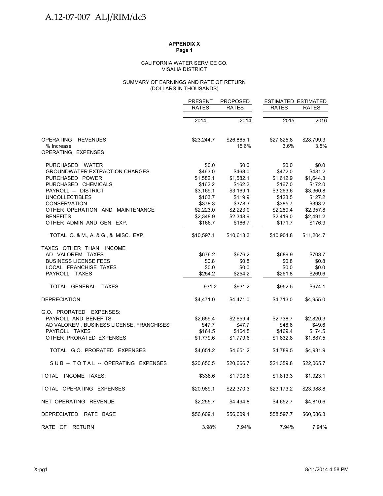#### VISALIA DISTRICT CALIFORNIA WATER SERVICE CO.

#### (DOLLARS IN THOUSANDS) SUMMARY OF EARNINGS AND RATE OF RETURN

|                                          | <b>PRESENT</b> | <b>PROPOSED</b> | <b>ESTIMATED ESTIMATED</b> |              |
|------------------------------------------|----------------|-----------------|----------------------------|--------------|
|                                          | <b>RATES</b>   | <b>RATES</b>    | <b>RATES</b>               | <b>RATES</b> |
|                                          | 2014           | 2014            | 2015                       | 2016         |
|                                          |                |                 |                            |              |
| <b>OPERATING</b><br><b>REVENUES</b>      | \$23,244.7     | \$26,865.1      | \$27,825.8                 | \$28,799.3   |
| % Increase<br>OPERATING EXPENSES         |                | 15.6%           | 3.6%                       | 3.5%         |
| PURCHASED WATER                          | \$0.0          | \$0.0           | \$0.0                      | \$0.0        |
| <b>GROUNDWATER EXTRACTION CHARGES</b>    | \$463.0        | \$463.0         | \$472.0                    | \$481.2      |
| PURCHASED POWER                          | \$1,582.1      | \$1,582.1       | \$1,612.9                  | \$1,644.3    |
| PURCHASED CHEMICALS                      | \$162.2        | \$162.2         | \$167.0                    | \$172.0      |
| PAYROLL -- DISTRICT                      | \$3,169.1      | \$3,169.1       | \$3,263.6                  | \$3,360.8    |
| <b>UNCOLLECTIBLES</b>                    | \$103.7        | \$119.9         | \$123.5                    | \$127.2      |
| <b>CONSERVATION</b>                      | \$378.3        | \$378.3         | \$385.7                    | \$393.2      |
| OTHER OPERATION AND MAINTENANCE          | \$2,223.0      | \$2,223.0       | \$2,289.4                  | \$2,357.8    |
| <b>BENEFITS</b>                          | \$2,348.9      | \$2,348.9       | \$2,419.0                  | \$2,491.2    |
| OTHER ADMIN AND GEN. EXP.                | \$166.7        | \$166.7         | \$171.7                    | \$176.9      |
| TOTAL O. & M., A. & G., & MISC. EXP.     | \$10,597.1     | \$10,613.3      | \$10,904.8                 | \$11,204.7   |
| TAXES OTHER THAN INCOME                  |                |                 |                            |              |
| AD VALOREM TAXES                         | \$676.2        | \$676.2         | \$689.9                    | \$703.7      |
| <b>BUSINESS LICENSE FEES</b>             | \$0.8          | \$0.8           | \$0.8                      | \$0.8        |
| LOCAL FRANCHISE TAXES                    | \$0.0          | \$0.0           | \$0.0                      | \$0.0        |
| PAYROLL TAXES                            | \$254.2        | \$254.2         | \$261.8                    | \$269.6      |
| TOTAL GENERAL TAXES                      | 931.2          | \$931.2         | \$952.5                    | \$974.1      |
| <b>DEPRECIATION</b>                      | \$4,471.0      | \$4,471.0       | \$4,713.0                  | \$4,955.0    |
| G.O. PRORATED EXPENSES:                  |                |                 |                            |              |
| PAYROLL AND BENEFITS                     | \$2,659.4      | \$2,659.4       | \$2,738.7                  | \$2,820.3    |
| AD VALOREM, BUSINESS LICENSE, FRANCHISES | \$47.7         | \$47.7          | \$48.6                     | \$49.6       |
| PAYROLL TAXES                            | \$164.5        | \$164.5         | \$169.4                    | \$174.5      |
| OTHER PRORATED EXPENSES                  | \$1,779.6      | \$1,779.6       | \$1,832.8                  | \$1,887.5    |
| TOTAL G.O. PRORATED EXPENSES             | \$4,651.2      | \$4,651.2       | \$4,789.5                  | \$4,931.9    |
| SUB-TOTAL-OPERATING EXPENSES             | \$20,650.5     | \$20,666.7      | \$21,359.8                 | \$22,065.7   |
| TOTAL INCOME TAXES:                      | \$338.6        | \$1,703.6       | \$1,813.3                  | \$1,923.1    |
| TOTAL OPERATING EXPENSES                 | \$20,989.1     | \$22,370.3      | \$23,173.2                 | \$23,988.8   |
| NET OPERATING REVENUE                    | \$2,255.7      | \$4,494.8       | \$4,652.7                  | \$4,810.6    |
| DEPRECIATED RATE BASE                    | \$56,609.1     | \$56,609.1      | \$58,597.7                 | \$60,586.3   |
| RATE OF RETURN                           | 3.98%          | 7.94%           | 7.94%                      | 7.94%        |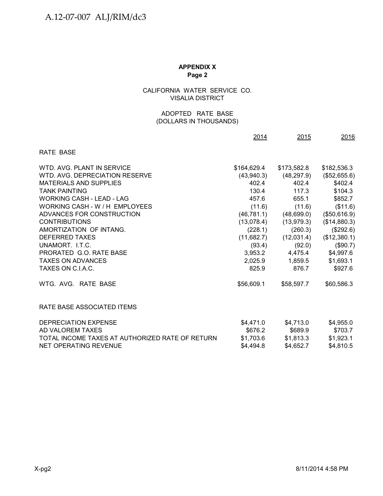# CALIFORNIA WATER SERVICE CO. VISALIA DISTRICT

## (DOLLARS IN THOUSANDS) ADOPTED RATE BASE

|                                                 | 2014        | 2015        | 2016         |
|-------------------------------------------------|-------------|-------------|--------------|
| <b>RATE BASE</b>                                |             |             |              |
| WTD, AVG, PLANT IN SERVICE                      | \$164,629.4 | \$173,582.8 | \$182,536.3  |
| WTD, AVG, DEPRECIATION RESERVE                  | (43,940.3)  | (48, 297.9) | (\$52,655.6) |
| <b>MATERIALS AND SUPPLIES</b>                   | 402.4       | 402.4       | \$402.4      |
| <b>TANK PAINTING</b>                            | 130.4       | 117.3       | \$104.3      |
| WORKING CASH - LEAD - LAG                       | 457.6       | 655.1       | \$852.7      |
| WORKING CASH - W / H EMPLOYEES                  | (11.6)      | (11.6)      | (\$11.6)     |
| ADVANCES FOR CONSTRUCTION                       | (46, 781.1) | (48,699.0)  | (\$50,616.9) |
| <b>CONTRIBUTIONS</b>                            | (13,078.4)  | (13, 979.3) | (\$14,880.3) |
| AMORTIZATION OF INTANG.                         | (228.1)     | (260.3)     | (\$292.6)    |
| <b>DEFERRED TAXES</b>                           | (11,682.7)  | (12,031.4)  | (\$12,380.1) |
| UNAMORT. I.T.C.                                 | (93.4)      | (92.0)      | (\$90.7)     |
| PRORATED G.O. RATE BASE                         | 3,953.2     | 4,475.4     | \$4,997.6    |
| <b>TAXES ON ADVANCES</b>                        | 2,025.9     | 1,859.5     | \$1,693.1    |
| TAXES ON C.I.A.C.                               | 825.9       | 876.7       | \$927.6      |
| WTG, AVG, RATE BASE                             | \$56,609.1  | \$58,597.7  | \$60,586.3   |
| RATE BASE ASSOCIATED ITEMS                      |             |             |              |
| <b>DEPRECIATION EXPENSE</b>                     | \$4,471.0   | \$4,713.0   | \$4,955.0    |
| AD VALOREM TAXES                                | \$676.2     | \$689.9     | \$703.7      |
| TOTAL INCOME TAXES AT AUTHORIZED RATE OF RETURN | \$1,703.6   | \$1,813.3   | \$1,923.1    |
| NET OPERATING REVENUE                           | \$4,494.8   | \$4,652.7   | \$4,810.5    |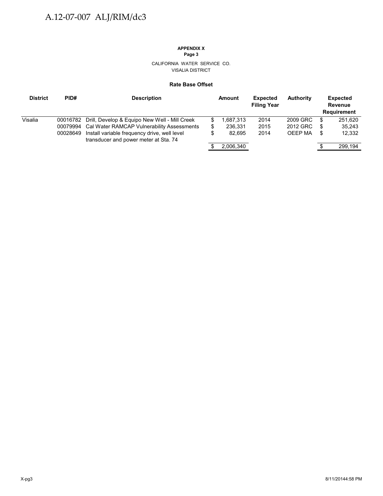# **APPENDIX X**

**Page 3**

CALIFORNIA WATER SERVICE CO. VISALIA DISTRICT

#### **Rate Base Offset**

| <b>District</b> | PID#     | <b>Description</b>                                                                                                                                                                                     |               | Amount                        | <b>Expected</b><br><b>Filing Year</b> | <b>Authority</b>                       |             | <b>Expected</b><br>Revenue<br>Requirement |
|-----------------|----------|--------------------------------------------------------------------------------------------------------------------------------------------------------------------------------------------------------|---------------|-------------------------------|---------------------------------------|----------------------------------------|-------------|-------------------------------------------|
| Visalia         | 00028649 | 00016782 Drill, Develop & Equipo New Well - Mill Creek<br>00079994 Cal Water RAMCAP Vulnerability Assessments<br>Install variable frequency drive, well level<br>transducer and power meter at Sta. 74 | S.<br>\$<br>S | .687,313<br>236,331<br>82.695 | 2014<br>2015<br>2014                  | 2009 GRC<br>2012 GRC<br><b>OEEP MA</b> | S<br>S<br>S | 251.620<br>35,243<br>12,332               |
|                 |          |                                                                                                                                                                                                        |               | 2,006,340                     |                                       |                                        |             | 299,194                                   |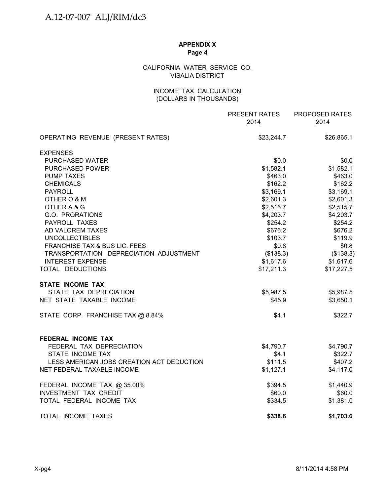# CALIFORNIA WATER SERVICE CO. VISALIA DISTRICT

## INCOME TAX CALCULATION (DOLLARS IN THOUSANDS)

|                                           | PRESENT RATES<br>2014 | PROPOSED RATES<br>2014 |
|-------------------------------------------|-----------------------|------------------------|
| OPERATING REVENUE (PRESENT RATES)         | \$23,244.7            | \$26,865.1             |
| <b>EXPENSES</b>                           |                       |                        |
| PURCHASED WATER                           | \$0.0                 | \$0.0                  |
| <b>PURCHASED POWER</b>                    | \$1,582.1             | \$1,582.1              |
| <b>PUMP TAXES</b>                         | \$463.0               | \$463.0                |
| <b>CHEMICALS</b>                          | \$162.2               | \$162.2                |
| <b>PAYROLL</b>                            | \$3,169.1             | \$3,169.1              |
| OTHER O & M                               | \$2,601.3             | \$2,601.3              |
| OTHER A & G                               | \$2,515.7             | \$2,515.7              |
| G.O. PRORATIONS                           | \$4,203.7             | \$4,203.7              |
| PAYROLL TAXES                             | \$254.2               | \$254.2                |
| AD VALOREM TAXES                          | \$676.2               | \$676.2                |
| <b>UNCOLLECTIBLES</b>                     | \$103.7               | \$119.9                |
| FRANCHISE TAX & BUS LIC. FEES             | \$0.8                 | \$0.8                  |
| TRANSPORTATION DEPRECIATION ADJUSTMENT    | (\$138.3)             | (\$138.3)              |
| <b>INTEREST EXPENSE</b>                   | \$1,617.6             | \$1,617.6              |
| TOTAL DEDUCTIONS                          | \$17,211.3            | \$17,227.5             |
| <b>STATE INCOME TAX</b>                   |                       |                        |
| STATE TAX DEPRECIATION                    | \$5,987.5             | \$5,987.5              |
| NET STATE TAXABLE INCOME                  | \$45.9                | \$3,650.1              |
| STATE CORP. FRANCHISE TAX @ 8.84%         | \$4.1                 | \$322.7                |
| <b>FEDERAL INCOME TAX</b>                 |                       |                        |
| FEDERAL TAX DEPRECIATION                  | \$4,790.7             | \$4,790.7              |
| STATE INCOME TAX                          | \$4.1                 | \$322.7                |
| LESS AMERICAN JOBS CREATION ACT DEDUCTION | \$111.5               | \$407.2                |
| NET FEDERAL TAXABLE INCOME                | \$1,127.1             | \$4,117.0              |
| FEDERAL INCOME TAX @ 35.00%               | \$394.5               | \$1,440.9              |
| <b>INVESTMENT TAX CREDIT</b>              | \$60.0                | \$60.0                 |
| TOTAL FEDERAL INCOME TAX                  | \$334.5               | \$1,381.0              |
| TOTAL INCOME TAXES                        | \$338.6               | \$1,703.6              |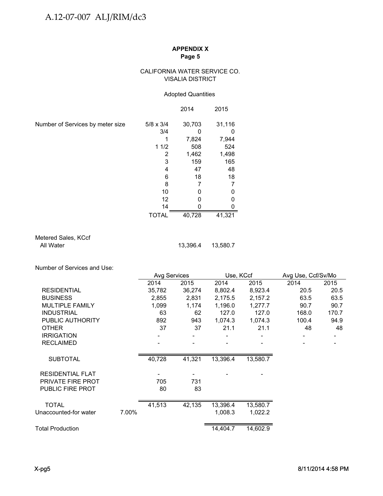## CALIFORNIA WATER SERVICE CO. VISALIA DISTRICT

## Adopted Quantities

|                                  |                  | 2014   | 2015   |
|----------------------------------|------------------|--------|--------|
| Number of Services by meter size | $5/8 \times 3/4$ | 30,703 | 31,116 |
|                                  | 3/4              |        |        |
|                                  |                  | 7,824  | 7,944  |
|                                  | 11/2             | 508    | 524    |
|                                  | 2                | 1,462  | 1,498  |
|                                  | 3                | 159    | 165    |
|                                  | 4                | 47     | 48     |
|                                  | 6                | 18     | 18     |
|                                  | 8                |        |        |
|                                  | 10               |        |        |
|                                  | 12               | U      |        |
|                                  | 14               |        |        |
|                                  | <b>TOTAL</b>     | 40,728 | 41,321 |

Metered Sales, KCcf<br>All Water

13,396.4 13,580.7

Number of Services and Use:

|                          |       | Avg Services |        | Use, KCcf |          | Avg Use, Ccf/Sv/Mo |       |  |
|--------------------------|-------|--------------|--------|-----------|----------|--------------------|-------|--|
|                          |       | 2014         | 2015   | 2014      | 2015     | 2014               | 2015  |  |
| <b>RESIDENTIAL</b>       |       | 35,782       | 36,274 | 8,802.4   | 8,923.4  | 20.5               | 20.5  |  |
| <b>BUSINESS</b>          |       | 2,855        | 2,831  | 2,175.5   | 2,157.2  | 63.5               | 63.5  |  |
| MULTIPLE FAMILY          |       | 1,099        | 1,174  | 1,196.0   | 1,277.7  | 90.7               | 90.7  |  |
| <b>INDUSTRIAL</b>        |       | 63           | 62     | 127.0     | 127.0    | 168.0              | 170.7 |  |
| PUBLIC AUTHORITY         |       | 892          | 943    | 1,074.3   | 1,074.3  | 100.4              | 94.9  |  |
| <b>OTHER</b>             |       | 37           | 37     | 21.1      | 21.1     | 48                 | 48    |  |
| <b>IRRIGATION</b>        |       |              |        |           |          |                    |       |  |
| <b>RECLAIMED</b>         |       |              |        |           |          |                    |       |  |
| <b>SUBTOTAL</b>          |       | 40,728       | 41,321 | 13,396.4  | 13,580.7 |                    |       |  |
| <b>RESIDENTIAL FLAT</b>  |       |              |        |           |          |                    |       |  |
| <b>PRIVATE FIRE PROT</b> |       | 705          | 731    |           |          |                    |       |  |
| PUBLIC FIRE PROT         |       | 80           | 83     |           |          |                    |       |  |
| <b>TOTAL</b>             |       | 41,513       | 42,135 | 13,396.4  | 13,580.7 |                    |       |  |
| Unaccounted-for water    | 7.00% |              |        | 1,008.3   | 1,022.2  |                    |       |  |
| <b>Total Production</b>  |       |              |        | 14,404.7  | 14,602.9 |                    |       |  |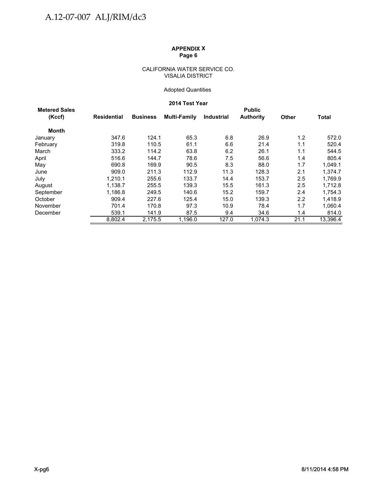#### CALIFORNIA WATER SERVICE CO. VISALIA DISTRICT

## Adopted Quantities

## **2014 Test Year**

| <b>Metered Sales</b> |             |                 |              |                   | <b>Public</b>    |                  |              |
|----------------------|-------------|-----------------|--------------|-------------------|------------------|------------------|--------------|
| (Kccf)               | Residential | <b>Business</b> | Multi-Family | <b>Industrial</b> | <b>Authority</b> | <b>Other</b>     | <b>Total</b> |
| <b>Month</b>         |             |                 |              |                   |                  |                  |              |
| January              | 347.6       | 124.1           | 65.3         | 6.8               | 26.9             | 1.2              | 572.0        |
| February             | 319.8       | 110.5           | 61.1         | 6.6               | 21.4             | 1.1              | 520.4        |
| March                | 333.2       | 114.2           | 63.8         | 6.2               | 26.1             | 1.1              | 544.5        |
| April                | 516.6       | 144.7           | 78.6         | 7.5               | 56.6             | 1.4              | 805.4        |
| May                  | 690.8       | 169.9           | 90.5         | 8.3               | 88.0             | 1.7              | 1,049.1      |
| June                 | 909.0       | 211.3           | 112.9        | 11.3              | 128.3            | 2.1              | 1,374.7      |
| July                 | 1,210.1     | 255.6           | 133.7        | 14.4              | 153.7            | 2.5              | 1,769.9      |
| August               | 1.138.7     | 255.5           | 139.3        | 15.5              | 161.3            | 2.5              | 1.712.8      |
| September            | 1.186.8     | 249.5           | 140.6        | 15.2              | 159.7            | 2.4              | 1,754.3      |
| October              | 909.4       | 227.6           | 125.4        | 15.0              | 139.3            | $2.2\phantom{0}$ | 1,418.9      |
| November             | 701.4       | 170.8           | 97.3         | 10.9              | 78.4             | 1.7              | 1,060.4      |
| December             | 539.1       | 141.9           | 87.5         | 9.4               | 34.6             | 1.4              | 814.0        |
|                      | 8,802.4     | 2,175.5         | 1,196.0      | 127.0             | 1,074.3          | 21.1             | 13,396.4     |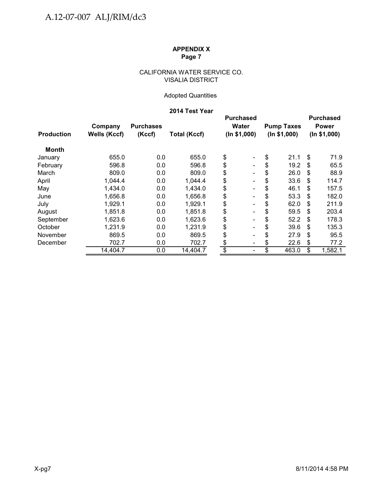## CALIFORNIA WATER SERVICE CO. VISALIA DISTRICT

# Adopted Quantities

# **2014 Test Year**

|                   |              |                  |                     |                 | <b>Purchased</b>             |              |                   |              | <b>Purchased</b> |
|-------------------|--------------|------------------|---------------------|-----------------|------------------------------|--------------|-------------------|--------------|------------------|
|                   | Company      | <b>Purchases</b> |                     |                 | <b>Water</b>                 |              | <b>Pump Taxes</b> |              | <b>Power</b>     |
| <b>Production</b> | Wells (Kccf) | (Kccf)           | <b>Total (Kccf)</b> | (ln \$1,000)    |                              | (ln \$1,000) |                   | (ln \$1,000) |                  |
| Month             |              |                  |                     |                 |                              |              |                   |              |                  |
| January           | 655.0        | 0.0              | 655.0               | \$              | $\qquad \qquad \blacksquare$ | \$           | 21.1              | \$           | 71.9             |
| February          | 596.8        | 0.0              | 596.8               | \$              |                              | \$           | 19.2              | S            | 65.5             |
| March             | 809.0        | 0.0              | 809.0               | \$              | $\qquad \qquad \blacksquare$ | \$           | 26.0              | S            | 88.9             |
| April             | 1,044.4      | 0.0              | 1,044.4             | \$              | $\qquad \qquad \blacksquare$ | \$           | 33.6              | S            | 114.7            |
| May               | 1,434.0      | 0.0              | 1,434.0             | \$              | $\qquad \qquad \blacksquare$ | \$           | 46.1              | S            | 157.5            |
| June              | 1,656.8      | 0.0              | 1,656.8             | \$              | $\overline{\phantom{0}}$     | \$           | 53.3              | S            | 182.0            |
| July              | 1,929.1      | 0.0              | 1,929.1             | \$              |                              | \$           | 62.0              | S            | 211.9            |
| August            | 1,851.8      | 0.0              | 1,851.8             | \$              | $\qquad \qquad \blacksquare$ | \$           | 59.5              | S            | 203.4            |
| September         | 1,623.6      | 0.0              | 1,623.6             | \$              | $\qquad \qquad \blacksquare$ | \$           | 52.2              | S            | 178.3            |
| October           | 1,231.9      | 0.0              | 1,231.9             | \$              | $\overline{\phantom{0}}$     | \$           | 39.6              | S            | 135.3            |
| November          | 869.5        | 0.0              | 869.5               | \$              | -                            | \$           | 27.9              | S            | 95.5             |
| December          | 702.7        | 0.0              | 702.7               | \$              | $\qquad \qquad \blacksquare$ | \$           | 22.6              | S            | 77.2             |
|                   | 14,404.7     | 0.0              | 14,404.7            | $\overline{\$}$ | $\qquad \qquad \blacksquare$ | \$           | 463.0             | \$           | 1,582.1          |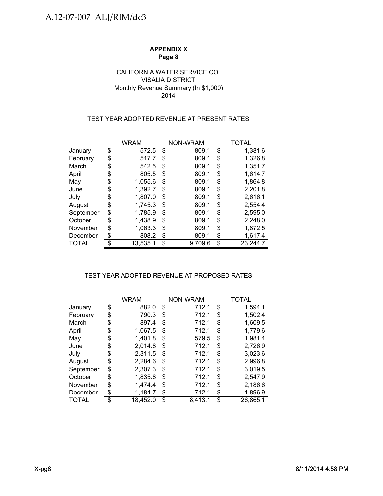## VISALIA DISTRICT Monthly Revenue Summary (In \$1,000) 2014 CALIFORNIA WATER SERVICE CO.

# TEST YEAR ADOPTED REVENUE AT PRESENT RATES

|           | <b>WRAM</b>   |    | NON-WRAM | TOTAL |          |  |
|-----------|---------------|----|----------|-------|----------|--|
| January   | \$<br>572.5   | \$ | 809.1    | \$    | 1,381.6  |  |
| February  | \$<br>517.7   | \$ | 809.1    | \$    | 1,326.8  |  |
| March     | \$<br>542.5   | S  | 809.1    | \$    | 1,351.7  |  |
| April     | \$<br>805.5   | \$ | 809.1    | \$    | 1,614.7  |  |
| May       | \$<br>1.055.6 | \$ | 809.1    | \$    | 1.864.8  |  |
| June      | \$<br>1,392.7 | \$ | 809.1    | \$    | 2,201.8  |  |
| July      | \$<br>1,807.0 | \$ | 809.1    | \$    | 2,616.1  |  |
| August    | \$<br>1,745.3 | \$ | 809.1    | \$    | 2,554.4  |  |
| September | \$<br>1,785.9 | \$ | 809.1    | \$    | 2,595.0  |  |
| October   | \$<br>1,438.9 | \$ | 809.1    | \$    | 2,248.0  |  |
| November  | \$<br>1,063.3 | \$ | 809.1    | \$    | 1,872.5  |  |
| December  | 808.2         | \$ | 809.1    | \$    | 1,617.4  |  |
| TOTAL     | 13,535.1      | \$ | 9,709.6  | \$    | 23,244.7 |  |

# TEST YEAR ADOPTED REVENUE AT PROPOSED RATES TEST YEAR ADOPTED REVENUE AT PROPOSED

|              | <b>WRAM</b>   |    | NON-WRAM | TOTAL |          |  |
|--------------|---------------|----|----------|-------|----------|--|
| January      | \$<br>882.0   | \$ | 712.1    | \$    | 1,594.1  |  |
| February     | \$<br>790.3   | \$ | 712.1    | \$    | 1,502.4  |  |
| March        | \$<br>897.4   | S  | 712.1    | \$    | 1,609.5  |  |
| April        | \$<br>1,067.5 | \$ | 712.1    | \$    | 1,779.6  |  |
| May          | \$<br>1,401.8 | \$ | 579.5    | \$    | 1,981.4  |  |
| June         | \$<br>2,014.8 | \$ | 712.1    | \$    | 2,726.9  |  |
| July         | \$<br>2,311.5 | \$ | 712.1    | \$    | 3,023.6  |  |
| August       | \$<br>2,284.6 | \$ | 712.1    | \$    | 2,996.8  |  |
| September    | \$<br>2,307.3 | \$ | 712.1    | \$    | 3,019.5  |  |
| October      | \$<br>1,835.8 | \$ | 712.1    | \$    | 2,547.9  |  |
| November     | \$<br>1,474.4 | \$ | 712.1    | \$    | 2,186.6  |  |
| December     | 1,184.7       | S  | 712.1    | \$    | 1,896.9  |  |
| <b>TOTAL</b> | 18,452.0      | \$ | 8,413.1  | \$    | 26,865.1 |  |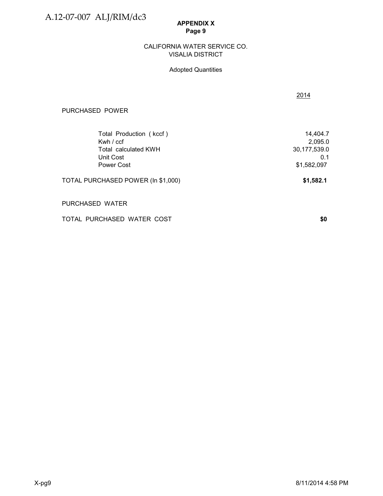A.12-07-007 ALJ/RIM/dc3

## **APPENDIX X Page 9**

## VISALIA DISTRICT CALIFORNIA WATER SERVICE CO.

# Adopted Quantities

| PURCHASED POWER                    |              |
|------------------------------------|--------------|
| Total Production (kccf)            | 14,404.7     |
| Kwh $/$ ccf                        | 2,095.0      |
| Total calculated KWH               | 30,177,539.0 |
| Unit Cost                          | 0.1          |
| Power Cost                         | \$1,582,097  |
| TOTAL PURCHASED POWER (In \$1,000) | \$1,582.1    |
| PURCHASED WATER                    |              |

TOTAL PURCHASED WATER COST **\$0** 

2014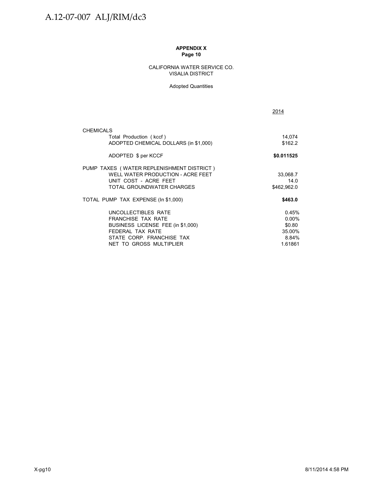#### CALIFORNIA WATER SERVICE CO. VISALIA DISTRICT

#### Adopted Quantities

|                                                                                                                                                                   | 2014                                                      |
|-------------------------------------------------------------------------------------------------------------------------------------------------------------------|-----------------------------------------------------------|
| <b>CHEMICALS</b>                                                                                                                                                  |                                                           |
| Total Production (kccf)<br>ADOPTED CHEMICAL DOLLARS (in \$1,000)                                                                                                  | 14,074<br>\$162.2                                         |
| ADOPTED \$ per KCCF                                                                                                                                               | \$0.011525                                                |
| PUMP TAXES (WATER REPLENISHMENT DISTRICT)<br>WELL WATER PRODUCTION - ACRE FEET<br>UNIT COST - ACRE FEET<br>TOTAL GROUNDWATER CHARGES                              | 33,068.7<br>14.0<br>\$462,962.0                           |
| TOTAL PUMP TAX EXPENSE (In \$1,000)                                                                                                                               | \$463.0                                                   |
| UNCOLLECTIBLES RATE<br><b>FRANCHISE TAX RATE</b><br>BUSINESS LICENSE FEE (in \$1,000)<br>FEDERAL TAX RATE<br>STATE CORP. FRANCHISE TAX<br>NET TO GROSS MULTIPLIER | 0.45%<br>$0.00\%$<br>\$0.80<br>35.00%<br>8.84%<br>1.61861 |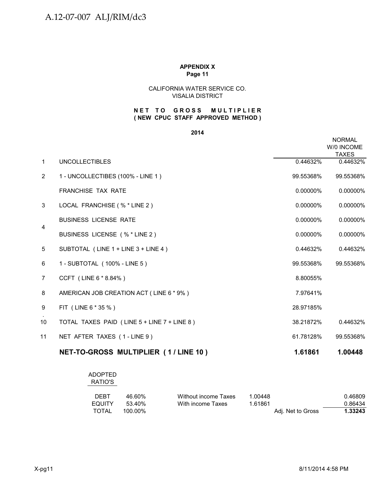#### CALIFORNIA WATER SERVICE CO. VISALIA DISTRICT

## **( NEW CPUC STAFF APPROVED METHOD ) NET TO GROSS MULTIPLIER**

**2014**

|                |                                             |           | <b>NORMAL</b><br>W/0 INCOME<br><b>TAXES</b> |
|----------------|---------------------------------------------|-----------|---------------------------------------------|
| $\mathbf{1}$   | <b>UNCOLLECTIBLES</b>                       | 0.44632%  | 0.44632%                                    |
| $\overline{2}$ | 1 - UNCOLLECTIBES (100% - LINE 1)           | 99.55368% | 99.55368%                                   |
|                | <b>FRANCHISE TAX RATE</b>                   | 0.00000%  | 0.00000%                                    |
| 3              | LOCAL FRANCHISE (% * LINE 2)                | 0.00000%  | 0.00000%                                    |
|                | <b>BUSINESS LICENSE RATE</b>                | 0.00000%  | 0.00000%                                    |
| 4              | BUSINESS LICENSE (% * LINE 2)               | 0.00000%  | 0.00000%                                    |
| 5              | SUBTOTAL (LINE 1 + LINE 3 + LINE 4)         | 0.44632%  | 0.44632%                                    |
| 6              | 1 - SUBTOTAL (100% - LINE 5)                | 99.55368% | 99.55368%                                   |
| $\overline{7}$ | CCFT (LINE 6 * 8.84%)                       | 8.80055%  |                                             |
| 8              | AMERICAN JOB CREATION ACT (LINE 6 * 9%)     | 7.97641%  |                                             |
| 9              | FIT (LINE 6 * 35 %)                         | 28.97185% |                                             |
| 10             | TOTAL TAXES PAID (LINE 5 + LINE 7 + LINE 8) | 38.21872% | 0.44632%                                    |
| 11             | NET AFTER TAXES (1-LINE 9)                  | 61.78128% | 99.55368%                                   |
|                | NET-TO-GROSS MULTIPLIER (1/LINE 10)         | 1.61861   | 1.00448                                     |

| ADOPTED<br>RATIO'S |         |                      |         |                   |         |
|--------------------|---------|----------------------|---------|-------------------|---------|
| <b>DEBT</b>        | 46.60%  | Without income Taxes | 1.00448 |                   | 0.46809 |
| EQUITY             | 53.40%  | With income Taxes    | 1.61861 |                   | 0.86434 |
| <b>TOTAL</b>       | 100.00% |                      |         | Adj. Net to Gross | 1.33243 |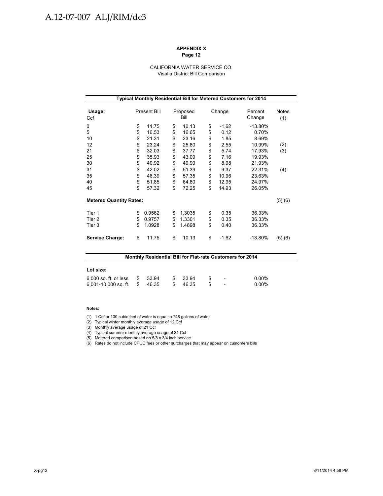# A.12-07-007 ALJ/RIM/dc3

#### **APPENDIX X Page 12**

#### CALIFORNIA WATER SERVICE CO. Visalia District Bill Comparison

| Typical Monthly Residential Bill for Metered Customers for 2014 |    |                     |    |                  |    |         |                   |              |
|-----------------------------------------------------------------|----|---------------------|----|------------------|----|---------|-------------------|--------------|
| Usage:<br>Ccf                                                   |    | <b>Present Bill</b> |    | Proposed<br>Bill |    | Change  | Percent<br>Change | Notes<br>(1) |
| 0                                                               | \$ | 11.75               | \$ | 10.13            | \$ | $-1.62$ | $-13.80%$         |              |
| 5                                                               | \$ | 16.53               | \$ | 16.65            | \$ | 0.12    | 0.70%             |              |
| 10                                                              | \$ | 21.31               | \$ | 23.16            | \$ | 1.85    | 8.69%             |              |
| 12                                                              | \$ | 23.24               | \$ | 25.80            | \$ | 2.55    | 10.99%            | (2)          |
| 21                                                              | \$ | 32.03               | \$ | 37.77            | \$ | 5.74    | 17.93%            | (3)          |
| 25                                                              | \$ | 35.93               | \$ | 43.09            | \$ | 7.16    | 19.93%            |              |
| 30                                                              | \$ | 40.92               | \$ | 49.90            | \$ | 8.98    | 21.93%            |              |
| 31                                                              | \$ | 42.02               | \$ | 51.39            | \$ | 9.37    | 22.31%            | (4)          |
| 35                                                              | \$ | 46.39               | \$ | 57.35            | \$ | 10.96   | 23.63%            |              |
| 40                                                              | \$ | 51.85               | \$ | 64.80            | \$ | 12.95   | 24.97%            |              |
| 45                                                              | \$ | 57.32               | \$ | 72.25            | \$ | 14.93   | 26.05%            |              |
| <b>Metered Quantity Rates:</b>                                  |    |                     |    |                  |    |         |                   | (5)(6)       |
| Tier 1                                                          | \$ | 0.9562              | \$ | 1.3035           | \$ | 0.35    | 36.33%            |              |
| Tier 2                                                          | \$ | 0.9757              | \$ | 1.3301           | \$ | 0.35    | 36.33%            |              |
| Tier 3                                                          | \$ | 1.0928              | \$ | 1.4898           | \$ | 0.40    | 36.33%            |              |
| <b>Service Charge:</b>                                          | \$ | 11.75               | \$ | 10.13            | \$ | $-1.62$ | $-13.80%$         | (5)(6)       |

| <b>Monthly Residential Bill for Flat-rate Customers for 2014</b> |    |        |  |       |  |                          |          |
|------------------------------------------------------------------|----|--------|--|-------|--|--------------------------|----------|
|                                                                  |    |        |  |       |  |                          |          |
| Lot size:                                                        |    |        |  |       |  |                          |          |
| 6,000 sq. ft. or less                                            | S. | -33.94 |  | 33.94 |  | $\overline{a}$           | $0.00\%$ |
| 6,001-10,000 sq. ft.                                             | \$ | 46.35  |  | 46.35 |  | $\overline{\phantom{a}}$ | $0.00\%$ |

#### **Notes:**

(1) 1 Ccf or 100 cubic feet of water is equal to 748 gallons of water

(2) Typical winter monthly average usage of 12 Ccf

(3) Monthly average usage of 21 Ccf

(4) Typical summer monthly average usage of 31 Ccf

(5) Metered comparison based on 5/8 x 3/4 inch service

(6) Rates do not include CPUC fees or other surcharges that may appear on customers bills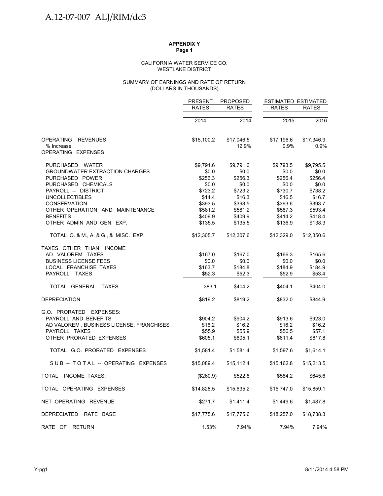#### WESTLAKE DISTRICT CALIFORNIA WATER SERVICE CO.

#### (DOLLARS IN THOUSANDS) SUMMARY OF EARNINGS AND RATE OF RETURN

|                                          | <b>PRESENT</b> | <b>PROPOSED</b> | <b>ESTIMATED ESTIMATED</b> |              |
|------------------------------------------|----------------|-----------------|----------------------------|--------------|
|                                          | <b>RATES</b>   | <b>RATES</b>    | <b>RATES</b>               | <b>RATES</b> |
|                                          | 2014           | 2014            | 2015                       | 2016         |
| <b>OPERATING</b><br><b>REVENUES</b>      | \$15,100.2     | \$17,046.5      | \$17,196.6                 | \$17,346.9   |
| % Increase                               |                | 12.9%           | 0.9%                       | 0.9%         |
| OPERATING EXPENSES                       |                |                 |                            |              |
| PURCHASED WATER                          | \$9,791.6      | \$9,791.6       | \$9.793.5                  | \$9,795.5    |
| <b>GROUNDWATER EXTRACTION CHARGES</b>    | \$0.0          | \$0.0\$         | \$0.0                      | \$0.0        |
| PURCHASED POWER                          | \$256.3        | \$256.3         | \$256.4                    | \$256.4      |
| PURCHASED CHEMICALS                      | \$0.0          | \$0.0           | \$0.0                      | \$0.0        |
| PAYROLL -- DISTRICT                      | \$723.2        | \$723.2         | \$730.7                    | \$738.2      |
| <b>UNCOLLECTIBLES</b>                    | \$14.4         | \$16.3          | \$16.5                     | \$16.7       |
| <b>CONSERVATION</b>                      | \$393.5        | \$393.5         | \$393.6                    | \$393.7      |
| OTHER OPERATION AND MAINTENANCE          | \$581.2        | \$581.2         | \$587.3                    | \$593.4      |
| <b>BENEFITS</b>                          | \$409.9        | \$409.9         | \$414.2                    | \$418.4      |
| OTHER ADMIN AND GEN. EXP.                | \$135.5        | \$135.5         | \$136.9                    | \$138.3      |
| TOTAL O. & M., A. & G., & MISC. EXP.     | \$12,305.7     | \$12,307.6      | \$12,329.0                 | \$12,350.6   |
| TAXES OTHER THAN INCOME                  |                |                 |                            |              |
| AD VALOREM TAXES                         | \$167.0        | \$167.0         | \$166.3                    | \$165.6      |
| <b>BUSINESS LICENSE FEES</b>             | \$0.0          | \$0.0           | \$0.0                      | \$0.0        |
| LOCAL FRANCHISE TAXES                    | \$163.7        | \$184.8         | \$184.9                    | \$184.9      |
| PAYROLL TAXES                            | \$52.3         | \$52.3          | \$52.9                     | \$53.4       |
| TOTAL GENERAL TAXES                      | 383.1          | \$404.2         | \$404.1                    | \$404.0      |
| <b>DEPRECIATION</b>                      | \$819.2        | \$819.2         | \$832.0                    | \$844.9      |
| G.O. PRORATED EXPENSES:                  |                |                 |                            |              |
| PAYROLL AND BENEFITS                     | \$904.2        | \$904.2         | \$913.6                    | \$923.0      |
| AD VALOREM, BUSINESS LICENSE, FRANCHISES | \$16.2         | \$16.2          | \$16.2                     | \$16.2       |
| PAYROLL TAXES                            | \$55.9         | \$55.9          | \$56.5                     | \$57.1       |
| OTHER PRORATED EXPENSES                  | \$605.1        | \$605.1         | \$611.4                    | \$617.8      |
| TOTAL G.O. PRORATED EXPENSES             | \$1,581.4      | \$1,581.4       | \$1,597.6                  | \$1,614.1    |
| SUB-TOTAL-OPERATING EXPENSES             | \$15,089.4     | \$15,112.4      | \$15,162.8                 | \$15,213.5   |
| TOTAL INCOME TAXES:                      | (\$260.9)      | \$522.8         | \$584.2                    | \$645.6      |
| TOTAL OPERATING EXPENSES                 | \$14,828.5     | \$15,635.2      | \$15,747.0                 | \$15,859.1   |
| NET OPERATING REVENUE                    | \$271.7        | \$1,411.4       | \$1,449.6                  | \$1,487.8    |
| DEPRECIATED RATE BASE                    | \$17,775.6     | \$17,775.6      | \$18,257.0                 | \$18,738.3   |
| RATE OF RETURN                           | 1.53%          | 7.94%           | 7.94%                      | 7.94%        |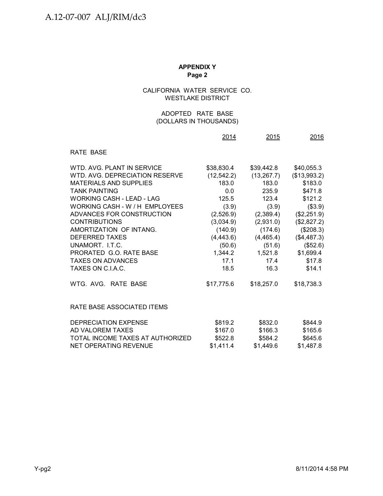## CALIFORNIA WATER SERVICE CO. WESTLAKE DISTRICT

## (DOLLARS IN THOUSANDS) ADOPTED RATE BASE

|                                  | 2014        | 2015        | 2016         |
|----------------------------------|-------------|-------------|--------------|
| RATE BASE                        |             |             |              |
| WTD, AVG, PLANT IN SERVICE       | \$38,830.4  | \$39,442.8  | \$40,055.3   |
| WTD, AVG, DEPRECIATION RESERVE   | (12, 542.2) | (13, 267.7) | (\$13,993.2) |
| <b>MATERIALS AND SUPPLIES</b>    | 183.0       | 183.0       | \$183.0      |
| <b>TANK PAINTING</b>             | 0.0         | 235.9       | \$471.8      |
| <b>WORKING CASH - LEAD - LAG</b> | 125.5       | 123.4       | \$121.2      |
| WORKING CASH - W / H EMPLOYEES   | (3.9)       | (3.9)       | (\$3.9)      |
| ADVANCES FOR CONSTRUCTION        | (2,526.9)   | (2,389.4)   | (\$2,251.9)  |
| <b>CONTRIBUTIONS</b>             | (3,034.9)   | (2,931.0)   | (\$2,827.2)  |
| AMORTIZATION OF INTANG.          | (140.9)     | (174.6)     | (\$208.3)    |
| <b>DEFERRED TAXES</b>            | (4, 443.6)  | (4,465.4)   | (\$4,487.3)  |
| UNAMORT. I.T.C.                  | (50.6)      | (51.6)      | (\$52.6)     |
| PRORATED G.O. RATE BASE          | 1,344.2     | 1,521.8     | \$1,699.4    |
| <b>TAXES ON ADVANCES</b>         | 17.1        | 17.4        | \$17.8       |
| TAXES ON C.I.A.C.                | 18.5        | 16.3        | \$14.1       |
| WTG. AVG. RATE BASE              | \$17,775.6  | \$18,257.0  | \$18,738.3   |
| RATE BASE ASSOCIATED ITEMS       |             |             |              |
| DEPRECIATION EXPENSE             | \$819.2     | \$832.0     | \$844.9      |
| AD VALOREM TAXES                 | \$167.0     | \$166.3     | \$165.6      |
| TOTAL INCOME TAXES AT AUTHORIZED | \$522.8     | \$584.2     | \$645.6      |
| <b>NET OPERATING REVENUE</b>     | \$1,411.4   | \$1,449.6   | \$1,487.8    |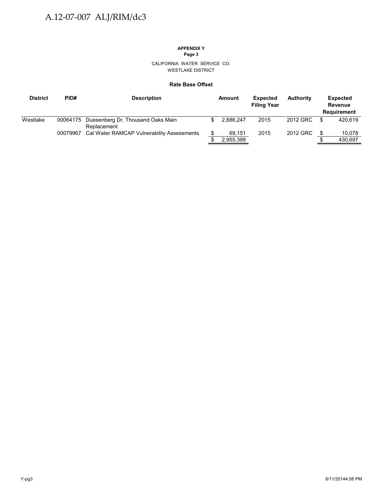# **APPENDIX Y**

**Page 3**

CALIFORNIA WATER SERVICE CO. WESTLAKE DISTRICT

### **Rate Base Offset**

| <b>District</b> | PID#     | <b>Description</b>                                        | Amount    | <b>Expected</b><br><b>Filing Year</b> | <b>Authority</b> | <b>Expected</b><br><b>Revenue</b><br><b>Requirement</b> |
|-----------------|----------|-----------------------------------------------------------|-----------|---------------------------------------|------------------|---------------------------------------------------------|
| Westlake        |          | 00064175 Duesenberg Dr. Thousand Oaks Main<br>Replacement | 2.886.247 | 2015                                  | 2012 GRC         | 420.619                                                 |
|                 | 00079967 | Cal Water RAMCAP Vulnerability Assessments                | 69,151    | 2015                                  | 2012 GRC         | 10,078                                                  |
|                 |          |                                                           | 2,955,399 |                                       |                  | 430.697                                                 |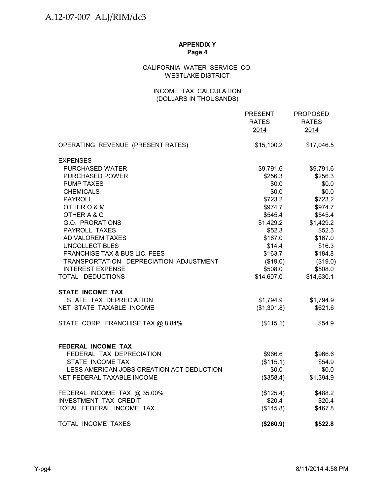## CALIFORNIA WATER SERVICE CO. WESTLAKE DISTRICT

## INCOME TAX CALCULATION (DOLLARS IN THOUSANDS)

|                                           | <b>PRESENT</b><br><b>RATES</b><br>2014 | <b>PROPOSED</b><br><b>RATES</b><br>2014 |
|-------------------------------------------|----------------------------------------|-----------------------------------------|
| OPERATING REVENUE (PRESENT RATES)         | \$15,100.2                             | \$17,046.5                              |
| <b>EXPENSES</b>                           |                                        |                                         |
| PURCHASED WATER                           | \$9,791.6                              | \$9,791.6                               |
| <b>PURCHASED POWER</b>                    | \$256.3                                | \$256.3                                 |
| <b>PUMP TAXES</b>                         | \$0.0\$                                | \$0.0                                   |
| <b>CHEMICALS</b>                          | \$0.0                                  | \$0.0                                   |
| <b>PAYROLL</b>                            | \$723.2                                | \$723.2                                 |
| OTHER O & M                               | \$974.7                                | \$974.7                                 |
| OTHER A & G                               | \$545.4                                | \$545.4                                 |
| G.O. PRORATIONS                           | \$1,429.2                              | \$1,429.2                               |
| PAYROLL TAXES                             | \$52.3                                 | \$52.3                                  |
| AD VALOREM TAXES                          | \$167.0                                | \$167.0                                 |
| <b>UNCOLLECTIBLES</b>                     | \$14.4                                 | \$16.3                                  |
| <b>FRANCHISE TAX &amp; BUS LIC. FEES</b>  | \$163.7                                | \$184.8                                 |
| TRANSPORTATION DEPRECIATION ADJUSTMENT    | (\$19.0)                               | (\$19.0)                                |
| <b>INTEREST EXPENSE</b>                   | \$508.0                                | \$508.0                                 |
| TOTAL DEDUCTIONS                          | \$14,607.0                             | \$14,630.1                              |
| <b>STATE INCOME TAX</b>                   |                                        |                                         |
| STATE TAX DEPRECIATION                    | \$1,794.9                              | \$1,794.9                               |
| NET STATE TAXABLE INCOME                  | (\$1,301.8)                            | \$621.6                                 |
| STATE CORP. FRANCHISE TAX @ 8.84%         | (\$115.1)                              | \$54.9                                  |
| FEDERAL INCOME TAX                        |                                        |                                         |
| FEDERAL TAX DEPRECIATION                  | \$966.6                                | \$966.6                                 |
| STATE INCOME TAX                          | (\$115.1)                              | \$54.9                                  |
| LESS AMERICAN JOBS CREATION ACT DEDUCTION | \$0.0                                  | \$0.0\$                                 |
| NET FEDERAL TAXABLE INCOME                | (\$358.4)                              | \$1,394.9                               |
| FEDERAL INCOME TAX @ 35.00%               | (\$125.4)                              | \$488.2                                 |
| <b>INVESTMENT TAX CREDIT</b>              | \$20.4                                 | \$20.4\$                                |
| TOTAL FEDERAL INCOME TAX                  | (\$145.8)                              | \$467.8                                 |
| TOTAL INCOME TAXES                        | (\$260.9)                              | \$522.8                                 |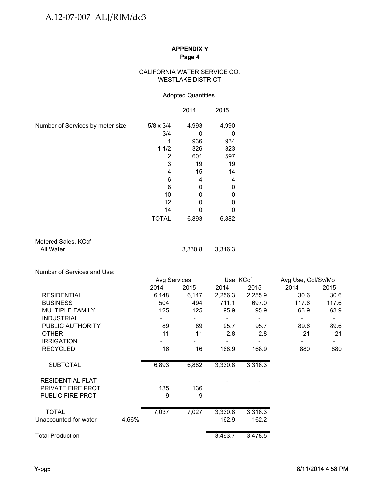## CALIFORNIA WATER SERVICE CO. WESTLAKE DISTRICT

## Adopted Quantities

|                                  |                  | 2014  | 2015  |
|----------------------------------|------------------|-------|-------|
| Number of Services by meter size | $5/8 \times 3/4$ | 4,993 | 4,990 |
|                                  | 3/4              |       | 0     |
|                                  |                  | 936   | 934   |
|                                  | 11/2             | 326   | 323   |
|                                  | 2                | 601   | 597   |
|                                  | 3                | 19    | 19    |
|                                  |                  | 15    | 14    |
|                                  | 6                | 4     | 4     |
|                                  | 8                |       | 0     |
|                                  | 10               |       | 0     |
|                                  | 12               |       | 0     |
|                                  | 14               |       | 0     |
|                                  | TOTAL            | 6,893 | 6,882 |

Metered Sales, KCcf<br>All Water

3,330.8 3,316.3

Number of Services and Use:

|       | Avg Services |         |                    | Avg Use, Ccf/Sv/Mo              |       |  |
|-------|--------------|---------|--------------------|---------------------------------|-------|--|
| 2014  | 2015         | 2014    | 2015               | 2014                            | 2015  |  |
| 6,148 | 6,147        | 2,256.3 | 2,255.9            | 30.6                            | 30.6  |  |
| 504   | 494          | 711.1   | 697.0              | 117.6                           | 117.6 |  |
| 125   | 125          | 95.9    | 95.9               | 63.9                            | 63.9  |  |
|       | ۰            |         |                    |                                 |       |  |
| 89    | 89           | 95.7    | 95.7               | 89.6                            | 89.6  |  |
| 11    | 11           | 2.8     | 2.8                | 21                              | 21    |  |
|       |              |         |                    |                                 |       |  |
| 16    | 16           | 168.9   | 168.9              | 880                             | 880   |  |
| 6,893 | 6,882        | 3,330.8 | 3,316.3            |                                 |       |  |
|       |              |         |                    |                                 |       |  |
| 135   | 136          |         |                    |                                 |       |  |
| 9     | 9            |         |                    |                                 |       |  |
|       |              |         |                    |                                 |       |  |
| 4.66% |              | 162.9   | 162.2              |                                 |       |  |
|       |              |         |                    |                                 |       |  |
|       | 7,037        | 7,027   | 3,330.8<br>3,493.7 | Use, KCcf<br>3,316.3<br>3,478.5 |       |  |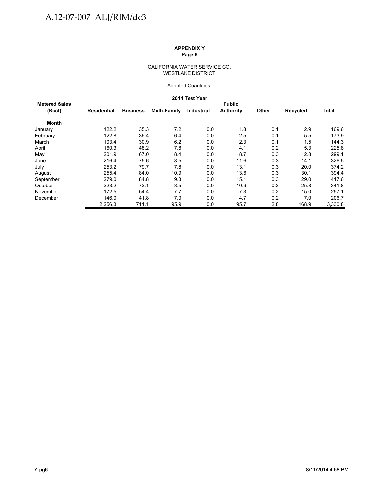### CALIFORNIA WATER SERVICE CO. WESTLAKE DISTRICT

### Adopted Quantities

### **2014 Test Year**

|                      |                    |                 |              | <b>ZU14 Test rear</b> |                  |       |          |         |  |  |  |
|----------------------|--------------------|-----------------|--------------|-----------------------|------------------|-------|----------|---------|--|--|--|
| <b>Metered Sales</b> | <b>Public</b>      |                 |              |                       |                  |       |          |         |  |  |  |
| (Kccf)               | <b>Residential</b> | <b>Business</b> | Multi-Family | Industrial            | <b>Authority</b> | Other | Recycled | Total   |  |  |  |
| Month                |                    |                 |              |                       |                  |       |          |         |  |  |  |
| January              | 122.2              | 35.3            | 7.2          | 0.0                   | 1.8              | 0.1   | 2.9      | 169.6   |  |  |  |
| February             | 122.8              | 36.4            | 6.4          | 0.0                   | 2.5              | 0.1   | 5.5      | 173.9   |  |  |  |
| March                | 103.4              | 30.9            | 6.2          | 0.0                   | 2.3              | 0.1   | 1.5      | 144.3   |  |  |  |
| April                | 160.3              | 48.2            | 7.8          | 0.0                   | 4.1              | 0.2   | 5.3      | 225.8   |  |  |  |
| May                  | 201.9              | 67.0            | 8.4          | 0.0                   | 8.7              | 0.3   | 12.8     | 299.1   |  |  |  |
| June                 | 216.4              | 75.6            | 8.5          | 0.0                   | 11.6             | 0.3   | 14.1     | 326.5   |  |  |  |
| July                 | 253.2              | 79.7            | 7.8          | 0.0                   | 13.1             | 0.3   | 20.0     | 374.2   |  |  |  |
| August               | 255.4              | 84.0            | 10.9         | 0.0                   | 13.6             | 0.3   | 30.1     | 394.4   |  |  |  |
| September            | 279.0              | 84.8            | 9.3          | 0.0                   | 15.1             | 0.3   | 29.0     | 417.6   |  |  |  |
| October              | 223.2              | 73.1            | 8.5          | 0.0                   | 10.9             | 0.3   | 25.8     | 341.8   |  |  |  |
| November             | 172.5              | 54.4            | 7.7          | 0.0                   | 7.3              | 0.2   | 15.0     | 257.1   |  |  |  |
| December             | 146.0              | 41.8            | 7.0          | 0.0                   | 4.7              | 0.2   | 7.0      | 206.7   |  |  |  |
|                      | 2.256.3            | 711.1           | 95.9         | 0.0                   | 95.7             | 2.8   | 168.9    | 3,330.8 |  |  |  |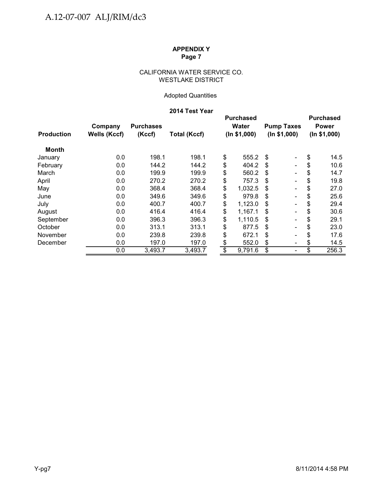## CALIFORNIA WATER SERVICE CO. WESTLAKE DISTRICT

## Adopted Quantities

## **2014 Test Year**

|                   | Company             | <b>Purchases</b> |                     |                 | <b>Purchased</b><br><b>Water</b> |    |                                   |    | <b>Purchased</b><br><b>Power</b> |
|-------------------|---------------------|------------------|---------------------|-----------------|----------------------------------|----|-----------------------------------|----|----------------------------------|
| <b>Production</b> | <b>Wells (Kccf)</b> | (Kccf)           | <b>Total (Kccf)</b> |                 | (ln \$1,000)                     |    | <b>Pump Taxes</b><br>(ln \$1,000) |    | (ln \$1,000)                     |
| Month             |                     |                  |                     |                 |                                  |    |                                   |    |                                  |
| January           | 0.0                 | 198.1            | 198.1               | \$              | 555.2                            | \$ | $\blacksquare$                    | \$ | 14.5                             |
| February          | 0.0                 | 144.2            | 144.2               | \$              | 404.2                            | \$ | $\blacksquare$                    | \$ | 10.6                             |
| March             | 0.0                 | 199.9            | 199.9               | \$              | 560.2                            | S  | $\blacksquare$                    | \$ | 14.7                             |
| April             | 0.0                 | 270.2            | 270.2               | \$              | 757.3                            | S  | $\blacksquare$                    | \$ | 19.8                             |
| May               | 0.0                 | 368.4            | 368.4               | \$              | 1,032.5                          | S  | $\overline{\phantom{a}}$          | \$ | 27.0                             |
| June              | 0.0                 | 349.6            | 349.6               | \$              | 979.8                            | S  | $\blacksquare$                    | \$ | 25.6                             |
| July              | 0.0                 | 400.7            | 400.7               | \$              | 1,123.0                          | S  | $\blacksquare$                    | \$ | 29.4                             |
| August            | 0.0                 | 416.4            | 416.4               | \$              | 1,167.1                          | \$ | $\overline{\phantom{a}}$          | \$ | 30.6                             |
| September         | 0.0                 | 396.3            | 396.3               | \$              | 1,110.5                          | S  | $\overline{\phantom{a}}$          | \$ | 29.1                             |
| October           | 0.0                 | 313.1            | 313.1               | \$              | 877.5                            | \$ | $\overline{\phantom{a}}$          | S  | 23.0                             |
| November          | 0.0                 | 239.8            | 239.8               | \$              | 672.1                            | S  | $\overline{\phantom{a}}$          | S  | 17.6                             |
| December          | 0.0                 | 197.0            | 197.0               | \$              | 552.0                            | \$ | $\overline{\phantom{a}}$          | \$ | 14.5                             |
|                   | 0.0                 | 3,493.7          | 3,493.7             | $\overline{\$}$ | 9,791.6                          | \$ | $\blacksquare$                    | \$ | 256.3                            |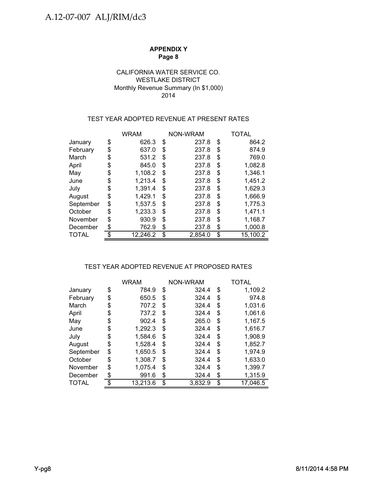## CALIFORNIA WATER SERVICE CO. WESTLAKE DISTRICT Monthly Revenue Summary (In \$1,000) 2014

## TEST YEAR ADOPTED REVENUE AT PRESENT RATES

|           |    | <b>WRAM</b> |    | <b>NON-WRAM</b> | TOTAL          |
|-----------|----|-------------|----|-----------------|----------------|
| January   | \$ | 626.3       | \$ | 237.8           | \$<br>864.2    |
| February  | \$ | 637.0       | \$ | 237.8           | \$<br>874.9    |
| March     | S  | 531.2       | S  | 237.8           | \$<br>769.0    |
| April     | \$ | 845.0       | \$ | 237.8           | \$<br>1,082.8  |
| May       | \$ | 1,108.2     | \$ | 237.8           | \$<br>1,346.1  |
| June      | S  | 1,213.4     | \$ | 237.8           | \$<br>1,451.2  |
| July      | \$ | 1,391.4     | \$ | 237.8           | \$<br>1,629.3  |
| August    | \$ | 1,429.1     | \$ | 237.8           | \$<br>1,666.9  |
| September | \$ | 1,537.5     | \$ | 237.8           | \$<br>1,775.3  |
| October   | \$ | 1,233.3     | \$ | 237.8           | \$<br>1,471.1  |
| November  | \$ | 930.9       | \$ | 237.8           | \$<br>1,168.7  |
| December  |    | 762.9       | \$ | 237.8           | \$<br>1,000.8  |
| TOTAL     |    | 12,246.2    | \$ | 2,854.0         | \$<br>15,100.2 |

## TEST YEAR ADOPTED REVENUE AT PROPOSED RATES

|           | <b>WRAM</b>   |    | NON-WRAM |    | TOTAL    |
|-----------|---------------|----|----------|----|----------|
| January   | \$<br>784.9   | \$ | 324.4    | \$ | 1,109.2  |
| February  | \$<br>650.5   | \$ | 324.4    | \$ | 974.8    |
| March     | \$<br>707.2   | S  | 324.4    | \$ | 1,031.6  |
| April     | \$<br>737.2   | S  | 324.4    | \$ | 1,061.6  |
| May       | \$<br>902.4   | S  | 265.0    | \$ | 1,167.5  |
| June      | \$<br>1,292.3 | \$ | 324.4    | \$ | 1,616.7  |
| July      | \$<br>1,584.6 | \$ | 324.4    | \$ | 1.908.9  |
| August    | \$<br>1,528.4 | \$ | 324.4    | \$ | 1,852.7  |
| September | \$<br>1.650.5 | S  | 324.4    | \$ | 1,974.9  |
| October   | \$<br>1,308.7 | \$ | 324.4    | \$ | 1.633.0  |
| November  | \$<br>1,075.4 | S  | 324.4    | S  | 1,399.7  |
| December  | \$<br>991.6   | \$ | 324.4    | \$ | 1,315.9  |
| TOTAL     | 13,213.6      | \$ | 3,832.9  | \$ | 17,046.5 |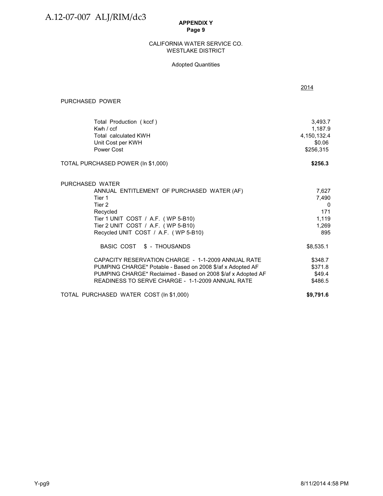### WESTLAKE DISTRICT CALIFORNIA WATER SERVICE CO.

## Adopted Quantities

|                                                                                                                                                                                                                                      | 2014                                                       |
|--------------------------------------------------------------------------------------------------------------------------------------------------------------------------------------------------------------------------------------|------------------------------------------------------------|
| PURCHASED POWER                                                                                                                                                                                                                      |                                                            |
| Total Production (kccf)<br>Kwh $/$ ccf<br><b>Total calculated KWH</b><br>Unit Cost per KWH<br>Power Cost                                                                                                                             | 3,493.7<br>1,187.9<br>4,150,132.4<br>\$0.06<br>\$256.315   |
| TOTAL PURCHASED POWER (In \$1,000)                                                                                                                                                                                                   | \$256.3                                                    |
| PURCHASED WATER<br>ANNUAL ENTITLEMENT OF PURCHASED WATER (AF)<br>Tier 1<br>Tier 2<br>Recycled<br>Tier 1 UNIT COST / A.F. (WP 5-B10)<br>Tier 2 UNIT COST / A.F. (WP 5-B10)<br>Recycled UNIT COST / A.F. (WP 5-B10)                    | 7,627<br>7,490<br>$\Omega$<br>171<br>1,119<br>1,269<br>895 |
| BASIC COST \$ - THOUSANDS                                                                                                                                                                                                            | \$8,535.1                                                  |
| CAPACITY RESERVATION CHARGE - 1-1-2009 ANNUAL RATE<br>PUMPING CHARGE* Potable - Based on 2008 \$/af x Adopted AF<br>PUMPING CHARGE* Reclaimed - Based on 2008 \$/af x Adopted AF<br>READINESS TO SERVE CHARGE - 1-1-2009 ANNUAL RATE | \$348.7<br>\$371.8<br>\$49.4<br>\$486.5                    |
| TOTAL PURCHASED WATER COST (In \$1,000)                                                                                                                                                                                              | \$9,791.6                                                  |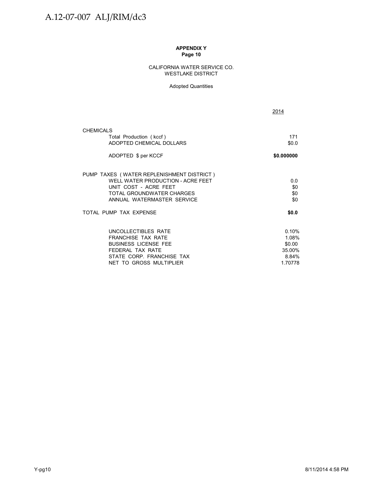### CALIFORNIA WATER SERVICE CO. WESTLAKE DISTRICT

### Adopted Quantities

2014

| <b>CHEMICALS</b>                                                                                                                                                   |                                                        |
|--------------------------------------------------------------------------------------------------------------------------------------------------------------------|--------------------------------------------------------|
| Total Production (kccf)<br>ADOPTED CHEMICAL DOLLARS                                                                                                                | 171<br>\$0.0                                           |
| ADOPTED \$ per KCCF                                                                                                                                                | \$0.000000                                             |
| PUMP TAXES (WATER REPLENISHMENT DISTRICT)<br>WELL WATER PRODUCTION - ACRE FEET<br>UNIT COST - ACRE FEET<br>TOTAL GROUNDWATER CHARGES<br>ANNUAL WATERMASTER SERVICE | 0.0<br>\$0<br>\$0<br>\$0                               |
| TOTAL PUMP TAX EXPENSE                                                                                                                                             | \$0.0                                                  |
| UNCOLLECTIBLES RATE<br><b>FRANCHISE TAX RATE</b><br><b>BUSINESS LICENSE FEE</b><br>FEDERAL TAX RATE<br>STATE CORP. FRANCHISE TAX<br>NET TO GROSS MULTIPLIER        | 0.10%<br>1.08%<br>\$0.00<br>35.00%<br>8.84%<br>1.70778 |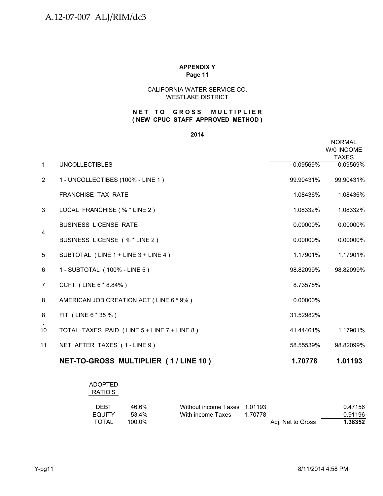## CALIFORNIA WATER SERVICE CO. WESTLAKE DISTRICT

## **( NEW CPUC STAFF APPROVED METHOD ) NET TO GROSS MULTIPLIER**

### **2014**

|                |                                             |           | <b>NORMAL</b><br>W/0 INCOME<br><b>TAXES</b> |
|----------------|---------------------------------------------|-----------|---------------------------------------------|
| $\mathbf{1}$   | <b>UNCOLLECTIBLES</b>                       | 0.09569%  | 0.09569%                                    |
| $\overline{2}$ | 1 - UNCOLLECTIBES (100% - LINE 1)           | 99.90431% | 99.90431%                                   |
|                | <b>FRANCHISE TAX RATE</b>                   | 1.08436%  | 1.08436%                                    |
| 3              | LOCAL FRANCHISE (% * LINE 2)                | 1.08332%  | 1.08332%                                    |
|                | <b>BUSINESS LICENSE RATE</b>                | 0.00000%  | 0.00000%                                    |
| $\overline{4}$ | BUSINESS LICENSE (% * LINE 2)               | 0.00000%  | 0.00000%                                    |
| 5              | SUBTOTAL (LINE 1 + LINE 3 + LINE 4)         | 1.17901%  | 1.17901%                                    |
| 6              | 1 - SUBTOTAL (100% - LINE 5)                | 98.82099% | 98.82099%                                   |
| 7              | CCFT (LINE 6 * 8.84%)                       | 8.73578%  |                                             |
| 8              | AMERICAN JOB CREATION ACT (LINE 6 * 9%)     | 0.00000%  |                                             |
| 8              | FIT (LINE 6 * 35 %)                         | 31.52982% |                                             |
| 10             | TOTAL TAXES PAID (LINE 5 + LINE 7 + LINE 8) | 41.44461% | 1.17901%                                    |
| 11             | NET AFTER TAXES (1-LINE 9)                  | 58.55539% | 98.82099%                                   |
|                | NET-TO-GROSS MULTIPLIER (1/LINE 10)         | 1.70778   | 1.01193                                     |

| <b>ADOPTED</b> |
|----------------|
| RATIO'S        |
|                |

| <b>DEBT</b> | 46.6%     | Without income Taxes 1.01193 |         |                   | 0.47156 |
|-------------|-----------|------------------------------|---------|-------------------|---------|
| EQUITY      | 53.4%     | With income Taxes            | 1.70778 |                   | 0.91196 |
| TOTAL       | $100.0\%$ |                              |         | Adj. Net to Gross | 1.38352 |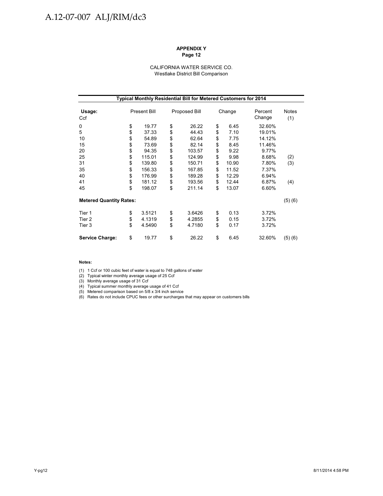# A.12-07-007 ALJ/RIM/dc3

### **APPENDIX Y Page 12**

#### CALIFORNIA WATER SERVICE CO. Westlake District Bill Comparison

| Typical Monthly Residential Bill for Metered Customers for 2014 |    |                     |    |               |    |        |                   |              |  |
|-----------------------------------------------------------------|----|---------------------|----|---------------|----|--------|-------------------|--------------|--|
| Usage:<br>Ccf                                                   |    | <b>Present Bill</b> |    | Proposed Bill |    | Change | Percent<br>Change | Notes<br>(1) |  |
| 0                                                               | \$ | 19.77               | \$ | 26.22         | \$ | 6.45   | 32.60%            |              |  |
| 5                                                               | \$ | 37.33               | \$ | 44.43         | \$ | 7.10   | 19.01%            |              |  |
| 10                                                              | \$ | 54.89               | \$ | 62.64         | \$ | 7.75   | 14.12%            |              |  |
| 15                                                              | \$ | 73.69               | \$ | 82.14         | \$ | 8.45   | 11.46%            |              |  |
| 20                                                              | \$ | 94.35               | \$ | 103.57        | \$ | 9.22   | 9.77%             |              |  |
| 25                                                              | \$ | 115.01              | \$ | 124.99        | \$ | 9.98   | 8.68%             | (2)          |  |
| 31                                                              | \$ | 139.80              | \$ | 150.71        | \$ | 10.90  | 7.80%             | (3)          |  |
| 35                                                              | \$ | 156.33              | \$ | 167.85        | \$ | 11.52  | 7.37%             |              |  |
| 40                                                              | \$ | 176.99              | \$ | 189.28        | \$ | 12.29  | 6.94%             |              |  |
| 41                                                              | \$ | 181.12              | \$ | 193.56        | \$ | 12.44  | 6.87%             | (4)          |  |
| 45                                                              | \$ | 198.07              | \$ | 211.14        | \$ | 13.07  | 6.60%             |              |  |
| <b>Metered Quantity Rates:</b>                                  |    |                     |    |               |    |        |                   | (5)(6)       |  |
| Tier 1                                                          | \$ | 3.5121              | \$ | 3.6426        | \$ | 0.13   | 3.72%             |              |  |
| Tier 2                                                          | \$ | 4.1319              | \$ | 4.2855        | \$ | 0.15   | 3.72%             |              |  |
| Tier 3                                                          | \$ | 4.5490              | \$ | 4.7180        | \$ | 0.17   | 3.72%             |              |  |
| <b>Service Charge:</b>                                          | \$ | 19.77               | \$ | 26.22         | \$ | 6.45   | 32.60%            | (5)(6)       |  |

#### **Notes:**

(1) 1 Ccf or 100 cubic feet of water is equal to 748 gallons of water

(2) Typical winter monthly average usage of 25 Ccf<br>(3) Monthly average usage of 31 Ccf

(4) Typical summer monthly average usage of 41 Ccf

(5) Metered comparison based on 5/8 x 3/4 inch service

(6) Rates do not include CPUC fees or other surcharges that may appear on customers bills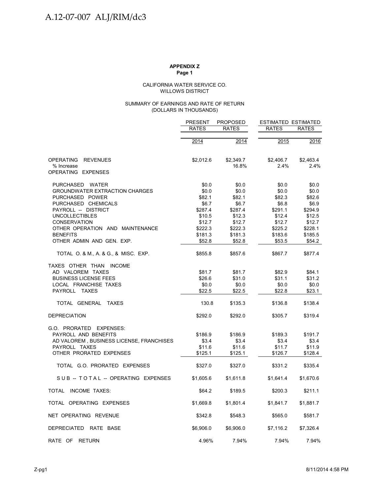#### WILLOWS DISTRICT CALIFORNIA WATER SERVICE CO.

### (DOLLARS IN THOUSANDS) SUMMARY OF EARNINGS AND RATE OF RETURN

|                                                                                                                                         | <b>PRESENT</b>                               | <b>PROPOSED</b>                              | <b>ESTIMATED ESTIMATED</b>                   |                                              |  |
|-----------------------------------------------------------------------------------------------------------------------------------------|----------------------------------------------|----------------------------------------------|----------------------------------------------|----------------------------------------------|--|
|                                                                                                                                         | RATES                                        | <b>RATES</b>                                 | <b>RATES</b>                                 | <b>RATES</b>                                 |  |
|                                                                                                                                         | 2014                                         | 2014                                         | 2015                                         | 2016                                         |  |
| <b>OPERATING</b><br><b>REVENUES</b><br>% Increase<br>OPERATING EXPENSES                                                                 | \$2,012.6                                    | \$2,349.7<br>16.8%                           | \$2,406.7<br>2.4%                            | \$2,463.4<br>2.4%                            |  |
|                                                                                                                                         |                                              |                                              |                                              |                                              |  |
| PURCHASED WATER<br><b>GROUNDWATER EXTRACTION CHARGES</b><br>PURCHASED POWER<br>PURCHASED CHEMICALS<br>PAYROLL -- DISTRICT               | \$0.0<br>\$0.0<br>\$82.1<br>\$6.7<br>\$287.4 | \$0.0<br>\$0.0<br>\$82.1<br>\$6.7<br>\$287.4 | \$0.0<br>\$0.0<br>\$82.3<br>\$6.8<br>\$291.1 | \$0.0<br>\$0.0<br>\$82.6<br>\$6.9<br>\$294.9 |  |
| <b>UNCOLLECTIBLES</b>                                                                                                                   | \$10.5                                       | \$12.3                                       | \$12.4                                       | \$12.5                                       |  |
| <b>CONSERVATION</b><br>OTHER OPERATION AND MAINTENANCE<br><b>BENEFITS</b><br>OTHER ADMIN AND GEN. EXP.                                  | \$12.7<br>\$222.3<br>\$181.3<br>\$52.8       | \$12.7<br>\$222.3<br>\$181.3<br>\$52.8       | \$12.7<br>\$225.2<br>\$183.6<br>\$53.5       | \$12.7<br>\$228.1<br>\$185.5<br>\$54.2       |  |
| TOTAL O. & M., A. & G., & MISC. EXP.                                                                                                    | \$855.8                                      | \$857.6                                      | \$867.7                                      | \$877.4                                      |  |
| TAXES OTHER THAN INCOME<br>AD VALOREM TAXES<br><b>BUSINESS LICENSE FEES</b><br>LOCAL FRANCHISE TAXES<br>PAYROLL TAXES                   | \$81.7<br>\$26.6<br>\$0.0<br>\$22.5          | \$81.7<br>\$31.0<br>\$0.0<br>\$22.5          | \$82.9<br>\$31.1<br>\$0.0<br>\$22.8          | \$84.1<br>\$31.2<br>\$0.0<br>\$23.1          |  |
| TOTAL GENERAL<br><b>TAXES</b>                                                                                                           | 130.8                                        | \$135.3                                      | \$136.8                                      | \$138.4                                      |  |
| <b>DEPRECIATION</b>                                                                                                                     | \$292.0                                      | \$292.0                                      | \$305.7                                      | \$319.4                                      |  |
| G.O. PRORATED EXPENSES:<br>PAYROLL AND BENEFITS<br>AD VALOREM, BUSINESS LICENSE, FRANCHISES<br>PAYROLL TAXES<br>OTHER PRORATED EXPENSES | \$186.9<br>\$3.4<br>\$11.6<br>\$125.1        | \$186.9<br>\$3.4<br>\$11.6<br>\$125.1        | \$189.3<br>\$3.4<br>\$11.7<br>\$126.7        | \$191.7<br>\$3.4<br>\$11.9<br>\$128.4        |  |
| TOTAL G.O. PRORATED EXPENSES                                                                                                            | \$327.0                                      | \$327.0                                      | \$331.2                                      | \$335.4                                      |  |
| SUB-TOTAL-OPERATING EXPENSES                                                                                                            | \$1,605.6                                    | \$1,611.8                                    | \$1,641.4                                    | \$1,670.6                                    |  |
| INCOME TAXES:<br><b>TOTAL</b>                                                                                                           | \$64.2                                       | \$189.5                                      | \$200.3                                      | \$211.1                                      |  |
| TOTAL OPERATING EXPENSES                                                                                                                | \$1,669.8                                    | \$1,801.4                                    | \$1,841.7                                    | \$1,881.7                                    |  |
| NET OPERATING REVENUE                                                                                                                   | \$342.8                                      | \$548.3                                      | \$565.0                                      | \$581.7                                      |  |
| DEPRECIATED RATE BASE                                                                                                                   | \$6,906.0                                    | \$6,906.0                                    | \$7,116.2                                    | \$7,326.4                                    |  |
| RATE OF<br><b>RETURN</b>                                                                                                                | 4.96%                                        | 7.94%                                        | 7.94%                                        | 7.94%                                        |  |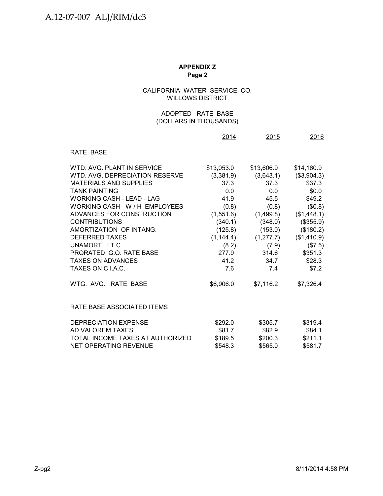## CALIFORNIA WATER SERVICE CO. WILLOWS DISTRICT

## (DOLLARS IN THOUSANDS) ADOPTED RATE BASE

|                                  | 2014       | 2015       | 2016        |
|----------------------------------|------------|------------|-------------|
| <b>RATE BASE</b>                 |            |            |             |
| WTD. AVG. PLANT IN SERVICE       | \$13,053.0 | \$13,606.9 | \$14,160.9  |
| WTD, AVG, DEPRECIATION RESERVE   | (3,381.9)  | (3,643.1)  | (\$3,904.3) |
| <b>MATERIALS AND SUPPLIES</b>    | 37.3       | 37.3       | \$37.3      |
| <b>TANK PAINTING</b>             | 0.0        | 0.0        | \$0.0       |
| <b>WORKING CASH - LEAD - LAG</b> | 41.9       | 45.5       | \$49.2      |
| WORKING CASH - W / H EMPLOYEES   | (0.8)      | (0.8)      | (\$0.8)     |
| ADVANCES FOR CONSTRUCTION        | (1,551.6)  | (1,499.8)  | (\$1,448.1) |
| <b>CONTRIBUTIONS</b>             | (340.1)    | (348.0)    | (\$355.9)   |
| AMORTIZATION OF INTANG.          | (125.8)    | (153.0)    | (\$180.2)   |
| <b>DEFERRED TAXES</b>            | (1, 144.4) | (1, 277.7) | (\$1,410.9) |
| UNAMORT. I.T.C.                  | (8.2)      | (7.9)      | (\$7.5)     |
| PRORATED G.O. RATE BASE          | 277.9      | 314.6      | \$351.3     |
| <b>TAXES ON ADVANCES</b>         | 41.2       | 34.7       | \$28.3      |
| TAXES ON C.I.A.C.                | 7.6        | 7.4        | \$7.2       |
| WTG, AVG, RATE BASE              | \$6,906.0  | \$7,116.2  | \$7,326.4   |
| RATE BASE ASSOCIATED ITEMS       |            |            |             |
| <b>DEPRECIATION EXPENSE</b>      | \$292.0    | \$305.7    | \$319.4     |
| AD VALOREM TAXES                 | \$81.7     | \$82.9     | \$84.1      |
| TOTAL INCOME TAXES AT AUTHORIZED | \$189.5    | \$200.3    | \$211.1     |
| <b>NET OPERATING REVENUE</b>     | \$548.3    | \$565.0    | \$581.7     |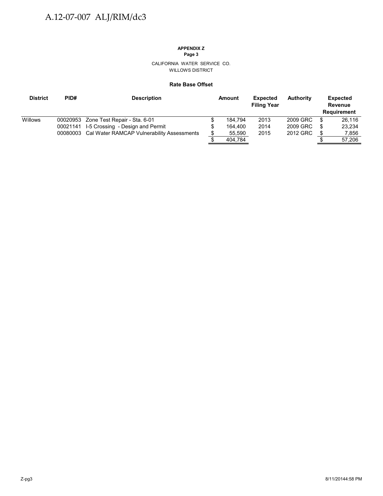# **APPENDIX Z**

**Page 3**

CALIFORNIA WATER SERVICE CO. WILLOWS DISTRICT

### **Rate Base Offset**

| <b>District</b> | PID# | <b>Description</b>                                  | Amount  | <b>Expected</b><br><b>Filing Year</b> | Authority |   | <b>Expected</b><br>Revenue<br><b>Requirement</b> |
|-----------------|------|-----------------------------------------------------|---------|---------------------------------------|-----------|---|--------------------------------------------------|
| Willows         |      | 00020953 Zone Test Repair - Sta. 6-01               | 184.794 | 2013                                  | 2009 GRC  |   | 26.116                                           |
|                 |      | 00021141 I-5 Crossing - Design and Permit           | 164.400 | 2014                                  | 2009 GRC  | S | 23.234                                           |
|                 |      | 00080003 Cal Water RAMCAP Vulnerability Assessments | 55,590  | 2015                                  | 2012 GRC  |   | 7.856                                            |
|                 |      |                                                     | 404,784 |                                       |           |   | 57.206                                           |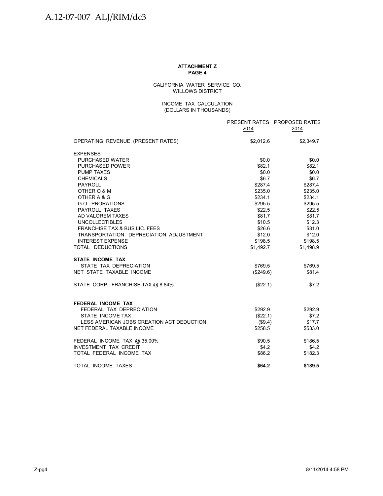#### **ATTACHMENT Z PAGE 4**

CALIFORNIA WATER SERVICE CO. WILLOWS DISTRICT

### INCOME TAX CALCULATION (DOLLARS IN THOUSANDS)

|                                                | 2014                | PRESENT RATES PROPOSED RATES<br>2014 |
|------------------------------------------------|---------------------|--------------------------------------|
| OPERATING REVENUE (PRESENT RATES)              | \$2,012.6           | \$2,349.7                            |
| <b>EXPENSES</b>                                |                     |                                      |
| <b>PURCHASED WATER</b>                         | \$0.0\$             | \$0.0                                |
| <b>PURCHASED POWER</b>                         | \$82.1              | \$82.1                               |
| <b>PUMP TAXES</b>                              | \$0.0               | \$0.0                                |
| <b>CHEMICALS</b>                               | \$6.7               | \$6.7                                |
| <b>PAYROLL</b>                                 | \$287.4             | \$287.4                              |
| OTHER O & M                                    | \$235.0             | \$235.0                              |
| OTHER A & G                                    | \$234.1             | \$234.1                              |
| G.O. PRORATIONS                                | \$295.5             | \$295.5                              |
| PAYROLL TAXES                                  | \$22.5              | \$22.5                               |
| AD VALOREM TAXES                               | \$81.7              | \$81.7                               |
| <b>UNCOLLECTIBLES</b>                          | \$10.5              | \$12.3                               |
| <b>FRANCHISE TAX &amp; BUS LIC. FEES</b>       | \$26.6              | \$31.0                               |
| TRANSPORTATION DEPRECIATION ADJUSTMENT         | \$12.0              | \$12.0                               |
| <b>INTEREST EXPENSE</b>                        | \$198.5             | \$198.5                              |
| TOTAL DEDUCTIONS                               | \$1,492.7           | \$1,498.9                            |
| <b>STATE INCOME TAX</b>                        |                     |                                      |
| STATE TAX DEPRECIATION                         | \$769.5             | \$769.5                              |
| NET STATE TAXABLE INCOME                       | (\$249.6)           | \$81.4                               |
| STATE CORP. FRANCHISE TAX @ 8.84%              | (\$22.1)            | \$7.2                                |
|                                                |                     |                                      |
| FEDERAL INCOME TAX<br>FEDERAL TAX DEPRECIATION |                     |                                      |
| STATE INCOME TAX                               | \$292.9             | \$292.9<br>\$7.2                     |
| LESS AMERICAN JOBS CREATION ACT DEDUCTION      | (\$22.1)<br>(\$9.4) | \$17.7                               |
| NET FEDERAL TAXABLE INCOME                     | \$258.5             | \$533.0                              |
|                                                |                     |                                      |
| FEDERAL INCOME TAX @ 35.00%                    | \$90.5              | \$186.5                              |
| <b>INVESTMENT TAX CREDIT</b>                   | \$4.2               | \$4.2                                |
| TOTAL FEDERAL INCOME TAX                       | \$86.2              | \$182.3                              |
| TOTAL INCOME TAXES                             | \$64.2              | \$189.5                              |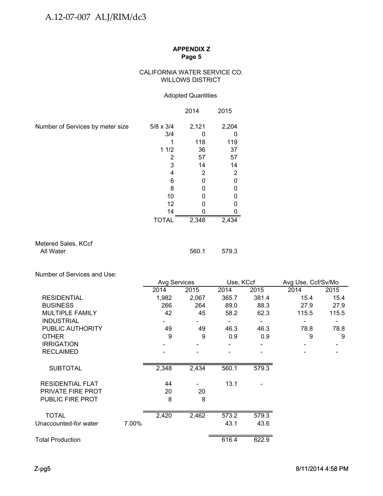## CALIFORNIA WATER SERVICE CO. WILLOWS DISTRICT

## Adopted Quantities

|                                  |                  | 2014  | 2015           |
|----------------------------------|------------------|-------|----------------|
| Number of Services by meter size | $5/8 \times 3/4$ | 2,121 | 2,204          |
|                                  | 3/4              |       |                |
|                                  |                  | 118   | 119            |
|                                  | 11/2             | 36    | 37             |
|                                  | 2                | 57    | 57             |
|                                  | 3                | 14    | 14             |
|                                  | 4                | 2     | $\overline{2}$ |
|                                  | 6                | 0     | 0              |
|                                  | 8                |       |                |
|                                  | 10               | N     |                |
|                                  | 12               |       |                |
|                                  | 14               |       |                |
|                                  | <b>TOTAL</b>     | 2,348 | 2,434          |

## Metered Sales, KCcf All Water 579.3

Number of Services and Use: Number of Services and

|                          |       | Avg Services |       | Use, KCcf |       | Avg Use, Ccf/Sv/Mo |       |
|--------------------------|-------|--------------|-------|-----------|-------|--------------------|-------|
|                          |       | 2014         | 2015  | 2014      | 2015  | 2014               | 2015  |
| <b>RESIDENTIAL</b>       |       | 1,982        | 2,067 | 365.7     | 381.4 | 15.4               | 15.4  |
| <b>BUSINESS</b>          |       | 266          | 264   | 89.0      | 88.3  | 27.9               | 27.9  |
| <b>MULTIPLE FAMILY</b>   |       | 42           | 45    | 58.2      | 62.3  | 115.5              | 115.5 |
| <b>INDUSTRIAL</b>        |       |              |       |           |       |                    |       |
| PUBLIC AUTHORITY         |       | 49           | 49    | 46.3      | 46.3  | 78.8               | 78.8  |
| <b>OTHER</b>             |       | 9            | 9     | 0.9       | 0.9   | 9                  | 9     |
| <b>IRRIGATION</b>        |       |              |       |           |       |                    |       |
| <b>RECLAIMED</b>         |       |              |       |           |       |                    |       |
| <b>SUBTOTAL</b>          |       | 2,348        | 2,434 | 560.1     | 579.3 |                    |       |
| <b>RESIDENTIAL FLAT</b>  |       | 44           |       | 13.1      |       |                    |       |
| <b>PRIVATE FIRE PROT</b> |       | 20           | 20    |           |       |                    |       |
| <b>PUBLIC FIRE PROT</b>  |       | 8            | 8     |           |       |                    |       |
| <b>TOTAL</b>             |       | 2,420        | 2,462 | 573.2     | 579.3 |                    |       |
| Unaccounted-for water    | 7.00% |              |       | 43.1      | 43.6  |                    |       |
|                          |       |              |       |           |       |                    |       |
| <b>Total Production</b>  |       |              |       | 616.4     | 622.9 |                    |       |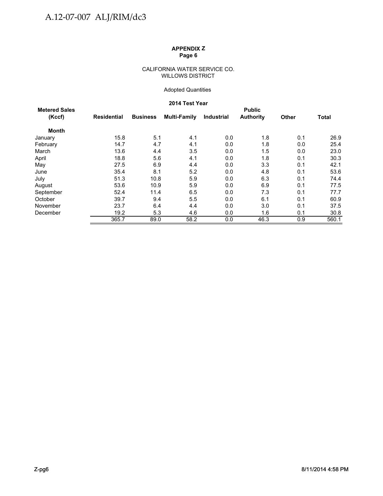### CALIFORNIA WATER SERVICE CO. WILLOWS DISTRICT

## Adopted Quantities

## **2014 Test Year**

| <b>Metered Sales</b> |             |                 |              |                   | <b>Public</b>    |              |              |
|----------------------|-------------|-----------------|--------------|-------------------|------------------|--------------|--------------|
| (Kccf)               | Residential | <b>Business</b> | Multi-Family | <b>Industrial</b> | <b>Authority</b> | <b>Other</b> | <b>Total</b> |
| <b>Month</b>         |             |                 |              |                   |                  |              |              |
| January              | 15.8        | 5.1             | 4.1          | 0.0               | 1.8              | 0.1          | 26.9         |
| February             | 14.7        | 4.7             | 4.1          | 0.0               | 1.8              | 0.0          | 25.4         |
| March                | 13.6        | 4.4             | 3.5          | 0.0               | 1.5              | 0.0          | 23.0         |
| April                | 18.8        | 5.6             | 4.1          | 0.0               | 1.8              | 0.1          | 30.3         |
| May                  | 27.5        | 6.9             | 4.4          | 0.0               | 3.3              | 0.1          | 42.1         |
| June                 | 35.4        | 8.1             | 5.2          | 0.0               | 4.8              | 0.1          | 53.6         |
| July                 | 51.3        | 10.8            | 5.9          | 0.0               | 6.3              | 0.1          | 74.4         |
| August               | 53.6        | 10.9            | 5.9          | 0.0               | 6.9              | 0.1          | 77.5         |
| September            | 52.4        | 11.4            | 6.5          | 0.0               | 7.3              | 0.1          | 77.7         |
| October              | 39.7        | 9.4             | 5.5          | 0.0               | 6.1              | 0.1          | 60.9         |
| November             | 23.7        | 6.4             | 4.4          | 0.0               | 3.0              | 0.1          | 37.5         |
| December             | 19.2        | 5.3             | 4.6          | 0.0               | 1.6              | 0.1          | 30.8         |
|                      | 365.7       | 89.0            | 58.2         | 0.0               | 46.3             | 0.9          | 560.1        |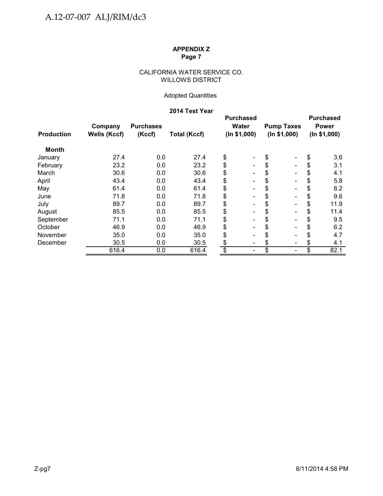## CALIFORNIA WATER SERVICE CO. WILLOWS DISTRICT

## Adopted Quantities

## **2014 Test Year**

|                   |                     |                  |                     |              | <b>Purchased</b>             |              |                          |              | <b>Purchased</b> |
|-------------------|---------------------|------------------|---------------------|--------------|------------------------------|--------------|--------------------------|--------------|------------------|
|                   | Company             | <b>Purchases</b> |                     |              | Water                        |              | <b>Pump Taxes</b>        |              | <b>Power</b>     |
| <b>Production</b> | <b>Wells (Kccf)</b> | (Kccf)           | <b>Total (Kccf)</b> | (ln \$1,000) |                              | (ln \$1,000) |                          | (ln \$1,000) |                  |
| <b>Month</b>      |                     |                  |                     |              |                              |              |                          |              |                  |
| January           | 27.4                | 0.0              | 27.4                | \$           | -                            | \$           | $\blacksquare$           | \$           | 3.6              |
| February          | 23.2                | 0.0              | 23.2                | \$           |                              | \$           | $\blacksquare$           | \$           | 3.1              |
| March             | 30.6                | 0.0              | 30.6                | \$           |                              | \$           | $\blacksquare$           | \$           | 4.1              |
| April             | 43.4                | 0.0              | 43.4                | \$           | $\qquad \qquad \blacksquare$ | \$           | $\overline{\phantom{a}}$ | \$           | 5.8              |
| May               | 61.4                | 0.0              | 61.4                | \$           | $\qquad \qquad \blacksquare$ | \$           | $\overline{\phantom{a}}$ |              | 8.2              |
| June              | 71.8                | 0.0              | 71.8                | \$           | $\qquad \qquad \blacksquare$ | \$           | $\overline{\phantom{a}}$ | \$           | 9.6              |
| July              | 89.7                | 0.0              | 89.7                | \$           | $\overline{\phantom{0}}$     | \$           | $\blacksquare$           | \$           | 11.9             |
| August            | 85.5                | 0.0              | 85.5                | \$           |                              | \$           | $\blacksquare$           | S            | 11.4             |
| September         | 71.1                | 0.0              | 71.1                | \$           |                              | \$           | $\overline{\phantom{a}}$ | S            | 9.5              |
| October           | 46.9                | 0.0              | 46.9                | \$           |                              | \$           | $\blacksquare$           | S            | 6.2              |
| November          | 35.0                | 0.0              | 35.0                | \$           | $\qquad \qquad \blacksquare$ | \$           | $\overline{\phantom{a}}$ |              | 4.7              |
| December          | 30.5                | 0.0              | 30.5                | \$           | -                            | \$           | $\overline{\phantom{a}}$ | \$           | 4.1              |
|                   | 616.4               | 0.0              | 616.4               | \$           | -                            | \$           | $\overline{\phantom{a}}$ | \$           | 82.1             |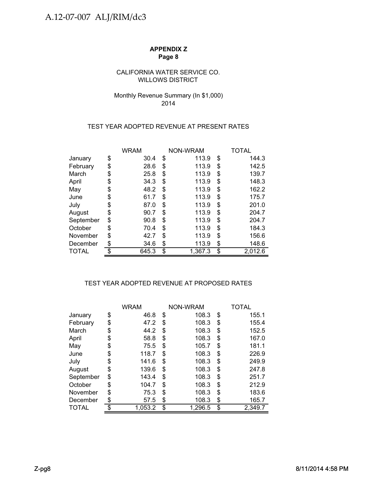## CALIFORNIA WATER SERVICE CO. WILLOWS DISTRICT

## Monthly Revenue Summary (In \$1,000) 2014

## TEST YEAR ADOPTED REVENUE AT PRESENT RATES

|           | <b>WRAM</b> |       | NON-WRAM      | TOTAL |         |  |
|-----------|-------------|-------|---------------|-------|---------|--|
| January   | \$          | 30.4  | \$<br>113.9   | \$    | 144.3   |  |
| February  | \$          | 28.6  | \$<br>113.9   | \$    | 142.5   |  |
| March     | \$          | 25.8  | \$<br>113.9   | \$    | 139.7   |  |
| April     | \$          | 34.3  | \$<br>113.9   | \$    | 148.3   |  |
| May       | \$          | 48.2  | \$<br>113.9   | \$    | 162.2   |  |
| June      | \$          | 61.7  | \$<br>113.9   | \$    | 175.7   |  |
| July      | \$          | 87.0  | \$<br>113.9   | \$    | 201.0   |  |
| August    | \$          | 90.7  | \$<br>113.9   | \$    | 204.7   |  |
| September | \$          | 90.8  | \$<br>113.9   | \$    | 204.7   |  |
| October   | \$          | 70.4  | \$<br>113.9   | \$    | 184.3   |  |
| November  | S           | 42.7  | \$<br>113.9   | \$    | 156.6   |  |
| December  | \$          | 34.6  | \$<br>113.9   | \$    | 148.6   |  |
| TOTAL     | \$          | 645.3 | \$<br>1,367.3 | \$    | 2,012.6 |  |

## TEST YEAR ADOPTED REVENUE AT PROPOSED RATES

|              | WRAM          |    | NON-WRAM | TOTAL         |
|--------------|---------------|----|----------|---------------|
| January      | \$<br>46.8    | \$ | 108.3    | \$<br>155.1   |
| February     | \$<br>47.2    | \$ | 108.3    | \$<br>155.4   |
| March        | \$<br>44.2    | S  | 108.3    | \$<br>152.5   |
| April        | \$<br>58.8    | S  | 108.3    | \$<br>167.0   |
| May          | \$<br>75.5    | \$ | 105.7    | \$<br>181.1   |
| June         | \$<br>118.7   | \$ | 108.3    | \$<br>226.9   |
| July         | \$<br>141.6   | \$ | 108.3    | \$<br>249.9   |
| August       | \$<br>139.6   | \$ | 108.3    | \$<br>247.8   |
| September    | \$<br>143.4   | \$ | 108.3    | \$<br>251.7   |
| October      | \$<br>104.7   | S  | 108.3    | \$<br>212.9   |
| November     | \$<br>75.3    | \$ | 108.3    | \$<br>183.6   |
| December     | \$<br>57.5    | \$ | 108.3    | \$<br>165.7   |
| <b>TOTAL</b> | \$<br>1,053.2 | \$ | 1,296.5  | \$<br>2,349.7 |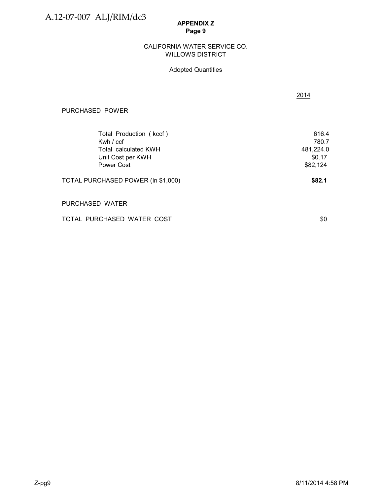A.12-07-007 ALJ/RIM/dc3

## **APPENDIX Z Page 9**

### WILLOWS DISTRICT CALIFORNIA WATER SERVICE CO.

## Adopted Quantities

| PURCHASED POWER                                                                                   |                                                   |
|---------------------------------------------------------------------------------------------------|---------------------------------------------------|
| Total Production (kccf)<br>Kwh $/$ ccf<br>Total calculated KWH<br>Unit Cost per KWH<br>Power Cost | 616.4<br>780.7<br>481,224.0<br>\$0.17<br>\$82,124 |
| TOTAL PURCHASED POWER (In \$1,000)                                                                | \$82.1                                            |
| PURCHASED WATER                                                                                   |                                                   |

TOTAL PURCHASED WATER COST \$0

2014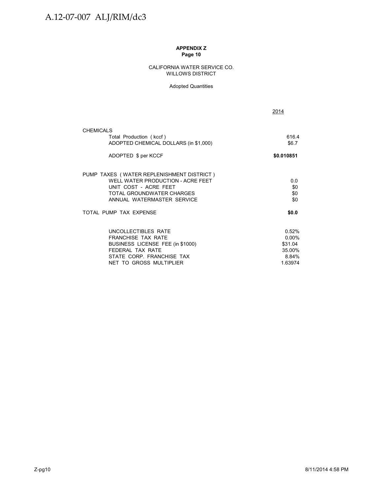### CALIFORNIA WATER SERVICE CO. WILLOWS DISTRICT

### Adopted Quantities

|                                                                  | 2014             |
|------------------------------------------------------------------|------------------|
| <b>CHEMICALS</b>                                                 |                  |
| Total Production (kccf)<br>ADOPTED CHEMICAL DOLLARS (in \$1,000) | 616.4<br>\$6.7   |
| ADOPTED \$ per KCCF                                              | \$0.010851       |
| PUMP TAXES (WATER REPLENISHMENT DISTRICT)                        |                  |
| WELL WATER PRODUCTION - ACRE FEET<br>UNIT COST - ACRE FEET       | 0.0<br>\$0       |
| TOTAL GROUNDWATER CHARGES                                        | \$0              |
| ANNUAL WATERMASTER SERVICE                                       | \$0              |
| TOTAL PUMP TAX EXPENSE                                           | \$0.0            |
| UNCOLLECTIBLES RATE                                              | 0.52%            |
| <b>FRANCHISE TAX RATE</b>                                        | $0.00\%$         |
| BUSINESS LICENSE FEE (in \$1000)                                 | \$31.04          |
| FFDFRAI TAX RATF                                                 | 35.00%           |
| STATE CORP. FRANCHISE TAX                                        | 8.84%<br>1.63974 |
| NET TO GROSS MULTIPLIER                                          |                  |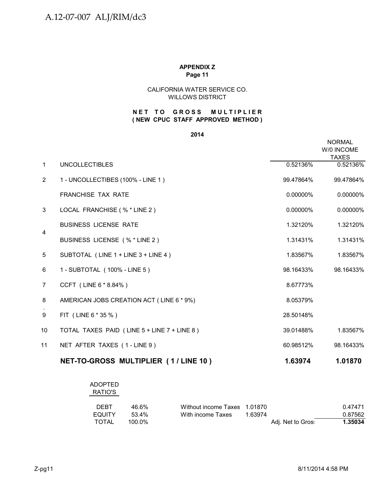## CALIFORNIA WATER SERVICE CO. WILLOWS DISTRICT

## **( NEW CPUC STAFF APPROVED METHOD ) NET TO GROSS MULTIPLIER**

### **2014**

|                |                                             |             | <b>NORMAL</b><br>W/0 INCOME<br><b>TAXES</b> |
|----------------|---------------------------------------------|-------------|---------------------------------------------|
| $\mathbf{1}$   | <b>UNCOLLECTIBLES</b>                       | 0.52136%    | 0.52136%                                    |
| 2              | 1 - UNCOLLECTIBES (100% - LINE 1)           | 99.47864%   | 99.47864%                                   |
|                | <b>FRANCHISE TAX RATE</b>                   | 0.00000%    | 0.00000%                                    |
| 3              | LOCAL FRANCHISE (% * LINE 2)                | $0.00000\%$ | 0.00000%                                    |
|                | <b>BUSINESS LICENSE RATE</b>                | 1.32120%    | 1.32120%                                    |
| $\overline{4}$ | BUSINESS LICENSE (% * LINE 2)               | 1.31431%    | 1.31431%                                    |
| 5              | SUBTOTAL (LINE 1 + LINE 3 + LINE 4)         | 1.83567%    | 1.83567%                                    |
| 6              | 1 - SUBTOTAL (100% - LINE 5)                | 98.16433%   | 98.16433%                                   |
| $\overline{7}$ | CCFT (LINE 6 * 8.84%)                       | 8.67773%    |                                             |
| 8              | AMERICAN JOBS CREATION ACT (LINE 6 * 9%)    | 8.05379%    |                                             |
| 9              | FIT (LINE 6 * 35 %)                         | 28.50148%   |                                             |
| 10             | TOTAL TAXES PAID (LINE 5 + LINE 7 + LINE 8) | 39.01488%   | 1.83567%                                    |
| 11             | NET AFTER TAXES (1-LINE 9)                  | 60.98512%   | 98.16433%                                   |
|                | NET-TO-GROSS MULTIPLIER (1/LINE 10)         | 1.63974     | 1.01870                                     |

# ADOPTED RATIO'S

| <b>DEBT</b> | 46 6%  | Without income Taxes 1.01870 |                   | 0.47471 |
|-------------|--------|------------------------------|-------------------|---------|
| EQUITY      | 53.4%  | With income Taxes            | 1 63974           | 0.87562 |
| TOTAL       | 100.0% |                              | Adj. Net to Gros: | 1.35034 |